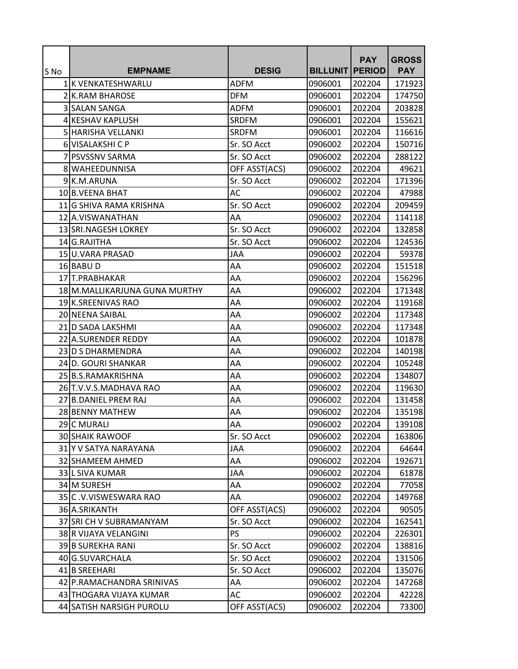|      |                                |               |                        | <b>PAY</b> | <b>GROSS</b> |
|------|--------------------------------|---------------|------------------------|------------|--------------|
| S No | <b>EMPNAME</b>                 | <b>DESIG</b>  | <b>BILLUNIT PERIOD</b> |            | <b>PAY</b>   |
|      | 1K VENKATESHWARLU              | <b>ADFM</b>   | 0906001                | 202204     | 171923       |
|      | 2 K.RAM BHAROSE                | <b>DFM</b>    | 0906001                | 202204     | 174750       |
|      | 3 SALAN SANGA                  | <b>ADFM</b>   | 0906001                | 202204     | 203828       |
|      | 4 KESHAV KAPLUSH               | <b>SRDFM</b>  | 0906001                | 202204     | 155621       |
|      | 5 HARISHA VELLANKI             | <b>SRDFM</b>  | 0906001                | 202204     | 116616       |
|      | 6 VISALAKSHI C P               | Sr. SO Acct   | 0906002                | 202204     | 150716       |
|      | 7 PSVSSNV SARMA                | Sr. SO Acct   | 0906002                | 202204     | 288122       |
|      | 8 WAHEEDUNNISA                 | OFF ASST(ACS) | 0906002                | 202204     | 49621        |
|      | 9 K.M.ARUNA                    | Sr. SO Acct   | 0906002                | 202204     | 171396       |
|      | 10 B.VEENA BHAT                | AC            | 0906002                | 202204     | 47988        |
|      | 11 G SHIVA RAMA KRISHNA        | Sr. SO Acct   | 0906002                | 202204     | 209459       |
|      | 12 A.VISWANATHAN               | AA            | 0906002                | 202204     | 114118       |
|      | 13 SRI.NAGESH LOKREY           | Sr. SO Acct   | 0906002                | 202204     | 132858       |
|      | 14 G.RAJITHA                   | Sr. SO Acct   | 0906002                | 202204     | 124536       |
|      | 15 U.VARA PRASAD               | <b>JAA</b>    | 0906002                | 202204     | 59378        |
|      | 16 BABU D                      | AA            | 0906002                | 202204     | 151518       |
|      | 17 T.PRABHAKAR                 | AA            | 0906002                | 202204     | 156296       |
|      | 18 M. MALLIKARJUNA GUNA MURTHY | AA            | 0906002                | 202204     | 171348       |
|      | 19 K.SREENIVAS RAO             | AA            | 0906002                | 202204     | 119168       |
|      | 20 NEENA SAIBAL                | AA            | 0906002                | 202204     | 117348       |
|      | 21 D SADA LAKSHMI              | AA            | 0906002                | 202204     | 117348       |
|      | 22 A.SURENDER REDDY            | AA            | 0906002                | 202204     | 101878       |
|      | 23 D S DHARMENDRA              | AA            | 0906002                | 202204     | 140198       |
|      | 24 D. GOURI SHANKAR            | AA            | 0906002                | 202204     | 105248       |
|      | 25 B.S.RAMAKRISHNA             | AA            | 0906002                | 202204     | 134807       |
|      | 26 T.V.V.S.MADHAVA RAO         | AA            | 0906002                | 202204     | 119630       |
|      | 27 B.DANIEL PREM RAJ           | AA            | 0906002                | 202204     | 131458       |
|      | 28 BENNY MATHEW                | AA            | 0906002                | 202204     | 135198       |
|      | 29 C MURALI                    | AA            | 0906002                | 202204     | 139108       |
|      | <b>30 SHAIK RAWOOF</b>         | Sr. SO Acct   | 0906002                | 202204     | 163806       |
|      | 31 Y V SATYA NARAYANA          | JAA           | 0906002                | 202204     | 64644        |
|      | 32 SHAMEEM AHMED               | AA            | 0906002                | 202204     | 192671       |
|      | 33 L SIVA KUMAR                | JAA           | 0906002                | 202204     | 61878        |
|      | 34 M SURESH                    | AA            | 0906002                | 202204     | 77058        |
|      | 35 C.V.VISWESWARA RAO          | AA            | 0906002                | 202204     | 149768       |
|      | 36 A.SRIKANTH                  | OFF ASST(ACS) | 0906002                | 202204     | 90505        |
|      | 37 SRI CH V SUBRAMANYAM        | Sr. SO Acct   | 0906002                | 202204     | 162541       |
|      | 38 R VIJAYA VELANGINI          | <b>PS</b>     | 0906002                | 202204     | 226301       |
|      | 39 B SUREKHA RANI              | Sr. SO Acct   | 0906002                | 202204     | 138816       |
|      | 40 G.SUVARCHALA                | Sr. SO Acct   | 0906002                | 202204     | 131506       |
|      | 41 B SREEHARI                  | Sr. SO Acct   | 0906002                | 202204     | 135076       |
|      | 42 P.RAMACHANDRA SRINIVAS      | AA            | 0906002                | 202204     | 147268       |
|      | 43 THOGARA VIJAYA KUMAR        | AC            | 0906002                | 202204     | 42228        |
|      | 44 SATISH NARSIGH PUROLU       | OFF ASST(ACS) | 0906002                | 202204     | 73300        |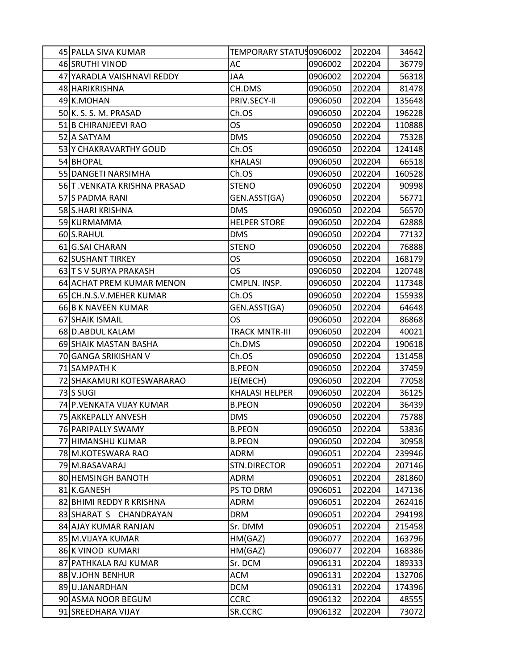| 45 PALLA SIVA KUMAR         | TEMPORARY STATU 10906002 |         | 202204 | 34642  |
|-----------------------------|--------------------------|---------|--------|--------|
| 46 SRUTHI VINOD             | AC                       | 0906002 | 202204 | 36779  |
| 47 YARADLA VAISHNAVI REDDY  | JAA                      | 0906002 | 202204 | 56318  |
| 48 HARIKRISHNA              | CH.DMS                   | 0906050 | 202204 | 81478  |
| 49 K.MOHAN                  | PRIV.SECY-II             | 0906050 | 202204 | 135648 |
| 50 K. S. S. M. PRASAD       | Ch.OS                    | 0906050 | 202204 | 196228 |
| 51 B CHIRANJEEVI RAO        | <b>OS</b>                | 0906050 | 202204 | 110888 |
| 52 A SATYAM                 | <b>DMS</b>               | 0906050 | 202204 | 75328  |
| 53 Y CHAKRAVARTHY GOUD      | Ch.OS                    | 0906050 | 202204 | 124148 |
| 54 BHOPAL                   | <b>KHALASI</b>           | 0906050 | 202204 | 66518  |
| 55 DANGETI NARSIMHA         | Ch.OS                    | 0906050 | 202204 | 160528 |
| 56 T.VENKATA KRISHNA PRASAD | <b>STENO</b>             | 0906050 | 202204 | 90998  |
| 57 S PADMA RANI             | GEN.ASST(GA)             | 0906050 | 202204 | 56771  |
| 58 S.HARI KRISHNA           | <b>DMS</b>               | 0906050 | 202204 | 56570  |
| 59 KURMAMMA                 | <b>HELPER STORE</b>      | 0906050 | 202204 | 62888  |
| 60 S.RAHUL                  | <b>DMS</b>               | 0906050 | 202204 | 77132  |
| 61 G.SAI CHARAN             | <b>STENO</b>             | 0906050 | 202204 | 76888  |
| 62 SUSHANT TIRKEY           | <b>OS</b>                | 0906050 | 202204 | 168179 |
| 63 T S V SURYA PRAKASH      | <b>OS</b>                | 0906050 | 202204 | 120748 |
| 64 ACHAT PREM KUMAR MENON   | CMPLN. INSP.             | 0906050 | 202204 | 117348 |
| 65 CH.N.S.V.MEHER KUMAR     | Ch.OS                    | 0906050 | 202204 | 155938 |
| 66 B K NAVEEN KUMAR         | GEN.ASST(GA)             | 0906050 | 202204 | 64648  |
| 67 SHAIK ISMAIL             | <b>OS</b>                | 0906050 | 202204 | 86868  |
| 68 D.ABDUL KALAM            | <b>TRACK MNTR-III</b>    | 0906050 | 202204 | 40021  |
| 69 SHAIK MASTAN BASHA       | Ch.DMS                   | 0906050 | 202204 | 190618 |
| 70 GANGA SRIKISHAN V        | Ch.OS                    | 0906050 | 202204 | 131458 |
| 71 SAMPATH K                | <b>B.PEON</b>            | 0906050 | 202204 | 37459  |
| 72 SHAKAMURI KOTESWARARAO   | JE(MECH)                 | 0906050 | 202204 | 77058  |
| 73 S SUGI                   | <b>KHALASI HELPER</b>    | 0906050 | 202204 | 36125  |
| 74 P. VENKATA VIJAY KUMAR   | <b>B.PEON</b>            | 0906050 | 202204 | 36439  |
| 75 AKKEPALLY ANVESH         | <b>DMS</b>               | 0906050 | 202204 | 75788  |
| 76 PARIPALLY SWAMY          | <b>B.PEON</b>            | 0906050 | 202204 | 53836  |
| 77 HIMANSHU KUMAR           | <b>B.PEON</b>            | 0906050 | 202204 | 30958  |
| 78 M.KOTESWARA RAO          | <b>ADRM</b>              | 0906051 | 202204 | 239946 |
| 79 M.BASAVARAJ              | STN.DIRECTOR             | 0906051 | 202204 | 207146 |
| 80 HEMSINGH BANOTH          | <b>ADRM</b>              | 0906051 | 202204 | 281860 |
| 81 K.GANESH                 | PS TO DRM                | 0906051 | 202204 | 147136 |
| 82 BHIMI REDDY R KRISHNA    | <b>ADRM</b>              | 0906051 | 202204 | 262416 |
| 83 SHARAT S CHANDRAYAN      | <b>DRM</b>               | 0906051 | 202204 | 294198 |
| 84 AJAY KUMAR RANJAN        | Sr. DMM                  | 0906051 | 202204 | 215458 |
| 85 M.VIJAYA KUMAR           | HM(GAZ)                  | 0906077 | 202204 | 163796 |
| 86 K VINOD KUMARI           | HM(GAZ)                  | 0906077 | 202204 | 168386 |
| 87 PATHKALA RAJ KUMAR       | Sr. DCM                  | 0906131 | 202204 | 189333 |
| 88 V.JOHN BENHUR            | <b>ACM</b>               | 0906131 | 202204 | 132706 |
| 89 U.JANARDHAN              | <b>DCM</b>               | 0906131 | 202204 | 174396 |
| 90 ASMA NOOR BEGUM          | <b>CCRC</b>              | 0906132 | 202204 | 48555  |
| 91 SREEDHARA VIJAY          | SR.CCRC                  | 0906132 | 202204 | 73072  |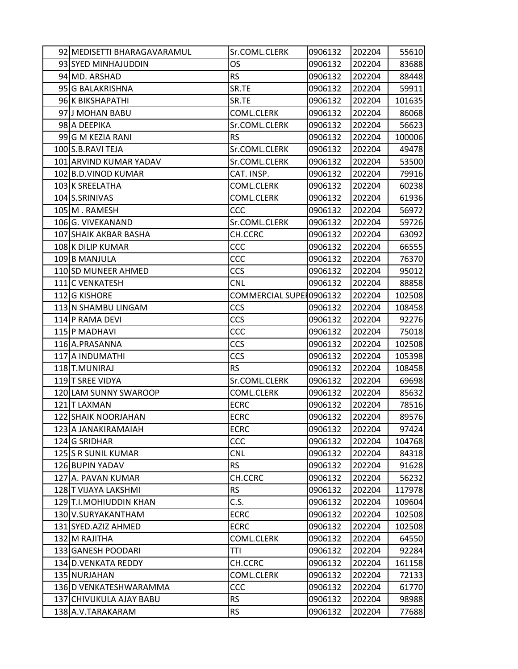| 92 MEDISETTI BHARAGAVARAMUL | Sr.COML.CLERK           | 0906132 | 202204 | 55610  |
|-----------------------------|-------------------------|---------|--------|--------|
| 93 SYED MINHAJUDDIN         | OS                      | 0906132 | 202204 | 83688  |
| 94 MD. ARSHAD               | RS.                     | 0906132 | 202204 | 88448  |
| 95 G BALAKRISHNA            | SR.TE                   | 0906132 | 202204 | 59911  |
| 96 K BIKSHAPATHI            | SR.TE                   | 0906132 | 202204 | 101635 |
| 97 J MOHAN BABU             | COML.CLERK              | 0906132 | 202204 | 86068  |
| 98 A DEEPIKA                | Sr.COML.CLERK           | 0906132 | 202204 | 56623  |
| 99 G M KEZIA RANI           | <b>RS</b>               | 0906132 | 202204 | 100006 |
| 100 S.B.RAVI TEJA           | Sr.COML.CLERK           | 0906132 | 202204 | 49478  |
| 101 ARVIND KUMAR YADAV      | Sr.COML.CLERK           | 0906132 | 202204 | 53500  |
| 102 B.D. VINOD KUMAR        | CAT. INSP.              | 0906132 | 202204 | 79916  |
| 103 K SREELATHA             | COML.CLERK              | 0906132 | 202204 | 60238  |
| 104 S.SRINIVAS              | COML.CLERK              | 0906132 | 202204 | 61936  |
| 105 M. RAMESH               | CCC                     | 0906132 | 202204 | 56972  |
| 106 G. VIVEKANAND           | Sr.COML.CLERK           | 0906132 | 202204 | 59726  |
| 107 SHAIK AKBAR BASHA       | CH.CCRC                 | 0906132 | 202204 | 63092  |
| 108 K DILIP KUMAR           | CCC                     | 0906132 | 202204 | 66555  |
| 109 B MANJULA               | CCC                     | 0906132 | 202204 | 76370  |
| 110 SD MUNEER AHMED         | <b>CCS</b>              | 0906132 | 202204 | 95012  |
| 111 C VENKATESH             | <b>CNL</b>              | 0906132 | 202204 | 88858  |
| 112 G KISHORE               | COMMERCIAL SUPE 0906132 |         | 202204 | 102508 |
| 113 N SHAMBU LINGAM         | CCS                     | 0906132 | 202204 | 108458 |
| 114 P RAMA DEVI             | CCS                     | 0906132 | 202204 | 92276  |
| 115 P MADHAVI               | CCC                     | 0906132 | 202204 | 75018  |
| 116 A.PRASANNA              | CCS                     | 0906132 | 202204 | 102508 |
| 117 A INDUMATHI             | CCS                     | 0906132 | 202204 | 105398 |
| 118 T.MUNIRAJ               | RS                      | 0906132 | 202204 | 108458 |
| 119 T SREE VIDYA            | Sr.COML.CLERK           | 0906132 | 202204 | 69698  |
| 120 LAM SUNNY SWAROOP       | COML.CLERK              | 0906132 | 202204 | 85632  |
| 121 T LAXMAN                | <b>ECRC</b>             | 0906132 | 202204 | 78516  |
| 122 SHAIK NOORJAHAN         | <b>ECRC</b>             | 0906132 | 202204 | 89576  |
| 123 A JANAKIRAMAIAH         | <b>ECRC</b>             | 0906132 | 202204 | 97424  |
| 124 G SRIDHAR               | CCC                     | 0906132 | 202204 | 104768 |
| 125 S R SUNIL KUMAR         | <b>CNL</b>              | 0906132 | 202204 | 84318  |
| 126 BUPIN YADAV             | <b>RS</b>               | 0906132 | 202204 | 91628  |
| 127 A. PAVAN KUMAR          | CH.CCRC                 | 0906132 | 202204 | 56232  |
| 128 T VIJAYA LAKSHMI        | <b>RS</b>               | 0906132 | 202204 | 117978 |
| 129 T.I.MOHIUDDIN KHAN      | C.S.                    | 0906132 | 202204 | 109604 |
| 130 V.SURYAKANTHAM          | <b>ECRC</b>             | 0906132 | 202204 | 102508 |
| 131 SYED.AZIZ AHMED         | <b>ECRC</b>             | 0906132 | 202204 | 102508 |
| 132 M RAJITHA               | COML.CLERK              | 0906132 | 202204 | 64550  |
| 133 GANESH POODARI          | TTI                     | 0906132 | 202204 | 92284  |
| 134 D. VENKATA REDDY        | CH.CCRC                 | 0906132 | 202204 | 161158 |
| 135 NURJAHAN                | COML.CLERK              | 0906132 | 202204 | 72133  |
| 136 D VENKATESHWARAMMA      | CCC                     | 0906132 | 202204 | 61770  |
| 137 CHIVUKULA AJAY BABU     | <b>RS</b>               | 0906132 | 202204 | 98988  |
| 138 A.V. TARAKARAM          | <b>RS</b>               | 0906132 | 202204 | 77688  |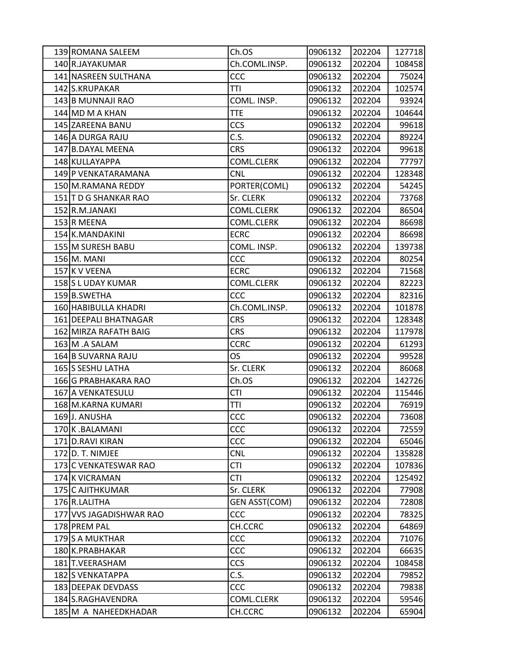| 139 ROMANA SALEEM       | Ch.OS                | 0906132 | 202204 | 127718 |
|-------------------------|----------------------|---------|--------|--------|
| 140 R.JAYAKUMAR         | Ch.COML.INSP.        | 0906132 | 202204 | 108458 |
| 141 NASREEN SULTHANA    | CCC                  | 0906132 | 202204 | 75024  |
| 142 S.KRUPAKAR          | TTI                  | 0906132 | 202204 | 102574 |
| 143 B MUNNAJI RAO       | COML. INSP.          | 0906132 | 202204 | 93924  |
| 144 MD M A KHAN         | <b>TTE</b>           | 0906132 | 202204 | 104644 |
| 145 ZAREENA BANU        | <b>CCS</b>           | 0906132 | 202204 | 99618  |
| 146 A DURGA RAJU        | C.S.                 | 0906132 | 202204 | 89224  |
| 147 B.DAYAL MEENA       | <b>CRS</b>           | 0906132 | 202204 | 99618  |
| 148 KULLAYAPPA          | COML.CLERK           | 0906132 | 202204 | 77797  |
| 149 P VENKATARAMANA     | <b>CNL</b>           | 0906132 | 202204 | 128348 |
| 150 M.RAMANA REDDY      | PORTER(COML)         | 0906132 | 202204 | 54245  |
| 151 T D G SHANKAR RAO   | Sr. CLERK            | 0906132 | 202204 | 73768  |
| 152 R.M.JANAKI          | <b>COML.CLERK</b>    | 0906132 | 202204 | 86504  |
| 153 R MEENA             | COML.CLERK           | 0906132 | 202204 | 86698  |
| 154 K.MANDAKINI         | <b>ECRC</b>          | 0906132 | 202204 | 86698  |
| 155 M SURESH BABU       | COML. INSP.          | 0906132 | 202204 | 139738 |
| 156 M. MANI             | CCC                  | 0906132 | 202204 | 80254  |
| 157 K V VEENA           | <b>ECRC</b>          | 0906132 | 202204 | 71568  |
| 158 S L UDAY KUMAR      | <b>COML.CLERK</b>    | 0906132 | 202204 | 82223  |
| 159 B.SWETHA            | CCC                  | 0906132 | 202204 | 82316  |
| 160 HABIBULLA KHADRI    | Ch.COML.INSP.        | 0906132 | 202204 | 101878 |
| 161 DEEPALI BHATNAGAR   | <b>CRS</b>           | 0906132 | 202204 | 128348 |
| 162 MIRZA RAFATH BAIG   | <b>CRS</b>           | 0906132 | 202204 | 117978 |
| 163 M.A SALAM           | <b>CCRC</b>          | 0906132 | 202204 | 61293  |
| 164 B SUVARNA RAJU      | OS.                  | 0906132 | 202204 | 99528  |
| 165 S SESHU LATHA       | Sr. CLERK            | 0906132 | 202204 | 86068  |
| 166 G PRABHAKARA RAO    | Ch.OS                | 0906132 | 202204 | 142726 |
| 167 A VENKATESULU       | <b>CTI</b>           | 0906132 | 202204 | 115446 |
| 168 M.KARNA KUMARI      | TTI                  | 0906132 | 202204 | 76919  |
| 169J. ANUSHA            | CCC                  | 0906132 | 202204 | 73608  |
| 170 K.BALAMANI          | CCC                  | 0906132 | 202204 | 72559  |
| 171 D.RAVI KIRAN        | CCC                  | 0906132 | 202204 | 65046  |
| 172 D. T. NIMJEE        | <b>CNL</b>           | 0906132 | 202204 | 135828 |
| 173 C VENKATESWAR RAO   | <b>CTI</b>           | 0906132 | 202204 | 107836 |
| 174 K VICRAMAN          | CTI                  | 0906132 | 202204 | 125492 |
| 175 C AJITHKUMAR        | Sr. CLERK            | 0906132 | 202204 | 77908  |
| 176 R.LALITHA           | <b>GEN ASST(COM)</b> | 0906132 | 202204 | 72808  |
| 177 VVS JAGADISHWAR RAO | CCC                  | 0906132 | 202204 | 78325  |
| 178 PREM PAL            | CH.CCRC              | 0906132 | 202204 | 64869  |
| 179S A MUKTHAR          | CCC                  | 0906132 | 202204 | 71076  |
| 180 K.PRABHAKAR         | CCC                  | 0906132 | 202204 | 66635  |
| 181 T.VEERASHAM         | <b>CCS</b>           | 0906132 | 202204 | 108458 |
| 182 S VENKATAPPA        | C.S.                 | 0906132 | 202204 | 79852  |
| 183 DEEPAK DEVDASS      | CCC                  | 0906132 | 202204 | 79838  |
| 184 S.RAGHAVENDRA       | COML.CLERK           | 0906132 | 202204 | 59546  |
| 185 M A NAHEEDKHADAR    | CH.CCRC              | 0906132 | 202204 | 65904  |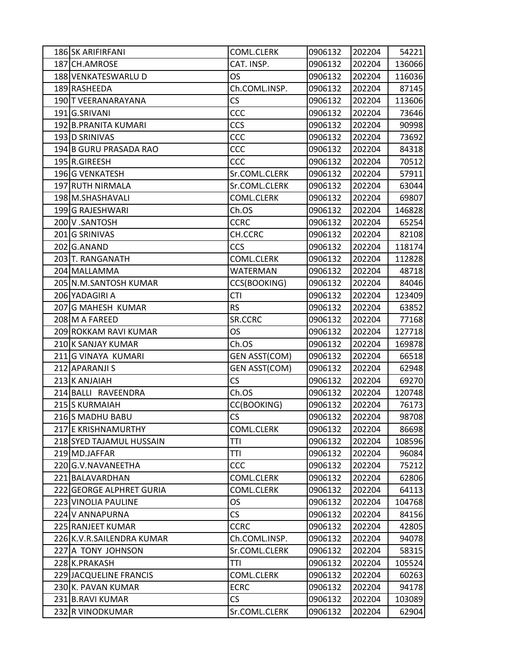| 186 SK ARIFIRFANI         | COML.CLERK           | 0906132 | 202204 | 54221  |
|---------------------------|----------------------|---------|--------|--------|
| 187 CH.AMROSE             | CAT. INSP.           | 0906132 | 202204 | 136066 |
| 188 VENKATESWARLU D       | <b>OS</b>            | 0906132 | 202204 | 116036 |
| 189 RASHEEDA              | Ch.COML.INSP.        | 0906132 | 202204 | 87145  |
| 190 T VEERANARAYANA       | CS                   | 0906132 | 202204 | 113606 |
| 191G.SRIVANI              | CCC                  | 0906132 | 202204 | 73646  |
| 192 B.PRANITA KUMARI      | <b>CCS</b>           | 0906132 | 202204 | 90998  |
| 193 D SRINIVAS            | CCC                  | 0906132 | 202204 | 73692  |
| 194 B GURU PRASADA RAO    | CCC                  | 0906132 | 202204 | 84318  |
| 195 R.GIREESH             | CCC                  | 0906132 | 202204 | 70512  |
| 196 G VENKATESH           | Sr.COML.CLERK        | 0906132 | 202204 | 57911  |
| 197 RUTH NIRMALA          | Sr.COML.CLERK        | 0906132 | 202204 | 63044  |
| 198 M.SHASHAVALI          | COML.CLERK           | 0906132 | 202204 | 69807  |
| 199 G RAJESHWARI          | Ch.OS                | 0906132 | 202204 | 146828 |
| 200 V.SANTOSH             | <b>CCRC</b>          | 0906132 | 202204 | 65254  |
| 201 G SRINIVAS            | CH.CCRC              | 0906132 | 202204 | 82108  |
| 202 G.ANAND               | <b>CCS</b>           | 0906132 | 202204 | 118174 |
| 203 T. RANGANATH          | COML.CLERK           | 0906132 | 202204 | 112828 |
| 204 MALLAMMA              | <b>WATERMAN</b>      | 0906132 | 202204 | 48718  |
| 205 N.M.SANTOSH KUMAR     | CCS(BOOKING)         | 0906132 | 202204 | 84046  |
| 206 YADAGIRI A            | <b>CTI</b>           | 0906132 | 202204 | 123409 |
| 207 G MAHESH KUMAR        | <b>RS</b>            | 0906132 | 202204 | 63852  |
| 208 M A FAREED            | SR.CCRC              | 0906132 | 202204 | 77168  |
| 209 ROKKAM RAVI KUMAR     | <b>OS</b>            | 0906132 | 202204 | 127718 |
| 210 K SANJAY KUMAR        | Ch.OS                | 0906132 | 202204 | 169878 |
| 211 G VINAYA KUMARI       | <b>GEN ASST(COM)</b> | 0906132 | 202204 | 66518  |
| 212 APARANJI S            | <b>GEN ASST(COM)</b> | 0906132 | 202204 | 62948  |
| 213 K ANJAIAH             | <b>CS</b>            | 0906132 | 202204 | 69270  |
| 214 BALLI RAVEENDRA       | Ch.OS                | 0906132 | 202204 | 120748 |
| 215 S KURMAIAH            | CC(BOOKING)          | 0906132 | 202204 | 76173  |
| 216 S MADHU BABU          | <b>CS</b>            | 0906132 | 202204 | 98708  |
| 217 E KRISHNAMURTHY       | <b>COML.CLERK</b>    | 0906132 | 202204 | 86698  |
| 218 SYED TAJAMUL HUSSAIN  | TTI                  | 0906132 | 202204 | 108596 |
| 219 MD.JAFFAR             | <b>TTI</b>           | 0906132 | 202204 | 96084  |
| 220 G.V. NAVANEETHA       | CCC                  | 0906132 | 202204 | 75212  |
| 221 BALAVARDHAN           | COML.CLERK           | 0906132 | 202204 | 62806  |
| 222 GEORGE ALPHRET GURIA  | COML.CLERK           | 0906132 | 202204 | 64113  |
| 223 VINOLIA PAULINE       | <b>OS</b>            | 0906132 | 202204 | 104768 |
| 224 V ANNAPURNA           | CS                   | 0906132 | 202204 | 84156  |
| 225 RANJEET KUMAR         | <b>CCRC</b>          | 0906132 | 202204 | 42805  |
| 226 K.V.R.SAILENDRA KUMAR | Ch.COML.INSP.        | 0906132 | 202204 | 94078  |
| 227 A TONY JOHNSON        | Sr.COML.CLERK        | 0906132 | 202204 | 58315  |
| 228 K.PRAKASH             | TTI                  | 0906132 | 202204 | 105524 |
| 229 JACQUELINE FRANCIS    | COML.CLERK           | 0906132 | 202204 | 60263  |
| 230 K. PAVAN KUMAR        | <b>ECRC</b>          | 0906132 | 202204 | 94178  |
| 231 B.RAVI KUMAR          | CS                   | 0906132 | 202204 | 103089 |
| 232 R VINODKUMAR          | Sr.COML.CLERK        | 0906132 | 202204 | 62904  |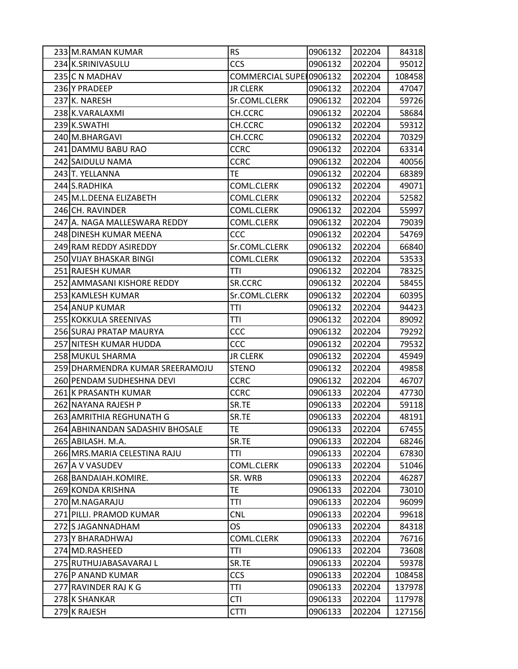| 233 M.RAMAN KUMAR               | <b>RS</b>               | 0906132 | 202204 | 84318  |
|---------------------------------|-------------------------|---------|--------|--------|
| 234 K.SRINIVASULU               | <b>CCS</b>              | 0906132 | 202204 | 95012  |
| 235 C N MADHAV                  | COMMERCIAL SUPE 0906132 |         | 202204 | 108458 |
| 236 Y PRADEEP                   | <b>JR CLERK</b>         | 0906132 | 202204 | 47047  |
| 237 K. NARESH                   | Sr.COML.CLERK           | 0906132 | 202204 | 59726  |
| 238 K.VARALAXMI                 | CH.CCRC                 | 0906132 | 202204 | 58684  |
| 239 K.SWATHI                    | CH.CCRC                 | 0906132 | 202204 | 59312  |
| 240 M.BHARGAVI                  | CH.CCRC                 | 0906132 | 202204 | 70329  |
| 241 DAMMU BABU RAO              | <b>CCRC</b>             | 0906132 | 202204 | 63314  |
| 242 SAIDULU NAMA                | <b>CCRC</b>             | 0906132 | 202204 | 40056  |
| 243 T. YELLANNA                 | TE                      | 0906132 | 202204 | 68389  |
| 244 S.RADHIKA                   | COML.CLERK              | 0906132 | 202204 | 49071  |
| 245 M.L.DEENA ELIZABETH         | COML.CLERK              | 0906132 | 202204 | 52582  |
| 246 CH. RAVINDER                | COML.CLERK              | 0906132 | 202204 | 55997  |
| 247 A. NAGA MALLESWARA REDDY    | <b>COML.CLERK</b>       | 0906132 | 202204 | 79039  |
| 248 DINESH KUMAR MEENA          | <b>CCC</b>              | 0906132 | 202204 | 54769  |
| 249 RAM REDDY ASIREDDY          | Sr.COML.CLERK           | 0906132 | 202204 | 66840  |
| 250 VIJAY BHASKAR BINGI         | COML.CLERK              | 0906132 | 202204 | 53533  |
| 251 RAJESH KUMAR                | TTI                     | 0906132 | 202204 | 78325  |
| 252 AMMASANI KISHORE REDDY      | SR.CCRC                 | 0906132 | 202204 | 58455  |
| 253 KAMLESH KUMAR               | Sr.COML.CLERK           | 0906132 | 202204 | 60395  |
| 254 ANUP KUMAR                  | TTI                     | 0906132 | 202204 | 94423  |
| 255 KOKKULA SREENIVAS           | TTI                     | 0906132 | 202204 | 89092  |
| 256 SURAJ PRATAP MAURYA         | CCC                     | 0906132 | 202204 | 79292  |
| 257 NITESH KUMAR HUDDA          | CCC                     | 0906132 | 202204 | 79532  |
| 258 MUKUL SHARMA                | <b>JR CLERK</b>         | 0906132 | 202204 | 45949  |
| 259 DHARMENDRA KUMAR SREERAMOJU | <b>STENO</b>            | 0906132 | 202204 | 49858  |
| 260 PENDAM SUDHESHNA DEVI       | <b>CCRC</b>             | 0906132 | 202204 | 46707  |
| 261 K PRASANTH KUMAR            | <b>CCRC</b>             | 0906133 | 202204 | 47730  |
| 262 NAYANA RAJESH P             | SR.TE                   | 0906133 | 202204 | 59118  |
| 263 AMRITHIA REGHUNATH G        | SR.TE                   | 0906133 | 202204 | 48191  |
| 264 ABHINANDAN SADASHIV BHOSALE | TE                      | 0906133 | 202204 | 67455  |
| 265 ABILASH. M.A.               | SR.TE                   | 0906133 | 202204 | 68246  |
| 266 MRS.MARIA CELESTINA RAJU    | TTI                     | 0906133 | 202204 | 67830  |
| 267 A V VASUDEV                 | COML.CLERK              | 0906133 | 202204 | 51046  |
| 268 BANDAIAH.KOMIRE.            | SR. WRB                 | 0906133 | 202204 | 46287  |
| 269 KONDA KRISHNA               | TE.                     | 0906133 | 202204 | 73010  |
| 270 M.NAGARAJU                  | TTI                     | 0906133 | 202204 | 96099  |
| 271 PILLI. PRAMOD KUMAR         | <b>CNL</b>              | 0906133 | 202204 | 99618  |
| 272 S JAGANNADHAM               | OS                      | 0906133 | 202204 | 84318  |
| 273 Y BHARADHWAJ                | COML.CLERK              | 0906133 | 202204 | 76716  |
| 274 MD.RASHEED                  | TTI                     | 0906133 | 202204 | 73608  |
| 275 RUTHUJABASAVARAJ L          | SR.TE                   | 0906133 | 202204 | 59378  |
| 276 P ANAND KUMAR               | <b>CCS</b>              | 0906133 | 202204 | 108458 |
| 277 RAVINDER RAJ K G            | TTI                     | 0906133 | 202204 | 137978 |
| 278 K SHANKAR                   | <b>CTI</b>              | 0906133 | 202204 | 117978 |
| 279 K RAJESH                    | <b>CTTI</b>             | 0906133 | 202204 | 127156 |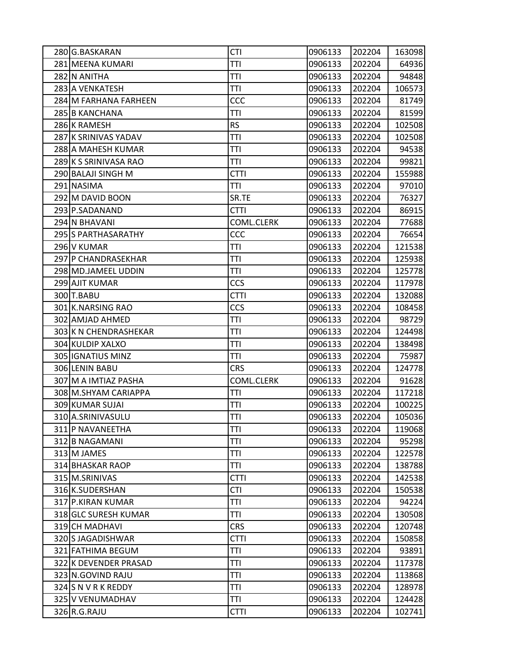| 280 G.BASKARAN        | <b>CTI</b>  | 0906133 | 202204 | 163098 |
|-----------------------|-------------|---------|--------|--------|
| 281 MEENA KUMARI      | <b>TTI</b>  | 0906133 | 202204 | 64936  |
| 282 N ANITHA          | TTI         | 0906133 | 202204 | 94848  |
| 283 A VENKATESH       | TTI         | 0906133 | 202204 | 106573 |
| 284 M FARHANA FARHEEN | CCC         | 0906133 | 202204 | 81749  |
| 285 B KANCHANA        | TTI         | 0906133 | 202204 | 81599  |
| 286 K RAMESH          | <b>RS</b>   | 0906133 | 202204 | 102508 |
| 287 K SRINIVAS YADAV  | TTI         | 0906133 | 202204 | 102508 |
| 288 A MAHESH KUMAR    | TTI         | 0906133 | 202204 | 94538  |
| 289 K S SRINIVASA RAO | TTI         | 0906133 | 202204 | 99821  |
| 290 BALAJI SINGH M    | <b>CTTI</b> | 0906133 | 202204 | 155988 |
| 291 NASIMA            | TTI         | 0906133 | 202204 | 97010  |
| 292 M DAVID BOON      | SR.TE       | 0906133 | 202204 | 76327  |
| 293 P.SADANAND        | <b>CTTI</b> | 0906133 | 202204 | 86915  |
| 294 N BHAVANI         | COML.CLERK  | 0906133 | 202204 | 77688  |
| 295 S PARTHASARATHY   | CCC         | 0906133 | 202204 | 76654  |
| 296 V KUMAR           | <b>TTI</b>  | 0906133 | 202204 | 121538 |
| 297 P CHANDRASEKHAR   | TTI         | 0906133 | 202204 | 125938 |
| 298 MD.JAMEEL UDDIN   | TTI         | 0906133 | 202204 | 125778 |
| 299 AJIT KUMAR        | <b>CCS</b>  | 0906133 | 202204 | 117978 |
| 300 T.BABU            | <b>CTTI</b> | 0906133 | 202204 | 132088 |
| 301 K.NARSING RAO     | <b>CCS</b>  | 0906133 | 202204 | 108458 |
| 302 AMJAD AHMED       | TTI         | 0906133 | 202204 | 98729  |
| 303 K N CHENDRASHEKAR | TTI         | 0906133 | 202204 | 124498 |
| 304 KULDIP XALXO      | TTI         | 0906133 | 202204 | 138498 |
| 305 IGNATIUS MINZ     | TTI         | 0906133 | 202204 | 75987  |
| 306 LENIN BABU        | <b>CRS</b>  | 0906133 | 202204 | 124778 |
| 307 M A IMTIAZ PASHA  | COML.CLERK  | 0906133 | 202204 | 91628  |
| 308 M.SHYAM CARIAPPA  | TTI         | 0906133 | 202204 | 117218 |
| 309 KUMAR SUJAI       | TTI         | 0906133 | 202204 | 100225 |
| 310 A.SRINIVASULU     | TTI         | 0906133 | 202204 | 105036 |
| 311 P NAVANEETHA      | TTI         | 0906133 | 202204 | 119068 |
| 312 B NAGAMANI        | TTI         | 0906133 | 202204 | 95298  |
| 313 M JAMES           | <b>TTI</b>  | 0906133 | 202204 | 122578 |
| 314 BHASKAR RAOP      | <b>TTI</b>  | 0906133 | 202204 | 138788 |
| 315 M.SRINIVAS        | <b>CTTI</b> | 0906133 | 202204 | 142538 |
| 316 K.SUDERSHAN       | <b>CTI</b>  | 0906133 | 202204 | 150538 |
| 317 P.KIRAN KUMAR     | TTI         | 0906133 | 202204 | 94224  |
| 318 GLC SURESH KUMAR  | TTI         | 0906133 | 202204 | 130508 |
| 319 CH MADHAVI        | <b>CRS</b>  | 0906133 | 202204 | 120748 |
| 320 S JAGADISHWAR     | <b>CTTI</b> | 0906133 | 202204 | 150858 |
| 321 FATHIMA BEGUM     | TTI         | 0906133 | 202204 | 93891  |
| 322 K DEVENDER PRASAD | TTI         | 0906133 | 202204 | 117378 |
| 323 N.GOVIND RAJU     | TTI         | 0906133 | 202204 | 113868 |
| 324 S N V R K REDDY   | TTI         | 0906133 | 202204 | 128978 |
| 325 V VENUMADHAV      | TTI         | 0906133 | 202204 | 124428 |
| 326 R.G.RAJU          | <b>CTTI</b> | 0906133 | 202204 | 102741 |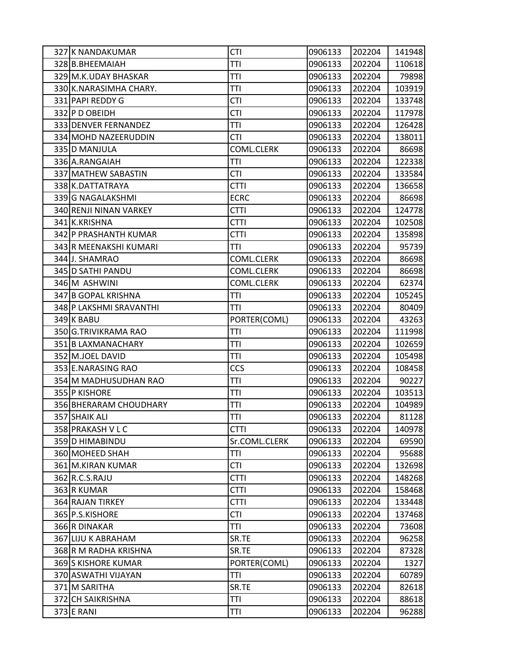| 327 K NANDAKUMAR        | <b>CTI</b>    | 0906133 | 202204 | 141948 |
|-------------------------|---------------|---------|--------|--------|
| 328 B.BHEEMAIAH         | <b>TTI</b>    | 0906133 | 202204 | 110618 |
| 329 M.K.UDAY BHASKAR    | TTI           | 0906133 | 202204 | 79898  |
| 330 K.NARASIMHA CHARY.  | TTI           | 0906133 | 202204 | 103919 |
| 331 PAPI REDDY G        | <b>CTI</b>    | 0906133 | 202204 | 133748 |
| 332 P D OBEIDH          | <b>CTI</b>    | 0906133 | 202204 | 117978 |
| 333 DENVER FERNANDEZ    | TTI           | 0906133 | 202204 | 126428 |
| 334 MOHD NAZEERUDDIN    | <b>CTI</b>    | 0906133 | 202204 | 138011 |
| 335 D MANJULA           | COML.CLERK    | 0906133 | 202204 | 86698  |
| 336 A.RANGAIAH          | TTI           | 0906133 | 202204 | 122338 |
| 337 MATHEW SABASTIN     | <b>CTI</b>    | 0906133 | 202204 | 133584 |
| 338 K.DATTATRAYA        | <b>CTTI</b>   | 0906133 | 202204 | 136658 |
| 339 G NAGALAKSHMI       | <b>ECRC</b>   | 0906133 | 202204 | 86698  |
| 340 RENJI NINAN VARKEY  | <b>CTTI</b>   | 0906133 | 202204 | 124778 |
| 341 K.KRISHNA           | <b>CTTI</b>   | 0906133 | 202204 | 102508 |
| 342 P PRASHANTH KUMAR   | <b>CTTI</b>   | 0906133 | 202204 | 135898 |
| 343 R MEENAKSHI KUMARI  | TTI           | 0906133 | 202204 | 95739  |
| 344 J. SHAMRAO          | COML.CLERK    | 0906133 | 202204 | 86698  |
| 345 D SATHI PANDU       | COML.CLERK    | 0906133 | 202204 | 86698  |
| 346 M ASHWINI           | COML.CLERK    | 0906133 | 202204 | 62374  |
| 347 B GOPAL KRISHNA     | TTI           | 0906133 | 202204 | 105245 |
| 348 P LAKSHMI SRAVANTHI | TTI           | 0906133 | 202204 | 80409  |
| 349 K BABU              | PORTER(COML)  | 0906133 | 202204 | 43263  |
| 350 G.TRIVIKRAMA RAO    | TTI           | 0906133 | 202204 | 111998 |
| 351 B LAXMANACHARY      | TTI           | 0906133 | 202204 | 102659 |
| 352 M.JOEL DAVID        | TTI           | 0906133 | 202204 | 105498 |
| 353 E.NARASING RAO      | <b>CCS</b>    | 0906133 | 202204 | 108458 |
| 354 M MADHUSUDHAN RAO   | TTI           | 0906133 | 202204 | 90227  |
| 355 P KISHORE           | TTI           | 0906133 | 202204 | 103513 |
| 356 BHERARAM CHOUDHARY  | <b>TTI</b>    | 0906133 | 202204 | 104989 |
| 357 SHAIK ALI           | TTI           | 0906133 | 202204 | 81128  |
| 358 PRAKASH V L C       | <b>CTTI</b>   | 0906133 | 202204 | 140978 |
| 359 D HIMABINDU         | Sr.COML.CLERK | 0906133 | 202204 | 69590  |
| 360 MOHEED SHAH         | TTI           | 0906133 | 202204 | 95688  |
| 361 M.KIRAN KUMAR       | <b>CTI</b>    | 0906133 | 202204 | 132698 |
| 362 R.C.S.RAJU          | <b>CTTI</b>   | 0906133 | 202204 | 148268 |
| 363 R KUMAR             | <b>CTTI</b>   | 0906133 | 202204 | 158468 |
| 364 RAJAN TIRKEY        | <b>CTTI</b>   | 0906133 | 202204 | 133448 |
| 365 P.S.KISHORE         | <b>CTI</b>    | 0906133 | 202204 | 137468 |
| 366 R DINAKAR           | TTI           | 0906133 | 202204 | 73608  |
| 367 LIJU K ABRAHAM      | SR.TE         | 0906133 | 202204 | 96258  |
| 368 R M RADHA KRISHNA   | SR.TE         | 0906133 | 202204 | 87328  |
| 369 S KISHORE KUMAR     | PORTER(COML)  | 0906133 | 202204 | 1327   |
| 370 ASWATHI VIJAYAN     | <b>TTI</b>    | 0906133 | 202204 | 60789  |
| 371 M SARITHA           | SR.TE         | 0906133 | 202204 | 82618  |
| 372 CH SAIKRISHNA       | TTI           | 0906133 | 202204 | 88618  |
| 373 E RANI              | TTI           | 0906133 | 202204 | 96288  |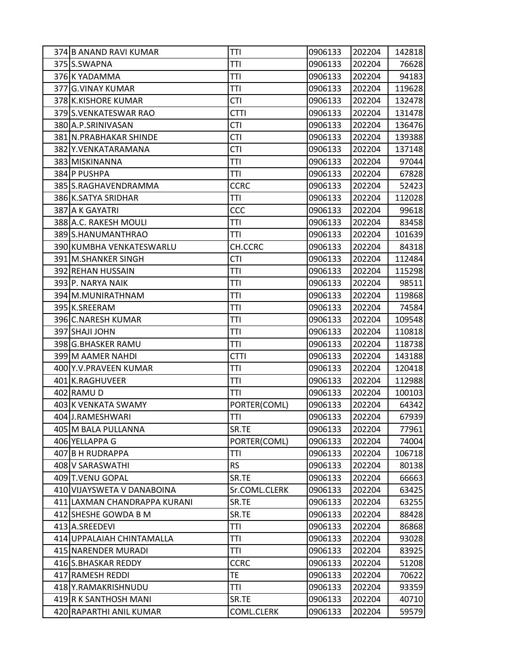| 374 B ANAND RAVI KUMAR       | TTI           | 0906133 | 202204 | 142818 |
|------------------------------|---------------|---------|--------|--------|
| 375 S.SWAPNA                 | TTI           | 0906133 | 202204 | 76628  |
| 376 K YADAMMA                | TTI           | 0906133 | 202204 | 94183  |
| 377 G.VINAY KUMAR            | TTI           | 0906133 | 202204 | 119628 |
| 378 K.KISHORE KUMAR          | <b>CTI</b>    | 0906133 | 202204 | 132478 |
| 379 S. VENKATESWAR RAO       | <b>CTTI</b>   | 0906133 | 202204 | 131478 |
| 380 A.P.SRINIVASAN           | <b>CTI</b>    | 0906133 | 202204 | 136476 |
| 381 N. PRABHAKAR SHINDE      | <b>CTI</b>    | 0906133 | 202204 | 139388 |
| 382 Y.VENKATARAMANA          | <b>CTI</b>    | 0906133 | 202204 | 137148 |
| 383 MISKINANNA               | TTI           | 0906133 | 202204 | 97044  |
| 384 P PUSHPA                 | TTI           | 0906133 | 202204 | 67828  |
| 385 S.RAGHAVENDRAMMA         | <b>CCRC</b>   | 0906133 | 202204 | 52423  |
| 386 K.SATYA SRIDHAR          | TTI           | 0906133 | 202204 | 112028 |
| 387 A K GAYATRI              | CCC           | 0906133 | 202204 | 99618  |
| 388 A.C. RAKESH MOULI        | TTI           | 0906133 | 202204 | 83458  |
| 389 S.HANUMANTHRAO           | TTI           | 0906133 | 202204 | 101639 |
| 390 KUMBHA VENKATESWARLU     | CH.CCRC       | 0906133 | 202204 | 84318  |
| 391 M.SHANKER SINGH          | <b>CTI</b>    | 0906133 | 202204 | 112484 |
| 392 REHAN HUSSAIN            | TTI           | 0906133 | 202204 | 115298 |
| 393 P. NARYA NAIK            | TTI           | 0906133 | 202204 | 98511  |
| 394 M.MUNIRATHNAM            | TTI           | 0906133 | 202204 | 119868 |
| 395 K.SREERAM                | TTI           | 0906133 | 202204 | 74584  |
| 396 C.NARESH KUMAR           | TTI           | 0906133 | 202204 | 109548 |
| 397 SHAJI JOHN               | TTI           | 0906133 | 202204 | 110818 |
| 398 G.BHASKER RAMU           | TTI           | 0906133 | 202204 | 118738 |
| 399 M AAMER NAHDI            | <b>CTTI</b>   | 0906133 | 202204 | 143188 |
| 400 Y.V. PRAVEEN KUMAR       | TTI           | 0906133 | 202204 | 120418 |
| 401 K.RAGHUVEER              | TTI           | 0906133 | 202204 | 112988 |
| 402 RAMU D                   | TTI           | 0906133 | 202204 | 100103 |
| 403 K VENKATA SWAMY          | PORTER(COML)  | 0906133 | 202204 | 64342  |
| 404 J.RAMESHWARI             | TTI           | 0906133 | 202204 | 67939  |
| 405 M BALA PULLANNA          | SR.TE         | 0906133 | 202204 | 77961  |
| 406 YELLAPPA G               | PORTER(COML)  | 0906133 | 202204 | 74004  |
| 407 B H RUDRAPPA             | TTI           | 0906133 | 202204 | 106718 |
| 408 V SARASWATHI             | <b>RS</b>     | 0906133 | 202204 | 80138  |
| 409 T.VENU GOPAL             | SR.TE         | 0906133 | 202204 | 66663  |
| 410 VIJAYSWETA V DANABOINA   | Sr.COML.CLERK | 0906133 | 202204 | 63425  |
| 411 LAXMAN CHANDRAPPA KURANI | SR.TE         | 0906133 | 202204 | 63255  |
| 412 SHESHE GOWDA B M         | SR.TE         | 0906133 | 202204 | 88428  |
| 413 A.SREEDEVI               | TTI           | 0906133 | 202204 | 86868  |
| 414 UPPALAIAH CHINTAMALLA    | TTI           | 0906133 | 202204 | 93028  |
| 415 NARENDER MURADI          | TTI           | 0906133 | 202204 | 83925  |
| 416 S.BHASKAR REDDY          | <b>CCRC</b>   | 0906133 | 202204 | 51208  |
| 417 RAMESH REDDI             | TE            | 0906133 | 202204 | 70622  |
| 418 Y.RAMAKRISHNUDU          | TTI           | 0906133 | 202204 | 93359  |
| 419 R K SANTHOSH MANI        | SR.TE         | 0906133 | 202204 | 40710  |
| 420 RAPARTHI ANIL KUMAR      | COML.CLERK    | 0906133 | 202204 | 59579  |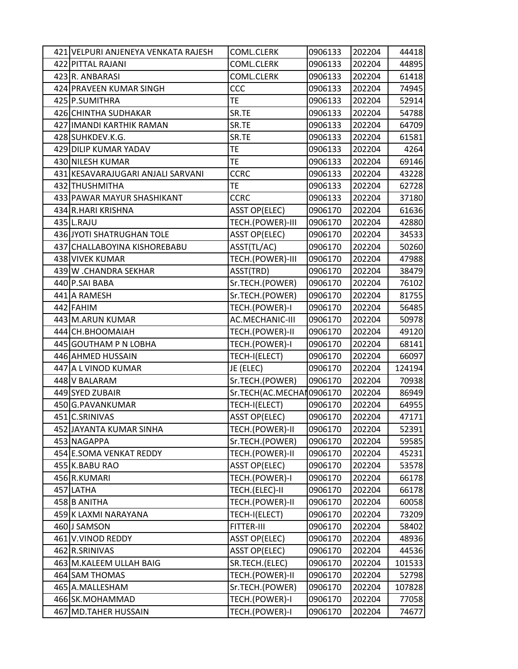| 421 VELPURI ANJENEYA VENKATA RAJESH | COML.CLERK                | 0906133 | 202204 | 44418  |
|-------------------------------------|---------------------------|---------|--------|--------|
| 422 PITTAL RAJANI                   | COML.CLERK                | 0906133 | 202204 | 44895  |
| 423 R. ANBARASI                     | COML.CLERK                | 0906133 | 202204 | 61418  |
| 424 PRAVEEN KUMAR SINGH             | CCC                       | 0906133 | 202204 | 74945  |
| 425 P.SUMITHRA                      | <b>TE</b>                 | 0906133 | 202204 | 52914  |
| 426 CHINTHA SUDHAKAR                | SR.TE                     | 0906133 | 202204 | 54788  |
| 427 IMANDI KARTHIK RAMAN            | SR.TE                     | 0906133 | 202204 | 64709  |
| 428 SUHKDEV.K.G.                    | SR.TE                     | 0906133 | 202204 | 61581  |
| 429 DILIP KUMAR YADAV               | TE                        | 0906133 | 202204 | 4264   |
| 430 NILESH KUMAR                    | <b>TE</b>                 | 0906133 | 202204 | 69146  |
| 431 KESAVARAJUGARI ANJALI SARVANI   | <b>CCRC</b>               | 0906133 | 202204 | 43228  |
| 432 THUSHMITHA                      | TE                        | 0906133 | 202204 | 62728  |
| 433 PAWAR MAYUR SHASHIKANT          | <b>CCRC</b>               | 0906133 | 202204 | 37180  |
| 434 R.HARI KRISHNA                  | <b>ASST OP(ELEC)</b>      | 0906170 | 202204 | 61636  |
| $435$ L.RAJU                        | TECH.(POWER)-III          | 0906170 | 202204 | 42880  |
| 436 JYOTI SHATRUGHAN TOLE           | <b>ASST OP(ELEC)</b>      | 0906170 | 202204 | 34533  |
| 437 CHALLABOYINA KISHOREBABU        | ASST(TL/AC)               | 0906170 | 202204 | 50260  |
| 438 VIVEK KUMAR                     | TECH.(POWER)-III          | 0906170 | 202204 | 47988  |
| 439 W .CHANDRA SEKHAR               | ASST(TRD)                 | 0906170 | 202204 | 38479  |
| 440 P.SAI BABA                      | Sr.TECH.(POWER)           | 0906170 | 202204 | 76102  |
| 441 A RAMESH                        | Sr.TECH.(POWER)           | 0906170 | 202204 | 81755  |
| 442 FAHIM                           | TECH.(POWER)-I            | 0906170 | 202204 | 56485  |
| 443 M.ARUN KUMAR                    | AC.MECHANIC-III           | 0906170 | 202204 | 50978  |
| 444 CH.BHOOMAIAH                    | TECH.(POWER)-II           | 0906170 | 202204 | 49120  |
| 445 GOUTHAM P N LOBHA               | TECH.(POWER)-I            | 0906170 | 202204 | 68141  |
| 446 AHMED HUSSAIN                   | TECH-I(ELECT)             | 0906170 | 202204 | 66097  |
| 447 A L VINOD KUMAR                 | JE (ELEC)                 | 0906170 | 202204 | 124194 |
| 448 V BALARAM                       | Sr.TECH.(POWER)           | 0906170 | 202204 | 70938  |
| 449 SYED ZUBAIR                     | Sr.TECH(AC.MECHAI 0906170 |         | 202204 | 86949  |
| 450 G.PAVANKUMAR                    | TECH-I(ELECT)             | 0906170 | 202204 | 64955  |
| 451 C.SRINIVAS                      | <b>ASST OP(ELEC)</b>      | 0906170 | 202204 | 47171  |
| 452 JAYANTA KUMAR SINHA             | TECH.(POWER)-II           | 0906170 | 202204 | 52391  |
| 453 NAGAPPA                         | Sr.TECH.(POWER)           | 0906170 | 202204 | 59585  |
| 454 E.SOMA VENKAT REDDY             | TECH.(POWER)-II           | 0906170 | 202204 | 45231  |
| 455 K.BABU RAO                      | <b>ASST OP(ELEC)</b>      | 0906170 | 202204 | 53578  |
| 456 R.KUMARI                        | TECH.(POWER)-I            | 0906170 | 202204 | 66178  |
| 457 LATHA                           | TECH.(ELEC)-II            | 0906170 | 202204 | 66178  |
| 458 B ANITHA                        | TECH.(POWER)-II           | 0906170 | 202204 | 60058  |
| 459 K LAXMI NARAYANA                | TECH-I(ELECT)             | 0906170 | 202204 | 73209  |
| 460 J SAMSON                        | FITTER-III                | 0906170 | 202204 | 58402  |
| 461 V.VINOD REDDY                   | <b>ASST OP(ELEC)</b>      | 0906170 | 202204 | 48936  |
| 462 R.SRINIVAS                      | <b>ASST OP(ELEC)</b>      | 0906170 | 202204 | 44536  |
| 463 M.KALEEM ULLAH BAIG             | SR.TECH.(ELEC)            | 0906170 | 202204 | 101533 |
| 464 SAM THOMAS                      | TECH.(POWER)-II           | 0906170 | 202204 | 52798  |
| 465 A.MALLESHAM                     | Sr.TECH.(POWER)           | 0906170 | 202204 | 107828 |
| 466 SK.MOHAMMAD                     | TECH.(POWER)-I            | 0906170 | 202204 | 77058  |
| 467 MD.TAHER HUSSAIN                | TECH.(POWER)-I            | 0906170 | 202204 | 74677  |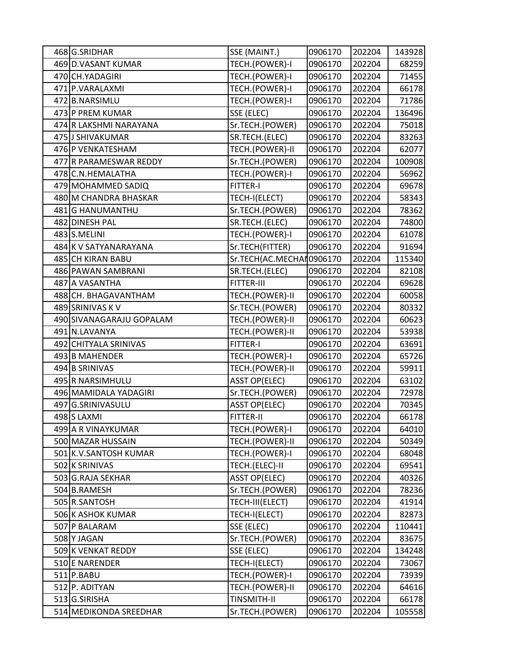| 468 G.SRIDHAR            | SSE (MAINT.)              | 0906170 | 202204 | 143928 |
|--------------------------|---------------------------|---------|--------|--------|
| 469 D.VASANT KUMAR       | TECH.(POWER)-I            | 0906170 | 202204 | 68259  |
| 470 CH. YADAGIRI         | TECH.(POWER)-I            | 0906170 | 202204 | 71455  |
| 471 P.VARALAXMI          | TECH.(POWER)-I            | 0906170 | 202204 | 66178  |
| 472 B.NARSIMLU           | TECH.(POWER)-I            | 0906170 | 202204 | 71786  |
| 473 P PREM KUMAR         | SSE (ELEC)                | 0906170 | 202204 | 136496 |
| 474 R LAKSHMI NARAYANA   | Sr.TECH.(POWER)           | 0906170 | 202204 | 75018  |
| 475 J SHIVAKUMAR         | SR.TECH.(ELEC)            | 0906170 | 202204 | 83263  |
| 476 P VENKATESHAM        | TECH.(POWER)-II           | 0906170 | 202204 | 62077  |
| 477 R PARAMESWAR REDDY   | Sr.TECH.(POWER)           | 0906170 | 202204 | 100908 |
| 478 C.N.HEMALATHA        | TECH.(POWER)-I            | 0906170 | 202204 | 56962  |
| 479 MOHAMMED SADIQ       | <b>FITTER-I</b>           | 0906170 | 202204 | 69678  |
| 480 M CHANDRA BHASKAR    | TECH-I(ELECT)             | 0906170 | 202204 | 58343  |
| 481 G HANUMANTHU         | Sr.TECH.(POWER)           | 0906170 | 202204 | 78362  |
| 482 DINESH PAL           | SR.TECH.(ELEC)            | 0906170 | 202204 | 74800  |
| 483 S.MELINI             | TECH.(POWER)-I            | 0906170 | 202204 | 61078  |
| 484 K V SATYANARAYANA    | Sr.TECH(FITTER)           | 0906170 | 202204 | 91694  |
| 485 CH KIRAN BABU        | Sr.TECH(AC.MECHAI 0906170 |         | 202204 | 115340 |
| 486 PAWAN SAMBRANI       | SR.TECH.(ELEC)            | 0906170 | 202204 | 82108  |
| 487 A VASANTHA           | FITTER-III                | 0906170 | 202204 | 69628  |
| 488 CH. BHAGAVANTHAM     | TECH.(POWER)-II           | 0906170 | 202204 | 60058  |
| 489 SRINIVAS K V         | Sr.TECH.(POWER)           | 0906170 | 202204 | 80332  |
| 490 SIVANAGARAJU GOPALAM | TECH.(POWER)-II           | 0906170 | 202204 | 60623  |
| 491 N.LAVANYA            | TECH.(POWER)-II           | 0906170 | 202204 | 53938  |
| 492 CHITYALA SRINIVAS    | <b>FITTER-I</b>           | 0906170 | 202204 | 63691  |
| 493 B MAHENDER           | TECH.(POWER)-I            | 0906170 | 202204 | 65726  |
| 494 B SRINIVAS           | TECH.(POWER)-II           | 0906170 | 202204 | 59911  |
| 495 R NARSIMHULU         | <b>ASST OP(ELEC)</b>      | 0906170 | 202204 | 63102  |
| 496 MAMIDALA YADAGIRI    | Sr.TECH.(POWER)           | 0906170 | 202204 | 72978  |
| 497 G.SRINIVASULU        | <b>ASST OP(ELEC)</b>      | 0906170 | 202204 | 70345  |
| 498 S LAXMI              | <b>FITTER-II</b>          | 0906170 | 202204 | 66178  |
| 499 A R VINAYKUMAR       | TECH.(POWER)-I            | 0906170 | 202204 | 64010  |
| 500 MAZAR HUSSAIN        | TECH.(POWER)-II           | 0906170 | 202204 | 50349  |
| 501 K.V.SANTOSH KUMAR    | TECH.(POWER)-I            | 0906170 | 202204 | 68048  |
| 502 K SRINIVAS           | TECH.(ELEC)-II            | 0906170 | 202204 | 69541  |
| 503 G.RAJA SEKHAR        | <b>ASST OP(ELEC)</b>      | 0906170 | 202204 | 40326  |
| 504 B.RAMESH             | Sr.TECH.(POWER)           | 0906170 | 202204 | 78236  |
| 505 R.SANTOSH            | TECH-III(ELECT)           | 0906170 | 202204 | 41914  |
| 506 K ASHOK KUMAR        | TECH-I(ELECT)             | 0906170 | 202204 | 82873  |
| 507 P BALARAM            | SSE (ELEC)                | 0906170 | 202204 | 110441 |
| 508 Y JAGAN              | Sr.TECH.(POWER)           | 0906170 | 202204 | 83675  |
| 509K VENKAT REDDY        | SSE (ELEC)                | 0906170 | 202204 | 134248 |
| 510 E NARENDER           | TECH-I(ELECT)             | 0906170 | 202204 | 73067  |
| 511 P.BABU               | TECH.(POWER)-I            | 0906170 | 202204 | 73939  |
| 512 P. ADITYAN           | TECH.(POWER)-II           | 0906170 | 202204 | 64616  |
| 513 G.SIRISHA            | <b>TINSMITH-II</b>        | 0906170 | 202204 | 66178  |
| 514 MEDIKONDA SREEDHAR   | Sr.TECH.(POWER)           | 0906170 | 202204 | 105558 |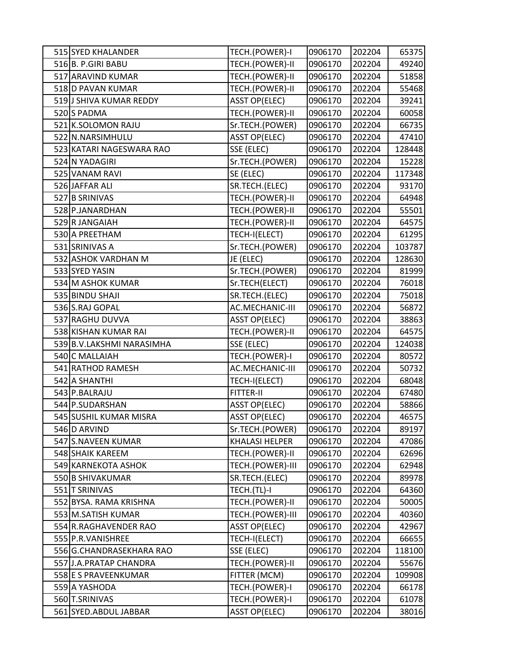| 515 SYED KHALANDER        | TECH.(POWER)-I        | 0906170 | 202204 | 65375  |
|---------------------------|-----------------------|---------|--------|--------|
| 516 B. P.GIRI BABU        | TECH.(POWER)-II       | 0906170 | 202204 | 49240  |
| 517 ARAVIND KUMAR         | TECH.(POWER)-II       | 0906170 | 202204 | 51858  |
| 518 D PAVAN KUMAR         | TECH.(POWER)-II       | 0906170 | 202204 | 55468  |
| 519 J SHIVA KUMAR REDDY   | <b>ASST OP(ELEC)</b>  | 0906170 | 202204 | 39241  |
| 520 S PADMA               | TECH.(POWER)-II       | 0906170 | 202204 | 60058  |
| 521 K.SOLOMON RAJU        | Sr.TECH.(POWER)       | 0906170 | 202204 | 66735  |
| 522 N.NARSIMHULU          | <b>ASST OP(ELEC)</b>  | 0906170 | 202204 | 47410  |
| 523 KATARI NAGESWARA RAO  | SSE (ELEC)            | 0906170 | 202204 | 128448 |
| 524 N YADAGIRI            | Sr.TECH.(POWER)       | 0906170 | 202204 | 15228  |
| 525 VANAM RAVI            | SE (ELEC)             | 0906170 | 202204 | 117348 |
| 526 JAFFAR ALI            | SR.TECH.(ELEC)        | 0906170 | 202204 | 93170  |
| 527 B SRINIVAS            | TECH.(POWER)-II       | 0906170 | 202204 | 64948  |
| 528 P.JANARDHAN           | TECH.(POWER)-II       | 0906170 | 202204 | 55501  |
| 529 R JANGAIAH            | TECH.(POWER)-II       | 0906170 | 202204 | 64575  |
| 530 A PREETHAM            | TECH-I(ELECT)         | 0906170 | 202204 | 61295  |
| 531 SRINIVAS A            | Sr.TECH.(POWER)       | 0906170 | 202204 | 103787 |
| 532 ASHOK VARDHAN M       | JE (ELEC)             | 0906170 | 202204 | 128630 |
| 533 SYED YASIN            | Sr.TECH.(POWER)       | 0906170 | 202204 | 81999  |
| 534 M ASHOK KUMAR         | Sr.TECH(ELECT)        | 0906170 | 202204 | 76018  |
| 535 BINDU SHAJI           | SR.TECH.(ELEC)        | 0906170 | 202204 | 75018  |
| 536 S.RAJ GOPAL           | AC.MECHANIC-III       | 0906170 | 202204 | 56872  |
| 537 RAGHU DUVVA           | <b>ASST OP(ELEC)</b>  | 0906170 | 202204 | 38863  |
| 538 KISHAN KUMAR RAI      | TECH.(POWER)-II       | 0906170 | 202204 | 64575  |
| 539 B.V.LAKSHMI NARASIMHA | SSE (ELEC)            | 0906170 | 202204 | 124038 |
| 540 C MALLAIAH            | TECH.(POWER)-I        | 0906170 | 202204 | 80572  |
| 541 RATHOD RAMESH         | AC.MECHANIC-III       | 0906170 | 202204 | 50732  |
| 542 A SHANTHI             | TECH-I(ELECT)         | 0906170 | 202204 | 68048  |
| 543 P.BALRAJU             | <b>FITTER-II</b>      | 0906170 | 202204 | 67480  |
| 544 P.SUDARSHAN           | <b>ASST OP(ELEC)</b>  | 0906170 | 202204 | 58866  |
| 545 SUSHIL KUMAR MISRA    | <b>ASST OP(ELEC)</b>  | 0906170 | 202204 | 46575  |
| 546 D ARVIND              | Sr.TECH.(POWER)       | 0906170 | 202204 | 89197  |
| 547 S.NAVEEN KUMAR        | <b>KHALASI HELPER</b> | 0906170 | 202204 | 47086  |
| 548 SHAIK KAREEM          | TECH.(POWER)-II       | 0906170 | 202204 | 62696  |
| 549 KARNEKOTA ASHOK       | TECH.(POWER)-III      | 0906170 | 202204 | 62948  |
| 550 B SHIVAKUMAR          | SR.TECH.(ELEC)        | 0906170 | 202204 | 89978  |
| 551 T SRINIVAS            | TECH.(TL)-I           | 0906170 | 202204 | 64360  |
| 552 BYSA. RAMA KRISHNA    | TECH.(POWER)-II       | 0906170 | 202204 | 50005  |
| 553 M.SATISH KUMAR        | TECH.(POWER)-III      | 0906170 | 202204 | 40360  |
| 554 R.RAGHAVENDER RAO     | <b>ASST OP(ELEC)</b>  | 0906170 | 202204 | 42967  |
| 555 P.R. VANISHREE        | TECH-I(ELECT)         | 0906170 | 202204 | 66655  |
| 556 G.CHANDRASEKHARA RAO  | SSE (ELEC)            | 0906170 | 202204 | 118100 |
| 557 J.A. PRATAP CHANDRA   | TECH.(POWER)-II       | 0906170 | 202204 | 55676  |
| 558 E S PRAVEENKUMAR      | FITTER (MCM)          | 0906170 | 202204 | 109908 |
| 559 A YASHODA             | TECH.(POWER)-I        | 0906170 | 202204 | 66178  |
| 560 T.SRINIVAS            | TECH.(POWER)-I        | 0906170 | 202204 | 61078  |
| 561 SYED.ABDUL JABBAR     | <b>ASST OP(ELEC)</b>  | 0906170 | 202204 | 38016  |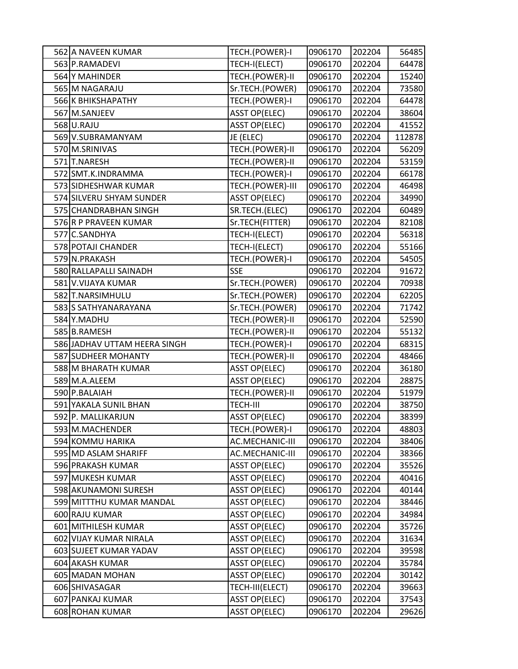| 562 A NAVEEN KUMAR           | TECH.(POWER)-I       | 0906170 | 202204 | 56485  |
|------------------------------|----------------------|---------|--------|--------|
| 563 P.RAMADEVI               | TECH-I(ELECT)        | 0906170 | 202204 | 64478  |
| 564 Y MAHINDER               | TECH.(POWER)-II      | 0906170 | 202204 | 15240  |
| 565 M NAGARAJU               | Sr.TECH.(POWER)      | 0906170 | 202204 | 73580  |
| 566 K BHIKSHAPATHY           | TECH.(POWER)-I       | 0906170 | 202204 | 64478  |
| 567 M.SANJEEV                | <b>ASST OP(ELEC)</b> | 0906170 | 202204 | 38604  |
| 568 U.RAJU                   | <b>ASST OP(ELEC)</b> | 0906170 | 202204 | 41552  |
| 569 V.SUBRAMANYAM            | JE (ELEC)            | 0906170 | 202204 | 112878 |
| 570 M.SRINIVAS               | TECH.(POWER)-II      | 0906170 | 202204 | 56209  |
| 571 T.NARESH                 | TECH.(POWER)-II      | 0906170 | 202204 | 53159  |
| 572 SMT.K.INDRAMMA           | TECH.(POWER)-I       | 0906170 | 202204 | 66178  |
| 573 SIDHESHWAR KUMAR         | TECH.(POWER)-III     | 0906170 | 202204 | 46498  |
| 574 SILVERU SHYAM SUNDER     | <b>ASST OP(ELEC)</b> | 0906170 | 202204 | 34990  |
| 575 CHANDRABHAN SINGH        | SR.TECH.(ELEC)       | 0906170 | 202204 | 60489  |
| 576 R P PRAVEEN KUMAR        | Sr.TECH(FITTER)      | 0906170 | 202204 | 82108  |
| 577 C.SANDHYA                | TECH-I(ELECT)        | 0906170 | 202204 | 56318  |
| 578 POTAJI CHANDER           | TECH-I(ELECT)        | 0906170 | 202204 | 55166  |
| 579 N.PRAKASH                | TECH.(POWER)-I       | 0906170 | 202204 | 54505  |
| 580 RALLAPALLI SAINADH       | <b>SSE</b>           | 0906170 | 202204 | 91672  |
| 581 V.VIJAYA KUMAR           | Sr.TECH.(POWER)      | 0906170 | 202204 | 70938  |
| 582 T.NARSIMHULU             | Sr.TECH.(POWER)      | 0906170 | 202204 | 62205  |
| 583 SATHYANARAYANA           | Sr.TECH.(POWER)      | 0906170 | 202204 | 71742  |
| 584 Y.MADHU                  | TECH.(POWER)-II      | 0906170 | 202204 | 52590  |
| 585 B.RAMESH                 | TECH.(POWER)-II      | 0906170 | 202204 | 55132  |
| 586 JADHAV UTTAM HEERA SINGH | TECH.(POWER)-I       | 0906170 | 202204 | 68315  |
| 587 SUDHEER MOHANTY          | TECH.(POWER)-II      | 0906170 | 202204 | 48466  |
| 588 M BHARATH KUMAR          | <b>ASST OP(ELEC)</b> | 0906170 | 202204 | 36180  |
| 589 M.A.ALEEM                | <b>ASST OP(ELEC)</b> | 0906170 | 202204 | 28875  |
| 590 P.BALAIAH                | TECH.(POWER)-II      | 0906170 | 202204 | 51979  |
| 591 YAKALA SUNIL BHAN        | TECH-III             | 0906170 | 202204 | 38750  |
| 592 P. MALLIKARJUN           | <b>ASST OP(ELEC)</b> | 0906170 | 202204 | 38399  |
| 593 M.MACHENDER              | TECH.(POWER)-I       | 0906170 | 202204 | 48803  |
| 594 KOMMU HARIKA             | AC.MECHANIC-III      | 0906170 | 202204 | 38406  |
| 595 MD ASLAM SHARIFF         | AC.MECHANIC-III      | 0906170 | 202204 | 38366  |
| 596 PRAKASH KUMAR            | <b>ASST OP(ELEC)</b> | 0906170 | 202204 | 35526  |
| 597 MUKESH KUMAR             | <b>ASST OP(ELEC)</b> | 0906170 | 202204 | 40416  |
| 598 AKUNAMONI SURESH         | <b>ASST OP(ELEC)</b> | 0906170 | 202204 | 40144  |
| 599 MITTTHU KUMAR MANDAL     | <b>ASST OP(ELEC)</b> | 0906170 | 202204 | 38446  |
| 600 RAJU KUMAR               | <b>ASST OP(ELEC)</b> | 0906170 | 202204 | 34984  |
| 601 MITHILESH KUMAR          | <b>ASST OP(ELEC)</b> | 0906170 | 202204 | 35726  |
| 602 VIJAY KUMAR NIRALA       | <b>ASST OP(ELEC)</b> | 0906170 | 202204 | 31634  |
| 603 SUJEET KUMAR YADAV       | <b>ASST OP(ELEC)</b> | 0906170 | 202204 | 39598  |
| 604 AKASH KUMAR              | <b>ASST OP(ELEC)</b> | 0906170 | 202204 | 35784  |
| 605 MADAN MOHAN              | <b>ASST OP(ELEC)</b> | 0906170 | 202204 | 30142  |
| 606 SHIVASAGAR               | TECH-III(ELECT)      | 0906170 | 202204 | 39663  |
| 607 PANKAJ KUMAR             | <b>ASST OP(ELEC)</b> | 0906170 | 202204 | 37543  |
| 608 ROHAN KUMAR              | <b>ASST OP(ELEC)</b> | 0906170 | 202204 | 29626  |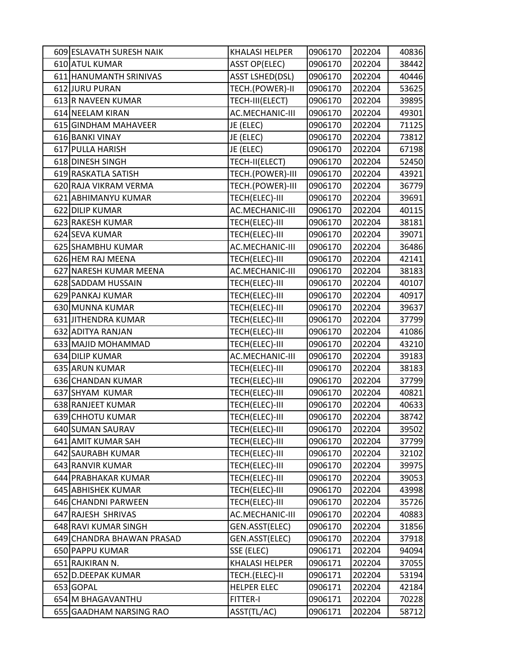| 609 ESLAVATH SURESH NAIK  | <b>KHALASI HELPER</b>  | 0906170 | 202204 | 40836 |
|---------------------------|------------------------|---------|--------|-------|
| 610 ATUL KUMAR            | <b>ASST OP(ELEC)</b>   | 0906170 | 202204 | 38442 |
| 611 HANUMANTH SRINIVAS    | <b>ASST LSHED(DSL)</b> | 0906170 | 202204 | 40446 |
| 612 JURU PURAN            | TECH.(POWER)-II        | 0906170 | 202204 | 53625 |
| 613 R NAVEEN KUMAR        | TECH-III(ELECT)        | 0906170 | 202204 | 39895 |
| 614 NEELAM KIRAN          | AC.MECHANIC-III        | 0906170 | 202204 | 49301 |
| 615 GINDHAM MAHAVEER      | JE (ELEC)              | 0906170 | 202204 | 71125 |
| 616 BANKI VINAY           | JE (ELEC)              | 0906170 | 202204 | 73812 |
| 617 PULLA HARISH          | JE (ELEC)              | 0906170 | 202204 | 67198 |
| 618 DINESH SINGH          | TECH-II(ELECT)         | 0906170 | 202204 | 52450 |
| 619 RASKATLA SATISH       | TECH.(POWER)-III       | 0906170 | 202204 | 43921 |
| 620 RAJA VIKRAM VERMA     | TECH.(POWER)-III       | 0906170 | 202204 | 36779 |
| 621 ABHIMANYU KUMAR       | TECH(ELEC)-III         | 0906170 | 202204 | 39691 |
| 622 DILIP KUMAR           | AC.MECHANIC-III        | 0906170 | 202204 | 40115 |
| 623 RAKESH KUMAR          | TECH(ELEC)-III         | 0906170 | 202204 | 38181 |
| 624 SEVA KUMAR            | TECH(ELEC)-III         | 0906170 | 202204 | 39071 |
| 625 SHAMBHU KUMAR         | AC.MECHANIC-III        | 0906170 | 202204 | 36486 |
| 626 HEM RAJ MEENA         | TECH(ELEC)-III         | 0906170 | 202204 | 42141 |
| 627 NARESH KUMAR MEENA    | AC.MECHANIC-III        | 0906170 | 202204 | 38183 |
| 628 SADDAM HUSSAIN        | TECH(ELEC)-III         | 0906170 | 202204 | 40107 |
| 629 PANKAJ KUMAR          | TECH(ELEC)-III         | 0906170 | 202204 | 40917 |
| 630 MUNNA KUMAR           | TECH(ELEC)-III         | 0906170 | 202204 | 39637 |
| 631 JITHENDRA KUMAR       | TECH(ELEC)-III         | 0906170 | 202204 | 37799 |
| 632 ADITYA RANJAN         | TECH(ELEC)-III         | 0906170 | 202204 | 41086 |
| 633 MAJID MOHAMMAD        | TECH(ELEC)-III         | 0906170 | 202204 | 43210 |
| 634 DILIP KUMAR           | AC.MECHANIC-III        | 0906170 | 202204 | 39183 |
| 635 ARUN KUMAR            | TECH(ELEC)-III         | 0906170 | 202204 | 38183 |
| 636 CHANDAN KUMAR         | TECH(ELEC)-III         | 0906170 | 202204 | 37799 |
| 637 SHYAM KUMAR           | TECH(ELEC)-III         | 0906170 | 202204 | 40821 |
| 638 RANJEET KUMAR         | TECH(ELEC)-III         | 0906170 | 202204 | 40633 |
| 639 CHHOTU KUMAR          | TECH(ELEC)-III         | 0906170 | 202204 | 38742 |
| 640 SUMAN SAURAV          | TECH(ELEC)-III         | 0906170 | 202204 | 39502 |
| 641 AMIT KUMAR SAH        | TECH(ELEC)-III         | 0906170 | 202204 | 37799 |
| 642 SAURABH KUMAR         | TECH(ELEC)-III         | 0906170 | 202204 | 32102 |
| 643 RANVIR KUMAR          | TECH(ELEC)-III         | 0906170 | 202204 | 39975 |
| 644 PRABHAKAR KUMAR       | TECH(ELEC)-III         | 0906170 | 202204 | 39053 |
| 645 ABHISHEK KUMAR        | TECH(ELEC)-III         | 0906170 | 202204 | 43998 |
| 646 CHANDNI PARWEEN       | TECH(ELEC)-III         | 0906170 | 202204 | 35726 |
| 647 RAJESH SHRIVAS        | AC.MECHANIC-III        | 0906170 | 202204 | 40883 |
| 648 RAVI KUMAR SINGH      | GEN.ASST(ELEC)         | 0906170 | 202204 | 31856 |
| 649 CHANDRA BHAWAN PRASAD | GEN.ASST(ELEC)         | 0906170 | 202204 | 37918 |
| 650 PAPPU KUMAR           | SSE (ELEC)             | 0906171 | 202204 | 94094 |
| 651 RAJKIRAN N.           | <b>KHALASI HELPER</b>  | 0906171 | 202204 | 37055 |
| 652 D.DEEPAK KUMAR        | TECH.(ELEC)-II         | 0906171 | 202204 | 53194 |
| 653 GOPAL                 | <b>HELPER ELEC</b>     | 0906171 | 202204 | 42184 |
| 654 M BHAGAVANTHU         | <b>FITTER-I</b>        | 0906171 | 202204 | 70228 |
| 655 GAADHAM NARSING RAO   | ASST(TL/AC)            | 0906171 | 202204 | 58712 |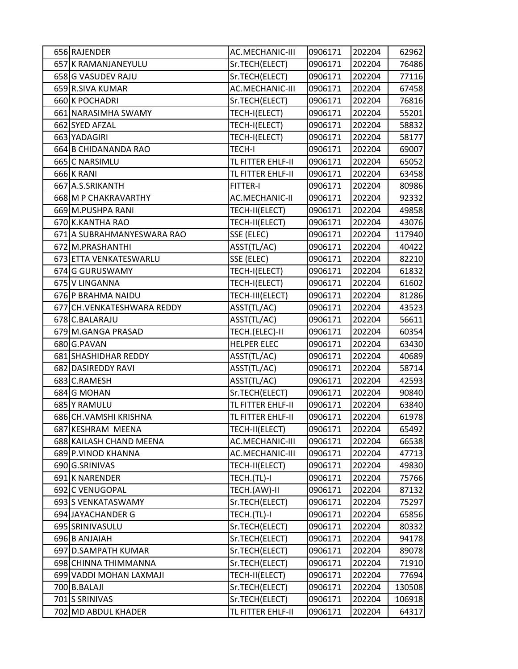| 656 RAJENDER                | AC.MECHANIC-III        | 0906171 | 202204 | 62962  |
|-----------------------------|------------------------|---------|--------|--------|
| 657 K RAMANJANEYULU         | Sr.TECH(ELECT)         | 0906171 | 202204 | 76486  |
| 658 G VASUDEV RAJU          | Sr.TECH(ELECT)         | 0906171 | 202204 | 77116  |
| 659 R.SIVA KUMAR            | <b>AC.MECHANIC-III</b> | 0906171 | 202204 | 67458  |
| 660 K POCHADRI              | Sr.TECH(ELECT)         | 0906171 | 202204 | 76816  |
| 661 NARASIMHA SWAMY         | TECH-I(ELECT)          | 0906171 | 202204 | 55201  |
| 662 SYED AFZAL              | TECH-I(ELECT)          | 0906171 | 202204 | 58832  |
| 663 YADAGIRI                | TECH-I(ELECT)          | 0906171 | 202204 | 58177  |
| 664 B CHIDANANDA RAO        | <b>TECH-I</b>          | 0906171 | 202204 | 69007  |
| 665 C NARSIMLU              | TL FITTER EHLF-II      | 0906171 | 202204 | 65052  |
| 666 K RANI                  | TL FITTER EHLF-II      | 0906171 | 202204 | 63458  |
| 667 A.S.SRIKANTH            | <b>FITTER-I</b>        | 0906171 | 202204 | 80986  |
| 668 M P CHAKRAVARTHY        | <b>AC.MECHANIC-II</b>  | 0906171 | 202204 | 92332  |
| 669 M.PUSHPA RANI           | TECH-II(ELECT)         | 0906171 | 202204 | 49858  |
| 670 K.KANTHA RAO            | TECH-II(ELECT)         | 0906171 | 202204 | 43076  |
| 671 A SUBRAHMANYESWARA RAO  | SSE (ELEC)             | 0906171 | 202204 | 117940 |
| 672 M.PRASHANTHI            | ASST(TL/AC)            | 0906171 | 202204 | 40422  |
| 673 ETTA VENKATESWARLU      | SSE (ELEC)             | 0906171 | 202204 | 82210  |
| 674 G GURUSWAMY             | TECH-I(ELECT)          | 0906171 | 202204 | 61832  |
| 675 V LINGANNA              | TECH-I(ELECT)          | 0906171 | 202204 | 61602  |
| 676 P BRAHMA NAIDU          | TECH-III(ELECT)        | 0906171 | 202204 | 81286  |
| 677 CH. VENKATESHWARA REDDY | ASST(TL/AC)            | 0906171 | 202204 | 43523  |
| 678 C.BALARAJU              | ASST(TL/AC)            | 0906171 | 202204 | 56611  |
| 679 M.GANGA PRASAD          | TECH.(ELEC)-II         | 0906171 | 202204 | 60354  |
| 680 G.PAVAN                 | <b>HELPER ELEC</b>     | 0906171 | 202204 | 63430  |
| 681 SHASHIDHAR REDDY        | ASST(TL/AC)            | 0906171 | 202204 | 40689  |
| 682 DASIREDDY RAVI          | ASST(TL/AC)            | 0906171 | 202204 | 58714  |
| 683 C.RAMESH                | ASST(TL/AC)            | 0906171 | 202204 | 42593  |
| 684 G MOHAN                 | Sr.TECH(ELECT)         | 0906171 | 202204 | 90840  |
| 685 Y RAMULU                | TL FITTER EHLF-II      | 0906171 | 202204 | 63840  |
| 686 CH. VAMSHI KRISHNA      | TL FITTER EHLF-II      | 0906171 | 202204 | 61978  |
| 687 KESHRAM MEENA           | TECH-II(ELECT)         | 0906171 | 202204 | 65492  |
| 688 KAILASH CHAND MEENA     | AC.MECHANIC-III        | 0906171 | 202204 | 66538  |
| 689 P.VINOD KHANNA          | AC.MECHANIC-III        | 0906171 | 202204 | 47713  |
| 690 G.SRINIVAS              | TECH-II(ELECT)         | 0906171 | 202204 | 49830  |
| 691 K NARENDER              | TECH.(TL)-I            | 0906171 | 202204 | 75766  |
| 692 C VENUGOPAL             | TECH.(AW)-II           | 0906171 | 202204 | 87132  |
| 693 S VENKATASWAMY          | Sr.TECH(ELECT)         | 0906171 | 202204 | 75297  |
| 694 JAYACHANDER G           | TECH.(TL)-I            | 0906171 | 202204 | 65856  |
| 695 SRINIVASULU             | Sr.TECH(ELECT)         | 0906171 | 202204 | 80332  |
| 696 B ANJAIAH               | Sr.TECH(ELECT)         | 0906171 | 202204 | 94178  |
| 697 D.SAMPATH KUMAR         | Sr.TECH(ELECT)         | 0906171 | 202204 | 89078  |
| 698 CHINNA THIMMANNA        | Sr.TECH(ELECT)         | 0906171 | 202204 | 71910  |
| 699 VADDI MOHAN LAXMAJI     | TECH-II(ELECT)         | 0906171 | 202204 | 77694  |
| 700 B.BALAJI                | Sr.TECH(ELECT)         | 0906171 | 202204 | 130508 |
| 701 S SRINIVAS              | Sr.TECH(ELECT)         | 0906171 | 202204 | 106918 |
| 702 MD ABDUL KHADER         | TL FITTER EHLF-II      | 0906171 | 202204 | 64317  |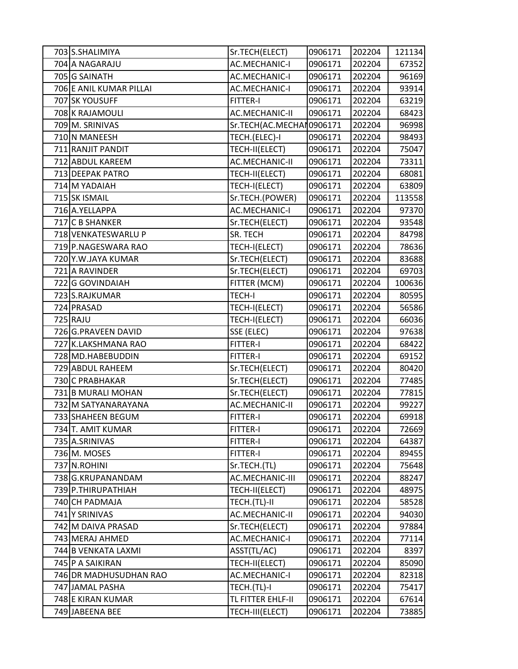| 703 S.SHALIMIYA         | Sr.TECH(ELECT)            | 0906171 | 202204 | 121134 |
|-------------------------|---------------------------|---------|--------|--------|
| 704 A NAGARAJU          | <b>AC.MECHANIC-I</b>      | 0906171 | 202204 | 67352  |
| 705 G SAINATH           | <b>AC.MECHANIC-I</b>      | 0906171 | 202204 | 96169  |
| 706 E ANIL KUMAR PILLAI | <b>AC.MECHANIC-I</b>      | 0906171 | 202204 | 93914  |
| 707 SK YOUSUFF          | <b>FITTER-I</b>           | 0906171 | 202204 | 63219  |
| 708 K RAJAMOULI         | AC.MECHANIC-II            | 0906171 | 202204 | 68423  |
| 709 M. SRINIVAS         | Sr.TECH(AC.MECHAI 0906171 |         | 202204 | 96998  |
| 710 N MANEESH           | TECH.(ELEC)-I             | 0906171 | 202204 | 98493  |
| 711 RANJIT PANDIT       | TECH-II(ELECT)            | 0906171 | 202204 | 75047  |
| 712 ABDUL KAREEM        | <b>AC.MECHANIC-II</b>     | 0906171 | 202204 | 73311  |
| 713 DEEPAK PATRO        | TECH-II(ELECT)            | 0906171 | 202204 | 68081  |
| 714 M YADAIAH           | TECH-I(ELECT)             | 0906171 | 202204 | 63809  |
| 715 SK ISMAIL           | Sr.TECH.(POWER)           | 0906171 | 202204 | 113558 |
| 716 A.YELLAPPA          | <b>AC.MECHANIC-I</b>      | 0906171 | 202204 | 97370  |
| 717 C B SHANKER         | Sr.TECH(ELECT)            | 0906171 | 202204 | 93548  |
| 718 VENKATESWARLU P     | SR. TECH                  | 0906171 | 202204 | 84798  |
| 719 P.NAGESWARA RAO     | TECH-I(ELECT)             | 0906171 | 202204 | 78636  |
| 720 Y.W.JAYA KUMAR      | Sr.TECH(ELECT)            | 0906171 | 202204 | 83688  |
| 721 A RAVINDER          | Sr.TECH(ELECT)            | 0906171 | 202204 | 69703  |
| 722 G GOVINDAIAH        | FITTER (MCM)              | 0906171 | 202204 | 100636 |
| 723 S.RAJKUMAR          | <b>TECH-I</b>             | 0906171 | 202204 | 80595  |
| 724 PRASAD              | TECH-I(ELECT)             | 0906171 | 202204 | 56586  |
| 725 RAJU                | TECH-I(ELECT)             | 0906171 | 202204 | 66036  |
| 726 G.PRAVEEN DAVID     | SSE (ELEC)                | 0906171 | 202204 | 97638  |
| 727 K.LAKSHMANA RAO     | <b>FITTER-I</b>           | 0906171 | 202204 | 68422  |
| 728 MD.HABEBUDDIN       | <b>FITTER-I</b>           | 0906171 | 202204 | 69152  |
| 729 ABDUL RAHEEM        | Sr.TECH(ELECT)            | 0906171 | 202204 | 80420  |
| 730 C PRABHAKAR         | Sr.TECH(ELECT)            | 0906171 | 202204 | 77485  |
| 731 B MURALI MOHAN      | Sr.TECH(ELECT)            | 0906171 | 202204 | 77815  |
| 732 M SATYANARAYANA     | <b>AC.MECHANIC-II</b>     | 0906171 | 202204 | 99227  |
| 733 SHAHEEN BEGUM       | FITTER-I                  | 0906171 | 202204 | 69918  |
| 734 T. AMIT KUMAR       | FITTER-I                  | 0906171 | 202204 | 72669  |
| 735 A.SRINIVAS          | <b>FITTER-I</b>           | 0906171 | 202204 | 64387  |
| 736 M. MOSES            | FITTER-I                  | 0906171 | 202204 | 89455  |
| 737 N.ROHINI            | Sr.TECH.(TL)              | 0906171 | 202204 | 75648  |
| 738 G.KRUPANANDAM       | AC.MECHANIC-III           | 0906171 | 202204 | 88247  |
| 739 P.THIRUPATHIAH      | TECH-II(ELECT)            | 0906171 | 202204 | 48975  |
| 740 CH PADMAJA          | TECH.(TL)-II              | 0906171 | 202204 | 58528  |
| 741 Y SRINIVAS          | AC.MECHANIC-II            | 0906171 | 202204 | 94030  |
| 742 M DAIVA PRASAD      | Sr.TECH(ELECT)            | 0906171 | 202204 | 97884  |
| 743 MERAJ AHMED         | <b>AC.MECHANIC-I</b>      | 0906171 | 202204 | 77114  |
| 744 B VENKATA LAXMI     | ASST(TL/AC)               | 0906171 | 202204 | 8397   |
| 745 P A SAIKIRAN        | TECH-II(ELECT)            | 0906171 | 202204 | 85090  |
| 746 DR MADHUSUDHAN RAO  | AC.MECHANIC-I             | 0906171 | 202204 | 82318  |
| 747 JAMAL PASHA         | TECH.(TL)-I               | 0906171 | 202204 | 75417  |
| 748 E KIRAN KUMAR       | TL FITTER EHLF-II         | 0906171 | 202204 | 67614  |
| 749 JABEENA BEE         | TECH-III(ELECT)           | 0906171 | 202204 | 73885  |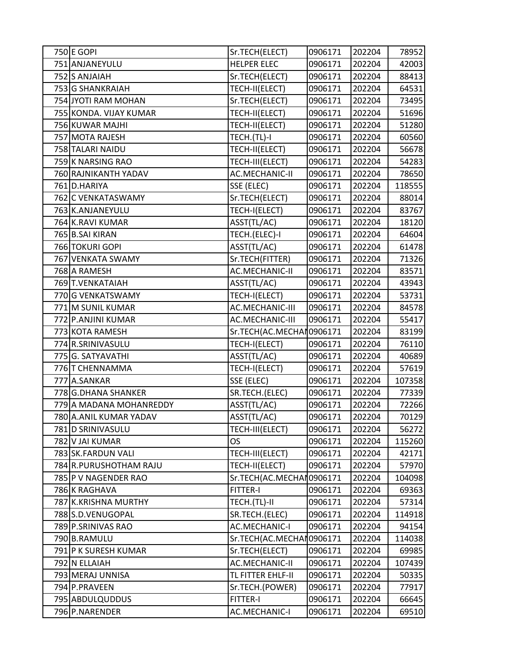| 750 E GOPI              | Sr.TECH(ELECT)            | 0906171 | 202204 | 78952  |
|-------------------------|---------------------------|---------|--------|--------|
| 751 ANJANEYULU          | <b>HELPER ELEC</b>        | 0906171 | 202204 | 42003  |
| 752 S ANJAIAH           | Sr.TECH(ELECT)            | 0906171 | 202204 | 88413  |
| 753 G SHANKRAIAH        | TECH-II(ELECT)            | 0906171 | 202204 | 64531  |
| 754 JYOTI RAM MOHAN     | Sr.TECH(ELECT)            | 0906171 | 202204 | 73495  |
| 755 KONDA. VIJAY KUMAR  | TECH-II(ELECT)            | 0906171 | 202204 | 51696  |
| 756 KUWAR MAJHI         | TECH-II(ELECT)            | 0906171 | 202204 | 51280  |
| 757 MOTA RAJESH         | TECH.(TL)-I               | 0906171 | 202204 | 60560  |
| 758 TALARI NAIDU        | TECH-II(ELECT)            | 0906171 | 202204 | 56678  |
| 759 K NARSING RAO       | TECH-III(ELECT)           | 0906171 | 202204 | 54283  |
| 760 RAJNIKANTH YADAV    | <b>AC.MECHANIC-II</b>     | 0906171 | 202204 | 78650  |
| 761 D.HARIYA            | SSE (ELEC)                | 0906171 | 202204 | 118555 |
| 762 C VENKATASWAMY      | Sr.TECH(ELECT)            | 0906171 | 202204 | 88014  |
| 763 K.ANJANEYULU        | TECH-I(ELECT)             | 0906171 | 202204 | 83767  |
| 764 K.RAVI KUMAR        | ASST(TL/AC)               | 0906171 | 202204 | 18120  |
| 765 B.SAI KIRAN         | TECH.(ELEC)-I             | 0906171 | 202204 | 64604  |
| 766 TOKURI GOPI         | ASST(TL/AC)               | 0906171 | 202204 | 61478  |
| 767 VENKATA SWAMY       | Sr.TECH(FITTER)           | 0906171 | 202204 | 71326  |
| 768 A RAMESH            | AC.MECHANIC-II            | 0906171 | 202204 | 83571  |
| 769 T.VENKATAIAH        | ASST(TL/AC)               | 0906171 | 202204 | 43943  |
| 770 G VENKATSWAMY       | TECH-I(ELECT)             | 0906171 | 202204 | 53731  |
| 771 M SUNIL KUMAR       | AC.MECHANIC-III           | 0906171 | 202204 | 84578  |
| 772 P.ANJINI KUMAR      | AC.MECHANIC-III           | 0906171 | 202204 | 55417  |
| 773 KOTA RAMESH         | Sr.TECH(AC.MECHAI 0906171 |         | 202204 | 83199  |
| 774 R.SRINIVASULU       | TECH-I(ELECT)             | 0906171 | 202204 | 76110  |
| 775 G. SATYAVATHI       | ASST(TL/AC)               | 0906171 | 202204 | 40689  |
| 776 T CHENNAMMA         | TECH-I(ELECT)             | 0906171 | 202204 | 57619  |
| 777 A.SANKAR            | SSE (ELEC)                | 0906171 | 202204 | 107358 |
| 778 G.DHANA SHANKER     | SR.TECH.(ELEC)            | 0906171 | 202204 | 77339  |
| 779 A MADANA MOHANREDDY | ASST(TL/AC)               | 0906171 | 202204 | 72266  |
| 780 A.ANIL KUMAR YADAV  | ASST(TL/AC)               | 0906171 | 202204 | 70129  |
| 781 D SRINIVASULU       | TECH-III(ELECT)           | 0906171 | 202204 | 56272  |
| 782 V JAI KUMAR         | <b>OS</b>                 | 0906171 | 202204 | 115260 |
| 783 SK.FARDUN VALI      | TECH-III(ELECT)           | 0906171 | 202204 | 42171  |
| 784 R.PURUSHOTHAM RAJU  | TECH-II(ELECT)            | 0906171 | 202204 | 57970  |
| 785 P V NAGENDER RAO    | Sr.TECH(AC.MECHAI 0906171 |         | 202204 | 104098 |
| 786 K RAGHAVA           | <b>FITTER-I</b>           | 0906171 | 202204 | 69363  |
| 787 K.KRISHNA MURTHY    | TECH.(TL)-II              | 0906171 | 202204 | 57314  |
| 788 S.D. VENUGOPAL      | SR.TECH.(ELEC)            | 0906171 | 202204 | 114918 |
| 789 P.SRINIVAS RAO      | AC.MECHANIC-I             | 0906171 | 202204 | 94154  |
| 790 B.RAMULU            | Sr.TECH(AC.MECHAI 0906171 |         | 202204 | 114038 |
| 791 P K SURESH KUMAR    | Sr.TECH(ELECT)            | 0906171 | 202204 | 69985  |
| 792 N ELLAIAH           | AC.MECHANIC-II            | 0906171 | 202204 | 107439 |
| 793 MERAJ UNNISA        | TL FITTER EHLF-II         | 0906171 | 202204 | 50335  |
| 794 P.PRAVEEN           | Sr.TECH.(POWER)           | 0906171 | 202204 | 77917  |
| 795 ABDULQUDDUS         | <b>FITTER-I</b>           | 0906171 | 202204 | 66645  |
| 796 P.NARENDER          | AC.MECHANIC-I             | 0906171 | 202204 | 69510  |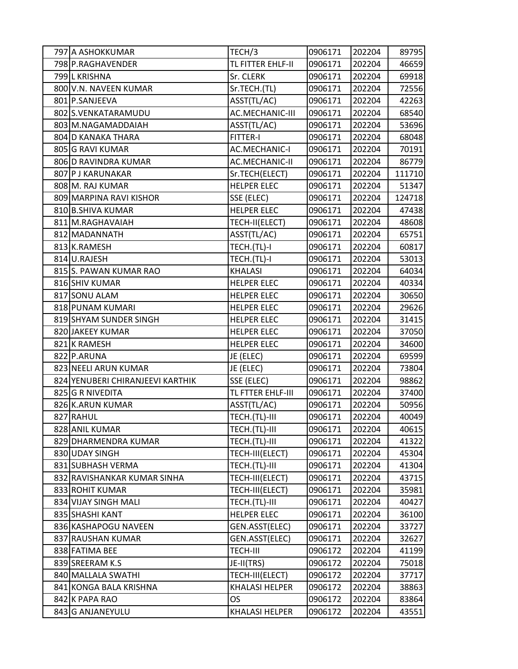| 797 A ASHOKKUMAR                 | TECH/3                | 0906171 | 202204 | 89795  |
|----------------------------------|-----------------------|---------|--------|--------|
| 798 P.RAGHAVENDER                | TL FITTER EHLF-II     | 0906171 | 202204 | 46659  |
| 799 L KRISHNA                    | Sr. CLERK             | 0906171 | 202204 | 69918  |
| 800 V.N. NAVEEN KUMAR            | Sr.TECH.(TL)          | 0906171 | 202204 | 72556  |
| 801 P.SANJEEVA                   | ASST(TL/AC)           | 0906171 | 202204 | 42263  |
| 802 S.VENKATARAMUDU              | AC.MECHANIC-III       | 0906171 | 202204 | 68540  |
| 803 M.NAGAMADDAIAH               | ASST(TL/AC)           | 0906171 | 202204 | 53696  |
| 804 D KANAKA THARA               | FITTER-I              | 0906171 | 202204 | 68048  |
| 805 G RAVI KUMAR                 | <b>AC.MECHANIC-I</b>  | 0906171 | 202204 | 70191  |
| 806 D RAVINDRA KUMAR             | <b>AC.MECHANIC-II</b> | 0906171 | 202204 | 86779  |
| 807 P J KARUNAKAR                | Sr.TECH(ELECT)        | 0906171 | 202204 | 111710 |
| 808 M. RAJ KUMAR                 | <b>HELPER ELEC</b>    | 0906171 | 202204 | 51347  |
| 809 MARPINA RAVI KISHOR          | SSE (ELEC)            | 0906171 | 202204 | 124718 |
| 810 B.SHIVA KUMAR                | <b>HELPER ELEC</b>    | 0906171 | 202204 | 47438  |
| 811 M.RAGHAVAIAH                 | TECH-II(ELECT)        | 0906171 | 202204 | 48608  |
| 812 MADANNATH                    | ASST(TL/AC)           | 0906171 | 202204 | 65751  |
| 813 K.RAMESH                     | TECH.(TL)-I           | 0906171 | 202204 | 60817  |
| 814 U.RAJESH                     | TECH.(TL)-I           | 0906171 | 202204 | 53013  |
| 815 S. PAWAN KUMAR RAO           | <b>KHALASI</b>        | 0906171 | 202204 | 64034  |
| 816 SHIV KUMAR                   | <b>HELPER ELEC</b>    | 0906171 | 202204 | 40334  |
| 817 SONU ALAM                    | <b>HELPER ELEC</b>    | 0906171 | 202204 | 30650  |
| 818 PUNAM KUMARI                 | <b>HELPER ELEC</b>    | 0906171 | 202204 | 29626  |
| 819 SHYAM SUNDER SINGH           | <b>HELPER ELEC</b>    | 0906171 | 202204 | 31415  |
| 820 JAKEEY KUMAR                 | <b>HELPER ELEC</b>    | 0906171 | 202204 | 37050  |
| 821 K RAMESH                     | <b>HELPER ELEC</b>    | 0906171 | 202204 | 34600  |
| 822 P.ARUNA                      | JE (ELEC)             | 0906171 | 202204 | 69599  |
| 823 NEELI ARUN KUMAR             | JE (ELEC)             | 0906171 | 202204 | 73804  |
| 824 YENUBERI CHIRANJEEVI KARTHIK | SSE (ELEC)            | 0906171 | 202204 | 98862  |
| 825 G R NIVEDITA                 | TL FTTER EHLF-III     | 0906171 | 202204 | 37400  |
| 826 K.ARUN KUMAR                 | ASST(TL/AC)           | 0906171 | 202204 | 50956  |
| 827 RAHUL                        | TECH.(TL)-III         | 0906171 | 202204 | 40049  |
| 828 ANIL KUMAR                   | TECH.(TL)-III         | 0906171 | 202204 | 40615  |
| 829 DHARMENDRA KUMAR             | TECH.(TL)-III         | 0906171 | 202204 | 41322  |
| 830 UDAY SINGH                   | TECH-III(ELECT)       | 0906171 | 202204 | 45304  |
| 831 SUBHASH VERMA                | TECH.(TL)-III         | 0906171 | 202204 | 41304  |
| 832 RAVISHANKAR KUMAR SINHA      | TECH-III(ELECT)       | 0906171 | 202204 | 43715  |
| 833 ROHIT KUMAR                  | TECH-III(ELECT)       | 0906171 | 202204 | 35981  |
| 834 VIJAY SINGH MALI             | TECH.(TL)-III         | 0906171 | 202204 | 40427  |
| 835 SHASHI KANT                  | <b>HELPER ELEC</b>    | 0906171 | 202204 | 36100  |
| 836 KASHAPOGU NAVEEN             | GEN.ASST(ELEC)        | 0906171 | 202204 | 33727  |
| 837 RAUSHAN KUMAR                | GEN.ASST(ELEC)        | 0906171 | 202204 | 32627  |
| 838 FATIMA BEE                   | <b>TECH-III</b>       | 0906172 | 202204 | 41199  |
| 839 SREERAM K.S                  | JE-II(TRS)            | 0906172 | 202204 | 75018  |
| 840 MALLALA SWATHI               | TECH-III(ELECT)       | 0906172 | 202204 | 37717  |
| 841 KONGA BALA KRISHNA           | <b>KHALASI HELPER</b> | 0906172 | 202204 | 38863  |
| 842 K PAPA RAO                   | OS.                   | 0906172 | 202204 | 83864  |
| 843 G ANJANEYULU                 | <b>KHALASI HELPER</b> | 0906172 | 202204 | 43551  |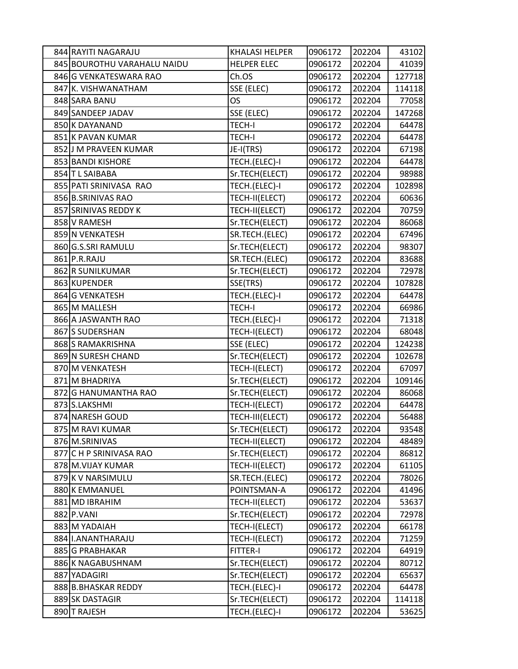| 844 RAYITI NAGARAJU         | <b>KHALASI HELPER</b> | 0906172 | 202204 | 43102  |
|-----------------------------|-----------------------|---------|--------|--------|
| 845 BOUROTHU VARAHALU NAIDU | <b>HELPER ELEC</b>    | 0906172 | 202204 | 41039  |
| 846 G VENKATESWARA RAO      | Ch.OS                 | 0906172 | 202204 | 127718 |
| 847 K. VISHWANATHAM         | SSE (ELEC)            | 0906172 | 202204 | 114118 |
| 848 SARA BANU               | OS                    | 0906172 | 202204 | 77058  |
| 849 SANDEEP JADAV           | SSE (ELEC)            | 0906172 | 202204 | 147268 |
| 850 K DAYANAND              | <b>TECH-I</b>         | 0906172 | 202204 | 64478  |
| 851 K PAVAN KUMAR           | <b>TECH-I</b>         | 0906172 | 202204 | 64478  |
| 852 J M PRAVEEN KUMAR       | JE-I(TRS)             | 0906172 | 202204 | 67198  |
| 853 BANDI KISHORE           | TECH.(ELEC)-I         | 0906172 | 202204 | 64478  |
| 854 T L SAIBABA             | Sr.TECH(ELECT)        | 0906172 | 202204 | 98988  |
| 855 PATI SRINIVASA RAO      | TECH.(ELEC)-I         | 0906172 | 202204 | 102898 |
| 856 B.SRINIVAS RAO          | TECH-II(ELECT)        | 0906172 | 202204 | 60636  |
| 857 SRINIVAS REDDY K        | TECH-II(ELECT)        | 0906172 | 202204 | 70759  |
| 858 V RAMESH                | Sr.TECH(ELECT)        | 0906172 | 202204 | 86068  |
| 859 N VENKATESH             | SR.TECH.(ELEC)        | 0906172 | 202204 | 67496  |
| 860 G.S.SRI RAMULU          | Sr.TECH(ELECT)        | 0906172 | 202204 | 98307  |
| 861 P.R.RAJU                | SR.TECH.(ELEC)        | 0906172 | 202204 | 83688  |
| 862 R SUNILKUMAR            | Sr.TECH(ELECT)        | 0906172 | 202204 | 72978  |
| 863 KUPENDER                | SSE(TRS)              | 0906172 | 202204 | 107828 |
| 864 G VENKATESH             | TECH.(ELEC)-I         | 0906172 | 202204 | 64478  |
| 865 M MALLESH               | <b>TECH-I</b>         | 0906172 | 202204 | 66986  |
| 866 A JASWANTH RAO          | TECH.(ELEC)-I         | 0906172 | 202204 | 71318  |
| 867 S SUDERSHAN             | TECH-I(ELECT)         | 0906172 | 202204 | 68048  |
| 868 S RAMAKRISHNA           | SSE (ELEC)            | 0906172 | 202204 | 124238 |
| 869 N SURESH CHAND          | Sr.TECH(ELECT)        | 0906172 | 202204 | 102678 |
| 870 M VENKATESH             | TECH-I(ELECT)         | 0906172 | 202204 | 67097  |
| 871 M BHADRIYA              | Sr.TECH(ELECT)        | 0906172 | 202204 | 109146 |
| 872 G HANUMANTHA RAO        | Sr.TECH(ELECT)        | 0906172 | 202204 | 86068  |
| 873 S.LAKSHMI               | TECH-I(ELECT)         | 0906172 | 202204 | 64478  |
| 874 NARESH GOUD             | TECH-III(ELECT)       | 0906172 | 202204 | 56488  |
| 875 M RAVI KUMAR            | Sr.TECH(ELECT)        | 0906172 | 202204 | 93548  |
| 876 M.SRINIVAS              | TECH-II(ELECT)        | 0906172 | 202204 | 48489  |
| 877 C H P SRINIVASA RAO     | Sr.TECH(ELECT)        | 0906172 | 202204 | 86812  |
| 878 M.VIJAY KUMAR           | TECH-II(ELECT)        | 0906172 | 202204 | 61105  |
| 879 K V NARSIMULU           | SR.TECH.(ELEC)        | 0906172 | 202204 | 78026  |
| 880 K EMMANUEL              | POINTSMAN-A           | 0906172 | 202204 | 41496  |
| 881 MD IBRAHIM              | TECH-II(ELECT)        | 0906172 | 202204 | 53637  |
| 882 P.VANI                  | Sr.TECH(ELECT)        | 0906172 | 202204 | 72978  |
| 883 M YADAIAH               | TECH-I(ELECT)         | 0906172 | 202204 | 66178  |
| 884 I.ANANTHARAJU           | TECH-I(ELECT)         | 0906172 | 202204 | 71259  |
| 885 G PRABHAKAR             | FITTER-I              | 0906172 | 202204 | 64919  |
| 886 K NAGABUSHNAM           | Sr.TECH(ELECT)        | 0906172 | 202204 | 80712  |
| 887 YADAGIRI                | Sr.TECH(ELECT)        | 0906172 | 202204 | 65637  |
| 888 B.BHASKAR REDDY         | TECH.(ELEC)-I         | 0906172 | 202204 | 64478  |
| 889 SK DASTAGIR             | Sr.TECH(ELECT)        | 0906172 | 202204 | 114118 |
| 890 T RAJESH                | TECH.(ELEC)-I         | 0906172 | 202204 | 53625  |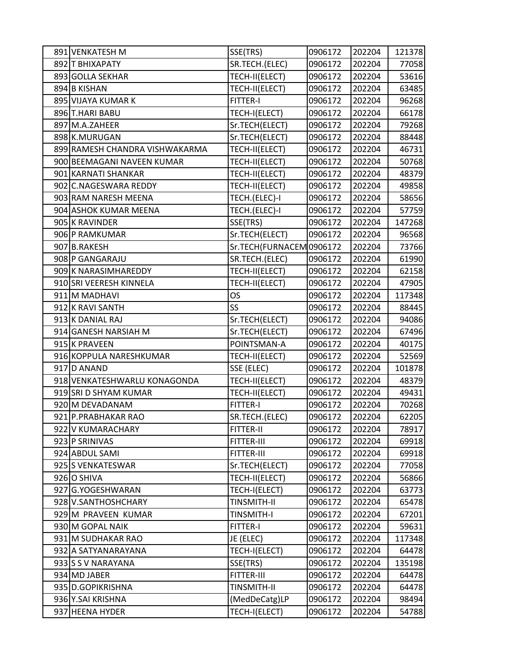| 891 VENKATESH M                | SSE(TRS)                 | 0906172 | 202204 | 121378 |
|--------------------------------|--------------------------|---------|--------|--------|
| 892 T BHIXAPATY                | SR.TECH.(ELEC)           | 0906172 | 202204 | 77058  |
| 893 GOLLA SEKHAR               | TECH-II(ELECT)           | 0906172 | 202204 | 53616  |
| 894 B KISHAN                   | TECH-II(ELECT)           | 0906172 | 202204 | 63485  |
| 895 VIJAYA KUMAR K             | <b>FITTER-I</b>          | 0906172 | 202204 | 96268  |
| 896 T.HARI BABU                | TECH-I(ELECT)            | 0906172 | 202204 | 66178  |
| 897 M.A.ZAHEER                 | Sr.TECH(ELECT)           | 0906172 | 202204 | 79268  |
| 898 K.MURUGAN                  | Sr.TECH(ELECT)           | 0906172 | 202204 | 88448  |
| 899 RAMESH CHANDRA VISHWAKARMA | TECH-II(ELECT)           | 0906172 | 202204 | 46731  |
| 900 BEEMAGANI NAVEEN KUMAR     | TECH-II(ELECT)           | 0906172 | 202204 | 50768  |
| 901 KARNATI SHANKAR            | TECH-II(ELECT)           | 0906172 | 202204 | 48379  |
| 902 C.NAGESWARA REDDY          | TECH-II(ELECT)           | 0906172 | 202204 | 49858  |
| 903 RAM NARESH MEENA           | TECH.(ELEC)-I            | 0906172 | 202204 | 58656  |
| 904 ASHOK KUMAR MEENA          | TECH.(ELEC)-I            | 0906172 | 202204 | 57759  |
| 905 K RAVINDER                 | SSE(TRS)                 | 0906172 | 202204 | 147268 |
| 906 P RAMKUMAR                 | Sr.TECH(ELECT)           | 0906172 | 202204 | 96568  |
| 907 B.RAKESH                   | Sr.TECH(FURNACEM 0906172 |         | 202204 | 73766  |
| 908 P GANGARAJU                | SR.TECH.(ELEC)           | 0906172 | 202204 | 61990  |
| 909 K NARASIMHAREDDY           | TECH-II(ELECT)           | 0906172 | 202204 | 62158  |
| 910 SRI VEERESH KINNELA        | TECH-II(ELECT)           | 0906172 | 202204 | 47905  |
| 911 M MADHAVI                  | OS                       | 0906172 | 202204 | 117348 |
| 912 K RAVI SANTH               | SS                       | 0906172 | 202204 | 88445  |
| 913 K DANIAL RAJ               | Sr.TECH(ELECT)           | 0906172 | 202204 | 94086  |
| 914 GANESH NARSIAH M           | Sr.TECH(ELECT)           | 0906172 | 202204 | 67496  |
| 915 K PRAVEEN                  | POINTSMAN-A              | 0906172 | 202204 | 40175  |
| 916 KOPPULA NARESHKUMAR        | TECH-II(ELECT)           | 0906172 | 202204 | 52569  |
| 917 D ANAND                    | SSE (ELEC)               | 0906172 | 202204 | 101878 |
| 918 VENKATESHWARLU KONAGONDA   | TECH-II(ELECT)           | 0906172 | 202204 | 48379  |
| 919 SRI D SHYAM KUMAR          | TECH-II(ELECT)           | 0906172 | 202204 | 49431  |
| 920 M DEVADANAM                | FITTER-I                 | 0906172 | 202204 | 70268  |
| 921 P.PRABHAKAR RAO            | SR.TECH.(ELEC)           | 0906172 | 202204 | 62205  |
| 922 V KUMARACHARY              | FITTER-II                | 0906172 | 202204 | 78917  |
| 923 P SRINIVAS                 | FITTER-III               | 0906172 | 202204 | 69918  |
| 924 ABDUL SAMI                 | FITTER-III               | 0906172 | 202204 | 69918  |
| 925 S VENKATESWAR              | Sr.TECH(ELECT)           | 0906172 | 202204 | 77058  |
| 926 O SHIVA                    | TECH-II(ELECT)           | 0906172 | 202204 | 56866  |
| 927 G.YOGESHWARAN              | TECH-I(ELECT)            | 0906172 | 202204 | 63773  |
| 928 V.SANTHOSHCHARY            | <b>TINSMITH-II</b>       | 0906172 | 202204 | 65478  |
| 929 M PRAVEEN KUMAR            | <b>TINSMITH-I</b>        | 0906172 | 202204 | 67201  |
| 930 M GOPAL NAIK               | FITTER-I                 | 0906172 | 202204 | 59631  |
| 931 M SUDHAKAR RAO             | JE (ELEC)                | 0906172 | 202204 | 117348 |
| 932 A SATYANARAYANA            | TECH-I(ELECT)            | 0906172 | 202204 | 64478  |
| 933 S V NARAYANA               | SSE(TRS)                 | 0906172 | 202204 | 135198 |
| 934 MD JABER                   | FITTER-III               | 0906172 | 202204 | 64478  |
| 935 D.GOPIKRISHNA              | <b>TINSMITH-II</b>       | 0906172 | 202204 | 64478  |
| 936 Y.SAI KRISHNA              | (MedDeCatg)LP            | 0906172 | 202204 | 98494  |
| 937 HEENA HYDER                | TECH-I(ELECT)            | 0906172 | 202204 | 54788  |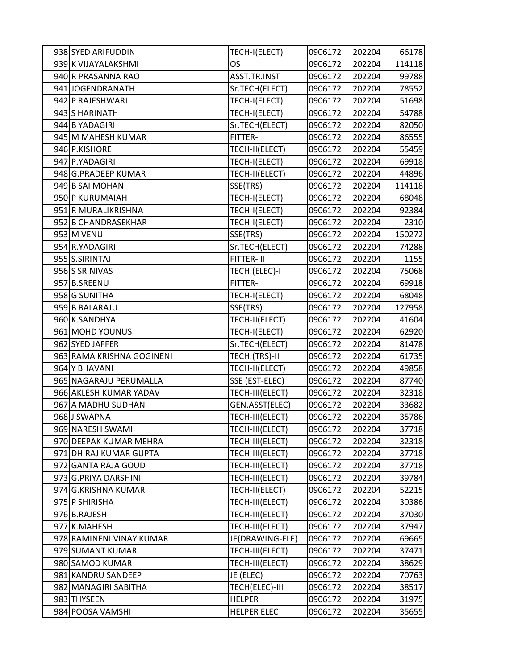| 938 SYED ARIFUDDIN        | TECH-I(ELECT)      | 0906172 | 202204 | 66178  |
|---------------------------|--------------------|---------|--------|--------|
| 939 K VIJAYALAKSHMI       | OS                 | 0906172 | 202204 | 114118 |
| 940 R PRASANNA RAO        | ASST.TR.INST       | 0906172 | 202204 | 99788  |
| 941 JOGENDRANATH          | Sr.TECH(ELECT)     | 0906172 | 202204 | 78552  |
| 942 P RAJESHWARI          | TECH-I(ELECT)      | 0906172 | 202204 | 51698  |
| 943 S HARINATH            | TECH-I(ELECT)      | 0906172 | 202204 | 54788  |
| 944 B YADAGIRI            | Sr.TECH(ELECT)     | 0906172 | 202204 | 82050  |
| 945 M MAHESH KUMAR        | FITTER-I           | 0906172 | 202204 | 86555  |
| 946 P.KISHORE             | TECH-II(ELECT)     | 0906172 | 202204 | 55459  |
| 947 P.YADAGIRI            | TECH-I(ELECT)      | 0906172 | 202204 | 69918  |
| 948 G.PRADEEP KUMAR       | TECH-II(ELECT)     | 0906172 | 202204 | 44896  |
| 949 B SAI MOHAN           | SSE(TRS)           | 0906172 | 202204 | 114118 |
| 950 P KURUMAIAH           | TECH-I(ELECT)      | 0906172 | 202204 | 68048  |
| 951 R MURALIKRISHNA       | TECH-I(ELECT)      | 0906172 | 202204 | 92384  |
| 952 B CHANDRASEKHAR       | TECH-I(ELECT)      | 0906172 | 202204 | 2310   |
| 953 M VENU                | SSE(TRS)           | 0906172 | 202204 | 150272 |
| 954 R.YADAGIRI            | Sr.TECH(ELECT)     | 0906172 | 202204 | 74288  |
| 955 S.SIRINTAJ            | FITTER-III         | 0906172 | 202204 | 1155   |
| 956 S SRINIVAS            | TECH.(ELEC)-I      | 0906172 | 202204 | 75068  |
| 957 B.SREENU              | <b>FITTER-I</b>    | 0906172 | 202204 | 69918  |
| 958 G SUNITHA             | TECH-I(ELECT)      | 0906172 | 202204 | 68048  |
| 959 B BALARAJU            | SSE(TRS)           | 0906172 | 202204 | 127958 |
| 960 K.SANDHYA             | TECH-II(ELECT)     | 0906172 | 202204 | 41604  |
| 961 MOHD YOUNUS           | TECH-I(ELECT)      | 0906172 | 202204 | 62920  |
| 962 SYED JAFFER           | Sr.TECH(ELECT)     | 0906172 | 202204 | 81478  |
| 963 RAMA KRISHNA GOGINENI | TECH.(TRS)-II      | 0906172 | 202204 | 61735  |
| 964 Y BHAVANI             | TECH-II(ELECT)     | 0906172 | 202204 | 49858  |
| 965 NAGARAJU PERUMALLA    | SSE (EST-ELEC)     | 0906172 | 202204 | 87740  |
| 966 AKLESH KUMAR YADAV    | TECH-III(ELECT)    | 0906172 | 202204 | 32318  |
| 967 A MADHU SUDHAN        | GEN.ASST(ELEC)     | 0906172 | 202204 | 33682  |
| 968 J SWAPNA              | TECH-III(ELECT)    | 0906172 | 202204 | 35786  |
| 969 NARESH SWAMI          | TECH-III(ELECT)    | 0906172 | 202204 | 37718  |
| 970 DEEPAK KUMAR MEHRA    | TECH-III(ELECT)    | 0906172 | 202204 | 32318  |
| 971 DHIRAJ KUMAR GUPTA    | TECH-III(ELECT)    | 0906172 | 202204 | 37718  |
| 972 GANTA RAJA GOUD       | TECH-III(ELECT)    | 0906172 | 202204 | 37718  |
| 973 G.PRIYA DARSHINI      | TECH-III(ELECT)    | 0906172 | 202204 | 39784  |
| 974 G.KRISHNA KUMAR       | TECH-II(ELECT)     | 0906172 | 202204 | 52215  |
| 975 P SHIRISHA            | TECH-III(ELECT)    | 0906172 | 202204 | 30386  |
| 976 B.RAJESH              | TECH-III(ELECT)    | 0906172 | 202204 | 37030  |
| 977 K.MAHESH              | TECH-III(ELECT)    | 0906172 | 202204 | 37947  |
| 978 RAMINENI VINAY KUMAR  | JE(DRAWING-ELE)    | 0906172 | 202204 | 69665  |
| 979 SUMANT KUMAR          | TECH-III(ELECT)    | 0906172 | 202204 | 37471  |
| 980 SAMOD KUMAR           | TECH-III(ELECT)    | 0906172 | 202204 | 38629  |
| 981 KANDRU SANDEEP        | JE (ELEC)          | 0906172 | 202204 | 70763  |
| 982 MANAGIRI SABITHA      | TECH(ELEC)-III     | 0906172 | 202204 | 38517  |
| 983 THYSEEN               | <b>HELPER</b>      | 0906172 | 202204 | 31975  |
| 984 POOSA VAMSHI          | <b>HELPER ELEC</b> | 0906172 | 202204 | 35655  |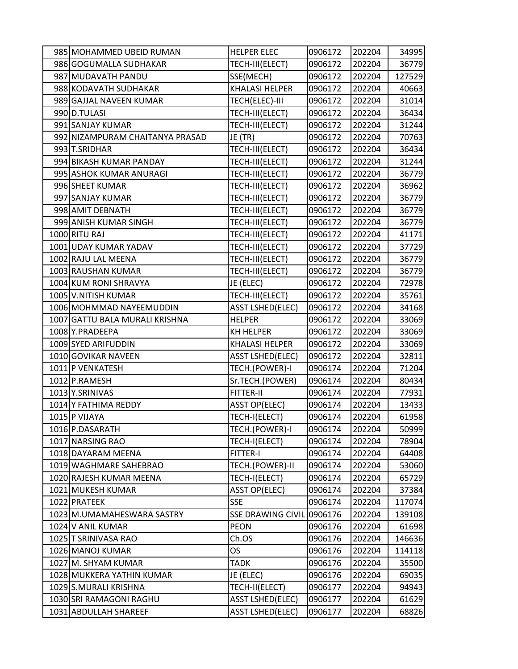| 985 MOHAMMED UBEID RUMAN        | <b>HELPER ELEC</b>       | 0906172 | 202204 | 34995  |
|---------------------------------|--------------------------|---------|--------|--------|
| 986 GOGUMALLA SUDHAKAR          | TECH-III(ELECT)          | 0906172 | 202204 | 36779  |
| 987 MUDAVATH PANDU              | SSE(MECH)                | 0906172 | 202204 | 127529 |
| 988 KODAVATH SUDHAKAR           | <b>KHALASI HELPER</b>    | 0906172 | 202204 | 40663  |
| 989 GAJJAL NAVEEN KUMAR         | TECH(ELEC)-III           | 0906172 | 202204 | 31014  |
| 990 D.TULASI                    | TECH-III(ELECT)          | 0906172 | 202204 | 36434  |
| 991 SANJAY KUMAR                | TECH-III(ELECT)          | 0906172 | 202204 | 31244  |
| 992 NIZAMPURAM CHAITANYA PRASAD | JE (TR)                  | 0906172 | 202204 | 70763  |
| 993 T.SRIDHAR                   | TECH-III(ELECT)          | 0906172 | 202204 | 36434  |
| 994 BIKASH KUMAR PANDAY         | TECH-III(ELECT)          | 0906172 | 202204 | 31244  |
| 995 ASHOK KUMAR ANURAGI         | TECH-III(ELECT)          | 0906172 | 202204 | 36779  |
| 996 SHEET KUMAR                 | TECH-III(ELECT)          | 0906172 | 202204 | 36962  |
| 997 SANJAY KUMAR                | TECH-III(ELECT)          | 0906172 | 202204 | 36779  |
| 998 AMIT DEBNATH                | TECH-III(ELECT)          | 0906172 | 202204 | 36779  |
| 999 ANISH KUMAR SINGH           | TECH-III(ELECT)          | 0906172 | 202204 | 36779  |
| 1000 RITU RAJ                   | TECH-III(ELECT)          | 0906172 | 202204 | 41171  |
| 1001 UDAY KUMAR YADAV           | TECH-III(ELECT)          | 0906172 | 202204 | 37729  |
| 1002 RAJU LAL MEENA             | TECH-III(ELECT)          | 0906172 | 202204 | 36779  |
| 1003 RAUSHAN KUMAR              | TECH-III(ELECT)          | 0906172 | 202204 | 36779  |
| 1004 KUM RONI SHRAVYA           | JE (ELEC)                | 0906172 | 202204 | 72978  |
| 1005 V.NITISH KUMAR             | TECH-III(ELECT)          | 0906172 | 202204 | 35761  |
| 1006 MOHMMAD NAYEEMUDDIN        | <b>ASST LSHED(ELEC)</b>  | 0906172 | 202204 | 34168  |
| 1007 GATTU BALA MURALI KRISHNA  | <b>HELPER</b>            | 0906172 | 202204 | 33069  |
| 1008 Y.PRADEEPA                 | KH HELPER                | 0906172 | 202204 | 33069  |
| 1009 SYED ARIFUDDIN             | <b>KHALASI HELPER</b>    | 0906172 | 202204 | 33069  |
| 1010 GOVIKAR NAVEEN             | <b>ASST LSHED(ELEC)</b>  | 0906172 | 202204 | 32811  |
| 1011 P VENKATESH                | TECH.(POWER)-I           | 0906174 | 202204 | 71204  |
| 1012 P.RAMESH                   | Sr.TECH.(POWER)          | 0906174 | 202204 | 80434  |
| 1013 Y.SRINIVAS                 | <b>FITTER-II</b>         | 0906174 | 202204 | 77931  |
| 1014 Y FATHIMA REDDY            | <b>ASST OP(ELEC)</b>     | 0906174 | 202204 | 13433  |
| 1015 P VIJAYA                   | TECH-I(ELECT)            | 0906174 | 202204 | 61958  |
| 1016 P.DASARATH                 | TECH.(POWER)-I           | 0906174 | 202204 | 50999  |
| 1017 NARSING RAO                | TECH-I(ELECT)            | 0906174 | 202204 | 78904  |
| 1018 DAYARAM MEENA              | FITTER-I                 | 0906174 | 202204 | 64408  |
| 1019 WAGHMARE SAHEBRAO          | TECH.(POWER)-II          | 0906174 | 202204 | 53060  |
| 1020 RAJESH KUMAR MEENA         | TECH-I(ELECT)            | 0906174 | 202204 | 65729  |
| 1021 MUKESH KUMAR               | <b>ASST OP(ELEC)</b>     | 0906174 | 202204 | 37384  |
| 1022 PRATEEK                    | <b>SSE</b>               | 0906174 | 202204 | 117074 |
| 1023 M.UMAMAHESWARA SASTRY      | <b>SSE DRAWING CIVIL</b> | 0906176 | 202204 | 139108 |
| 1024 V ANIL KUMAR               | <b>PEON</b>              | 0906176 | 202204 | 61698  |
| 1025 T SRINIVASA RAO            | Ch.OS                    | 0906176 | 202204 | 146636 |
| 1026 MANOJ KUMAR                | <b>OS</b>                | 0906176 | 202204 | 114118 |
| 1027 M. SHYAM KUMAR             | <b>TADK</b>              | 0906176 | 202204 | 35500  |
| 1028 MUKKERA YATHIN KUMAR       | JE (ELEC)                | 0906176 | 202204 | 69035  |
| 1029 S.MURALI KRISHNA           | TECH-II(ELECT)           | 0906177 | 202204 | 94943  |
| 1030 SRI RAMAGONI RAGHU         | <b>ASST LSHED(ELEC)</b>  | 0906177 | 202204 | 61629  |
| 1031 ABDULLAH SHAREEF           | <b>ASST LSHED(ELEC)</b>  | 0906177 | 202204 | 68826  |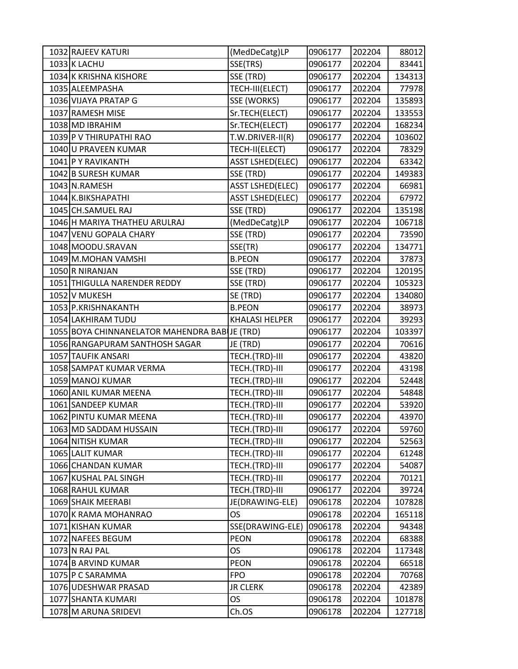| 1032 RAJEEV KATURI                            | (MedDeCatg)LP           | 0906177 | 202204 | 88012  |
|-----------------------------------------------|-------------------------|---------|--------|--------|
| 1033 K LACHU                                  | SSE(TRS)                | 0906177 | 202204 | 83441  |
| 1034 K KRISHNA KISHORE                        | SSE (TRD)               | 0906177 | 202204 | 134313 |
| 1035 ALEEMPASHA                               | TECH-III(ELECT)         | 0906177 | 202204 | 77978  |
| 1036 VIJAYA PRATAP G                          | SSE (WORKS)             | 0906177 | 202204 | 135893 |
| 1037 RAMESH MISE                              | Sr.TECH(ELECT)          | 0906177 | 202204 | 133553 |
| 1038 MD IBRAHIM                               | Sr.TECH(ELECT)          | 0906177 | 202204 | 168234 |
| 1039 P V THIRUPATHI RAO                       | T.W.DRIVER-II(R)        | 0906177 | 202204 | 103602 |
| 1040 U PRAVEEN KUMAR                          | TECH-II(ELECT)          | 0906177 | 202204 | 78329  |
| 1041 P Y RAVIKANTH                            | <b>ASST LSHED(ELEC)</b> | 0906177 | 202204 | 63342  |
| 1042 B SURESH KUMAR                           | SSE (TRD)               | 0906177 | 202204 | 149383 |
| 1043 N.RAMESH                                 | <b>ASST LSHED(ELEC)</b> | 0906177 | 202204 | 66981  |
| 1044 K.BIKSHAPATHI                            | <b>ASST LSHED(ELEC)</b> | 0906177 | 202204 | 67972  |
| 1045 CH.SAMUEL RAJ                            | SSE (TRD)               | 0906177 | 202204 | 135198 |
| 1046 H MARIYA THATHEU ARULRAJ                 | (MedDeCatg)LP           | 0906177 | 202204 | 106718 |
| 1047 VENU GOPALA CHARY                        | SSE (TRD)               | 0906177 | 202204 | 73590  |
| 1048 MOODU.SRAVAN                             | SSE(TR)                 | 0906177 | 202204 | 134771 |
| 1049 M.MOHAN VAMSHI                           | <b>B.PEON</b>           | 0906177 | 202204 | 37873  |
| 1050 R NIRANJAN                               | SSE (TRD)               | 0906177 | 202204 | 120195 |
| 1051 THIGULLA NARENDER REDDY                  | SSE (TRD)               | 0906177 | 202204 | 105323 |
| 1052 V MUKESH                                 | SE (TRD)                | 0906177 | 202204 | 134080 |
| 1053 P.KRISHNAKANTH                           | <b>B.PEON</b>           | 0906177 | 202204 | 38973  |
| 1054 LAKHIRAM TUDU                            | <b>KHALASI HELPER</b>   | 0906177 | 202204 | 39293  |
| 1055 BOYA CHINNANELATOR MAHENDRA BABIJE (TRD) |                         | 0906177 | 202204 | 103397 |
| 1056 RANGAPURAM SANTHOSH SAGAR                | JE (TRD)                | 0906177 | 202204 | 70616  |
| 1057 TAUFIK ANSARI                            | TECH.(TRD)-III          | 0906177 | 202204 | 43820  |
| 1058 SAMPAT KUMAR VERMA                       | TECH.(TRD)-III          | 0906177 | 202204 | 43198  |
| 1059 MANOJ KUMAR                              | TECH.(TRD)-III          | 0906177 | 202204 | 52448  |
| 1060 ANIL KUMAR MEENA                         | TECH.(TRD)-III          | 0906177 | 202204 | 54848  |
| 1061 SANDEEP KUMAR                            | TECH.(TRD)-III          | 0906177 | 202204 | 53920  |
| 1062 PINTU KUMAR MEENA                        | TECH.(TRD)-III          | 0906177 | 202204 | 43970  |
| 1063 MD SADDAM HUSSAIN                        | TECH.(TRD)-III          | 0906177 | 202204 | 59760  |
| 1064 NITISH KUMAR                             | TECH.(TRD)-III          | 0906177 | 202204 | 52563  |
| 1065 LALIT KUMAR                              | TECH.(TRD)-III          | 0906177 | 202204 | 61248  |
| 1066 CHANDAN KUMAR                            | TECH.(TRD)-III          | 0906177 | 202204 | 54087  |
| 1067 KUSHAL PAL SINGH                         | TECH.(TRD)-III          | 0906177 | 202204 | 70121  |
| 1068 RAHUL KUMAR                              | TECH.(TRD)-III          | 0906177 | 202204 | 39724  |
| 1069 SHAIK MEERABI                            | JE(DRAWING-ELE)         | 0906178 | 202204 | 107828 |
| 1070 K RAMA MOHANRAO                          | OS                      | 0906178 | 202204 | 165118 |
| 1071 KISHAN KUMAR                             | SSE(DRAWING-ELE)        | 0906178 | 202204 | 94348  |
| 1072 NAFEES BEGUM                             | <b>PEON</b>             | 0906178 | 202204 | 68388  |
| 1073 N RAJ PAL                                | <b>OS</b>               | 0906178 | 202204 | 117348 |
| 1074 B ARVIND KUMAR                           | <b>PEON</b>             | 0906178 | 202204 | 66518  |
| 1075 P C SARAMMA                              | <b>FPO</b>              | 0906178 | 202204 | 70768  |
| 1076 UDESHWAR PRASAD                          | <b>JR CLERK</b>         | 0906178 | 202204 | 42389  |
| 1077 SHANTA KUMARI                            | <b>OS</b>               | 0906178 | 202204 | 101878 |
| 1078 M ARUNA SRIDEVI                          | Ch.OS                   | 0906178 | 202204 | 127718 |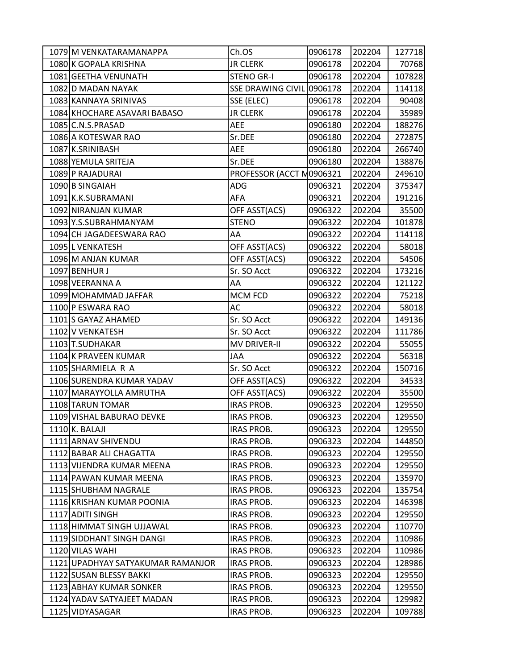| 1079 M VENKATARAMANAPPA           | Ch.OS                     | 0906178 | 202204 | 127718 |
|-----------------------------------|---------------------------|---------|--------|--------|
| 1080 K GOPALA KRISHNA             | <b>JR CLERK</b>           | 0906178 | 202204 | 70768  |
| 1081 GEETHA VENUNATH              | <b>STENO GR-I</b>         | 0906178 | 202204 | 107828 |
| 1082 D MADAN NAYAK                | SSE DRAWING CIVIL 0906178 |         | 202204 | 114118 |
| 1083 KANNAYA SRINIVAS             | SSE (ELEC)                | 0906178 | 202204 | 90408  |
| 1084 KHOCHARE ASAVARI BABASO      | <b>JR CLERK</b>           | 0906178 | 202204 | 35989  |
| 1085 C.N.S.PRASAD                 | <b>AEE</b>                | 0906180 | 202204 | 188276 |
| 1086 A KOTESWAR RAO               | Sr.DEE                    | 0906180 | 202204 | 272875 |
| 1087 K.SRINIBASH                  | AEE                       | 0906180 | 202204 | 266740 |
| 1088 YEMULA SRITEJA               | Sr.DEE                    | 0906180 | 202204 | 138876 |
| 1089 P RAJADURAI                  | PROFESSOR (ACCT N0906321  |         | 202204 | 249610 |
| 1090 B SINGAIAH                   | ADG                       | 0906321 | 202204 | 375347 |
| 1091 K.K.SUBRAMANI                | AFA                       | 0906321 | 202204 | 191216 |
| 1092 NIRANJAN KUMAR               | OFF ASST(ACS)             | 0906322 | 202204 | 35500  |
| 1093 Y.S.SUBRAHMANYAM             | <b>STENO</b>              | 0906322 | 202204 | 101878 |
| 1094 CH JAGADEESWARA RAO          | AA                        | 0906322 | 202204 | 114118 |
| 1095 L VENKATESH                  | OFF ASST(ACS)             | 0906322 | 202204 | 58018  |
| 1096 M ANJAN KUMAR                | OFF ASST(ACS)             | 0906322 | 202204 | 54506  |
| 1097 BENHUR J                     | Sr. SO Acct               | 0906322 | 202204 | 173216 |
| 1098 VEERANNA A                   | AA                        | 0906322 | 202204 | 121122 |
| 1099 MOHAMMAD JAFFAR              | <b>MCM FCD</b>            | 0906322 | 202204 | 75218  |
| 1100 P ESWARA RAO                 | AC                        | 0906322 | 202204 | 58018  |
| 1101 S GAYAZ AHAMED               | Sr. SO Acct               | 0906322 | 202204 | 149136 |
| 1102 V VENKATESH                  | Sr. SO Acct               | 0906322 | 202204 | 111786 |
| 1103 T.SUDHAKAR                   | <b>MV DRIVER-II</b>       | 0906322 | 202204 | 55055  |
| 1104 K PRAVEEN KUMAR              | JAA                       | 0906322 | 202204 | 56318  |
| 1105 SHARMIELA R A                | Sr. SO Acct               | 0906322 | 202204 | 150716 |
| 1106 SURENDRA KUMAR YADAV         | OFF ASST(ACS)             | 0906322 | 202204 | 34533  |
| 1107 MARAYYOLLA AMRUTHA           | OFF ASST(ACS)             | 0906322 | 202204 | 35500  |
| 1108 TARUN TOMAR                  | <b>IRAS PROB.</b>         | 0906323 | 202204 | 129550 |
| 1109 VISHAL BABURAO DEVKE         | <b>IRAS PROB.</b>         | 0906323 | 202204 | 129550 |
| 1110 K. BALAJI                    | <b>IRAS PROB.</b>         | 0906323 | 202204 | 129550 |
| 1111 ARNAV SHIVENDU               | <b>IRAS PROB.</b>         | 0906323 | 202204 | 144850 |
| 1112 BABAR ALI CHAGATTA           | <b>IRAS PROB.</b>         | 0906323 | 202204 | 129550 |
| 1113 VIJENDRA KUMAR MEENA         | <b>IRAS PROB.</b>         | 0906323 | 202204 | 129550 |
| 1114 PAWAN KUMAR MEENA            | <b>IRAS PROB.</b>         | 0906323 | 202204 | 135970 |
| 1115 SHUBHAM NAGRALE              | <b>IRAS PROB.</b>         | 0906323 | 202204 | 135754 |
| 1116 KRISHAN KUMAR POONIA         | <b>IRAS PROB.</b>         | 0906323 | 202204 | 146398 |
| 1117 ADITI SINGH                  | <b>IRAS PROB.</b>         | 0906323 | 202204 | 129550 |
| 1118 HIMMAT SINGH UJJAWAL         | <b>IRAS PROB.</b>         | 0906323 | 202204 | 110770 |
| 1119 SIDDHANT SINGH DANGI         | <b>IRAS PROB.</b>         | 0906323 | 202204 | 110986 |
| 1120 VILAS WAHI                   | <b>IRAS PROB.</b>         | 0906323 | 202204 | 110986 |
| 1121 UPADHYAY SATYAKUMAR RAMANJOR | <b>IRAS PROB.</b>         | 0906323 | 202204 | 128986 |
| 1122 SUSAN BLESSY BAKKI           | <b>IRAS PROB.</b>         | 0906323 | 202204 | 129550 |
| 1123 ABHAY KUMAR SONKER           | <b>IRAS PROB.</b>         | 0906323 | 202204 | 129550 |
| 1124 YADAV SATYAJEET MADAN        | <b>IRAS PROB.</b>         | 0906323 | 202204 | 129982 |
| 1125 VIDYASAGAR                   | <b>IRAS PROB.</b>         | 0906323 | 202204 | 109788 |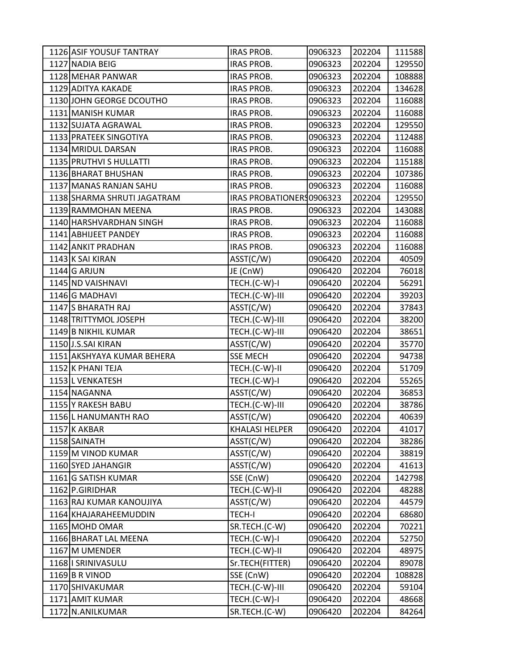| 1126 ASIF YOUSUF TANTRAY    | IRAS PROB.                | 0906323 | 202204 | 111588 |
|-----------------------------|---------------------------|---------|--------|--------|
| 1127 NADIA BEIG             | <b>IRAS PROB.</b>         | 0906323 | 202204 | 129550 |
| 1128 MEHAR PANWAR           | <b>IRAS PROB.</b>         | 0906323 | 202204 | 108888 |
| 1129 ADITYA KAKADE          | <b>IRAS PROB.</b>         | 0906323 | 202204 | 134628 |
| 1130 JOHN GEORGE DCOUTHO    | <b>IRAS PROB.</b>         | 0906323 | 202204 | 116088 |
| 1131 MANISH KUMAR           | IRAS PROB.                | 0906323 | 202204 | 116088 |
| 1132 SUJATA AGRAWAL         | <b>IRAS PROB.</b>         | 0906323 | 202204 | 129550 |
| 1133 PRATEEK SINGOTIYA      | <b>IRAS PROB.</b>         | 0906323 | 202204 | 112488 |
| 1134 MRIDUL DARSAN          | <b>IRAS PROB.</b>         | 0906323 | 202204 | 116088 |
| 1135 PRUTHVI S HULLATTI     | <b>IRAS PROB.</b>         | 0906323 | 202204 | 115188 |
| 1136 BHARAT BHUSHAN         | <b>IRAS PROB.</b>         | 0906323 | 202204 | 107386 |
| 1137 MANAS RANJAN SAHU      | <b>IRAS PROB.</b>         | 0906323 | 202204 | 116088 |
| 1138 SHARMA SHRUTI JAGATRAM | IRAS PROBATIONERS 0906323 |         | 202204 | 129550 |
| 1139 RAMMOHAN MEENA         | <b>IRAS PROB.</b>         | 0906323 | 202204 | 143088 |
| 1140 HARSHVARDHAN SINGH     | <b>IRAS PROB.</b>         | 0906323 | 202204 | 116088 |
| 1141 ABHIJEET PANDEY        | IRAS PROB.                | 0906323 | 202204 | 116088 |
| 1142 ANKIT PRADHAN          | <b>IRAS PROB.</b>         | 0906323 | 202204 | 116088 |
| 1143 K SAI KIRAN            | ASST(C/W)                 | 0906420 | 202204 | 40509  |
| 1144 G ARJUN                | JE (CnW)                  | 0906420 | 202204 | 76018  |
| 1145 ND VAISHNAVI           | TECH.(C-W)-I              | 0906420 | 202204 | 56291  |
| 1146 G MADHAVI              | TECH.(C-W)-III            | 0906420 | 202204 | 39203  |
| 1147 S BHARATH RAJ          | ASST(C/W)                 | 0906420 | 202204 | 37843  |
| 1148 TRITTYMOL JOSEPH       | TECH.(C-W)-III            | 0906420 | 202204 | 38200  |
| 1149 B NIKHIL KUMAR         | TECH.(C-W)-III            | 0906420 | 202204 | 38651  |
| 1150 J.S.SAI KIRAN          | ASST(C/W)                 | 0906420 | 202204 | 35770  |
| 1151 AKSHYAYA KUMAR BEHERA  | <b>SSE MECH</b>           | 0906420 | 202204 | 94738  |
| 1152 K PHANI TEJA           | TECH.(C-W)-II             | 0906420 | 202204 | 51709  |
| 1153 L VENKATESH            | TECH.(C-W)-I              | 0906420 | 202204 | 55265  |
| 1154 NAGANNA                | ASST(C/W)                 | 0906420 | 202204 | 36853  |
| 1155 Y RAKESH BABU          | TECH.(C-W)-III            | 0906420 | 202204 | 38786  |
| 1156 L HANUMANTH RAO        | ASST(C/W)                 | 0906420 | 202204 | 40639  |
| 1157 K AKBAR                | <b>KHALASI HELPER</b>     | 0906420 | 202204 | 41017  |
| 1158 SAINATH                | AST(C/W)                  | 0906420 | 202204 | 38286  |
| 1159 M VINOD KUMAR          | ASST(C/W)                 | 0906420 | 202204 | 38819  |
| 1160 SYED JAHANGIR          | ASST(C/W)                 | 0906420 | 202204 | 41613  |
| 1161 G SATISH KUMAR         | SSE (CnW)                 | 0906420 | 202204 | 142798 |
| 1162 P.GIRIDHAR             | TECH.(C-W)-II             | 0906420 | 202204 | 48288  |
| 1163 RAJ KUMAR KANOUJIYA    | AST(C/W)                  | 0906420 | 202204 | 44579  |
| 1164 KHAJARAHEEMUDDIN       | <b>TECH-I</b>             | 0906420 | 202204 | 68680  |
| 1165 MOHD OMAR              | SR.TECH.(C-W)             | 0906420 | 202204 | 70221  |
| 1166 BHARAT LAL MEENA       | TECH.(C-W)-I              | 0906420 | 202204 | 52750  |
| 1167 M UMENDER              | TECH.(C-W)-II             | 0906420 | 202204 | 48975  |
| 1168   SRINIVASULU          | Sr.TECH(FITTER)           | 0906420 | 202204 | 89078  |
| 1169 B R VINOD              | SSE (CnW)                 | 0906420 | 202204 | 108828 |
| 1170 SHIVAKUMAR             | TECH.(C-W)-III            | 0906420 | 202204 | 59104  |
| 1171 AMIT KUMAR             | TECH.(C-W)-I              | 0906420 | 202204 | 48668  |
| 1172 N.ANILKUMAR            | SR.TECH.(C-W)             | 0906420 | 202204 | 84264  |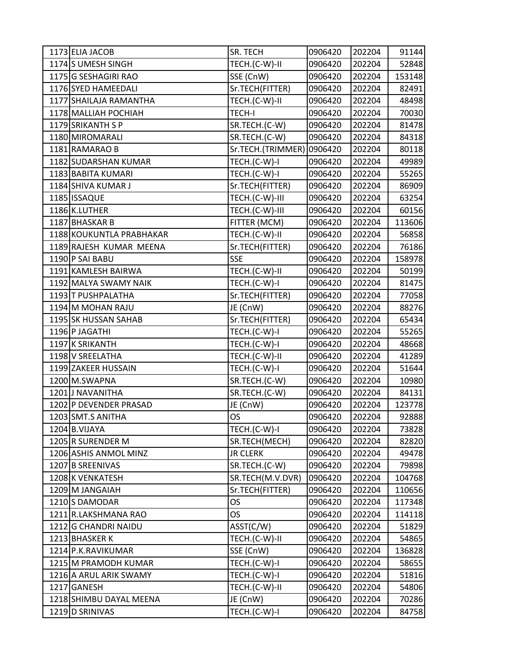| 1173 ELIA JACOB          | SR. TECH          | 0906420 | 202204 | 91144  |
|--------------------------|-------------------|---------|--------|--------|
| 1174 S UMESH SINGH       | TECH.(C-W)-II     | 0906420 | 202204 | 52848  |
| 1175 G SESHAGIRI RAO     | SSE (CnW)         | 0906420 | 202204 | 153148 |
| 1176 SYED HAMEEDALI      | Sr.TECH(FITTER)   | 0906420 | 202204 | 82491  |
| 1177 SHAILAJA RAMANTHA   | TECH.(C-W)-II     | 0906420 | 202204 | 48498  |
| 1178 MALLIAH POCHIAH     | <b>TECH-I</b>     | 0906420 | 202204 | 70030  |
| 1179 SRIKANTH S P        | SR.TECH.(C-W)     | 0906420 | 202204 | 81478  |
| 1180 MIROMARALI          | SR.TECH.(C-W)     | 0906420 | 202204 | 84318  |
| 1181 RAMARAO B           | Sr.TECH.(TRIMMER) | 0906420 | 202204 | 80118  |
| 1182 SUDARSHAN KUMAR     | TECH.(C-W)-I      | 0906420 | 202204 | 49989  |
| 1183 BABITA KUMARI       | TECH.(C-W)-I      | 0906420 | 202204 | 55265  |
| 1184 SHIVA KUMAR J       | Sr.TECH(FITTER)   | 0906420 | 202204 | 86909  |
| 1185 ISSAQUE             | TECH.(C-W)-III    | 0906420 | 202204 | 63254  |
| 1186 K.LUTHER            | TECH.(C-W)-III    | 0906420 | 202204 | 60156  |
| 1187 BHASKAR B           | FITTER (MCM)      | 0906420 | 202204 | 113606 |
| 1188 KOUKUNTLA PRABHAKAR | TECH.(C-W)-II     | 0906420 | 202204 | 56858  |
| 1189 RAJESH KUMAR MEENA  | Sr.TECH(FITTER)   | 0906420 | 202204 | 76186  |
| 1190 P SAI BABU          | <b>SSE</b>        | 0906420 | 202204 | 158978 |
| 1191 KAMLESH BAIRWA      | TECH.(C-W)-II     | 0906420 | 202204 | 50199  |
| 1192 MALYA SWAMY NAIK    | TECH.(C-W)-I      | 0906420 | 202204 | 81475  |
| 1193 T PUSHPALATHA       | Sr.TECH(FITTER)   | 0906420 | 202204 | 77058  |
| 1194 M MOHAN RAJU        | JE (CnW)          | 0906420 | 202204 | 88276  |
| 1195 SK HUSSAN SAHAB     | Sr.TECH(FITTER)   | 0906420 | 202204 | 65434  |
| 1196 P JAGATHI           | TECH.(C-W)-I      | 0906420 | 202204 | 55265  |
| 1197 K SRIKANTH          | TECH.(C-W)-I      | 0906420 | 202204 | 48668  |
| 1198 V SREELATHA         | TECH.(C-W)-II     | 0906420 | 202204 | 41289  |
| 1199 ZAKEER HUSSAIN      | TECH.(C-W)-I      | 0906420 | 202204 | 51644  |
| 1200 M.SWAPNA            | SR.TECH.(C-W)     | 0906420 | 202204 | 10980  |
| 1201 J NAVANITHA         | SR.TECH.(C-W)     | 0906420 | 202204 | 84131  |
| 1202 P DEVENDER PRASAD   | JE (CnW)          | 0906420 | 202204 | 123778 |
| 1203 SMT.S ANITHA        | OS                | 0906420 | 202204 | 92888  |
| 1204 B.VIJAYA            | TECH.(C-W)-I      | 0906420 | 202204 | 73828  |
| 1205 R SURENDER M        | SR.TECH(MECH)     | 0906420 | 202204 | 82820  |
| 1206 ASHIS ANMOL MINZ    | <b>JR CLERK</b>   | 0906420 | 202204 | 49478  |
| 1207 B SREENIVAS         | SR.TECH.(C-W)     | 0906420 | 202204 | 79898  |
| 1208 K VENKATESH         | SR.TECH(M.V.DVR)  | 0906420 | 202204 | 104768 |
| 1209 M JANGAIAH          | Sr.TECH(FITTER)   | 0906420 | 202204 | 110656 |
| 1210S DAMODAR            | <b>OS</b>         | 0906420 | 202204 | 117348 |
| 1211 R.LAKSHMANA RAO     | OS                | 0906420 | 202204 | 114118 |
| 1212 G CHANDRI NAIDU     | ASST(C/W)         | 0906420 | 202204 | 51829  |
| 1213 BHASKER K           | TECH.(C-W)-II     | 0906420 | 202204 | 54865  |
| 1214 P.K.RAVIKUMAR       | SSE (CnW)         | 0906420 | 202204 | 136828 |
| 1215 M PRAMODH KUMAR     | TECH.(C-W)-I      | 0906420 | 202204 | 58655  |
| 1216 A ARUL ARIK SWAMY   | TECH.(C-W)-I      | 0906420 | 202204 | 51816  |
| 1217 GANESH              | TECH.(C-W)-II     | 0906420 | 202204 | 54806  |
| 1218 SHIMBU DAYAL MEENA  | JE (CnW)          | 0906420 | 202204 | 70286  |
| 1219 D SRINIVAS          | TECH.(C-W)-I      | 0906420 | 202204 | 84758  |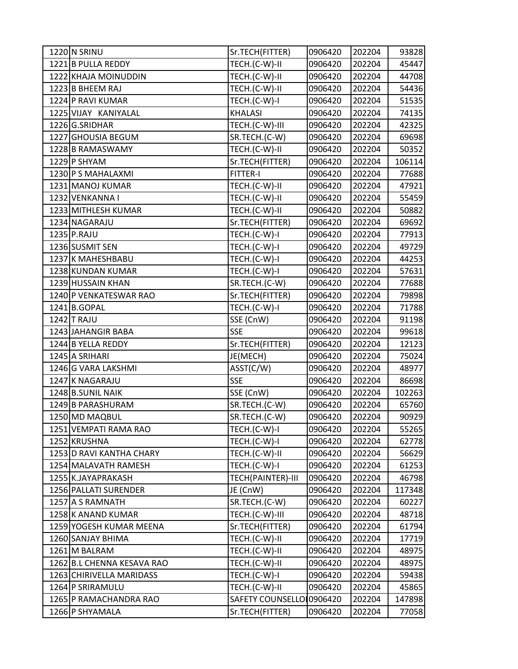| 1220 N SRINU               | Sr.TECH(FITTER)         | 0906420 | 202204 | 93828  |
|----------------------------|-------------------------|---------|--------|--------|
| 1221 B PULLA REDDY         | TECH.(C-W)-II           | 0906420 | 202204 | 45447  |
| 1222 KHAJA MOINUDDIN       | TECH.(C-W)-II           | 0906420 | 202204 | 44708  |
| 1223 B BHEEM RAJ           | TECH.(C-W)-II           | 0906420 | 202204 | 54436  |
| 1224 P RAVI KUMAR          | TECH.(C-W)-I            | 0906420 | 202204 | 51535  |
| 1225 VIJAY KANIYALAL       | <b>KHALASI</b>          | 0906420 | 202204 | 74135  |
| 1226 G.SRIDHAR             | TECH.(C-W)-III          | 0906420 | 202204 | 42325  |
| 1227 GHOUSIA BEGUM         | SR.TECH.(C-W)           | 0906420 | 202204 | 69698  |
| 1228 B RAMASWAMY           | TECH.(C-W)-II           | 0906420 | 202204 | 50352  |
| 1229 P SHYAM               | Sr.TECH(FITTER)         | 0906420 | 202204 | 106114 |
| 1230 P S MAHALAXMI         | <b>FITTER-I</b>         | 0906420 | 202204 | 77688  |
| 1231 MANOJ KUMAR           | TECH.(C-W)-II           | 0906420 | 202204 | 47921  |
| 1232 VENKANNA I            | TECH.(C-W)-II           | 0906420 | 202204 | 55459  |
| 1233 MITHLESH KUMAR        | TECH.(C-W)-II           | 0906420 | 202204 | 50882  |
| 1234 NAGARAJU              | Sr.TECH(FITTER)         | 0906420 | 202204 | 69692  |
| 1235 P.RAJU                | TECH.(C-W)-I            | 0906420 | 202204 | 77913  |
| 1236 SUSMIT SEN            | TECH.(C-W)-I            | 0906420 | 202204 | 49729  |
| 1237 K MAHESHBABU          | TECH.(C-W)-I            | 0906420 | 202204 | 44253  |
| 1238 KUNDAN KUMAR          | TECH.(C-W)-I            | 0906420 | 202204 | 57631  |
| 1239 HUSSAIN KHAN          | SR.TECH.(C-W)           | 0906420 | 202204 | 77688  |
| 1240 P VENKATESWAR RAO     | Sr.TECH(FITTER)         | 0906420 | 202204 | 79898  |
| 1241 B.GOPAL               | TECH.(C-W)-I            | 0906420 | 202204 | 71788  |
| 1242 T RAJU                | SSE (CnW)               | 0906420 | 202204 | 91198  |
| 1243 JAHANGIR BABA         | <b>SSE</b>              | 0906420 | 202204 | 99618  |
| 1244 B YELLA REDDY         | Sr.TECH(FITTER)         | 0906420 | 202204 | 12123  |
| 1245 A SRIHARI             | JE(MECH)                | 0906420 | 202204 | 75024  |
| 1246 G VARA LAKSHMI        | ASST(C/W)               | 0906420 | 202204 | 48977  |
| 1247 K NAGARAJU            | <b>SSE</b>              | 0906420 | 202204 | 86698  |
| 1248 B.SUNIL NAIK          | SSE (CnW)               | 0906420 | 202204 | 102263 |
| 1249 B PARASHURAM          | SR.TECH.(C-W)           | 0906420 | 202204 | 65760  |
| 1250 MD MAQBUL             | SR.TECH.(C-W)           | 0906420 | 202204 | 90929  |
| 1251 VEMPATI RAMA RAO      | TECH.(C-W)-I            | 0906420 | 202204 | 55265  |
| 1252 KRUSHNA               | TECH.(C-W)-I            | 0906420 | 202204 | 62778  |
| 1253 D RAVI KANTHA CHARY   | TECH.(C-W)-II           | 0906420 | 202204 | 56629  |
| 1254 MALAVATH RAMESH       | TECH.(C-W)-I            | 0906420 | 202204 | 61253  |
| 1255 K.JAYAPRAKASH         | TECH(PAINTER)-III       | 0906420 | 202204 | 46798  |
| 1256 PALLATI SURENDER      | JE (CnW)                | 0906420 | 202204 | 117348 |
| 1257 A S RAMNATH           | SR.TECH.(C-W)           | 0906420 | 202204 | 60227  |
| 1258 K ANAND KUMAR         | TECH.(C-W)-III          | 0906420 | 202204 | 48718  |
| 1259 YOGESH KUMAR MEENA    | Sr.TECH(FITTER)         | 0906420 | 202204 | 61794  |
| 1260 SANJAY BHIMA          | TECH.(C-W)-II           | 0906420 | 202204 | 17719  |
| 1261 M BALRAM              | TECH.(C-W)-II           | 0906420 | 202204 | 48975  |
| 1262 B.L CHENNA KESAVA RAO | TECH.(C-W)-II           | 0906420 | 202204 | 48975  |
| 1263 CHIRIVELLA MARIDASS   | TECH.(C-W)-I            | 0906420 | 202204 | 59438  |
| 1264 P SRIRAMULU           | TECH.(C-W)-II           | 0906420 | 202204 | 45865  |
| 1265 P RAMACHANDRA RAO     | <b>SAFETY COUNSELLO</b> | 0906420 | 202204 | 147898 |
| 1266 P SHYAMALA            | Sr.TECH(FITTER)         | 0906420 | 202204 | 77058  |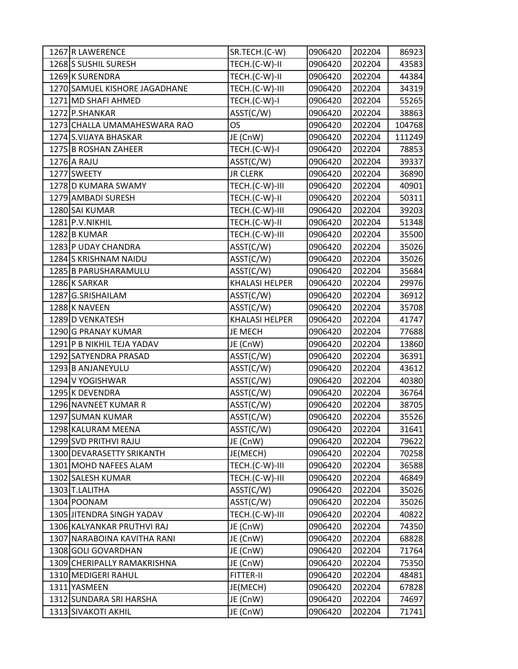| 1267 R LAWERENCE              | SR.TECH.(C-W)         | 0906420 | 202204 | 86923  |
|-------------------------------|-----------------------|---------|--------|--------|
| 1268 SUSHIL SURESH            | TECH.(C-W)-II         | 0906420 | 202204 | 43583  |
| 1269 K SURENDRA               | TECH.(C-W)-II         | 0906420 | 202204 | 44384  |
| 1270 SAMUEL KISHORE JAGADHANE | TECH.(C-W)-III        | 0906420 | 202204 | 34319  |
| 1271 MD SHAFI AHMED           | TECH.(C-W)-I          | 0906420 | 202204 | 55265  |
| 1272 P.SHANKAR                | ASST(C/W)             | 0906420 | 202204 | 38863  |
| 1273 CHALLA UMAMAHESWARA RAO  | <b>OS</b>             | 0906420 | 202204 | 104768 |
| 1274 S.VIJAYA BHASKAR         | JE (CnW)              | 0906420 | 202204 | 111249 |
| 1275 B ROSHAN ZAHEER          | TECH.(C-W)-I          | 0906420 | 202204 | 78853  |
| 1276 A RAJU                   | ASST(C/W)             | 0906420 | 202204 | 39337  |
| 1277 SWEETY                   | <b>JR CLERK</b>       | 0906420 | 202204 | 36890  |
| 1278 D KUMARA SWAMY           | TECH.(C-W)-III        | 0906420 | 202204 | 40901  |
| 1279 AMBADI SURESH            | TECH.(C-W)-II         | 0906420 | 202204 | 50311  |
| 1280 SAI KUMAR                | TECH.(C-W)-III        | 0906420 | 202204 | 39203  |
| 1281 P.V.NIKHIL               | TECH.(C-W)-II         | 0906420 | 202204 | 51348  |
| 1282 B KUMAR                  | TECH.(C-W)-III        | 0906420 | 202204 | 35500  |
| 1283 P UDAY CHANDRA           | ASST(C/W)             | 0906420 | 202204 | 35026  |
| 1284 S KRISHNAM NAIDU         | ASST(C/W)             | 0906420 | 202204 | 35026  |
| 1285 B PARUSHARAMULU          | ASST(C/W)             | 0906420 | 202204 | 35684  |
| 1286 K SARKAR                 | <b>KHALASI HELPER</b> | 0906420 | 202204 | 29976  |
| 1287 G.SRISHAILAM             | ASST(C/W)             | 0906420 | 202204 | 36912  |
| 1288 K NAVEEN                 | ASST(C/W)             | 0906420 | 202204 | 35708  |
| 1289 D VENKATESH              | <b>KHALASI HELPER</b> | 0906420 | 202204 | 41747  |
| 1290 G PRANAY KUMAR           | JE MECH               | 0906420 | 202204 | 77688  |
| 1291 P B NIKHIL TEJA YADAV    | JE (CnW)              | 0906420 | 202204 | 13860  |
| 1292 SATYENDRA PRASAD         | ASST(C/W)             | 0906420 | 202204 | 36391  |
| 1293 B ANJANEYULU             | ASST(C/W)             | 0906420 | 202204 | 43612  |
| 1294 V YOGISHWAR              | ASST(C/W)             | 0906420 | 202204 | 40380  |
| 1295 K DEVENDRA               | ASST(C/W)             | 0906420 | 202204 | 36764  |
| 1296 NAVNEET KUMAR R          | ASST(C/W)             | 0906420 | 202204 | 38705  |
| 1297 SUMAN KUMAR              | ASST(C/W)             | 0906420 | 202204 | 35526  |
| 1298 KALURAM MEENA            | ASST(C/W)             | 0906420 | 202204 | 31641  |
| 1299 SVD PRITHVI RAJU         | JE (CnW)              | 0906420 | 202204 | 79622  |
| 1300 DEVARASETTY SRIKANTH     | JE(MECH)              | 0906420 | 202204 | 70258  |
| 1301 MOHD NAFEES ALAM         | TECH.(C-W)-III        | 0906420 | 202204 | 36588  |
| 1302 SALESH KUMAR             | TECH.(C-W)-III        | 0906420 | 202204 | 46849  |
| 1303 T.LALITHA                | ASST(C/W)             | 0906420 | 202204 | 35026  |
| 1304 POONAM                   | ASST(C/W)             | 0906420 | 202204 | 35026  |
| 1305 JITENDRA SINGH YADAV     | TECH.(C-W)-III        | 0906420 | 202204 | 40822  |
| 1306 KALYANKAR PRUTHVI RAJ    | JE (CnW)              | 0906420 | 202204 | 74350  |
| 1307 NARABOINA KAVITHA RANI   | JE (CnW)              | 0906420 | 202204 | 68828  |
| 1308 GOLI GOVARDHAN           | JE (CnW)              | 0906420 | 202204 | 71764  |
| 1309 CHERIPALLY RAMAKRISHNA   | JE (CnW)              | 0906420 | 202204 | 75350  |
| 1310 MEDIGERI RAHUL           | FITTER-II             | 0906420 | 202204 | 48481  |
| 1311 YASMEEN                  | JE(MECH)              | 0906420 | 202204 | 67828  |
| 1312 SUNDARA SRI HARSHA       | JE (CnW)              | 0906420 | 202204 | 74697  |
| 1313 SIVAKOTI AKHIL           | JE (CnW)              | 0906420 | 202204 | 71741  |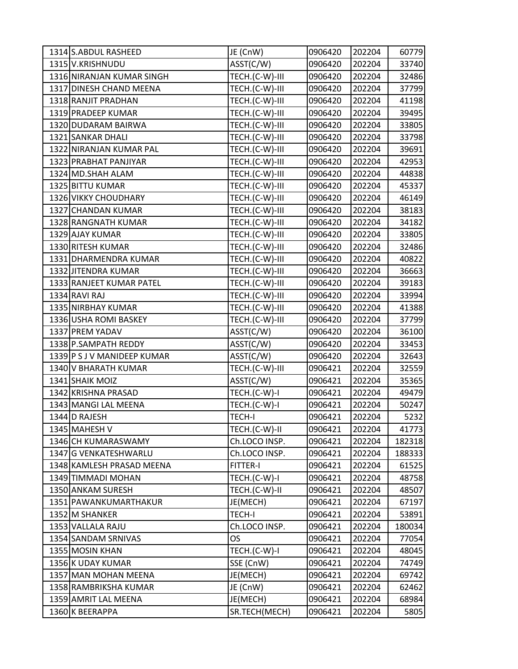| 1314 S.ABDUL RASHEED        | JE (CnW)       | 0906420 | 202204 | 60779  |
|-----------------------------|----------------|---------|--------|--------|
| 1315 V.KRISHNUDU            | ASST(C/W)      | 0906420 | 202204 | 33740  |
| 1316 NIRANJAN KUMAR SINGH   | TECH.(C-W)-III | 0906420 | 202204 | 32486  |
| 1317 DINESH CHAND MEENA     | TECH.(C-W)-III | 0906420 | 202204 | 37799  |
| 1318 RANJIT PRADHAN         | TECH.(C-W)-III | 0906420 | 202204 | 41198  |
| 1319 PRADEEP KUMAR          | TECH.(C-W)-III | 0906420 | 202204 | 39495  |
| 1320 DUDARAM BAIRWA         | TECH.(C-W)-III | 0906420 | 202204 | 33805  |
| 1321 SANKAR DHALI           | TECH.(C-W)-III | 0906420 | 202204 | 33798  |
| 1322 NIRANJAN KUMAR PAL     | TECH.(C-W)-III | 0906420 | 202204 | 39691  |
| 1323 PRABHAT PANJIYAR       | TECH.(C-W)-III | 0906420 | 202204 | 42953  |
| 1324 MD.SHAH ALAM           | TECH.(C-W)-III | 0906420 | 202204 | 44838  |
| 1325 BITTU KUMAR            | TECH.(C-W)-III | 0906420 | 202204 | 45337  |
| 1326 VIKKY CHOUDHARY        | TECH.(C-W)-III | 0906420 | 202204 | 46149  |
| 1327 CHANDAN KUMAR          | TECH.(C-W)-III | 0906420 | 202204 | 38183  |
| 1328 RANGNATH KUMAR         | TECH.(C-W)-III | 0906420 | 202204 | 34182  |
| 1329 AJAY KUMAR             | TECH.(C-W)-III | 0906420 | 202204 | 33805  |
| 1330 RITESH KUMAR           | TECH.(C-W)-III | 0906420 | 202204 | 32486  |
| 1331 DHARMENDRA KUMAR       | TECH.(C-W)-III | 0906420 | 202204 | 40822  |
| 1332 JITENDRA KUMAR         | TECH.(C-W)-III | 0906420 | 202204 | 36663  |
| 1333 RANJEET KUMAR PATEL    | TECH.(C-W)-III | 0906420 | 202204 | 39183  |
| 1334 RAVI RAJ               | TECH.(C-W)-III | 0906420 | 202204 | 33994  |
| 1335 NIRBHAY KUMAR          | TECH.(C-W)-III | 0906420 | 202204 | 41388  |
| 1336 USHA ROMI BASKEY       | TECH.(C-W)-III | 0906420 | 202204 | 37799  |
| 1337 PREM YADAV             | ASST(C/W)      | 0906420 | 202204 | 36100  |
| 1338 P.SAMPATH REDDY        | ASST(C/W)      | 0906420 | 202204 | 33453  |
| 1339 P S J V MANIDEEP KUMAR | ASST(C/W)      | 0906420 | 202204 | 32643  |
| 1340 V BHARATH KUMAR        | TECH.(C-W)-III | 0906421 | 202204 | 32559  |
| 1341 SHAIK MOIZ             | ASST(C/W)      | 0906421 | 202204 | 35365  |
| 1342 KRISHNA PRASAD         | TECH.(C-W)-I   | 0906421 | 202204 | 49479  |
| 1343 MANGI LAL MEENA        | TECH.(C-W)-I   | 0906421 | 202204 | 50247  |
| 1344 D RAJESH               | <b>TECH-I</b>  | 0906421 | 202204 | 5232   |
| 1345 MAHESH V               | TECH.(C-W)-II  | 0906421 | 202204 | 41773  |
| 1346 CH KUMARASWAMY         | Ch.LOCO INSP.  | 0906421 | 202204 | 182318 |
| 1347 G VENKATESHWARLU       | Ch.LOCO INSP.  | 0906421 | 202204 | 188333 |
| 1348 KAMLESH PRASAD MEENA   | FITTER-I       | 0906421 | 202204 | 61525  |
| 1349 TIMMADI MOHAN          | TECH.(C-W)-I   | 0906421 | 202204 | 48758  |
| 1350 ANKAM SURESH           | TECH.(C-W)-II  | 0906421 | 202204 | 48507  |
| 1351 PAWANKUMARTHAKUR       | JE(MECH)       | 0906421 | 202204 | 67197  |
| 1352 M SHANKER              | <b>TECH-I</b>  | 0906421 | 202204 | 53891  |
| 1353 VALLALA RAJU           | Ch.LOCO INSP.  | 0906421 | 202204 | 180034 |
| 1354 SANDAM SRNIVAS         | <b>OS</b>      | 0906421 | 202204 | 77054  |
| 1355 MOSIN KHAN             | TECH.(C-W)-I   | 0906421 | 202204 | 48045  |
| 1356 K UDAY KUMAR           | SSE (CnW)      | 0906421 | 202204 | 74749  |
| 1357 MAN MOHAN MEENA        | JE(MECH)       | 0906421 | 202204 | 69742  |
| 1358 RAMBRIKSHA KUMAR       | JE (CnW)       | 0906421 | 202204 | 62462  |
| 1359 AMRIT LAL MEENA        | JE(MECH)       | 0906421 | 202204 | 68984  |
| 1360 K BEERAPPA             | SR.TECH(MECH)  | 0906421 | 202204 | 5805   |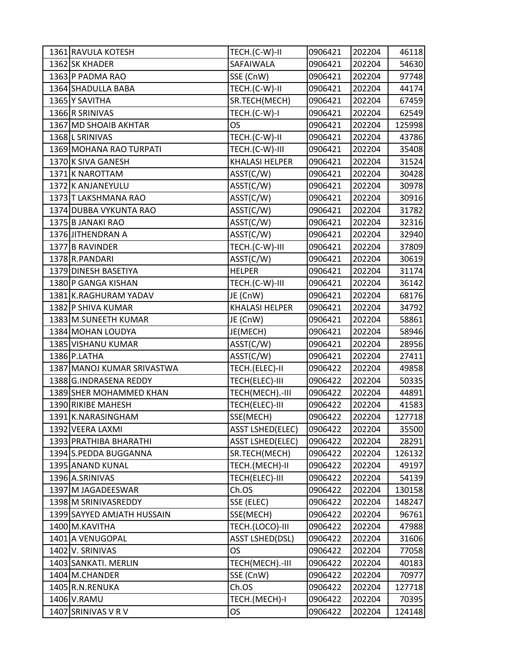| 1361 RAVULA KOTESH         | TECH.(C-W)-II           | 0906421 | 202204 | 46118  |
|----------------------------|-------------------------|---------|--------|--------|
| 1362 SK KHADER             | SAFAIWALA               | 0906421 | 202204 | 54630  |
| 1363 P PADMA RAO           | SSE (CnW)               | 0906421 | 202204 | 97748  |
| 1364 SHADULLA BABA         | TECH.(C-W)-II           | 0906421 | 202204 | 44174  |
| 1365 Y SAVITHA             | SR.TECH(MECH)           | 0906421 | 202204 | 67459  |
| 1366 R SRINIVAS            | TECH.(C-W)-I            | 0906421 | 202204 | 62549  |
| 1367 MD SHOAIB AKHTAR      | <b>OS</b>               | 0906421 | 202204 | 125998 |
| 1368 L SRINIVAS            | TECH.(C-W)-II           | 0906421 | 202204 | 43786  |
| 1369 MOHANA RAO TURPATI    | TECH.(C-W)-III          | 0906421 | 202204 | 35408  |
| 1370 K SIVA GANESH         | <b>KHALASI HELPER</b>   | 0906421 | 202204 | 31524  |
| 1371 K NAROTTAM            | ASST(C/W)               | 0906421 | 202204 | 30428  |
| 1372 K ANJANEYULU          | ASST(C/W)               | 0906421 | 202204 | 30978  |
| 1373 T LAKSHMANA RAO       | ASST(C/W)               | 0906421 | 202204 | 30916  |
| 1374 DUBBA VYKUNTA RAO     | ASST(C/W)               | 0906421 | 202204 | 31782  |
| 1375 B JANAKI RAO          | ASST(C/W)               | 0906421 | 202204 | 32316  |
| 1376 JITHENDRAN A          | ASST(C/W)               | 0906421 | 202204 | 32940  |
| 1377 B RAVINDER            | TECH.(C-W)-III          | 0906421 | 202204 | 37809  |
| 1378 R.PANDARI             | ASST(C/W)               | 0906421 | 202204 | 30619  |
| 1379 DINESH BASETIYA       | <b>HELPER</b>           | 0906421 | 202204 | 31174  |
| 1380 P GANGA KISHAN        | TECH.(C-W)-III          | 0906421 | 202204 | 36142  |
| 1381 K.RAGHURAM YADAV      | JE (CnW)                | 0906421 | 202204 | 68176  |
| 1382 P SHIVA KUMAR         | <b>KHALASI HELPER</b>   | 0906421 | 202204 | 34792  |
| 1383 M.SUNEETH KUMAR       | JE (CnW)                | 0906421 | 202204 | 58861  |
| 1384 MOHAN LOUDYA          | JE(MECH)                | 0906421 | 202204 | 58946  |
| 1385 VISHANU KUMAR         | ASST(C/W)               | 0906421 | 202204 | 28956  |
| 1386 P.LATHA               | ASST(C/W)               | 0906421 | 202204 | 27411  |
| 1387 MANOJ KUMAR SRIVASTWA | TECH.(ELEC)-II          | 0906422 | 202204 | 49858  |
| 1388 G.INDRASENA REDDY     | TECH(ELEC)-III          | 0906422 | 202204 | 50335  |
| 1389 SHER MOHAMMED KHAN    | TECH(MECH) .- III       | 0906422 | 202204 | 44891  |
| 1390 RIKIBE MAHESH         | TECH(ELEC)-III          | 0906422 | 202204 | 41583  |
| 1391 K.NARASINGHAM         | SSE(MECH)               | 0906422 | 202204 | 127718 |
| 1392 VEERA LAXMI           | <b>ASST LSHED(ELEC)</b> | 0906422 | 202204 | 35500  |
| 1393 PRATHIBA BHARATHI     | <b>ASST LSHED(ELEC)</b> | 0906422 | 202204 | 28291  |
| 1394 S.PEDDA BUGGANNA      | SR.TECH(MECH)           | 0906422 | 202204 | 126132 |
| 1395 ANAND KUNAL           | TECH.(MECH)-II          | 0906422 | 202204 | 49197  |
| 1396 A.SRINIVAS            | TECH(ELEC)-III          | 0906422 | 202204 | 54139  |
| 1397 M JAGADEESWAR         | Ch.OS                   | 0906422 | 202204 | 130158 |
| 1398 M SRINIVASREDDY       | SSE (ELEC)              | 0906422 | 202204 | 148247 |
| 1399 SAYYED AMJATH HUSSAIN | SSE(MECH)               | 0906422 | 202204 | 96761  |
| 1400 M.KAVITHA             | TECH.(LOCO)-III         | 0906422 | 202204 | 47988  |
| 1401 A VENUGOPAL           | <b>ASST LSHED(DSL)</b>  | 0906422 | 202204 | 31606  |
| 1402 V. SRINIVAS           | <b>OS</b>               | 0906422 | 202204 | 77058  |
| 1403 SANKATI. MERLIN       | TECH(MECH) .- III       | 0906422 | 202204 | 40183  |
| 1404 M.CHANDER             | SSE (CnW)               | 0906422 | 202204 | 70977  |
| 1405 R.N.RENUKA            | Ch.OS                   | 0906422 | 202204 | 127718 |
| 1406 V.RAMU                | TECH.(MECH)-I           | 0906422 | 202204 | 70395  |
| 1407 SRINIVAS V R V        | OS                      | 0906422 | 202204 | 124148 |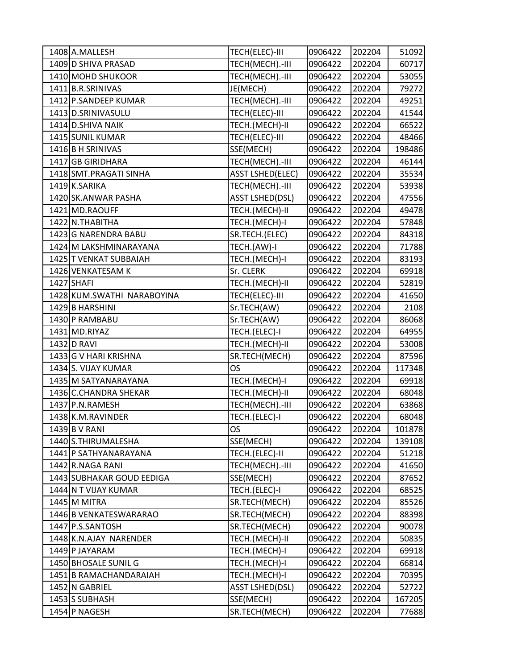| 1408 A.MALLESH             | TECH(ELEC)-III          | 0906422 | 202204 | 51092  |
|----------------------------|-------------------------|---------|--------|--------|
| 1409 D SHIVA PRASAD        | TECH(MECH) .- III       | 0906422 | 202204 | 60717  |
| 1410 MOHD SHUKOOR          | TECH(MECH) .- III       | 0906422 | 202204 | 53055  |
| 1411 B.R.SRINIVAS          | JE(MECH)                | 0906422 | 202204 | 79272  |
| 1412 P.SANDEEP KUMAR       | TECH(MECH).-III         | 0906422 | 202204 | 49251  |
| 1413 D.SRINIVASULU         | TECH(ELEC)-III          | 0906422 | 202204 | 41544  |
| 1414 D.SHIVA NAIK          | TECH.(MECH)-II          | 0906422 | 202204 | 66522  |
| 1415 SUNIL KUMAR           | TECH(ELEC)-III          | 0906422 | 202204 | 48466  |
| 1416 B H SRINIVAS          | SSE(MECH)               | 0906422 | 202204 | 198486 |
| 1417 GB GIRIDHARA          | TECH(MECH).-III         | 0906422 | 202204 | 46144  |
| 1418 SMT.PRAGATI SINHA     | <b>ASST LSHED(ELEC)</b> | 0906422 | 202204 | 35534  |
| 1419 K.SARIKA              | TECH(MECH) .- III       | 0906422 | 202204 | 53938  |
| 1420 SK.ANWAR PASHA        | <b>ASST LSHED(DSL)</b>  | 0906422 | 202204 | 47556  |
| 1421 MD.RAOUFF             | TECH.(MECH)-II          | 0906422 | 202204 | 49478  |
| 1422 N.THABITHA            | TECH.(MECH)-I           | 0906422 | 202204 | 57848  |
| 1423 G NARENDRA BABU       | SR.TECH.(ELEC)          | 0906422 | 202204 | 84318  |
| 1424 M LAKSHMINARAYANA     | TECH.(AW)-I             | 0906422 | 202204 | 71788  |
| 1425 T VENKAT SUBBAIAH     | TECH.(MECH)-I           | 0906422 | 202204 | 83193  |
| 1426 VENKATESAM K          | Sr. CLERK               | 0906422 | 202204 | 69918  |
| 1427 SHAFI                 | TECH.(MECH)-II          | 0906422 | 202204 | 52819  |
| 1428 KUM.SWATHI NARABOYINA | TECH(ELEC)-III          | 0906422 | 202204 | 41650  |
| 1429 B HARSHINI            | Sr.TECH(AW)             | 0906422 | 202204 | 2108   |
| 1430 P RAMBABU             | Sr.TECH(AW)             | 0906422 | 202204 | 86068  |
| 1431 MD.RIYAZ              | TECH.(ELEC)-I           | 0906422 | 202204 | 64955  |
| 1432 D RAVI                | TECH.(MECH)-II          | 0906422 | 202204 | 53008  |
| 1433 G V HARI KRISHNA      | SR.TECH(MECH)           | 0906422 | 202204 | 87596  |
| 1434 S. VIJAY KUMAR        | <b>OS</b>               | 0906422 | 202204 | 117348 |
| 1435 M SATYANARAYANA       | TECH.(MECH)-I           | 0906422 | 202204 | 69918  |
| 1436 C.CHANDRA SHEKAR      | TECH.(MECH)-II          | 0906422 | 202204 | 68048  |
| 1437 P.N.RAMESH            | TECH(MECH) .- III       | 0906422 | 202204 | 63868  |
| 1438 K.M.RAVINDER          | TECH.(ELEC)-I           | 0906422 | 202204 | 68048  |
| 1439 B V RANI              | <b>OS</b>               | 0906422 | 202204 | 101878 |
| 1440 S.THIRUMALESHA        | SSE(MECH)               | 0906422 | 202204 | 139108 |
| 1441 P SATHYANARAYANA      | TECH.(ELEC)-II          | 0906422 | 202204 | 51218  |
| 1442 R.NAGA RANI           | TECH(MECH).-III         | 0906422 | 202204 | 41650  |
| 1443 SUBHAKAR GOUD EEDIGA  | SSE(MECH)               | 0906422 | 202204 | 87652  |
| 1444 N T VIJAY KUMAR       | TECH.(ELEC)-I           | 0906422 | 202204 | 68525  |
| 1445 M MITRA               | SR.TECH(MECH)           | 0906422 | 202204 | 85526  |
| 1446 B VENKATESWARARAO     | SR.TECH(MECH)           | 0906422 | 202204 | 88398  |
| 1447 P.S.SANTOSH           | SR.TECH(MECH)           | 0906422 | 202204 | 90078  |
| 1448 K.N.AJAY NARENDER     | TECH.(MECH)-II          | 0906422 | 202204 | 50835  |
| 1449 P JAYARAM             | TECH.(MECH)-I           | 0906422 | 202204 | 69918  |
| 1450 BHOSALE SUNIL G       | TECH.(MECH)-I           | 0906422 | 202204 | 66814  |
| 1451 B RAMACHANDARAIAH     | TECH.(MECH)-I           | 0906422 | 202204 | 70395  |
| 1452 N GABRIEL             | <b>ASST LSHED(DSL)</b>  | 0906422 | 202204 | 52722  |
| 1453 SUBHASH               | SSE(MECH)               | 0906422 | 202204 | 167205 |
| 1454 P NAGESH              | SR.TECH(MECH)           | 0906422 | 202204 | 77688  |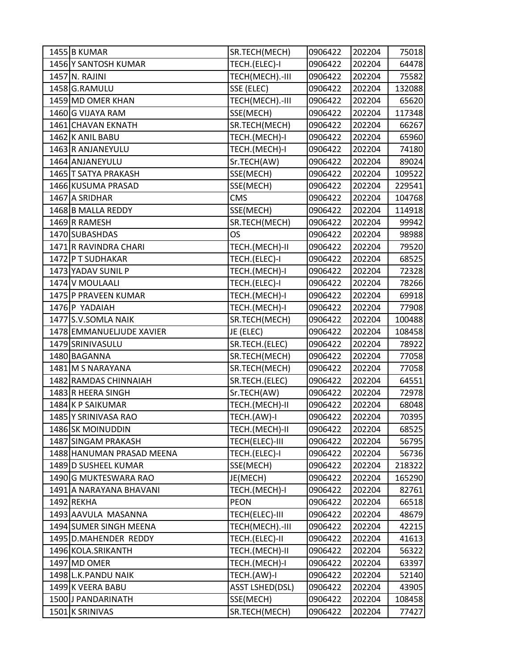| 1455 B KUMAR              | SR.TECH(MECH)          | 0906422 | 202204 | 75018  |
|---------------------------|------------------------|---------|--------|--------|
| 1456 Y SANTOSH KUMAR      | TECH.(ELEC)-I          | 0906422 | 202204 | 64478  |
| 1457 N. RAJINI            | TECH(MECH) .- III      | 0906422 | 202204 | 75582  |
| 1458 G.RAMULU             | SSE (ELEC)             | 0906422 | 202204 | 132088 |
| 1459 MD OMER KHAN         | TECH(MECH) .- III      | 0906422 | 202204 | 65620  |
| 1460 G VIJAYA RAM         | SSE(MECH)              | 0906422 | 202204 | 117348 |
| 1461 CHAVAN EKNATH        | SR.TECH(MECH)          | 0906422 | 202204 | 66267  |
| 1462 K ANIL BABU          | TECH.(MECH)-I          | 0906422 | 202204 | 65960  |
| 1463 R ANJANEYULU         | TECH.(MECH)-I          | 0906422 | 202204 | 74180  |
| 1464 ANJANEYULU           | Sr.TECH(AW)            | 0906422 | 202204 | 89024  |
| 1465 T SATYA PRAKASH      | SSE(MECH)              | 0906422 | 202204 | 109522 |
| 1466 KUSUMA PRASAD        | SSE(MECH)              | 0906422 | 202204 | 229541 |
| 1467 A SRIDHAR            | <b>CMS</b>             | 0906422 | 202204 | 104768 |
| 1468 B MALLA REDDY        | SSE(MECH)              | 0906422 | 202204 | 114918 |
| 1469 R RAMESH             | SR.TECH(MECH)          | 0906422 | 202204 | 99942  |
| 1470 SUBASHDAS            | OS                     | 0906422 | 202204 | 98988  |
| 1471 R RAVINDRA CHARI     | TECH.(MECH)-II         | 0906422 | 202204 | 79520  |
| 1472 P T SUDHAKAR         | TECH.(ELEC)-I          | 0906422 | 202204 | 68525  |
| 1473 YADAV SUNIL P        | TECH.(MECH)-I          | 0906422 | 202204 | 72328  |
| 1474 V MOULAALI           | TECH.(ELEC)-I          | 0906422 | 202204 | 78266  |
| 1475 P PRAVEEN KUMAR      | TECH.(MECH)-I          | 0906422 | 202204 | 69918  |
| 1476 P YADAIAH            | TECH.(MECH)-I          | 0906422 | 202204 | 77908  |
| 1477 S.V.SOMLA NAIK       | SR.TECH(MECH)          | 0906422 | 202204 | 100488 |
| 1478 EMMANUELJUDE XAVIER  | JE (ELEC)              | 0906422 | 202204 | 108458 |
| 1479 SRINIVASULU          | SR.TECH.(ELEC)         | 0906422 | 202204 | 78922  |
| 1480 BAGANNA              | SR.TECH(MECH)          | 0906422 | 202204 | 77058  |
| 1481 M S NARAYANA         | SR.TECH(MECH)          | 0906422 | 202204 | 77058  |
| 1482 RAMDAS CHINNAIAH     | SR.TECH.(ELEC)         | 0906422 | 202204 | 64551  |
| 1483 R HEERA SINGH        | Sr.TECH(AW)            | 0906422 | 202204 | 72978  |
| 1484 K P SAIKUMAR         | TECH.(MECH)-II         | 0906422 | 202204 | 68048  |
| 1485 Y SRINIVASA RAO      | TECH.(AW)-I            | 0906422 | 202204 | 70395  |
| 1486 SK MOINUDDIN         | TECH.(MECH)-II         | 0906422 | 202204 | 68525  |
| 1487 SINGAM PRAKASH       | TECH(ELEC)-III         | 0906422 | 202204 | 56795  |
| 1488 HANUMAN PRASAD MEENA | TECH.(ELEC)-I          | 0906422 | 202204 | 56736  |
| 1489 D SUSHEEL KUMAR      | SSE(MECH)              | 0906422 | 202204 | 218322 |
| 1490 G MUKTESWARA RAO     | JE(MECH)               | 0906422 | 202204 | 165290 |
| 1491   A NARAYANA BHAVANI | TECH.(MECH)-I          | 0906422 | 202204 | 82761  |
| 1492 REKHA                | <b>PEON</b>            | 0906422 | 202204 | 66518  |
| 1493 AAVULA MASANNA       | TECH(ELEC)-III         | 0906422 | 202204 | 48679  |
| 1494 SUMER SINGH MEENA    | TECH(MECH) .- III      | 0906422 | 202204 | 42215  |
| 1495 D.MAHENDER REDDY     | TECH.(ELEC)-II         | 0906422 | 202204 | 41613  |
| 1496 KOLA.SRIKANTH        | TECH.(MECH)-II         | 0906422 | 202204 | 56322  |
| 1497 MD OMER              | TECH.(MECH)-I          | 0906422 | 202204 | 63397  |
| 1498 L.K. PANDU NAIK      | TECH.(AW)-I            | 0906422 | 202204 | 52140  |
| 1499 K VEERA BABU         | <b>ASST LSHED(DSL)</b> | 0906422 | 202204 | 43905  |
| 1500 J PANDARINATH        | SSE(MECH)              | 0906422 | 202204 | 108458 |
| 1501 K SRINIVAS           | SR.TECH(MECH)          | 0906422 | 202204 | 77427  |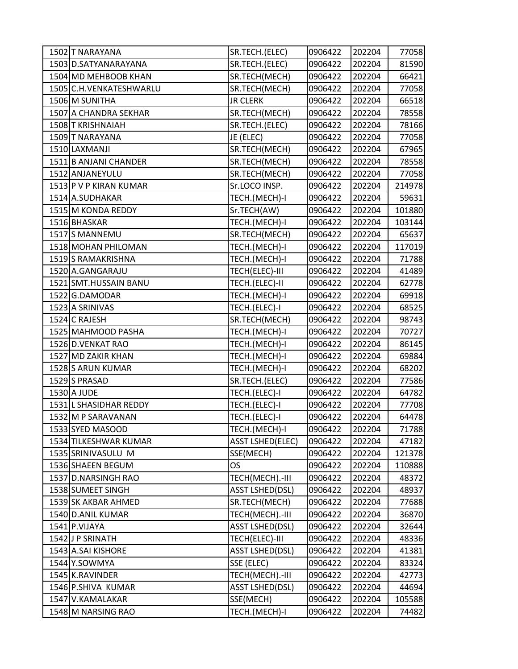| 1502 T NARAYANA          | SR.TECH.(ELEC)          | 0906422 | 202204 | 77058  |
|--------------------------|-------------------------|---------|--------|--------|
| 1503 D.SATYANARAYANA     | SR.TECH.(ELEC)          | 0906422 | 202204 | 81590  |
| 1504 MD MEHBOOB KHAN     | SR.TECH(MECH)           | 0906422 | 202204 | 66421  |
| 1505 C.H. VENKATESHWARLU | SR.TECH(MECH)           | 0906422 | 202204 | 77058  |
| 1506 M SUNITHA           | <b>JR CLERK</b>         | 0906422 | 202204 | 66518  |
| 1507 A CHANDRA SEKHAR    | SR.TECH(MECH)           | 0906422 | 202204 | 78558  |
| 1508 T KRISHNAIAH        | SR.TECH.(ELEC)          | 0906422 | 202204 | 78166  |
| 1509 T NARAYANA          | JE (ELEC)               | 0906422 | 202204 | 77058  |
| 1510 LAXMANJI            | SR.TECH(MECH)           | 0906422 | 202204 | 67965  |
| 1511 B ANJANI CHANDER    | SR.TECH(MECH)           | 0906422 | 202204 | 78558  |
| 1512 ANJANEYULU          | SR.TECH(MECH)           | 0906422 | 202204 | 77058  |
| 1513 P V P KIRAN KUMAR   | Sr.LOCO INSP.           | 0906422 | 202204 | 214978 |
| 1514 A.SUDHAKAR          | TECH.(MECH)-I           | 0906422 | 202204 | 59631  |
| 1515 M KONDA REDDY       | Sr.TECH(AW)             | 0906422 | 202204 | 101880 |
| 1516 BHASKAR             | TECH.(MECH)-I           | 0906422 | 202204 | 103144 |
| 1517 S MANNEMU           | SR.TECH(MECH)           | 0906422 | 202204 | 65637  |
| 1518 MOHAN PHILOMAN      | TECH.(MECH)-I           | 0906422 | 202204 | 117019 |
| 1519 S RAMAKRISHNA       | TECH.(MECH)-I           | 0906422 | 202204 | 71788  |
| 1520 A.GANGARAJU         | TECH(ELEC)-III          | 0906422 | 202204 | 41489  |
| 1521 SMT.HUSSAIN BANU    | TECH.(ELEC)-II          | 0906422 | 202204 | 62778  |
| 1522 G.DAMODAR           | TECH.(MECH)-I           | 0906422 | 202204 | 69918  |
| 1523 A SRINIVAS          | TECH.(ELEC)-I           | 0906422 | 202204 | 68525  |
| 1524 C RAJESH            | SR.TECH(MECH)           | 0906422 | 202204 | 98743  |
| 1525 MAHMOOD PASHA       | TECH.(MECH)-I           | 0906422 | 202204 | 70727  |
| 1526 D. VENKAT RAO       | TECH.(MECH)-I           | 0906422 | 202204 | 86145  |
| 1527 MD ZAKIR KHAN       | TECH.(MECH)-I           | 0906422 | 202204 | 69884  |
| 1528 S ARUN KUMAR        | TECH.(MECH)-I           | 0906422 | 202204 | 68202  |
| 1529 S PRASAD            | SR.TECH.(ELEC)          | 0906422 | 202204 | 77586  |
| 1530 A JUDE              | TECH.(ELEC)-I           | 0906422 | 202204 | 64782  |
| 1531 L SHASIDHAR REDDY   | TECH.(ELEC)-I           | 0906422 | 202204 | 77708  |
| 1532 M P SARAVANAN       | TECH.(ELEC)-I           | 0906422 | 202204 | 64478  |
| 1533 SYED MASOOD         | TECH.(MECH)-I           | 0906422 | 202204 | 71788  |
| 1534 TILKESHWAR KUMAR    | <b>ASST LSHED(ELEC)</b> | 0906422 | 202204 | 47182  |
| 1535 SRINIVASULU M       | SSE(MECH)               | 0906422 | 202204 | 121378 |
| 1536 SHAEEN BEGUM        | <b>OS</b>               | 0906422 | 202204 | 110888 |
| 1537 D.NARSINGH RAO      | TECH(MECH).-III         | 0906422 | 202204 | 48372  |
| 1538 SUMEET SINGH        | <b>ASST LSHED(DSL)</b>  | 0906422 | 202204 | 48937  |
| 1539 SK AKBAR AHMED      | SR.TECH(MECH)           | 0906422 | 202204 | 77688  |
| 1540 D.ANIL KUMAR        | TECH(MECH) .- III       | 0906422 | 202204 | 36870  |
| 1541 P.VIJAYA            | <b>ASST LSHED(DSL)</b>  | 0906422 | 202204 | 32644  |
| 1542 J P SRINATH         | TECH(ELEC)-III          | 0906422 | 202204 | 48336  |
| 1543 A.SAI KISHORE       | <b>ASST LSHED(DSL)</b>  | 0906422 | 202204 | 41381  |
| 1544 Y.SOWMYA            | SSE (ELEC)              | 0906422 | 202204 | 83324  |
| 1545 K.RAVINDER          | TECH(MECH) .- III       | 0906422 | 202204 | 42773  |
| 1546 P.SHIVA KUMAR       | <b>ASST LSHED(DSL)</b>  | 0906422 | 202204 | 44694  |
| 1547 V.KAMALAKAR         | SSE(MECH)               | 0906422 | 202204 | 105588 |
| 1548 M NARSING RAO       | TECH.(MECH)-I           | 0906422 | 202204 | 74482  |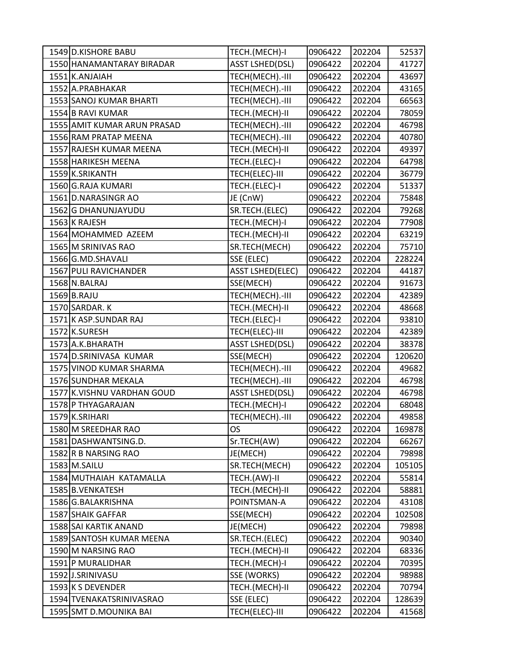| 1549 D.KISHORE BABU         | TECH.(MECH)-I           | 0906422 | 202204 | 52537  |
|-----------------------------|-------------------------|---------|--------|--------|
| 1550 HANAMANTARAY BIRADAR   | <b>ASST LSHED(DSL)</b>  | 0906422 | 202204 | 41727  |
| 1551 K.ANJAIAH              | TECH(MECH) .- III       | 0906422 | 202204 | 43697  |
| 1552 A.PRABHAKAR            | TECH(MECH) .- III       | 0906422 | 202204 | 43165  |
| 1553 SANOJ KUMAR BHARTI     | TECH(MECH).-III         | 0906422 | 202204 | 66563  |
| 1554 B RAVI KUMAR           | TECH.(MECH)-II          | 0906422 | 202204 | 78059  |
| 1555 AMIT KUMAR ARUN PRASAD | TECH(MECH) .- III       | 0906422 | 202204 | 46798  |
| 1556 RAM PRATAP MEENA       | TECH(MECH).-III         | 0906422 | 202204 | 40780  |
| 1557 RAJESH KUMAR MEENA     | TECH.(MECH)-II          | 0906422 | 202204 | 49397  |
| 1558 HARIKESH MEENA         | TECH.(ELEC)-I           | 0906422 | 202204 | 64798  |
| 1559 K.SRIKANTH             | TECH(ELEC)-III          | 0906422 | 202204 | 36779  |
| 1560 G.RAJA KUMARI          | TECH.(ELEC)-I           | 0906422 | 202204 | 51337  |
| 1561 D.NARASINGR AO         | JE (CnW)                | 0906422 | 202204 | 75848  |
| 1562 G DHANUNJAYUDU         | SR.TECH.(ELEC)          | 0906422 | 202204 | 79268  |
| 1563 K RAJESH               | TECH.(MECH)-I           | 0906422 | 202204 | 77908  |
| 1564 MOHAMMED AZEEM         | TECH.(MECH)-II          | 0906422 | 202204 | 63219  |
| 1565 M SRINIVAS RAO         | SR.TECH(MECH)           | 0906422 | 202204 | 75710  |
| 1566 G.MD.SHAVALI           | SSE (ELEC)              | 0906422 | 202204 | 228224 |
| 1567 PULI RAVICHANDER       | <b>ASST LSHED(ELEC)</b> | 0906422 | 202204 | 44187  |
| 1568 N.BALRAJ               | SSE(MECH)               | 0906422 | 202204 | 91673  |
| 1569 B.RAJU                 | TECH(MECH) .- III       | 0906422 | 202204 | 42389  |
| 1570 SARDAR. K              | TECH.(MECH)-II          | 0906422 | 202204 | 48668  |
| 1571 K ASP.SUNDAR RAJ       | TECH.(ELEC)-I           | 0906422 | 202204 | 93810  |
| 1572 K.SURESH               | TECH(ELEC)-III          | 0906422 | 202204 | 42389  |
| 1573 A.K.BHARATH            | <b>ASST LSHED(DSL)</b>  | 0906422 | 202204 | 38378  |
| 1574 D.SRINIVASA KUMAR      | SSE(MECH)               | 0906422 | 202204 | 120620 |
| 1575 VINOD KUMAR SHARMA     | TECH(MECH).-III         | 0906422 | 202204 | 49682  |
| 1576 SUNDHAR MEKALA         | TECH(MECH) .- III       | 0906422 | 202204 | 46798  |
| 1577 K.VISHNU VARDHAN GOUD  | <b>ASST LSHED(DSL)</b>  | 0906422 | 202204 | 46798  |
| 1578 P THYAGARAJAN          | TECH.(MECH)-I           | 0906422 | 202204 | 68048  |
| 1579 K.SRIHARI              | TECH(MECH).-III         | 0906422 | 202204 | 49858  |
| 1580 M SREEDHAR RAO         | <b>OS</b>               | 0906422 | 202204 | 169878 |
| 1581 DASHWANTSING.D.        | Sr.TECH(AW)             | 0906422 | 202204 | 66267  |
| 1582 R B NARSING RAO        | JE(MECH)                | 0906422 | 202204 | 79898  |
| 1583 M.SAILU                | SR.TECH(MECH)           | 0906422 | 202204 | 105105 |
| 1584 MUTHAIAH KATAMALLA     | TECH.(AW)-II            | 0906422 | 202204 | 55814  |
| 1585 B.VENKATESH            | TECH.(MECH)-II          | 0906422 | 202204 | 58881  |
| 1586 G.BALAKRISHNA          | POINTSMAN-A             | 0906422 | 202204 | 43108  |
| 1587 SHAIK GAFFAR           | SSE(MECH)               | 0906422 | 202204 | 102508 |
| 1588 SAI KARTIK ANAND       | JE(MECH)                | 0906422 | 202204 | 79898  |
| 1589 SANTOSH KUMAR MEENA    | SR.TECH.(ELEC)          | 0906422 | 202204 | 90340  |
| 1590 M NARSING RAO          | TECH.(MECH)-II          | 0906422 | 202204 | 68336  |
| 1591 P MURALIDHAR           | TECH.(MECH)-I           | 0906422 | 202204 | 70395  |
| 1592 J.SRINIVASU            | SSE (WORKS)             | 0906422 | 202204 | 98988  |
| 1593 K S DEVENDER           | TECH.(MECH)-II          | 0906422 | 202204 | 70794  |
| 1594 TVENAKATSRINIVASRAO    | SSE (ELEC)              | 0906422 | 202204 | 128639 |
| 1595 SMT D.MOUNIKA BAI      | TECH(ELEC)-III          | 0906422 | 202204 | 41568  |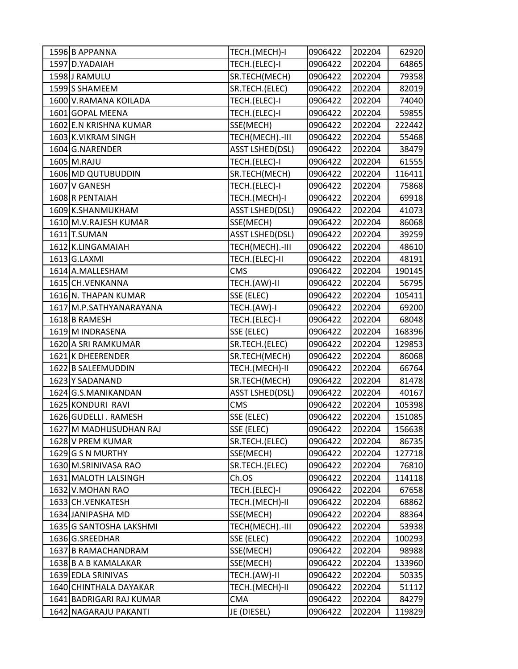| 1596 B APPANNA           | TECH.(MECH)-I          | 0906422 | 202204 | 62920  |
|--------------------------|------------------------|---------|--------|--------|
| 1597 D.YADAIAH           | TECH.(ELEC)-I          | 0906422 | 202204 | 64865  |
| 1598 J RAMULU            | SR.TECH(MECH)          | 0906422 | 202204 | 79358  |
| 1599 S SHAMEEM           | SR.TECH.(ELEC)         | 0906422 | 202204 | 82019  |
| 1600 V.RAMANA KOILADA    | TECH.(ELEC)-I          | 0906422 | 202204 | 74040  |
| 1601 GOPAL MEENA         | TECH.(ELEC)-I          | 0906422 | 202204 | 59855  |
| 1602 E.N KRISHNA KUMAR   | SSE(MECH)              | 0906422 | 202204 | 222442 |
| 1603 K.VIKRAM SINGH      | TECH(MECH) .- III      | 0906422 | 202204 | 55468  |
| 1604 G.NARENDER          | <b>ASST LSHED(DSL)</b> | 0906422 | 202204 | 38479  |
| 1605 M.RAJU              | TECH.(ELEC)-I          | 0906422 | 202204 | 61555  |
| 1606 MD QUTUBUDDIN       | SR.TECH(MECH)          | 0906422 | 202204 | 116411 |
| 1607 V GANESH            | TECH.(ELEC)-I          | 0906422 | 202204 | 75868  |
| 1608 R PENTAIAH          | TECH.(MECH)-I          | 0906422 | 202204 | 69918  |
| 1609 K.SHANMUKHAM        | <b>ASST LSHED(DSL)</b> | 0906422 | 202204 | 41073  |
| 1610 M.V.RAJESH KUMAR    | SSE(MECH)              | 0906422 | 202204 | 86068  |
| 1611 T.SUMAN             | <b>ASST LSHED(DSL)</b> | 0906422 | 202204 | 39259  |
| 1612 K.LINGAMAIAH        | TECH(MECH).-III        | 0906422 | 202204 | 48610  |
| 1613 G.LAXMI             | TECH.(ELEC)-II         | 0906422 | 202204 | 48191  |
| 1614 A.MALLESHAM         | <b>CMS</b>             | 0906422 | 202204 | 190145 |
| 1615 CH. VENKANNA        | TECH.(AW)-II           | 0906422 | 202204 | 56795  |
| 1616 N. THAPAN KUMAR     | SSE (ELEC)             | 0906422 | 202204 | 105411 |
| 1617 M.P.SATHYANARAYANA  | TECH.(AW)-I            | 0906422 | 202204 | 69200  |
| 1618 B RAMESH            | TECH.(ELEC)-I          | 0906422 | 202204 | 68048  |
| 1619 M INDRASENA         | SSE (ELEC)             | 0906422 | 202204 | 168396 |
| 1620 A SRI RAMKUMAR      | SR.TECH.(ELEC)         | 0906422 | 202204 | 129853 |
| 1621 K DHEERENDER        | SR.TECH(MECH)          | 0906422 | 202204 | 86068  |
| 1622 B SALEEMUDDIN       | TECH.(MECH)-II         | 0906422 | 202204 | 66764  |
| 1623 Y SADANAND          | SR.TECH(MECH)          | 0906422 | 202204 | 81478  |
| 1624 G.S.MANIKANDAN      | <b>ASST LSHED(DSL)</b> | 0906422 | 202204 | 40167  |
| 1625 KONDURI RAVI        | <b>CMS</b>             | 0906422 | 202204 | 105398 |
| 1626 GUDELLI . RAMESH    | SSE (ELEC)             | 0906422 | 202204 | 151085 |
| 1627 M MADHUSUDHAN RAJ   | SSE (ELEC)             | 0906422 | 202204 | 156638 |
| 1628 V PREM KUMAR        | SR.TECH.(ELEC)         | 0906422 | 202204 | 86735  |
| 1629 G S N MURTHY        | SSE(MECH)              | 0906422 | 202204 | 127718 |
| 1630 M.SRINIVASA RAO     | SR.TECH.(ELEC)         | 0906422 | 202204 | 76810  |
| 1631 MALOTH LALSINGH     | Ch.OS                  | 0906422 | 202204 | 114118 |
| 1632 V.MOHAN RAO         | TECH.(ELEC)-I          | 0906422 | 202204 | 67658  |
| 1633 CH. VENKATESH       | TECH.(MECH)-II         | 0906422 | 202204 | 68862  |
| 1634 JANIPASHA MD        | SSE(MECH)              | 0906422 | 202204 | 88364  |
| 1635 G SANTOSHA LAKSHMI  | TECH(MECH) .- III      | 0906422 | 202204 | 53938  |
| 1636 G.SREEDHAR          | SSE (ELEC)             | 0906422 | 202204 | 100293 |
| 1637 B RAMACHANDRAM      | SSE(MECH)              | 0906422 | 202204 | 98988  |
| 1638 B A B KAMALAKAR     | SSE(MECH)              | 0906422 | 202204 | 133960 |
| 1639 EDLA SRINIVAS       | TECH.(AW)-II           | 0906422 | 202204 | 50335  |
| 1640 CHINTHALA DAYAKAR   | TECH.(MECH)-II         | 0906422 | 202204 | 51112  |
| 1641 BADRIGARI RAJ KUMAR | <b>CMA</b>             | 0906422 | 202204 | 84279  |
| 1642 NAGARAJU PAKANTI    | JE (DIESEL)            | 0906422 | 202204 | 119829 |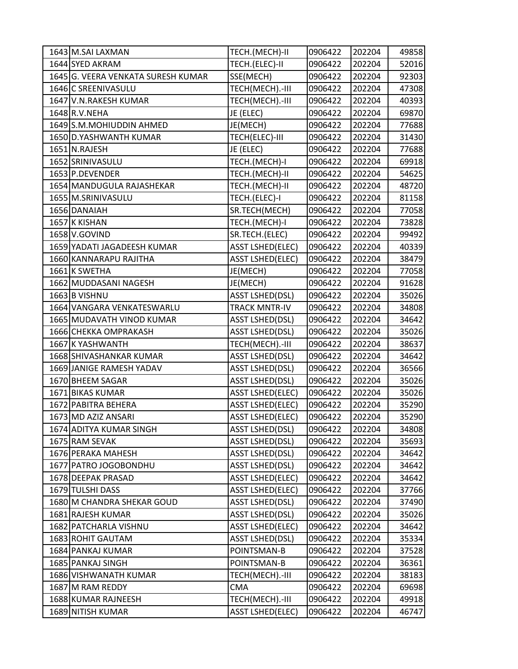| 1643 M.SAI LAXMAN                  | TECH.(MECH)-II          | 0906422 | 202204 | 49858 |
|------------------------------------|-------------------------|---------|--------|-------|
| 1644 SYED AKRAM                    | TECH.(ELEC)-II          | 0906422 | 202204 | 52016 |
| 1645 G. VEERA VENKATA SURESH KUMAR | SSE(MECH)               | 0906422 | 202204 | 92303 |
| 1646 C SREENIVASULU                | TECH(MECH) .- III       | 0906422 | 202204 | 47308 |
| 1647 V.N.RAKESH KUMAR              | TECH(MECH) .- III       | 0906422 | 202204 | 40393 |
| 1648 R.V. NEHA                     | JE (ELEC)               | 0906422 | 202204 | 69870 |
| 1649 S.M. MOHIUDDIN AHMED          | JE(MECH)                | 0906422 | 202204 | 77688 |
| 1650 D.YASHWANTH KUMAR             | TECH(ELEC)-III          | 0906422 | 202204 | 31430 |
| 1651 N.RAJESH                      | JE (ELEC)               | 0906422 | 202204 | 77688 |
| 1652 SRINIVASULU                   | TECH.(MECH)-I           | 0906422 | 202204 | 69918 |
| 1653 P.DEVENDER                    | TECH.(MECH)-II          | 0906422 | 202204 | 54625 |
| 1654 MANDUGULA RAJASHEKAR          | TECH.(MECH)-II          | 0906422 | 202204 | 48720 |
| 1655 M.SRINIVASULU                 | TECH.(ELEC)-I           | 0906422 | 202204 | 81158 |
| 1656 DANAIAH                       | SR.TECH(MECH)           | 0906422 | 202204 | 77058 |
| 1657 K KISHAN                      | TECH.(MECH)-I           | 0906422 | 202204 | 73828 |
| 1658 V.GOVIND                      | SR.TECH.(ELEC)          | 0906422 | 202204 | 99492 |
| 1659 YADATI JAGADEESH KUMAR        | <b>ASST LSHED(ELEC)</b> | 0906422 | 202204 | 40339 |
| 1660 KANNARAPU RAJITHA             | <b>ASST LSHED(ELEC)</b> | 0906422 | 202204 | 38479 |
| 1661 K SWETHA                      | JE(MECH)                | 0906422 | 202204 | 77058 |
| 1662 MUDDASANI NAGESH              | JE(MECH)                | 0906422 | 202204 | 91628 |
| 1663 B VISHNU                      | <b>ASST LSHED(DSL)</b>  | 0906422 | 202204 | 35026 |
| 1664 VANGARA VENKATESWARLU         | <b>TRACK MNTR-IV</b>    | 0906422 | 202204 | 34808 |
| 1665 MUDAVATH VINOD KUMAR          | <b>ASST LSHED(DSL)</b>  | 0906422 | 202204 | 34642 |
| 1666 CHEKKA OMPRAKASH              | <b>ASST LSHED(DSL)</b>  | 0906422 | 202204 | 35026 |
| 1667 K YASHWANTH                   | TECH(MECH) .- III       | 0906422 | 202204 | 38637 |
| 1668 SHIVASHANKAR KUMAR            | <b>ASST LSHED(DSL)</b>  | 0906422 | 202204 | 34642 |
| 1669 JANIGE RAMESH YADAV           | <b>ASST LSHED(DSL)</b>  | 0906422 | 202204 | 36566 |
| 1670 BHEEM SAGAR                   | <b>ASST LSHED(DSL)</b>  | 0906422 | 202204 | 35026 |
| 1671 BIKAS KUMAR                   | <b>ASST LSHED(ELEC)</b> | 0906422 | 202204 | 35026 |
| 1672 PABITRA BEHERA                | <b>ASST LSHED(ELEC)</b> | 0906422 | 202204 | 35290 |
| 1673 MD AZIZ ANSARI                | <b>ASST LSHED(ELEC)</b> | 0906422 | 202204 | 35290 |
| 1674 ADITYA KUMAR SINGH            | <b>ASST LSHED(DSL)</b>  | 0906422 | 202204 | 34808 |
| 1675 RAM SEVAK                     | <b>ASST LSHED(DSL)</b>  | 0906422 | 202204 | 35693 |
| 1676 PERAKA MAHESH                 | <b>ASST LSHED(DSL)</b>  | 0906422 | 202204 | 34642 |
| 1677 PATRO JOGOBONDHU              | <b>ASST LSHED(DSL)</b>  | 0906422 | 202204 | 34642 |
| 1678 DEEPAK PRASAD                 | <b>ASST LSHED(ELEC)</b> | 0906422 | 202204 | 34642 |
| 1679 TULSHI DASS                   | <b>ASST LSHED(ELEC)</b> | 0906422 | 202204 | 37766 |
| 1680 M CHANDRA SHEKAR GOUD         | <b>ASST LSHED(DSL)</b>  | 0906422 | 202204 | 37490 |
| 1681 RAJESH KUMAR                  | <b>ASST LSHED(DSL)</b>  | 0906422 | 202204 | 35026 |
| 1682 PATCHARLA VISHNU              | <b>ASST LSHED(ELEC)</b> | 0906422 | 202204 | 34642 |
| 1683 ROHIT GAUTAM                  | <b>ASST LSHED(DSL)</b>  | 0906422 | 202204 | 35334 |
| 1684 PANKAJ KUMAR                  | POINTSMAN-B             | 0906422 | 202204 | 37528 |
| 1685 PANKAJ SINGH                  | POINTSMAN-B             | 0906422 | 202204 | 36361 |
| 1686 VISHWANATH KUMAR              | TECH(MECH).-III         | 0906422 | 202204 | 38183 |
| 1687 M RAM REDDY                   | <b>CMA</b>              | 0906422 | 202204 | 69698 |
| 1688 KUMAR RAJNEESH                | TECH(MECH).-III         | 0906422 | 202204 | 49918 |
| 1689 NITISH KUMAR                  | <b>ASST LSHED(ELEC)</b> | 0906422 | 202204 | 46747 |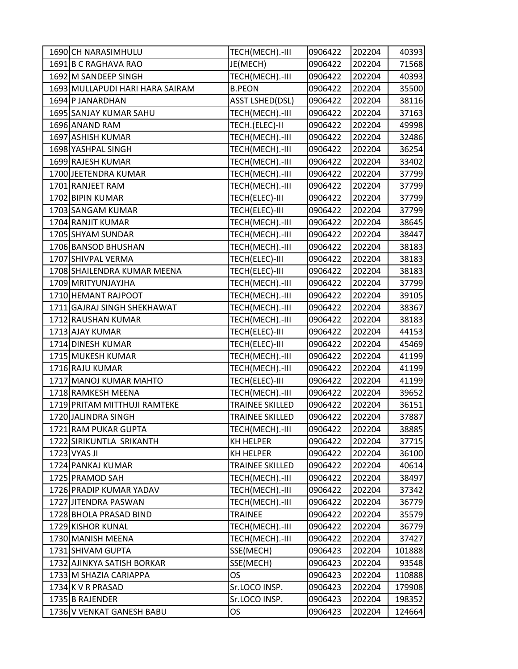| 1690 CH NARASIMHULU             | TECH(MECH).-III        | 0906422 | 202204 | 40393  |
|---------------------------------|------------------------|---------|--------|--------|
| 1691 B C RAGHAVA RAO            | JE(MECH)               | 0906422 | 202204 | 71568  |
| 1692 M SANDEEP SINGH            | TECH(MECH).-III        | 0906422 | 202204 | 40393  |
| 1693 MULLAPUDI HARI HARA SAIRAM | <b>B.PEON</b>          | 0906422 | 202204 | 35500  |
| 1694 P JANARDHAN                | <b>ASST LSHED(DSL)</b> | 0906422 | 202204 | 38116  |
| 1695 SANJAY KUMAR SAHU          | TECH(MECH).-III        | 0906422 | 202204 | 37163  |
| 1696 ANAND RAM                  | TECH.(ELEC)-II         | 0906422 | 202204 | 49998  |
| 1697 ASHISH KUMAR               | TECH(MECH) .- III      | 0906422 | 202204 | 32486  |
| 1698 YASHPAL SINGH              | TECH(MECH) .- III      | 0906422 | 202204 | 36254  |
| 1699 RAJESH KUMAR               | TECH(MECH) .- III      | 0906422 | 202204 | 33402  |
| 1700 JEETENDRA KUMAR            | TECH(MECH).-III        | 0906422 | 202204 | 37799  |
| 1701 RANJEET RAM                | TECH(MECH).-III        | 0906422 | 202204 | 37799  |
| 1702 BIPIN KUMAR                | TECH(ELEC)-III         | 0906422 | 202204 | 37799  |
| 1703 SANGAM KUMAR               | TECH(ELEC)-III         | 0906422 | 202204 | 37799  |
| 1704 RANJIT KUMAR               | TECH(MECH).-III        | 0906422 | 202204 | 38645  |
| 1705 SHYAM SUNDAR               | TECH(MECH).-III        | 0906422 | 202204 | 38447  |
| 1706 BANSOD BHUSHAN             | TECH(MECH) .- III      | 0906422 | 202204 | 38183  |
| 1707 SHIVPAL VERMA              | TECH(ELEC)-III         | 0906422 | 202204 | 38183  |
| 1708 SHAILENDRA KUMAR MEENA     | TECH(ELEC)-III         | 0906422 | 202204 | 38183  |
| 1709 MRITYUNJAYJHA              | TECH(MECH).-III        | 0906422 | 202204 | 37799  |
| 1710 HEMANT RAJPOOT             | TECH(MECH).-III        | 0906422 | 202204 | 39105  |
| 1711 GAJRAJ SINGH SHEKHAWAT     | TECH(MECH).-III        | 0906422 | 202204 | 38367  |
| 1712 RAUSHAN KUMAR              | TECH(MECH) .- III      | 0906422 | 202204 | 38183  |
| 1713 AJAY KUMAR                 | TECH(ELEC)-III         | 0906422 | 202204 | 44153  |
| 1714 DINESH KUMAR               | TECH(ELEC)-III         | 0906422 | 202204 | 45469  |
| 1715 MUKESH KUMAR               | TECH(MECH).-III        | 0906422 | 202204 | 41199  |
| 1716 RAJU KUMAR                 | TECH(MECH).-III        | 0906422 | 202204 | 41199  |
| 1717 MANOJ KUMAR MAHTO          | TECH(ELEC)-III         | 0906422 | 202204 | 41199  |
| 1718 RAMKESH MEENA              | TECH(MECH).-III        | 0906422 | 202204 | 39652  |
| 1719 PRITAM MITTHUJI RAMTEKE    | <b>TRAINEE SKILLED</b> | 0906422 | 202204 | 36151  |
| 1720 JALINDRA SINGH             | <b>TRAINEE SKILLED</b> | 0906422 | 202204 | 37887  |
| 1721 RAM PUKAR GUPTA            | TECH(MECH).-III        | 0906422 | 202204 | 38885  |
| 1722 SIRIKUNTLA SRIKANTH        | KH HELPER              | 0906422 | 202204 | 37715  |
| 1723 VYAS JI                    | KH HELPER              | 0906422 | 202204 | 36100  |
| 1724 PANKAJ KUMAR               | <b>TRAINEE SKILLED</b> | 0906422 | 202204 | 40614  |
| 1725 PRAMOD SAH                 | TECH(MECH).-III        | 0906422 | 202204 | 38497  |
| 1726 PRADIP KUMAR YADAV         | TECH(MECH).-III        | 0906422 | 202204 | 37342  |
| 1727 JITENDRA PASWAN            | TECH(MECH) .- III      | 0906422 | 202204 | 36779  |
| 1728 BHOLA PRASAD BIND          | <b>TRAINEE</b>         | 0906422 | 202204 | 35579  |
| 1729 KISHOR KUNAL               | TECH(MECH) .- III      | 0906422 | 202204 | 36779  |
| 1730 MANISH MEENA               | TECH(MECH).-III        | 0906422 | 202204 | 37427  |
| 1731 SHIVAM GUPTA               | SSE(MECH)              | 0906423 | 202204 | 101888 |
| 1732 AJINKYA SATISH BORKAR      | SSE(MECH)              | 0906423 | 202204 | 93548  |
| 1733 M SHAZIA CARIAPPA          | OS                     | 0906423 | 202204 | 110888 |
| 1734 K V R PRASAD               | Sr.LOCO INSP.          | 0906423 | 202204 | 179908 |
| 1735 B RAJENDER                 | Sr.LOCO INSP.          | 0906423 | 202204 | 198352 |
| 1736 V VENKAT GANESH BABU       | OS                     | 0906423 | 202204 | 124664 |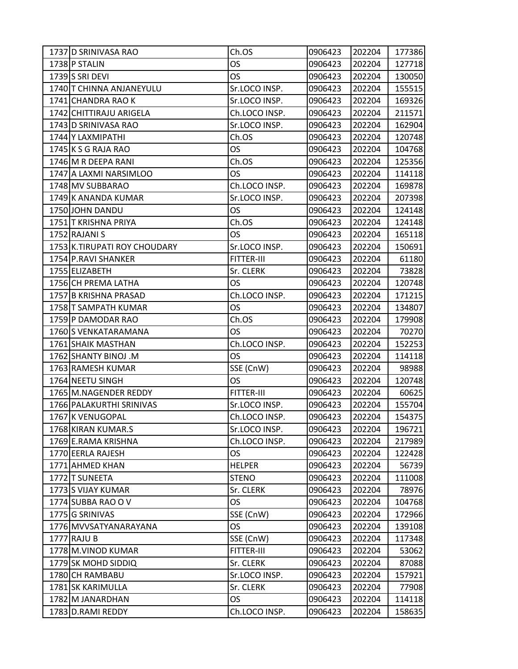| 1737 D SRINIVASA RAO         | Ch.OS         | 0906423 | 202204 | 177386 |
|------------------------------|---------------|---------|--------|--------|
| 1738 P STALIN                | <b>OS</b>     | 0906423 | 202204 | 127718 |
| 1739 S SRI DEVI              | OS            | 0906423 | 202204 | 130050 |
| 1740 T CHINNA ANJANEYULU     | Sr.LOCO INSP. | 0906423 | 202204 | 155515 |
| 1741 CHANDRA RAO K           | Sr.LOCO INSP. | 0906423 | 202204 | 169326 |
| 1742 CHITTIRAJU ARIGELA      | Ch.LOCO INSP. | 0906423 | 202204 | 211571 |
| 1743 D SRINIVASA RAO         | Sr.LOCO INSP. | 0906423 | 202204 | 162904 |
| 1744 Y LAXMIPATHI            | Ch.OS         | 0906423 | 202204 | 120748 |
| 1745 K S G RAJA RAO          | OS            | 0906423 | 202204 | 104768 |
| 1746 M R DEEPA RANI          | Ch.OS         | 0906423 | 202204 | 125356 |
| 1747 A LAXMI NARSIMLOO       | OS            | 0906423 | 202204 | 114118 |
| 1748 MV SUBBARAO             | Ch.LOCO INSP. | 0906423 | 202204 | 169878 |
| 1749 K ANANDA KUMAR          | Sr.LOCO INSP. | 0906423 | 202204 | 207398 |
| 1750 JOHN DANDU              | OS            | 0906423 | 202204 | 124148 |
| 1751 T KRISHNA PRIYA         | Ch.OS         | 0906423 | 202204 | 124148 |
| 1752 RAJANI S                | OS            | 0906423 | 202204 | 165118 |
| 1753 K.TIRUPATI ROY CHOUDARY | Sr.LOCO INSP. | 0906423 | 202204 | 150691 |
| 1754 P.RAVI SHANKER          | FITTER-III    | 0906423 | 202204 | 61180  |
| 1755 ELIZABETH               | Sr. CLERK     | 0906423 | 202204 | 73828  |
| 1756 CH PREMA LATHA          | <b>OS</b>     | 0906423 | 202204 | 120748 |
| 1757 B KRISHNA PRASAD        | Ch.LOCO INSP. | 0906423 | 202204 | 171215 |
| 1758 T SAMPATH KUMAR         | <b>OS</b>     | 0906423 | 202204 | 134807 |
| 1759 P DAMODAR RAO           | Ch.OS         | 0906423 | 202204 | 179908 |
| 1760 S VENKATARAMANA         | OS            | 0906423 | 202204 | 70270  |
| 1761 SHAIK MASTHAN           | Ch.LOCO INSP. | 0906423 | 202204 | 152253 |
| 1762 SHANTY BINOJ .M         | OS            | 0906423 | 202204 | 114118 |
| 1763 RAMESH KUMAR            | SSE (CnW)     | 0906423 | 202204 | 98988  |
| 1764 NEETU SINGH             | <b>OS</b>     | 0906423 | 202204 | 120748 |
| 1765 M.NAGENDER REDDY        | FITTER-III    | 0906423 | 202204 | 60625  |
| 1766 PALAKURTHI SRINIVAS     | Sr.LOCO INSP. | 0906423 | 202204 | 155704 |
| 1767 K VENUGOPAL             | Ch.LOCO INSP. | 0906423 | 202204 | 154375 |
| 1768 KIRAN KUMAR.S           | Sr.LOCO INSP. | 0906423 | 202204 | 196721 |
| 1769 E.RAMA KRISHNA          | Ch.LOCO INSP. | 0906423 | 202204 | 217989 |
| 1770 EERLA RAJESH            | OS.           | 0906423 | 202204 | 122428 |
| 1771 AHMED KHAN              | <b>HELPER</b> | 0906423 | 202204 | 56739  |
| 1772 T SUNEETA               | <b>STENO</b>  | 0906423 | 202204 | 111008 |
| 1773 S VIJAY KUMAR           | Sr. CLERK     | 0906423 | 202204 | 78976  |
| 1774 SUBBA RAO O V           | OS.           | 0906423 | 202204 | 104768 |
| 1775 G SRINIVAS              | SSE (CnW)     | 0906423 | 202204 | 172966 |
| 1776 MVVSATYANARAYANA        | OS            | 0906423 | 202204 | 139108 |
| 1777 RAJU B                  | SSE (CnW)     | 0906423 | 202204 | 117348 |
| 1778 M.VINOD KUMAR           | FITTER-III    | 0906423 | 202204 | 53062  |
| 1779 SK MOHD SIDDIQ          | Sr. CLERK     | 0906423 | 202204 | 87088  |
| 1780 CH RAMBABU              | Sr.LOCO INSP. | 0906423 | 202204 | 157921 |
| 1781 SK KARIMULLA            | Sr. CLERK     | 0906423 | 202204 | 77908  |
| 1782 M JANARDHAN             | OS.           | 0906423 | 202204 | 114118 |
| 1783 D.RAMI REDDY            | Ch.LOCO INSP. | 0906423 | 202204 | 158635 |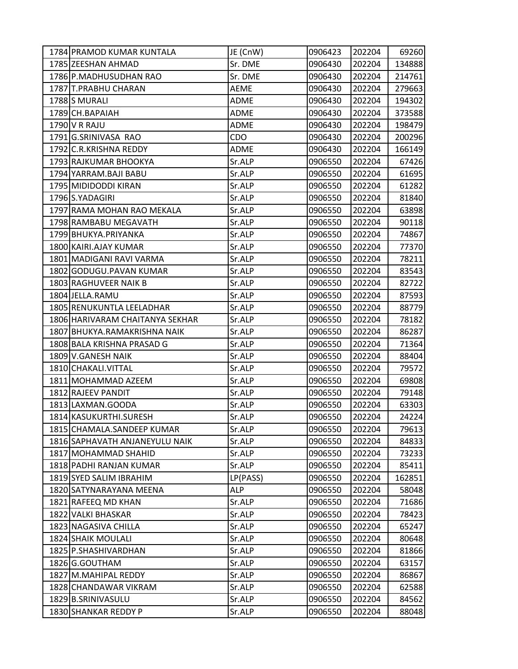| 1784 PRAMOD KUMAR KUNTALA       | JE (CnW)    | 0906423 | 202204 | 69260  |
|---------------------------------|-------------|---------|--------|--------|
| 1785 ZEESHAN AHMAD              | Sr. DME     | 0906430 | 202204 | 134888 |
| 1786 P.MADHUSUDHAN RAO          | Sr. DME     | 0906430 | 202204 | 214761 |
| 1787 T.PRABHU CHARAN            | <b>AEME</b> | 0906430 | 202204 | 279663 |
| 1788S MURALI                    | <b>ADME</b> | 0906430 | 202204 | 194302 |
| 1789 CH.BAPAIAH                 | <b>ADME</b> | 0906430 | 202204 | 373588 |
| 1790 V R RAJU                   | ADME        | 0906430 | 202204 | 198479 |
| 1791 G.SRINIVASA RAO            | CDO         | 0906430 | 202204 | 200296 |
| 1792 C.R.KRISHNA REDDY          | <b>ADME</b> | 0906430 | 202204 | 166149 |
| 1793 RAJKUMAR BHOOKYA           | Sr.ALP      | 0906550 | 202204 | 67426  |
| 1794 YARRAM.BAJI BABU           | Sr.ALP      | 0906550 | 202204 | 61695  |
| 1795 MIDIDODDI KIRAN            | Sr.ALP      | 0906550 | 202204 | 61282  |
| 1796 S.YADAGIRI                 | Sr.ALP      | 0906550 | 202204 | 81840  |
| 1797 RAMA MOHAN RAO MEKALA      | Sr.ALP      | 0906550 | 202204 | 63898  |
| 1798 RAMBABU MEGAVATH           | Sr.ALP      | 0906550 | 202204 | 90118  |
| 1799 BHUKYA.PRIYANKA            | Sr.ALP      | 0906550 | 202204 | 74867  |
| 1800 KAIRI.AJAY KUMAR           | Sr.ALP      | 0906550 | 202204 | 77370  |
| 1801 MADIGANI RAVI VARMA        | Sr.ALP      | 0906550 | 202204 | 78211  |
| 1802 GODUGU.PAVAN KUMAR         | Sr.ALP      | 0906550 | 202204 | 83543  |
| 1803 RAGHUVEER NAIK B           | Sr.ALP      | 0906550 | 202204 | 82722  |
| 1804 JELLA.RAMU                 | Sr.ALP      | 0906550 | 202204 | 87593  |
| 1805 RENUKUNTLA LEELADHAR       | Sr.ALP      | 0906550 | 202204 | 88779  |
| 1806 HARIVARAM CHAITANYA SEKHAR | Sr.ALP      | 0906550 | 202204 | 78182  |
| 1807 BHUKYA.RAMAKRISHNA NAIK    | Sr.ALP      | 0906550 | 202204 | 86287  |
| 1808 BALA KRISHNA PRASAD G      | Sr.ALP      | 0906550 | 202204 | 71364  |
| 1809 V.GANESH NAIK              | Sr.ALP      | 0906550 | 202204 | 88404  |
| 1810 CHAKALI.VITTAL             | Sr.ALP      | 0906550 | 202204 | 79572  |
| 1811 MOHAMMAD AZEEM             | Sr.ALP      | 0906550 | 202204 | 69808  |
| 1812 RAJEEV PANDIT              | Sr.ALP      | 0906550 | 202204 | 79148  |
| 1813 LAXMAN.GOODA               | Sr.ALP      | 0906550 | 202204 | 63303  |
| 1814 KASUKURTHI.SURESH          | Sr.ALP      | 0906550 | 202204 | 24224  |
| 1815 CHAMALA.SANDEEP KUMAR      | Sr.ALP      | 0906550 | 202204 | 79613  |
| 1816 SAPHAVATH ANJANEYULU NAIK  | Sr.ALP      | 0906550 | 202204 | 84833  |
| 1817 MOHAMMAD SHAHID            | Sr.ALP      | 0906550 | 202204 | 73233  |
| 1818 PADHI RANJAN KUMAR         | Sr.ALP      | 0906550 | 202204 | 85411  |
| 1819 SYED SALIM IBRAHIM         | LP(PASS)    | 0906550 | 202204 | 162851 |
| 1820 SATYNARAYANA MEENA         | <b>ALP</b>  | 0906550 | 202204 | 58048  |
| 1821 RAFEEQ MD KHAN             | Sr.ALP      | 0906550 | 202204 | 71686  |
| 1822 VALKI BHASKAR              | Sr.ALP      | 0906550 | 202204 | 78423  |
| 1823 NAGASIVA CHILLA            | Sr.ALP      | 0906550 | 202204 | 65247  |
| 1824 SHAIK MOULALI              | Sr.ALP      | 0906550 | 202204 | 80648  |
| 1825 P.SHASHIVARDHAN            | Sr.ALP      | 0906550 | 202204 | 81866  |
| 1826 G.GOUTHAM                  | Sr.ALP      | 0906550 | 202204 | 63157  |
| 1827 M.MAHIPAL REDDY            | Sr.ALP      | 0906550 | 202204 | 86867  |
| 1828 CHANDAWAR VIKRAM           | Sr.ALP      | 0906550 | 202204 | 62588  |
| 1829 B.SRINIVASULU              | Sr.ALP      | 0906550 | 202204 | 84562  |
| 1830 SHANKAR REDDY P            | Sr.ALP      | 0906550 | 202204 | 88048  |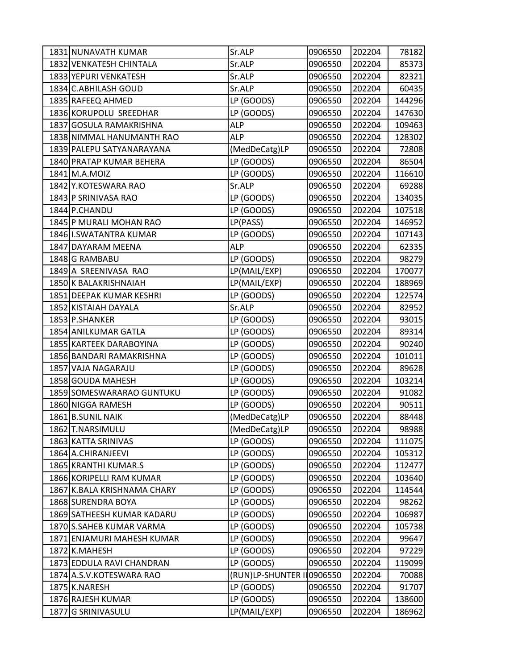| 1831 NUNAVATH KUMAR         | Sr.ALP            | 0906550 | 202204 | 78182  |
|-----------------------------|-------------------|---------|--------|--------|
| 1832 VENKATESH CHINTALA     | Sr.ALP            | 0906550 | 202204 | 85373  |
| 1833 YEPURI VENKATESH       | Sr.ALP            | 0906550 | 202204 | 82321  |
| 1834 C.ABHILASH GOUD        | Sr.ALP            | 0906550 | 202204 | 60435  |
| 1835 RAFEEQ AHMED           | LP (GOODS)        | 0906550 | 202204 | 144296 |
| 1836 KORUPOLU SREEDHAR      | LP (GOODS)        | 0906550 | 202204 | 147630 |
| 1837 GOSULA RAMAKRISHNA     | <b>ALP</b>        | 0906550 | 202204 | 109463 |
| 1838 NIMMAL HANUMANTH RAO   | <b>ALP</b>        | 0906550 | 202204 | 128302 |
| 1839 PALEPU SATYANARAYANA   | (MedDeCatg)LP     | 0906550 | 202204 | 72808  |
| 1840 PRATAP KUMAR BEHERA    | LP (GOODS)        | 0906550 | 202204 | 86504  |
| 1841 M.A.MOIZ               | LP (GOODS)        | 0906550 | 202204 | 116610 |
| 1842 Y.KOTESWARA RAO        | Sr.ALP            | 0906550 | 202204 | 69288  |
| 1843 P SRINIVASA RAO        | LP (GOODS)        | 0906550 | 202204 | 134035 |
| 1844 P.CHANDU               | LP (GOODS)        | 0906550 | 202204 | 107518 |
| 1845 P MURALI MOHAN RAO     | LP(PASS)          | 0906550 | 202204 | 146952 |
| 1846 I.SWATANTRA KUMAR      | LP (GOODS)        | 0906550 | 202204 | 107143 |
| 1847 DAYARAM MEENA          | <b>ALP</b>        | 0906550 | 202204 | 62335  |
| 1848 G RAMBABU              | LP (GOODS)        | 0906550 | 202204 | 98279  |
| 1849 A SREENIVASA RAO       | LP(MAIL/EXP)      | 0906550 | 202204 | 170077 |
| 1850 K BALAKRISHNAIAH       | LP(MAIL/EXP)      | 0906550 | 202204 | 188969 |
| 1851 DEEPAK KUMAR KESHRI    | LP (GOODS)        | 0906550 | 202204 | 122574 |
| 1852 KISTAIAH DAYALA        | Sr.ALP            | 0906550 | 202204 | 82952  |
| 1853 P.SHANKER              | LP (GOODS)        | 0906550 | 202204 | 93015  |
| 1854 ANILKUMAR GATLA        | LP (GOODS)        | 0906550 | 202204 | 89314  |
| 1855 KARTEEK DARABOYINA     | LP (GOODS)        | 0906550 | 202204 | 90240  |
| 1856 BANDARI RAMAKRISHNA    | LP (GOODS)        | 0906550 | 202204 | 101011 |
| 1857 VAJA NAGARAJU          | LP (GOODS)        | 0906550 | 202204 | 89628  |
| 1858 GOUDA MAHESH           | LP (GOODS)        | 0906550 | 202204 | 103214 |
| 1859 SOMESWARARAO GUNTUKU   | LP (GOODS)        | 0906550 | 202204 | 91082  |
| 1860 NIGGA RAMESH           | LP (GOODS)        | 0906550 | 202204 | 90511  |
| 1861 B.SUNIL NAIK           | (MedDeCatg)LP     | 0906550 | 202204 | 88448  |
| 1862 T.NARSIMULU            | (MedDeCatg)LP     | 0906550 | 202204 | 98988  |
| 1863 KATTA SRINIVAS         | LP (GOODS)        | 0906550 | 202204 | 111075 |
| 1864 A.CHIRANJEEVI          | LP (GOODS)        | 0906550 | 202204 | 105312 |
| 1865 KRANTHI KUMAR.S        | LP (GOODS)        | 0906550 | 202204 | 112477 |
| 1866 KORIPELLI RAM KUMAR    | LP (GOODS)        | 0906550 | 202204 | 103640 |
| 1867 K.BALA KRISHNAMA CHARY | LP (GOODS)        | 0906550 | 202204 | 114544 |
| 1868 SURENDRA BOYA          | LP (GOODS)        | 0906550 | 202204 | 98262  |
| 1869 SATHEESH KUMAR KADARU  | LP (GOODS)        | 0906550 | 202204 | 106987 |
| 1870 S.SAHEB KUMAR VARMA    | LP (GOODS)        | 0906550 | 202204 | 105738 |
| 1871 ENJAMURI MAHESH KUMAR  | LP (GOODS)        | 0906550 | 202204 | 99647  |
| 1872 K.MAHESH               | LP (GOODS)        | 0906550 | 202204 | 97229  |
| 1873 EDDULA RAVI CHANDRAN   | LP (GOODS)        | 0906550 | 202204 | 119099 |
| 1874 A.S.V.KOTESWARA RAO    | (RUN)LP-SHUNTER I | 0906550 | 202204 | 70088  |
| 1875 K.NARESH               | LP (GOODS)        | 0906550 | 202204 | 91707  |
| 1876 RAJESH KUMAR           | LP (GOODS)        | 0906550 | 202204 | 138600 |
| 1877 G SRINIVASULU          | LP(MAIL/EXP)      | 0906550 | 202204 | 186962 |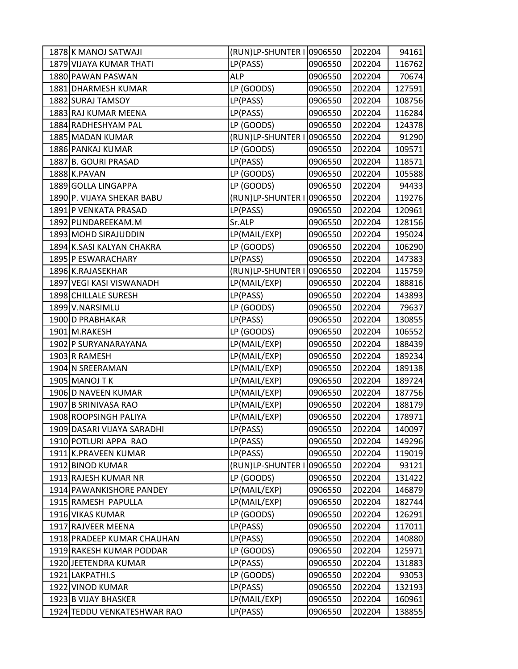| 1878 K MANOJ SATWAJI        | (RUN)LP-SHUNTER I 0906550 |         | 202204 | 94161  |
|-----------------------------|---------------------------|---------|--------|--------|
| 1879 VIJAYA KUMAR THATI     | LP(PASS)                  | 0906550 | 202204 | 116762 |
| 1880 PAWAN PASWAN           | <b>ALP</b>                | 0906550 | 202204 | 70674  |
| 1881 DHARMESH KUMAR         | LP (GOODS)                | 0906550 | 202204 | 127591 |
| 1882 SURAJ TAMSOY           | LP(PASS)                  | 0906550 | 202204 | 108756 |
| 1883 RAJ KUMAR MEENA        | LP(PASS)                  | 0906550 | 202204 | 116284 |
| 1884 RADHESHYAM PAL         | LP (GOODS)                | 0906550 | 202204 | 124378 |
| 1885 MADAN KUMAR            | (RUN)LP-SHUNTER I         | 0906550 | 202204 | 91290  |
| 1886 PANKAJ KUMAR           | LP (GOODS)                | 0906550 | 202204 | 109571 |
| 1887 B. GOURI PRASAD        | LP(PASS)                  | 0906550 | 202204 | 118571 |
| 1888 K.PAVAN                | LP (GOODS)                | 0906550 | 202204 | 105588 |
| 1889 GOLLA LINGAPPA         | LP (GOODS)                | 0906550 | 202204 | 94433  |
| 1890 P. VIJAYA SHEKAR BABU  | (RUN)LP-SHUNTER I         | 0906550 | 202204 | 119276 |
| 1891 P VENKATA PRASAD       | LP(PASS)                  | 0906550 | 202204 | 120961 |
| 1892 PUNDAREEKAM.M          | Sr.ALP                    | 0906550 | 202204 | 128156 |
| 1893 MOHD SIRAJUDDIN        | LP(MAIL/EXP)              | 0906550 | 202204 | 195024 |
| 1894 K.SASI KALYAN CHAKRA   | LP (GOODS)                | 0906550 | 202204 | 106290 |
| 1895 P ESWARACHARY          | LP(PASS)                  | 0906550 | 202204 | 147383 |
| 1896 K.RAJASEKHAR           | (RUN)LP-SHUNTER I         | 0906550 | 202204 | 115759 |
| 1897 VEGI KASI VISWANADH    | LP(MAIL/EXP)              | 0906550 | 202204 | 188816 |
| 1898 CHILLALE SURESH        | LP(PASS)                  | 0906550 | 202204 | 143893 |
| 1899 V.NARSIMLU             | LP (GOODS)                | 0906550 | 202204 | 79637  |
| 1900 D PRABHAKAR            | LP(PASS)                  | 0906550 | 202204 | 130855 |
| 1901 M.RAKESH               | LP (GOODS)                | 0906550 | 202204 | 106552 |
| 1902 P SURYANARAYANA        | LP(MAIL/EXP)              | 0906550 | 202204 | 188439 |
| 1903 R RAMESH               | LP(MAIL/EXP)              | 0906550 | 202204 | 189234 |
| 1904 N SREERAMAN            | LP(MAIL/EXP)              | 0906550 | 202204 | 189138 |
| 1905 MANOJ T K              | LP(MAIL/EXP)              | 0906550 | 202204 | 189724 |
| 1906 D NAVEEN KUMAR         | LP(MAIL/EXP)              | 0906550 | 202204 | 187756 |
| 1907 B SRINIVASA RAO        | LP(MAIL/EXP)              | 0906550 | 202204 | 188179 |
| 1908 ROOPSINGH PALIYA       | LP(MAIL/EXP)              | 0906550 | 202204 | 178971 |
| 1909 DASARI VIJAYA SARADHI  | LP(PASS)                  | 0906550 | 202204 | 140097 |
| 1910 POTLURI APPA RAO       | LP(PASS)                  | 0906550 | 202204 | 149296 |
| 1911 K.PRAVEEN KUMAR        | LP(PASS)                  | 0906550 | 202204 | 119019 |
| 1912 BINOD KUMAR            | (RUN)LP-SHUNTER I         | 0906550 | 202204 | 93121  |
| 1913 RAJESH KUMAR NR        | LP (GOODS)                | 0906550 | 202204 | 131422 |
| 1914 PAWANKISHORE PANDEY    | LP(MAIL/EXP)              | 0906550 | 202204 | 146879 |
| 1915 RAMESH PAPULLA         | LP(MAIL/EXP)              | 0906550 | 202204 | 182744 |
| 1916 VIKAS KUMAR            | LP (GOODS)                | 0906550 | 202204 | 126291 |
| 1917 RAJVEER MEENA          | LP(PASS)                  | 0906550 | 202204 | 117011 |
| 1918 PRADEEP KUMAR CHAUHAN  | LP(PASS)                  | 0906550 | 202204 | 140880 |
| 1919 RAKESH KUMAR PODDAR    | LP (GOODS)                | 0906550 | 202204 | 125971 |
| 1920 JEETENDRA KUMAR        | LP(PASS)                  | 0906550 | 202204 | 131883 |
| 1921 LAKPATHI.S             | LP (GOODS)                | 0906550 | 202204 | 93053  |
| 1922 VINOD KUMAR            | LP(PASS)                  | 0906550 | 202204 | 132193 |
| 1923 B VIJAY BHASKER        | LP(MAIL/EXP)              | 0906550 | 202204 | 160961 |
| 1924 TEDDU VENKATESHWAR RAO | LP(PASS)                  | 0906550 | 202204 | 138855 |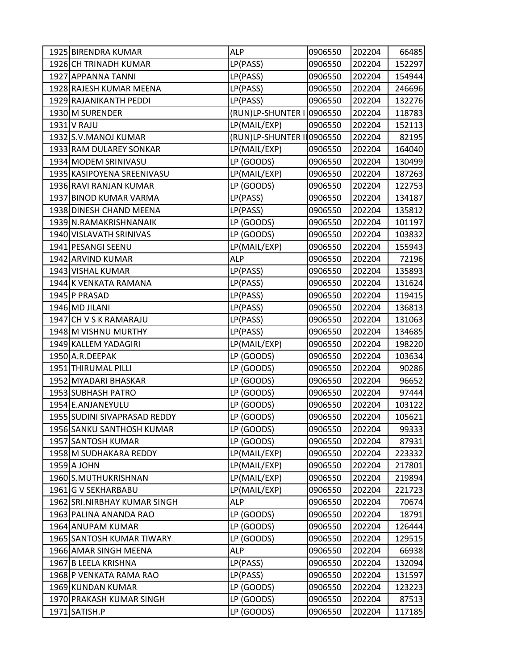| 1925 BIRENDRA KUMAR          | ALP                       | 0906550 | 202204 | 66485  |
|------------------------------|---------------------------|---------|--------|--------|
| 1926 CH TRINADH KUMAR        | LP(PASS)                  | 0906550 | 202204 | 152297 |
| 1927 APPANNA TANNI           | LP(PASS)                  | 0906550 | 202204 | 154944 |
| 1928 RAJESH KUMAR MEENA      | LP(PASS)                  | 0906550 | 202204 | 246696 |
| 1929 RAJANIKANTH PEDDI       | LP(PASS)                  | 0906550 | 202204 | 132276 |
| 1930 M SURENDER              | (RUN)LP-SHUNTER I 0906550 |         | 202204 | 118783 |
| 1931 V RAJU                  | LP(MAIL/EXP)              | 0906550 | 202204 | 152113 |
| 1932 S.V. MANOJ KUMAR        | (RUN)LP-SHUNTER II0906550 |         | 202204 | 82195  |
| 1933 RAM DULAREY SONKAR      | LP(MAIL/EXP)              | 0906550 | 202204 | 164040 |
| 1934 MODEM SRINIVASU         | LP (GOODS)                | 0906550 | 202204 | 130499 |
| 1935 KASIPOYENA SREENIVASU   | LP(MAIL/EXP)              | 0906550 | 202204 | 187263 |
| 1936 RAVI RANJAN KUMAR       | LP (GOODS)                | 0906550 | 202204 | 122753 |
| 1937 BINOD KUMAR VARMA       | LP(PASS)                  | 0906550 | 202204 | 134187 |
| 1938 DINESH CHAND MEENA      | LP(PASS)                  | 0906550 | 202204 | 135812 |
| 1939 N.RAMAKRISHNANAIK       | LP (GOODS)                | 0906550 | 202204 | 101197 |
| 1940 VISLAVATH SRINIVAS      | LP (GOODS)                | 0906550 | 202204 | 103832 |
| 1941 PESANGI SEENU           | LP(MAIL/EXP)              | 0906550 | 202204 | 155943 |
| 1942 ARVIND KUMAR            | <b>ALP</b>                | 0906550 | 202204 | 72196  |
| 1943 VISHAL KUMAR            | LP(PASS)                  | 0906550 | 202204 | 135893 |
| 1944 K VENKATA RAMANA        | LP(PASS)                  | 0906550 | 202204 | 131624 |
| 1945 P PRASAD                | LP(PASS)                  | 0906550 | 202204 | 119415 |
| 1946 MD JILANI               | LP(PASS)                  | 0906550 | 202204 | 136813 |
| 1947 CH V S K RAMARAJU       | LP(PASS)                  | 0906550 | 202204 | 131063 |
| 1948 M VISHNU MURTHY         | LP(PASS)                  | 0906550 | 202204 | 134685 |
| 1949 KALLEM YADAGIRI         | LP(MAIL/EXP)              | 0906550 | 202204 | 198220 |
| 1950 A.R.DEEPAK              | LP (GOODS)                | 0906550 | 202204 | 103634 |
| 1951 THIRUMAL PILLI          | LP (GOODS)                | 0906550 | 202204 | 90286  |
| 1952 MYADARI BHASKAR         | LP (GOODS)                | 0906550 | 202204 | 96652  |
| 1953 SUBHASH PATRO           | LP (GOODS)                | 0906550 | 202204 | 97444  |
| 1954 E.ANJANEYULU            | LP (GOODS)                | 0906550 | 202204 | 103122 |
| 1955 SUDINI SIVAPRASAD REDDY | LP (GOODS)                | 0906550 | 202204 | 105621 |
| 1956 SANKU SANTHOSH KUMAR    | LP (GOODS)                | 0906550 | 202204 | 99333  |
| 1957 SANTOSH KUMAR           | LP (GOODS)                | 0906550 | 202204 | 87931  |
| 1958 M SUDHAKARA REDDY       | LP(MAIL/EXP)              | 0906550 | 202204 | 223332 |
| 1959 A JOHN                  | LP(MAIL/EXP)              | 0906550 | 202204 | 217801 |
| 1960 S.MUTHUKRISHNAN         | LP(MAIL/EXP)              | 0906550 | 202204 | 219894 |
| 1961 G V SEKHARBABU          | LP(MAIL/EXP)              | 0906550 | 202204 | 221723 |
| 1962 SRI.NIRBHAY KUMAR SINGH | <b>ALP</b>                | 0906550 | 202204 | 70674  |
| 1963 PALINA ANANDA RAO       | LP (GOODS)                | 0906550 | 202204 | 18791  |
| 1964 ANUPAM KUMAR            | LP (GOODS)                | 0906550 | 202204 | 126444 |
| 1965 SANTOSH KUMAR TIWARY    | LP (GOODS)                | 0906550 | 202204 | 129515 |
| 1966 AMAR SINGH MEENA        | <b>ALP</b>                | 0906550 | 202204 | 66938  |
| 1967 B LEELA KRISHNA         | LP(PASS)                  | 0906550 | 202204 | 132094 |
| 1968 P VENKATA RAMA RAO      | LP(PASS)                  | 0906550 | 202204 | 131597 |
| 1969 KUNDAN KUMAR            | LP (GOODS)                | 0906550 | 202204 | 123223 |
| 1970 PRAKASH KUMAR SINGH     | LP (GOODS)                | 0906550 | 202204 | 87513  |
| 1971 SATISH.P                | LP (GOODS)                | 0906550 | 202204 | 117185 |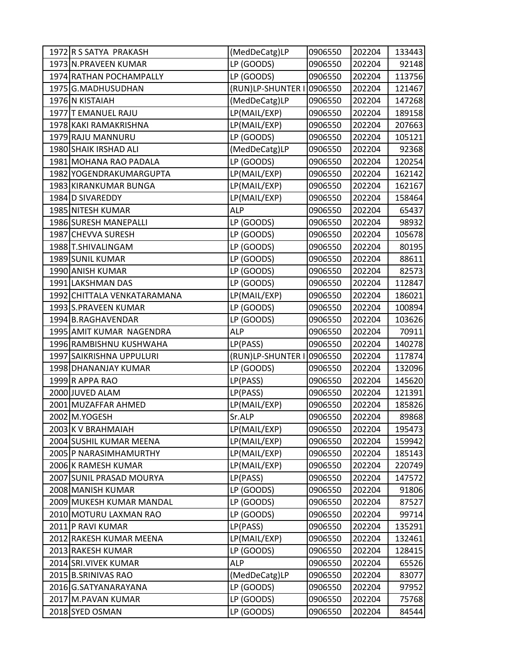| 1972 R S SATYA PRAKASH                     | (MedDeCatg)LP               | 0906550            | 202204           | 133443 |
|--------------------------------------------|-----------------------------|--------------------|------------------|--------|
| 1973 N.PRAVEEN KUMAR                       | LP (GOODS)                  | 0906550            | 202204           | 92148  |
| 1974 RATHAN POCHAMPALLY                    | LP (GOODS)                  | 0906550            | 202204           | 113756 |
| 1975 G.MADHUSUDHAN                         | (RUN)LP-SHUNTER I           | 0906550            | 202204           | 121467 |
| 1976 N KISTAIAH                            | (MedDeCatg)LP               | 0906550            | 202204           | 147268 |
| 1977 T EMANUEL RAJU                        | LP(MAIL/EXP)                | 0906550            | 202204           | 189158 |
| 1978 KAKI RAMAKRISHNA                      | LP(MAIL/EXP)                | 0906550            | 202204           | 207663 |
| 1979 RAJU MANNURU                          | LP (GOODS)                  | 0906550            | 202204           | 105121 |
| 1980 SHAIK IRSHAD ALI                      | (MedDeCatg)LP               | 0906550            | 202204           | 92368  |
| 1981 MOHANA RAO PADALA                     | LP (GOODS)                  | 0906550            | 202204           | 120254 |
| 1982 YOGENDRAKUMARGUPTA                    | LP(MAIL/EXP)                | 0906550            | 202204           | 162142 |
| 1983 KIRANKUMAR BUNGA                      | LP(MAIL/EXP)                | 0906550            | 202204           | 162167 |
| 1984 D SIVAREDDY                           | LP(MAIL/EXP)                | 0906550            | 202204           | 158464 |
| 1985 NITESH KUMAR                          | <b>ALP</b>                  | 0906550            | 202204           | 65437  |
| 1986 SURESH MANEPALLI                      | LP (GOODS)                  | 0906550            | 202204           | 98932  |
| 1987 CHEVVA SURESH                         | LP (GOODS)                  | 0906550            | 202204           | 105678 |
| 1988 T.SHIVALINGAM                         | LP (GOODS)                  | 0906550            | 202204           | 80195  |
| 1989 SUNIL KUMAR                           | LP (GOODS)                  | 0906550            | 202204           | 88611  |
| 1990 ANISH KUMAR                           | LP (GOODS)                  | 0906550            | 202204           | 82573  |
| 1991 LAKSHMAN DAS                          | LP (GOODS)                  | 0906550            | 202204           | 112847 |
| 1992 CHITTALA VENKATARAMANA                | LP(MAIL/EXP)                | 0906550            | 202204           | 186021 |
| 1993 S.PRAVEEN KUMAR                       | LP (GOODS)                  | 0906550            | 202204           | 100894 |
| 1994 B.RAGHAVENDAR                         | LP (GOODS)                  | 0906550            | 202204           | 103626 |
| 1995 AMIT KUMAR NAGENDRA                   | <b>ALP</b>                  | 0906550            | 202204           | 70911  |
| 1996 RAMBISHNU KUSHWAHA                    | LP(PASS)                    | 0906550            | 202204           | 140278 |
| 1997 SAIKRISHNA UPPULURI                   | (RUN)LP-SHUNTER I 0906550   |                    | 202204           | 117874 |
| 1998 DHANANJAY KUMAR                       | LP (GOODS)                  | 0906550            | 202204           | 132096 |
| 1999 R APPA RAO                            | LP(PASS)                    | 0906550            | 202204           | 145620 |
| 2000 JUVED ALAM                            | LP(PASS)                    | 0906550            | 202204           | 121391 |
| 2001 MUZAFFAR AHMED                        | LP(MAIL/EXP)                | 0906550            | 202204           | 185826 |
| 2002 M.YOGESH                              | Sr.ALP                      | 0906550            | 202204           | 89868  |
| 2003 K V BRAHMAIAH                         | LP(MAIL/EXP)                | 0906550            | 202204           | 195473 |
| 2004 SUSHIL KUMAR MEENA                    | LP(MAIL/EXP)                | 0906550            | 202204           | 159942 |
| 2005 P NARASIMHAMURTHY                     | LP(MAIL/EXP)                | 0906550            | 202204           | 185143 |
| 2006 K RAMESH KUMAR                        | LP(MAIL/EXP)                | 0906550            | 202204           | 220749 |
| 2007 SUNIL PRASAD MOURYA                   | LP(PASS)                    | 0906550            | 202204           | 147572 |
| 2008 MANISH KUMAR                          | LP (GOODS)                  | 0906550            | 202204           | 91806  |
| 2009 MUKESH KUMAR MANDAL                   | LP (GOODS)                  | 0906550            | 202204           | 87527  |
| 2010 MOTURU LAXMAN RAO                     | LP (GOODS)                  | 0906550            | 202204           | 99714  |
| 2011 P RAVI KUMAR                          | LP(PASS)                    | 0906550            | 202204           | 135291 |
| 2012 RAKESH KUMAR MEENA                    | LP(MAIL/EXP)                | 0906550            | 202204           | 132461 |
| 2013 RAKESH KUMAR                          | LP (GOODS)                  | 0906550            | 202204           | 128415 |
| 2014 SRI. VIVEK KUMAR                      | ALP                         | 0906550            | 202204           | 65526  |
| 2015 B.SRINIVAS RAO                        | (MedDeCatg)LP<br>LP (GOODS) | 0906550            | 202204           | 83077  |
| 2016 G.SATYANARAYANA<br>2017 M.PAVAN KUMAR | LP (GOODS)                  | 0906550<br>0906550 | 202204<br>202204 | 97952  |
|                                            |                             |                    |                  | 75768  |
| 2018 SYED OSMAN                            | LP (GOODS)                  | 0906550            | 202204           | 84544  |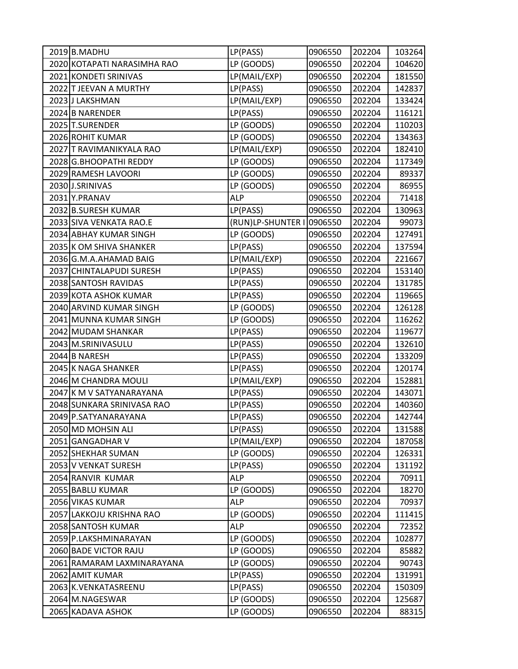| 2019 B.MADHU                | LP(PASS)          | 0906550 | 202204 | 103264 |
|-----------------------------|-------------------|---------|--------|--------|
| 2020 KOTAPATI NARASIMHA RAO | LP (GOODS)        | 0906550 | 202204 | 104620 |
| 2021 KONDETI SRINIVAS       | LP(MAIL/EXP)      | 0906550 | 202204 | 181550 |
| 2022 T JEEVAN A MURTHY      | LP(PASS)          | 0906550 | 202204 | 142837 |
| 2023 J LAKSHMAN             | LP(MAIL/EXP)      | 0906550 | 202204 | 133424 |
| 2024 B NARENDER             | LP(PASS)          | 0906550 | 202204 | 116121 |
| 2025 T.SURENDER             | LP (GOODS)        | 0906550 | 202204 | 110203 |
| 2026 ROHIT KUMAR            | LP (GOODS)        | 0906550 | 202204 | 134363 |
| 2027 T RAVIMANIKYALA RAO    | LP(MAIL/EXP)      | 0906550 | 202204 | 182410 |
| 2028 G.BHOOPATHI REDDY      | LP (GOODS)        | 0906550 | 202204 | 117349 |
| 2029 RAMESH LAVOORI         | LP (GOODS)        | 0906550 | 202204 | 89337  |
| 2030 J.SRINIVAS             | LP (GOODS)        | 0906550 | 202204 | 86955  |
| 2031 Y.PRANAV               | <b>ALP</b>        | 0906550 | 202204 | 71418  |
| 2032 B.SURESH KUMAR         | LP(PASS)          | 0906550 | 202204 | 130963 |
| 2033 SIVA VENKATA RAO.E     | (RUN)LP-SHUNTER I | 0906550 | 202204 | 99073  |
| 2034 ABHAY KUMAR SINGH      | LP (GOODS)        | 0906550 | 202204 | 127491 |
| 2035 K OM SHIVA SHANKER     | LP(PASS)          | 0906550 | 202204 | 137594 |
| 2036 G.M.A.AHAMAD BAIG      | LP(MAIL/EXP)      | 0906550 | 202204 | 221667 |
| 2037 CHINTALAPUDI SURESH    | LP(PASS)          | 0906550 | 202204 | 153140 |
| 2038 SANTOSH RAVIDAS        | LP(PASS)          | 0906550 | 202204 | 131785 |
| 2039 KOTA ASHOK KUMAR       | LP(PASS)          | 0906550 | 202204 | 119665 |
| 2040 ARVIND KUMAR SINGH     | LP (GOODS)        | 0906550 | 202204 | 126128 |
| 2041 MUNNA KUMAR SINGH      | LP (GOODS)        | 0906550 | 202204 | 116262 |
| 2042 MUDAM SHANKAR          | LP(PASS)          | 0906550 | 202204 | 119677 |
| 2043 M.SRINIVASULU          | LP(PASS)          | 0906550 | 202204 | 132610 |
| 2044 B NARESH               | LP(PASS)          | 0906550 | 202204 | 133209 |
| 2045 K NAGA SHANKER         | LP(PASS)          | 0906550 | 202204 | 120174 |
| 2046 M CHANDRA MOULI        | LP(MAIL/EXP)      | 0906550 | 202204 | 152881 |
| 2047 K M V SATYANARAYANA    | LP(PASS)          | 0906550 | 202204 | 143071 |
| 2048 SUNKARA SRINIVASA RAO  | LP(PASS)          | 0906550 | 202204 | 140360 |
| 2049 P.SATYANARAYANA        | LP(PASS)          | 0906550 | 202204 | 142744 |
| 2050 MD MOHSIN ALI          | LP(PASS)          | 0906550 | 202204 | 131588 |
| 2051 GANGADHAR V            | LP(MAIL/EXP)      | 0906550 | 202204 | 187058 |
| 2052 SHEKHAR SUMAN          | LP (GOODS)        | 0906550 | 202204 | 126331 |
| 2053 V VENKAT SURESH        | LP(PASS)          | 0906550 | 202204 | 131192 |
| 2054 RANVIR KUMAR           | <b>ALP</b>        | 0906550 | 202204 | 70911  |
| 2055 BABLU KUMAR            | LP (GOODS)        | 0906550 | 202204 | 18270  |
| 2056 VIKAS KUMAR            | <b>ALP</b>        | 0906550 | 202204 | 70937  |
| 2057 LAKKOJU KRISHNA RAO    | LP (GOODS)        | 0906550 | 202204 | 111415 |
| 2058 SANTOSH KUMAR          | <b>ALP</b>        | 0906550 | 202204 | 72352  |
| 2059 P.LAKSHMINARAYAN       | LP (GOODS)        | 0906550 | 202204 | 102877 |
| 2060 BADE VICTOR RAJU       | LP (GOODS)        | 0906550 | 202204 | 85882  |
| 2061 RAMARAM LAXMINARAYANA  | LP (GOODS)        | 0906550 | 202204 | 90743  |
| 2062 AMIT KUMAR             | LP(PASS)          | 0906550 | 202204 | 131991 |
| 2063 K.VENKATASREENU        | LP(PASS)          | 0906550 | 202204 | 150309 |
| 2064 M.NAGESWAR             | LP (GOODS)        | 0906550 | 202204 | 125687 |
| 2065 KADAVA ASHOK           | LP (GOODS)        | 0906550 | 202204 | 88315  |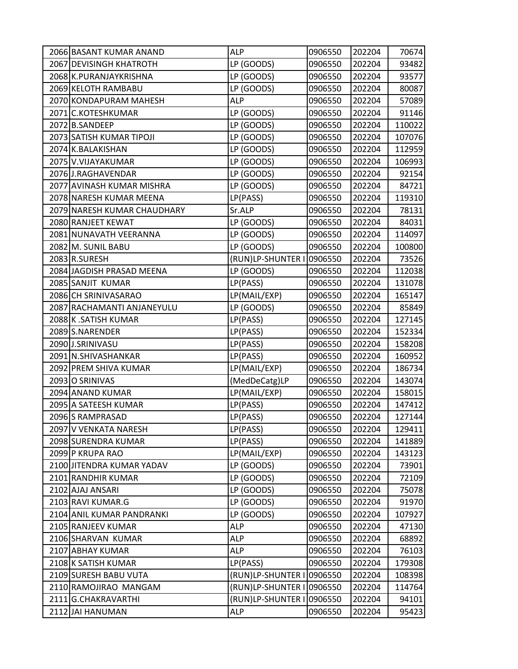| 2066 BASANT KUMAR ANAND     | ALP                       | 0906550 | 202204 | 70674  |
|-----------------------------|---------------------------|---------|--------|--------|
| 2067 DEVISINGH KHATROTH     | LP (GOODS)                | 0906550 | 202204 | 93482  |
| 2068 K.PURANJAYKRISHNA      | LP (GOODS)                | 0906550 | 202204 | 93577  |
| 2069 KELOTH RAMBABU         | LP (GOODS)                | 0906550 | 202204 | 80087  |
| 2070 KONDAPURAM MAHESH      | <b>ALP</b>                | 0906550 | 202204 | 57089  |
| 2071 C.KOTESHKUMAR          | LP (GOODS)                | 0906550 | 202204 | 91146  |
| 2072 B.SANDEEP              | LP (GOODS)                | 0906550 | 202204 | 110022 |
| 2073 SATISH KUMAR TIPOJI    | LP (GOODS)                | 0906550 | 202204 | 107076 |
| 2074 K.BALAKISHAN           | LP (GOODS)                | 0906550 | 202204 | 112959 |
| 2075 V.VIJAYAKUMAR          | LP (GOODS)                | 0906550 | 202204 | 106993 |
| 2076 J.RAGHAVENDAR          | LP (GOODS)                | 0906550 | 202204 | 92154  |
| 2077 AVINASH KUMAR MISHRA   | LP (GOODS)                | 0906550 | 202204 | 84721  |
| 2078 NARESH KUMAR MEENA     | LP(PASS)                  | 0906550 | 202204 | 119310 |
| 2079 NARESH KUMAR CHAUDHARY | Sr.ALP                    | 0906550 | 202204 | 78131  |
| 2080 RANJEET KEWAT          | LP (GOODS)                | 0906550 | 202204 | 84031  |
| 2081 NUNAVATH VEERANNA      | LP (GOODS)                | 0906550 | 202204 | 114097 |
| 2082 M. SUNIL BABU          | LP (GOODS)                | 0906550 | 202204 | 100800 |
| 2083 R.SURESH               | (RUN)LP-SHUNTER I         | 0906550 | 202204 | 73526  |
| 2084 JAGDISH PRASAD MEENA   | LP (GOODS)                | 0906550 | 202204 | 112038 |
| 2085 SANJIT KUMAR           | LP(PASS)                  | 0906550 | 202204 | 131078 |
| 2086 CH SRINIVASARAO        | LP(MAIL/EXP)              | 0906550 | 202204 | 165147 |
| 2087 RACHAMANTI ANJANEYULU  | LP (GOODS)                | 0906550 | 202204 | 85849  |
| 2088 K.SATISH KUMAR         | LP(PASS)                  | 0906550 | 202204 | 127145 |
| 2089 S.NARENDER             | LP(PASS)                  | 0906550 | 202204 | 152334 |
| 2090 J.SRINIVASU            | LP(PASS)                  | 0906550 | 202204 | 158208 |
| 2091 N.SHIVASHANKAR         | LP(PASS)                  | 0906550 | 202204 | 160952 |
| 2092 PREM SHIVA KUMAR       | LP(MAIL/EXP)              | 0906550 | 202204 | 186734 |
| 2093 O SRINIVAS             | (MedDeCatg)LP             | 0906550 | 202204 | 143074 |
| 2094 ANAND KUMAR            | LP(MAIL/EXP)              | 0906550 | 202204 | 158015 |
| 2095 A SATEESH KUMAR        | LP(PASS)                  | 0906550 | 202204 | 147412 |
| 2096 S RAMPRASAD            | LP(PASS)                  | 0906550 | 202204 | 127144 |
| 2097 V VENKATA NARESH       | LP(PASS)                  | 0906550 | 202204 | 129411 |
| 2098 SURENDRA KUMAR         | LP(PASS)                  | 0906550 | 202204 | 141889 |
| 2099 P KRUPA RAO            | LP(MAIL/EXP)              | 0906550 | 202204 | 143123 |
| 2100 JITENDRA KUMAR YADAV   | LP (GOODS)                | 0906550 | 202204 | 73901  |
| 2101 RANDHIR KUMAR          | LP (GOODS)                | 0906550 | 202204 | 72109  |
| 2102 AJAJ ANSARI            | LP (GOODS)                | 0906550 | 202204 | 75078  |
| 2103 RAVI KUMAR.G           | LP (GOODS)                | 0906550 | 202204 | 91970  |
| 2104 ANIL KUMAR PANDRANKI   | LP (GOODS)                | 0906550 | 202204 | 107927 |
| 2105 RANJEEV KUMAR          | <b>ALP</b>                | 0906550 | 202204 | 47130  |
| 2106 SHARVAN KUMAR          | <b>ALP</b>                | 0906550 | 202204 | 68892  |
| 2107 ABHAY KUMAR            | <b>ALP</b>                | 0906550 | 202204 | 76103  |
| 2108 K SATISH KUMAR         | LP(PASS)                  | 0906550 | 202204 | 179308 |
| 2109 SURESH BABU VUTA       | (RUN)LP-SHUNTER I         | 0906550 | 202204 | 108398 |
| 2110 RAMOJIRAO MANGAM       | (RUN)LP-SHUNTER I 0906550 |         | 202204 | 114764 |
| 2111 G.CHAKRAVARTHI         | (RUN)LP-SHUNTER I         | 0906550 | 202204 | 94101  |
| 2112 JAI HANUMAN            | <b>ALP</b>                | 0906550 | 202204 | 95423  |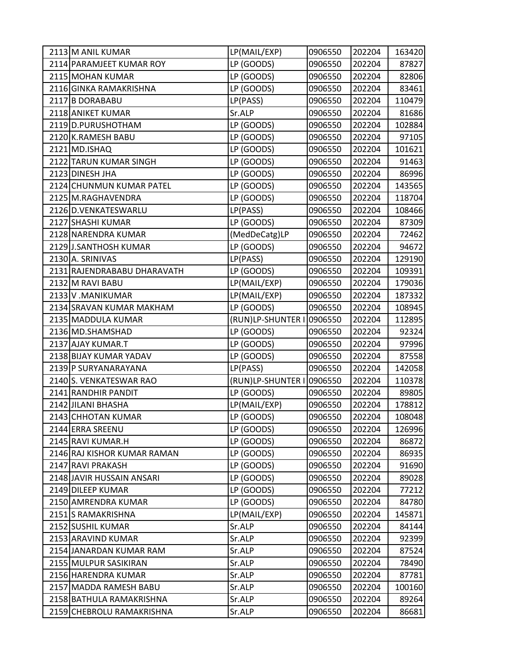| 2113 M ANIL KUMAR           | LP(MAIL/EXP)      | 0906550 | 202204 | 163420 |
|-----------------------------|-------------------|---------|--------|--------|
| 2114 PARAMJEET KUMAR ROY    | LP (GOODS)        | 0906550 | 202204 | 87827  |
| 2115 MOHAN KUMAR            | LP (GOODS)        | 0906550 | 202204 | 82806  |
| 2116 GINKA RAMAKRISHNA      | LP (GOODS)        | 0906550 | 202204 | 83461  |
| 2117 B DORABABU             | LP(PASS)          | 0906550 | 202204 | 110479 |
| 2118 ANIKET KUMAR           | Sr.ALP            | 0906550 | 202204 | 81686  |
| 2119 D.PURUSHOTHAM          | LP (GOODS)        | 0906550 | 202204 | 102884 |
| 2120 K.RAMESH BABU          | LP (GOODS)        | 0906550 | 202204 | 97105  |
| 2121 MD.ISHAQ               | LP (GOODS)        | 0906550 | 202204 | 101621 |
| 2122 TARUN KUMAR SINGH      | LP (GOODS)        | 0906550 | 202204 | 91463  |
| 2123 DINESH JHA             | LP (GOODS)        | 0906550 | 202204 | 86996  |
| 2124 CHUNMUN KUMAR PATEL    | LP (GOODS)        | 0906550 | 202204 | 143565 |
| 2125 M.RAGHAVENDRA          | LP (GOODS)        | 0906550 | 202204 | 118704 |
| 2126 D.VENKATESWARLU        | LP(PASS)          | 0906550 | 202204 | 108466 |
| 2127 SHASHI KUMAR           | LP (GOODS)        | 0906550 | 202204 | 87309  |
| 2128 NARENDRA KUMAR         | (MedDeCatg)LP     | 0906550 | 202204 | 72462  |
| 2129 J.SANTHOSH KUMAR       | LP (GOODS)        | 0906550 | 202204 | 94672  |
| 2130 A. SRINIVAS            | LP(PASS)          | 0906550 | 202204 | 129190 |
| 2131 RAJENDRABABU DHARAVATH | LP (GOODS)        | 0906550 | 202204 | 109391 |
| 2132 M RAVI BABU            | LP(MAIL/EXP)      | 0906550 | 202204 | 179036 |
| 2133 V.MANIKUMAR            | LP(MAIL/EXP)      | 0906550 | 202204 | 187332 |
| 2134 SRAVAN KUMAR MAKHAM    | LP (GOODS)        | 0906550 | 202204 | 108945 |
| 2135 MADDULA KUMAR          | (RUN)LP-SHUNTER I | 0906550 | 202204 | 112895 |
| 2136 MD.SHAMSHAD            | LP (GOODS)        | 0906550 | 202204 | 92324  |
| 2137 AJAY KUMAR.T           | LP (GOODS)        | 0906550 | 202204 | 97996  |
| 2138 BIJAY KUMAR YADAV      | LP (GOODS)        | 0906550 | 202204 | 87558  |
| 2139 P SURYANARAYANA        | LP(PASS)          | 0906550 | 202204 | 142058 |
| 2140 S. VENKATESWAR RAO     | (RUN)LP-SHUNTER I | 0906550 | 202204 | 110378 |
| 2141 RANDHIR PANDIT         | LP (GOODS)        | 0906550 | 202204 | 89805  |
| 2142 JILANI BHASHA          | LP(MAIL/EXP)      | 0906550 | 202204 | 178812 |
| 2143 CHHOTAN KUMAR          | LP (GOODS)        | 0906550 | 202204 | 108048 |
| 2144 ERRA SREENU            | LP (GOODS)        | 0906550 | 202204 | 126996 |
| 2145 RAVI KUMAR.H           | LP (GOODS)        | 0906550 | 202204 | 86872  |
| 2146 RAJ KISHOR KUMAR RAMAN | LP (GOODS)        | 0906550 | 202204 | 86935  |
| 2147 RAVI PRAKASH           | LP (GOODS)        | 0906550 | 202204 | 91690  |
| 2148 JAVIR HUSSAIN ANSARI   | LP (GOODS)        | 0906550 | 202204 | 89028  |
| 2149 DILEEP KUMAR           | LP (GOODS)        | 0906550 | 202204 | 77212  |
| 2150 AMRENDRA KUMAR         | LP (GOODS)        | 0906550 | 202204 | 84780  |
| 2151 S RAMAKRISHNA          | LP(MAIL/EXP)      | 0906550 | 202204 | 145871 |
| 2152 SUSHIL KUMAR           | Sr.ALP            | 0906550 | 202204 | 84144  |
| 2153 ARAVIND KUMAR          | Sr.ALP            | 0906550 | 202204 | 92399  |
| 2154 JANARDAN KUMAR RAM     | Sr.ALP            | 0906550 | 202204 | 87524  |
| 2155 MULPUR SASIKIRAN       | Sr.ALP            | 0906550 | 202204 | 78490  |
| 2156 HARENDRA KUMAR         | Sr.ALP            | 0906550 | 202204 | 87781  |
| 2157 MADDA RAMESH BABU      | Sr.ALP            | 0906550 | 202204 | 100160 |
| 2158 BATHULA RAMAKRISHNA    | Sr.ALP            | 0906550 | 202204 | 89264  |
| 2159 CHEBROLU RAMAKRISHNA   | Sr.ALP            | 0906550 | 202204 | 86681  |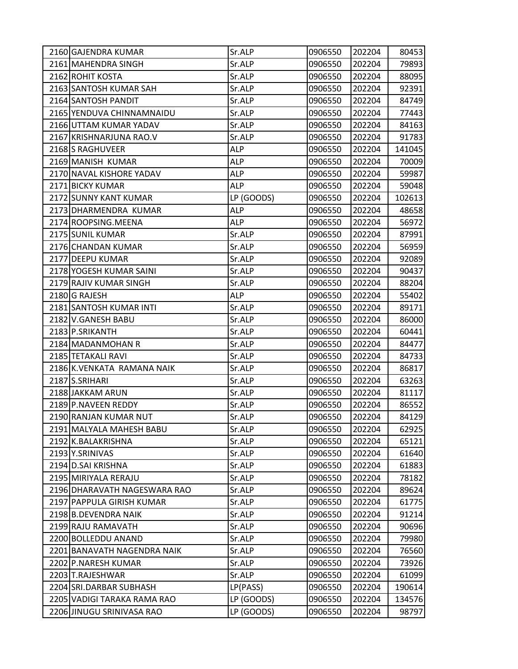| 2160 GAJENDRA KUMAR          | Sr.ALP     | 0906550 | 202204 | 80453  |
|------------------------------|------------|---------|--------|--------|
| 2161 MAHENDRA SINGH          | Sr.ALP     | 0906550 | 202204 | 79893  |
| 2162 ROHIT KOSTA             | Sr.ALP     | 0906550 | 202204 | 88095  |
| 2163 SANTOSH KUMAR SAH       | Sr.ALP     | 0906550 | 202204 | 92391  |
| 2164 SANTOSH PANDIT          | Sr.ALP     | 0906550 | 202204 | 84749  |
| 2165 YENDUVA CHINNAMNAIDU    | Sr.ALP     | 0906550 | 202204 | 77443  |
| 2166 UTTAM KUMAR YADAV       | Sr.ALP     | 0906550 | 202204 | 84163  |
| 2167 KRISHNARJUNA RAO.V      | Sr.ALP     | 0906550 | 202204 | 91783  |
| 2168 S RAGHUVEER             | <b>ALP</b> | 0906550 | 202204 | 141045 |
| 2169 MANISH KUMAR            | <b>ALP</b> | 0906550 | 202204 | 70009  |
| 2170 NAVAL KISHORE YADAV     | <b>ALP</b> | 0906550 | 202204 | 59987  |
| 2171 BICKY KUMAR             | <b>ALP</b> | 0906550 | 202204 | 59048  |
| 2172 SUNNY KANT KUMAR        | LP (GOODS) | 0906550 | 202204 | 102613 |
| 2173 DHARMENDRA KUMAR        | <b>ALP</b> | 0906550 | 202204 | 48658  |
| 2174 ROOPSING. MEENA         | <b>ALP</b> | 0906550 | 202204 | 56972  |
| 2175 SUNIL KUMAR             | Sr.ALP     | 0906550 | 202204 | 87991  |
| 2176 CHANDAN KUMAR           | Sr.ALP     | 0906550 | 202204 | 56959  |
| 2177 DEEPU KUMAR             | Sr.ALP     | 0906550 | 202204 | 92089  |
| 2178 YOGESH KUMAR SAINI      | Sr.ALP     | 0906550 | 202204 | 90437  |
| 2179 RAJIV KUMAR SINGH       | Sr.ALP     | 0906550 | 202204 | 88204  |
| 2180 G RAJESH                | ALP        | 0906550 | 202204 | 55402  |
| 2181 SANTOSH KUMAR INTI      | Sr.ALP     | 0906550 | 202204 | 89171  |
| 2182 V.GANESH BABU           | Sr.ALP     | 0906550 | 202204 | 86000  |
| 2183 P.SRIKANTH              | Sr.ALP     | 0906550 | 202204 | 60441  |
| 2184 MADANMOHAN R            | Sr.ALP     | 0906550 | 202204 | 84477  |
| 2185 TETAKALI RAVI           | Sr.ALP     | 0906550 | 202204 | 84733  |
| 2186 K.VENKATA RAMANA NAIK   | Sr.ALP     | 0906550 | 202204 | 86817  |
| 2187 S.SRIHARI               | Sr.ALP     | 0906550 | 202204 | 63263  |
| 2188 JAKKAM ARUN             | Sr.ALP     | 0906550 | 202204 | 81117  |
| 2189 P.NAVEEN REDDY          | Sr.ALP     | 0906550 | 202204 | 86552  |
| 2190 RANJAN KUMAR NUT        | Sr.ALP     | 0906550 | 202204 | 84129  |
| 2191 MALYALA MAHESH BABU     | Sr.ALP     | 0906550 | 202204 | 62925  |
| 2192 K.BALAKRISHNA           | Sr.ALP     | 0906550 | 202204 | 65121  |
| 2193 Y.SRINIVAS              | Sr.ALP     | 0906550 | 202204 | 61640  |
| 2194 D.SAI KRISHNA           | Sr.ALP     | 0906550 | 202204 | 61883  |
| 2195 MIRIYALA RERAJU         | Sr.ALP     | 0906550 | 202204 | 78182  |
| 2196 DHARAVATH NAGESWARA RAO | Sr.ALP     | 0906550 | 202204 | 89624  |
| 2197 PAPPULA GIRISH KUMAR    | Sr.ALP     | 0906550 | 202204 | 61775  |
| 2198 B.DEVENDRA NAIK         | Sr.ALP     | 0906550 | 202204 | 91214  |
| 2199 RAJU RAMAVATH           | Sr.ALP     | 0906550 | 202204 | 90696  |
| 2200 BOLLEDDU ANAND          | Sr.ALP     | 0906550 | 202204 | 79980  |
| 2201 BANAVATH NAGENDRA NAIK  | Sr.ALP     | 0906550 | 202204 | 76560  |
| 2202 P.NARESH KUMAR          | Sr.ALP     | 0906550 | 202204 | 73926  |
| 2203 T.RAJESHWAR             | Sr.ALP     | 0906550 | 202204 | 61099  |
| 2204 SRI.DARBAR SUBHASH      | LP(PASS)   | 0906550 | 202204 | 190614 |
| 2205 VADIGI TARAKA RAMA RAO  | LP (GOODS) | 0906550 | 202204 | 134576 |
| 2206 JINUGU SRINIVASA RAO    | LP (GOODS) | 0906550 | 202204 | 98797  |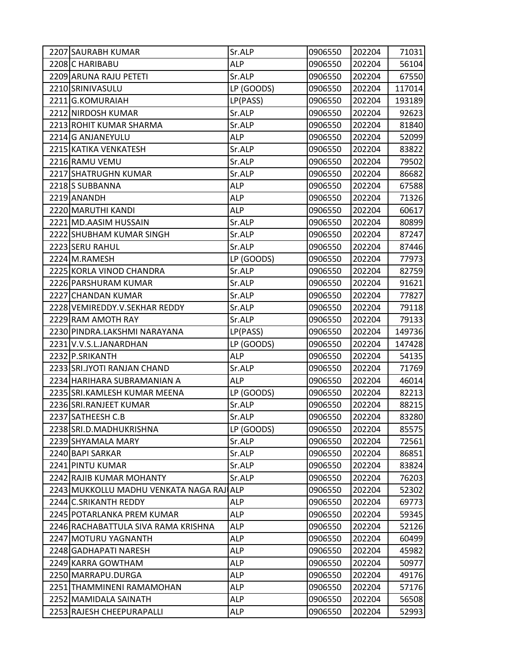| 2207 SAURABH KUMAR                    | Sr.ALP     | 0906550 | 202204 | 71031  |
|---------------------------------------|------------|---------|--------|--------|
| 2208 C HARIBABU                       | <b>ALP</b> | 0906550 | 202204 | 56104  |
| 2209 ARUNA RAJU PETETI                | Sr.ALP     | 0906550 | 202204 | 67550  |
| 2210 SRINIVASULU                      | LP (GOODS) | 0906550 | 202204 | 117014 |
| 2211 G.KOMURAIAH                      | LP(PASS)   | 0906550 | 202204 | 193189 |
| 2212 NIRDOSH KUMAR                    | Sr.ALP     | 0906550 | 202204 | 92623  |
| 2213 ROHIT KUMAR SHARMA               | Sr.ALP     | 0906550 | 202204 | 81840  |
| 2214 G ANJANEYULU                     | <b>ALP</b> | 0906550 | 202204 | 52099  |
| 2215 KATIKA VENKATESH                 | Sr.ALP     | 0906550 | 202204 | 83822  |
| 2216 RAMU VEMU                        | Sr.ALP     | 0906550 | 202204 | 79502  |
| 2217 SHATRUGHN KUMAR                  | Sr.ALP     | 0906550 | 202204 | 86682  |
| 2218 SUBBANNA                         | <b>ALP</b> | 0906550 | 202204 | 67588  |
| 2219 ANANDH                           | <b>ALP</b> | 0906550 | 202204 | 71326  |
| 2220 MARUTHI KANDI                    | <b>ALP</b> | 0906550 | 202204 | 60617  |
| 2221 MD.AASIM HUSSAIN                 | Sr.ALP     | 0906550 | 202204 | 80899  |
| 2222 SHUBHAM KUMAR SINGH              | Sr.ALP     | 0906550 | 202204 | 87247  |
| 2223 SERU RAHUL                       | Sr.ALP     | 0906550 | 202204 | 87446  |
| 2224 M.RAMESH                         | LP (GOODS) | 0906550 | 202204 | 77973  |
| 2225 KORLA VINOD CHANDRA              | Sr.ALP     | 0906550 | 202204 | 82759  |
| 2226 PARSHURAM KUMAR                  | Sr.ALP     | 0906550 | 202204 | 91621  |
| 2227 CHANDAN KUMAR                    | Sr.ALP     | 0906550 | 202204 | 77827  |
| 2228 VEMIREDDY.V.SEKHAR REDDY         | Sr.ALP     | 0906550 | 202204 | 79118  |
| 2229 RAM AMOTH RAY                    | Sr.ALP     | 0906550 | 202204 | 79133  |
| 2230 PINDRA.LAKSHMI NARAYANA          | LP(PASS)   | 0906550 | 202204 | 149736 |
| 2231 V.V.S.L.JANARDHAN                | LP (GOODS) | 0906550 | 202204 | 147428 |
| 2232 P.SRIKANTH                       | <b>ALP</b> | 0906550 | 202204 | 54135  |
| 2233 SRI.JYOTI RANJAN CHAND           | Sr.ALP     | 0906550 | 202204 | 71769  |
| 2234 HARIHARA SUBRAMANIAN A           | <b>ALP</b> | 0906550 | 202204 | 46014  |
| 2235 SRI.KAMLESH KUMAR MEENA          | LP (GOODS) | 0906550 | 202204 | 82213  |
| 2236 SRI.RANJEET KUMAR                | Sr.ALP     | 0906550 | 202204 | 88215  |
| 2237 SATHEESH C.B                     | Sr.ALP     | 0906550 | 202204 | 83280  |
| 2238 SRI.D.MADHUKRISHNA               | LP (GOODS) | 0906550 | 202204 | 85575  |
| 2239 SHYAMALA MARY                    | Sr.ALP     | 0906550 | 202204 | 72561  |
| 2240 BAPI SARKAR                      | Sr.ALP     | 0906550 | 202204 | 86851  |
| 2241 PINTU KUMAR                      | Sr.ALP     | 0906550 | 202204 | 83824  |
| 2242 RAJIB KUMAR MOHANTY              | Sr.ALP     | 0906550 | 202204 | 76203  |
| 2243 MUKKOLLU MADHU VENKATA NAGA RAJI | <b>ALP</b> | 0906550 | 202204 | 52302  |
| 2244 C.SRIKANTH REDDY                 | ALP        | 0906550 | 202204 | 69773  |
| 2245 POTARLANKA PREM KUMAR            | <b>ALP</b> | 0906550 | 202204 | 59345  |
| 2246 RACHABATTULA SIVA RAMA KRISHNA   | <b>ALP</b> | 0906550 | 202204 | 52126  |
| 2247 MOTURU YAGNANTH                  | <b>ALP</b> | 0906550 | 202204 | 60499  |
| 2248 GADHAPATI NARESH                 | <b>ALP</b> | 0906550 | 202204 | 45982  |
| 2249 KARRA GOWTHAM                    | <b>ALP</b> | 0906550 | 202204 | 50977  |
| 2250 MARRAPU.DURGA                    | <b>ALP</b> | 0906550 | 202204 | 49176  |
| 2251 THAMMINENI RAMAMOHAN             | <b>ALP</b> | 0906550 | 202204 | 57176  |
| 2252 MAMIDALA SAINATH                 | <b>ALP</b> | 0906550 | 202204 | 56508  |
| 2253 RAJESH CHEEPURAPALLI             | <b>ALP</b> | 0906550 | 202204 | 52993  |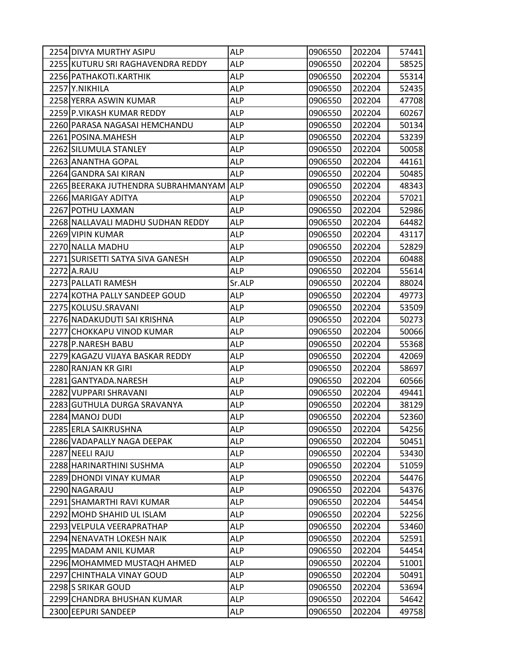| 2254 DIVYA MURTHY ASIPU             | <b>ALP</b> | 0906550 | 202204 | 57441 |
|-------------------------------------|------------|---------|--------|-------|
| 2255 KUTURU SRI RAGHAVENDRA REDDY   | <b>ALP</b> | 0906550 | 202204 | 58525 |
| 2256 PATHAKOTI.KARTHIK              | <b>ALP</b> | 0906550 | 202204 | 55314 |
| 2257 Y.NIKHILA                      | ALP        | 0906550 | 202204 | 52435 |
| 2258 YERRA ASWIN KUMAR              | <b>ALP</b> | 0906550 | 202204 | 47708 |
| 2259 P.VIKASH KUMAR REDDY           | ALP        | 0906550 | 202204 | 60267 |
| 2260 PARASA NAGASAI HEMCHANDU       | <b>ALP</b> | 0906550 | 202204 | 50134 |
| 2261 POSINA.MAHESH                  | <b>ALP</b> | 0906550 | 202204 | 53239 |
| 2262 SILUMULA STANLEY               | ALP        | 0906550 | 202204 | 50058 |
| 2263 ANANTHA GOPAL                  | <b>ALP</b> | 0906550 | 202204 | 44161 |
| 2264 GANDRA SAI KIRAN               | <b>ALP</b> | 0906550 | 202204 | 50485 |
| 2265 BEERAKA JUTHENDRA SUBRAHMANYAM | <b>ALP</b> | 0906550 | 202204 | 48343 |
| 2266 MARIGAY ADITYA                 | <b>ALP</b> | 0906550 | 202204 | 57021 |
| 2267 POTHU LAXMAN                   | <b>ALP</b> | 0906550 | 202204 | 52986 |
| 2268 NALLAVALI MADHU SUDHAN REDDY   | <b>ALP</b> | 0906550 | 202204 | 64482 |
| 2269 VIPIN KUMAR                    | ALP        | 0906550 | 202204 | 43117 |
| 2270 NALLA MADHU                    | <b>ALP</b> | 0906550 | 202204 | 52829 |
| 2271 SURISETTI SATYA SIVA GANESH    | <b>ALP</b> | 0906550 | 202204 | 60488 |
| 2272 A.RAJU                         | ALP        | 0906550 | 202204 | 55614 |
| 2273 PALLATI RAMESH                 | Sr.ALP     | 0906550 | 202204 | 88024 |
| 2274 KOTHA PALLY SANDEEP GOUD       | ALP        | 0906550 | 202204 | 49773 |
| 2275 KOLUSU.SRAVANI                 | <b>ALP</b> | 0906550 | 202204 | 53509 |
| 2276 NADAKUDUTI SAI KRISHNA         | <b>ALP</b> | 0906550 | 202204 | 50273 |
| 2277 CHOKKAPU VINOD KUMAR           | ALP        | 0906550 | 202204 | 50066 |
| 2278 P.NARESH BABU                  | <b>ALP</b> | 0906550 | 202204 | 55368 |
| 2279 KAGAZU VIJAYA BASKAR REDDY     | <b>ALP</b> | 0906550 | 202204 | 42069 |
| 2280 RANJAN KR GIRI                 | <b>ALP</b> | 0906550 | 202204 | 58697 |
| 2281 GANTYADA.NARESH                | <b>ALP</b> | 0906550 | 202204 | 60566 |
| 2282 VUPPARI SHRAVANI               | ALP        | 0906550 | 202204 | 49441 |
| 2283 GUTHULA DURGA SRAVANYA         | <b>ALP</b> | 0906550 | 202204 | 38129 |
| 2284 MANOJ DUDI                     | <b>ALP</b> | 0906550 | 202204 | 52360 |
| 2285 ERLA SAIKRUSHNA                | <b>ALP</b> | 0906550 | 202204 | 54256 |
| 2286 VADAPALLY NAGA DEEPAK          | <b>ALP</b> | 0906550 | 202204 | 50451 |
| 2287 NEELI RAJU                     | <b>ALP</b> | 0906550 | 202204 | 53430 |
| 2288 HARINARTHINI SUSHMA            | <b>ALP</b> | 0906550 | 202204 | 51059 |
| 2289 DHONDI VINAY KUMAR             | <b>ALP</b> | 0906550 | 202204 | 54476 |
| 2290 NAGARAJU                       | <b>ALP</b> | 0906550 | 202204 | 54376 |
| 2291 SHAMARTHI RAVI KUMAR           | <b>ALP</b> | 0906550 | 202204 | 54454 |
| 2292 MOHD SHAHID UL ISLAM           | <b>ALP</b> | 0906550 | 202204 | 52256 |
| 2293 VELPULA VEERAPRATHAP           | <b>ALP</b> | 0906550 | 202204 | 53460 |
| 2294 NENAVATH LOKESH NAIK           | <b>ALP</b> | 0906550 | 202204 | 52591 |
| 2295 MADAM ANIL KUMAR               | <b>ALP</b> | 0906550 | 202204 | 54454 |
| 2296 MOHAMMED MUSTAQH AHMED         | <b>ALP</b> | 0906550 | 202204 | 51001 |
| 2297 CHINTHALA VINAY GOUD           | <b>ALP</b> | 0906550 | 202204 | 50491 |
| 2298 S SRIKAR GOUD                  | <b>ALP</b> | 0906550 | 202204 | 53694 |
| 2299 CHANDRA BHUSHAN KUMAR          | <b>ALP</b> | 0906550 | 202204 | 54642 |
| 2300 EEPURI SANDEEP                 | <b>ALP</b> | 0906550 | 202204 | 49758 |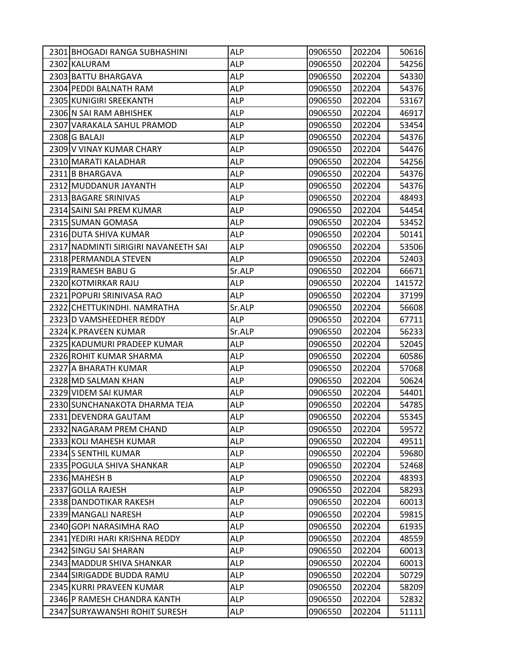| 2301 BHOGADI RANGA SUBHASHINI        | <b>ALP</b> | 0906550 | 202204 | 50616  |
|--------------------------------------|------------|---------|--------|--------|
| 2302 KALURAM                         | <b>ALP</b> | 0906550 | 202204 | 54256  |
| 2303 BATTU BHARGAVA                  | <b>ALP</b> | 0906550 | 202204 | 54330  |
| 2304 PEDDI BALNATH RAM               | ALP        | 0906550 | 202204 | 54376  |
| 2305 KUNIGIRI SREEKANTH              | <b>ALP</b> | 0906550 | 202204 | 53167  |
| 2306 N SAI RAM ABHISHEK              | <b>ALP</b> | 0906550 | 202204 | 46917  |
| 2307 VARAKALA SAHUL PRAMOD           | <b>ALP</b> | 0906550 | 202204 | 53454  |
| 2308 G BALAJI                        | <b>ALP</b> | 0906550 | 202204 | 54376  |
| 2309 V VINAY KUMAR CHARY             | ALP        | 0906550 | 202204 | 54476  |
| 2310 MARATI KALADHAR                 | <b>ALP</b> | 0906550 | 202204 | 54256  |
| 2311 B BHARGAVA                      | ALP        | 0906550 | 202204 | 54376  |
| 2312 MUDDANUR JAYANTH                | <b>ALP</b> | 0906550 | 202204 | 54376  |
| 2313 BAGARE SRINIVAS                 | <b>ALP</b> | 0906550 | 202204 | 48493  |
| 2314 SAINI SAI PREM KUMAR            | ALP        | 0906550 | 202204 | 54454  |
| 2315 SUMAN GOMASA                    | <b>ALP</b> | 0906550 | 202204 | 53452  |
| 2316 DUTA SHIVA KUMAR                | <b>ALP</b> | 0906550 | 202204 | 50141  |
| 2317 NADMINTI SIRIGIRI NAVANEETH SAI | <b>ALP</b> | 0906550 | 202204 | 53506  |
| 2318 PERMANDLA STEVEN                | <b>ALP</b> | 0906550 | 202204 | 52403  |
| 2319 RAMESH BABU G                   | Sr.ALP     | 0906550 | 202204 | 66671  |
| 2320 KOTMIRKAR RAJU                  | <b>ALP</b> | 0906550 | 202204 | 141572 |
| 2321 POPURI SRINIVASA RAO            | ALP        | 0906550 | 202204 | 37199  |
| 2322 CHETTUKINDHI. NAMRATHA          | Sr.ALP     | 0906550 | 202204 | 56608  |
| 2323 D VAMSHEEDHER REDDY             | <b>ALP</b> | 0906550 | 202204 | 67711  |
| 2324 K.PRAVEEN KUMAR                 | Sr.ALP     | 0906550 | 202204 | 56233  |
| 2325 KADUMURI PRADEEP KUMAR          | <b>ALP</b> | 0906550 | 202204 | 52045  |
| 2326 ROHIT KUMAR SHARMA              | ALP        | 0906550 | 202204 | 60586  |
| 2327 A BHARATH KUMAR                 | <b>ALP</b> | 0906550 | 202204 | 57068  |
| 2328 MD SALMAN KHAN                  | <b>ALP</b> | 0906550 | 202204 | 50624  |
| 2329 VIDEM SAI KUMAR                 | ALP        | 0906550 | 202204 | 54401  |
| 2330 SUNCHANAKOTA DHARMA TEJA        | <b>ALP</b> | 0906550 | 202204 | 54785  |
| 2331 DEVENDRA GAUTAM                 | ALP        | 0906550 | 202204 | 55345  |
| 2332 NAGARAM PREM CHAND              | <b>ALP</b> | 0906550 | 202204 | 59572  |
| 2333 KOLI MAHESH KUMAR               | <b>ALP</b> | 0906550 | 202204 | 49511  |
| 2334 S SENTHIL KUMAR                 | <b>ALP</b> | 0906550 | 202204 | 59680  |
| 2335 POGULA SHIVA SHANKAR            | <b>ALP</b> | 0906550 | 202204 | 52468  |
| 2336 MAHESH B                        | <b>ALP</b> | 0906550 | 202204 | 48393  |
| 2337 GOLLA RAJESH                    | <b>ALP</b> | 0906550 | 202204 | 58293  |
| 2338 DANDOTIKAR RAKESH               | <b>ALP</b> | 0906550 | 202204 | 60013  |
| 2339 MANGALI NARESH                  | <b>ALP</b> | 0906550 | 202204 | 59815  |
| 2340 GOPI NARASIMHA RAO              | ALP        | 0906550 | 202204 | 61935  |
| 2341 YEDIRI HARI KRISHNA REDDY       | ALP        | 0906550 | 202204 | 48559  |
| 2342 SINGU SAI SHARAN                | <b>ALP</b> | 0906550 | 202204 | 60013  |
| 2343 MADDUR SHIVA SHANKAR            | <b>ALP</b> | 0906550 | 202204 | 60013  |
| 2344 SIRIGADDE BUDDA RAMU            | <b>ALP</b> | 0906550 | 202204 | 50729  |
| 2345 KURRI PRAVEEN KUMAR             | <b>ALP</b> | 0906550 | 202204 | 58209  |
| 2346 P RAMESH CHANDRA KANTH          | ALP        | 0906550 | 202204 | 52832  |
| 2347 SURYAWANSHI ROHIT SURESH        | <b>ALP</b> | 0906550 | 202204 | 51111  |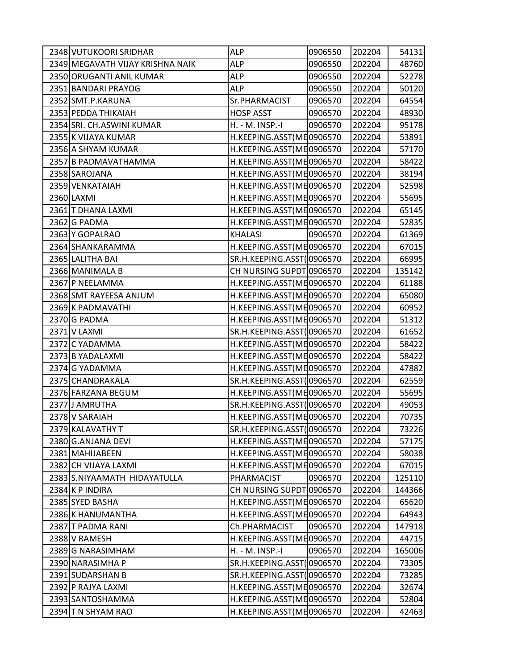| 2348 VUTUKOORI SRIDHAR           | ALP                       | 0906550 | 202204 | 54131  |
|----------------------------------|---------------------------|---------|--------|--------|
| 2349 MEGAVATH VIJAY KRISHNA NAIK | <b>ALP</b>                | 0906550 | 202204 | 48760  |
| 2350 ORUGANTI ANIL KUMAR         | <b>ALP</b>                | 0906550 | 202204 | 52278  |
| 2351 BANDARI PRAYOG              | ALP                       | 0906550 | 202204 | 50120  |
| 2352 SMT.P.KARUNA                | Sr.PHARMACIST             | 0906570 | 202204 | 64554  |
| 2353 PEDDA THIKAIAH              | <b>HOSP ASST</b>          | 0906570 | 202204 | 48930  |
| 2354 SRI. CH.ASWINI KUMAR        | H. - M. INSP.-I           | 0906570 | 202204 | 95178  |
| 2355 K VIJAYA KUMAR              | H.KEEPING.ASST(ME0906570  |         | 202204 | 53891  |
| 2356 A SHYAM KUMAR               | H.KEEPING.ASST(ME0906570  |         | 202204 | 57170  |
| 2357 B PADMAVATHAMMA             | H.KEEPING.ASST(ME0906570  |         | 202204 | 58422  |
| 2358 SAROJANA                    | H.KEEPING.ASST(ME0906570  |         | 202204 | 38194  |
| 2359 VENKATAIAH                  | H.KEEPING.ASST(ME0906570  |         | 202204 | 52598  |
| 2360 LAXMI                       | H.KEEPING.ASST(ME0906570  |         | 202204 | 55695  |
| 2361 T DHANA LAXMI               | H.KEEPING.ASST(ME0906570  |         | 202204 | 65145  |
| 2362 G PADMA                     | H.KEEPING.ASST(ME0906570  |         | 202204 | 52835  |
| 2363 Y GOPALRAO                  | <b>KHALASI</b>            | 0906570 | 202204 | 61369  |
| 2364 SHANKARAMMA                 | H.KEEPING.ASST(ME0906570  |         | 202204 | 67015  |
| 2365 LALITHA BAI                 | SR.H.KEEPING.ASST(0906570 |         | 202204 | 66995  |
| 2366 MANIMALA B                  | CH NURSING SUPDT 0906570  |         | 202204 | 135142 |
| 2367 P NEELAMMA                  | H.KEEPING.ASST(ME0906570  |         | 202204 | 61188  |
| 2368 SMT RAYEESA ANJUM           | H.KEEPING.ASST(ME0906570  |         | 202204 | 65080  |
| 2369 K PADMAVATHI                | H.KEEPING.ASST(ME0906570  |         | 202204 | 60952  |
| 2370 G PADMA                     | H.KEEPING.ASST(ME0906570  |         | 202204 | 51312  |
| 2371 V LAXMI                     | SR.H.KEEPING.ASST(0906570 |         | 202204 | 61652  |
| 2372 C YADAMMA                   | H.KEEPING.ASST(ME0906570  |         | 202204 | 58422  |
| 2373 B YADALAXMI                 | H.KEEPING.ASST(ME0906570  |         | 202204 | 58422  |
| 2374 G YADAMMA                   | H.KEEPING.ASST(ME0906570  |         | 202204 | 47882  |
| 2375 CHANDRAKALA                 | SR.H.KEEPING.ASST(0906570 |         | 202204 | 62559  |
| 2376 FARZANA BEGUM               | H.KEEPING.ASST(ME0906570  |         | 202204 | 55695  |
| 2377 J AMRUTHA                   | SR.H.KEEPING.ASST(0906570 |         | 202204 | 49053  |
| 2378 V SARAIAH                   | H.KEEPING.ASST(ME0906570  |         | 202204 | 70735  |
| 2379 KALAVATHY T                 | SR.H.KEEPING.ASST(0906570 |         | 202204 | 73226  |
| 2380 G.ANJANA DEVI               | H.KEEPING.ASST(ME0906570  |         | 202204 | 57175  |
| 2381 MAHIJABEEN                  | H.KEEPING.ASST(ME0906570  |         | 202204 | 58038  |
| 2382 CH VIJAYA LAXMI             | H.KEEPING.ASST(ME0906570  |         | 202204 | 67015  |
| 2383 S.NIYAAMATH HIDAYATULLA     | PHARMACIST                | 0906570 | 202204 | 125110 |
| 2384 K P INDIRA                  | CH NURSING SUPDT 0906570  |         | 202204 | 144366 |
| 2385 SYED BASHA                  | H.KEEPING.ASST(ME0906570  |         | 202204 | 65620  |
| 2386 K HANUMANTHA                | H.KEEPING.ASST(ME0906570  |         | 202204 | 64943  |
| 2387 T PADMA RANI                | Ch.PHARMACIST             | 0906570 | 202204 | 147918 |
| 2388 V RAMESH                    | H.KEEPING.ASST(ME0906570  |         | 202204 | 44715  |
| 2389 G NARASIMHAM                | H. - M. INSP.-I           | 0906570 | 202204 | 165006 |
| 2390 NARASIMHA P                 | SR.H.KEEPING.ASST(0906570 |         | 202204 | 73305  |
| 2391 SUDARSHAN B                 | SR.H.KEEPING.ASST(0906570 |         | 202204 | 73285  |
| 2392 P RAJYA LAXMI               | H.KEEPING.ASST(ME0906570  |         | 202204 | 32674  |
| 2393 SANTOSHAMMA                 | H.KEEPING.ASST(ME0906570  |         | 202204 | 52804  |
| 2394 T N SHYAM RAO               | H.KEEPING.ASST(ME0906570  |         | 202204 | 42463  |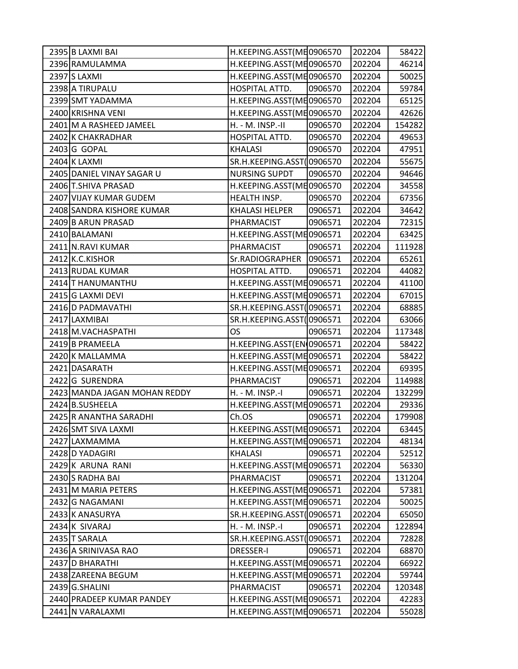| 2395 B LAXMI BAI             | H.KEEPING.ASST(ME0906570  |         | 202204 | 58422  |
|------------------------------|---------------------------|---------|--------|--------|
| 2396 RAMULAMMA               | H.KEEPING.ASST(ME0906570  |         | 202204 | 46214  |
| 2397 S LAXMI                 | H.KEEPING.ASST(ME0906570  |         | 202204 | 50025  |
| 2398 A TIRUPALU              | HOSPITAL ATTD.            | 0906570 | 202204 | 59784  |
| 2399 SMT YADAMMA             | H.KEEPING.ASST(ME0906570  |         | 202204 | 65125  |
| 2400 KRISHNA VENI            | H.KEEPING.ASST(ME0906570  |         | 202204 | 42626  |
| 2401 M A RASHEED JAMEEL      | H. - M. INSP.-II          | 0906570 | 202204 | 154282 |
| 2402 K CHAKRADHAR            | HOSPITAL ATTD.            | 0906570 | 202204 | 49653  |
| 2403 G GOPAL                 | <b>KHALASI</b>            | 0906570 | 202204 | 47951  |
| 2404 K LAXMI                 | SR.H.KEEPING.ASST(0906570 |         | 202204 | 55675  |
| 2405 DANIEL VINAY SAGAR U    | <b>NURSING SUPDT</b>      | 0906570 | 202204 | 94646  |
| 2406 T.SHIVA PRASAD          | H.KEEPING.ASST(ME0906570  |         | 202204 | 34558  |
| 2407 VIJAY KUMAR GUDEM       | HEALTH INSP.              | 0906570 | 202204 | 67356  |
| 2408 SANDRA KISHORE KUMAR    | <b>KHALASI HELPER</b>     | 0906571 | 202204 | 34642  |
| 2409 B ARUN PRASAD           | PHARMACIST                | 0906571 | 202204 | 72315  |
| 2410 BALAMANI                | H.KEEPING.ASST(ME0906571  |         | 202204 | 63425  |
| 2411 N.RAVI KUMAR            | PHARMACIST                | 0906571 | 202204 | 111928 |
| 2412 K.C.KISHOR              | Sr.RADIOGRAPHER           | 0906571 | 202204 | 65261  |
| 2413 RUDAL KUMAR             | HOSPITAL ATTD.            | 0906571 | 202204 | 44082  |
| 2414 T HANUMANTHU            | H.KEEPING.ASST(ME0906571  |         | 202204 | 41100  |
| 2415 G LAXMI DEVI            | H.KEEPING.ASST(ME0906571  |         | 202204 | 67015  |
| 2416 D PADMAVATHI            | SR.H.KEEPING.ASST(0906571 |         | 202204 | 68885  |
| 2417 LAXMIBAI                | SR.H.KEEPING.ASST(0906571 |         | 202204 | 63066  |
| 2418 M. VACHASPATHI          | <b>OS</b>                 | 0906571 | 202204 | 117348 |
| 2419 B PRAMEELA              | H.KEEPING.ASST(EN 0906571 |         | 202204 | 58422  |
| 2420 K MALLAMMA              | H.KEEPING.ASST(ME0906571  |         | 202204 | 58422  |
| 2421 DASARATH                | H.KEEPING.ASST(ME0906571  |         | 202204 | 69395  |
| 2422 G SURENDRA              | PHARMACIST                | 0906571 | 202204 | 114988 |
| 2423 MANDA JAGAN MOHAN REDDY | H. - M. INSP.-I           | 0906571 | 202204 | 132299 |
| 2424 B.SUSHEELA              | H.KEEPING.ASST(ME0906571  |         | 202204 | 29336  |
| 2425 R ANANTHA SARADHI       | Ch.OS                     | 0906571 | 202204 | 179908 |
| 2426 SMT SIVA LAXMI          | H.KEEPING.ASST(ME0906571  |         | 202204 | 63445  |
| 2427 LAXMAMMA                | H.KEEPING.ASST(ME0906571  |         | 202204 | 48134  |
| 2428 D YADAGIRI              | <b>KHALASI</b>            | 0906571 | 202204 | 52512  |
| 2429K ARUNA RANI             | H.KEEPING.ASST(ME0906571  |         | 202204 | 56330  |
| 2430 S RADHA BAI             | PHARMACIST                | 0906571 | 202204 | 131204 |
| 2431 M MARIA PETERS          | H.KEEPING.ASST(ME0906571  |         | 202204 | 57381  |
| 2432 G NAGAMANI              | H.KEEPING.ASST(ME0906571  |         | 202204 | 50025  |
| 2433 K ANASURYA              | SR.H.KEEPING.ASST(0906571 |         | 202204 | 65050  |
| 2434 K SIVARAJ               | H. - M. INSP.-I           | 0906571 | 202204 | 122894 |
| 2435 T SARALA                | SR.H.KEEPING.ASST(0906571 |         | 202204 | 72828  |
| 2436 A SRINIVASA RAO         | <b>DRESSER-I</b>          | 0906571 | 202204 | 68870  |
| 2437 D BHARATHI              | H.KEEPING.ASST(ME0906571  |         | 202204 | 66922  |
| 2438 ZAREENA BEGUM           | H.KEEPING.ASST(ME0906571  |         | 202204 | 59744  |
| 2439 G.SHALINI               | PHARMACIST                | 0906571 | 202204 | 120348 |
| 2440 PRADEEP KUMAR PANDEY    | H.KEEPING.ASST(ME0906571  |         | 202204 | 42283  |
| 2441 N VARALAXMI             | H.KEEPING.ASST(ME0906571  |         | 202204 | 55028  |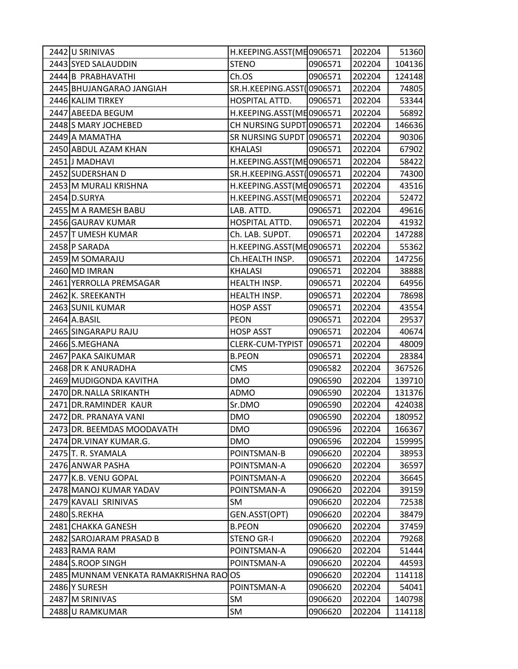| 2442 U SRINIVAS                     | H.KEEPING.ASST(ME0906571  |         | 202204 | 51360  |
|-------------------------------------|---------------------------|---------|--------|--------|
| 2443 SYED SALAUDDIN                 | <b>STENO</b>              | 0906571 | 202204 | 104136 |
| 2444 B PRABHAVATHI                  | Ch.OS                     | 0906571 | 202204 | 124148 |
| 2445 BHUJANGARAO JANGIAH            | SR.H.KEEPING.ASST(0906571 |         | 202204 | 74805  |
| 2446 KALIM TIRKEY                   | HOSPITAL ATTD.            | 0906571 | 202204 | 53344  |
| 2447 ABEEDA BEGUM                   | H.KEEPING.ASST(ME0906571  |         | 202204 | 56892  |
| 2448 S MARY JOCHEBED                | CH NURSING SUPDT 0906571  |         | 202204 | 146636 |
| 2449 A MAMATHA                      | SR NURSING SUPDT 0906571  |         | 202204 | 90306  |
| 2450 ABDUL AZAM KHAN                | <b>KHALASI</b>            | 0906571 | 202204 | 67902  |
| 2451 J MADHAVI                      | H.KEEPING.ASST(ME0906571  |         | 202204 | 58422  |
| 2452 SUDERSHAN D                    | SR.H.KEEPING.ASST(0906571 |         | 202204 | 74300  |
| 2453 M MURALI KRISHNA               | H.KEEPING.ASST(ME0906571  |         | 202204 | 43516  |
| 2454 D.SURYA                        | H.KEEPING.ASST(ME0906571  |         | 202204 | 52472  |
| 2455 M A RAMESH BABU                | LAB. ATTD.                | 0906571 | 202204 | 49616  |
| 2456 GAURAV KUMAR                   | HOSPITAL ATTD.            | 0906571 | 202204 | 41932  |
| 2457 T UMESH KUMAR                  | Ch. LAB. SUPDT.           | 0906571 | 202204 | 147288 |
| 2458 P SARADA                       | H.KEEPING.ASST(ME0906571  |         | 202204 | 55362  |
| 2459 M SOMARAJU                     | Ch.HEALTH INSP.           | 0906571 | 202204 | 147256 |
| 2460 MD IMRAN                       | <b>KHALASI</b>            | 0906571 | 202204 | 38888  |
| 2461 YERROLLA PREMSAGAR             | HEALTH INSP.              | 0906571 | 202204 | 64956  |
| 2462 K. SREEKANTH                   | HEALTH INSP.              | 0906571 | 202204 | 78698  |
| 2463 SUNIL KUMAR                    | <b>HOSP ASST</b>          | 0906571 | 202204 | 43554  |
| 2464 A.BASIL                        | <b>PEON</b>               | 0906571 | 202204 | 29537  |
| 2465 SINGARAPU RAJU                 | <b>HOSP ASST</b>          | 0906571 | 202204 | 40674  |
| 2466 S.MEGHANA                      | CLERK-CUM-TYPIST          | 0906571 | 202204 | 48009  |
| 2467 PAKA SAIKUMAR                  | <b>B.PEON</b>             | 0906571 | 202204 | 28384  |
| 2468 DR K ANURADHA                  | <b>CMS</b>                | 0906582 | 202204 | 367526 |
| 2469 MUDIGONDA KAVITHA              | <b>DMO</b>                | 0906590 | 202204 | 139710 |
| 2470 DR. NALLA SRIKANTH             | <b>ADMO</b>               | 0906590 | 202204 | 131376 |
| 2471 DR.RAMINDER KAUR               | Sr.DMO                    | 0906590 | 202204 | 424038 |
| 2472 DR. PRANAYA VANI               | <b>DMO</b>                | 0906590 | 202204 | 180952 |
| 2473 DR. BEEMDAS MOODAVATH          | <b>DMO</b>                | 0906596 | 202204 | 166367 |
| 2474 DR. VINAY KUMAR.G.             | <b>DMO</b>                | 0906596 | 202204 | 159995 |
| 2475 T. R. SYAMALA                  | POINTSMAN-B               | 0906620 | 202204 | 38953  |
| 2476 ANWAR PASHA                    | POINTSMAN-A               | 0906620 | 202204 | 36597  |
| 2477 K.B. VENU GOPAL                | POINTSMAN-A               | 0906620 | 202204 | 36645  |
| 2478 MANOJ KUMAR YADAV              | POINTSMAN-A               | 0906620 | 202204 | 39159  |
| 2479 KAVALI SRINIVAS                | <b>SM</b>                 | 0906620 | 202204 | 72538  |
| 2480 S.REKHA                        | GEN.ASST(OPT)             | 0906620 | 202204 | 38479  |
| 2481 CHAKKA GANESH                  | <b>B.PEON</b>             | 0906620 | 202204 | 37459  |
| 2482 SAROJARAM PRASAD B             | <b>STENO GR-I</b>         | 0906620 | 202204 | 79268  |
| 2483 RAMA RAM                       | POINTSMAN-A               | 0906620 | 202204 | 51444  |
| 2484 S.ROOP SINGH                   | POINTSMAN-A               | 0906620 | 202204 | 44593  |
| 2485 MUNNAM VENKATA RAMAKRISHNA RAO | <b>OS</b>                 | 0906620 | 202204 | 114118 |
| 2486 Y SURESH                       | POINTSMAN-A               | 0906620 | 202204 | 54041  |
| 2487 M SRINIVAS                     | SM                        | 0906620 | 202204 | 140798 |
| 2488 U RAMKUMAR                     | SM                        | 0906620 | 202204 | 114118 |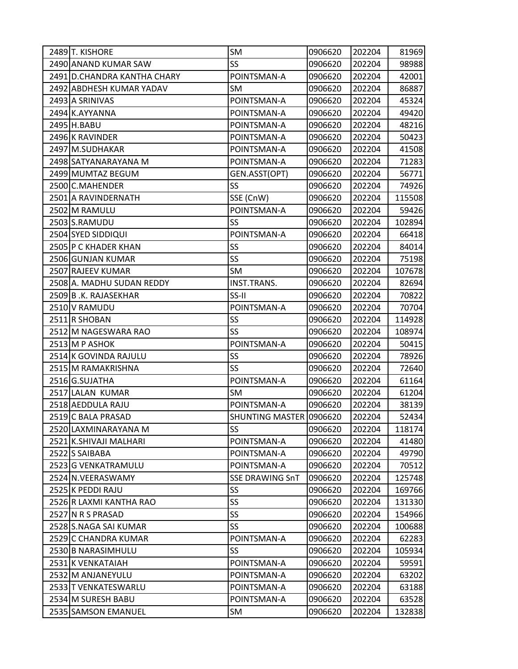| 2489 T. KISHORE             | SM                      | 0906620 | 202204 | 81969  |
|-----------------------------|-------------------------|---------|--------|--------|
| 2490 ANAND KUMAR SAW        | <b>SS</b>               | 0906620 | 202204 | 98988  |
| 2491 D.CHANDRA KANTHA CHARY | POINTSMAN-A             | 0906620 | 202204 | 42001  |
| 2492 ABDHESH KUMAR YADAV    | SM                      | 0906620 | 202204 | 86887  |
| 2493 A SRINIVAS             | POINTSMAN-A             | 0906620 | 202204 | 45324  |
| 2494 K.AYYANNA              | POINTSMAN-A             | 0906620 | 202204 | 49420  |
| 2495 H.BABU                 | POINTSMAN-A             | 0906620 | 202204 | 48216  |
| 2496 K RAVINDER             | POINTSMAN-A             | 0906620 | 202204 | 50423  |
| 2497 M.SUDHAKAR             | POINTSMAN-A             | 0906620 | 202204 | 41508  |
| 2498 SATYANARAYANA M        | POINTSMAN-A             | 0906620 | 202204 | 71283  |
| 2499 MUMTAZ BEGUM           | GEN.ASST(OPT)           | 0906620 | 202204 | 56771  |
| 2500 C.MAHENDER             | SS                      | 0906620 | 202204 | 74926  |
| 2501 A RAVINDERNATH         | SSE (CnW)               | 0906620 | 202204 | 115508 |
| 2502 M RAMULU               | POINTSMAN-A             | 0906620 | 202204 | 59426  |
| 2503 S.RAMUDU               | SS                      | 0906620 | 202204 | 102894 |
| 2504 SYED SIDDIQUI          | POINTSMAN-A             | 0906620 | 202204 | 66418  |
| 2505 P C KHADER KHAN        | SS                      | 0906620 | 202204 | 84014  |
| 2506 GUNJAN KUMAR           | SS                      | 0906620 | 202204 | 75198  |
| 2507 RAJEEV KUMAR           | SM                      | 0906620 | 202204 | 107678 |
| 2508 A. MADHU SUDAN REDDY   | INST.TRANS.             | 0906620 | 202204 | 82694  |
| 2509 B.K. RAJASEKHAR        | SS-II                   | 0906620 | 202204 | 70822  |
| 2510 V RAMUDU               | POINTSMAN-A             | 0906620 | 202204 | 70704  |
| 2511 R SHOBAN               | SS                      | 0906620 | 202204 | 114928 |
| 2512 M NAGESWARA RAO        | SS                      | 0906620 | 202204 | 108974 |
| 2513 M P ASHOK              | POINTSMAN-A             | 0906620 | 202204 | 50415  |
| 2514 K GOVINDA RAJULU       | SS                      | 0906620 | 202204 | 78926  |
| 2515 M RAMAKRISHNA          | <b>SS</b>               | 0906620 | 202204 | 72640  |
| 2516 G.SUJATHA              | POINTSMAN-A             | 0906620 | 202204 | 61164  |
| 2517 LALAN KUMAR            | <b>SM</b>               | 0906620 | 202204 | 61204  |
| 2518 AEDDULA RAJU           | POINTSMAN-A             | 0906620 | 202204 | 38139  |
| 2519 C BALA PRASAD          | SHUNTING MASTER 0906620 |         | 202204 | 52434  |
| 2520 LAXMINARAYANA M        | SS                      | 0906620 | 202204 | 118174 |
| 2521 K.SHIVAJI MALHARI      | POINTSMAN-A             | 0906620 | 202204 | 41480  |
| 2522 S SAIBABA              | POINTSMAN-A             | 0906620 | 202204 | 49790  |
| 2523 G VENKATRAMULU         | POINTSMAN-A             | 0906620 | 202204 | 70512  |
| 2524 N.VEERASWAMY           | <b>SSE DRAWING SnT</b>  | 0906620 | 202204 | 125748 |
| 2525 K PEDDI RAJU           | SS                      | 0906620 | 202204 | 169766 |
| 2526 R LAXMI KANTHA RAO     | SS                      | 0906620 | 202204 | 131330 |
| 2527 N R S PRASAD           | <b>SS</b>               | 0906620 | 202204 | 154966 |
| 2528 S.NAGA SAI KUMAR       | SS                      | 0906620 | 202204 | 100688 |
| 2529 C CHANDRA KUMAR        | POINTSMAN-A             | 0906620 | 202204 | 62283  |
| 2530 B NARASIMHULU          | <b>SS</b>               | 0906620 | 202204 | 105934 |
| 2531 K VENKATAIAH           | POINTSMAN-A             | 0906620 | 202204 | 59591  |
| 2532 M ANJANEYULU           | POINTSMAN-A             | 0906620 | 202204 | 63202  |
| 2533 T VENKATESWARLU        | POINTSMAN-A             | 0906620 | 202204 | 63188  |
| 2534 M SURESH BABU          | POINTSMAN-A             | 0906620 | 202204 | 63528  |
| 2535 SAMSON EMANUEL         | SM                      | 0906620 | 202204 | 132838 |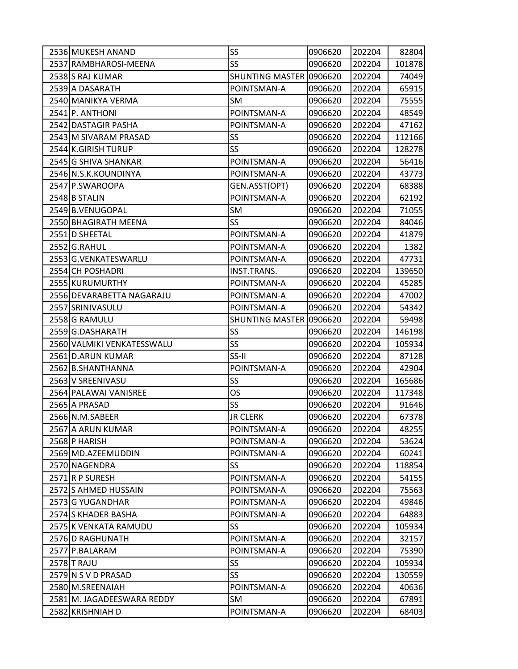| 2536 MUKESH ANAND          | SS                      | 0906620 | 202204 | 82804  |
|----------------------------|-------------------------|---------|--------|--------|
| 2537 RAMBHAROSI-MEENA      | <b>SS</b>               | 0906620 | 202204 | 101878 |
| 2538 S RAJ KUMAR           | SHUNTING MASTER 0906620 |         | 202204 | 74049  |
| 2539 A DASARATH            | POINTSMAN-A             | 0906620 | 202204 | 65915  |
| 2540 MANIKYA VERMA         | SM                      | 0906620 | 202204 | 75555  |
| 2541 P. ANTHONI            | POINTSMAN-A             | 0906620 | 202204 | 48549  |
| 2542 DASTAGIR PASHA        | POINTSMAN-A             | 0906620 | 202204 | 47162  |
| 2543 M SIVARAM PRASAD      | SS                      | 0906620 | 202204 | 112166 |
| 2544 K.GIRISH TURUP        | SS                      | 0906620 | 202204 | 128278 |
| 2545 G SHIVA SHANKAR       | POINTSMAN-A             | 0906620 | 202204 | 56416  |
| 2546 N.S.K.KOUNDINYA       | POINTSMAN-A             | 0906620 | 202204 | 43773  |
| 2547 P.SWAROOPA            | GEN.ASST(OPT)           | 0906620 | 202204 | 68388  |
| 2548 B STALIN              | POINTSMAN-A             | 0906620 | 202204 | 62192  |
| 2549 B.VENUGOPAL           | SM                      | 0906620 | 202204 | 71055  |
| 2550 BHAGIRATH MEENA       | SS                      | 0906620 | 202204 | 84046  |
| 2551 D SHEETAL             | POINTSMAN-A             | 0906620 | 202204 | 41879  |
| 2552 G.RAHUL               | POINTSMAN-A             | 0906620 | 202204 | 1382   |
| 2553 G.VENKATESWARLU       | POINTSMAN-A             | 0906620 | 202204 | 47731  |
| 2554 CH POSHADRI           | INST.TRANS.             | 0906620 | 202204 | 139650 |
| 2555 KURUMURTHY            | POINTSMAN-A             | 0906620 | 202204 | 45285  |
| 2556 DEVARABETTA NAGARAJU  | POINTSMAN-A             | 0906620 | 202204 | 47002  |
| 2557 SRINIVASULU           | POINTSMAN-A             | 0906620 | 202204 | 54342  |
| 2558 G RAMULU              | SHUNTING MASTER 0906620 |         | 202204 | 59498  |
| 2559 G.DASHARATH           | SS                      | 0906620 | 202204 | 146198 |
| 2560 VALMIKI VENKATESSWALU | SS                      | 0906620 | 202204 | 105934 |
| 2561 D.ARUN KUMAR          | SS-II                   | 0906620 | 202204 | 87128  |
| 2562 B.SHANTHANNA          | POINTSMAN-A             | 0906620 | 202204 | 42904  |
| 2563 V SREENIVASU          | SS                      | 0906620 | 202204 | 165686 |
| 2564 PALAWAI VANISREE      | <b>OS</b>               | 0906620 | 202204 | 117348 |
| 2565 A PRASAD              | <b>SS</b>               | 0906620 | 202204 | 91646  |
| 2566 N.M.SABEER            | <b>JR CLERK</b>         | 0906620 | 202204 | 67378  |
| 2567 A ARUN KUMAR          | POINTSMAN-A             | 0906620 | 202204 | 48255  |
| 2568 P HARISH              | POINTSMAN-A             | 0906620 | 202204 | 53624  |
| 2569 MD.AZEEMUDDIN         | POINTSMAN-A             | 0906620 | 202204 | 60241  |
| 2570 NAGENDRA              | SS                      | 0906620 | 202204 | 118854 |
| 2571R P SURESH             | POINTSMAN-A             | 0906620 | 202204 | 54155  |
| 2572 S AHMED HUSSAIN       | POINTSMAN-A             | 0906620 | 202204 | 75563  |
| 2573 G YUGANDHAR           | POINTSMAN-A             | 0906620 | 202204 | 49846  |
| 2574 S KHADER BASHA        | POINTSMAN-A             | 0906620 | 202204 | 64883  |
| 2575 K VENKATA RAMUDU      | SS                      | 0906620 | 202204 | 105934 |
| 2576 D RAGHUNATH           | POINTSMAN-A             | 0906620 | 202204 | 32157  |
| 2577 P.BALARAM             | POINTSMAN-A             | 0906620 | 202204 | 75390  |
| 2578 T RAJU                | SS                      | 0906620 | 202204 | 105934 |
| 2579 N S V D PRASAD        | <b>SS</b>               | 0906620 | 202204 | 130559 |
| 2580 M.SREENAIAH           | POINTSMAN-A             | 0906620 | 202204 | 40636  |
| 2581 M. JAGADEESWARA REDDY | SM                      | 0906620 | 202204 | 67891  |
| 2582 KRISHNIAH D           | POINTSMAN-A             | 0906620 | 202204 | 68403  |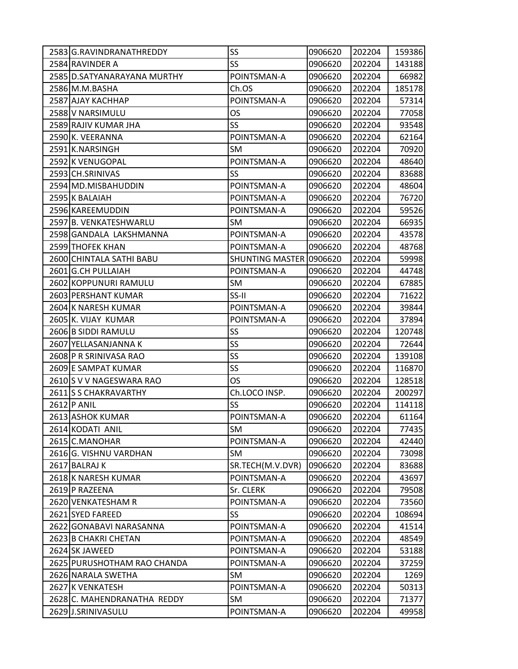| 2583 G.RAVINDRANATHREDDY    | SS                      | 0906620 | 202204 | 159386 |
|-----------------------------|-------------------------|---------|--------|--------|
| 2584 RAVINDER A             | <b>SS</b>               | 0906620 | 202204 | 143188 |
| 2585 D.SATYANARAYANA MURTHY | POINTSMAN-A             | 0906620 | 202204 | 66982  |
| 2586 M.M.BASHA              | Ch.OS                   | 0906620 | 202204 | 185178 |
| 2587 AJAY KACHHAP           | POINTSMAN-A             | 0906620 | 202204 | 57314  |
| 2588 V NARSIMULU            | <b>OS</b>               | 0906620 | 202204 | 77058  |
| 2589 RAJIV KUMAR JHA        | SS                      | 0906620 | 202204 | 93548  |
| 2590 K. VEERANNA            | POINTSMAN-A             | 0906620 | 202204 | 62164  |
| 2591 K.NARSINGH             | <b>SM</b>               | 0906620 | 202204 | 70920  |
| 2592 K VENUGOPAL            | POINTSMAN-A             | 0906620 | 202204 | 48640  |
| 2593 CH.SRINIVAS            | SS                      | 0906620 | 202204 | 83688  |
| 2594 MD.MISBAHUDDIN         | POINTSMAN-A             | 0906620 | 202204 | 48604  |
| 2595 K BALAIAH              | POINTSMAN-A             | 0906620 | 202204 | 76720  |
| 2596 KAREEMUDDIN            | POINTSMAN-A             | 0906620 | 202204 | 59526  |
| 2597 B. VENKATESHWARLU      | SM                      | 0906620 | 202204 | 66935  |
| 2598 GANDALA LAKSHMANNA     | POINTSMAN-A             | 0906620 | 202204 | 43578  |
| 2599 THOFEK KHAN            | POINTSMAN-A             | 0906620 | 202204 | 48768  |
| 2600 CHINTALA SATHI BABU    | SHUNTING MASTER 0906620 |         | 202204 | 59998  |
| 2601 G.CH PULLAIAH          | POINTSMAN-A             | 0906620 | 202204 | 44748  |
| 2602 KOPPUNURI RAMULU       | SM                      | 0906620 | 202204 | 67885  |
| 2603 PERSHANT KUMAR         | SS-II                   | 0906620 | 202204 | 71622  |
| 2604 K NARESH KUMAR         | POINTSMAN-A             | 0906620 | 202204 | 39844  |
| 2605 K. VIJAY KUMAR         | POINTSMAN-A             | 0906620 | 202204 | 37894  |
| 2606 B SIDDI RAMULU         | SS                      | 0906620 | 202204 | 120748 |
| 2607 YELLASANJANNA K        | SS                      | 0906620 | 202204 | 72644  |
| 2608 P R SRINIVASA RAO      | SS                      | 0906620 | 202204 | 139108 |
| 2609 E SAMPAT KUMAR         | SS                      | 0906620 | 202204 | 116870 |
| 2610 S V V NAGESWARA RAO    | OS.                     | 0906620 | 202204 | 128518 |
| 2611 S S CHAKRAVARTHY       | Ch.LOCO INSP.           | 0906620 | 202204 | 200297 |
| 2612 P ANIL                 | SS                      | 0906620 | 202204 | 114118 |
| 2613 ASHOK KUMAR            | POINTSMAN-A             | 0906620 | 202204 | 61164  |
| 2614 KODATI ANIL            | SM                      | 0906620 | 202204 | 77435  |
| 2615 C.MANOHAR              | POINTSMAN-A             | 0906620 | 202204 | 42440  |
| 2616 G. VISHNU VARDHAN      | <b>SM</b>               | 0906620 | 202204 | 73098  |
| 2617 BALRAJ K               | SR.TECH(M.V.DVR)        | 0906620 | 202204 | 83688  |
| 2618 K NARESH KUMAR         | POINTSMAN-A             | 0906620 | 202204 | 43697  |
| 2619 P RAZEENA              | Sr. CLERK               | 0906620 | 202204 | 79508  |
| 2620 VENKATESHAM R          | POINTSMAN-A             | 0906620 | 202204 | 73560  |
| 2621 SYED FAREED            | <b>SS</b>               | 0906620 | 202204 | 108694 |
| 2622 GONABAVI NARASANNA     | POINTSMAN-A             | 0906620 | 202204 | 41514  |
| 2623 B CHAKRI CHETAN        | POINTSMAN-A             | 0906620 | 202204 | 48549  |
| 2624 SK JAWEED              | POINTSMAN-A             | 0906620 | 202204 | 53188  |
| 2625 PURUSHOTHAM RAO CHANDA | POINTSMAN-A             | 0906620 | 202204 | 37259  |
| 2626 NARALA SWETHA          | <b>SM</b>               | 0906620 | 202204 | 1269   |
| 2627 K VENKATESH            | POINTSMAN-A             | 0906620 | 202204 | 50313  |
| 2628 C. MAHENDRANATHA REDDY | SM                      | 0906620 | 202204 | 71377  |
| 2629 J.SRINIVASULU          | POINTSMAN-A             | 0906620 | 202204 | 49958  |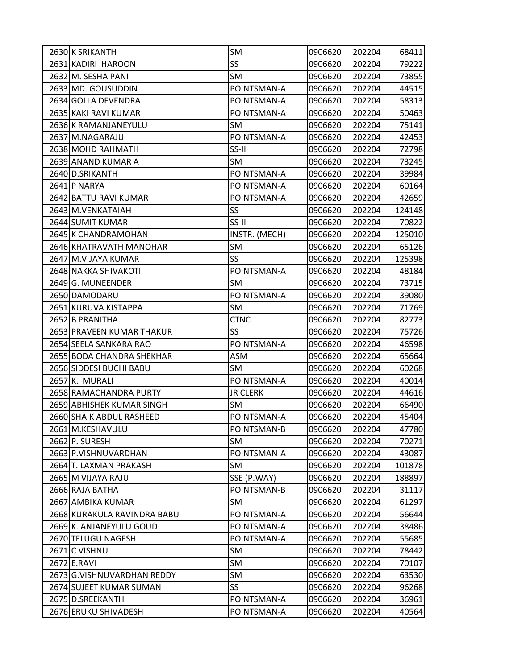| 2630 K SRIKANTH             | SM              | 0906620 | 202204 | 68411  |
|-----------------------------|-----------------|---------|--------|--------|
| 2631 KADIRI HAROON          | <b>SS</b>       | 0906620 | 202204 | 79222  |
| 2632 M. SESHA PANI          | SM              | 0906620 | 202204 | 73855  |
| 2633 MD. GOUSUDDIN          | POINTSMAN-A     | 0906620 | 202204 | 44515  |
| 2634 GOLLA DEVENDRA         | POINTSMAN-A     | 0906620 | 202204 | 58313  |
| 2635 KAKI RAVI KUMAR        | POINTSMAN-A     | 0906620 | 202204 | 50463  |
| 2636 K RAMANJANEYULU        | <b>SM</b>       | 0906620 | 202204 | 75141  |
| 2637 M.NAGARAJU             | POINTSMAN-A     | 0906620 | 202204 | 42453  |
| 2638 MOHD RAHMATH           | SS-II           | 0906620 | 202204 | 72798  |
| 2639 ANAND KUMAR A          | SM              | 0906620 | 202204 | 73245  |
| 2640 D.SRIKANTH             | POINTSMAN-A     | 0906620 | 202204 | 39984  |
| 2641 P NARYA                | POINTSMAN-A     | 0906620 | 202204 | 60164  |
| 2642 BATTU RAVI KUMAR       | POINTSMAN-A     | 0906620 | 202204 | 42659  |
| 2643 M. VENKATAIAH          | SS              | 0906620 | 202204 | 124148 |
| 2644 SUMIT KUMAR            | SS-II           | 0906620 | 202204 | 70822  |
| 2645 K CHANDRAMOHAN         | INSTR. (MECH)   | 0906620 | 202204 | 125010 |
| 2646 KHATRAVATH MANOHAR     | SM              | 0906620 | 202204 | 65126  |
| 2647 M.VIJAYA KUMAR         | <b>SS</b>       | 0906620 | 202204 | 125398 |
| 2648 NAKKA SHIVAKOTI        | POINTSMAN-A     | 0906620 | 202204 | 48184  |
| 2649 G. MUNEENDER           | SM              | 0906620 | 202204 | 73715  |
| 2650 DAMODARU               | POINTSMAN-A     | 0906620 | 202204 | 39080  |
| 2651 KURUVA KISTAPPA        | SM              | 0906620 | 202204 | 71769  |
| 2652 B PRANITHA             | <b>CTNC</b>     | 0906620 | 202204 | 82773  |
| 2653 PRAVEEN KUMAR THAKUR   | SS              | 0906620 | 202204 | 75726  |
| 2654 SEELA SANKARA RAO      | POINTSMAN-A     | 0906620 | 202204 | 46598  |
| 2655 BODA CHANDRA SHEKHAR   | ASM             | 0906620 | 202204 | 65664  |
| 2656 SIDDESI BUCHI BABU     | SM              | 0906620 | 202204 | 60268  |
| 2657 K. MURALI              | POINTSMAN-A     | 0906620 | 202204 | 40014  |
| 2658 RAMACHANDRA PURTY      | <b>JR CLERK</b> | 0906620 | 202204 | 44616  |
| 2659 ABHISHEK KUMAR SINGH   | SM              | 0906620 | 202204 | 66490  |
| 2660 SHAIK ABDUL RASHEED    | POINTSMAN-A     | 0906620 | 202204 | 45404  |
| 2661 M.KESHAVULU            | POINTSMAN-B     | 0906620 | 202204 | 47780  |
| 2662 P. SURESH              | SM              | 0906620 | 202204 | 70271  |
| 2663 P.VISHNUVARDHAN        | POINTSMAN-A     | 0906620 | 202204 | 43087  |
| 2664 T. LAXMAN PRAKASH      | SM              | 0906620 | 202204 | 101878 |
| 2665 M VIJAYA RAJU          | SSE (P.WAY)     | 0906620 | 202204 | 188897 |
| 2666 RAJA BATHA             | POINTSMAN-B     | 0906620 | 202204 | 31117  |
| 2667 AMBIKA KUMAR           | SM              | 0906620 | 202204 | 61297  |
| 2668 KURAKULA RAVINDRA BABU | POINTSMAN-A     | 0906620 | 202204 | 56644  |
| 2669 K. ANJANEYULU GOUD     | POINTSMAN-A     | 0906620 | 202204 | 38486  |
| 2670 TELUGU NAGESH          | POINTSMAN-A     | 0906620 | 202204 | 55685  |
| 2671 C VISHNU               | SM              | 0906620 | 202204 | 78442  |
| 2672 E.RAVI                 | SM              | 0906620 | 202204 | 70107  |
| 2673 G.VISHNUVARDHAN REDDY  | SM              | 0906620 | 202204 | 63530  |
| 2674 SUJEET KUMAR SUMAN     | <b>SS</b>       | 0906620 | 202204 | 96268  |
| 2675 D.SREEKANTH            | POINTSMAN-A     | 0906620 | 202204 | 36961  |
| 2676 ERUKU SHIVADESH        | POINTSMAN-A     | 0906620 | 202204 | 40564  |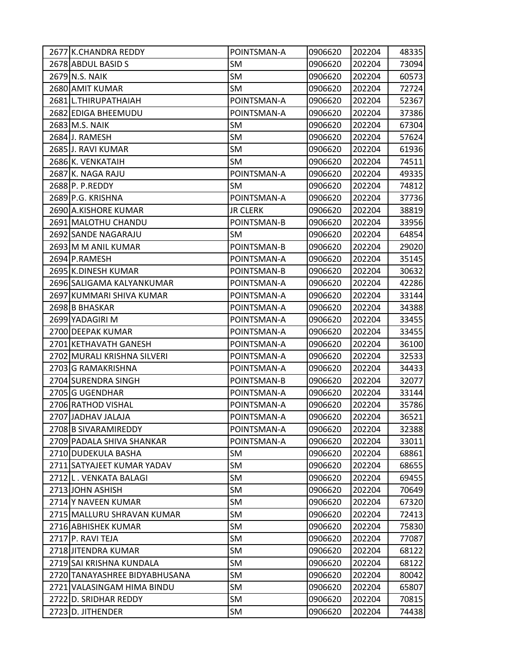| 2677 K.CHANDRA REDDY          | POINTSMAN-A     | 0906620 | 202204 | 48335 |
|-------------------------------|-----------------|---------|--------|-------|
| 2678 ABDUL BASID S            | SM              | 0906620 | 202204 | 73094 |
| 2679 N.S. NAIK                | SM              | 0906620 | 202204 | 60573 |
| 2680 AMIT KUMAR               | <b>SM</b>       | 0906620 | 202204 | 72724 |
| 2681 L.THIRUPATHAIAH          | POINTSMAN-A     | 0906620 | 202204 | 52367 |
| 2682 EDIGA BHEEMUDU           | POINTSMAN-A     | 0906620 | 202204 | 37386 |
| 2683 M.S. NAIK                | SM              | 0906620 | 202204 | 67304 |
| 2684 J. RAMESH                | SM              | 0906620 | 202204 | 57624 |
| 2685 J. RAVI KUMAR            | SM              | 0906620 | 202204 | 61936 |
| 2686 K. VENKATAIH             | <b>SM</b>       | 0906620 | 202204 | 74511 |
| 2687 K. NAGA RAJU             | POINTSMAN-A     | 0906620 | 202204 | 49335 |
| 2688 P. P.REDDY               | SM              | 0906620 | 202204 | 74812 |
| 2689 P.G. KRISHNA             | POINTSMAN-A     | 0906620 | 202204 | 37736 |
| 2690 A.KISHORE KUMAR          | <b>JR CLERK</b> | 0906620 | 202204 | 38819 |
| 2691 MALOTHU CHANDU           | POINTSMAN-B     | 0906620 | 202204 | 33956 |
| 2692 SANDE NAGARAJU           | SM              | 0906620 | 202204 | 64854 |
| 2693 M M ANIL KUMAR           | POINTSMAN-B     | 0906620 | 202204 | 29020 |
| 2694 P.RAMESH                 | POINTSMAN-A     | 0906620 | 202204 | 35145 |
| 2695 K.DINESH KUMAR           | POINTSMAN-B     | 0906620 | 202204 | 30632 |
| 2696 SALIGAMA KALYANKUMAR     | POINTSMAN-A     | 0906620 | 202204 | 42286 |
| 2697 KUMMARI SHIVA KUMAR      | POINTSMAN-A     | 0906620 | 202204 | 33144 |
| 2698 B BHASKAR                | POINTSMAN-A     | 0906620 | 202204 | 34388 |
| 2699 YADAGIRI M               | POINTSMAN-A     | 0906620 | 202204 | 33455 |
| 2700 DEEPAK KUMAR             | POINTSMAN-A     | 0906620 | 202204 | 33455 |
| 2701 KETHAVATH GANESH         | POINTSMAN-A     | 0906620 | 202204 | 36100 |
| 2702 MURALI KRISHNA SILVERI   | POINTSMAN-A     | 0906620 | 202204 | 32533 |
| 2703 G RAMAKRISHNA            | POINTSMAN-A     | 0906620 | 202204 | 34433 |
| 2704 SURENDRA SINGH           | POINTSMAN-B     | 0906620 | 202204 | 32077 |
| 2705 G UGENDHAR               | POINTSMAN-A     | 0906620 | 202204 | 33144 |
| 2706 RATHOD VISHAL            | POINTSMAN-A     | 0906620 | 202204 | 35786 |
| 2707 JADHAV JALAJA            | POINTSMAN-A     | 0906620 | 202204 | 36521 |
| 2708 B SIVARAMIREDDY          | POINTSMAN-A     | 0906620 | 202204 | 32388 |
| 2709 PADALA SHIVA SHANKAR     | POINTSMAN-A     | 0906620 | 202204 | 33011 |
| 2710 DUDEKULA BASHA           | <b>SM</b>       | 0906620 | 202204 | 68861 |
| 2711 SATYAJEET KUMAR YADAV    | SM              | 0906620 | 202204 | 68655 |
| 2712 L. VENKATA BALAGI        | SM              | 0906620 | 202204 | 69455 |
| 2713 JOHN ASHISH              | SM              | 0906620 | 202204 | 70649 |
| 2714 Y NAVEEN KUMAR           | SM              | 0906620 | 202204 | 67320 |
| 2715 MALLURU SHRAVAN KUMAR    | <b>SM</b>       | 0906620 | 202204 | 72413 |
| 2716 ABHISHEK KUMAR           | SM              | 0906620 | 202204 | 75830 |
| 2717 P. RAVI TEJA             | SM              | 0906620 | 202204 | 77087 |
| 2718 JITENDRA KUMAR           | SM              | 0906620 | 202204 | 68122 |
| 2719 SAI KRISHNA KUNDALA      | SM              | 0906620 | 202204 | 68122 |
| 2720 TANAYASHREE BIDYABHUSANA | <b>SM</b>       | 0906620 | 202204 | 80042 |
| 2721 VALASINGAM HIMA BINDU    | SM              | 0906620 | 202204 | 65807 |
| 2722 D. SRIDHAR REDDY         | SM              | 0906620 | 202204 | 70815 |
| 2723 D. JITHENDER             | SM              | 0906620 | 202204 | 74438 |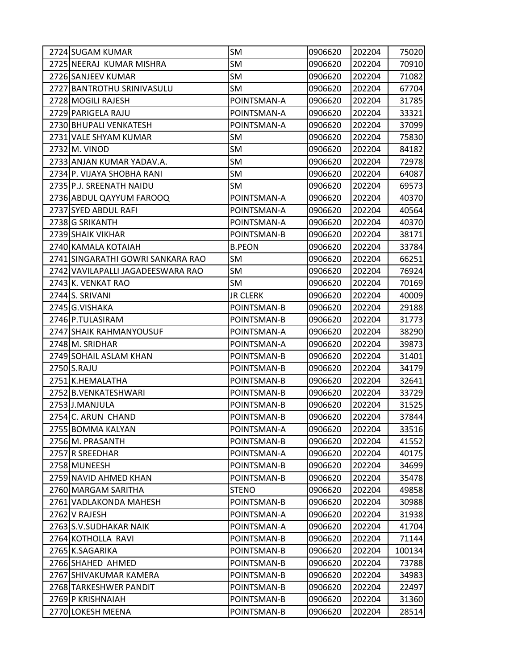| 2724 SUGAM KUMAR                  | <b>SM</b>       | 0906620 | 202204 | 75020  |
|-----------------------------------|-----------------|---------|--------|--------|
| 2725 NEERAJ KUMAR MISHRA          | SM              | 0906620 | 202204 | 70910  |
| 2726 SANJEEV KUMAR                | SM              | 0906620 | 202204 | 71082  |
| 2727 BANTROTHU SRINIVASULU        | <b>SM</b>       | 0906620 | 202204 | 67704  |
| 2728 MOGILI RAJESH                | POINTSMAN-A     | 0906620 | 202204 | 31785  |
| 2729 PARIGELA RAJU                | POINTSMAN-A     | 0906620 | 202204 | 33321  |
| 2730 BHUPALI VENKATESH            | POINTSMAN-A     | 0906620 | 202204 | 37099  |
| 2731 VALE SHYAM KUMAR             | SM              | 0906620 | 202204 | 75830  |
| 2732 M. VINOD                     | SM              | 0906620 | 202204 | 84182  |
| 2733 ANJAN KUMAR YADAV.A.         | SM              | 0906620 | 202204 | 72978  |
| 2734 P. VIJAYA SHOBHA RANI        | <b>SM</b>       | 0906620 | 202204 | 64087  |
| 2735 P.J. SREENATH NAIDU          | SM              | 0906620 | 202204 | 69573  |
| 2736 ABDUL QAYYUM FAROOQ          | POINTSMAN-A     | 0906620 | 202204 | 40370  |
| 2737 SYED ABDUL RAFI              | POINTSMAN-A     | 0906620 | 202204 | 40564  |
| 2738 G SRIKANTH                   | POINTSMAN-A     | 0906620 | 202204 | 40370  |
| 2739 SHAIK VIKHAR                 | POINTSMAN-B     | 0906620 | 202204 | 38171  |
| 2740 KAMALA KOTAIAH               | <b>B.PEON</b>   | 0906620 | 202204 | 33784  |
| 2741 SINGARATHI GOWRI SANKARA RAO | SM              | 0906620 | 202204 | 66251  |
| 2742 VAVILAPALLI JAGADEESWARA RAO | SM              | 0906620 | 202204 | 76924  |
| 2743 K. VENKAT RAO                | SM              | 0906620 | 202204 | 70169  |
| 2744 S. SRIVANI                   | <b>JR CLERK</b> | 0906620 | 202204 | 40009  |
| 2745 G.VISHAKA                    | POINTSMAN-B     | 0906620 | 202204 | 29188  |
| 2746 P.TULASIRAM                  | POINTSMAN-B     | 0906620 | 202204 | 31773  |
| 2747 SHAIK RAHMANYOUSUF           | POINTSMAN-A     | 0906620 | 202204 | 38290  |
| 2748 M. SRIDHAR                   | POINTSMAN-A     | 0906620 | 202204 | 39873  |
| 2749 SOHAIL ASLAM KHAN            | POINTSMAN-B     | 0906620 | 202204 | 31401  |
| 2750 S.RAJU                       | POINTSMAN-B     | 0906620 | 202204 | 34179  |
| 2751 K.HEMALATHA                  | POINTSMAN-B     | 0906620 | 202204 | 32641  |
| 2752 B.VENKATESHWARI              | POINTSMAN-B     | 0906620 | 202204 | 33729  |
| 2753 J.MANJULA                    | POINTSMAN-B     | 0906620 | 202204 | 31525  |
| 2754 C. ARUN CHAND                | POINTSMAN-B     | 0906620 | 202204 | 37844  |
| 2755 BOMMA KALYAN                 | POINTSMAN-A     | 0906620 | 202204 | 33516  |
| 2756 M. PRASANTH                  | POINTSMAN-B     | 0906620 | 202204 | 41552  |
| 2757 R SREEDHAR                   | POINTSMAN-A     | 0906620 | 202204 | 40175  |
| 2758 MUNEESH                      | POINTSMAN-B     | 0906620 | 202204 | 34699  |
| 2759 NAVID AHMED KHAN             | POINTSMAN-B     | 0906620 | 202204 | 35478  |
| 2760 MARGAM SARITHA               | <b>STENO</b>    | 0906620 | 202204 | 49858  |
| 2761 VADLAKONDA MAHESH            | POINTSMAN-B     | 0906620 | 202204 | 30988  |
| 2762 V RAJESH                     | POINTSMAN-A     | 0906620 | 202204 | 31938  |
| 2763 S.V.SUDHAKAR NAIK            | POINTSMAN-A     | 0906620 | 202204 | 41704  |
| 2764 KOTHOLLA RAVI                | POINTSMAN-B     | 0906620 | 202204 | 71144  |
| 2765 K.SAGARIKA                   | POINTSMAN-B     | 0906620 | 202204 | 100134 |
| 2766 SHAHED AHMED                 | POINTSMAN-B     | 0906620 | 202204 | 73788  |
| 2767 SHIVAKUMAR KAMERA            | POINTSMAN-B     | 0906620 | 202204 | 34983  |
| 2768 TARKESHWER PANDIT            | POINTSMAN-B     | 0906620 | 202204 | 22497  |
| 2769 P KRISHNAIAH                 | POINTSMAN-B     | 0906620 | 202204 | 31360  |
| 2770 LOKESH MEENA                 | POINTSMAN-B     | 0906620 | 202204 | 28514  |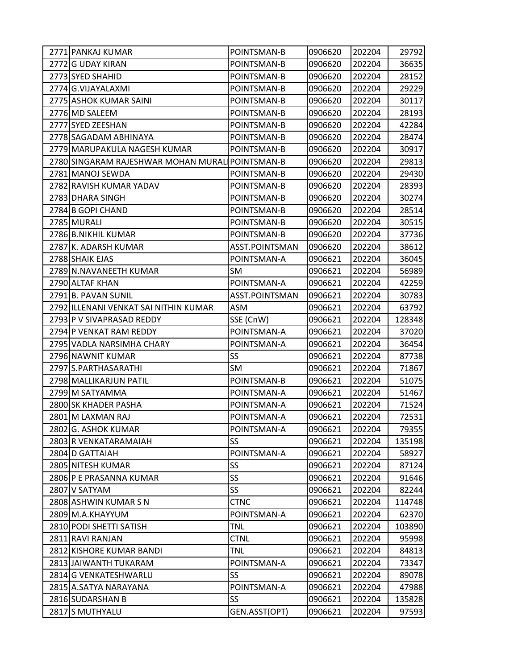| 2771 PANKAJ KUMAR                               | POINTSMAN-B    | 0906620 | 202204 | 29792  |
|-------------------------------------------------|----------------|---------|--------|--------|
| 2772 G UDAY KIRAN                               | POINTSMAN-B    | 0906620 | 202204 | 36635  |
| 2773 SYED SHAHID                                | POINTSMAN-B    | 0906620 | 202204 | 28152  |
| 2774 G.VIJAYALAXMI                              | POINTSMAN-B    | 0906620 | 202204 | 29229  |
| 2775 ASHOK KUMAR SAINI                          | POINTSMAN-B    | 0906620 | 202204 | 30117  |
| 2776 MD SALEEM                                  | POINTSMAN-B    | 0906620 | 202204 | 28193  |
| 2777 SYED ZEESHAN                               | POINTSMAN-B    | 0906620 | 202204 | 42284  |
| 2778 SAGADAM ABHINAYA                           | POINTSMAN-B    | 0906620 | 202204 | 28474  |
| 2779 MARUPAKULA NAGESH KUMAR                    | POINTSMAN-B    | 0906620 | 202204 | 30917  |
| 2780 SINGARAM RAJESHWAR MOHAN MURAL POINTSMAN-B |                | 0906620 | 202204 | 29813  |
| 2781 MANOJ SEWDA                                | POINTSMAN-B    | 0906620 | 202204 | 29430  |
| 2782 RAVISH KUMAR YADAV                         | POINTSMAN-B    | 0906620 | 202204 | 28393  |
| 2783 DHARA SINGH                                | POINTSMAN-B    | 0906620 | 202204 | 30274  |
| 2784 B GOPI CHAND                               | POINTSMAN-B    | 0906620 | 202204 | 28514  |
| 2785 MURALI                                     | POINTSMAN-B    | 0906620 | 202204 | 30515  |
| 2786 B.NIKHIL KUMAR                             | POINTSMAN-B    | 0906620 | 202204 | 37736  |
| 2787 K. ADARSH KUMAR                            | ASST.POINTSMAN | 0906620 | 202204 | 38612  |
| 2788 SHAIK EJAS                                 | POINTSMAN-A    | 0906621 | 202204 | 36045  |
| 2789 N.NAVANEETH KUMAR                          | <b>SM</b>      | 0906621 | 202204 | 56989  |
| 2790 ALTAF KHAN                                 | POINTSMAN-A    | 0906621 | 202204 | 42259  |
| 2791 B. PAVAN SUNIL                             | ASST.POINTSMAN | 0906621 | 202204 | 30783  |
| 2792 ILLENANI VENKAT SAI NITHIN KUMAR           | ASM            | 0906621 | 202204 | 63792  |
| 2793 P V SIVAPRASAD REDDY                       | SSE (CnW)      | 0906621 | 202204 | 128348 |
| 2794 P VENKAT RAM REDDY                         | POINTSMAN-A    | 0906621 | 202204 | 37020  |
| 2795 VADLA NARSIMHA CHARY                       | POINTSMAN-A    | 0906621 | 202204 | 36454  |
| 2796 NAWNIT KUMAR                               | SS             | 0906621 | 202204 | 87738  |
| 2797 S.PARTHASARATHI                            | SM             | 0906621 | 202204 | 71867  |
| 2798 MALLIKARJUN PATIL                          | POINTSMAN-B    | 0906621 | 202204 | 51075  |
| 2799 M SATYAMMA                                 | POINTSMAN-A    | 0906621 | 202204 | 51467  |
| 2800 SK KHADER PASHA                            | POINTSMAN-A    | 0906621 | 202204 | 71524  |
| 2801 M LAXMAN RAJ                               | POINTSMAN-A    | 0906621 | 202204 | 72531  |
| 2802 G. ASHOK KUMAR                             | POINTSMAN-A    | 0906621 | 202204 | 79355  |
| 2803 R VENKATARAMAIAH                           | SS             | 0906621 | 202204 | 135198 |
| 2804 D GATTAIAH                                 | POINTSMAN-A    | 0906621 | 202204 | 58927  |
| 2805 NITESH KUMAR                               | SS             | 0906621 | 202204 | 87124  |
| 2806 P E PRASANNA KUMAR                         | SS             | 0906621 | 202204 | 91646  |
| 2807 V SATYAM                                   | <b>SS</b>      | 0906621 | 202204 | 82244  |
| 2808 ASHWIN KUMAR S N                           | <b>CTNC</b>    | 0906621 | 202204 | 114748 |
| 2809 M.A.KHAYYUM                                | POINTSMAN-A    | 0906621 | 202204 | 62370  |
| 2810 PODI SHETTI SATISH                         | <b>TNL</b>     | 0906621 | 202204 | 103890 |
| 2811 RAVI RANJAN                                | <b>CTNL</b>    | 0906621 | 202204 | 95998  |
| 2812 KISHORE KUMAR BANDI                        | <b>TNL</b>     | 0906621 | 202204 | 84813  |
| 2813 JAIWANTH TUKARAM                           | POINTSMAN-A    | 0906621 | 202204 | 73347  |
| 2814 G VENKATESHWARLU                           | <b>SS</b>      | 0906621 | 202204 | 89078  |
| 2815 A.SATYA NARAYANA                           | POINTSMAN-A    | 0906621 | 202204 | 47988  |
| 2816 SUDARSHAN B                                | SS             | 0906621 | 202204 | 135828 |
| 2817 S MUTHYALU                                 | GEN.ASST(OPT)  | 0906621 | 202204 | 97593  |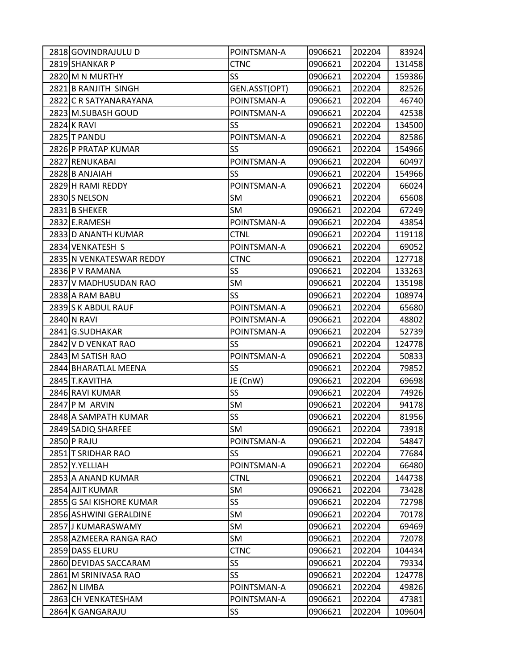| 2818 GOVINDRAJULU D      | POINTSMAN-A     | 0906621 | 202204 | 83924  |
|--------------------------|-----------------|---------|--------|--------|
| 2819 SHANKAR P           | <b>CTNC</b>     | 0906621 | 202204 | 131458 |
| 2820 M N MURTHY          | SS              | 0906621 | 202204 | 159386 |
| 2821 B RANJITH SINGH     | GEN.ASST(OPT)   | 0906621 | 202204 | 82526  |
| 2822 C R SATYANARAYANA   | POINTSMAN-A     | 0906621 | 202204 | 46740  |
| 2823 M.SUBASH GOUD       | POINTSMAN-A     | 0906621 | 202204 | 42538  |
| <b>2824 K RAVI</b>       | SS              | 0906621 | 202204 | 134500 |
| 2825 T PANDU             | POINTSMAN-A     | 0906621 | 202204 | 82586  |
| 2826 P PRATAP KUMAR      | SS              | 0906621 | 202204 | 154966 |
| 2827 RENUKABAI           | POINTSMAN-A     | 0906621 | 202204 | 60497  |
| 2828 B ANJAIAH           | SS              | 0906621 | 202204 | 154966 |
| 2829 H RAMI REDDY        | POINTSMAN-A     | 0906621 | 202204 | 66024  |
| 2830 S NELSON            | SM              | 0906621 | 202204 | 65608  |
| 2831 B SHEKER            | SM              | 0906621 | 202204 | 67249  |
| 2832 E.RAMESH            | POINTSMAN-A     | 0906621 | 202204 | 43854  |
| 2833 D ANANTH KUMAR      | <b>CTNL</b>     | 0906621 | 202204 | 119118 |
| 2834 VENKATESH S         | POINTSMAN-A     | 0906621 | 202204 | 69052  |
| 2835 N VENKATESWAR REDDY | <b>CTNC</b>     | 0906621 | 202204 | 127718 |
| 2836 P V RAMANA          | SS              | 0906621 | 202204 | 133263 |
| 2837 V MADHUSUDAN RAO    | SM              | 0906621 | 202204 | 135198 |
| 2838 A RAM BABU          | SS              | 0906621 | 202204 | 108974 |
| 2839 S K ABDUL RAUF      | POINTSMAN-A     | 0906621 | 202204 | 65680  |
| 2840 N RAVI              | POINTSMAN-A     | 0906621 | 202204 | 48802  |
| 2841 G.SUDHAKAR          | POINTSMAN-A     | 0906621 | 202204 | 52739  |
| 2842 V D VENKAT RAO      | SS              | 0906621 | 202204 | 124778 |
| 2843 M SATISH RAO        | POINTSMAN-A     | 0906621 | 202204 | 50833  |
| 2844 BHARATLAL MEENA     | SS              | 0906621 | 202204 | 79852  |
| 2845 T.KAVITHA           | JE (CnW)        | 0906621 | 202204 | 69698  |
| 2846 RAVI KUMAR          | SS              | 0906621 | 202204 | 74926  |
| 2847 P M ARVIN           | SM              | 0906621 | 202204 | 94178  |
| 2848 A SAMPATH KUMAR     | SS              | 0906621 | 202204 | 81956  |
| 2849 SADIQ SHARFEE       | <b>SM</b>       | 0906621 | 202204 | 73918  |
| 2850 P RAJU              | POINTSMAN-A     | 0906621 | 202204 | 54847  |
| 2851 T SRIDHAR RAO       | SS              | 0906621 | 202204 | 77684  |
| 2852 Y.YELLIAH           | POINTSMAN-A     | 0906621 | 202204 | 66480  |
| 2853 A ANAND KUMAR       | <b>CTNL</b>     | 0906621 | 202204 | 144738 |
| 2854 AJIT KUMAR          | SM              | 0906621 | 202204 | 73428  |
| 2855 G SAI KISHORE KUMAR | SS              | 0906621 | 202204 | 72798  |
| 2856 ASHWINI GERALDINE   | SM              | 0906621 | 202204 | 70178  |
| 2857 J KUMARASWAMY       | SM              | 0906621 | 202204 | 69469  |
| 2858 AZMEERA RANGA RAO   | SM              | 0906621 | 202204 | 72078  |
| 2859 DASS ELURU          | <b>CTNC</b>     | 0906621 | 202204 | 104434 |
| 2860 DEVIDAS SACCARAM    | SS<br><b>SS</b> | 0906621 | 202204 | 79334  |
| 2861 M SRINIVASA RAO     |                 | 0906621 | 202204 | 124778 |
| 2862 N LIMBA             | POINTSMAN-A     | 0906621 | 202204 | 49826  |
| 2863 CH VENKATESHAM      | POINTSMAN-A     | 0906621 | 202204 | 47381  |
| 2864 K GANGARAJU         | SS              | 0906621 | 202204 | 109604 |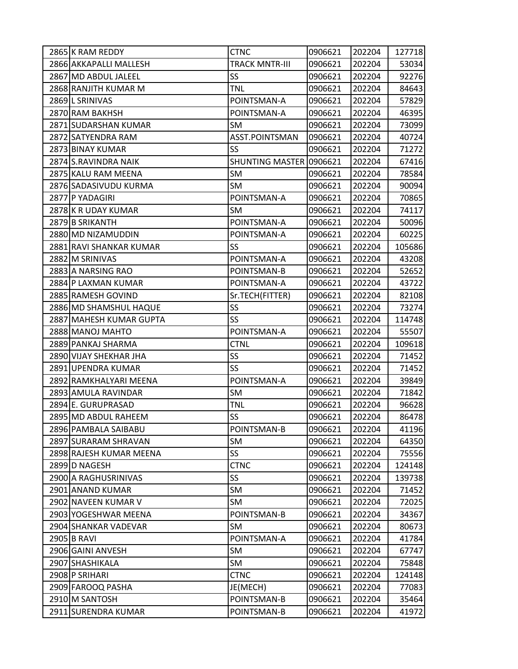| 2865 K RAM REDDY        | <b>CTNC</b>             | 0906621 | 202204 | 127718 |
|-------------------------|-------------------------|---------|--------|--------|
| 2866 AKKAPALLI MALLESH  | <b>TRACK MNTR-III</b>   | 0906621 | 202204 | 53034  |
| 2867 MD ABDUL JALEEL    | SS                      | 0906621 | 202204 | 92276  |
| 2868 RANJITH KUMAR M    | <b>TNL</b>              | 0906621 | 202204 | 84643  |
| 2869 L SRINIVAS         | POINTSMAN-A             | 0906621 | 202204 | 57829  |
| 2870 RAM BAKHSH         | POINTSMAN-A             | 0906621 | 202204 | 46395  |
| 2871 SUDARSHAN KUMAR    | SM                      | 0906621 | 202204 | 73099  |
| 2872 SATYENDRA RAM      | ASST.POINTSMAN          | 0906621 | 202204 | 40724  |
| 2873 BINAY KUMAR        | <b>SS</b>               | 0906621 | 202204 | 71272  |
| 2874 S.RAVINDRA NAIK    | SHUNTING MASTER 0906621 |         | 202204 | 67416  |
| 2875 KALU RAM MEENA     | <b>SM</b>               | 0906621 | 202204 | 78584  |
| 2876 SADASIVUDU KURMA   | SM                      | 0906621 | 202204 | 90094  |
| 2877 P YADAGIRI         | POINTSMAN-A             | 0906621 | 202204 | 70865  |
| 2878 K R UDAY KUMAR     | <b>SM</b>               | 0906621 | 202204 | 74117  |
| 2879 B SRIKANTH         | POINTSMAN-A             | 0906621 | 202204 | 50096  |
| 2880 MD NIZAMUDDIN      | POINTSMAN-A             | 0906621 | 202204 | 60225  |
| 2881 RAVI SHANKAR KUMAR | <b>SS</b>               | 0906621 | 202204 | 105686 |
| 2882 M SRINIVAS         | POINTSMAN-A             | 0906621 | 202204 | 43208  |
| 2883 A NARSING RAO      | POINTSMAN-B             | 0906621 | 202204 | 52652  |
| 2884 P LAXMAN KUMAR     | POINTSMAN-A             | 0906621 | 202204 | 43722  |
| 2885 RAMESH GOVIND      | Sr.TECH(FITTER)         | 0906621 | 202204 | 82108  |
| 2886 MD SHAMSHUL HAQUE  | <b>SS</b>               | 0906621 | 202204 | 73274  |
| 2887 MAHESH KUMAR GUPTA | <b>SS</b>               | 0906621 | 202204 | 114748 |
| 2888 MANOJ MAHTO        | POINTSMAN-A             | 0906621 | 202204 | 55507  |
| 2889 PANKAJ SHARMA      | <b>CTNL</b>             | 0906621 | 202204 | 109618 |
| 2890 VIJAY SHEKHAR JHA  | SS                      | 0906621 | 202204 | 71452  |
| 2891 UPENDRA KUMAR      | <b>SS</b>               | 0906621 | 202204 | 71452  |
| 2892 RAMKHALYARI MEENA  | POINTSMAN-A             | 0906621 | 202204 | 39849  |
| 2893 AMULA RAVINDAR     | SM                      | 0906621 | 202204 | 71842  |
| 2894 E. GURUPRASAD      | <b>TNL</b>              | 0906621 | 202204 | 96628  |
| 2895 MD ABDUL RAHEEM    | SS                      | 0906621 | 202204 | 86478  |
| 2896 PAMBALA SAIBABU    | POINTSMAN-B             | 0906621 | 202204 | 41196  |
| 2897 SURARAM SHRAVAN    | SM                      | 0906621 | 202204 | 64350  |
| 2898 RAJESH KUMAR MEENA | SS                      | 0906621 | 202204 | 75556  |
| 2899 D NAGESH           | <b>CTNC</b>             | 0906621 | 202204 | 124148 |
| 2900 A RAGHUSRINIVAS    | SS                      | 0906621 | 202204 | 139738 |
| 2901 ANAND KUMAR        | SM                      | 0906621 | 202204 | 71452  |
| 2902 NAVEEN KUMAR V     | SM                      | 0906621 | 202204 | 72025  |
| 2903 YOGESHWAR MEENA    | POINTSMAN-B             | 0906621 | 202204 | 34367  |
| 2904 SHANKAR VADEVAR    | SM                      | 0906621 | 202204 | 80673  |
| 2905 B RAVI             | POINTSMAN-A             | 0906621 | 202204 | 41784  |
| 2906 GAINI ANVESH       | SM                      | 0906621 | 202204 | 67747  |
| 2907 SHASHIKALA         | SM                      | 0906621 | 202204 | 75848  |
| 2908 P SRIHARI          | <b>CTNC</b>             | 0906621 | 202204 | 124148 |
| 2909 FAROOQ PASHA       | JE(MECH)                | 0906621 | 202204 | 77083  |
| 2910 M SANTOSH          | POINTSMAN-B             | 0906621 | 202204 | 35464  |
| 2911 SURENDRA KUMAR     | POINTSMAN-B             | 0906621 | 202204 | 41972  |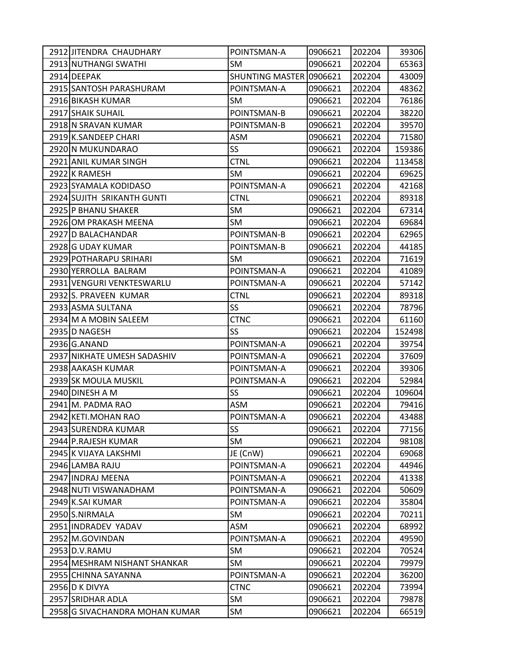| 2912 JITENDRA CHAUDHARY        | POINTSMAN-A             | 0906621 | 202204 | 39306  |
|--------------------------------|-------------------------|---------|--------|--------|
| 2913 NUTHANGI SWATHI           | SM                      | 0906621 | 202204 | 65363  |
| 2914 DEEPAK                    | SHUNTING MASTER 0906621 |         | 202204 | 43009  |
| 2915 SANTOSH PARASHURAM        | POINTSMAN-A             | 0906621 | 202204 | 48362  |
| 2916 BIKASH KUMAR              | SM                      | 0906621 | 202204 | 76186  |
| 2917 SHAIK SUHAIL              | POINTSMAN-B             | 0906621 | 202204 | 38220  |
| 2918 N SRAVAN KUMAR            | POINTSMAN-B             | 0906621 | 202204 | 39570  |
| 2919 K.SANDEEP CHARI           | ASM                     | 0906621 | 202204 | 71580  |
| 2920 N MUKUNDARAO              | SS                      | 0906621 | 202204 | 159386 |
| 2921 ANIL KUMAR SINGH          | <b>CTNL</b>             | 0906621 | 202204 | 113458 |
| 2922 K RAMESH                  | SM                      | 0906621 | 202204 | 69625  |
| 2923 SYAMALA KODIDASO          | POINTSMAN-A             | 0906621 | 202204 | 42168  |
| 2924 SUJITH SRIKANTH GUNTI     | <b>CTNL</b>             | 0906621 | 202204 | 89318  |
| 2925 P BHANU SHAKER            | SM                      | 0906621 | 202204 | 67314  |
| 2926 OM PRAKASH MEENA          | SM                      | 0906621 | 202204 | 69684  |
| 2927 D BALACHANDAR             | POINTSMAN-B             | 0906621 | 202204 | 62965  |
| 2928 G UDAY KUMAR              | POINTSMAN-B             | 0906621 | 202204 | 44185  |
| 2929 POTHARAPU SRIHARI         | SM                      | 0906621 | 202204 | 71619  |
| 2930 YERROLLA BALRAM           | POINTSMAN-A             | 0906621 | 202204 | 41089  |
| 2931 VENGURI VENKTESWARLU      | POINTSMAN-A             | 0906621 | 202204 | 57142  |
| 2932 S. PRAVEEN KUMAR          | <b>CTNL</b>             | 0906621 | 202204 | 89318  |
| 2933 ASMA SULTANA              | SS                      | 0906621 | 202204 | 78796  |
| 2934 M A MOBIN SALEEM          | <b>CTNC</b>             | 0906621 | 202204 | 61160  |
| 2935 D NAGESH                  | SS                      | 0906621 | 202204 | 152498 |
| 2936 G.ANAND                   | POINTSMAN-A             | 0906621 | 202204 | 39754  |
| 2937 NIKHATE UMESH SADASHIV    | POINTSMAN-A             | 0906621 | 202204 | 37609  |
| 2938 AAKASH KUMAR              | POINTSMAN-A             | 0906621 | 202204 | 39306  |
| 2939 SK MOULA MUSKIL           | POINTSMAN-A             | 0906621 | 202204 | 52984  |
| 2940 DINESH A M                | SS                      | 0906621 | 202204 | 109604 |
| 2941 M. PADMA RAO              | ASM                     | 0906621 | 202204 | 79416  |
| 2942 KETI.MOHAN RAO            | POINTSMAN-A             | 0906621 | 202204 | 43488  |
| 2943 SURENDRA KUMAR            | SS                      | 0906621 | 202204 | 77156  |
| 2944 P.RAJESH KUMAR            | SM                      | 0906621 | 202204 | 98108  |
| 2945 K VIJAYA LAKSHMI          | JE (CnW)                | 0906621 | 202204 | 69068  |
| 2946 LAMBA RAJU                | POINTSMAN-A             | 0906621 | 202204 | 44946  |
| 2947 INDRAJ MEENA              | POINTSMAN-A             | 0906621 | 202204 | 41338  |
| 2948 NUTI VISWANADHAM          | POINTSMAN-A             | 0906621 | 202204 | 50609  |
| 2949 K.SAI KUMAR               | POINTSMAN-A             | 0906621 | 202204 | 35804  |
| 2950 S.NIRMALA                 | <b>SM</b>               | 0906621 | 202204 | 70211  |
| 2951 INDRADEV YADAV            | ASM                     | 0906621 | 202204 | 68992  |
| 2952 M.GOVINDAN                | POINTSMAN-A             | 0906621 | 202204 | 49590  |
| 2953 D.V.RAMU                  | SM                      | 0906621 | 202204 | 70524  |
| 2954 MESHRAM NISHANT SHANKAR   | SM                      | 0906621 | 202204 | 79979  |
| 2955 CHINNA SAYANNA            | POINTSMAN-A             | 0906621 | 202204 | 36200  |
| 2956 D K DIVYA                 | <b>CTNC</b>             | 0906621 | 202204 | 73994  |
| 2957 SRIDHAR ADLA              | SM                      | 0906621 | 202204 | 79878  |
| 2958 G SIVACHANDRA MOHAN KUMAR | SM                      | 0906621 | 202204 | 66519  |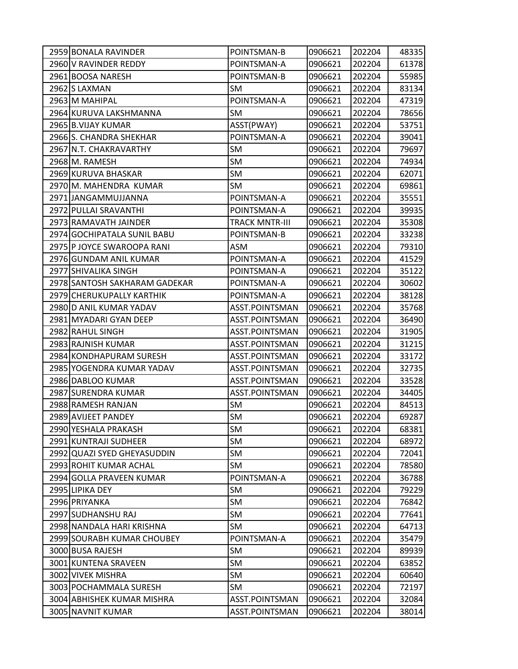| 2959 BONALA RAVINDER          | POINTSMAN-B           | 0906621 | 202204 | 48335 |
|-------------------------------|-----------------------|---------|--------|-------|
| 2960 V RAVINDER REDDY         | POINTSMAN-A           | 0906621 | 202204 | 61378 |
| 2961 BOOSA NARESH             | POINTSMAN-B           | 0906621 | 202204 | 55985 |
| 2962 S LAXMAN                 | SM                    | 0906621 | 202204 | 83134 |
| 2963 M MAHIPAL                | POINTSMAN-A           | 0906621 | 202204 | 47319 |
| 2964 KURUVA LAKSHMANNA        | SM                    | 0906621 | 202204 | 78656 |
| 2965 B.VIJAY KUMAR            | ASST(PWAY)            | 0906621 | 202204 | 53751 |
| 2966 S. CHANDRA SHEKHAR       | POINTSMAN-A           | 0906621 | 202204 | 39041 |
| 2967 N.T. CHAKRAVARTHY        | SM                    | 0906621 | 202204 | 79697 |
| 2968 M. RAMESH                | <b>SM</b>             | 0906621 | 202204 | 74934 |
| 2969 KURUVA BHASKAR           | <b>SM</b>             | 0906621 | 202204 | 62071 |
| 2970 M. MAHENDRA KUMAR        | <b>SM</b>             | 0906621 | 202204 | 69861 |
| 2971 JANGAMMUJJANNA           | POINTSMAN-A           | 0906621 | 202204 | 35551 |
| 2972 PULLAI SRAVANTHI         | POINTSMAN-A           | 0906621 | 202204 | 39935 |
| 2973 RAMAVATH JAINDER         | <b>TRACK MNTR-III</b> | 0906621 | 202204 | 35308 |
| 2974 GOCHIPATALA SUNIL BABU   | POINTSMAN-B           | 0906621 | 202204 | 33238 |
| 2975 P JOYCE SWAROOPA RANI    | ASM                   | 0906621 | 202204 | 79310 |
| 2976 GUNDAM ANIL KUMAR        | POINTSMAN-A           | 0906621 | 202204 | 41529 |
| 2977 SHIVALIKA SINGH          | POINTSMAN-A           | 0906621 | 202204 | 35122 |
| 2978 SANTOSH SAKHARAM GADEKAR | POINTSMAN-A           | 0906621 | 202204 | 30602 |
| 2979 CHERUKUPALLY KARTHIK     | POINTSMAN-A           | 0906621 | 202204 | 38128 |
| 2980 D ANIL KUMAR YADAV       | ASST.POINTSMAN        | 0906621 | 202204 | 35768 |
| 2981 MYADARI GYAN DEEP        | ASST.POINTSMAN        | 0906621 | 202204 | 36490 |
| 2982 RAHUL SINGH              | ASST.POINTSMAN        | 0906621 | 202204 | 31905 |
| 2983 RAJNISH KUMAR            | ASST.POINTSMAN        | 0906621 | 202204 | 31215 |
| 2984 KONDHAPURAM SURESH       | ASST.POINTSMAN        | 0906621 | 202204 | 33172 |
| 2985 YOGENDRA KUMAR YADAV     | ASST.POINTSMAN        | 0906621 | 202204 | 32735 |
| 2986 DABLOO KUMAR             | ASST.POINTSMAN        | 0906621 | 202204 | 33528 |
| 2987 SURENDRA KUMAR           | ASST.POINTSMAN        | 0906621 | 202204 | 34405 |
| 2988 RAMESH RANJAN            | SM                    | 0906621 | 202204 | 84513 |
| 2989 AVIJEET PANDEY           | <b>SM</b>             | 0906621 | 202204 | 69287 |
| 2990 YESHALA PRAKASH          | <b>SM</b>             | 0906621 | 202204 | 68381 |
| 2991 KUNTRAJI SUDHEER         | SM                    | 0906621 | 202204 | 68972 |
| 2992 QUAZI SYED GHEYASUDDIN   | SM                    | 0906621 | 202204 | 72041 |
| 2993 ROHIT KUMAR ACHAL        | SM                    | 0906621 | 202204 | 78580 |
| 2994 GOLLA PRAVEEN KUMAR      | POINTSMAN-A           | 0906621 | 202204 | 36788 |
| 2995 LIPIKA DEY               | <b>SM</b>             | 0906621 | 202204 | 79229 |
| 2996 PRIYANKA                 | SM                    | 0906621 | 202204 | 76842 |
| 2997 SUDHANSHU RAJ            | SM                    | 0906621 | 202204 | 77641 |
| 2998 NANDALA HARI KRISHNA     | SM                    | 0906621 | 202204 | 64713 |
| 2999 SOURABH KUMAR CHOUBEY    | POINTSMAN-A           | 0906621 | 202204 | 35479 |
| 3000 BUSA RAJESH              | <b>SM</b>             | 0906621 | 202204 | 89939 |
| 3001 KUNTENA SRAVEEN          | SM                    | 0906621 | 202204 | 63852 |
| 3002 VIVEK MISHRA             | <b>SM</b>             | 0906621 | 202204 | 60640 |
| 3003 POCHAMMALA SURESH        | SM                    | 0906621 | 202204 | 72197 |
| 3004 ABHISHEK KUMAR MISHRA    | ASST.POINTSMAN        | 0906621 | 202204 | 32084 |
| 3005 NAVNIT KUMAR             | ASST.POINTSMAN        | 0906621 | 202204 | 38014 |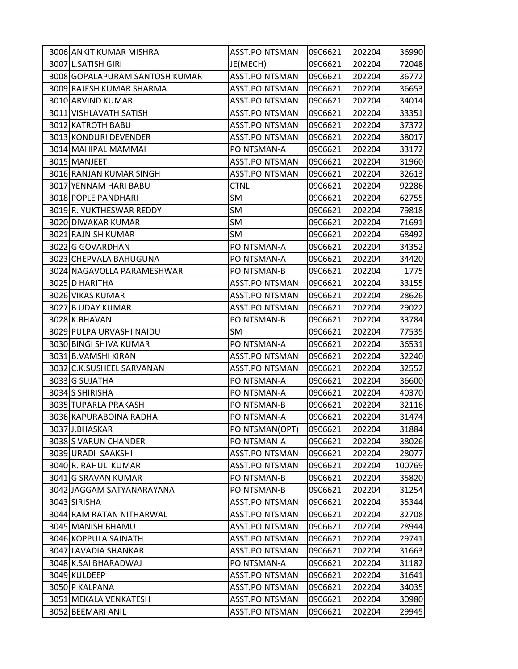| 3006 ANKIT KUMAR MISHRA        | ASST.POINTSMAN | 0906621 | 202204 | 36990  |
|--------------------------------|----------------|---------|--------|--------|
| 3007 L.SATISH GIRI             | JE(MECH)       | 0906621 | 202204 | 72048  |
| 3008 GOPALAPURAM SANTOSH KUMAR | ASST.POINTSMAN | 0906621 | 202204 | 36772  |
| 3009 RAJESH KUMAR SHARMA       | ASST.POINTSMAN | 0906621 | 202204 | 36653  |
| 3010 ARVIND KUMAR              | ASST.POINTSMAN | 0906621 | 202204 | 34014  |
| 3011 VISHLAVATH SATISH         | ASST.POINTSMAN | 0906621 | 202204 | 33351  |
| 3012 KATROTH BABU              | ASST.POINTSMAN | 0906621 | 202204 | 37372  |
| 3013 KONDURI DEVENDER          | ASST.POINTSMAN | 0906621 | 202204 | 38017  |
| 3014 MAHIPAL MAMMAI            | POINTSMAN-A    | 0906621 | 202204 | 33172  |
| 3015 MANJEET                   | ASST.POINTSMAN | 0906621 | 202204 | 31960  |
| 3016 RANJAN KUMAR SINGH        | ASST.POINTSMAN | 0906621 | 202204 | 32613  |
| 3017 YENNAM HARI BABU          | <b>CTNL</b>    | 0906621 | 202204 | 92286  |
| 3018 POPLE PANDHARI            | SM             | 0906621 | 202204 | 62755  |
| 3019 R. YUKTHESWAR REDDY       | SM             | 0906621 | 202204 | 79818  |
| 3020 DIWAKAR KUMAR             | SM             | 0906621 | 202204 | 71691  |
| 3021 RAJNISH KUMAR             | SM             | 0906621 | 202204 | 68492  |
| 3022 G GOVARDHAN               | POINTSMAN-A    | 0906621 | 202204 | 34352  |
| 3023 CHEPVALA BAHUGUNA         | POINTSMAN-A    | 0906621 | 202204 | 34420  |
| 3024 NAGAVOLLA PARAMESHWAR     | POINTSMAN-B    | 0906621 | 202204 | 1775   |
| 3025 D HARITHA                 | ASST.POINTSMAN | 0906621 | 202204 | 33155  |
| 3026 VIKAS KUMAR               | ASST.POINTSMAN | 0906621 | 202204 | 28626  |
| 3027 B UDAY KUMAR              | ASST.POINTSMAN | 0906621 | 202204 | 29022  |
| 3028 K.BHAVANI                 | POINTSMAN-B    | 0906621 | 202204 | 33784  |
| 3029 PULPA URVASHI NAIDU       | SM             | 0906621 | 202204 | 77535  |
| 3030 BINGI SHIVA KUMAR         | POINTSMAN-A    | 0906621 | 202204 | 36531  |
| 3031 B. VAMSHI KIRAN           | ASST.POINTSMAN | 0906621 | 202204 | 32240  |
| 3032 C.K.SUSHEEL SARVANAN      | ASST.POINTSMAN | 0906621 | 202204 | 32552  |
| 3033 G SUJATHA                 | POINTSMAN-A    | 0906621 | 202204 | 36600  |
| 3034 S SHIRISHA                | POINTSMAN-A    | 0906621 | 202204 | 40370  |
| 3035 TUPARLA PRAKASH           | POINTSMAN-B    | 0906621 | 202204 | 32116  |
| 3036 KAPURABOINA RADHA         | POINTSMAN-A    | 0906621 | 202204 | 31474  |
| 3037 J.BHASKAR                 | POINTSMAN(OPT) | 0906621 | 202204 | 31884  |
| 3038 S VARUN CHANDER           | POINTSMAN-A    | 0906621 | 202204 | 38026  |
| 3039 URADI SAAKSHI             | ASST.POINTSMAN | 0906621 | 202204 | 28077  |
| 3040 R. RAHUL KUMAR            | ASST.POINTSMAN | 0906621 | 202204 | 100769 |
| 3041 G SRAVAN KUMAR            | POINTSMAN-B    | 0906621 | 202204 | 35820  |
| 3042 JAGGAM SATYANARAYANA      | POINTSMAN-B    | 0906621 | 202204 | 31254  |
| 3043 SIRISHA                   | ASST.POINTSMAN | 0906621 | 202204 | 35344  |
| 3044 RAM RATAN NITHARWAL       | ASST.POINTSMAN | 0906621 | 202204 | 32708  |
| 3045 MANISH BHAMU              | ASST.POINTSMAN | 0906621 | 202204 | 28944  |
| 3046 KOPPULA SAINATH           | ASST.POINTSMAN | 0906621 | 202204 | 29741  |
| 3047 LAVADIA SHANKAR           | ASST.POINTSMAN | 0906621 | 202204 | 31663  |
| 3048 K.SAI BHARADWAJ           | POINTSMAN-A    | 0906621 | 202204 | 31182  |
| 3049 KULDEEP                   | ASST.POINTSMAN | 0906621 | 202204 | 31641  |
| 3050 P KALPANA                 | ASST.POINTSMAN | 0906621 | 202204 | 34035  |
| 3051 MEKALA VENKATESH          | ASST.POINTSMAN | 0906621 | 202204 | 30980  |
| 3052 BEEMARI ANIL              | ASST.POINTSMAN | 0906621 | 202204 | 29945  |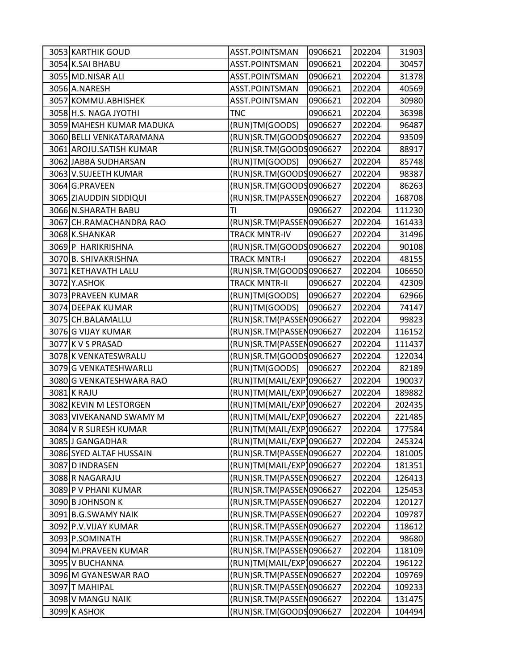| 3053 KARTHIK GOUD        | ASST.POINTSMAN           | 0906621 | 202204 | 31903  |
|--------------------------|--------------------------|---------|--------|--------|
| 3054 K.SAI BHABU         | ASST.POINTSMAN           | 0906621 | 202204 | 30457  |
| 3055 MD.NISAR ALI        | ASST.POINTSMAN           | 0906621 | 202204 | 31378  |
| 3056 A.NARESH            | ASST.POINTSMAN           | 0906621 | 202204 | 40569  |
| 3057 KOMMU.ABHISHEK      | ASST.POINTSMAN           | 0906621 | 202204 | 30980  |
| 3058 H.S. NAGA JYOTHI    | <b>TNC</b>               | 0906621 | 202204 | 36398  |
| 3059 MAHESH KUMAR MADUKA | (RUN)TM(GOODS)           | 0906627 | 202204 | 96487  |
| 3060 BELLI VENKATARAMANA | (RUN)SR.TM(GOODS0906627  |         | 202204 | 93509  |
| 3061 AROJU. SATISH KUMAR | (RUN)SR.TM(GOODS0906627  |         | 202204 | 88917  |
| 3062 JABBA SUDHARSAN     | (RUN)TM(GOODS)           | 0906627 | 202204 | 85748  |
| 3063 V.SUJEETH KUMAR     | (RUN)SR.TM(GOODS0906627  |         | 202204 | 98387  |
| 3064 G.PRAVEEN           | (RUN)SR.TM(GOODS0906627  |         | 202204 | 86263  |
| 3065 ZIAUDDIN SIDDIQUI   | (RUN)SR.TM(PASSEN0906627 |         | 202204 | 168708 |
| 3066 N.SHARATH BABU      | ΤI                       | 0906627 | 202204 | 111230 |
| 3067 CH.RAMACHANDRA RAO  | (RUN)SR.TM(PASSEN0906627 |         | 202204 | 161433 |
| 3068 K.SHANKAR           | <b>TRACK MNTR-IV</b>     | 0906627 | 202204 | 31496  |
| 3069 P HARIKRISHNA       | (RUN)SR.TM(GOODS0906627  |         | 202204 | 90108  |
| 3070 B. SHIVAKRISHNA     | <b>TRACK MNTR-I</b>      | 0906627 | 202204 | 48155  |
| 3071 KETHAVATH LALU      | (RUN)SR.TM(GOODS0906627  |         | 202204 | 106650 |
| 3072 Y.ASHOK             | <b>TRACK MNTR-II</b>     | 0906627 | 202204 | 42309  |
| 3073 PRAVEEN KUMAR       | (RUN)TM(GOODS)           | 0906627 | 202204 | 62966  |
| 3074 DEEPAK KUMAR        | (RUN)TM(GOODS)           | 0906627 | 202204 | 74147  |
| 3075 CH.BALAMALLU        | (RUN)SR.TM(PASSEN0906627 |         | 202204 | 99823  |
| 3076 G VIJAY KUMAR       | (RUN)SR.TM(PASSEN0906627 |         | 202204 | 116152 |
| 3077 K V S PRASAD        | (RUN)SR.TM(PASSEN0906627 |         | 202204 | 111437 |
| 3078 K VENKATESWRALU     | (RUN)SR.TM(GOODS0906627  |         | 202204 | 122034 |
| 3079 G VENKATESHWARLU    | (RUN)TM(GOODS)           | 0906627 | 202204 | 82189  |
| 3080 G VENKATESHWARA RAO | (RUN)TM(MAIL/EXP)0906627 |         | 202204 | 190037 |
| 3081 K RAJU              | (RUN)TM(MAIL/EXP 0906627 |         | 202204 | 189882 |
| 3082 KEVIN M LESTORGEN   | (RUN)TM(MAIL/EXP 0906627 |         | 202204 | 202435 |
| 3083 VIVEKANAND SWAMY M  | (RUN)TM(MAIL/EXP)0906627 |         | 202204 | 221485 |
| 3084 V R SURESH KUMAR    | (RUN)TM(MAIL/EXP)0906627 |         | 202204 | 177584 |
| 3085 J GANGADHAR         | (RUN)TM(MAIL/EXP 0906627 |         | 202204 | 245324 |
| 3086 SYED ALTAF HUSSAIN  | (RUN)SR.TM(PASSEN0906627 |         | 202204 | 181005 |
| 3087 D INDRASEN          | (RUN)TM(MAIL/EXP)0906627 |         | 202204 | 181351 |
| 3088 R NAGARAJU          | (RUN)SR.TM(PASSEN0906627 |         | 202204 | 126413 |
| 3089 P V PHANI KUMAR     | (RUN)SR.TM(PASSEN0906627 |         | 202204 | 125453 |
| 3090 B JOHNSON K         | (RUN)SR.TM(PASSEN0906627 |         | 202204 | 120127 |
| 3091 B.G.SWAMY NAIK      | (RUN)SR.TM(PASSEN0906627 |         | 202204 | 109787 |
| 3092 P.V. VIJAY KUMAR    | (RUN)SR.TM(PASSEN0906627 |         | 202204 | 118612 |
| 3093 P.SOMINATH          | (RUN)SR.TM(PASSEN0906627 |         | 202204 | 98680  |
| 3094 M.PRAVEEN KUMAR     | (RUN)SR.TM(PASSEN0906627 |         | 202204 | 118109 |
| 3095 V BUCHANNA          | (RUN)TM(MAIL/EXP)0906627 |         | 202204 | 196122 |
| 3096 M GYANESWAR RAO     | (RUN)SR.TM(PASSEN0906627 |         | 202204 | 109769 |
| 3097 T MAHIPAL           | (RUN)SR.TM(PASSEN0906627 |         | 202204 | 109233 |
| 3098 V MANGU NAIK        | (RUN)SR.TM(PASSEN0906627 |         | 202204 | 131475 |
| 3099 K ASHOK             | (RUN)SR.TM(GOODS0906627  |         | 202204 | 104494 |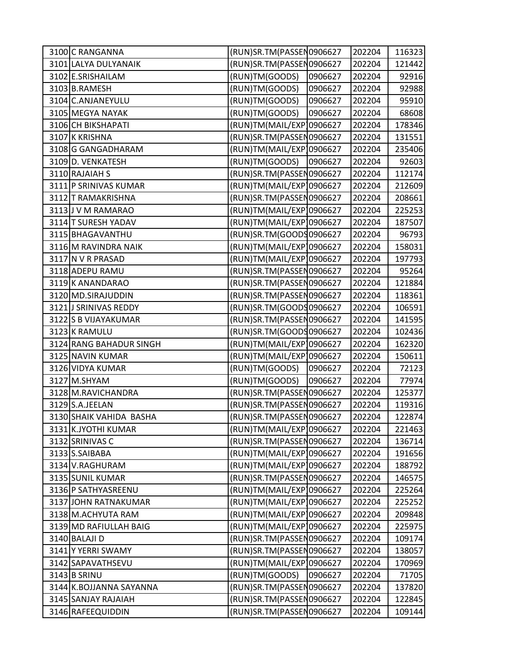| 3100 C RANGANNA         | (RUN)SR.TM(PASSEN0906627 |         | 202204 | 116323 |
|-------------------------|--------------------------|---------|--------|--------|
| 3101 LALYA DULYANAIK    | (RUN)SR.TM(PASSEN0906627 |         | 202204 | 121442 |
| 3102 E.SRISHAILAM       | (RUN)TM(GOODS)           | 0906627 | 202204 | 92916  |
| 3103 B.RAMESH           | (RUN)TM(GOODS)           | 0906627 | 202204 | 92988  |
| 3104 C.ANJANEYULU       | (RUN)TM(GOODS)           | 0906627 | 202204 | 95910  |
| 3105 MEGYA NAYAK        | (RUN)TM(GOODS)           | 0906627 | 202204 | 68608  |
| 3106 CH BIKSHAPATI      | (RUN)TM(MAIL/EXP)0906627 |         | 202204 | 178346 |
| 3107 K KRISHNA          | (RUN)SR.TM(PASSEN0906627 |         | 202204 | 131551 |
| 3108 G GANGADHARAM      | (RUN)TM(MAIL/EXP)0906627 |         | 202204 | 235406 |
| 3109 D. VENKATESH       | (RUN)TM(GOODS)           | 0906627 | 202204 | 92603  |
| 3110 RAJAIAH S          | (RUN)SR.TM(PASSEN0906627 |         | 202204 | 112174 |
| 3111 P SRINIVAS KUMAR   | (RUN)TM(MAIL/EXP)0906627 |         | 202204 | 212609 |
| 3112 T RAMAKRISHNA      | (RUN)SR.TM(PASSEN0906627 |         | 202204 | 208661 |
| 3113 J V M RAMARAO      | (RUN)TM(MAIL/EXP)0906627 |         | 202204 | 225253 |
| 3114 T SURESH YADAV     | (RUN)TM(MAIL/EXP)0906627 |         | 202204 | 187507 |
| 3115 BHAGAVANTHU        | (RUN)SR.TM(GOODS0906627  |         | 202204 | 96793  |
| 3116 M RAVINDRA NAIK    | (RUN)TM(MAIL/EXP)0906627 |         | 202204 | 158031 |
| 3117 N V R PRASAD       | (RUN)TM(MAIL/EXP)0906627 |         | 202204 | 197793 |
| 3118 ADEPU RAMU         | (RUN)SR.TM(PASSEN0906627 |         | 202204 | 95264  |
| 3119K ANANDARAO         | (RUN)SR.TM(PASSEN0906627 |         | 202204 | 121884 |
| 3120 MD.SIRAJUDDIN      | (RUN)SR.TM(PASSEN0906627 |         | 202204 | 118361 |
| 3121 J SRINIVAS REDDY   | (RUN)SR.TM(GOODS0906627  |         | 202204 | 106591 |
| 3122 S B VIJAYAKUMAR    | (RUN)SR.TM(PASSEN0906627 |         | 202204 | 141595 |
| 3123 K RAMULU           | (RUN)SR.TM(GOODS0906627  |         | 202204 | 102436 |
| 3124 RANG BAHADUR SINGH | (RUN)TM(MAIL/EXP)0906627 |         | 202204 | 162320 |
| 3125 NAVIN KUMAR        | (RUN)TM(MAIL/EXP)0906627 |         | 202204 | 150611 |
| 3126 VIDYA KUMAR        | (RUN)TM(GOODS)           | 0906627 | 202204 | 72123  |
| 3127 M.SHYAM            | (RUN)TM(GOODS)           | 0906627 | 202204 | 77974  |
| 3128 M.RAVICHANDRA      | (RUN)SR.TM(PASSEN0906627 |         | 202204 | 125377 |
| 3129 S.A.JEELAN         | (RUN)SR.TM(PASSEN0906627 |         | 202204 | 119316 |
| 3130 SHAIK VAHIDA BASHA | (RUN)SR.TM(PASSEN0906627 |         | 202204 | 122874 |
| 3131 K.JYOTHI KUMAR     | (RUN)TM(MAIL/EXP)0906627 |         | 202204 | 221463 |
| 3132 SRINIVAS C         | (RUN)SR.TM(PASSEN0906627 |         | 202204 | 136714 |
| 3133 S.SAIBABA          | (RUN)TM(MAIL/EXP]0906627 |         | 202204 | 191656 |
| 3134 V.RAGHURAM         | (RUN)TM(MAIL/EXP)0906627 |         | 202204 | 188792 |
| 3135 SUNIL KUMAR        | (RUN)SR.TM(PASSEN0906627 |         | 202204 | 146575 |
| 3136 P SATHYASREENU     | (RUN)TM(MAIL/EXP)0906627 |         | 202204 | 225264 |
| 3137 JOHN RATNAKUMAR    | (RUN)TM(MAIL/EXP)0906627 |         | 202204 | 225252 |
| 3138 M.ACHYUTA RAM      | (RUN)TM(MAIL/EXP)0906627 |         | 202204 | 209848 |
| 3139 MD RAFIULLAH BAIG  | (RUN)TM(MAIL/EXP)0906627 |         | 202204 | 225975 |
| 3140 BALAJI D           | (RUN)SR.TM(PASSEN0906627 |         | 202204 | 109174 |
| 3141 Y YERRI SWAMY      | (RUN)SR.TM(PASSEN0906627 |         | 202204 | 138057 |
| 3142 SAPAVATHSEVU       | (RUN)TM(MAIL/EXP)0906627 |         | 202204 | 170969 |
| 3143 B SRINU            | (RUN)TM(GOODS)           | 0906627 | 202204 | 71705  |
| 3144 K.BOJJANNA SAYANNA | (RUN)SR.TM(PASSEN0906627 |         | 202204 | 137820 |
| 3145 SANJAY RAJAIAH     | (RUN)SR.TM(PASSEN0906627 |         | 202204 | 122845 |
| 3146 RAFEEQUIDDIN       | (RUN)SR.TM(PASSEN0906627 |         | 202204 | 109144 |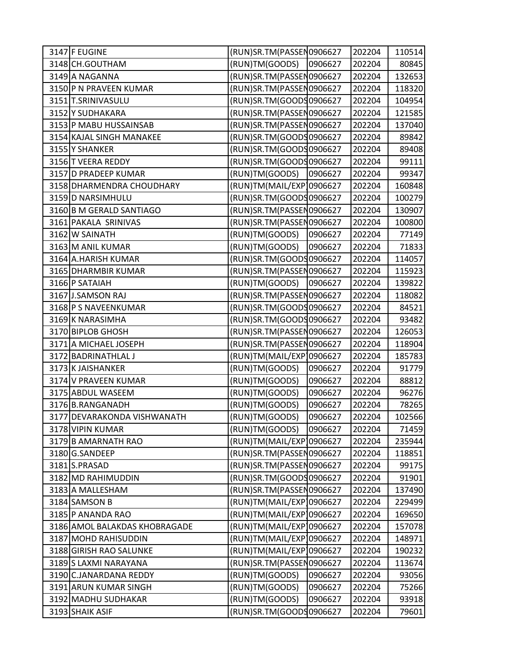| 3147 F EUGINE                 | (RUN)SR.TM(PASSEN0906627 |         | 202204 | 110514 |
|-------------------------------|--------------------------|---------|--------|--------|
| 3148 CH.GOUTHAM               | (RUN)TM(GOODS)           | 0906627 | 202204 | 80845  |
| 3149 A NAGANNA                | (RUN)SR.TM(PASSEN0906627 |         | 202204 | 132653 |
| 3150 P N PRAVEEN KUMAR        | (RUN)SR.TM(PASSEN0906627 |         | 202204 | 118320 |
| 3151 T.SRINIVASULU            | (RUN)SR.TM(GOODS0906627  |         | 202204 | 104954 |
| 3152 Y SUDHAKARA              | (RUN)SR.TM(PASSEN0906627 |         | 202204 | 121585 |
| 3153 P MABU HUSSAINSAB        | (RUN)SR.TM(PASSEN0906627 |         | 202204 | 137040 |
| 3154 KAJAL SINGH MANAKEE      | (RUN)SR.TM(GOODS0906627  |         | 202204 | 89842  |
| 3155 Y SHANKER                | (RUN)SR.TM(GOODS0906627  |         | 202204 | 89408  |
| 3156 T VEERA REDDY            | (RUN)SR.TM(GOODS0906627  |         | 202204 | 99111  |
| 3157 D PRADEEP KUMAR          | (RUN)TM(GOODS)           | 0906627 | 202204 | 99347  |
| 3158 DHARMENDRA CHOUDHARY     | (RUN)TM(MAIL/EXP)0906627 |         | 202204 | 160848 |
| 3159 D NARSIMHULU             | (RUN)SR.TM(GOODS0906627  |         | 202204 | 100279 |
| 3160 B M GERALD SANTIAGO      | (RUN)SR.TM(PASSEN0906627 |         | 202204 | 130907 |
| 3161 PAKALA SRINIVAS          | (RUN)SR.TM(PASSEN0906627 |         | 202204 | 100800 |
| 3162 W SAINATH                | (RUN)TM(GOODS)           | 0906627 | 202204 | 77149  |
| 3163 M ANIL KUMAR             | (RUN)TM(GOODS)           | 0906627 | 202204 | 71833  |
| 3164 A.HARISH KUMAR           | (RUN)SR.TM(GOODS0906627  |         | 202204 | 114057 |
| 3165 DHARMBIR KUMAR           | (RUN)SR.TM(PASSEN0906627 |         | 202204 | 115923 |
| 3166 P SATAIAH                | (RUN)TM(GOODS)           | 0906627 | 202204 | 139822 |
| 3167 J.SAMSON RAJ             | (RUN)SR.TM(PASSEN0906627 |         | 202204 | 118082 |
| 3168 P S NAVEENKUMAR          | (RUN)SR.TM(GOODS0906627  |         | 202204 | 84521  |
| 3169 K NARASIMHA              | (RUN)SR.TM(GOODS0906627  |         | 202204 | 93482  |
| 3170 BIPLOB GHOSH             | (RUN)SR.TM(PASSEN0906627 |         | 202204 | 126053 |
| 3171 A MICHAEL JOSEPH         | (RUN)SR.TM(PASSEN0906627 |         | 202204 | 118904 |
| 3172 BADRINATHLAL J           | (RUN)TM(MAIL/EXP)0906627 |         | 202204 | 185783 |
| 3173 K JAISHANKER             | (RUN)TM(GOODS)           | 0906627 | 202204 | 91779  |
| 3174 V PRAVEEN KUMAR          | (RUN)TM(GOODS)           | 0906627 | 202204 | 88812  |
| 3175 ABDUL WASEEM             | (RUN)TM(GOODS)           | 0906627 | 202204 | 96276  |
| 3176 B.RANGANADH              | (RUN)TM(GOODS)           | 0906627 | 202204 | 78265  |
| 3177 DEVARAKONDA VISHWANATH   | (RUN)TM(GOODS)           | 0906627 | 202204 | 102566 |
| 3178 VIPIN KUMAR              | (RUN)TM(GOODS)           | 0906627 | 202204 | 71459  |
| 3179 B AMARNATH RAO           | (RUN)TM(MAIL/EXP)0906627 |         | 202204 | 235944 |
| 3180 G.SANDEEP                | (RUN)SR.TM(PASSEN0906627 |         | 202204 | 118851 |
| 3181 S.PRASAD                 | (RUN)SR.TM(PASSEN0906627 |         | 202204 | 99175  |
| 3182 MD RAHIMUDDIN            | (RUN)SR.TM(GOODS0906627  |         | 202204 | 91901  |
| 3183 A MALLESHAM              | (RUN)SR.TM(PASSEN0906627 |         | 202204 | 137490 |
| 3184 SAMSON B                 | (RUN)TM(MAIL/EXP)0906627 |         | 202204 | 229499 |
| 3185 P ANANDA RAO             | (RUN)TM(MAIL/EXP)0906627 |         | 202204 | 169650 |
| 3186 AMOL BALAKDAS KHOBRAGADE | (RUN)TM(MAIL/EXP)0906627 |         | 202204 | 157078 |
| 3187 MOHD RAHISUDDIN          | (RUN)TM(MAIL/EXP)0906627 |         | 202204 | 148971 |
| 3188 GIRISH RAO SALUNKE       | (RUN)TM(MAIL/EXP)0906627 |         | 202204 | 190232 |
| 3189 S LAXMI NARAYANA         | (RUN)SR.TM(PASSEN0906627 |         | 202204 | 113674 |
| 3190 C.JANARDANA REDDY        | (RUN)TM(GOODS)           | 0906627 | 202204 | 93056  |
| 3191 ARUN KUMAR SINGH         | (RUN)TM(GOODS)           | 0906627 | 202204 | 75266  |
| 3192 MADHU SUDHAKAR           | (RUN)TM(GOODS)           | 0906627 | 202204 | 93918  |
| 3193 SHAIK ASIF               | (RUN)SR.TM(GOODS0906627  |         | 202204 | 79601  |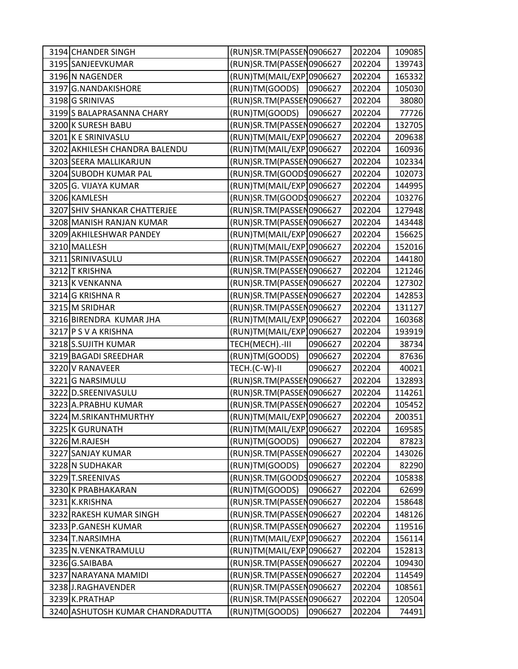| 3194 CHANDER SINGH               | (RUN)SR.TM(PASSEN0906627 |         | 202204 | 109085 |
|----------------------------------|--------------------------|---------|--------|--------|
| 3195 SANJEEVKUMAR                | (RUN)SR.TM(PASSEN0906627 |         | 202204 | 139743 |
| 3196 N NAGENDER                  | (RUN)TM(MAIL/EXP)0906627 |         | 202204 | 165332 |
| 3197 G.NANDAKISHORE              | (RUN)TM(GOODS)           | 0906627 | 202204 | 105030 |
| 3198 G SRINIVAS                  | (RUN)SR.TM(PASSEN0906627 |         | 202204 | 38080  |
| 3199 S BALAPRASANNA CHARY        | (RUN)TM(GOODS)           | 0906627 | 202204 | 77726  |
| 3200 K SURESH BABU               | (RUN)SR.TM(PASSEN0906627 |         | 202204 | 132705 |
| 3201 K E SRINIVASLU              | (RUN)TM(MAIL/EXP)0906627 |         | 202204 | 209638 |
| 3202 AKHILESH CHANDRA BALENDU    | (RUN)TM(MAIL/EXP)0906627 |         | 202204 | 160936 |
| 3203 SEERA MALLIKARJUN           | (RUN)SR.TM(PASSEN0906627 |         | 202204 | 102334 |
| 3204 SUBODH KUMAR PAL            | (RUN)SR.TM(GOODS0906627  |         | 202204 | 102073 |
| 3205 G. VIJAYA KUMAR             | (RUN)TM(MAIL/EXP)0906627 |         | 202204 | 144995 |
| 3206 KAMLESH                     | (RUN)SR.TM(GOODS0906627  |         | 202204 | 103276 |
| 3207 SHIV SHANKAR CHATTERJEE     | (RUN)SR.TM(PASSEN0906627 |         | 202204 | 127948 |
| 3208 MANISH RANJAN KUMAR         | (RUN)SR.TM(PASSEN0906627 |         | 202204 | 143448 |
| 3209 AKHILESHWAR PANDEY          | (RUN)TM(MAIL/EXP 0906627 |         | 202204 | 156625 |
| 3210 MALLESH                     | (RUN)TM(MAIL/EXP]0906627 |         | 202204 | 152016 |
| 3211 SRINIVASULU                 | (RUN)SR.TM(PASSEN0906627 |         | 202204 | 144180 |
| 3212 T KRISHNA                   | (RUN)SR.TM(PASSEN0906627 |         | 202204 | 121246 |
| 3213 K VENKANNA                  | (RUN)SR.TM(PASSEN0906627 |         | 202204 | 127302 |
| 3214 G KRISHNA R                 | (RUN)SR.TM(PASSEN0906627 |         | 202204 | 142853 |
| 3215 M SRIDHAR                   | (RUN)SR.TM(PASSEN0906627 |         | 202204 | 131127 |
| 3216 BIRENDRA KUMAR JHA          | (RUN)TM(MAIL/EXP)0906627 |         | 202204 | 160368 |
| 3217 P S V A KRISHNA             | (RUN)TM(MAIL/EXP)0906627 |         | 202204 | 193919 |
| 3218 S.SUJITH KUMAR              | TECH(MECH) .- III        | 0906627 | 202204 | 38734  |
| 3219 BAGADI SREEDHAR             | (RUN)TM(GOODS)           | 0906627 | 202204 | 87636  |
| 3220 V RANAVEER                  | TECH.(C-W)-II            | 0906627 | 202204 | 40021  |
| 3221 G NARSIMULU                 | (RUN)SR.TM(PASSEN0906627 |         | 202204 | 132893 |
| 3222 D.SREENIVASULU              | (RUN)SR.TM(PASSEN0906627 |         | 202204 | 114261 |
| 3223 A.PRABHU KUMAR              | (RUN)SR.TM(PASSEN0906627 |         | 202204 | 105452 |
| 3224 M.SRIKANTHMURTHY            | (RUN)TM(MAIL/EXP)0906627 |         | 202204 | 200351 |
| 3225 K GURUNATH                  | (RUN)TM(MAIL/EXP)0906627 |         | 202204 | 169585 |
| 3226 M.RAJESH                    | (RUN)TM(GOODS)           | 0906627 | 202204 | 87823  |
| 3227 SANJAY KUMAR                | (RUN)SR.TM(PASSEN0906627 |         | 202204 | 143026 |
| 3228 N SUDHAKAR                  | (RUN)TM(GOODS)           | 0906627 | 202204 | 82290  |
| 3229 T.SREENIVAS                 | (RUN)SR.TM(GOODS0906627  |         | 202204 | 105838 |
| 3230 K PRABHAKARAN               | (RUN)TM(GOODS)           | 0906627 | 202204 | 62699  |
| 3231 K.KRISHNA                   | (RUN)SR.TM(PASSEN0906627 |         | 202204 | 158648 |
| 3232 RAKESH KUMAR SINGH          | (RUN)SR.TM(PASSEN0906627 |         | 202204 | 148126 |
| 3233 P.GANESH KUMAR              | (RUN)SR.TM(PASSEN0906627 |         | 202204 | 119516 |
| 3234 T.NARSIMHA                  | (RUN)TM(MAIL/EXP)0906627 |         | 202204 | 156114 |
| 3235 N.VENKATRAMULU              | (RUN)TM(MAIL/EXP)0906627 |         | 202204 | 152813 |
| 3236 G.SAIBABA                   | (RUN)SR.TM(PASSEN0906627 |         | 202204 | 109430 |
| 3237 NARAYANA MAMIDI             | (RUN)SR.TM(PASSEN0906627 |         | 202204 | 114549 |
| 3238J.RAGHAVENDER                | (RUN)SR.TM(PASSEN0906627 |         | 202204 | 108561 |
| 3239 K.PRATHAP                   | (RUN)SR.TM(PASSEN0906627 |         | 202204 | 120504 |
| 3240 ASHUTOSH KUMAR CHANDRADUTTA | (RUN)TM(GOODS)           | 0906627 | 202204 | 74491  |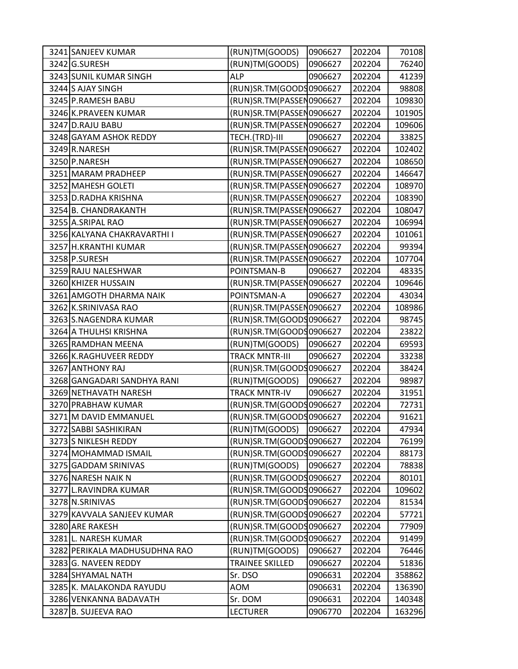| 3241 SANJEEV KUMAR            | (RUN)TM(GOODS)           | 0906627 | 202204 | 70108  |
|-------------------------------|--------------------------|---------|--------|--------|
| 3242 G.SURESH                 | (RUN)TM(GOODS)           | 0906627 | 202204 | 76240  |
| 3243 SUNIL KUMAR SINGH        | <b>ALP</b>               | 0906627 | 202204 | 41239  |
| 3244 S AJAY SINGH             | (RUN)SR.TM(GOODS0906627  |         | 202204 | 98808  |
| 3245 P.RAMESH BABU            | (RUN)SR.TM(PASSEN0906627 |         | 202204 | 109830 |
| 3246 K.PRAVEEN KUMAR          | (RUN)SR.TM(PASSEN0906627 |         | 202204 | 101905 |
| 3247 D.RAJU BABU              | (RUN)SR.TM(PASSEN0906627 |         | 202204 | 109606 |
| 3248 GAYAM ASHOK REDDY        | TECH.(TRD)-III           | 0906627 | 202204 | 33825  |
| 3249 R.NARESH                 | (RUN)SR.TM(PASSEN0906627 |         | 202204 | 102402 |
| 3250 P.NARESH                 | (RUN)SR.TM(PASSEN0906627 |         | 202204 | 108650 |
| 3251 MARAM PRADHEEP           | (RUN)SR.TM(PASSEN0906627 |         | 202204 | 146647 |
| 3252 MAHESH GOLETI            | (RUN)SR.TM(PASSEN0906627 |         | 202204 | 108970 |
| 3253 D.RADHA KRISHNA          | (RUN)SR.TM(PASSEN0906627 |         | 202204 | 108390 |
| 3254 B. CHANDRAKANTH          | (RUN)SR.TM(PASSEN0906627 |         | 202204 | 108047 |
| 3255 A.SRIPAL RAO             | (RUN)SR.TM(PASSEN0906627 |         | 202204 | 106994 |
| 3256 KALYANA CHAKRAVARTHI I   | (RUN)SR.TM(PASSEN0906627 |         | 202204 | 101061 |
| 3257 H.KRANTHI KUMAR          | (RUN)SR.TM(PASSEN0906627 |         | 202204 | 99394  |
| 3258 P.SURESH                 | (RUN)SR.TM(PASSEN0906627 |         | 202204 | 107704 |
| 3259 RAJU NALESHWAR           | POINTSMAN-B              | 0906627 | 202204 | 48335  |
| 3260 KHIZER HUSSAIN           | (RUN)SR.TM(PASSEN0906627 |         | 202204 | 109646 |
| 3261 AMGOTH DHARMA NAIK       | POINTSMAN-A              | 0906627 | 202204 | 43034  |
| 3262 K.SRINIVASA RAO          | (RUN)SR.TM(PASSEN0906627 |         | 202204 | 108986 |
| 3263 S.NAGENDRA KUMAR         | (RUN)SR.TM(GOODS0906627  |         | 202204 | 98745  |
| 3264 A THULHSI KRISHNA        | (RUN)SR.TM(GOODS0906627  |         | 202204 | 23822  |
| 3265 RAMDHAN MEENA            | (RUN)TM(GOODS)           | 0906627 | 202204 | 69593  |
| 3266 K.RAGHUVEER REDDY        | TRACK MNTR-III           | 0906627 | 202204 | 33238  |
| 3267 ANTHONY RAJ              | (RUN)SR.TM(GOODS0906627  |         | 202204 | 38424  |
| 3268 GANGADARI SANDHYA RANI   | (RUN)TM(GOODS)           | 0906627 | 202204 | 98987  |
| 3269 NETHAVATH NARESH         | <b>TRACK MNTR-IV</b>     | 0906627 | 202204 | 31951  |
| 3270 PRABHAW KUMAR            | (RUN)SR.TM(GOODS0906627  |         | 202204 | 72731  |
| 3271 M DAVID EMMANUEL         | (RUN)SR.TM(GOODS0906627  |         | 202204 | 91621  |
| 3272 SABBI SASHIKIRAN         | (RUN)TM(GOODS)           | 0906627 | 202204 | 47934  |
| 3273 S NIKLESH REDDY          | (RUN)SR.TM(GOODS0906627  |         | 202204 | 76199  |
| 3274 MOHAMMAD ISMAIL          | (RUN)SR.TM(GOODS0906627  |         | 202204 | 88173  |
| 3275 GADDAM SRINIVAS          | (RUN)TM(GOODS)           | 0906627 | 202204 | 78838  |
| 3276 NARESH NAIK N            | (RUN)SR.TM(GOODS0906627  |         | 202204 | 80101  |
| 3277 L.RAVINDRA KUMAR         | (RUN)SR.TM(GOODS0906627  |         | 202204 | 109602 |
| 3278 N.SRINIVAS               | (RUN)SR.TM(GOODS0906627  |         | 202204 | 81534  |
| 3279 KAVVALA SANJEEV KUMAR    | (RUN)SR.TM(GOODS0906627  |         | 202204 | 57721  |
| 3280 ARE RAKESH               | (RUN)SR.TM(GOODS0906627  |         | 202204 | 77909  |
| 3281L. NARESH KUMAR           | (RUN)SR.TM(GOODS0906627  |         | 202204 | 91499  |
| 3282 PERIKALA MADHUSUDHNA RAO | (RUN)TM(GOODS)           | 0906627 | 202204 | 76446  |
| 3283 G. NAVEEN REDDY          | <b>TRAINEE SKILLED</b>   | 0906627 | 202204 | 51836  |
| 3284 SHYAMAL NATH             | Sr. DSO                  | 0906631 | 202204 | 358862 |
| 3285 K. MALAKONDA RAYUDU      | <b>AOM</b>               | 0906631 | 202204 | 136390 |
| 3286 VENKANNA BADAVATH        | Sr. DOM                  | 0906631 | 202204 | 140348 |
| 3287 B. SUJEEVA RAO           | <b>LECTURER</b>          | 0906770 | 202204 | 163296 |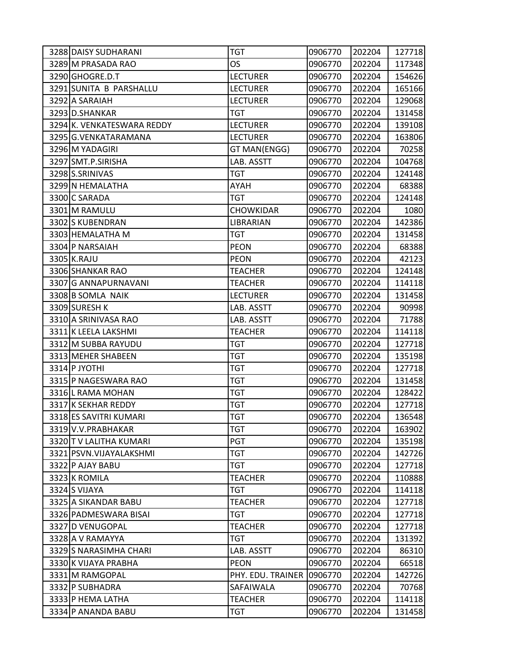| 3288 DAISY SUDHARANI       | <b>TGT</b>        | 0906770 | 202204 | 127718 |
|----------------------------|-------------------|---------|--------|--------|
| 3289 M PRASADA RAO         | <b>OS</b>         | 0906770 | 202204 | 117348 |
| 3290 GHOGRE.D.T            | <b>LECTURER</b>   | 0906770 | 202204 | 154626 |
| 3291 SUNITA B PARSHALLU    | <b>LECTURER</b>   | 0906770 | 202204 | 165166 |
| 3292 A SARAIAH             | <b>LECTURER</b>   | 0906770 | 202204 | 129068 |
| 3293 D.SHANKAR             | <b>TGT</b>        | 0906770 | 202204 | 131458 |
| 3294 K. VENKATESWARA REDDY | <b>LECTURER</b>   | 0906770 | 202204 | 139108 |
| 3295 G.VENKATARAMANA       | <b>LECTURER</b>   | 0906770 | 202204 | 163806 |
| 3296 M YADAGIRI            | GT MAN(ENGG)      | 0906770 | 202204 | 70258  |
| 3297 SMT.P.SIRISHA         | LAB. ASSTT        | 0906770 | 202204 | 104768 |
| 3298 S.SRINIVAS            | <b>TGT</b>        | 0906770 | 202204 | 124148 |
| 3299 N HEMALATHA           | AYAH              | 0906770 | 202204 | 68388  |
| 3300 C SARADA              | <b>TGT</b>        | 0906770 | 202204 | 124148 |
| 3301 M RAMULU              | <b>CHOWKIDAR</b>  | 0906770 | 202204 | 1080   |
| 3302 S KUBENDRAN           | LIBRARIAN         | 0906770 | 202204 | 142386 |
| 3303 HEMALATHA M           | <b>TGT</b>        | 0906770 | 202204 | 131458 |
| 3304 P NARSAIAH            | <b>PEON</b>       | 0906770 | 202204 | 68388  |
| 3305 K.RAJU                | <b>PEON</b>       | 0906770 | 202204 | 42123  |
| 3306 SHANKAR RAO           | <b>TEACHER</b>    | 0906770 | 202204 | 124148 |
| 3307 G ANNAPURNAVANI       | <b>TEACHER</b>    | 0906770 | 202204 | 114118 |
| 3308 B SOMLA NAIK          | <b>LECTURER</b>   | 0906770 | 202204 | 131458 |
| 3309 SURESH K              | LAB. ASSTT        | 0906770 | 202204 | 90998  |
| 3310 A SRINIVASA RAO       | LAB. ASSTT        | 0906770 | 202204 | 71788  |
| 3311 K LEELA LAKSHMI       | <b>TEACHER</b>    | 0906770 | 202204 | 114118 |
| 3312 M SUBBA RAYUDU        | <b>TGT</b>        | 0906770 | 202204 | 127718 |
| 3313 MEHER SHABEEN         | <b>TGT</b>        | 0906770 | 202204 | 135198 |
| 3314 P JYOTHI              | <b>TGT</b>        | 0906770 | 202204 | 127718 |
| 3315 P NAGESWARA RAO       | <b>TGT</b>        | 0906770 | 202204 | 131458 |
| 3316 L RAMA MOHAN          | <b>TGT</b>        | 0906770 | 202204 | 128422 |
| 3317 K SEKHAR REDDY        | <b>TGT</b>        | 0906770 | 202204 | 127718 |
| 3318 ES SAVITRI KUMARI     | <b>TGT</b>        | 0906770 | 202204 | 136548 |
| 3319 V.V.PRABHAKAR         | <b>TGT</b>        | 0906770 | 202204 | 163902 |
| 3320 T V LALITHA KUMARI    | PGT               | 0906770 | 202204 | 135198 |
| 3321 PSVN. VIJAYALAKSHMI   | <b>TGT</b>        | 0906770 | 202204 | 142726 |
| 3322 P AJAY BABU           | <b>TGT</b>        | 0906770 | 202204 | 127718 |
| 3323 K ROMILA              | <b>TEACHER</b>    | 0906770 | 202204 | 110888 |
| 3324 S VIJAYA              | <b>TGT</b>        | 0906770 | 202204 | 114118 |
| 3325 A SIKANDAR BABU       | <b>TEACHER</b>    | 0906770 | 202204 | 127718 |
| 3326 PADMESWARA BISAI      | TGT               | 0906770 | 202204 | 127718 |
| 3327 D VENUGOPAL           | <b>TEACHER</b>    | 0906770 | 202204 | 127718 |
| 3328 A V RAMAYYA           | TGT               | 0906770 | 202204 | 131392 |
| 3329 S NARASIMHA CHARI     | LAB. ASSTT        | 0906770 | 202204 | 86310  |
| 3330 K VIJAYA PRABHA       | <b>PEON</b>       | 0906770 | 202204 | 66518  |
| 3331 M RAMGOPAL            | PHY. EDU. TRAINER | 0906770 | 202204 | 142726 |
| 3332 P SUBHADRA            | SAFAIWALA         | 0906770 | 202204 | 70768  |
| 3333 P HEMA LATHA          | <b>TEACHER</b>    | 0906770 | 202204 | 114118 |
| 3334 P ANANDA BABU         | <b>TGT</b>        | 0906770 | 202204 | 131458 |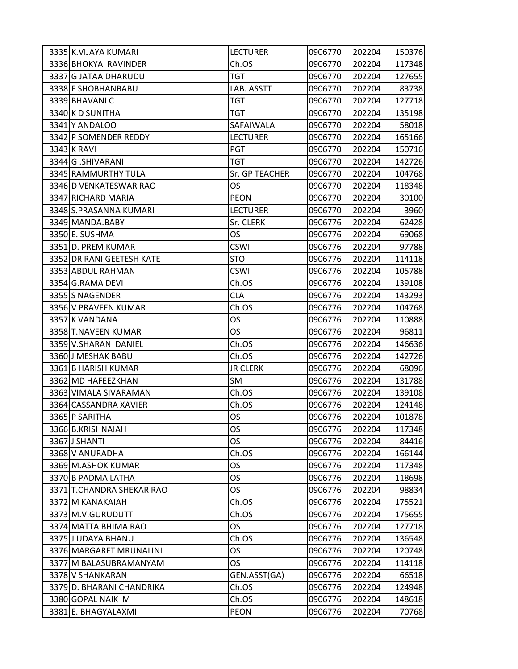| 3335 K.VIJAYA KUMARI      | <b>LECTURER</b> | 0906770 | 202204 | 150376 |
|---------------------------|-----------------|---------|--------|--------|
| 3336 BHOKYA RAVINDER      | Ch.OS           | 0906770 | 202204 | 117348 |
| 3337 G JATAA DHARUDU      | <b>TGT</b>      | 0906770 | 202204 | 127655 |
| 3338 E SHOBHANBABU        | LAB. ASSTT      | 0906770 | 202204 | 83738  |
| 3339 BHAVANI C            | <b>TGT</b>      | 0906770 | 202204 | 127718 |
| 3340 K D SUNITHA          | TGT             | 0906770 | 202204 | 135198 |
| 3341 Y ANDALOO            | SAFAIWALA       | 0906770 | 202204 | 58018  |
| 3342 P SOMENDER REDDY     | <b>LECTURER</b> | 0906770 | 202204 | 165166 |
| 3343 K RAVI               | PGT             | 0906770 | 202204 | 150716 |
| 3344 G.SHIVARANI          | <b>TGT</b>      | 0906770 | 202204 | 142726 |
| 3345 RAMMURTHY TULA       | Sr. GP TEACHER  | 0906770 | 202204 | 104768 |
| 3346 D VENKATESWAR RAO    | <b>OS</b>       | 0906770 | 202204 | 118348 |
| 3347 RICHARD MARIA        | <b>PEON</b>     | 0906770 | 202204 | 30100  |
| 3348 S.PRASANNA KUMARI    | <b>LECTURER</b> | 0906770 | 202204 | 3960   |
| 3349 MANDA.BABY           | Sr. CLERK       | 0906776 | 202204 | 62428  |
| 3350E. SUSHMA             | OS              | 0906776 | 202204 | 69068  |
| 3351 D. PREM KUMAR        | <b>CSWI</b>     | 0906776 | 202204 | 97788  |
| 3352 DR RANI GEETESH KATE | <b>STO</b>      | 0906776 | 202204 | 114118 |
| 3353 ABDUL RAHMAN         | <b>CSWI</b>     | 0906776 | 202204 | 105788 |
| 3354 G.RAMA DEVI          | Ch.OS           | 0906776 | 202204 | 139108 |
| 3355 S NAGENDER           | <b>CLA</b>      | 0906776 | 202204 | 143293 |
| 3356 V PRAVEEN KUMAR      | Ch.OS           | 0906776 | 202204 | 104768 |
| 3357 K VANDANA            | OS              | 0906776 | 202204 | 110888 |
| 3358 T.NAVEEN KUMAR       | OS              | 0906776 | 202204 | 96811  |
| 3359 V.SHARAN DANIEL      | Ch.OS           | 0906776 | 202204 | 146636 |
| 3360 J MESHAK BABU        | Ch.OS           | 0906776 | 202204 | 142726 |
| 3361 B HARISH KUMAR       | <b>JR CLERK</b> | 0906776 | 202204 | 68096  |
| 3362 MD HAFEEZKHAN        | SM              | 0906776 | 202204 | 131788 |
| 3363 VIMALA SIVARAMAN     | Ch.OS           | 0906776 | 202204 | 139108 |
| 3364 CASSANDRA XAVIER     | Ch.OS           | 0906776 | 202204 | 124148 |
| 3365 P SARITHA            | OS              | 0906776 | 202204 | 101878 |
| 3366 B.KRISHNAIAH         | <b>OS</b>       | 0906776 | 202204 | 117348 |
| 3367 J SHANTI             | OS              | 0906776 | 202204 | 84416  |
| 3368 V ANURADHA           | Ch.OS           | 0906776 | 202204 | 166144 |
| 3369 M.ASHOK KUMAR        | OS              | 0906776 | 202204 | 117348 |
| 3370 B PADMA LATHA        | OS              | 0906776 | 202204 | 118698 |
| 3371 T.CHANDRA SHEKAR RAO | OS              | 0906776 | 202204 | 98834  |
| 3372 M KANAKAIAH          | Ch.OS           | 0906776 | 202204 | 175521 |
| 3373 M.V.GURUDUTT         | Ch.OS           | 0906776 | 202204 | 175655 |
| 3374 MATTA BHIMA RAO      | <b>OS</b>       | 0906776 | 202204 | 127718 |
| 3375 J UDAYA BHANU        | Ch.OS           | 0906776 | 202204 | 136548 |
| 3376 MARGARET MRUNALINI   | OS              | 0906776 | 202204 | 120748 |
| 3377 M BALASUBRAMANYAM    | OS              | 0906776 | 202204 | 114118 |
| 3378 V SHANKARAN          | GEN.ASST(GA)    | 0906776 | 202204 | 66518  |
| 3379 D. BHARANI CHANDRIKA | Ch.OS           | 0906776 | 202204 | 124948 |
| 3380 GOPAL NAIK M         | Ch.OS           | 0906776 | 202204 | 148618 |
| 3381 E. BHAGYALAXMI       | <b>PEON</b>     | 0906776 | 202204 | 70768  |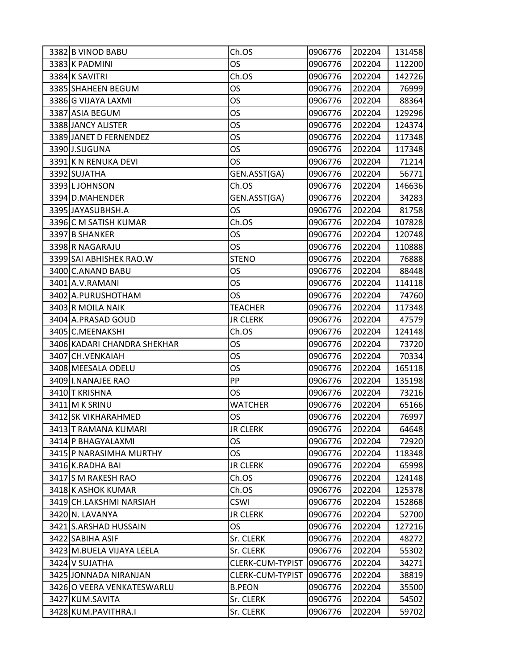| 3382 B VINOD BABU           | Ch.OS            | 0906776 | 202204 | 131458 |
|-----------------------------|------------------|---------|--------|--------|
| 3383 K PADMINI              | <b>OS</b>        | 0906776 | 202204 | 112200 |
| 3384 K SAVITRI              | Ch.OS            | 0906776 | 202204 | 142726 |
| 3385 SHAHEEN BEGUM          | OS               | 0906776 | 202204 | 76999  |
| 3386 G VIJAYA LAXMI         | <b>OS</b>        | 0906776 | 202204 | 88364  |
| 3387 ASIA BEGUM             | OS               | 0906776 | 202204 | 129296 |
| 3388 JANCY ALISTER          | OS               | 0906776 | 202204 | 124374 |
| 3389 JANET D FERNENDEZ      | OS               | 0906776 | 202204 | 117348 |
| 3390 J.SUGUNA               | OS               | 0906776 | 202204 | 117348 |
| 3391 K N RENUKA DEVI        | OS               | 0906776 | 202204 | 71214  |
| 3392 SUJATHA                | GEN.ASST(GA)     | 0906776 | 202204 | 56771  |
| 3393 LJOHNSON               | Ch.OS            | 0906776 | 202204 | 146636 |
| 3394 D.MAHENDER             | GEN.ASST(GA)     | 0906776 | 202204 | 34283  |
| 3395 JAYASUBHSH.A           | OS               | 0906776 | 202204 | 81758  |
| 3396 C M SATISH KUMAR       | Ch.OS            | 0906776 | 202204 | 107828 |
| 3397 B SHANKER              | OS               | 0906776 | 202204 | 120748 |
| 3398 R NAGARAJU             | <b>OS</b>        | 0906776 | 202204 | 110888 |
| 3399 SAI ABHISHEK RAO.W     | <b>STENO</b>     | 0906776 | 202204 | 76888  |
| 3400 C.ANAND BABU           | OS               | 0906776 | 202204 | 88448  |
| 3401 A.V.RAMANI             | <b>OS</b>        | 0906776 | 202204 | 114118 |
| 3402 A.PURUSHOTHAM          | OS               | 0906776 | 202204 | 74760  |
| 3403 R MOILA NAIK           | <b>TEACHER</b>   | 0906776 | 202204 | 117348 |
| 3404 A. PRASAD GOUD         | <b>JR CLERK</b>  | 0906776 | 202204 | 47579  |
| 3405 C.MEENAKSHI            | Ch.OS            | 0906776 | 202204 | 124148 |
| 3406 KADARI CHANDRA SHEKHAR | OS               | 0906776 | 202204 | 73720  |
| 3407 CH. VENKAIAH           | OS               | 0906776 | 202204 | 70334  |
| 3408 MEESALA ODELU          | OS               | 0906776 | 202204 | 165118 |
| 3409 I.NANAJEE RAO          | PP               | 0906776 | 202204 | 135198 |
| 3410 T KRISHNA              | OS               | 0906776 | 202204 | 73216  |
| 3411 M K SRINU              | <b>WATCHER</b>   | 0906776 | 202204 | 65166  |
| 3412 SK VIKHARAHMED         | OS               | 0906776 | 202204 | 76997  |
| 3413 T RAMANA KUMARI        | <b>JR CLERK</b>  | 0906776 | 202204 | 64648  |
| 3414 P BHAGYALAXMI          | OS               | 0906776 | 202204 | 72920  |
| 3415 P NARASIMHA MURTHY     | OS               | 0906776 | 202204 | 118348 |
| 3416 K.RADHA BAI            | <b>JR CLERK</b>  | 0906776 | 202204 | 65998  |
| 3417 S M RAKESH RAO         | Ch.OS            | 0906776 | 202204 | 124148 |
| 3418 K ASHOK KUMAR          | Ch.OS            | 0906776 | 202204 | 125378 |
| 3419 CH.LAKSHMI NARSIAH     | <b>CSWI</b>      | 0906776 | 202204 | 152868 |
| 3420 N. LAVANYA             | <b>JR CLERK</b>  | 0906776 | 202204 | 52700  |
| 3421 S.ARSHAD HUSSAIN       | <b>OS</b>        | 0906776 | 202204 | 127216 |
| 3422 SABIHA ASIF            | Sr. CLERK        | 0906776 | 202204 | 48272  |
| 3423 M.BUELA VIJAYA LEELA   | Sr. CLERK        | 0906776 | 202204 | 55302  |
| 3424 V SUJATHA              | CLERK-CUM-TYPIST | 0906776 | 202204 | 34271  |
| 3425 JONNADA NIRANJAN       | CLERK-CUM-TYPIST | 0906776 | 202204 | 38819  |
| 3426 O VEERA VENKATESWARLU  | <b>B.PEON</b>    | 0906776 | 202204 | 35500  |
| 3427 KUM.SAVITA             | Sr. CLERK        | 0906776 | 202204 | 54502  |
| 3428 KUM.PAVITHRA.I         | Sr. CLERK        | 0906776 | 202204 | 59702  |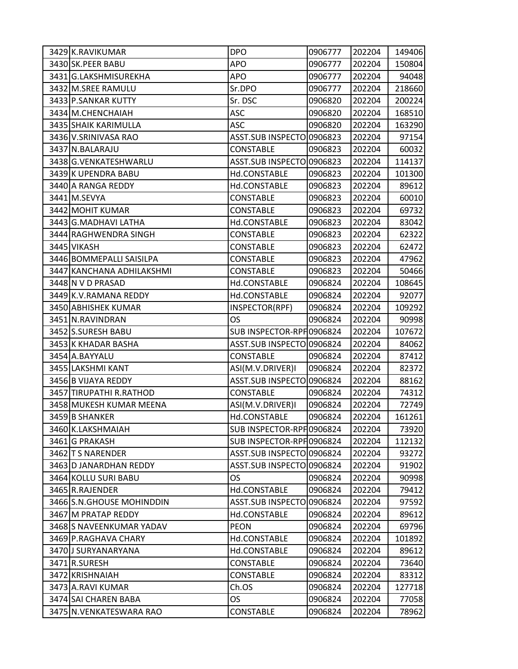| 3429 K.RAVIKUMAR           | <b>DPO</b>                | 0906777 | 202204 | 149406 |
|----------------------------|---------------------------|---------|--------|--------|
| 3430 SK.PEER BABU          | APO                       | 0906777 | 202204 | 150804 |
| 3431 G.LAKSHMISUREKHA      | <b>APO</b>                | 0906777 | 202204 | 94048  |
| 3432 M.SREE RAMULU         | Sr.DPO                    | 0906777 | 202204 | 218660 |
| 3433 P.SANKAR KUTTY        | Sr. DSC                   | 0906820 | 202204 | 200224 |
| 3434 M.CHENCHAIAH          | <b>ASC</b>                | 0906820 | 202204 | 168510 |
| 3435 SHAIK KARIMULLA       | <b>ASC</b>                | 0906820 | 202204 | 163290 |
| 3436 V.SRINIVASA RAO       | ASST.SUB INSPECTO 0906823 |         | 202204 | 97154  |
| 3437 N.BALARAJU            | <b>CONSTABLE</b>          | 0906823 | 202204 | 60032  |
| 3438 G.VENKATESHWARLU      | ASST.SUB INSPECTO 0906823 |         | 202204 | 114137 |
| 3439 K UPENDRA BABU        | Hd.CONSTABLE              | 0906823 | 202204 | 101300 |
| 3440 A RANGA REDDY         | Hd.CONSTABLE              | 0906823 | 202204 | 89612  |
| 3441 M.SEVYA               | <b>CONSTABLE</b>          | 0906823 | 202204 | 60010  |
| 3442 MOHIT KUMAR           | <b>CONSTABLE</b>          | 0906823 | 202204 | 69732  |
| 3443 G.MADHAVI LATHA       | Hd.CONSTABLE              | 0906823 | 202204 | 83042  |
| 3444 RAGHWENDRA SINGH      | <b>CONSTABLE</b>          | 0906823 | 202204 | 62322  |
| 3445 VIKASH                | <b>CONSTABLE</b>          | 0906823 | 202204 | 62472  |
| 3446 BOMMEPALLI SAISILPA   | <b>CONSTABLE</b>          | 0906823 | 202204 | 47962  |
| 3447 KANCHANA ADHILAKSHMI  | <b>CONSTABLE</b>          | 0906823 | 202204 | 50466  |
| 3448 N V D PRASAD          | Hd.CONSTABLE              | 0906824 | 202204 | 108645 |
| 3449 K.V. RAMANA REDDY     | Hd.CONSTABLE              | 0906824 | 202204 | 92077  |
| 3450 ABHISHEK KUMAR        | INSPECTOR(RPF)            | 0906824 | 202204 | 109292 |
| 3451 N.RAVINDRAN           | OS                        | 0906824 | 202204 | 90998  |
| 3452 S.SURESH BABU         | SUB INSPECTOR-RPF0906824  |         | 202204 | 107672 |
| 3453 K KHADAR BASHA        | ASST.SUB INSPECTO 0906824 |         | 202204 | 84062  |
| 3454 A.BAYYALU             | <b>CONSTABLE</b>          | 0906824 | 202204 | 87412  |
| 3455 LAKSHMI KANT          | ASI(M.V.DRIVER)I          | 0906824 | 202204 | 82372  |
| 3456 B VIJAYA REDDY        | ASST.SUB INSPECTO 0906824 |         | 202204 | 88162  |
| 3457 TIRUPATHI R.RATHOD    | <b>CONSTABLE</b>          | 0906824 | 202204 | 74312  |
| 3458 MUKESH KUMAR MEENA    | ASI(M.V.DRIVER)I          | 0906824 | 202204 | 72749  |
| 3459 B SHANKER             | Hd.CONSTABLE              | 0906824 | 202204 | 161261 |
| 3460 K.LAKSHMAIAH          | SUB INSPECTOR-RPF0906824  |         | 202204 | 73920  |
| 3461 G PRAKASH             | SUB INSPECTOR-RPH0906824  |         | 202204 | 112132 |
| 3462 T S NARENDER          | ASST.SUB INSPECTO 0906824 |         | 202204 | 93272  |
| 3463 D JANARDHAN REDDY     | ASST.SUB INSPECTO 0906824 |         | 202204 | 91902  |
| 3464 KOLLU SURI BABU       | OS.                       | 0906824 | 202204 | 90998  |
| 3465 R.RAJENDER            | Hd.CONSTABLE              | 0906824 | 202204 | 79412  |
| 3466 S.N. GHOUSE MOHINDDIN | <b>ASST.SUB INSPECTO</b>  | 0906824 | 202204 | 97592  |
| 3467 M PRATAP REDDY        | Hd.CONSTABLE              | 0906824 | 202204 | 89612  |
| 3468 S NAVEENKUMAR YADAV   | <b>PEON</b>               | 0906824 | 202204 | 69796  |
| 3469 P.RAGHAVA CHARY       | Hd.CONSTABLE              | 0906824 | 202204 | 101892 |
| 3470 J SURYANARYANA        | Hd.CONSTABLE              | 0906824 | 202204 | 89612  |
| 3471 R.SURESH              | <b>CONSTABLE</b>          | 0906824 | 202204 | 73640  |
| 3472 KRISHNAIAH            | <b>CONSTABLE</b>          | 0906824 | 202204 | 83312  |
| 3473 A.RAVI KUMAR          | Ch.OS                     | 0906824 | 202204 | 127718 |
| 3474 SAI CHAREN BABA       | OS.                       | 0906824 | 202204 | 77058  |
| 3475 N. VENKATESWARA RAO   | <b>CONSTABLE</b>          | 0906824 | 202204 | 78962  |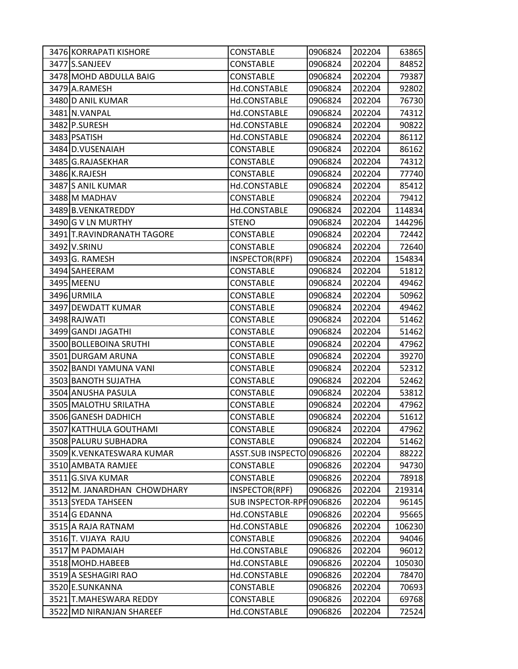| 3476 KORRAPATI KISHORE      | <b>CONSTABLE</b>          | 0906824 | 202204 | 63865  |
|-----------------------------|---------------------------|---------|--------|--------|
| 3477 S.SANJEEV              | CONSTABLE                 | 0906824 | 202204 | 84852  |
| 3478 MOHD ABDULLA BAIG      | <b>CONSTABLE</b>          | 0906824 | 202204 | 79387  |
| 3479 A.RAMESH               | Hd.CONSTABLE              | 0906824 | 202204 | 92802  |
| 3480 D ANIL KUMAR           | Hd.CONSTABLE              | 0906824 | 202204 | 76730  |
| 3481 N.VANPAL               | Hd.CONSTABLE              | 0906824 | 202204 | 74312  |
| 3482 P.SURESH               | Hd.CONSTABLE              | 0906824 | 202204 | 90822  |
| 3483 PSATISH                | Hd.CONSTABLE              | 0906824 | 202204 | 86112  |
| 3484 D.VUSENAIAH            | <b>CONSTABLE</b>          | 0906824 | 202204 | 86162  |
| 3485 G.RAJASEKHAR           | <b>CONSTABLE</b>          | 0906824 | 202204 | 74312  |
| 3486 K.RAJESH               | <b>CONSTABLE</b>          | 0906824 | 202204 | 77740  |
| 3487 S ANIL KUMAR           | Hd.CONSTABLE              | 0906824 | 202204 | 85412  |
| 3488 M MADHAV               | <b>CONSTABLE</b>          | 0906824 | 202204 | 79412  |
| 3489 B. VENKATREDDY         | Hd.CONSTABLE              | 0906824 | 202204 | 114834 |
| 3490 G V LN MURTHY          | <b>STENO</b>              | 0906824 | 202204 | 144296 |
| 3491 T.RAVINDRANATH TAGORE  | <b>CONSTABLE</b>          | 0906824 | 202204 | 72442  |
| 3492 V.SRINU                | <b>CONSTABLE</b>          | 0906824 | 202204 | 72640  |
| 3493 G. RAMESH              | INSPECTOR(RPF)            | 0906824 | 202204 | 154834 |
| 3494 SAHEERAM               | <b>CONSTABLE</b>          | 0906824 | 202204 | 51812  |
| 3495 MEENU                  | <b>CONSTABLE</b>          | 0906824 | 202204 | 49462  |
| 3496 URMILA                 | <b>CONSTABLE</b>          | 0906824 | 202204 | 50962  |
| 3497 DEWDATT KUMAR          | <b>CONSTABLE</b>          | 0906824 | 202204 | 49462  |
| 3498 RAJWATI                | <b>CONSTABLE</b>          | 0906824 | 202204 | 51462  |
| 3499 GANDI JAGATHI          | <b>CONSTABLE</b>          | 0906824 | 202204 | 51462  |
| 3500 BOLLEBOINA SRUTHI      | <b>CONSTABLE</b>          | 0906824 | 202204 | 47962  |
| 3501 DURGAM ARUNA           | <b>CONSTABLE</b>          | 0906824 | 202204 | 39270  |
| 3502 BANDI YAMUNA VANI      | <b>CONSTABLE</b>          | 0906824 | 202204 | 52312  |
| 3503 BANOTH SUJATHA         | <b>CONSTABLE</b>          | 0906824 | 202204 | 52462  |
| 3504 ANUSHA PASULA          | <b>CONSTABLE</b>          | 0906824 | 202204 | 53812  |
| 3505 MALOTHU SRILATHA       | <b>CONSTABLE</b>          | 0906824 | 202204 | 47962  |
| 3506 GANESH DADHICH         | <b>CONSTABLE</b>          | 0906824 | 202204 | 51612  |
| 3507 KATTHULA GOUTHAMI      | <b>CONSTABLE</b>          | 0906824 | 202204 | 47962  |
| 3508 PALURU SUBHADRA        | <b>CONSTABLE</b>          | 0906824 | 202204 | 51462  |
| 3509 K.VENKATESWARA KUMAR   | ASST.SUB INSPECTO 0906826 |         | 202204 | 88222  |
| 3510 AMBATA RAMJEE          | CONSTABLE                 | 0906826 | 202204 | 94730  |
| 3511 G.SIVA KUMAR           | <b>CONSTABLE</b>          | 0906826 | 202204 | 78918  |
| 3512 M. JANARDHAN CHOWDHARY | INSPECTOR(RPF)            | 0906826 | 202204 | 219314 |
| 3513 SYEDA TAHSEEN          | SUB INSPECTOR-RPH0906826  |         | 202204 | 96145  |
| 3514 G EDANNA               | Hd.CONSTABLE              | 0906826 | 202204 | 95665  |
| 3515 A RAJA RATNAM          | Hd.CONSTABLE              | 0906826 | 202204 | 106230 |
| 3516 T. VIJAYA RAJU         | <b>CONSTABLE</b>          | 0906826 | 202204 | 94046  |
| 3517 M PADMAIAH             | Hd.CONSTABLE              | 0906826 | 202204 | 96012  |
| 3518 MOHD.HABEEB            | Hd.CONSTABLE              | 0906826 | 202204 | 105030 |
| 3519 A SESHAGIRI RAO        | Hd.CONSTABLE              | 0906826 | 202204 | 78470  |
| 3520 E.SUNKANNA             | CONSTABLE                 | 0906826 | 202204 | 70693  |
| 3521 T.MAHESWARA REDDY      | <b>CONSTABLE</b>          | 0906826 | 202204 | 69768  |
| 3522 MD NIRANJAN SHAREEF    | Hd.CONSTABLE              | 0906826 | 202204 | 72524  |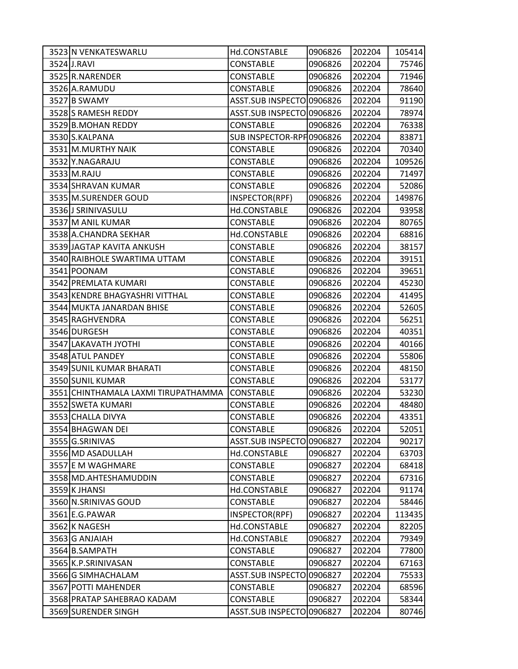| 3523 N VENKATESWARLU                | Hd.CONSTABLE              | 0906826 | 202204 | 105414 |
|-------------------------------------|---------------------------|---------|--------|--------|
| 3524 J.RAVI                         | <b>CONSTABLE</b>          | 0906826 | 202204 | 75746  |
| 3525 R.NARENDER                     | <b>CONSTABLE</b>          | 0906826 | 202204 | 71946  |
| 3526 A.RAMUDU                       | <b>CONSTABLE</b>          | 0906826 | 202204 | 78640  |
| 3527 B SWAMY                        | ASST.SUB INSPECTO 0906826 |         | 202204 | 91190  |
| 3528 S RAMESH REDDY                 | ASST.SUB INSPECTO 0906826 |         | 202204 | 78974  |
| 3529 B.MOHAN REDDY                  | <b>CONSTABLE</b>          | 0906826 | 202204 | 76338  |
| 3530 S.KALPANA                      | SUB INSPECTOR-RPF0906826  |         | 202204 | 83871  |
| 3531 M.MURTHY NAIK                  | <b>CONSTABLE</b>          | 0906826 | 202204 | 70340  |
| 3532 Y.NAGARAJU                     | <b>CONSTABLE</b>          | 0906826 | 202204 | 109526 |
| 3533 M.RAJU                         | CONSTABLE                 | 0906826 | 202204 | 71497  |
| 3534 SHRAVAN KUMAR                  | <b>CONSTABLE</b>          | 0906826 | 202204 | 52086  |
| 3535 M.SURENDER GOUD                | INSPECTOR(RPF)            | 0906826 | 202204 | 149876 |
| 3536 J SRINIVASULU                  | Hd.CONSTABLE              | 0906826 | 202204 | 93958  |
| 3537 M ANIL KUMAR                   | <b>CONSTABLE</b>          | 0906826 | 202204 | 80765  |
| 3538 A.CHANDRA SEKHAR               | Hd.CONSTABLE              | 0906826 | 202204 | 68816  |
| 3539 JAGTAP KAVITA ANKUSH           | <b>CONSTABLE</b>          | 0906826 | 202204 | 38157  |
| 3540 RAIBHOLE SWARTIMA UTTAM        | <b>CONSTABLE</b>          | 0906826 | 202204 | 39151  |
| 3541 POONAM                         | <b>CONSTABLE</b>          | 0906826 | 202204 | 39651  |
| 3542 PREMLATA KUMARI                | <b>CONSTABLE</b>          | 0906826 | 202204 | 45230  |
| 3543 KENDRE BHAGYASHRI VITTHAL      | <b>CONSTABLE</b>          | 0906826 | 202204 | 41495  |
| 3544 MUKTA JANARDAN BHISE           | <b>CONSTABLE</b>          | 0906826 | 202204 | 52605  |
| 3545 RAGHVENDRA                     | <b>CONSTABLE</b>          | 0906826 | 202204 | 56251  |
| 3546 DURGESH                        | <b>CONSTABLE</b>          | 0906826 | 202204 | 40351  |
| 3547 LAKAVATH JYOTHI                | <b>CONSTABLE</b>          | 0906826 | 202204 | 40166  |
| 3548 ATUL PANDEY                    | <b>CONSTABLE</b>          | 0906826 | 202204 | 55806  |
| 3549 SUNIL KUMAR BHARATI            | <b>CONSTABLE</b>          | 0906826 | 202204 | 48150  |
| 3550 SUNIL KUMAR                    | <b>CONSTABLE</b>          | 0906826 | 202204 | 53177  |
| 3551 CHINTHAMALA LAXMI TIRUPATHAMMA | <b>CONSTABLE</b>          | 0906826 | 202204 | 53230  |
| 3552 SWETA KUMARI                   | <b>CONSTABLE</b>          | 0906826 | 202204 | 48480  |
| 3553 CHALLA DIVYA                   | <b>CONSTABLE</b>          | 0906826 | 202204 | 43351  |
| 3554 BHAGWAN DEI                    | <b>CONSTABLE</b>          | 0906826 | 202204 | 52051  |
| 3555 G.SRINIVAS                     | <b>ASST.SUB INSPECTO</b>  | 0906827 | 202204 | 90217  |
| 3556 MD ASADULLAH                   | Hd.CONSTABLE              | 0906827 | 202204 | 63703  |
| 3557 E M WAGHMARE                   | <b>CONSTABLE</b>          | 0906827 | 202204 | 68418  |
| 3558 MD. AHTESHAMUDDIN              | <b>CONSTABLE</b>          | 0906827 | 202204 | 67316  |
| 3559 K JHANSI                       | Hd.CONSTABLE              | 0906827 | 202204 | 91174  |
| 3560 N.SRINIVAS GOUD                | <b>CONSTABLE</b>          | 0906827 | 202204 | 58446  |
| 3561 E.G. PAWAR                     | INSPECTOR(RPF)            | 0906827 | 202204 | 113435 |
| 3562K NAGESH                        | Hd.CONSTABLE              | 0906827 | 202204 | 82205  |
| 3563 G ANJAIAH                      | Hd.CONSTABLE              | 0906827 | 202204 | 79349  |
| 3564 B.SAMPATH                      | <b>CONSTABLE</b>          | 0906827 | 202204 | 77800  |
| 3565 K.P.SRINIVASAN                 | <b>CONSTABLE</b>          | 0906827 | 202204 | 67163  |
| 3566 G SIMHACHALAM                  | <b>ASST.SUB INSPECTO</b>  | 0906827 | 202204 | 75533  |
| 3567 POTTI MAHENDER                 | <b>CONSTABLE</b>          | 0906827 | 202204 | 68596  |
| 3568 PRATAP SAHEBRAO KADAM          | <b>CONSTABLE</b>          | 0906827 | 202204 | 58344  |
| 3569 SURENDER SINGH                 | ASST.SUB INSPECTO 0906827 |         | 202204 | 80746  |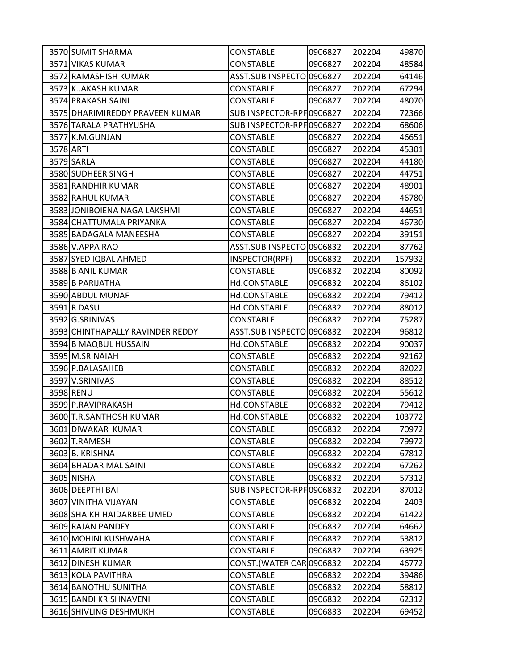| 3570 SUMIT SHARMA                | CONSTABLE                 | 0906827 | 202204 | 49870  |
|----------------------------------|---------------------------|---------|--------|--------|
| 3571 VIKAS KUMAR                 | <b>CONSTABLE</b>          | 0906827 | 202204 | 48584  |
| 3572 RAMASHISH KUMAR             | ASST.SUB INSPECTO 0906827 |         | 202204 | 64146  |
| 3573 KAKASH KUMAR                | <b>CONSTABLE</b>          | 0906827 | 202204 | 67294  |
| 3574 PRAKASH SAINI               | <b>CONSTABLE</b>          | 0906827 | 202204 | 48070  |
| 3575 DHARIMIREDDY PRAVEEN KUMAR  | SUB INSPECTOR-RPF 0906827 |         | 202204 | 72366  |
| 3576 TARALA PRATHYUSHA           | SUB INSPECTOR-RPF0906827  |         | 202204 | 68606  |
| 3577 K.M.GUNJAN                  | <b>CONSTABLE</b>          | 0906827 | 202204 | 46651  |
| 3578 ARTI                        | <b>CONSTABLE</b>          | 0906827 | 202204 | 45301  |
| 3579 SARLA                       | <b>CONSTABLE</b>          | 0906827 | 202204 | 44180  |
| 3580 SUDHEER SINGH               | CONSTABLE                 | 0906827 | 202204 | 44751  |
| 3581 RANDHIR KUMAR               | <b>CONSTABLE</b>          | 0906827 | 202204 | 48901  |
| 3582 RAHUL KUMAR                 | CONSTABLE                 | 0906827 | 202204 | 46780  |
| 3583 JONIBOIENA NAGA LAKSHMI     | <b>CONSTABLE</b>          | 0906827 | 202204 | 44651  |
| 3584 CHATTUMALA PRIYANKA         | <b>CONSTABLE</b>          | 0906827 | 202204 | 46730  |
| 3585 BADAGALA MANEESHA           | <b>CONSTABLE</b>          | 0906827 | 202204 | 39151  |
| 3586 V.APPA RAO                  | ASST.SUB INSPECTO 0906832 |         | 202204 | 87762  |
| 3587 SYED IQBAL AHMED            | INSPECTOR(RPF)            | 0906832 | 202204 | 157932 |
| 3588 B ANIL KUMAR                | <b>CONSTABLE</b>          | 0906832 | 202204 | 80092  |
| 3589 B PARIJATHA                 | Hd.CONSTABLE              | 0906832 | 202204 | 86102  |
| 3590 ABDUL MUNAF                 | Hd.CONSTABLE              | 0906832 | 202204 | 79412  |
| 3591 R DASU                      | Hd.CONSTABLE              | 0906832 | 202204 | 88012  |
| 3592 G.SRINIVAS                  | <b>CONSTABLE</b>          | 0906832 | 202204 | 75287  |
| 3593 CHINTHAPALLY RAVINDER REDDY | ASST.SUB INSPECTO 0906832 |         | 202204 | 96812  |
| 3594 B MAQBUL HUSSAIN            | Hd.CONSTABLE              | 0906832 | 202204 | 90037  |
| 3595 M.SRINAIAH                  | <b>CONSTABLE</b>          | 0906832 | 202204 | 92162  |
| 3596 P.BALASAHEB                 | <b>CONSTABLE</b>          | 0906832 | 202204 | 82022  |
| 3597 V.SRINIVAS                  | <b>CONSTABLE</b>          | 0906832 | 202204 | 88512  |
| 3598 RENU                        | <b>CONSTABLE</b>          | 0906832 | 202204 | 55612  |
| 3599 P.RAVIPRAKASH               | Hd.CONSTABLE              | 0906832 | 202204 | 79412  |
| 3600 T.R.SANTHOSH KUMAR          | Hd.CONSTABLE              | 0906832 | 202204 | 103772 |
| 3601 DIWAKAR KUMAR               | <b>CONSTABLE</b>          | 0906832 | 202204 | 70972  |
| 3602 T.RAMESH                    | <b>CONSTABLE</b>          | 0906832 | 202204 | 79972  |
| 3603 B. KRISHNA                  | <b>CONSTABLE</b>          | 0906832 | 202204 | 67812  |
| 3604 BHADAR MAL SAINI            | <b>CONSTABLE</b>          | 0906832 | 202204 | 67262  |
| 3605 NISHA                       | <b>CONSTABLE</b>          | 0906832 | 202204 | 57312  |
| 3606 DEEPTHI BAI                 | SUB INSPECTOR-RPF 0906832 |         | 202204 | 87012  |
| 3607 VINITHA VIJAYAN             | <b>CONSTABLE</b>          | 0906832 | 202204 | 2403   |
| 3608 SHAIKH HAIDARBEE UMED       | <b>CONSTABLE</b>          | 0906832 | 202204 | 61422  |
| 3609 RAJAN PANDEY                | <b>CONSTABLE</b>          | 0906832 | 202204 | 64662  |
| 3610 MOHINI KUSHWAHA             | <b>CONSTABLE</b>          | 0906832 | 202204 | 53812  |
| 3611 AMRIT KUMAR                 | <b>CONSTABLE</b>          | 0906832 | 202204 | 63925  |
| 3612 DINESH KUMAR                | CONST.(WATER CAR 0906832  |         | 202204 | 46772  |
| 3613 KOLA PAVITHRA               | <b>CONSTABLE</b>          | 0906832 | 202204 | 39486  |
| 3614 BANOTHU SUNITHA             | <b>CONSTABLE</b>          | 0906832 | 202204 | 58812  |
| 3615 BANDI KRISHNAVENI           | <b>CONSTABLE</b>          | 0906832 | 202204 | 62312  |
| 3616 SHIVLING DESHMUKH           | <b>CONSTABLE</b>          | 0906833 | 202204 | 69452  |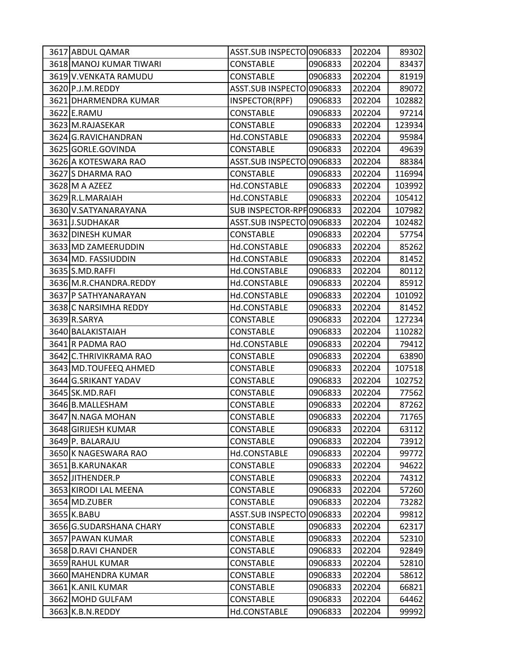| 3617 ABDUL QAMAR        | ASST.SUB INSPECTO 0906833 |         | 202204 | 89302  |
|-------------------------|---------------------------|---------|--------|--------|
| 3618 MANOJ KUMAR TIWARI | <b>CONSTABLE</b>          | 0906833 | 202204 | 83437  |
| 3619 V.VENKATA RAMUDU   | CONSTABLE                 | 0906833 | 202204 | 81919  |
| 3620 P.J.M.REDDY        | ASST.SUB INSPECTO 0906833 |         | 202204 | 89072  |
| 3621 DHARMENDRA KUMAR   | INSPECTOR(RPF)            | 0906833 | 202204 | 102882 |
| 3622 E.RAMU             | <b>CONSTABLE</b>          | 0906833 | 202204 | 97214  |
| 3623 M.RAJASEKAR        | CONSTABLE                 | 0906833 | 202204 | 123934 |
| 3624 G.RAVICHANDRAN     | Hd.CONSTABLE              | 0906833 | 202204 | 95984  |
| 3625 GORLE.GOVINDA      | <b>CONSTABLE</b>          | 0906833 | 202204 | 49639  |
| 3626 A KOTESWARA RAO    | ASST.SUB INSPECTO 0906833 |         | 202204 | 88384  |
| 3627 S DHARMA RAO       | <b>CONSTABLE</b>          | 0906833 | 202204 | 116994 |
| 3628 M A AZEEZ          | Hd.CONSTABLE              | 0906833 | 202204 | 103992 |
| 3629 R.L.MARAIAH        | Hd.CONSTABLE              | 0906833 | 202204 | 105412 |
| 3630 V.SATYANARAYANA    | SUB INSPECTOR-RPF 0906833 |         | 202204 | 107982 |
| 3631J.SUDHAKAR          | ASST.SUB INSPECTO 0906833 |         | 202204 | 102482 |
| 3632 DINESH KUMAR       | <b>CONSTABLE</b>          | 0906833 | 202204 | 57754  |
| 3633 MD ZAMEERUDDIN     | Hd.CONSTABLE              | 0906833 | 202204 | 85262  |
| 3634 MD. FASSIUDDIN     | Hd.CONSTABLE              | 0906833 | 202204 | 81452  |
| 3635 S.MD.RAFFI         | Hd.CONSTABLE              | 0906833 | 202204 | 80112  |
| 3636 M.R.CHANDRA.REDDY  | Hd.CONSTABLE              | 0906833 | 202204 | 85912  |
| 3637 P SATHYANARAYAN    | Hd.CONSTABLE              | 0906833 | 202204 | 101092 |
| 3638 C NARSIMHA REDDY   | Hd.CONSTABLE              | 0906833 | 202204 | 81452  |
| 3639 R.SARYA            | <b>CONSTABLE</b>          | 0906833 | 202204 | 127234 |
| 3640 BALAKISTAIAH       | <b>CONSTABLE</b>          | 0906833 | 202204 | 110282 |
| 3641 R PADMA RAO        | Hd.CONSTABLE              | 0906833 | 202204 | 79412  |
| 3642 C.THRIVIKRAMA RAO  | <b>CONSTABLE</b>          | 0906833 | 202204 | 63890  |
| 3643 MD.TOUFEEQ AHMED   | CONSTABLE                 | 0906833 | 202204 | 107518 |
| 3644 G.SRIKANT YADAV    | <b>CONSTABLE</b>          | 0906833 | 202204 | 102752 |
| 3645 SK.MD.RAFI         | <b>CONSTABLE</b>          | 0906833 | 202204 | 77562  |
| 3646 B.MALLESHAM        | <b>CONSTABLE</b>          | 0906833 | 202204 | 87262  |
| 3647 N.NAGA MOHAN       | <b>CONSTABLE</b>          | 0906833 | 202204 | 71765  |
| 3648 GIRIJESH KUMAR     | <b>CONSTABLE</b>          | 0906833 | 202204 | 63112  |
| 3649 P. BALARAJU        | <b>CONSTABLE</b>          | 0906833 | 202204 | 73912  |
| 3650K NAGESWARA RAO     | Hd.CONSTABLE              | 0906833 | 202204 | 99772  |
| 3651 B.KARUNAKAR        | <b>CONSTABLE</b>          | 0906833 | 202204 | 94622  |
| 3652 JITHENDER.P        | <b>CONSTABLE</b>          | 0906833 | 202204 | 74312  |
| 3653 KIRODI LAL MEENA   | <b>CONSTABLE</b>          | 0906833 | 202204 | 57260  |
| 3654 MD.ZUBER           | <b>CONSTABLE</b>          | 0906833 | 202204 | 73282  |
| 3655 K.BABU             | <b>ASST.SUB INSPECTO</b>  | 0906833 | 202204 | 99812  |
| 3656 G.SUDARSHANA CHARY | <b>CONSTABLE</b>          | 0906833 | 202204 | 62317  |
| 3657 PAWAN KUMAR        | <b>CONSTABLE</b>          | 0906833 | 202204 | 52310  |
| 3658 D.RAVI CHANDER     | <b>CONSTABLE</b>          | 0906833 | 202204 | 92849  |
| 3659 RAHUL KUMAR        | <b>CONSTABLE</b>          | 0906833 | 202204 | 52810  |
| 3660 MAHENDRA KUMAR     | <b>CONSTABLE</b>          | 0906833 | 202204 | 58612  |
| 3661 K.ANIL KUMAR       | <b>CONSTABLE</b>          | 0906833 | 202204 | 66821  |
| 3662 MOHD GULFAM        | <b>CONSTABLE</b>          | 0906833 | 202204 | 64462  |
| 3663 K.B.N.REDDY        | Hd.CONSTABLE              | 0906833 | 202204 | 99992  |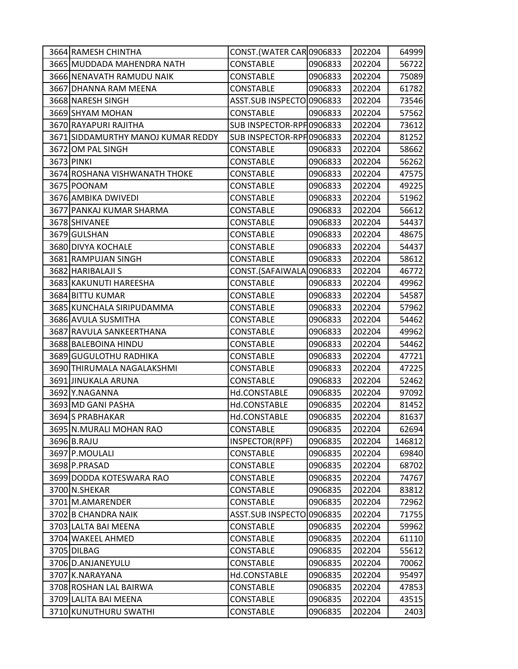| 3664 RAMESH CHINTHA                | CONST.(WATER CARO906833   |         | 202204 | 64999  |
|------------------------------------|---------------------------|---------|--------|--------|
| 3665 MUDDADA MAHENDRA NATH         | <b>CONSTABLE</b>          | 0906833 | 202204 | 56722  |
| 3666 NENAVATH RAMUDU NAIK          | <b>CONSTABLE</b>          | 0906833 | 202204 | 75089  |
| 3667 DHANNA RAM MEENA              | <b>CONSTABLE</b>          | 0906833 | 202204 | 61782  |
| 3668 NARESH SINGH                  | ASST.SUB INSPECTO 0906833 |         | 202204 | 73546  |
| 3669 SHYAM MOHAN                   | CONSTABLE                 | 0906833 | 202204 | 57562  |
| 3670 RAYAPURI RAJITHA              | SUB INSPECTOR-RPF0906833  |         | 202204 | 73612  |
| 3671 SIDDAMURTHY MANOJ KUMAR REDDY | SUB INSPECTOR-RPF 0906833 |         | 202204 | 81252  |
| 3672 OM PAL SINGH                  | <b>CONSTABLE</b>          | 0906833 | 202204 | 58662  |
| 3673 PINKI                         | <b>CONSTABLE</b>          | 0906833 | 202204 | 56262  |
| 3674 ROSHANA VISHWANATH THOKE      | <b>CONSTABLE</b>          | 0906833 | 202204 | 47575  |
| 3675 POONAM                        | <b>CONSTABLE</b>          | 0906833 | 202204 | 49225  |
| 3676 AMBIKA DWIVEDI                | <b>CONSTABLE</b>          | 0906833 | 202204 | 51962  |
| 3677 PANKAJ KUMAR SHARMA           | <b>CONSTABLE</b>          | 0906833 | 202204 | 56612  |
| 3678 SHIVANEE                      | <b>CONSTABLE</b>          | 0906833 | 202204 | 54437  |
| 3679 GULSHAN                       | CONSTABLE                 | 0906833 | 202204 | 48675  |
| 3680 DIVYA KOCHALE                 | <b>CONSTABLE</b>          | 0906833 | 202204 | 54437  |
| 3681 RAMPUJAN SINGH                | CONSTABLE                 | 0906833 | 202204 | 58612  |
| 3682 HARIBALAJI S                  | CONST.(SAFAIWALA 0906833  |         | 202204 | 46772  |
| 3683 KAKUNUTI HAREESHA             | <b>CONSTABLE</b>          | 0906833 | 202204 | 49962  |
| 3684 BITTU KUMAR                   | <b>CONSTABLE</b>          | 0906833 | 202204 | 54587  |
| 3685 KUNCHALA SIRIPUDAMMA          | <b>CONSTABLE</b>          | 0906833 | 202204 | 57962  |
| 3686 AVULA SUSMITHA                | <b>CONSTABLE</b>          | 0906833 | 202204 | 54462  |
| 3687 RAVULA SANKEERTHANA           | <b>CONSTABLE</b>          | 0906833 | 202204 | 49962  |
| 3688 BALEBOINA HINDU               | <b>CONSTABLE</b>          | 0906833 | 202204 | 54462  |
| 3689 GUGULOTHU RADHIKA             | <b>CONSTABLE</b>          | 0906833 | 202204 | 47721  |
| 3690 THIRUMALA NAGALAKSHMI         | <b>CONSTABLE</b>          | 0906833 | 202204 | 47225  |
| 3691 JINUKALA ARUNA                | <b>CONSTABLE</b>          | 0906833 | 202204 | 52462  |
| 3692 Y.NAGANNA                     | Hd.CONSTABLE              | 0906835 | 202204 | 97092  |
| 3693 MD GANI PASHA                 | Hd.CONSTABLE              | 0906835 | 202204 | 81452  |
| 3694 S PRABHAKAR                   | Hd.CONSTABLE              | 0906835 | 202204 | 81637  |
| 3695 N.MURALI MOHAN RAO            | <b>CONSTABLE</b>          | 0906835 | 202204 | 62694  |
| 3696 B.RAJU                        | INSPECTOR(RPF)            | 0906835 | 202204 | 146812 |
| 3697 P.MOULALI                     | <b>CONSTABLE</b>          | 0906835 | 202204 | 69840  |
| 3698 P.PRASAD                      | <b>CONSTABLE</b>          | 0906835 | 202204 | 68702  |
| 3699 DODDA KOTESWARA RAO           | <b>CONSTABLE</b>          | 0906835 | 202204 | 74767  |
| 3700 N.SHEKAR                      | <b>CONSTABLE</b>          | 0906835 | 202204 | 83812  |
| 3701 M.AMARENDER                   | <b>CONSTABLE</b>          | 0906835 | 202204 | 72962  |
| 3702 B CHANDRA NAIK                | <b>ASST.SUB INSPECTO</b>  | 0906835 | 202204 | 71755  |
| 3703 LALTA BAI MEENA               | <b>CONSTABLE</b>          | 0906835 | 202204 | 59962  |
| 3704 WAKEEL AHMED                  | CONSTABLE                 | 0906835 | 202204 | 61110  |
| 3705 DILBAG                        | <b>CONSTABLE</b>          | 0906835 | 202204 | 55612  |
| 3706 D.ANJANEYULU                  | <b>CONSTABLE</b>          | 0906835 | 202204 | 70062  |
| 3707 K.NARAYANA                    | Hd.CONSTABLE              | 0906835 | 202204 | 95497  |
| 3708 ROSHAN LAL BAIRWA             | <b>CONSTABLE</b>          | 0906835 | 202204 | 47853  |
| 3709 LALITA BAI MEENA              | <b>CONSTABLE</b>          | 0906835 | 202204 | 43515  |
| 3710 KUNUTHURU SWATHI              | CONSTABLE                 | 0906835 | 202204 | 2403   |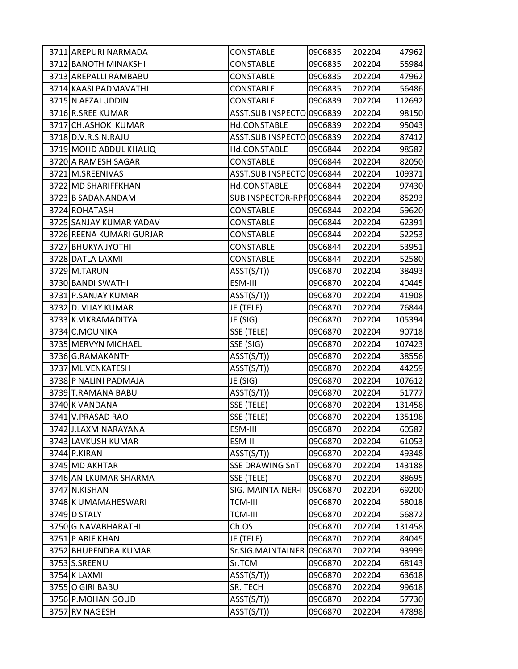| 3711 AREPURI NARMADA     | <b>CONSTABLE</b>          | 0906835 | 202204 | 47962  |
|--------------------------|---------------------------|---------|--------|--------|
| 3712 BANOTH MINAKSHI     | <b>CONSTABLE</b>          | 0906835 | 202204 | 55984  |
| 3713 AREPALLI RAMBABU    | <b>CONSTABLE</b>          | 0906835 | 202204 | 47962  |
| 3714 KAASI PADMAVATHI    | <b>CONSTABLE</b>          | 0906835 | 202204 | 56486  |
| 3715 N AFZALUDDIN        | <b>CONSTABLE</b>          | 0906839 | 202204 | 112692 |
| 3716 R.SREE KUMAR        | ASST.SUB INSPECTO 0906839 |         | 202204 | 98150  |
| 3717 CH.ASHOK KUMAR      | Hd.CONSTABLE              | 0906839 | 202204 | 95043  |
| 3718 D.V.R.S.N.RAJU      | ASST.SUB INSPECTO 0906839 |         | 202204 | 87412  |
| 3719 MOHD ABDUL KHALIQ   | Hd.CONSTABLE              | 0906844 | 202204 | 98582  |
| 3720 A RAMESH SAGAR      | <b>CONSTABLE</b>          | 0906844 | 202204 | 82050  |
| 3721 M.SREENIVAS         | ASST.SUB INSPECTO 0906844 |         | 202204 | 109371 |
| 3722 MD SHARIFFKHAN      | Hd.CONSTABLE              | 0906844 | 202204 | 97430  |
| 3723 B SADANANDAM        | SUB INSPECTOR-RPF 0906844 |         | 202204 | 85293  |
| 3724 ROHATASH            | <b>CONSTABLE</b>          | 0906844 | 202204 | 59620  |
| 3725 SANJAY KUMAR YADAV  | <b>CONSTABLE</b>          | 0906844 | 202204 | 62391  |
| 3726 REENA KUMARI GURJAR | <b>CONSTABLE</b>          | 0906844 | 202204 | 52253  |
| 3727 BHUKYA JYOTHI       | CONSTABLE                 | 0906844 | 202204 | 53951  |
| 3728 DATLA LAXMI         | <b>CONSTABLE</b>          | 0906844 | 202204 | 52580  |
| 3729 M.TARUN             | ASST(S/T))                | 0906870 | 202204 | 38493  |
| 3730 BANDI SWATHI        | ESM-III                   | 0906870 | 202204 | 40445  |
| 3731 P.SANJAY KUMAR      | AST(S/T))                 | 0906870 | 202204 | 41908  |
| 3732 D. VIJAY KUMAR      | JE (TELE)                 | 0906870 | 202204 | 76844  |
| 3733 K.VIKRAMADITYA      | JE (SIG)                  | 0906870 | 202204 | 105394 |
| 3734 C.MOUNIKA           | SSE (TELE)                | 0906870 | 202204 | 90718  |
| 3735 MERVYN MICHAEL      | SSE (SIG)                 | 0906870 | 202204 | 107423 |
| 3736 G.RAMAKANTH         | ASST(S/T))                | 0906870 | 202204 | 38556  |
| 3737 ML. VENKATESH       | ASST(S/T))                | 0906870 | 202204 | 44259  |
| 3738 P NALINI PADMAJA    | JE (SIG)                  | 0906870 | 202204 | 107612 |
| 3739 T.RAMANA BABU       | ASST(S/T))                | 0906870 | 202204 | 51777  |
| 3740 K VANDANA           | SSE (TELE)                | 0906870 | 202204 | 131458 |
| 3741 V.PRASAD RAO        | SSE (TELE)                | 0906870 | 202204 | 135198 |
| 3742 J.LAXMINARAYANA     | ESM-III                   | 0906870 | 202204 | 60582  |
| 3743 LAVKUSH KUMAR       | ESM-II                    | 0906870 | 202204 | 61053  |
| 3744 P.KIRAN             | ASST(S/T))                | 0906870 | 202204 | 49348  |
| 3745 MD AKHTAR           | <b>SSE DRAWING SnT</b>    | 0906870 | 202204 | 143188 |
| 3746 ANILKUMAR SHARMA    | SSE (TELE)                | 0906870 | 202204 | 88695  |
| 3747 N.KISHAN            | SIG. MAINTAINER-I         | 0906870 | 202204 | 69200  |
| 3748 K UMAMAHESWARI      | <b>TCM-III</b>            | 0906870 | 202204 | 58018  |
| 3749 D STALY             | <b>TCM-III</b>            | 0906870 | 202204 | 56872  |
| 3750 G NAVABHARATHI      | Ch.OS                     | 0906870 | 202204 | 131458 |
| 3751 P ARIF KHAN         | JE (TELE)                 | 0906870 | 202204 | 84045  |
| 3752 BHUPENDRA KUMAR     | Sr.SIG.MAINTAINER         | 0906870 | 202204 | 93999  |
| 3753 S.SREENU            | Sr.TCM                    | 0906870 | 202204 | 68143  |
| 3754 K LAXMI             | ASST(S/T))                | 0906870 | 202204 | 63618  |
| 3755 O GIRI BABU         | SR. TECH                  | 0906870 | 202204 | 99618  |
| 3756 P.MOHAN GOUD        | ASST(S/T))                | 0906870 | 202204 | 57730  |
| 3757 RV NAGESH           | ASST(S/T))                | 0906870 | 202204 | 47898  |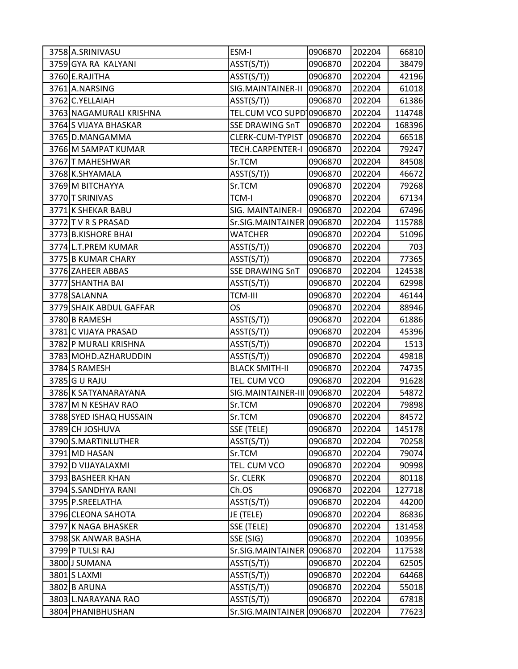| 3758 A.SRINIVASU        | ESM-I                      | 0906870 | 202204 | 66810  |
|-------------------------|----------------------------|---------|--------|--------|
| 3759 GYA RA KALYANI     | ASST(S/T))                 | 0906870 | 202204 | 38479  |
| 3760 E.RAJITHA          | AST(S/T))                  | 0906870 | 202204 | 42196  |
| 3761 A.NARSING          | SIG.MAINTAINER-II          | 0906870 | 202204 | 61018  |
| 3762 C.YELLAIAH         | ASST(S/T))                 | 0906870 | 202204 | 61386  |
| 3763 NAGAMURALI KRISHNA | TEL.CUM VCO SUPD 0906870   |         | 202204 | 114748 |
| 3764 S VIJAYA BHASKAR   | <b>SSE DRAWING SnT</b>     | 0906870 | 202204 | 168396 |
| 3765 D.MANGAMMA         | CLERK-CUM-TYPIST           | 0906870 | 202204 | 66518  |
| 3766 M SAMPAT KUMAR     | TECH.CARPENTER-I           | 0906870 | 202204 | 79247  |
| 3767 T MAHESHWAR        | Sr.TCM                     | 0906870 | 202204 | 84508  |
| 3768 K.SHYAMALA         | ASST(S/T))                 | 0906870 | 202204 | 46672  |
| 3769 M BITCHAYYA        | Sr.TCM                     | 0906870 | 202204 | 79268  |
| 3770 T SRINIVAS         | <b>TCM-I</b>               | 0906870 | 202204 | 67134  |
| 3771 K SHEKAR BABU      | SIG. MAINTAINER-I          | 0906870 | 202204 | 67496  |
| 3772 T V R S PRASAD     | Sr.SIG.MAINTAINER 0906870  |         | 202204 | 115788 |
| 3773 B.KISHORE BHAI     | <b>WATCHER</b>             | 0906870 | 202204 | 51096  |
| 3774 L.T.PREM KUMAR     | ASST(S/T))                 | 0906870 | 202204 | 703    |
| 3775 B KUMAR CHARY      | ASST(S/T))                 | 0906870 | 202204 | 77365  |
| 3776 ZAHEER ABBAS       | <b>SSE DRAWING SnT</b>     | 0906870 | 202204 | 124538 |
| 3777 SHANTHA BAI        | ASST(S/T))                 | 0906870 | 202204 | 62998  |
| 3778 SALANNA            | <b>TCM-III</b>             | 0906870 | 202204 | 46144  |
| 3779 SHAIK ABDUL GAFFAR | <b>OS</b>                  | 0906870 | 202204 | 88946  |
| 3780 B RAMESH           | ASST(S/T))                 | 0906870 | 202204 | 61886  |
| 3781 C VIJAYA PRASAD    | ASST(S/T))                 | 0906870 | 202204 | 45396  |
| 3782 P MURALI KRISHNA   | ASST(S/T))                 | 0906870 | 202204 | 1513   |
| 3783 MOHD.AZHARUDDIN    | ASST(S/T))                 | 0906870 | 202204 | 49818  |
| 3784 S RAMESH           | <b>BLACK SMITH-II</b>      | 0906870 | 202204 | 74735  |
| 3785 G U RAJU           | TEL. CUM VCO               | 0906870 | 202204 | 91628  |
| 3786 K SATYANARAYANA    | SIG.MAINTAINER-III 0906870 |         | 202204 | 54872  |
| 3787 M N KESHAV RAO     | Sr.TCM                     | 0906870 | 202204 | 79898  |
| 3788 SYED ISHAQ HUSSAIN | Sr.TCM                     | 0906870 | 202204 | 84572  |
| 3789 CH JOSHUVA         | SSE (TELE)                 | 0906870 | 202204 | 145178 |
| 3790 S.MARTINLUTHER     | ASST(S/T))                 | 0906870 | 202204 | 70258  |
| 3791 MD HASAN           | Sr.TCM                     | 0906870 | 202204 | 79074  |
| 3792 D VIJAYALAXMI      | TEL. CUM VCO               | 0906870 | 202204 | 90998  |
| 3793 BASHEER KHAN       | Sr. CLERK                  | 0906870 | 202204 | 80118  |
| 3794 S.SANDHYA RANI     | Ch.OS                      | 0906870 | 202204 | 127718 |
| 3795 P.SREELATHA        | AST(S/T))                  | 0906870 | 202204 | 44200  |
| 3796 CLEONA SAHOTA      | JE (TELE)                  | 0906870 | 202204 | 86836  |
| 3797 K NAGA BHASKER     | SSE (TELE)                 | 0906870 | 202204 | 131458 |
| 3798 SK ANWAR BASHA     | SSE (SIG)                  | 0906870 | 202204 | 103956 |
| 3799 P TULSI RAJ        | Sr.SIG.MAINTAINER 0906870  |         | 202204 | 117538 |
| 3800 J SUMANA           | ASST(S/T))                 | 0906870 | 202204 | 62505  |
| 3801 S LAXMI            | ASST(S/T))                 | 0906870 | 202204 | 64468  |
| 3802 B ARUNA            | ASST(S/T))                 | 0906870 | 202204 | 55018  |
| 3803 L.NARAYANA RAO     | ASST(S/T))                 | 0906870 | 202204 | 67818  |
| 3804 PHANIBHUSHAN       | Sr.SIG.MAINTAINER 0906870  |         | 202204 | 77623  |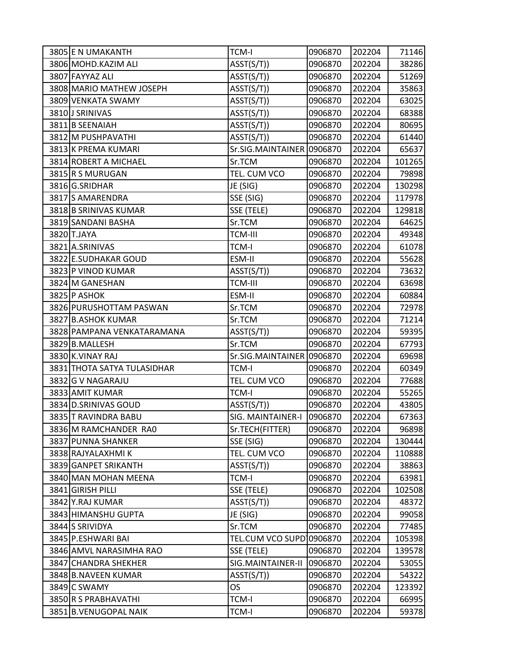| 3805 E N UMAKANTH           | TCM-I                     | 0906870 | 202204 | 71146  |
|-----------------------------|---------------------------|---------|--------|--------|
| 3806 MOHD.KAZIM ALI         | ASST(S/T))                | 0906870 | 202204 | 38286  |
| 3807 FAYYAZ ALI             | ASST(S/T))                | 0906870 | 202204 | 51269  |
| 3808 MARIO MATHEW JOSEPH    | ASST(S/T))                | 0906870 | 202204 | 35863  |
| 3809 VENKATA SWAMY          | ASST(S/T))                | 0906870 | 202204 | 63025  |
| 3810 J SRINIVAS             | ASST(S/T))                | 0906870 | 202204 | 68388  |
| 3811 B SEENAIAH             | ASST(S/T))                | 0906870 | 202204 | 80695  |
| 3812 M PUSHPAVATHI          | ASST(S/T))                | 0906870 | 202204 | 61440  |
| 3813 K PREMA KUMARI         | Sr.SIG.MAINTAINER         | 0906870 | 202204 | 65637  |
| 3814 ROBERT A MICHAEL       | Sr.TCM                    | 0906870 | 202204 | 101265 |
| 3815 R S MURUGAN            | TEL. CUM VCO              | 0906870 | 202204 | 79898  |
| 3816 G.SRIDHAR              | JE (SIG)                  | 0906870 | 202204 | 130298 |
| 3817 S AMARENDRA            | SSE (SIG)                 | 0906870 | 202204 | 117978 |
| 3818 B SRINIVAS KUMAR       | SSE (TELE)                | 0906870 | 202204 | 129818 |
| 3819 SANDANI BASHA          | Sr.TCM                    | 0906870 | 202204 | 64625  |
| 3820 T.JAYA                 | <b>TCM-III</b>            | 0906870 | 202204 | 49348  |
| 3821 A.SRINIVAS             | <b>TCM-I</b>              | 0906870 | 202204 | 61078  |
| 3822 E.SUDHAKAR GOUD        | ESM-II                    | 0906870 | 202204 | 55628  |
| 3823 P VINOD KUMAR          | ASST(S/T))                | 0906870 | 202204 | 73632  |
| 3824 M GANESHAN             | <b>TCM-III</b>            | 0906870 | 202204 | 63698  |
| 3825 P ASHOK                | ESM-II                    | 0906870 | 202204 | 60884  |
| 3826 PURUSHOTTAM PASWAN     | Sr.TCM                    | 0906870 | 202204 | 72978  |
| 3827 B.ASHOK KUMAR          | Sr.TCM                    | 0906870 | 202204 | 71214  |
| 3828 PAMPANA VENKATARAMANA  | ASST(S/T))                | 0906870 | 202204 | 59395  |
| 3829 B.MALLESH              | Sr.TCM                    | 0906870 | 202204 | 67793  |
| 3830 K.VINAY RAJ            | Sr.SIG.MAINTAINER 0906870 |         | 202204 | 69698  |
| 3831 THOTA SATYA TULASIDHAR | <b>TCM-I</b>              | 0906870 | 202204 | 60349  |
| 3832 G V NAGARAJU           | TEL. CUM VCO              | 0906870 | 202204 | 77688  |
| 3833 AMIT KUMAR             | <b>TCM-I</b>              | 0906870 | 202204 | 55265  |
| 3834 D.SRINIVAS GOUD        | ASST(S/T))                | 0906870 | 202204 | 43805  |
| 3835 T RAVINDRA BABU        | SIG. MAINTAINER-I         | 0906870 | 202204 | 67363  |
| 3836 M RAMCHANDER RAO       | Sr.TECH(FITTER)           | 0906870 | 202204 | 96898  |
| 3837 PUNNA SHANKER          | SSE (SIG)                 | 0906870 | 202204 | 130444 |
| 3838 RAJYALAXHMI K          | TEL. CUM VCO              | 0906870 | 202204 | 110888 |
| 3839 GANPET SRIKANTH        | ASST(S/T))                | 0906870 | 202204 | 38863  |
| 3840 MAN MOHAN MEENA        | <b>TCM-I</b>              | 0906870 | 202204 | 63981  |
| 3841 GIRISH PILLI           | SSE (TELE)                | 0906870 | 202204 | 102508 |
| 3842 Y.RAJ KUMAR            | ASST(S/T))                | 0906870 | 202204 | 48372  |
| 3843 HIMANSHU GUPTA         | JE (SIG)                  | 0906870 | 202204 | 99058  |
| 3844 S SRIVIDYA             | Sr.TCM                    | 0906870 | 202204 | 77485  |
| 3845 P.ESHWARI BAI          | TEL.CUM VCO SUPD          | 0906870 | 202204 | 105398 |
| 3846 AMVL NARASIMHA RAO     | SSE (TELE)                | 0906870 | 202204 | 139578 |
| 3847 CHANDRA SHEKHER        | SIG.MAINTAINER-II         | 0906870 | 202204 | 53055  |
| 3848 B.NAVEEN KUMAR         | ASST(S/T))                | 0906870 | 202204 | 54322  |
| 3849 C SWAMY                | OS                        | 0906870 | 202204 | 123392 |
| 3850 R S PRABHAVATHI        | <b>TCM-I</b>              | 0906870 | 202204 | 66995  |
| 3851 B.VENUGOPAL NAIK       | <b>TCM-I</b>              | 0906870 | 202204 | 59378  |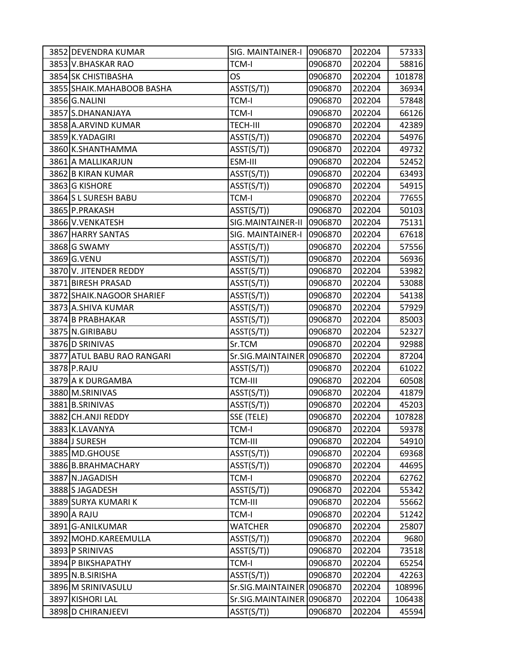| 3852 DEVENDRA KUMAR        | SIG. MAINTAINER-I   0906870 |         | 202204 | 57333  |
|----------------------------|-----------------------------|---------|--------|--------|
| 3853 V.BHASKAR RAO         | <b>TCM-I</b>                | 0906870 | 202204 | 58816  |
| 3854 SK CHISTIBASHA        | OS                          | 0906870 | 202204 | 101878 |
| 3855 SHAIK.MAHABOOB BASHA  | ASST(S/T))                  | 0906870 | 202204 | 36934  |
| 3856 G.NALINI              | <b>TCM-I</b>                | 0906870 | 202204 | 57848  |
| 3857 S.DHANANJAYA          | <b>TCM-I</b>                | 0906870 | 202204 | 66126  |
| 3858 A.ARVIND KUMAR        | <b>TECH-III</b>             | 0906870 | 202204 | 42389  |
| 3859 K.YADAGIRI            | ASST(S/T))                  | 0906870 | 202204 | 54976  |
| 3860 K.SHANTHAMMA          | ASST(S/T))                  | 0906870 | 202204 | 49732  |
| 3861 A MALLIKARJUN         | ESM-III                     | 0906870 | 202204 | 52452  |
| 3862 B KIRAN KUMAR         | ASST(S/T))                  | 0906870 | 202204 | 63493  |
| 3863 G KISHORE             | ASST(S/T))                  | 0906870 | 202204 | 54915  |
| 3864 S L SURESH BABU       | <b>TCM-I</b>                | 0906870 | 202204 | 77655  |
| 3865 P.PRAKASH             | ASST(S/T))                  | 0906870 | 202204 | 50103  |
| 3866 V.VENKATESH           | SIG.MAINTAINER-II           | 0906870 | 202204 | 75131  |
| 3867 HARRY SANTAS          | SIG. MAINTAINER-I           | 0906870 | 202204 | 67618  |
| 3868 G SWAMY               | ASST(S/T))                  | 0906870 | 202204 | 57556  |
| 3869 G.VENU                | ASST(S/T))                  | 0906870 | 202204 | 56936  |
| 3870 V. JITENDER REDDY     | ASST(S/T))                  | 0906870 | 202204 | 53982  |
| 3871 BIRESH PRASAD         | ASST(S/T))                  | 0906870 | 202204 | 53088  |
| 3872 SHAIK.NAGOOR SHARIEF  | ASST(S/T))                  | 0906870 | 202204 | 54138  |
| 3873 A.SHIVA KUMAR         | ASST(S/T))                  | 0906870 | 202204 | 57929  |
| 3874 B PRABHAKAR           | ASST(S/T))                  | 0906870 | 202204 | 85003  |
| 3875 N.GIRIBABU            | ASST(S/T))                  | 0906870 | 202204 | 52327  |
| 3876 D SRINIVAS            | Sr.TCM                      | 0906870 | 202204 | 92988  |
| 3877 ATUL BABU RAO RANGARI | Sr.SIG.MAINTAINER 0906870   |         | 202204 | 87204  |
| 3878 P.RAJU                | ASST(S/T))                  | 0906870 | 202204 | 61022  |
| 3879 A K DURGAMBA          | <b>TCM-III</b>              | 0906870 | 202204 | 60508  |
| 3880 M.SRINIVAS            | ASST(S/T))                  | 0906870 | 202204 | 41879  |
| 3881 B.SRINIVAS            | ASST(S/T))                  | 0906870 | 202204 | 45203  |
| 3882 CH.ANJI REDDY         | SSE (TELE)                  | 0906870 | 202204 | 107828 |
| 3883 K.LAVANYA             | <b>TCM-I</b>                | 0906870 | 202204 | 59378  |
| 3884 J SURESH              | <b>TCM-III</b>              | 0906870 | 202204 | 54910  |
| 3885 MD.GHOUSE             | ASST(S/T))                  | 0906870 | 202204 | 69368  |
| 3886 B.BRAHMACHARY         | ASST(S/T))                  | 0906870 | 202204 | 44695  |
| 3887 N.JAGADISH            | <b>TCM-I</b>                | 0906870 | 202204 | 62762  |
| 3888 S JAGADESH            | ASST(S/T))                  | 0906870 | 202204 | 55342  |
| 3889 SURYA KUMARI K        | <b>TCM-III</b>              | 0906870 | 202204 | 55662  |
| 3890 A RAJU                | <b>TCM-I</b>                | 0906870 | 202204 | 51242  |
| 3891 G-ANILKUMAR           | <b>WATCHER</b>              | 0906870 | 202204 | 25807  |
| 3892 MOHD.KAREEMULLA       | ASST(S/T))                  | 0906870 | 202204 | 9680   |
| 3893 P SRINIVAS            | ASST(S/T))                  | 0906870 | 202204 | 73518  |
| 3894 P BIKSHAPATHY         | <b>TCM-I</b>                | 0906870 | 202204 | 65254  |
| 3895 N.B.SIRISHA           | ASST(S/T))                  | 0906870 | 202204 | 42263  |
| 3896 M SRINIVASULU         | Sr.SIG.MAINTAINER 0906870   |         | 202204 | 108996 |
| 3897 KISHORI LAL           | Sr.SIG.MAINTAINER 0906870   |         | 202204 | 106438 |
| 3898 D CHIRANJEEVI         | ASST(S/T))                  | 0906870 | 202204 | 45594  |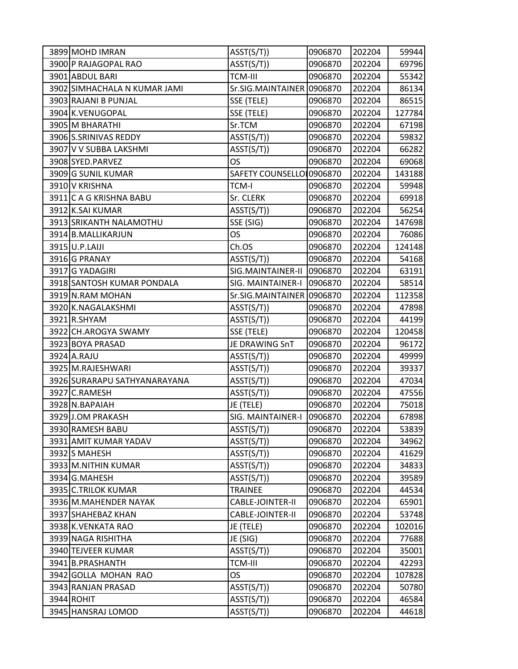| 3899 MOHD IMRAN              | ASST(S/T))                | 0906870 | 202204 | 59944  |
|------------------------------|---------------------------|---------|--------|--------|
| 3900 P RAJAGOPAL RAO         | ASST(S/T))                | 0906870 | 202204 | 69796  |
| 3901 ABDUL BARI              | <b>TCM-III</b>            | 0906870 | 202204 | 55342  |
| 3902 SIMHACHALA N KUMAR JAMI | Sr.SIG.MAINTAINER 0906870 |         | 202204 | 86134  |
| 3903 RAJANI B PUNJAL         | SSE (TELE)                | 0906870 | 202204 | 86515  |
| 3904 K.VENUGOPAL             | SSE (TELE)                | 0906870 | 202204 | 127784 |
| 3905 M BHARATHI              | Sr.TCM                    | 0906870 | 202204 | 67198  |
| 3906 S.SRINIVAS REDDY        | ASST(S/T))                | 0906870 | 202204 | 59832  |
| 3907 V V SUBBA LAKSHMI       | ASST(S/T))                | 0906870 | 202204 | 66282  |
| 3908 SYED.PARVEZ             | OS                        | 0906870 | 202204 | 69068  |
| 3909 G SUNIL KUMAR           | SAFETY COUNSELLO 0906870  |         | 202204 | 143188 |
| 3910 V KRISHNA               | <b>TCM-I</b>              | 0906870 | 202204 | 59948  |
| 3911 C A G KRISHNA BABU      | Sr. CLERK                 | 0906870 | 202204 | 69918  |
| 3912 K.SAI KUMAR             | ASST(S/T))                | 0906870 | 202204 | 56254  |
| 3913 SRIKANTH NALAMOTHU      | SSE (SIG)                 | 0906870 | 202204 | 147698 |
| 3914 B.MALLIKARJUN           | <b>OS</b>                 | 0906870 | 202204 | 76086  |
| 3915 U.P.LAIJI               | Ch.OS                     | 0906870 | 202204 | 124148 |
| 3916G PRANAY                 | ASST(S/T))                | 0906870 | 202204 | 54168  |
| 3917 G YADAGIRI              | SIG.MAINTAINER-II         | 0906870 | 202204 | 63191  |
| 3918 SANTOSH KUMAR PONDALA   | SIG. MAINTAINER-I         | 0906870 | 202204 | 58514  |
| 3919 N.RAM MOHAN             | Sr.SIG.MAINTAINER 0906870 |         | 202204 | 112358 |
| 3920 K.NAGALAKSHMI           | ASST(S/T))                | 0906870 | 202204 | 47898  |
| 3921 R.SHYAM                 | ASST(S/T))                | 0906870 | 202204 | 44199  |
| 3922 CH.AROGYA SWAMY         | SSE (TELE)                | 0906870 | 202204 | 120458 |
| 3923 BOYA PRASAD             | JE DRAWING SnT            | 0906870 | 202204 | 96172  |
| 3924 A.RAJU                  | ASST(S/T))                | 0906870 | 202204 | 49999  |
| 3925 M.RAJESHWARI            | ASST(S/T))                | 0906870 | 202204 | 39337  |
| 3926 SURARAPU SATHYANARAYANA | ASST(S/T))                | 0906870 | 202204 | 47034  |
| 3927 C.RAMESH                | ASST(S/T))                | 0906870 | 202204 | 47556  |
| 3928 N.BAPAIAH               | JE (TELE)                 | 0906870 | 202204 | 75018  |
| 3929JJ.OM PRAKASH            | SIG. MAINTAINER-I         | 0906870 | 202204 | 67898  |
| 3930 RAMESH BABU             | ASST(S/T))                | 0906870 | 202204 | 53839  |
| 3931 AMIT KUMAR YADAV        | ASST(S/T))                | 0906870 | 202204 | 34962  |
| 3932 S MAHESH                | ASST(S/T))                | 0906870 | 202204 | 41629  |
| 3933 M.NITHIN KUMAR          | ASST(S/T))                | 0906870 | 202204 | 34833  |
| 3934 G.MAHESH                | ASST(S/T))                | 0906870 | 202204 | 39589  |
| 3935 C.TRILOK KUMAR          | <b>TRAINEE</b>            | 0906870 | 202204 | 44534  |
| 3936 M.MAHENDER NAYAK        | CABLE-JOINTER-II          | 0906870 | 202204 | 65901  |
| 3937 SHAHEBAZ KHAN           | CABLE-JOINTER-II          | 0906870 | 202204 | 53748  |
| 3938 K.VENKATA RAO           | JE (TELE)                 | 0906870 | 202204 | 102016 |
| 3939 NAGA RISHITHA           | JE (SIG)                  | 0906870 | 202204 | 77688  |
| 3940 TEJVEER KUMAR           | ASST(S/T))                | 0906870 | 202204 | 35001  |
| 3941 B.PRASHANTH             | <b>TCM-III</b>            | 0906870 | 202204 | 42293  |
| 3942 GOLLA MOHAN RAO         | OS                        | 0906870 | 202204 | 107828 |
| 3943 RANJAN PRASAD           | ASST(S/T))                | 0906870 | 202204 | 50780  |
| 3944 ROHIT                   | ASST(S/T))                | 0906870 | 202204 | 46584  |
| 3945 HANSRAJ LOMOD           | ASST(S/T))                | 0906870 | 202204 | 44618  |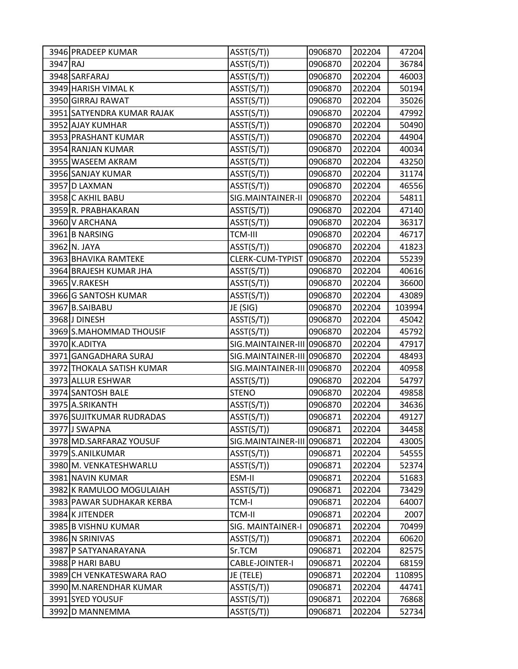|          | 3946 PRADEEP KUMAR         | ASST(S/T))                 | 0906870 | 202204 | 47204  |
|----------|----------------------------|----------------------------|---------|--------|--------|
| 3947 RAJ |                            | ASST(S/T))                 | 0906870 | 202204 | 36784  |
|          | 3948 SARFARAJ              | ASST(S/T))                 | 0906870 | 202204 | 46003  |
|          | 3949 HARISH VIMAL K        | ASST(S/T))                 | 0906870 | 202204 | 50194  |
|          | 3950 GIRRAJ RAWAT          | ASST(S/T))                 | 0906870 | 202204 | 35026  |
|          | 3951 SATYENDRA KUMAR RAJAK | ASST(S/T))                 | 0906870 | 202204 | 47992  |
|          | 3952 AJAY KUMHAR           | ASST(S/T))                 | 0906870 | 202204 | 50490  |
|          | 3953 PRASHANT KUMAR        | ASST(S/T))                 | 0906870 | 202204 | 44904  |
|          | 3954 RANJAN KUMAR          | ASST(S/T))                 | 0906870 | 202204 | 40034  |
|          | 3955 WASEEM AKRAM          | ASST(S/T))                 | 0906870 | 202204 | 43250  |
|          | 3956 SANJAY KUMAR          | ASST(S/T))                 | 0906870 | 202204 | 31174  |
|          | 3957 D LAXMAN              | ASST(S/T))                 | 0906870 | 202204 | 46556  |
|          | 3958 C AKHIL BABU          | SIG.MAINTAINER-II          | 0906870 | 202204 | 54811  |
|          | 3959 R. PRABHAKARAN        | ASST(S/T))                 | 0906870 | 202204 | 47140  |
|          | 3960 V ARCHANA             | ASST(S/T))                 | 0906870 | 202204 | 36317  |
|          | 3961 B NARSING             | <b>TCM-III</b>             | 0906870 | 202204 | 46717  |
|          | 3962 N. JAYA               | ASST(S/T))                 | 0906870 | 202204 | 41823  |
|          | 3963 BHAVIKA RAMTEKE       | CLERK-CUM-TYPIST           | 0906870 | 202204 | 55239  |
|          | 3964 BRAJESH KUMAR JHA     | ASST(S/T))                 | 0906870 | 202204 | 40616  |
|          | 3965 V.RAKESH              | ASST(S/T))                 | 0906870 | 202204 | 36600  |
|          | 3966 G SANTOSH KUMAR       | ASST(S/T))                 | 0906870 | 202204 | 43089  |
|          | 3967 B.SAIBABU             | JE (SIG)                   | 0906870 | 202204 | 103994 |
|          | 3968 J DINESH              | ASST(S/T))                 | 0906870 | 202204 | 45042  |
|          | 3969 S.MAHOMMAD THOUSIF    | ASST(S/T))                 | 0906870 | 202204 | 45792  |
|          | 3970 K.ADITYA              | SIG.MAINTAINER-III 0906870 |         | 202204 | 47917  |
|          | 3971 GANGADHARA SURAJ      | SIG.MAINTAINER-III 0906870 |         | 202204 | 48493  |
|          | 3972 THOKALA SATISH KUMAR  | SIG.MAINTAINER-III 0906870 |         | 202204 | 40958  |
|          | 3973 ALLUR ESHWAR          | ASST(S/T))                 | 0906870 | 202204 | 54797  |
|          | 3974 SANTOSH BALE          | <b>STENO</b>               | 0906870 | 202204 | 49858  |
|          | 3975 A.SRIKANTH            | ASST(S/T))                 | 0906870 | 202204 | 34636  |
|          | 3976 SUJITKUMAR RUDRADAS   | ASST(S/T))                 | 0906871 | 202204 | 49127  |
|          | 3977 J SWAPNA              | ASST(S/T))                 | 0906871 | 202204 | 34458  |
|          | 3978 MD.SARFARAZ YOUSUF    | SIG.MAINTAINER-III         | 0906871 | 202204 | 43005  |
|          | 3979 S.ANILKUMAR           | ASST(S/T))                 | 0906871 | 202204 | 54555  |
|          | 3980 M. VENKATESHWARLU     | ASST(S/T))                 | 0906871 | 202204 | 52374  |
|          | 3981 NAVIN KUMAR           | ESM-II                     | 0906871 | 202204 | 51683  |
|          | 3982 K RAMULOO MOGULAIAH   | ASST(S/T))                 | 0906871 | 202204 | 73429  |
|          | 3983 PAWAR SUDHAKAR KERBA  | <b>TCM-I</b>               | 0906871 | 202204 | 64007  |
|          | 3984 K JITENDER            | <b>TCM-II</b>              | 0906871 | 202204 | 2007   |
|          | 3985 B VISHNU KUMAR        | SIG. MAINTAINER-I          | 0906871 | 202204 | 70499  |
|          | 3986 N SRINIVAS            | ASST(S/T))                 | 0906871 | 202204 | 60620  |
|          | 3987 P SATYANARAYANA       | Sr.TCM                     | 0906871 | 202204 | 82575  |
|          | 3988 P HARI BABU           | CABLE-JOINTER-I            | 0906871 | 202204 | 68159  |
|          | 3989 CH VENKATESWARA RAO   | JE (TELE)                  | 0906871 | 202204 | 110895 |
|          | 3990 M.NARENDHAR KUMAR     | ASST(S/T))                 | 0906871 | 202204 | 44741  |
|          | 3991 SYED YOUSUF           | ASST(S/T))                 | 0906871 | 202204 | 76868  |
|          | 3992 D MANNEMMA            | ASST(S/T))                 | 0906871 | 202204 | 52734  |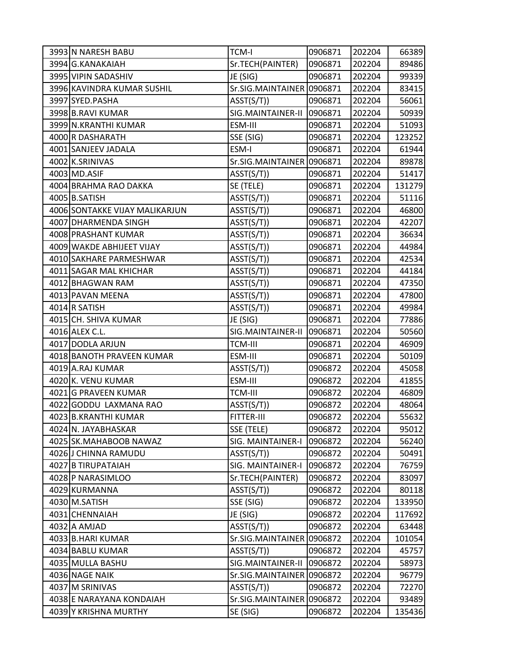| 3993 N NARESH BABU             | <b>TCM-I</b>              | 0906871 | 202204 | 66389  |
|--------------------------------|---------------------------|---------|--------|--------|
| 3994 G.KANAKAIAH               | Sr.TECH(PAINTER)          | 0906871 | 202204 | 89486  |
| 3995 VIPIN SADASHIV            | JE (SIG)                  | 0906871 | 202204 | 99339  |
| 3996 KAVINDRA KUMAR SUSHIL     | Sr.SIG.MAINTAINER 0906871 |         | 202204 | 83415  |
| 3997 SYED.PASHA                | ASST(S/T))                | 0906871 | 202204 | 56061  |
| 3998 B.RAVI KUMAR              | SIG.MAINTAINER-II         | 0906871 | 202204 | 50939  |
| 3999 N.KRANTHI KUMAR           | ESM-III                   | 0906871 | 202204 | 51093  |
| 4000 R DASHARATH               | SSE (SIG)                 | 0906871 | 202204 | 123252 |
| 4001 SANJEEV JADALA            | ESM-I                     | 0906871 | 202204 | 61944  |
| 4002 K.SRINIVAS                | Sr.SIG.MAINTAINER 0906871 |         | 202204 | 89878  |
| 4003 MD.ASIF                   | ASST(S/T))                | 0906871 | 202204 | 51417  |
| 4004 BRAHMA RAO DAKKA          | SE (TELE)                 | 0906871 | 202204 | 131279 |
| 4005 B.SATISH                  | ASST(S/T))                | 0906871 | 202204 | 51116  |
| 4006 SONTAKKE VIJAY MALIKARJUN | ASST(S/T))                | 0906871 | 202204 | 46800  |
| 4007 DHARMENDA SINGH           | ASST(S/T))                | 0906871 | 202204 | 42207  |
| 4008 PRASHANT KUMAR            | ASST(S/T))                | 0906871 | 202204 | 36634  |
| 4009 WAKDE ABHIJEET VIJAY      | ASST(S/T))                | 0906871 | 202204 | 44984  |
| 4010 SAKHARE PARMESHWAR        | ASST(S/T))                | 0906871 | 202204 | 42534  |
| 4011 SAGAR MAL KHICHAR         | ASST(S/T))                | 0906871 | 202204 | 44184  |
| 4012 BHAGWAN RAM               | ASST(S/T))                | 0906871 | 202204 | 47350  |
| 4013 PAVAN MEENA               | ASST(S/T))                | 0906871 | 202204 | 47800  |
| 4014 R SATISH                  | ASST(S/T))                | 0906871 | 202204 | 49984  |
| 4015 CH. SHIVA KUMAR           | JE (SIG)                  | 0906871 | 202204 | 77886  |
| 4016 ALEX C.L.                 | SIG.MAINTAINER-II         | 0906871 | 202204 | 50560  |
| 4017 DODLA ARJUN               | <b>TCM-III</b>            | 0906871 | 202204 | 46909  |
| 4018 BANOTH PRAVEEN KUMAR      | ESM-III                   | 0906871 | 202204 | 50109  |
| 4019 A.RAJ KUMAR               | ASST(S/T))                | 0906872 | 202204 | 45058  |
| 4020K. VENU KUMAR              | ESM-III                   | 0906872 | 202204 | 41855  |
| 4021 G PRAVEEN KUMAR           | <b>TCM-III</b>            | 0906872 | 202204 | 46809  |
| 4022 GODDU LAXMANA RAO         | ASST(S/T))                | 0906872 | 202204 | 48064  |
| 4023 B.KRANTHI KUMAR           | <b>FITTER-III</b>         | 0906872 | 202204 | 55632  |
| 4024 N. JAYABHASKAR            | SSE (TELE)                | 0906872 | 202204 | 95012  |
| 4025 SK.MAHABOOB NAWAZ         | SIG. MAINTAINER-I         | 0906872 | 202204 | 56240  |
| 4026 J CHINNA RAMUDU           | ASST(S/T))                | 0906872 | 202204 | 50491  |
| 4027 B TIRUPATAIAH             | SIG. MAINTAINER-I         | 0906872 | 202204 | 76759  |
| 4028 P NARASIMLOO              | Sr.TECH(PAINTER)          | 0906872 | 202204 | 83097  |
| 4029 KURMANNA                  | AST(S/T))                 | 0906872 | 202204 | 80118  |
| 4030 M.SATISH                  | SSE (SIG)                 | 0906872 | 202204 | 133950 |
| 4031 CHENNAIAH                 | JE (SIG)                  | 0906872 | 202204 | 117692 |
| 4032 A AMJAD                   | ASST(S/T))                | 0906872 | 202204 | 63448  |
| 4033 B.HARI KUMAR              | Sr.SIG.MAINTAINER         | 0906872 | 202204 | 101054 |
| 4034 BABLU KUMAR               | ASST(S/T))                | 0906872 | 202204 | 45757  |
| 4035 MULLA BASHU               | SIG.MAINTAINER-II         | 0906872 | 202204 | 58973  |
| 4036 NAGE NAIK                 | Sr.SIG.MAINTAINER 0906872 |         | 202204 | 96779  |
| 4037 M SRINIVAS                | AST(S/T))                 | 0906872 | 202204 | 72270  |
| 4038 E NARAYANA KONDAIAH       | Sr.SIG.MAINTAINER         | 0906872 | 202204 | 93489  |
| 4039 Y KRISHNA MURTHY          | SE (SIG)                  | 0906872 | 202204 | 135436 |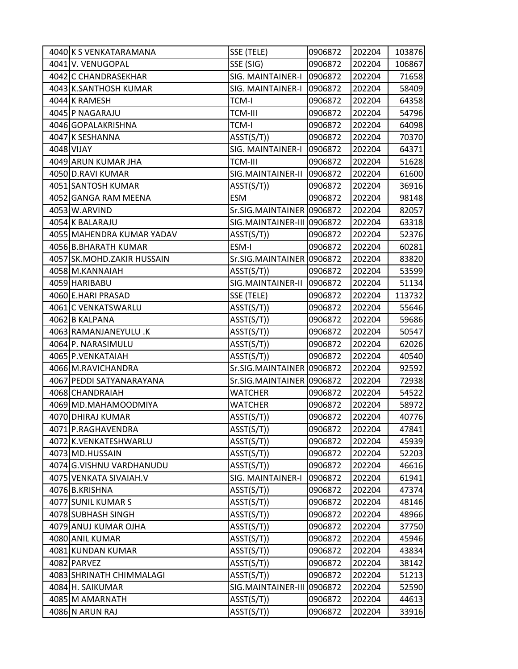| 4040 K S VENKATARAMANA     | SSE (TELE)                  | 0906872 | 202204 | 103876 |
|----------------------------|-----------------------------|---------|--------|--------|
| 4041 V. VENUGOPAL          | SSE (SIG)                   | 0906872 | 202204 | 106867 |
| 4042 C CHANDRASEKHAR       | SIG. MAINTAINER-I           | 0906872 | 202204 | 71658  |
| 4043 K.SANTHOSH KUMAR      | SIG. MAINTAINER-I           | 0906872 | 202204 | 58409  |
| 4044 K RAMESH              | <b>TCM-I</b>                | 0906872 | 202204 | 64358  |
| 4045 P NAGARAJU            | <b>TCM-III</b>              | 0906872 | 202204 | 54796  |
| 4046 GOPALAKRISHNA         | <b>TCM-I</b>                | 0906872 | 202204 | 64098  |
| 4047 K SESHANNA            | ASST(S/T))                  | 0906872 | 202204 | 70370  |
| 4048 VIJAY                 | SIG. MAINTAINER-I           | 0906872 | 202204 | 64371  |
| 4049 ARUN KUMAR JHA        | <b>TCM-III</b>              | 0906872 | 202204 | 51628  |
| 4050 D.RAVI KUMAR          | SIG.MAINTAINER-II           | 0906872 | 202204 | 61600  |
| 4051 SANTOSH KUMAR         | ASST(S/T))                  | 0906872 | 202204 | 36916  |
| 4052 GANGA RAM MEENA       | <b>ESM</b>                  | 0906872 | 202204 | 98148  |
| 4053 W.ARVIND              | Sr.SIG.MAINTAINER 0906872   |         | 202204 | 82057  |
| 4054 K BALARAJU            | SIG. MAINTAINER-III 0906872 |         | 202204 | 63318  |
| 4055 MAHENDRA KUMAR YADAV  | AST(S/T))                   | 0906872 | 202204 | 52376  |
| 4056 B.BHARATH KUMAR       | ESM-I                       | 0906872 | 202204 | 60281  |
| 4057 SK.MOHD.ZAKIR HUSSAIN | Sr.SIG.MAINTAINER 0906872   |         | 202204 | 83820  |
| 4058 M.KANNAIAH            | ASST(S/T))                  | 0906872 | 202204 | 53599  |
| 4059 HARIBABU              | SIG.MAINTAINER-II           | 0906872 | 202204 | 51134  |
| 4060 E.HARI PRASAD         | SSE (TELE)                  | 0906872 | 202204 | 113732 |
| 4061 C VENKATSWARLU        | ASST(S/T))                  | 0906872 | 202204 | 55646  |
| 4062 B KALPANA             | ASST(S/T))                  | 0906872 | 202204 | 59686  |
| 4063 RAMANJANEYULU .K      | ASST(S/T))                  | 0906872 | 202204 | 50547  |
| 4064 P. NARASIMULU         | ASST(S/T))                  | 0906872 | 202204 | 62026  |
| 4065 P.VENKATAIAH          | ASST(S/T))                  | 0906872 | 202204 | 40540  |
| 4066 M.RAVICHANDRA         | Sr.SIG.MAINTAINER 0906872   |         | 202204 | 92592  |
| 4067 PEDDI SATYANARAYANA   | Sr.SIG.MAINTAINER 0906872   |         | 202204 | 72938  |
| 4068 CHANDRAIAH            | <b>WATCHER</b>              | 0906872 | 202204 | 54522  |
| 4069 MD.MAHAMOODMIYA       | <b>WATCHER</b>              | 0906872 | 202204 | 58972  |
| 4070 DHIRAJ KUMAR          | ASST(S/T))                  | 0906872 | 202204 | 40776  |
| 4071 P.RAGHAVENDRA         | ASST(S/T))                  | 0906872 | 202204 | 47841  |
| 4072 K.VENKATESHWARLU      | ASST(S/T))                  | 0906872 | 202204 | 45939  |
| 4073 MD.HUSSAIN            | ASST(S/T))                  | 0906872 | 202204 | 52203  |
| 4074 G.VISHNU VARDHANUDU   | ASST(S/T))                  | 0906872 | 202204 | 46616  |
| 4075 VENKATA SIVAIAH.V     | SIG. MAINTAINER-I           | 0906872 | 202204 | 61941  |
| 4076 B.KRISHNA             | ASST(S/T))                  | 0906872 | 202204 | 47374  |
| 4077 SUNIL KUMAR S         | ASST(S/T))                  | 0906872 | 202204 | 48146  |
| 4078 SUBHASH SINGH         | ASST(S/T))                  | 0906872 | 202204 | 48966  |
| 4079 ANUJ KUMAR OJHA       | ASST(S/T))                  | 0906872 | 202204 | 37750  |
| 4080 ANIL KUMAR            | ASST(S/T))                  | 0906872 | 202204 | 45946  |
| 4081 KUNDAN KUMAR          | ASST(S/T))                  | 0906872 | 202204 | 43834  |
| 4082 PARVEZ                | ASST(S/T))                  | 0906872 | 202204 | 38142  |
| 4083 SHRINATH CHIMMALAGI   | ASST(S/T))                  | 0906872 | 202204 | 51213  |
| 4084 H. SAIKUMAR           | SIG.MAINTAINER-III          | 0906872 | 202204 | 52590  |
| 4085 M AMARNATH            | ASST(S/T))                  | 0906872 | 202204 | 44613  |
| 4086 N ARUN RAJ            | ASST(S/T))                  | 0906872 | 202204 | 33916  |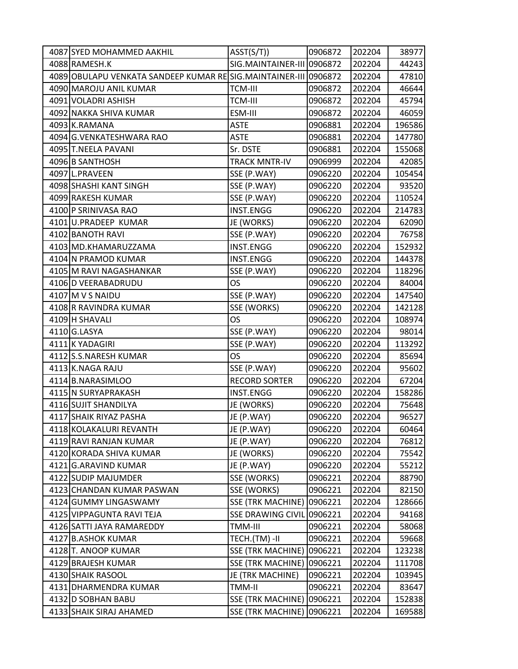| 4087 SYED MOHAMMED AAKHIL                                        | ASST(S/T))                 | 0906872 | 202204 | 38977  |
|------------------------------------------------------------------|----------------------------|---------|--------|--------|
| 4088 RAMESH.K                                                    | SIG.MAINTAINER-III 0906872 |         | 202204 | 44243  |
| 4089 OBULAPU VENKATA SANDEEP KUMAR RE SIG.MAINTAINER-III 0906872 |                            |         | 202204 | 47810  |
| 4090 MAROJU ANIL KUMAR                                           | <b>TCM-III</b>             | 0906872 | 202204 | 46644  |
| 4091 VOLADRI ASHISH                                              | <b>TCM-III</b>             | 0906872 | 202204 | 45794  |
| 4092 NAKKA SHIVA KUMAR                                           | ESM-III                    | 0906872 | 202204 | 46059  |
| 4093 K.RAMANA                                                    | <b>ASTE</b>                | 0906881 | 202204 | 196586 |
| 4094 G.VENKATESHWARA RAO                                         | <b>ASTE</b>                | 0906881 | 202204 | 147780 |
| 4095 T.NEELA PAVANI                                              | Sr. DSTE                   | 0906881 | 202204 | 155068 |
| 4096 B SANTHOSH                                                  | <b>TRACK MNTR-IV</b>       | 0906999 | 202204 | 42085  |
| 4097 L.PRAVEEN                                                   | SSE (P.WAY)                | 0906220 | 202204 | 105454 |
| 4098 SHASHI KANT SINGH                                           | SSE (P.WAY)                | 0906220 | 202204 | 93520  |
| 4099 RAKESH KUMAR                                                | SSE (P.WAY)                | 0906220 | 202204 | 110524 |
| 4100 P SRINIVASA RAO                                             | <b>INST.ENGG</b>           | 0906220 | 202204 | 214783 |
| 4101 U.PRADEEP KUMAR                                             | JE (WORKS)                 | 0906220 | 202204 | 62090  |
| 4102 BANOTH RAVI                                                 | SSE (P.WAY)                | 0906220 | 202204 | 76758  |
| 4103 MD.KHAMARUZZAMA                                             | <b>INST.ENGG</b>           | 0906220 | 202204 | 152932 |
| 4104 N PRAMOD KUMAR                                              | <b>INST.ENGG</b>           | 0906220 | 202204 | 144378 |
| 4105 M RAVI NAGASHANKAR                                          | SSE (P.WAY)                | 0906220 | 202204 | 118296 |
| 4106 D VEERABADRUDU                                              | <b>OS</b>                  | 0906220 | 202204 | 84004  |
| 4107 M V S NAIDU                                                 | SSE (P.WAY)                | 0906220 | 202204 | 147540 |
| 4108 R RAVINDRA KUMAR                                            | SSE (WORKS)                | 0906220 | 202204 | 142128 |
| 4109 H SHAVALI                                                   | <b>OS</b>                  | 0906220 | 202204 | 108974 |
| 4110 G.LASYA                                                     | SSE (P.WAY)                | 0906220 | 202204 | 98014  |
| 4111 K YADAGIRI                                                  | SSE (P.WAY)                | 0906220 | 202204 | 113292 |
| 4112 S.S.NARESH KUMAR                                            | OS                         | 0906220 | 202204 | 85694  |
| 4113 K.NAGA RAJU                                                 | SSE (P.WAY)                | 0906220 | 202204 | 95602  |
| 4114 B.NARASIMLOO                                                | <b>RECORD SORTER</b>       | 0906220 | 202204 | 67204  |
| 4115 N SURYAPRAKASH                                              | INST.ENGG                  | 0906220 | 202204 | 158286 |
| 4116 SUJIT SHANDILYA                                             | JE (WORKS)                 | 0906220 | 202204 | 75648  |
| 4117 SHAIK RIYAZ PASHA                                           | JE (P.WAY)                 | 0906220 | 202204 | 96527  |
| 4118 KOLAKALURI REVANTH                                          | JE (P.WAY)                 | 0906220 | 202204 | 60464  |
| 4119 RAVI RANJAN KUMAR                                           | JE (P.WAY)                 | 0906220 | 202204 | 76812  |
| 4120 KORADA SHIVA KUMAR                                          | JE (WORKS)                 | 0906220 | 202204 | 75542  |
| 4121 G.ARAVIND KUMAR                                             | JE (P.WAY)                 | 0906220 | 202204 | 55212  |
| 4122 SUDIP MAJUMDER                                              | <b>SSE (WORKS)</b>         | 0906221 | 202204 | 88790  |
| 4123 CHANDAN KUMAR PASWAN                                        | SSE (WORKS)                | 0906221 | 202204 | 82150  |
| 4124 GUMMY LINGASWAMY                                            | <b>SSE (TRK MACHINE)</b>   | 0906221 | 202204 | 128666 |
| 4125 VIPPAGUNTA RAVI TEJA                                        | SSE DRAWING CIVIL 0906221  |         | 202204 | 94168  |
| 4126 SATTI JAYA RAMAREDDY                                        | TMM-III                    | 0906221 | 202204 | 58068  |
| 4127 B.ASHOK KUMAR                                               | TECH.(TM) -II              | 0906221 | 202204 | 59668  |
| 4128 T. ANOOP KUMAR                                              | <b>SSE (TRK MACHINE)</b>   | 0906221 | 202204 | 123238 |
| 4129 BRAJESH KUMAR                                               | <b>SSE (TRK MACHINE)</b>   | 0906221 | 202204 | 111708 |
| 4130 SHAIK RASOOL                                                | JE (TRK MACHINE)           | 0906221 | 202204 | 103945 |
| 4131 DHARMENDRA KUMAR                                            | TMM-II                     | 0906221 | 202204 | 83647  |
| 4132 D SOBHAN BABU                                               | <b>SSE (TRK MACHINE)</b>   | 0906221 | 202204 | 152838 |
| 4133 SHAIK SIRAJ AHAMED                                          | <b>SSE (TRK MACHINE)</b>   | 0906221 | 202204 | 169588 |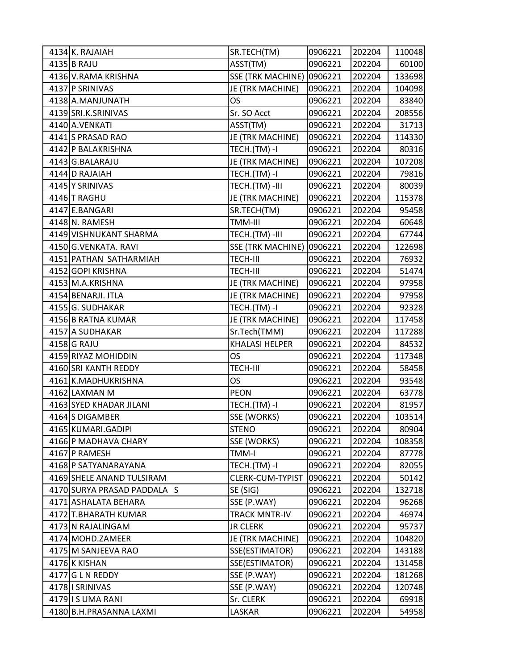| 4134 K. RAJAIAH             | SR.TECH(TM)              | 0906221 | 202204 | 110048 |
|-----------------------------|--------------------------|---------|--------|--------|
| 4135 B RAJU                 | ASST(TM)                 | 0906221 | 202204 | 60100  |
| 4136 V.RAMA KRISHNA         | <b>SSE (TRK MACHINE)</b> | 0906221 | 202204 | 133698 |
| 4137 P SRINIVAS             | JE (TRK MACHINE)         | 0906221 | 202204 | 104098 |
| 4138 A.MANJUNATH            | <b>OS</b>                | 0906221 | 202204 | 83840  |
| 4139 SRI.K.SRINIVAS         | Sr. SO Acct              | 0906221 | 202204 | 208556 |
| 4140 A.VENKATI              | ASST(TM)                 | 0906221 | 202204 | 31713  |
| 4141 S PRASAD RAO           | JE (TRK MACHINE)         | 0906221 | 202204 | 114330 |
| 4142 P BALAKRISHNA          | TECH.(TM) -I             | 0906221 | 202204 | 80316  |
| 4143 G.BALARAJU             | JE (TRK MACHINE)         | 0906221 | 202204 | 107208 |
| 4144 D RAJAIAH              | TECH.(TM) -I             | 0906221 | 202204 | 79816  |
| 4145 Y SRINIVAS             | TECH.(TM) -III           | 0906221 | 202204 | 80039  |
| 4146 T RAGHU                | JE (TRK MACHINE)         | 0906221 | 202204 | 115378 |
| 4147 E.BANGARI              | SR.TECH(TM)              | 0906221 | 202204 | 95458  |
| 4148 N. RAMESH              | TMM-III                  | 0906221 | 202204 | 60648  |
| 4149 VISHNUKANT SHARMA      | TECH.(TM)-III            | 0906221 | 202204 | 67744  |
| 4150 G.VENKATA. RAVI        | <b>SSE (TRK MACHINE)</b> | 0906221 | 202204 | 122698 |
| 4151 PATHAN SATHARMIAH      | TECH-III                 | 0906221 | 202204 | 76932  |
| 4152 GOPI KRISHNA           | <b>TECH-III</b>          | 0906221 | 202204 | 51474  |
| 4153 M.A.KRISHNA            | JE (TRK MACHINE)         | 0906221 | 202204 | 97958  |
| 4154 BENARJI. ITLA          | JE (TRK MACHINE)         | 0906221 | 202204 | 97958  |
| 4155 G. SUDHAKAR            | TECH.(TM) -I             | 0906221 | 202204 | 92328  |
| 4156 B RATNA KUMAR          | JE (TRK MACHINE)         | 0906221 | 202204 | 117458 |
| 4157 A SUDHAKAR             | Sr.Tech(TMM)             | 0906221 | 202204 | 117288 |
| 4158 G RAJU                 | <b>KHALASI HELPER</b>    | 0906221 | 202204 | 84532  |
| 4159 RIYAZ MOHIDDIN         | <b>OS</b>                | 0906221 | 202204 | 117348 |
| 4160 SRI KANTH REDDY        | TECH-III                 | 0906221 | 202204 | 58458  |
| 4161 K.MADHUKRISHNA         | OS                       | 0906221 | 202204 | 93548  |
| 4162 LAXMAN M               | PEON                     | 0906221 | 202204 | 63778  |
| 4163 SYED KHADAR JILANI     | TECH.(TM) -I             | 0906221 | 202204 | 81957  |
| 4164 S DIGAMBER             | SSE (WORKS)              | 0906221 | 202204 | 103514 |
| 4165 KUMARI.GADIPI          | <b>STENO</b>             | 0906221 | 202204 | 80904  |
| 4166 P MADHAVA CHARY        | SSE (WORKS)              | 0906221 | 202204 | 108358 |
| 4167 P RAMESH               | TMM-I                    | 0906221 | 202204 | 87778  |
| 4168 P SATYANARAYANA        | TECH.(TM) -I             | 0906221 | 202204 | 82055  |
| 4169 SHELE ANAND TULSIRAM   | CLERK-CUM-TYPIST         | 0906221 | 202204 | 50142  |
| 4170 SURYA PRASAD PADDALA S | SE (SIG)                 | 0906221 | 202204 | 132718 |
| 4171 ASHALATA BEHARA        | SSE (P.WAY)              | 0906221 | 202204 | 96268  |
| 4172 T.BHARATH KUMAR        | <b>TRACK MNTR-IV</b>     | 0906221 | 202204 | 46974  |
| 4173 N RAJALINGAM           | <b>JR CLERK</b>          | 0906221 | 202204 | 95737  |
| 4174 MOHD.ZAMEER            | JE (TRK MACHINE)         | 0906221 | 202204 | 104820 |
| 4175 M SANJEEVA RAO         | SSE(ESTIMATOR)           | 0906221 | 202204 | 143188 |
| 4176 K KISHAN               | SSE(ESTIMATOR)           | 0906221 | 202204 | 131458 |
| 4177 G L N REDDY            | SSE (P.WAY)              | 0906221 | 202204 | 181268 |
| 4178 I SRINIVAS             | SSE (P.WAY)              | 0906221 | 202204 | 120748 |
| 4179 IS UMA RANI            | Sr. CLERK                | 0906221 | 202204 | 69918  |
| 4180 B.H.PRASANNA LAXMI     | LASKAR                   | 0906221 | 202204 | 54958  |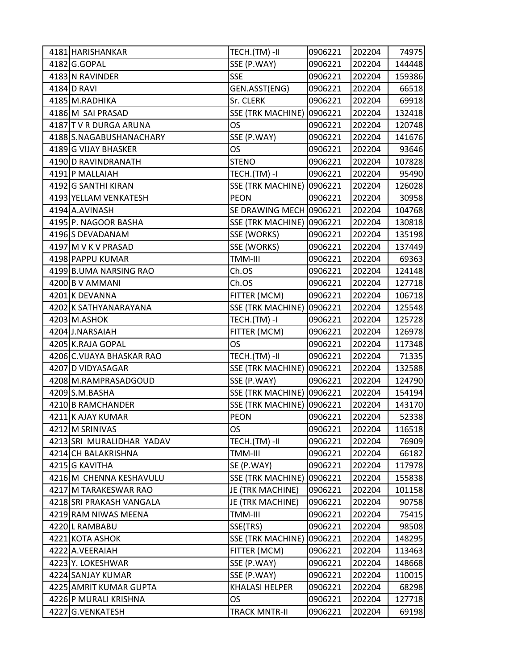| 4181 HARISHANKAR          | TECH.(TM)-II                     | 0906221 | 202204 | 74975  |
|---------------------------|----------------------------------|---------|--------|--------|
| 4182 G.GOPAL              | SSE (P.WAY)                      | 0906221 | 202204 | 144448 |
| 4183 N RAVINDER           | <b>SSE</b>                       | 0906221 | 202204 | 159386 |
| 4184 D RAVI               | GEN.ASST(ENG)                    | 0906221 | 202204 | 66518  |
| 4185 M.RADHIKA            | Sr. CLERK                        | 0906221 | 202204 | 69918  |
| 4186 M SAI PRASAD         | <b>SSE (TRK MACHINE)</b>         | 0906221 | 202204 | 132418 |
| 4187 T V R DURGA ARUNA    | <b>OS</b>                        | 0906221 | 202204 | 120748 |
| 4188 S.NAGABUSHANACHARY   | SSE (P.WAY)                      | 0906221 | 202204 | 141676 |
| 4189 G VIJAY BHASKER      | OS                               | 0906221 | 202204 | 93646  |
| 4190 D RAVINDRANATH       | <b>STENO</b>                     | 0906221 | 202204 | 107828 |
| 4191 P MALLAIAH           | TECH.(TM) -I                     | 0906221 | 202204 | 95490  |
| 4192 G SANTHI KIRAN       | <b>SSE (TRK MACHINE) 0906221</b> |         | 202204 | 126028 |
| 4193 YELLAM VENKATESH     | <b>PEON</b>                      | 0906221 | 202204 | 30958  |
| 4194 A.AVINASH            | SE DRAWING MECH 0906221          |         | 202204 | 104768 |
| 4195 P. NAGOOR BASHA      | <b>SSE (TRK MACHINE) 0906221</b> |         | 202204 | 130818 |
| 4196 S DEVADANAM          | SSE (WORKS)                      | 0906221 | 202204 | 135198 |
| 4197 M V K V PRASAD       | SSE (WORKS)                      | 0906221 | 202204 | 137449 |
| 4198 PAPPU KUMAR          | TMM-III                          | 0906221 | 202204 | 69363  |
| 4199 B.UMA NARSING RAO    | Ch.OS                            | 0906221 | 202204 | 124148 |
| 4200 B V AMMANI           | Ch.OS                            | 0906221 | 202204 | 127718 |
| 4201 K DEVANNA            | FITTER (MCM)                     | 0906221 | 202204 | 106718 |
| 4202 K SATHYANARAYANA     | <b>SSE (TRK MACHINE)</b>         | 0906221 | 202204 | 125548 |
| 4203 M.ASHOK              | TECH.(TM)-I                      | 0906221 | 202204 | 125728 |
| 4204 J.NARSAIAH           | FITTER (MCM)                     | 0906221 | 202204 | 126978 |
| 4205 K.RAJA GOPAL         | OS                               | 0906221 | 202204 | 117348 |
| 4206 C.VIJAYA BHASKAR RAO | TECH.(TM) -II                    | 0906221 | 202204 | 71335  |
| 4207 D VIDYASAGAR         | <b>SSE (TRK MACHINE) 0906221</b> |         | 202204 | 132588 |
| 4208 M.RAMPRASADGOUD      | SSE (P.WAY)                      | 0906221 | 202204 | 124790 |
| 4209 S.M.BASHA            | <b>SSE (TRK MACHINE) 0906221</b> |         | 202204 | 154194 |
| 4210 B RAMCHANDER         | <b>SSE (TRK MACHINE)</b>         | 0906221 | 202204 | 143170 |
| 4211 K AJAY KUMAR         | <b>PEON</b>                      | 0906221 | 202204 | 52338  |
| 4212 M SRINIVAS           | <b>OS</b>                        | 0906221 | 202204 | 116518 |
| 4213 SRI MURALIDHAR YADAV | TECH.(TM)-II                     | 0906221 | 202204 | 76909  |
| 4214 CH BALAKRISHNA       | TMM-III                          | 0906221 | 202204 | 66182  |
| 4215 G KAVITHA            | SE (P.WAY)                       | 0906221 | 202204 | 117978 |
| 4216 M CHENNA KESHAVULU   | <b>SSE (TRK MACHINE)</b>         | 0906221 | 202204 | 155838 |
| 4217 M TARAKESWAR RAO     | JE (TRK MACHINE)                 | 0906221 | 202204 | 101158 |
| 4218 SRI PRAKASH VANGALA  | JE (TRK MACHINE)                 | 0906221 | 202204 | 90758  |
| 4219 RAM NIWAS MEENA      | TMM-III                          | 0906221 | 202204 | 75415  |
| 4220 L RAMBABU            | SSE(TRS)                         | 0906221 | 202204 | 98508  |
| 4221 KOTA ASHOK           | <b>SSE (TRK MACHINE)</b>         | 0906221 | 202204 | 148295 |
| 4222 A.VEERAIAH           | FITTER (MCM)                     | 0906221 | 202204 | 113463 |
| 4223 Y. LOKESHWAR         | SSE (P.WAY)                      | 0906221 | 202204 | 148668 |
| 4224 SANJAY KUMAR         | SSE (P.WAY)                      | 0906221 | 202204 | 110015 |
| 4225 AMRIT KUMAR GUPTA    | <b>KHALASI HELPER</b>            | 0906221 | 202204 | 68298  |
| 4226 P MURALI KRISHNA     | OS                               | 0906221 | 202204 | 127718 |
| 4227 G.VENKATESH          | <b>TRACK MNTR-II</b>             | 0906221 | 202204 | 69198  |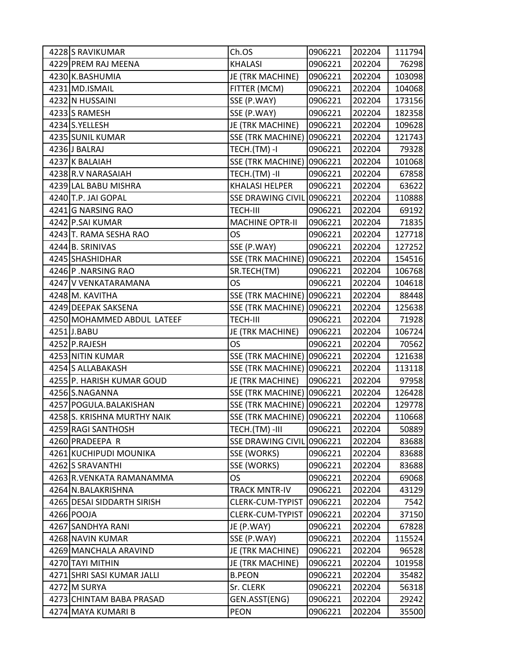| 4228 S RAVIKUMAR            | Ch.OS                            | 0906221 | 202204 | 111794 |
|-----------------------------|----------------------------------|---------|--------|--------|
| 4229 PREM RAJ MEENA         | <b>KHALASI</b>                   | 0906221 | 202204 | 76298  |
| 4230 K.BASHUMIA             | JE (TRK MACHINE)                 | 0906221 | 202204 | 103098 |
| 4231 MD.ISMAIL              | FITTER (MCM)                     | 0906221 | 202204 | 104068 |
| 4232 N HUSSAINI             | SSE (P.WAY)                      | 0906221 | 202204 | 173156 |
| 4233 S RAMESH               | SSE (P.WAY)                      | 0906221 | 202204 | 182358 |
| 4234 S.YELLESH              | JE (TRK MACHINE)                 | 0906221 | 202204 | 109628 |
| 4235 SUNIL KUMAR            | <b>SSE (TRK MACHINE)</b>         | 0906221 | 202204 | 121743 |
| 4236 J BALRAJ               | TECH.(TM) -I                     | 0906221 | 202204 | 79328  |
| 4237 K BALAIAH              | <b>SSE (TRK MACHINE)</b>         | 0906221 | 202204 | 101068 |
| 4238 R.V NARASAIAH          | TECH.(TM) -II                    | 0906221 | 202204 | 67858  |
| 4239 LAL BABU MISHRA        | <b>KHALASI HELPER</b>            | 0906221 | 202204 | 63622  |
| 4240 T.P. JAI GOPAL         | <b>SSE DRAWING CIVIL</b>         | 0906221 | 202204 | 110888 |
| 4241 G NARSING RAO          | TECH-III                         | 0906221 | 202204 | 69192  |
| 4242 P.SAI KUMAR            | <b>MACHINE OPTR-II</b>           | 0906221 | 202204 | 71835  |
| 4243 T. RAMA SESHA RAO      | OS                               | 0906221 | 202204 | 127718 |
| 4244 B. SRINIVAS            | SSE (P.WAY)                      | 0906221 | 202204 | 127252 |
| 4245 SHASHIDHAR             | <b>SSE (TRK MACHINE)</b>         | 0906221 | 202204 | 154516 |
| 4246 P. NARSING RAO         | SR.TECH(TM)                      | 0906221 | 202204 | 106768 |
| 4247 V VENKATARAMANA        | OS                               | 0906221 | 202204 | 104618 |
| 4248 M. KAVITHA             | <b>SSE (TRK MACHINE)</b>         | 0906221 | 202204 | 88448  |
| 4249 DEEPAK SAKSENA         | <b>SSE (TRK MACHINE)</b>         | 0906221 | 202204 | 125638 |
| 4250 MOHAMMED ABDUL LATEEF  | TECH-III                         | 0906221 | 202204 | 71928  |
| 4251J.BABU                  | JE (TRK MACHINE)                 | 0906221 | 202204 | 106724 |
| 4252 P.RAJESH               | OS                               | 0906221 | 202204 | 70562  |
| 4253 NITIN KUMAR            | <b>SSE (TRK MACHINE)</b>         | 0906221 | 202204 | 121638 |
| 4254 S ALLABAKASH           | <b>SSE (TRK MACHINE) 0906221</b> |         | 202204 | 113118 |
| 4255 P. HARISH KUMAR GOUD   | JE (TRK MACHINE)                 | 0906221 | 202204 | 97958  |
| 4256 S.NAGANNA              | <b>SSE (TRK MACHINE)</b>         | 0906221 | 202204 | 126428 |
| 4257 POGULA.BALAKISHAN      | <b>SSE (TRK MACHINE)</b>         | 0906221 | 202204 | 129778 |
| 4258 S. KRISHNA MURTHY NAIK | <b>SSE (TRK MACHINE)</b>         | 0906221 | 202204 | 110668 |
| 4259 RAGI SANTHOSH          | TECH.(TM) -III                   | 0906221 | 202204 | 50889  |
| 4260 PRADEEPA R             | <b>SSE DRAWING CIVIL</b>         | 0906221 | 202204 | 83688  |
| 4261 KUCHIPUDI MOUNIKA      | SSE (WORKS)                      | 0906221 | 202204 | 83688  |
| 4262 S SRAVANTHI            | SSE (WORKS)                      | 0906221 | 202204 | 83688  |
| 4263 R.VENKATA RAMANAMMA    | OS                               | 0906221 | 202204 | 69068  |
| 4264 N.BALAKRISHNA          | <b>TRACK MNTR-IV</b>             | 0906221 | 202204 | 43129  |
| 4265 DESAI SIDDARTH SIRISH  | CLERK-CUM-TYPIST                 | 0906221 | 202204 | 7542   |
| 4266 POOJA                  | CLERK-CUM-TYPIST                 | 0906221 | 202204 | 37150  |
| 4267 SANDHYA RANI           | JE (P.WAY)                       | 0906221 | 202204 | 67828  |
| 4268 NAVIN KUMAR            | SSE (P.WAY)                      | 0906221 | 202204 | 115524 |
| 4269 MANCHALA ARAVIND       | JE (TRK MACHINE)                 | 0906221 | 202204 | 96528  |
| 4270 TAYI MITHIN            | JE (TRK MACHINE)                 | 0906221 | 202204 | 101958 |
| 4271 SHRI SASI KUMAR JALLI  | <b>B.PEON</b>                    | 0906221 | 202204 | 35482  |
| 4272 M SURYA                | Sr. CLERK                        | 0906221 | 202204 | 56318  |
| 4273 CHINTAM BABA PRASAD    | GEN.ASST(ENG)                    | 0906221 | 202204 | 29242  |
| 4274 MAYA KUMARI B          | <b>PEON</b>                      | 0906221 | 202204 | 35500  |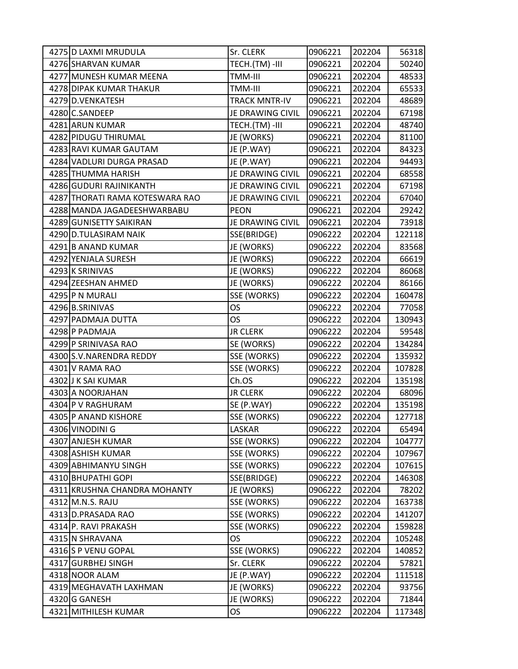| 4275 D LAXMI MRUDULA                    | Sr. CLERK            | 0906221 | 202204 | 56318  |
|-----------------------------------------|----------------------|---------|--------|--------|
| 4276 SHARVAN KUMAR                      | TECH.(TM) -III       | 0906221 | 202204 | 50240  |
| 4277 MUNESH KUMAR MEENA                 | TMM-III              | 0906221 | 202204 | 48533  |
| 4278 DIPAK KUMAR THAKUR                 | TMM-III              | 0906221 | 202204 | 65533  |
| 4279 D.VENKATESH                        | <b>TRACK MNTR-IV</b> | 0906221 | 202204 | 48689  |
| 4280 C.SANDEEP                          | JE DRAWING CIVIL     | 0906221 | 202204 | 67198  |
| 4281 ARUN KUMAR                         | TECH.(TM)-III        | 0906221 | 202204 | 48740  |
| 4282 PIDUGU THIRUMAL                    | JE (WORKS)           | 0906221 | 202204 | 81100  |
| 4283 RAVI KUMAR GAUTAM                  | JE (P.WAY)           | 0906221 | 202204 | 84323  |
| 4284 VADLURI DURGA PRASAD               | JE (P.WAY)           | 0906221 | 202204 | 94493  |
| 4285 THUMMA HARISH                      | JE DRAWING CIVIL     | 0906221 | 202204 | 68558  |
| 4286 GUDURI RAJINIKANTH                 | JE DRAWING CIVIL     | 0906221 | 202204 | 67198  |
| 4287 THORATI RAMA KOTESWARA RAO         | JE DRAWING CIVIL     | 0906221 | 202204 | 67040  |
| 4288 MANDA JAGADEESHWARBABU             | <b>PEON</b>          | 0906221 | 202204 | 29242  |
| 4289 GUNISETTY SAIKIRAN                 | JE DRAWING CIVIL     | 0906221 | 202204 | 73918  |
| 4290 D.TULASIRAM NAIK                   | SSE(BRIDGE)          | 0906222 | 202204 | 122118 |
| 4291 B ANAND KUMAR                      | JE (WORKS)           | 0906222 | 202204 | 83568  |
| 4292 YENJALA SURESH                     | JE (WORKS)           | 0906222 | 202204 | 66619  |
| 4293 K SRINIVAS                         | JE (WORKS)           | 0906222 | 202204 | 86068  |
| 4294 ZEESHAN AHMED                      | JE (WORKS)           | 0906222 | 202204 | 86166  |
| 4295 P N MURALI                         | SSE (WORKS)          | 0906222 | 202204 | 160478 |
| 4296 B.SRINIVAS                         | OS                   | 0906222 | 202204 | 77058  |
| 4297 PADMAJA DUTTA                      | OS.                  | 0906222 | 202204 | 130943 |
| 4298 P PADMAJA                          | <b>JR CLERK</b>      | 0906222 | 202204 | 59548  |
| 4299 P SRINIVASA RAO                    | SE (WORKS)           | 0906222 | 202204 | 134284 |
| 4300 S.V. NARENDRA REDDY                | SSE (WORKS)          | 0906222 | 202204 | 135932 |
| 4301 V RAMA RAO                         | SSE (WORKS)          | 0906222 | 202204 | 107828 |
| 4302 J K SAI KUMAR                      | Ch.OS                | 0906222 | 202204 | 135198 |
| 4303 A NOORJAHAN                        | <b>JR CLERK</b>      | 0906222 | 202204 | 68096  |
| 4304 P V RAGHURAM                       | SE (P.WAY)           | 0906222 | 202204 | 135198 |
| 4305 P ANAND KISHORE                    | SSE (WORKS)          | 0906222 | 202204 | 127718 |
| 4306 VINODINI G                         | LASKAR               | 0906222 | 202204 | 65494  |
| 4307 ANJESH KUMAR                       | SSE (WORKS)          | 0906222 | 202204 | 104777 |
| 4308 ASHISH KUMAR                       | SSE (WORKS)          | 0906222 | 202204 | 107967 |
| 4309 ABHIMANYU SINGH                    | SSE (WORKS)          | 0906222 | 202204 | 107615 |
| 4310 BHUPATHI GOPI                      | SSE(BRIDGE)          | 0906222 | 202204 | 146308 |
| 4311 KRUSHNA CHANDRA MOHANTY            | JE (WORKS)           | 0906222 | 202204 | 78202  |
| 4312 M.N.S. RAJU                        | SSE (WORKS)          | 0906222 | 202204 | 163738 |
| 4313 D.PRASADA RAO                      | SSE (WORKS)          | 0906222 | 202204 | 141207 |
| 4314 P. RAVI PRAKASH                    | SSE (WORKS)          | 0906222 | 202204 | 159828 |
| 4315 N SHRAVANA                         | OS                   | 0906222 | 202204 | 105248 |
| 4316 S P VENU GOPAL                     | SSE (WORKS)          | 0906222 | 202204 | 140852 |
| 4317 GURBHEJ SINGH                      | Sr. CLERK            | 0906222 | 202204 | 57821  |
| 4318 NOOR ALAM                          | JE (P.WAY)           | 0906222 | 202204 | 111518 |
| 4319 MEGHAVATH LAXHMAN<br>4320 G GANESH | JE (WORKS)           | 0906222 | 202204 | 93756  |
|                                         | JE (WORKS)           | 0906222 | 202204 | 71844  |
| 4321 MITHILESH KUMAR                    | OS                   | 0906222 | 202204 | 117348 |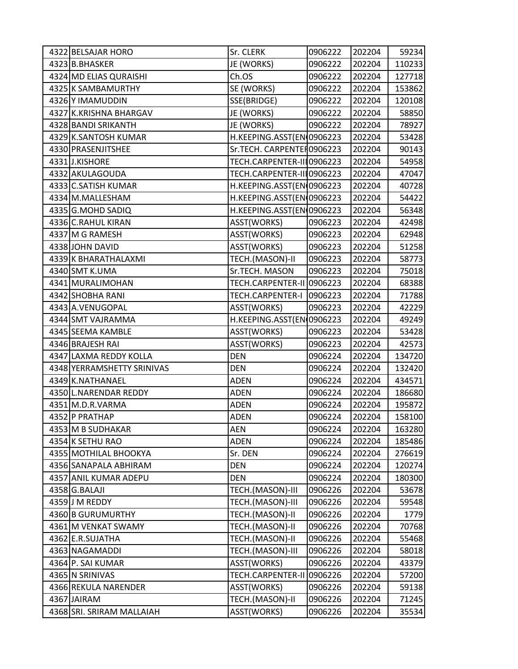| 4322 BELSAJAR HORO         | Sr. CLERK                  | 0906222 | 202204 | 59234  |
|----------------------------|----------------------------|---------|--------|--------|
| 4323 B.BHASKER             | JE (WORKS)                 | 0906222 | 202204 | 110233 |
| 4324 MD ELIAS QURAISHI     | Ch.OS                      | 0906222 | 202204 | 127718 |
| 4325 K SAMBAMURTHY         | SE (WORKS)                 | 0906222 | 202204 | 153862 |
| 4326 Y IMAMUDDIN           | SSE(BRIDGE)                | 0906222 | 202204 | 120108 |
| 4327 K.KRISHNA BHARGAV     | JE (WORKS)                 | 0906222 | 202204 | 58850  |
| 4328 BANDI SRIKANTH        | JE (WORKS)                 | 0906222 | 202204 | 78927  |
| 4329 K.SANTOSH KUMAR       | H.KEEPING.ASST(EN 0906223  |         | 202204 | 53428  |
| 4330 PRASENJITSHEE         | Sr.TECH. CARPENTE [0906223 |         | 202204 | 90143  |
| 4331J.KISHORE              | TECH.CARPENTER-III0906223  |         | 202204 | 54958  |
| 4332 AKULAGOUDA            | TECH.CARPENTER-III0906223  |         | 202204 | 47047  |
| 4333 C.SATISH KUMAR        | H.KEEPING.ASST(EN 0906223  |         | 202204 | 40728  |
| 4334 M.MALLESHAM           | H.KEEPING.ASST(EN 0906223  |         | 202204 | 54422  |
| 4335 G.MOHD SADIQ          | H.KEEPING.ASST(EN 0906223  |         | 202204 | 56348  |
| 4336 C.RAHUL KIRAN         | ASST(WORKS)                | 0906223 | 202204 | 42498  |
| 4337 M G RAMESH            | ASST(WORKS)                | 0906223 | 202204 | 62948  |
| 4338 JOHN DAVID            | ASST(WORKS)                | 0906223 | 202204 | 51258  |
| 4339 K BHARATHALAXMI       | TECH.(MASON)-II            | 0906223 | 202204 | 58773  |
| 4340 SMT K.UMA             | Sr.TECH. MASON             | 0906223 | 202204 | 75018  |
| 4341 MURALIMOHAN           | TECH.CARPENTER-II 0906223  |         | 202204 | 68388  |
| 4342 SHOBHA RANI           | TECH.CARPENTER-I           | 0906223 | 202204 | 71788  |
| 4343 A.VENUGOPAL           | ASST(WORKS)                | 0906223 | 202204 | 42229  |
| 4344 SMT VAJRAMMA          | H.KEEPING.ASST(EN 0906223  |         | 202204 | 49249  |
| 4345 SEEMA KAMBLE          | ASST(WORKS)                | 0906223 | 202204 | 53428  |
| 4346 BRAJESH RAI           | ASST(WORKS)                | 0906223 | 202204 | 42573  |
| 4347 LAXMA REDDY KOLLA     | <b>DEN</b>                 | 0906224 | 202204 | 134720 |
| 4348 YERRAMSHETTY SRINIVAS | <b>DEN</b>                 | 0906224 | 202204 | 132420 |
| 4349 K.NATHANAEL           | <b>ADEN</b>                | 0906224 | 202204 | 434571 |
| 4350 L.NARENDAR REDDY      | <b>ADEN</b>                | 0906224 | 202204 | 186680 |
| 4351 M.D.R.VARMA           | <b>ADEN</b>                | 0906224 | 202204 | 195872 |
| 4352 P PRATHAP             | <b>ADEN</b>                | 0906224 | 202204 | 158100 |
| 4353 M B SUDHAKAR          | <b>AEN</b>                 | 0906224 | 202204 | 163280 |
| 4354 K SETHU RAO           | <b>ADEN</b>                | 0906224 | 202204 | 185486 |
| 4355 MOTHILAL BHOOKYA      | Sr. DEN                    | 0906224 | 202204 | 276619 |
| 4356 SANAPALA ABHIRAM      | <b>DEN</b>                 | 0906224 | 202204 | 120274 |
| 4357 ANIL KUMAR ADEPU      | <b>DEN</b>                 | 0906224 | 202204 | 180300 |
| 4358 G.BALAJI              | TECH.(MASON)-III           | 0906226 | 202204 | 53678  |
| 4359 J M REDDY             | TECH.(MASON)-III           | 0906226 | 202204 | 59548  |
| 4360 B GURUMURTHY          | TECH.(MASON)-II            | 0906226 | 202204 | 1779   |
| 4361 M VENKAT SWAMY        | TECH.(MASON)-II            | 0906226 | 202204 | 70768  |
| 4362 E.R.SUJATHA           | TECH.(MASON)-II            | 0906226 | 202204 | 55468  |
| 4363 NAGAMADDI             | TECH.(MASON)-III           | 0906226 | 202204 | 58018  |
| 4364 P. SAI KUMAR          | ASST(WORKS)                | 0906226 | 202204 | 43379  |
| 4365 N SRINIVAS            | <b>TECH.CARPENTER-II</b>   | 0906226 | 202204 | 57200  |
| 4366 REKULA NARENDER       | ASST(WORKS)                | 0906226 | 202204 | 59138  |
| 4367 JAIRAM                | TECH.(MASON)-II            | 0906226 | 202204 | 71245  |
| 4368 SRI. SRIRAM MALLAIAH  | ASST(WORKS)                | 0906226 | 202204 | 35534  |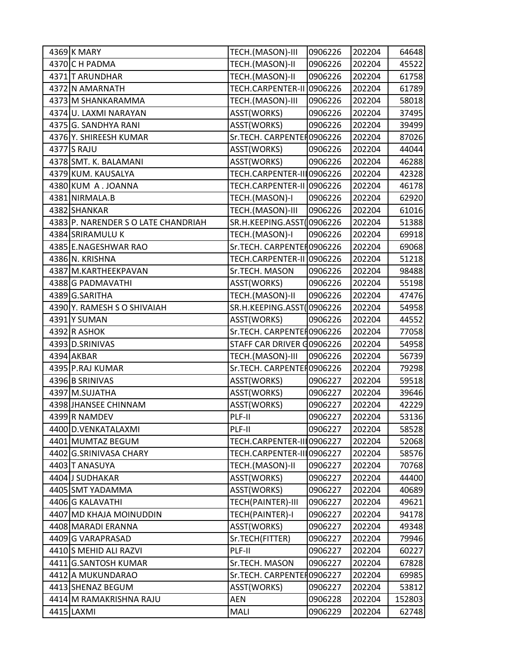| 4369 K MARY                        | TECH.(MASON)-III          | 0906226 | 202204 | 64648  |
|------------------------------------|---------------------------|---------|--------|--------|
| 4370 C H PADMA                     | TECH.(MASON)-II           | 0906226 | 202204 | 45522  |
| 4371 T ARUNDHAR                    | TECH.(MASON)-II           | 0906226 | 202204 | 61758  |
| 4372 N AMARNATH                    | <b>TECH.CARPENTER-II</b>  | 0906226 | 202204 | 61789  |
| 4373 M SHANKARAMMA                 | TECH.(MASON)-III          | 0906226 | 202204 | 58018  |
| 4374 U. LAXMI NARAYAN              | ASST(WORKS)               | 0906226 | 202204 | 37495  |
| 4375 G. SANDHYA RANI               | ASST(WORKS)               | 0906226 | 202204 | 39499  |
| 4376 Y. SHIREESH KUMAR             | Sr.TECH. CARPENTEH0906226 |         | 202204 | 87026  |
| 4377 S RAJU                        | ASST(WORKS)               | 0906226 | 202204 | 44044  |
| 4378 SMT. K. BALAMANI              | ASST(WORKS)               | 0906226 | 202204 | 46288  |
| 4379 KUM. KAUSALYA                 | TECH.CARPENTER-III0906226 |         | 202204 | 42328  |
| 4380 KUM A.JOANNA                  | TECH.CARPENTER-II 0906226 |         | 202204 | 46178  |
| 4381 NIRMALA.B                     | TECH.(MASON)-I            | 0906226 | 202204 | 62920  |
| 4382 SHANKAR                       | TECH.(MASON)-III          | 0906226 | 202204 | 61016  |
| 4383 P. NARENDER SO LATE CHANDRIAH | SR.H.KEEPING.ASST(        | 0906226 | 202204 | 51388  |
| 4384 SRIRAMULU K                   | TECH.(MASON)-I            | 0906226 | 202204 | 69918  |
| 4385 E.NAGESHWAR RAO               | Sr.TECH. CARPENTER0906226 |         | 202204 | 69068  |
| 4386 N. KRISHNA                    | TECH.CARPENTER-II 0906226 |         | 202204 | 51218  |
| 4387 M.KARTHEEKPAVAN               | Sr.TECH. MASON            | 0906226 | 202204 | 98488  |
| 4388 G PADMAVATHI                  | ASST(WORKS)               | 0906226 | 202204 | 55198  |
| 4389 G.SARITHA                     | TECH.(MASON)-II           | 0906226 | 202204 | 47476  |
| 4390 Y. RAMESH S O SHIVAIAH        | SR.H.KEEPING.ASST(        | 0906226 | 202204 | 54958  |
| 4391 Y SUMAN                       | ASST(WORKS)               | 0906226 | 202204 | 44552  |
| 4392 R ASHOK                       | Sr.TECH. CARPENTEH0906226 |         | 202204 | 77058  |
| 4393 D.SRINIVAS                    | STAFF CAR DRIVER G0906226 |         | 202204 | 54958  |
| 4394 AKBAR                         | TECH.(MASON)-III          | 0906226 | 202204 | 56739  |
| 4395 P.RAJ KUMAR                   | Sr.TECH. CARPENTER0906226 |         | 202204 | 79298  |
| 4396 B SRINIVAS                    | ASST(WORKS)               | 0906227 | 202204 | 59518  |
| 4397 M.SUJATHA                     | ASST(WORKS)               | 0906227 | 202204 | 39646  |
| 4398 JHANSEE CHINNAM               | ASST(WORKS)               | 0906227 | 202204 | 42229  |
| 4399 R NAMDEV                      | PLF-II                    | 0906227 | 202204 | 53136  |
| 4400 D.VENKATALAXMI                | PLF-II                    | 0906227 | 202204 | 58528  |
| 4401 MUMTAZ BEGUM                  | TECH.CARPENTER-III0906227 |         | 202204 | 52068  |
| 4402 G.SRINIVASA CHARY             | TECH.CARPENTER-III0906227 |         | 202204 | 58576  |
| 4403 T ANASUYA                     | TECH.(MASON)-II           | 0906227 | 202204 | 70768  |
| 4404 J SUDHAKAR                    | ASST(WORKS)               | 0906227 | 202204 | 44400  |
| 4405 SMT YADAMMA                   | ASST(WORKS)               | 0906227 | 202204 | 40689  |
| 4406 G KALAVATHI                   | TECH(PAINTER)-III         | 0906227 | 202204 | 49621  |
| 4407 MD KHAJA MOINUDDIN            | TECH(PAINTER)-I           | 0906227 | 202204 | 94178  |
| 4408 MARADI ERANNA                 | ASST(WORKS)               | 0906227 | 202204 | 49348  |
| 4409 G VARAPRASAD                  | Sr.TECH(FITTER)           | 0906227 | 202204 | 79946  |
| 4410 S MEHID ALI RAZVI             | PLF-II                    | 0906227 | 202204 | 60227  |
| 4411 G.SANTOSH KUMAR               | Sr.TECH. MASON            | 0906227 | 202204 | 67828  |
| 4412 A MUKUNDARAO                  | Sr.TECH. CARPENTEH0906227 |         | 202204 | 69985  |
| 4413 SHENAZ BEGUM                  | ASST(WORKS)               | 0906227 | 202204 | 53812  |
| 4414 M RAMAKRISHNA RAJU            | <b>AEN</b>                | 0906228 | 202204 | 152803 |
| 4415 LAXMI                         | MALI                      | 0906229 | 202204 | 62748  |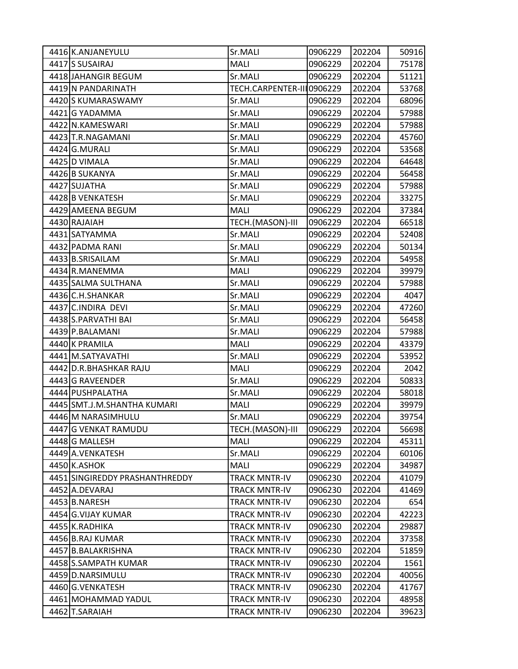| 4416 K.ANJANEYULU              | Sr.MALI                   | 0906229 | 202204 | 50916 |
|--------------------------------|---------------------------|---------|--------|-------|
| 4417 S SUSAIRAJ                | MALI                      | 0906229 | 202204 | 75178 |
| 4418 JAHANGIR BEGUM            | Sr.MALI                   | 0906229 | 202204 | 51121 |
| 4419 N PANDARINATH             | TECH.CARPENTER-III0906229 |         | 202204 | 53768 |
| 4420 S KUMARASWAMY             | Sr.MALI                   | 0906229 | 202204 | 68096 |
| 4421 G YADAMMA                 | Sr.MALI                   | 0906229 | 202204 | 57988 |
| 4422 N.KAMESWARI               | Sr.MALI                   | 0906229 | 202204 | 57988 |
| 4423 T.R.NAGAMANI              | Sr.MALI                   | 0906229 | 202204 | 45760 |
| 4424 G.MURALI                  | Sr.MALI                   | 0906229 | 202204 | 53568 |
| 4425 D VIMALA                  | Sr.MALI                   | 0906229 | 202204 | 64648 |
| 4426 B SUKANYA                 | Sr.MALI                   | 0906229 | 202204 | 56458 |
| 4427 SUJATHA                   | Sr.MALI                   | 0906229 | 202204 | 57988 |
| 4428 B VENKATESH               | Sr.MALI                   | 0906229 | 202204 | 33275 |
| 4429 AMEENA BEGUM              | <b>MALI</b>               | 0906229 | 202204 | 37384 |
| 4430 RAJAIAH                   | TECH.(MASON)-III          | 0906229 | 202204 | 66518 |
| 4431 SATYAMMA                  | Sr.MALI                   | 0906229 | 202204 | 52408 |
| 4432 PADMA RANI                | Sr.MALI                   | 0906229 | 202204 | 50134 |
| 4433 B.SRISAILAM               | Sr.MALI                   | 0906229 | 202204 | 54958 |
| 4434 R.MANEMMA                 | MALI                      | 0906229 | 202204 | 39979 |
| 4435 SALMA SULTHANA            | Sr.MALI                   | 0906229 | 202204 | 57988 |
| 4436 C.H.SHANKAR               | Sr.MALI                   | 0906229 | 202204 | 4047  |
| 4437 C.INDIRA DEVI             | Sr.MALI                   | 0906229 | 202204 | 47260 |
| 4438 S.PARVATHI BAI            | Sr.MALI                   | 0906229 | 202204 | 56458 |
| 4439 P.BALAMANI                | Sr.MALI                   | 0906229 | 202204 | 57988 |
| 4440 K PRAMILA                 | MALI                      | 0906229 | 202204 | 43379 |
| 4441 M.SATYAVATHI              | Sr.MALI                   | 0906229 | 202204 | 53952 |
| 4442 D.R.BHASHKAR RAJU         | MALI                      | 0906229 | 202204 | 2042  |
| 4443 G RAVEENDER               | Sr.MALI                   | 0906229 | 202204 | 50833 |
| 4444 PUSHPALATHA               | Sr.MALI                   | 0906229 | 202204 | 58018 |
| 4445 SMT.J.M.SHANTHA KUMARI    | MALI                      | 0906229 | 202204 | 39979 |
| 4446 M NARASIMHULU             | Sr.MALI                   | 0906229 | 202204 | 39754 |
| 4447 G VENKAT RAMUDU           | TECH.(MASON)-III          | 0906229 | 202204 | 56698 |
| 4448 G MALLESH                 | MALI                      | 0906229 | 202204 | 45311 |
| 4449 A. VENKATESH              | Sr.MALI                   | 0906229 | 202204 | 60106 |
| 4450 K.ASHOK                   | MALI                      | 0906229 | 202204 | 34987 |
| 4451 SINGIREDDY PRASHANTHREDDY | <b>TRACK MNTR-IV</b>      | 0906230 | 202204 | 41079 |
| 4452 A.DEVARAJ                 | <b>TRACK MNTR-IV</b>      | 0906230 | 202204 | 41469 |
| 4453 B.NARESH                  | <b>TRACK MNTR-IV</b>      | 0906230 | 202204 | 654   |
| 4454 G.VIJAY KUMAR             | <b>TRACK MNTR-IV</b>      | 0906230 | 202204 | 42223 |
| 4455 K.RADHIKA                 | <b>TRACK MNTR-IV</b>      | 0906230 | 202204 | 29887 |
| 4456 B.RAJ KUMAR               | <b>TRACK MNTR-IV</b>      | 0906230 | 202204 | 37358 |
| 4457 B.BALAKRISHNA             | <b>TRACK MNTR-IV</b>      | 0906230 | 202204 | 51859 |
| 4458 S.SAMPATH KUMAR           | <b>TRACK MNTR-IV</b>      | 0906230 | 202204 | 1561  |
| 4459 D.NARSIMULU               | <b>TRACK MNTR-IV</b>      | 0906230 | 202204 | 40056 |
| 4460 G.VENKATESH               | <b>TRACK MNTR-IV</b>      | 0906230 | 202204 | 41767 |
| 4461 MOHAMMAD YADUL            | <b>TRACK MNTR-IV</b>      | 0906230 | 202204 | 48958 |
| 4462 T.SARAIAH                 | TRACK MNTR-IV             | 0906230 | 202204 | 39623 |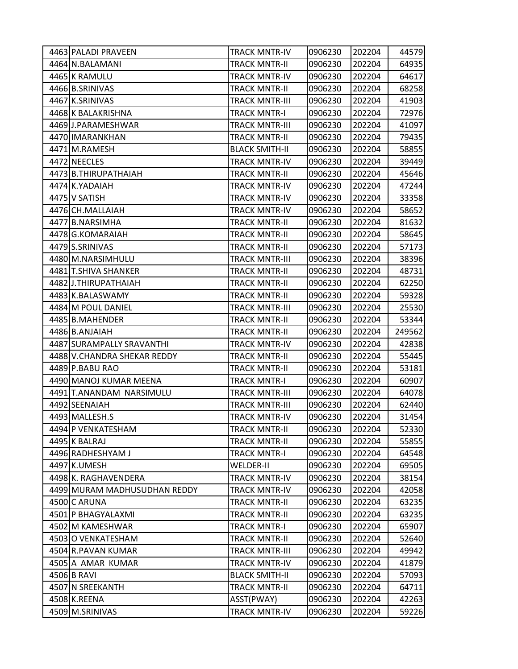| 4463 PALADI PRAVEEN          | TRACK MNTR-IV         | 0906230 | 202204 | 44579  |
|------------------------------|-----------------------|---------|--------|--------|
| 4464 N.BALAMANI              | <b>TRACK MNTR-II</b>  | 0906230 | 202204 | 64935  |
| 4465 K RAMULU                | <b>TRACK MNTR-IV</b>  | 0906230 | 202204 | 64617  |
| 4466 B.SRINIVAS              | <b>TRACK MNTR-II</b>  | 0906230 | 202204 | 68258  |
| 4467 K.SRINIVAS              | <b>TRACK MNTR-III</b> | 0906230 | 202204 | 41903  |
| 4468 K BALAKRISHNA           | TRACK MNTR-I          | 0906230 | 202204 | 72976  |
| 4469 J.PARAMESHWAR           | <b>TRACK MNTR-III</b> | 0906230 | 202204 | 41097  |
| 4470 IMARANKHAN              | <b>TRACK MNTR-II</b>  | 0906230 | 202204 | 79435  |
| 4471 M.RAMESH                | <b>BLACK SMITH-II</b> | 0906230 | 202204 | 58855  |
| 4472 NEECLES                 | <b>TRACK MNTR-IV</b>  | 0906230 | 202204 | 39449  |
| 4473 B.THIRUPATHAIAH         | TRACK MNTR-II         | 0906230 | 202204 | 45646  |
| 4474 K.YADAIAH               | <b>TRACK MNTR-IV</b>  | 0906230 | 202204 | 47244  |
| 4475 V SATISH                | <b>TRACK MNTR-IV</b>  | 0906230 | 202204 | 33358  |
| 4476 CH.MALLAIAH             | <b>TRACK MNTR-IV</b>  | 0906230 | 202204 | 58652  |
| 4477 B.NARSIMHA              | <b>TRACK MNTR-II</b>  | 0906230 | 202204 | 81632  |
| 4478 G.KOMARAIAH             | TRACK MNTR-II         | 0906230 | 202204 | 58645  |
| 4479 S.SRINIVAS              | <b>TRACK MNTR-II</b>  | 0906230 | 202204 | 57173  |
| 4480 M.NARSIMHULU            | <b>TRACK MNTR-III</b> | 0906230 | 202204 | 38396  |
| 4481 T.SHIVA SHANKER         | <b>TRACK MNTR-II</b>  | 0906230 | 202204 | 48731  |
| 4482 J.THIRUPATHAIAH         | <b>TRACK MNTR-II</b>  | 0906230 | 202204 | 62250  |
| 4483 K.BALASWAMY             | <b>TRACK MNTR-II</b>  | 0906230 | 202204 | 59328  |
| 4484 M POUL DANIEL           | <b>TRACK MNTR-III</b> | 0906230 | 202204 | 25530  |
| 4485 B.MAHENDER              | <b>TRACK MNTR-II</b>  | 0906230 | 202204 | 53344  |
| 4486 B.ANJAIAH               | <b>TRACK MNTR-II</b>  | 0906230 | 202204 | 249562 |
| 4487 SURAMPALLY SRAVANTHI    | <b>TRACK MNTR-IV</b>  | 0906230 | 202204 | 42838  |
| 4488 V.CHANDRA SHEKAR REDDY  | <b>TRACK MNTR-II</b>  | 0906230 | 202204 | 55445  |
| 4489 P.BABU RAO              | <b>TRACK MNTR-II</b>  | 0906230 | 202204 | 53181  |
| 4490 MANOJ KUMAR MEENA       | <b>TRACK MNTR-I</b>   | 0906230 | 202204 | 60907  |
| 4491 T.ANANDAM NARSIMULU     | <b>TRACK MNTR-III</b> | 0906230 | 202204 | 64078  |
| 4492 SEENAIAH                | <b>TRACK MNTR-III</b> | 0906230 | 202204 | 62440  |
| 4493 MALLESH.S               | <b>TRACK MNTR-IV</b>  | 0906230 | 202204 | 31454  |
| 4494 P VENKATESHAM           | TRACK MNTR-II         | 0906230 | 202204 | 52330  |
| 4495 K BALRAJ                | <b>TRACK MNTR-II</b>  | 0906230 | 202204 | 55855  |
| 4496 RADHESHYAM J            | <b>TRACK MNTR-I</b>   | 0906230 | 202204 | 64548  |
| 4497 K.UMESH                 | <b>WELDER-II</b>      | 0906230 | 202204 | 69505  |
| 4498 K. RAGHAVENDERA         | <b>TRACK MNTR-IV</b>  | 0906230 | 202204 | 38154  |
| 4499 MURAM MADHUSUDHAN REDDY | <b>TRACK MNTR-IV</b>  | 0906230 | 202204 | 42058  |
| 4500 C ARUNA                 | <b>TRACK MNTR-II</b>  | 0906230 | 202204 | 63235  |
| 4501 P BHAGYALAXMI           | <b>TRACK MNTR-II</b>  | 0906230 | 202204 | 63235  |
| 4502 M KAMESHWAR             | <b>TRACK MNTR-I</b>   | 0906230 | 202204 | 65907  |
| 4503 O VENKATESHAM           | <b>TRACK MNTR-II</b>  | 0906230 | 202204 | 52640  |
| 4504 R.PAVAN KUMAR           | <b>TRACK MNTR-III</b> | 0906230 | 202204 | 49942  |
| 4505 A AMAR KUMAR            | <b>TRACK MNTR-IV</b>  | 0906230 | 202204 | 41879  |
| 4506 B RAVI                  | <b>BLACK SMITH-II</b> | 0906230 | 202204 | 57093  |
| 4507 N SREEKANTH             | <b>TRACK MNTR-II</b>  | 0906230 | 202204 | 64711  |
| 4508 K.REENA                 | ASST(PWAY)            | 0906230 | 202204 | 42263  |
| 4509 M.SRINIVAS              | TRACK MNTR-IV         | 0906230 | 202204 | 59226  |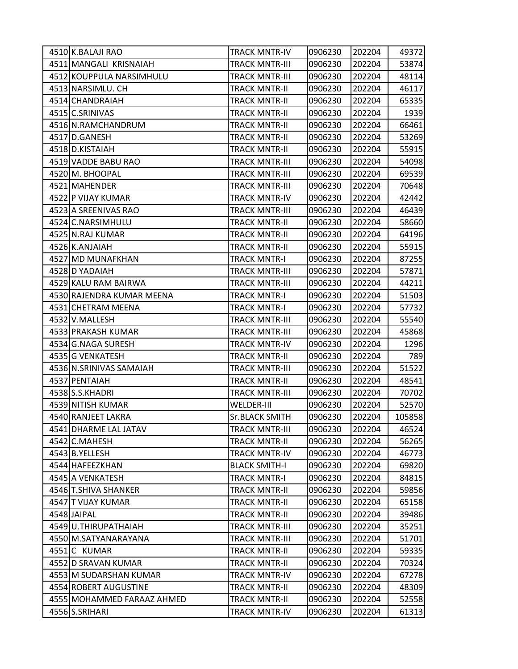| 4510 K.BALAJI RAO          | <b>TRACK MNTR-IV</b>  | 0906230 | 202204 | 49372  |
|----------------------------|-----------------------|---------|--------|--------|
| 4511 MANGALI KRISNAIAH     | <b>TRACK MNTR-III</b> | 0906230 | 202204 | 53874  |
| 4512 KOUPPULA NARSIMHULU   | <b>TRACK MNTR-III</b> | 0906230 | 202204 | 48114  |
| 4513 NARSIMLU. CH          | <b>TRACK MNTR-II</b>  | 0906230 | 202204 | 46117  |
| 4514 CHANDRAIAH            | <b>TRACK MNTR-II</b>  | 0906230 | 202204 | 65335  |
| 4515 C.SRINIVAS            | <b>TRACK MNTR-II</b>  | 0906230 | 202204 | 1939   |
| 4516 N.RAMCHANDRUM         | <b>TRACK MNTR-II</b>  | 0906230 | 202204 | 66461  |
| 4517 D.GANESH              | <b>TRACK MNTR-II</b>  | 0906230 | 202204 | 53269  |
| 4518 D.KISTAIAH            | <b>TRACK MNTR-II</b>  | 0906230 | 202204 | 55915  |
| 4519 VADDE BABU RAO        | <b>TRACK MNTR-III</b> | 0906230 | 202204 | 54098  |
| 4520 M. BHOOPAL            | <b>TRACK MNTR-III</b> | 0906230 | 202204 | 69539  |
| 4521 MAHENDER              | <b>TRACK MNTR-III</b> | 0906230 | 202204 | 70648  |
| 4522 P VIJAY KUMAR         | <b>TRACK MNTR-IV</b>  | 0906230 | 202204 | 42442  |
| 4523 A SREENIVAS RAO       | <b>TRACK MNTR-III</b> | 0906230 | 202204 | 46439  |
| 4524 C.NARSIMHULU          | <b>TRACK MNTR-II</b>  | 0906230 | 202204 | 58660  |
| 4525 N.RAJ KUMAR           | <b>TRACK MNTR-II</b>  | 0906230 | 202204 | 64196  |
| 4526 K.ANJAIAH             | <b>TRACK MNTR-II</b>  | 0906230 | 202204 | 55915  |
| 4527 MD MUNAFKHAN          | <b>TRACK MNTR-I</b>   | 0906230 | 202204 | 87255  |
| 4528 D YADAIAH             | <b>TRACK MNTR-III</b> | 0906230 | 202204 | 57871  |
| 4529 KALU RAM BAIRWA       | <b>TRACK MNTR-III</b> | 0906230 | 202204 | 44211  |
| 4530 RAJENDRA KUMAR MEENA  | <b>TRACK MNTR-I</b>   | 0906230 | 202204 | 51503  |
| 4531 CHETRAM MEENA         | <b>TRACK MNTR-I</b>   | 0906230 | 202204 | 57732  |
| 4532 V.MALLESH             | <b>TRACK MNTR-III</b> | 0906230 | 202204 | 55540  |
| 4533 PRAKASH KUMAR         | <b>TRACK MNTR-III</b> | 0906230 | 202204 | 45868  |
| 4534 G.NAGA SURESH         | <b>TRACK MNTR-IV</b>  | 0906230 | 202204 | 1296   |
| 4535 G VENKATESH           | <b>TRACK MNTR-II</b>  | 0906230 | 202204 | 789    |
| 4536 N.SRINIVAS SAMAIAH    | <b>TRACK MNTR-III</b> | 0906230 | 202204 | 51522  |
| 4537 PENTAIAH              | <b>TRACK MNTR-II</b>  | 0906230 | 202204 | 48541  |
| 4538 S.S.KHADRI            | <b>TRACK MNTR-III</b> | 0906230 | 202204 | 70702  |
| 4539 NITISH KUMAR          | <b>WELDER-III</b>     | 0906230 | 202204 | 52570  |
| 4540 RANJEET LAKRA         | <b>Sr.BLACK SMITH</b> | 0906230 | 202204 | 105858 |
| 4541 DHARME LAL JATAV      | <b>TRACK MNTR-III</b> | 0906230 | 202204 | 46524  |
| 4542 C.MAHESH              | <b>TRACK MNTR-II</b>  | 0906230 | 202204 | 56265  |
| 4543 B.YELLESH             | <b>TRACK MNTR-IV</b>  | 0906230 | 202204 | 46773  |
| 4544 HAFEEZKHAN            | <b>BLACK SMITH-I</b>  | 0906230 | 202204 | 69820  |
| 4545 A VENKATESH           | <b>TRACK MNTR-I</b>   | 0906230 | 202204 | 84815  |
| 4546 T.SHIVA SHANKER       | <b>TRACK MNTR-II</b>  | 0906230 | 202204 | 59856  |
| 4547 T VIJAY KUMAR         | <b>TRACK MNTR-II</b>  | 0906230 | 202204 | 65158  |
| 4548 JAIPAL                | <b>TRACK MNTR-II</b>  | 0906230 | 202204 | 39486  |
| 4549 U.THIRUPATHAIAH       | <b>TRACK MNTR-III</b> | 0906230 | 202204 | 35251  |
| 4550 M.SATYANARAYANA       | <b>TRACK MNTR-III</b> | 0906230 | 202204 | 51701  |
| 4551 C KUMAR               | <b>TRACK MNTR-II</b>  | 0906230 | 202204 | 59335  |
| 4552 D SRAVAN KUMAR        | <b>TRACK MNTR-II</b>  | 0906230 | 202204 | 70324  |
| 4553 M SUDARSHAN KUMAR     | <b>TRACK MNTR-IV</b>  | 0906230 | 202204 | 67278  |
| 4554 ROBERT AUGUSTINE      | <b>TRACK MNTR-II</b>  | 0906230 | 202204 | 48309  |
| 4555 MOHAMMED FARAAZ AHMED | <b>TRACK MNTR-II</b>  | 0906230 | 202204 | 52558  |
| 4556 S.SRIHARI             | <b>TRACK MNTR-IV</b>  | 0906230 | 202204 | 61313  |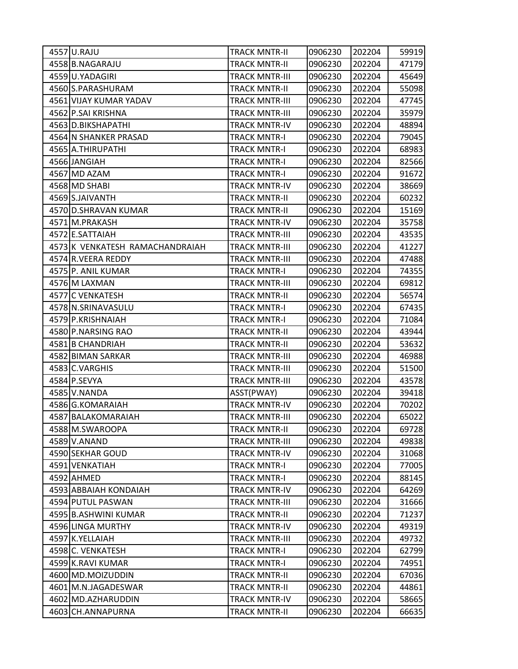| 4557 U.RAJU                     | <b>TRACK MNTR-II</b>  | 0906230 | 202204 | 59919 |
|---------------------------------|-----------------------|---------|--------|-------|
| 4558 B.NAGARAJU                 | <b>TRACK MNTR-II</b>  | 0906230 | 202204 | 47179 |
| 4559 U.YADAGIRI                 | <b>TRACK MNTR-III</b> | 0906230 | 202204 | 45649 |
| 4560 S.PARASHURAM               | <b>TRACK MNTR-II</b>  | 0906230 | 202204 | 55098 |
| 4561 VIJAY KUMAR YADAV          | <b>TRACK MNTR-III</b> | 0906230 | 202204 | 47745 |
| 4562 P.SAI KRISHNA              | <b>TRACK MNTR-III</b> | 0906230 | 202204 | 35979 |
| 4563 D.BIKSHAPATHI              | <b>TRACK MNTR-IV</b>  | 0906230 | 202204 | 48894 |
| 4564 N SHANKER PRASAD           | <b>TRACK MNTR-I</b>   | 0906230 | 202204 | 79045 |
| 4565 A.THIRUPATHI               | <b>TRACK MNTR-I</b>   | 0906230 | 202204 | 68983 |
| 4566 JANGIAH                    | <b>TRACK MNTR-I</b>   | 0906230 | 202204 | 82566 |
| 4567 MD AZAM                    | <b>TRACK MNTR-I</b>   | 0906230 | 202204 | 91672 |
| 4568 MD SHABI                   | <b>TRACK MNTR-IV</b>  | 0906230 | 202204 | 38669 |
| 4569 S.JAIVANTH                 | <b>TRACK MNTR-II</b>  | 0906230 | 202204 | 60232 |
| 4570 D.SHRAVAN KUMAR            | <b>TRACK MNTR-II</b>  | 0906230 | 202204 | 15169 |
| 4571 M.PRAKASH                  | <b>TRACK MNTR-IV</b>  | 0906230 | 202204 | 35758 |
| 4572 E.SATTAIAH                 | <b>TRACK MNTR-III</b> | 0906230 | 202204 | 43535 |
| 4573 K VENKATESH RAMACHANDRAIAH | <b>TRACK MNTR-III</b> | 0906230 | 202204 | 41227 |
| 4574 R.VEERA REDDY              | <b>TRACK MNTR-III</b> | 0906230 | 202204 | 47488 |
| 4575 P. ANIL KUMAR              | <b>TRACK MNTR-I</b>   | 0906230 | 202204 | 74355 |
| 4576 M LAXMAN                   | <b>TRACK MNTR-III</b> | 0906230 | 202204 | 69812 |
| 4577 C VENKATESH                | <b>TRACK MNTR-II</b>  | 0906230 | 202204 | 56574 |
| 4578 N.SRINAVASULU              | <b>TRACK MNTR-I</b>   | 0906230 | 202204 | 67435 |
| 4579 P.KRISHNAIAH               | <b>TRACK MNTR-I</b>   | 0906230 | 202204 | 71084 |
| 4580 P.NARSING RAO              | <b>TRACK MNTR-II</b>  | 0906230 | 202204 | 43944 |
| 4581 B CHANDRIAH                | <b>TRACK MNTR-II</b>  | 0906230 | 202204 | 53632 |
| 4582 BIMAN SARKAR               | TRACK MNTR-III        | 0906230 | 202204 | 46988 |
| 4583 C.VARGHIS                  | <b>TRACK MNTR-III</b> | 0906230 | 202204 | 51500 |
| 4584 P.SEVYA                    | <b>TRACK MNTR-III</b> | 0906230 | 202204 | 43578 |
| 4585 V.NANDA                    | ASST(PWAY)            | 0906230 | 202204 | 39418 |
| 4586 G.KOMARAIAH                | <b>TRACK MNTR-IV</b>  | 0906230 | 202204 | 70202 |
| 4587 BALAKOMARAIAH              | <b>TRACK MNTR-III</b> | 0906230 | 202204 | 65022 |
| 4588 M.SWAROOPA                 | <b>TRACK MNTR-II</b>  | 0906230 | 202204 | 69728 |
| 4589 V.ANAND                    | <b>TRACK MNTR-III</b> | 0906230 | 202204 | 49838 |
| 4590 SEKHAR GOUD                | <b>TRACK MNTR-IV</b>  | 0906230 | 202204 | 31068 |
| 4591 VENKATIAH                  | <b>TRACK MNTR-I</b>   | 0906230 | 202204 | 77005 |
| 4592 AHMED                      | <b>TRACK MNTR-I</b>   | 0906230 | 202204 | 88145 |
| 4593 ABBAIAH KONDAIAH           | <b>TRACK MNTR-IV</b>  | 0906230 | 202204 | 64269 |
| 4594 PUTUL PASWAN               | <b>TRACK MNTR-III</b> | 0906230 | 202204 | 31666 |
| 4595 B.ASHWINI KUMAR            | <b>TRACK MNTR-II</b>  | 0906230 | 202204 | 71237 |
| 4596 LINGA MURTHY               | <b>TRACK MNTR-IV</b>  | 0906230 | 202204 | 49319 |
| 4597 K.YELLAIAH                 | <b>TRACK MNTR-III</b> | 0906230 | 202204 | 49732 |
| 4598 C. VENKATESH               | <b>TRACK MNTR-I</b>   | 0906230 | 202204 | 62799 |
| 4599 K.RAVI KUMAR               | <b>TRACK MNTR-I</b>   | 0906230 | 202204 | 74951 |
| 4600 MD.MOIZUDDIN               | <b>TRACK MNTR-II</b>  | 0906230 | 202204 | 67036 |
| 4601 M.N.JAGADESWAR             | <b>TRACK MNTR-II</b>  | 0906230 | 202204 | 44861 |
| 4602 MD.AZHARUDDIN              | <b>TRACK MNTR-IV</b>  | 0906230 | 202204 | 58665 |
| 4603 CH.ANNAPURNA               | <b>TRACK MNTR-II</b>  | 0906230 | 202204 | 66635 |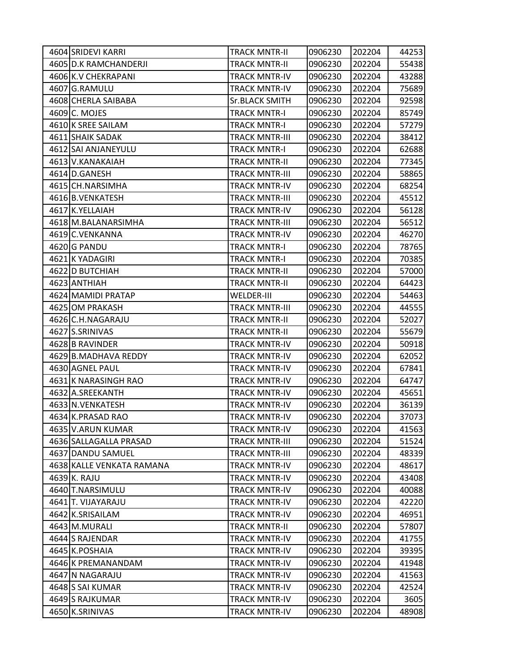| 4604 SRIDEVI KARRI        | TRACK MNTR-II         | 0906230 | 202204 | 44253 |
|---------------------------|-----------------------|---------|--------|-------|
| 4605 D.K RAMCHANDERJI     | <b>TRACK MNTR-II</b>  | 0906230 | 202204 | 55438 |
| 4606 K.V CHEKRAPANI       | <b>TRACK MNTR-IV</b>  | 0906230 | 202204 | 43288 |
| 4607 G.RAMULU             | <b>TRACK MNTR-IV</b>  | 0906230 | 202204 | 75689 |
| 4608 CHERLA SAIBABA       | <b>Sr.BLACK SMITH</b> | 0906230 | 202204 | 92598 |
| 4609 C. MOJES             | <b>TRACK MNTR-I</b>   | 0906230 | 202204 | 85749 |
| 4610 K SREE SAILAM        | <b>TRACK MNTR-I</b>   | 0906230 | 202204 | 57279 |
| 4611 SHAIK SADAK          | <b>TRACK MNTR-III</b> | 0906230 | 202204 | 38412 |
| 4612 SAI ANJANEYULU       | <b>TRACK MNTR-I</b>   | 0906230 | 202204 | 62688 |
| 4613 V.KANAKAIAH          | <b>TRACK MNTR-II</b>  | 0906230 | 202204 | 77345 |
| 4614 D.GANESH             | <b>TRACK MNTR-III</b> | 0906230 | 202204 | 58865 |
| 4615 CH.NARSIMHA          | <b>TRACK MNTR-IV</b>  | 0906230 | 202204 | 68254 |
| 4616 B. VENKATESH         | <b>TRACK MNTR-III</b> | 0906230 | 202204 | 45512 |
| 4617 K.YELLAIAH           | <b>TRACK MNTR-IV</b>  | 0906230 | 202204 | 56128 |
| 4618 M.BALANARSIMHA       | <b>TRACK MNTR-III</b> | 0906230 | 202204 | 56512 |
| 4619 C.VENKANNA           | <b>TRACK MNTR-IV</b>  | 0906230 | 202204 | 46270 |
| 4620 G PANDU              | <b>TRACK MNTR-I</b>   | 0906230 | 202204 | 78765 |
| 4621 K YADAGIRI           | <b>TRACK MNTR-I</b>   | 0906230 | 202204 | 70385 |
| 4622 D BUTCHIAH           | <b>TRACK MNTR-II</b>  | 0906230 | 202204 | 57000 |
| 4623 ANTHIAH              | <b>TRACK MNTR-II</b>  | 0906230 | 202204 | 64423 |
| 4624 MAMIDI PRATAP        | <b>WELDER-III</b>     | 0906230 | 202204 | 54463 |
| 4625 OM PRAKASH           | <b>TRACK MNTR-III</b> | 0906230 | 202204 | 44555 |
| 4626 C.H.NAGARAJU         | <b>TRACK MNTR-II</b>  | 0906230 | 202204 | 52027 |
| 4627 S.SRINIVAS           | <b>TRACK MNTR-II</b>  | 0906230 | 202204 | 55679 |
| 4628 B RAVINDER           | <b>TRACK MNTR-IV</b>  | 0906230 | 202204 | 50918 |
| 4629 B.MADHAVA REDDY      | <b>TRACK MNTR-IV</b>  | 0906230 | 202204 | 62052 |
| 4630 AGNEL PAUL           | <b>TRACK MNTR-IV</b>  | 0906230 | 202204 | 67841 |
| 4631 K NARASINGH RAO      | <b>TRACK MNTR-IV</b>  | 0906230 | 202204 | 64747 |
| 4632 A.SREEKANTH          | <b>TRACK MNTR-IV</b>  | 0906230 | 202204 | 45651 |
| 4633 N. VENKATESH         | <b>TRACK MNTR-IV</b>  | 0906230 | 202204 | 36139 |
| 4634 K.PRASAD RAO         | <b>TRACK MNTR-IV</b>  | 0906230 | 202204 | 37073 |
| 4635 V.ARUN KUMAR         | <b>TRACK MNTR-IV</b>  | 0906230 | 202204 | 41563 |
| 4636 SALLAGALLA PRASAD    | <b>TRACK MNTR-III</b> | 0906230 | 202204 | 51524 |
| 4637 DANDU SAMUEL         | <b>TRACK MNTR-III</b> | 0906230 | 202204 | 48339 |
| 4638 KALLE VENKATA RAMANA | <b>TRACK MNTR-IV</b>  | 0906230 | 202204 | 48617 |
| 4639 K. RAJU              | <b>TRACK MNTR-IV</b>  | 0906230 | 202204 | 43408 |
| 4640 T.NARSIMULU          | <b>TRACK MNTR-IV</b>  | 0906230 | 202204 | 40088 |
| 4641 T. VIJAYARAJU        | <b>TRACK MNTR-IV</b>  | 0906230 | 202204 | 42220 |
| 4642 K.SRISAILAM          | <b>TRACK MNTR-IV</b>  | 0906230 | 202204 | 46951 |
| 4643 M.MURALI             | <b>TRACK MNTR-II</b>  | 0906230 | 202204 | 57807 |
| 4644 S RAJENDAR           | <b>TRACK MNTR-IV</b>  | 0906230 | 202204 | 41755 |
| 4645 K.POSHAIA            | <b>TRACK MNTR-IV</b>  | 0906230 | 202204 | 39395 |
| 4646 K PREMANANDAM        | <b>TRACK MNTR-IV</b>  | 0906230 | 202204 | 41948 |
| 4647 N NAGARAJU           | <b>TRACK MNTR-IV</b>  | 0906230 | 202204 | 41563 |
| 4648 S SAI KUMAR          | <b>TRACK MNTR-IV</b>  | 0906230 | 202204 | 42524 |
| 4649 S RAJKUMAR           | <b>TRACK MNTR-IV</b>  | 0906230 | 202204 | 3605  |
| 4650 K.SRINIVAS           | <b>TRACK MNTR-IV</b>  | 0906230 | 202204 | 48908 |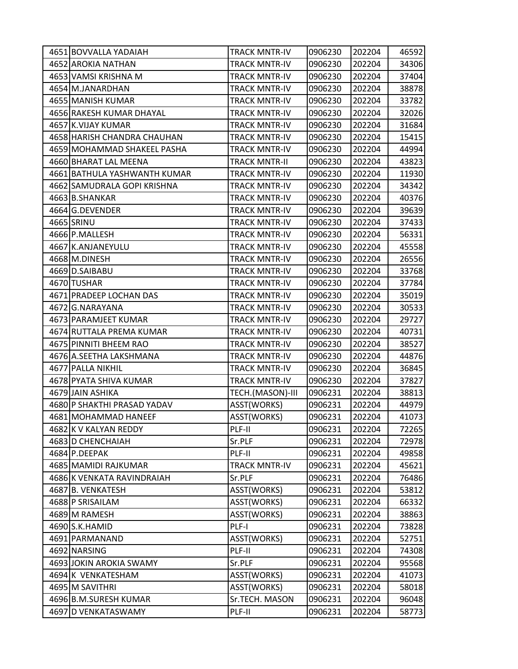| 4651 BOVVALLA YADAIAH        | <b>TRACK MNTR-IV</b> | 0906230 | 202204 | 46592 |
|------------------------------|----------------------|---------|--------|-------|
| 4652 AROKIA NATHAN           | <b>TRACK MNTR-IV</b> | 0906230 | 202204 | 34306 |
| 4653 VAMSI KRISHNA M         | <b>TRACK MNTR-IV</b> | 0906230 | 202204 | 37404 |
| 4654 M.JANARDHAN             | <b>TRACK MNTR-IV</b> | 0906230 | 202204 | 38878 |
| 4655 MANISH KUMAR            | <b>TRACK MNTR-IV</b> | 0906230 | 202204 | 33782 |
| 4656 RAKESH KUMAR DHAYAL     | <b>TRACK MNTR-IV</b> | 0906230 | 202204 | 32026 |
| 4657 K.VIJAY KUMAR           | <b>TRACK MNTR-IV</b> | 0906230 | 202204 | 31684 |
| 4658 HARISH CHANDRA CHAUHAN  | <b>TRACK MNTR-IV</b> | 0906230 | 202204 | 15415 |
| 4659 MOHAMMAD SHAKEEL PASHA  | <b>TRACK MNTR-IV</b> | 0906230 | 202204 | 44994 |
| 4660 BHARAT LAL MEENA        | <b>TRACK MNTR-II</b> | 0906230 | 202204 | 43823 |
| 4661 BATHULA YASHWANTH KUMAR | <b>TRACK MNTR-IV</b> | 0906230 | 202204 | 11930 |
| 4662 SAMUDRALA GOPI KRISHNA  | <b>TRACK MNTR-IV</b> | 0906230 | 202204 | 34342 |
| 4663 B.SHANKAR               | <b>TRACK MNTR-IV</b> | 0906230 | 202204 | 40376 |
| 4664 G.DEVENDER              | <b>TRACK MNTR-IV</b> | 0906230 | 202204 | 39639 |
| 4665 SRINU                   | <b>TRACK MNTR-IV</b> | 0906230 | 202204 | 37433 |
| 4666 P.MALLESH               | <b>TRACK MNTR-IV</b> | 0906230 | 202204 | 56331 |
| 4667 K.ANJANEYULU            | <b>TRACK MNTR-IV</b> | 0906230 | 202204 | 45558 |
| 4668 M.DINESH                | <b>TRACK MNTR-IV</b> | 0906230 | 202204 | 26556 |
| 4669 D.SAIBABU               | <b>TRACK MNTR-IV</b> | 0906230 | 202204 | 33768 |
| 4670 TUSHAR                  | <b>TRACK MNTR-IV</b> | 0906230 | 202204 | 37784 |
| 4671 PRADEEP LOCHAN DAS      | <b>TRACK MNTR-IV</b> | 0906230 | 202204 | 35019 |
| 4672 G.NARAYANA              | <b>TRACK MNTR-IV</b> | 0906230 | 202204 | 30533 |
| 4673 PARAMJEET KUMAR         | <b>TRACK MNTR-IV</b> | 0906230 | 202204 | 29727 |
| 4674 RUTTALA PREMA KUMAR     | <b>TRACK MNTR-IV</b> | 0906230 | 202204 | 40731 |
| 4675 PINNITI BHEEM RAO       | <b>TRACK MNTR-IV</b> | 0906230 | 202204 | 38527 |
| 4676 A.SEETHA LAKSHMANA      | <b>TRACK MNTR-IV</b> | 0906230 | 202204 | 44876 |
| 4677 PALLA NIKHIL            | <b>TRACK MNTR-IV</b> | 0906230 | 202204 | 36845 |
| 4678 PYATA SHIVA KUMAR       | <b>TRACK MNTR-IV</b> | 0906230 | 202204 | 37827 |
| 4679 JAIN ASHIKA             | TECH.(MASON)-III     | 0906231 | 202204 | 38813 |
| 4680 P SHAKTHI PRASAD YADAV  | ASST(WORKS)          | 0906231 | 202204 | 44979 |
| 4681 MOHAMMAD HANEEF         | ASST(WORKS)          | 0906231 | 202204 | 41073 |
| 4682 K V KALYAN REDDY        | PLF-II               | 0906231 | 202204 | 72265 |
| 4683 D CHENCHAIAH            | Sr.PLF               | 0906231 | 202204 | 72978 |
| 4684 P.DEEPAK                | PLF-II               | 0906231 | 202204 | 49858 |
| 4685 MAMIDI RAJKUMAR         | <b>TRACK MNTR-IV</b> | 0906231 | 202204 | 45621 |
| 4686 K VENKATA RAVINDRAIAH   | Sr.PLF               | 0906231 | 202204 | 76486 |
| 4687 B. VENKATESH            | ASST(WORKS)          | 0906231 | 202204 | 53812 |
| 4688 P SRISAILAM             | <b>ASST(WORKS)</b>   | 0906231 | 202204 | 66332 |
| 4689 M RAMESH                | ASST(WORKS)          | 0906231 | 202204 | 38863 |
| 4690 S.K. HAMID              | PLF-I                | 0906231 | 202204 | 73828 |
| 4691 PARMANAND               | <b>ASST(WORKS)</b>   | 0906231 | 202204 | 52751 |
| 4692 NARSING                 | PLF-II               | 0906231 | 202204 | 74308 |
| 4693 JOKIN AROKIA SWAMY      | Sr.PLF               | 0906231 | 202204 | 95568 |
| 4694 K VENKATESHAM           | ASST(WORKS)          | 0906231 | 202204 | 41073 |
| 4695 M SAVITHRI              | ASST(WORKS)          | 0906231 | 202204 | 58018 |
| 4696 B.M.SURESH KUMAR        | Sr.TECH. MASON       | 0906231 | 202204 | 96048 |
| 4697 D VENKATASWAMY          | PLF-II               | 0906231 | 202204 | 58773 |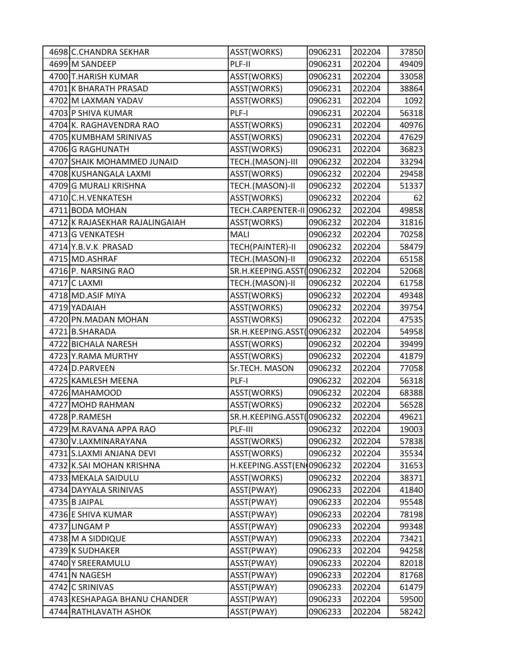| 4698 C.CHANDRA SEKHAR          | ASST(WORKS)               | 0906231 | 202204 | 37850 |
|--------------------------------|---------------------------|---------|--------|-------|
| 4699 M SANDEEP                 | PLF-II                    | 0906231 | 202204 | 49409 |
| 4700 T.HARISH KUMAR            | ASST(WORKS)               | 0906231 | 202204 | 33058 |
| 4701 K BHARATH PRASAD          | ASST(WORKS)               | 0906231 | 202204 | 38864 |
| 4702 M LAXMAN YADAV            | ASST(WORKS)               | 0906231 | 202204 | 1092  |
| 4703 P SHIVA KUMAR             | PLF-I                     | 0906231 | 202204 | 56318 |
| 4704 K. RAGHAVENDRA RAO        | ASST(WORKS)               | 0906231 | 202204 | 40976 |
| 4705 KUMBHAM SRINIVAS          | ASST(WORKS)               | 0906231 | 202204 | 47629 |
| 4706 G RAGHUNATH               | ASST(WORKS)               | 0906231 | 202204 | 36823 |
| 4707 SHAIK MOHAMMED JUNAID     | TECH.(MASON)-III          | 0906232 | 202204 | 33294 |
| 4708 KUSHANGALA LAXMI          | ASST(WORKS)               | 0906232 | 202204 | 29458 |
| 4709 G MURALI KRISHNA          | TECH.(MASON)-II           | 0906232 | 202204 | 51337 |
| 4710 C.H. VENKATESH            | ASST(WORKS)               | 0906232 | 202204 | 62    |
| 4711 BODA MOHAN                | TECH.CARPENTER-II         | 0906232 | 202204 | 49858 |
| 4712 K RAJASEKHAR RAJALINGAIAH | ASST(WORKS)               | 0906232 | 202204 | 31816 |
| 4713G VENKATESH                | <b>MALI</b>               | 0906232 | 202204 | 70258 |
| 4714 Y.B.V.K PRASAD            | TECH(PAINTER)-II          | 0906232 | 202204 | 58479 |
| 4715 MD.ASHRAF                 | TECH.(MASON)-II           | 0906232 | 202204 | 65158 |
| 4716 P. NARSING RAO            | SR.H.KEEPING.ASST         | 0906232 | 202204 | 52068 |
| 4717 C LAXMI                   | TECH.(MASON)-II           | 0906232 | 202204 | 61758 |
| 4718 MD.ASIF MIYA              | ASST(WORKS)               | 0906232 | 202204 | 49348 |
| 4719 YADAIAH                   | ASST(WORKS)               | 0906232 | 202204 | 39754 |
| 4720 PN.MADAN MOHAN            | ASST(WORKS)               | 0906232 | 202204 | 47535 |
| 4721 B.SHARADA                 | SR.H.KEEPING.ASST         | 0906232 | 202204 | 54958 |
| 4722 BICHALA NARESH            | ASST(WORKS)               | 0906232 | 202204 | 39499 |
| 4723 Y.RAMA MURTHY             | ASST(WORKS)               | 0906232 | 202204 | 41879 |
| 4724 D.PARVEEN                 | Sr.TECH. MASON            | 0906232 | 202204 | 77058 |
| 4725 KAMLESH MEENA             | PLF-I                     | 0906232 | 202204 | 56318 |
| 4726 MAHAMOOD                  | ASST(WORKS)               | 0906232 | 202204 | 68388 |
| 4727 MOHD RAHMAN               | ASST(WORKS)               | 0906232 | 202204 | 56528 |
| 4728 P.RAMESH                  | SR.H.KEEPING.ASST(0906232 |         | 202204 | 49621 |
| 4729 M.RAVANA APPA RAO         | PLF-III                   | 0906232 | 202204 | 19003 |
| 4730 V.LAXMINARAYANA           | ASST(WORKS)               | 0906232 | 202204 | 57838 |
| 4731 S.LAXMI ANJANA DEVI       | ASST(WORKS)               | 0906232 | 202204 | 35534 |
| 4732 K.SAI MOHAN KRISHNA       | H.KEEPING.ASST(EN 0906232 |         | 202204 | 31653 |
| 4733 MEKALA SAIDULU            | ASST(WORKS)               | 0906232 | 202204 | 38371 |
| 4734 DAYYALA SRINIVAS          | ASST(PWAY)                | 0906233 | 202204 | 41840 |
| 4735 B JAIPAL                  | ASST(PWAY)                | 0906233 | 202204 | 95548 |
| 4736 E SHIVA KUMAR             | ASST(PWAY)                | 0906233 | 202204 | 78198 |
| 4737 LINGAM P                  | ASST(PWAY)                | 0906233 | 202204 | 99348 |
| 4738 M A SIDDIQUE              | ASST(PWAY)                | 0906233 | 202204 | 73421 |
| 4739 K SUDHAKER                | ASST(PWAY)                | 0906233 | 202204 | 94258 |
| 4740 Y SREERAMULU              | ASST(PWAY)                | 0906233 | 202204 | 82018 |
| 4741 N NAGESH                  | ASST(PWAY)                | 0906233 | 202204 | 81768 |
| 4742 C SRINIVAS                | ASST(PWAY)                | 0906233 | 202204 | 61479 |
| 4743 KESHAPAGA BHANU CHANDER   | ASST(PWAY)                | 0906233 | 202204 | 59500 |
| 4744 RATHLAVATH ASHOK          | ASST(PWAY)                | 0906233 | 202204 | 58242 |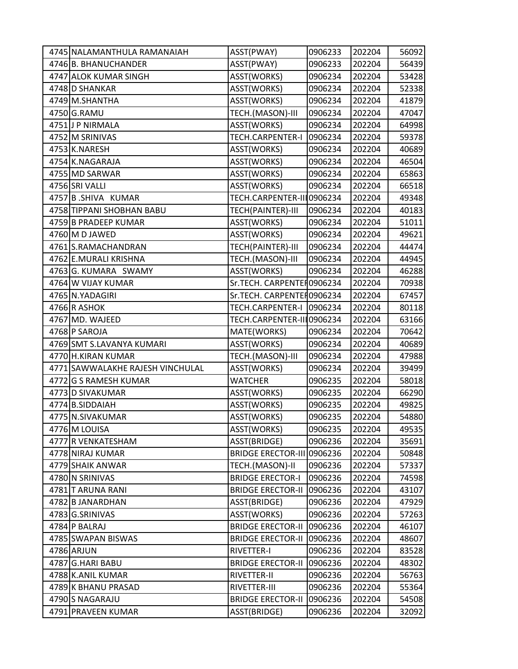| 4745 NALAMANTHULA RAMANAIAH      | ASST(PWAY)                 | 0906233 | 202204 | 56092 |
|----------------------------------|----------------------------|---------|--------|-------|
| 4746 B. BHANUCHANDER             | ASST(PWAY)                 | 0906233 | 202204 | 56439 |
| 4747 ALOK KUMAR SINGH            | ASST(WORKS)                | 0906234 | 202204 | 53428 |
| 4748 D SHANKAR                   | ASST(WORKS)                | 0906234 | 202204 | 52338 |
| 4749 M.SHANTHA                   | ASST(WORKS)                | 0906234 | 202204 | 41879 |
| 4750 G.RAMU                      | TECH.(MASON)-III           | 0906234 | 202204 | 47047 |
| 4751 J P NIRMALA                 | ASST(WORKS)                | 0906234 | 202204 | 64998 |
| 4752 M SRINIVAS                  | TECH.CARPENTER-I           | 0906234 | 202204 | 59378 |
| 4753 K.NARESH                    | ASST(WORKS)                | 0906234 | 202204 | 40689 |
| 4754 K.NAGARAJA                  | ASST(WORKS)                | 0906234 | 202204 | 46504 |
| 4755 MD SARWAR                   | ASST(WORKS)                | 0906234 | 202204 | 65863 |
| 4756 SRI VALLI                   | ASST(WORKS)                | 0906234 | 202204 | 66518 |
| 4757 B.SHIVA KUMAR               | TECH.CARPENTER-III0906234  |         | 202204 | 49348 |
| 4758 TIPPANI SHOBHAN BABU        | TECH(PAINTER)-III          | 0906234 | 202204 | 40183 |
| 4759 B PRADEEP KUMAR             | ASST(WORKS)                | 0906234 | 202204 | 51011 |
| 4760 M D JAWED                   | ASST(WORKS)                | 0906234 | 202204 | 49621 |
| 4761 S.RAMACHANDRAN              | TECH(PAINTER)-III          | 0906234 | 202204 | 44474 |
| 4762 E.MURALI KRISHNA            | TECH.(MASON)-III           | 0906234 | 202204 | 44945 |
| 4763 G. KUMARA SWAMY             | ASST(WORKS)                | 0906234 | 202204 | 46288 |
| 4764 W VIJAY KUMAR               | Sr.TECH. CARPENTER0906234  |         | 202204 | 70938 |
| 4765 N.YADAGIRI                  | Sr.TECH. CARPENTEH0906234  |         | 202204 | 67457 |
| 4766 R ASHOK                     | TECH.CARPENTER-I 0906234   |         | 202204 | 80118 |
| 4767 MD. WAJEED                  | TECH.CARPENTER-III 0906234 |         | 202204 | 63166 |
| 4768 P SAROJA                    | MATE(WORKS)                | 0906234 | 202204 | 70642 |
| 4769 SMT S.LAVANYA KUMARI        | ASST(WORKS)                | 0906234 | 202204 | 40689 |
| 4770 H.KIRAN KUMAR               | TECH.(MASON)-III           | 0906234 | 202204 | 47988 |
| 4771 SAWWALAKHE RAJESH VINCHULAL | ASST(WORKS)                | 0906234 | 202204 | 39499 |
| 4772 G S RAMESH KUMAR            | <b>WATCHER</b>             | 0906235 | 202204 | 58018 |
| 4773 D SIVAKUMAR                 | ASST(WORKS)                | 0906235 | 202204 | 66290 |
| 4774 B.SIDDAIAH                  | ASST(WORKS)                | 0906235 | 202204 | 49825 |
| 4775 N.SIVAKUMAR                 | ASST(WORKS)                | 0906235 | 202204 | 54880 |
| 4776 M LOUISA                    | ASST(WORKS)                | 0906235 | 202204 | 49535 |
| 4777 R VENKATESHAM               | ASST(BRIDGE)               | 0906236 | 202204 | 35691 |
| 4778 NIRAJ KUMAR                 | <b>BRIDGE ERECTOR-III</b>  | 0906236 | 202204 | 50848 |
| 4779 SHAIK ANWAR                 | TECH.(MASON)-II            | 0906236 | 202204 | 57337 |
| 4780 N SRINIVAS                  | <b>BRIDGE ERECTOR-I</b>    | 0906236 | 202204 | 74598 |
| 4781 T ARUNA RANI                | <b>BRIDGE ERECTOR-II</b>   | 0906236 | 202204 | 43107 |
| 4782 B JANARDHAN                 | ASST(BRIDGE)               | 0906236 | 202204 | 47929 |
| 4783 G.SRINIVAS                  | ASST(WORKS)                | 0906236 | 202204 | 57263 |
| 4784 P BALRAJ                    | <b>BRIDGE ERECTOR-II</b>   | 0906236 | 202204 | 46107 |
| 4785 SWAPAN BISWAS               | <b>BRIDGE ERECTOR-II</b>   | 0906236 | 202204 | 48607 |
| 4786 ARJUN                       | RIVETTER-I                 | 0906236 | 202204 | 83528 |
| 4787 G.HARI BABU                 | <b>BRIDGE ERECTOR-II</b>   | 0906236 | 202204 | 48302 |
| 4788 K.ANIL KUMAR                | RIVETTER-II                | 0906236 | 202204 | 56763 |
| 4789 K BHANU PRASAD              | RIVETTER-III               | 0906236 | 202204 | 55364 |
| 4790 S NAGARAJU                  | <b>BRIDGE ERECTOR-II</b>   | 0906236 | 202204 | 54508 |
| 4791 PRAVEEN KUMAR               | ASST(BRIDGE)               | 0906236 | 202204 | 32092 |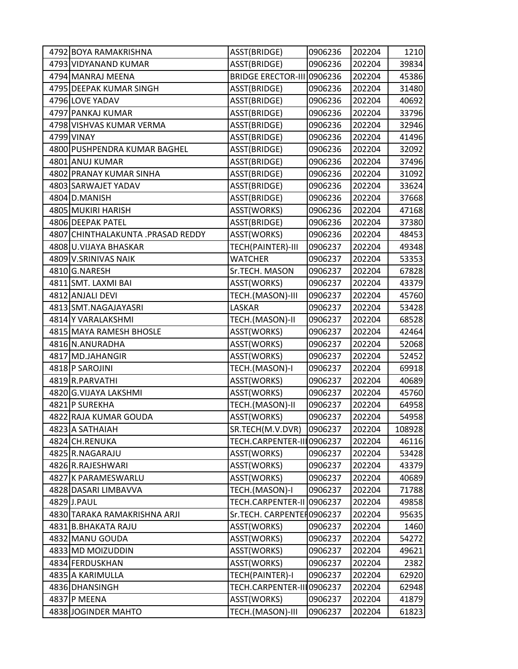| 4792 BOYA RAMAKRISHNA             | ASST(BRIDGE)               | 0906236 | 202204 | 1210   |
|-----------------------------------|----------------------------|---------|--------|--------|
| 4793 VIDYANAND KUMAR              | ASST(BRIDGE)               | 0906236 | 202204 | 39834  |
| 4794 MANRAJ MEENA                 | <b>BRIDGE ERECTOR-III</b>  | 0906236 | 202204 | 45386  |
| 4795 DEEPAK KUMAR SINGH           | ASST(BRIDGE)               | 0906236 | 202204 | 31480  |
| 4796 LOVE YADAV                   | ASST(BRIDGE)               | 0906236 | 202204 | 40692  |
| 4797 PANKAJ KUMAR                 | ASST(BRIDGE)               | 0906236 | 202204 | 33796  |
| 4798 VISHVAS KUMAR VERMA          | ASST(BRIDGE)               | 0906236 | 202204 | 32946  |
| 4799 VINAY                        | ASST(BRIDGE)               | 0906236 | 202204 | 41496  |
| 4800 PUSHPENDRA KUMAR BAGHEL      | ASST(BRIDGE)               | 0906236 | 202204 | 32092  |
| 4801 ANUJ KUMAR                   | ASST(BRIDGE)               | 0906236 | 202204 | 37496  |
| 4802 PRANAY KUMAR SINHA           | ASST(BRIDGE)               | 0906236 | 202204 | 31092  |
| 4803 SARWAJET YADAV               | ASST(BRIDGE)               | 0906236 | 202204 | 33624  |
| 4804 D.MANISH                     | ASST(BRIDGE)               | 0906236 | 202204 | 37668  |
| 4805 MUKIRI HARISH                | ASST(WORKS)                | 0906236 | 202204 | 47168  |
| 4806 DEEPAK PATEL                 | ASST(BRIDGE)               | 0906236 | 202204 | 37380  |
| 4807 CHINTHALAKUNTA .PRASAD REDDY | ASST(WORKS)                | 0906236 | 202204 | 48453  |
| 4808 U.VIJAYA BHASKAR             | TECH(PAINTER)-III          | 0906237 | 202204 | 49348  |
| 4809 V.SRINIVAS NAIK              | <b>WATCHER</b>             | 0906237 | 202204 | 53353  |
| 4810 G.NARESH                     | Sr.TECH. MASON             | 0906237 | 202204 | 67828  |
| 4811 SMT. LAXMI BAI               | ASST(WORKS)                | 0906237 | 202204 | 43379  |
| 4812 ANJALI DEVI                  | TECH.(MASON)-III           | 0906237 | 202204 | 45760  |
| 4813 SMT.NAGAJAYASRI              | LASKAR                     | 0906237 | 202204 | 53428  |
| 4814 Y VARALAKSHMI                | TECH.(MASON)-II            | 0906237 | 202204 | 68528  |
| 4815 MAYA RAMESH BHOSLE           | ASST(WORKS)                | 0906237 | 202204 | 42464  |
| 4816 N.ANURADHA                   | ASST(WORKS)                | 0906237 | 202204 | 52068  |
| 4817 MD.JAHANGIR                  | ASST(WORKS)                | 0906237 | 202204 | 52452  |
| 4818 P SAROJINI                   | TECH.(MASON)-I             | 0906237 | 202204 | 69918  |
| 4819 R.PARVATHI                   | ASST(WORKS)                | 0906237 | 202204 | 40689  |
| 4820 G.VIJAYA LAKSHMI             | ASST(WORKS)                | 0906237 | 202204 | 45760  |
| 4821 P SUREKHA                    | TECH.(MASON)-II            | 0906237 | 202204 | 64958  |
| 4822 RAJA KUMAR GOUDA             | ASST(WORKS)                | 0906237 | 202204 | 54958  |
| 4823 A SATHAIAH                   | SR.TECH(M.V.DVR)           | 0906237 | 202204 | 108928 |
| 4824 CH.RENUKA                    | TECH.CARPENTER-III0906237  |         | 202204 | 46116  |
| 4825 R.NAGARAJU                   | ASST(WORKS)                | 0906237 | 202204 | 53428  |
| 4826 R.RAJESHWARI                 | ASST(WORKS)                | 0906237 | 202204 | 43379  |
| 4827 K PARAMESWARLU               | ASST(WORKS)                | 0906237 | 202204 | 40689  |
| 4828 DASARI LIMBAVVA              | TECH.(MASON)-I             | 0906237 | 202204 | 71788  |
| 4829 J.PAUL                       | <b>TECH.CARPENTER-II</b>   | 0906237 | 202204 | 49858  |
| 4830 TARAKA RAMAKRISHNA ARJI      | Sr.TECH. CARPENTEH0906237  |         | 202204 | 95635  |
| 4831 B.BHAKATA RAJU               | ASST(WORKS)                | 0906237 | 202204 | 1460   |
| 4832 MANU GOUDA                   | ASST(WORKS)                | 0906237 | 202204 | 54272  |
| 4833 MD MOIZUDDIN                 | ASST(WORKS)                | 0906237 | 202204 | 49621  |
| 4834 FERDUSKHAN                   | ASST(WORKS)                | 0906237 | 202204 | 2382   |
| 4835 A KARIMULLA                  | TECH(PAINTER)-I            | 0906237 | 202204 | 62920  |
| 4836 DHANSINGH                    | TECH.CARPENTER-III 0906237 |         | 202204 | 62948  |
| 4837 P MEENA                      | ASST(WORKS)                | 0906237 | 202204 | 41879  |
| 4838 JOGINDER MAHTO               | TECH.(MASON)-III           | 0906237 | 202204 | 61823  |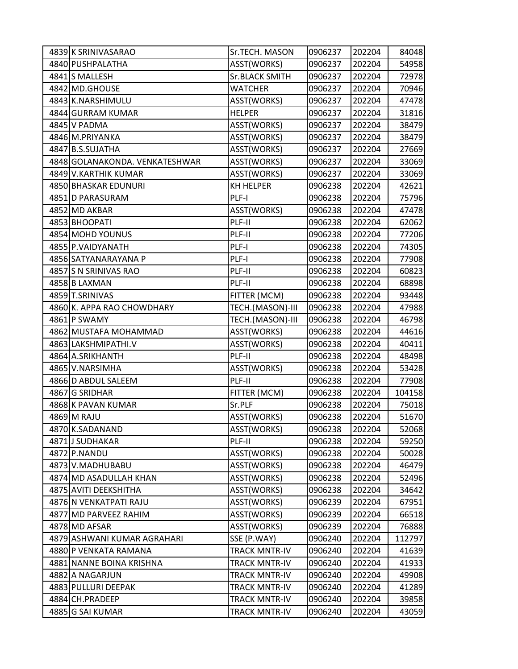| 4839 K SRINIVASARAO            | Sr.TECH. MASON        | 0906237 | 202204 | 84048  |
|--------------------------------|-----------------------|---------|--------|--------|
| 4840 PUSHPALATHA               | ASST(WORKS)           | 0906237 | 202204 | 54958  |
| 4841 S MALLESH                 | <b>Sr.BLACK SMITH</b> | 0906237 | 202204 | 72978  |
| 4842 MD.GHOUSE                 | <b>WATCHER</b>        | 0906237 | 202204 | 70946  |
| 4843 K.NARSHIMULU              | ASST(WORKS)           | 0906237 | 202204 | 47478  |
| 4844 GURRAM KUMAR              | <b>HELPER</b>         | 0906237 | 202204 | 31816  |
| 4845 V PADMA                   | ASST(WORKS)           | 0906237 | 202204 | 38479  |
| 4846 M.PRIYANKA                | ASST(WORKS)           | 0906237 | 202204 | 38479  |
| 4847 B.S.SUJATHA               | ASST(WORKS)           | 0906237 | 202204 | 27669  |
| 4848 GOLANAKONDA. VENKATESHWAR | ASST(WORKS)           | 0906237 | 202204 | 33069  |
| 4849 V.KARTHIK KUMAR           | ASST(WORKS)           | 0906237 | 202204 | 33069  |
| 4850 BHASKAR EDUNURI           | KH HELPER             | 0906238 | 202204 | 42621  |
| 4851 D PARASURAM               | PLF-I                 | 0906238 | 202204 | 75796  |
| 4852 MD AKBAR                  | ASST(WORKS)           | 0906238 | 202204 | 47478  |
| 4853 BHOOPATI                  | PLF-II                | 0906238 | 202204 | 62062  |
| 4854 MOHD YOUNUS               | PLF-II                | 0906238 | 202204 | 77206  |
| 4855 P.VAIDYANATH              | PLF-I                 | 0906238 | 202204 | 74305  |
| 4856 SATYANARAYANA P           | PLF-I                 | 0906238 | 202204 | 77908  |
| 4857 S N SRINIVAS RAO          | PLF-II                | 0906238 | 202204 | 60823  |
| 4858 B LAXMAN                  | PLF-II                | 0906238 | 202204 | 68898  |
| 4859 T.SRINIVAS                | FITTER (MCM)          | 0906238 | 202204 | 93448  |
| 4860 K. APPA RAO CHOWDHARY     | TECH.(MASON)-III      | 0906238 | 202204 | 47988  |
| 4861 P SWAMY                   | TECH.(MASON)-III      | 0906238 | 202204 | 46798  |
| 4862 MUSTAFA MOHAMMAD          | ASST(WORKS)           | 0906238 | 202204 | 44616  |
| 4863 LAKSHMIPATHI.V            | ASST(WORKS)           | 0906238 | 202204 | 40411  |
| 4864 A.SRIKHANTH               | PLF-II                | 0906238 | 202204 | 48498  |
| 4865 V.NARSIMHA                | ASST(WORKS)           | 0906238 | 202204 | 53428  |
| 4866 D ABDUL SALEEM            | PLF-II                | 0906238 | 202204 | 77908  |
| 4867 G SRIDHAR                 | FITTER (MCM)          | 0906238 | 202204 | 104158 |
| 4868 K PAVAN KUMAR             | Sr.PLF                | 0906238 | 202204 | 75018  |
| 4869 M RAJU                    | ASST(WORKS)           | 0906238 | 202204 | 51670  |
| 4870 K.SADANAND                | ASST(WORKS)           | 0906238 | 202204 | 52068  |
| 4871JJ SUDHAKAR                | PLF-II                | 0906238 | 202204 | 59250  |
| 4872 P.NANDU                   | ASST(WORKS)           | 0906238 | 202204 | 50028  |
| 4873 V.MADHUBABU               | ASST(WORKS)           | 0906238 | 202204 | 46479  |
| 4874 MD ASADULLAH KHAN         | ASST(WORKS)           | 0906238 | 202204 | 52496  |
| 4875 AVITI DEEKSHITHA          | ASST(WORKS)           | 0906238 | 202204 | 34642  |
| 4876 N VENKATPATI RAJU         | ASST(WORKS)           | 0906239 | 202204 | 67951  |
| 4877 MD PARVEEZ RAHIM          | ASST(WORKS)           | 0906239 | 202204 | 66518  |
| 4878 MD AFSAR                  | ASST(WORKS)           | 0906239 | 202204 | 76888  |
| 4879 ASHWANI KUMAR AGRAHARI    | SSE (P.WAY)           | 0906240 | 202204 | 112797 |
| 4880 P VENKATA RAMANA          | <b>TRACK MNTR-IV</b>  | 0906240 | 202204 | 41639  |
| 4881 NANNE BOINA KRISHNA       | <b>TRACK MNTR-IV</b>  | 0906240 | 202204 | 41933  |
| 4882 A NAGARJUN                | TRACK MNTR-IV         | 0906240 | 202204 | 49908  |
| 4883 PULLURI DEEPAK            | <b>TRACK MNTR-IV</b>  | 0906240 | 202204 | 41289  |
| 4884 CH.PRADEEP                | <b>TRACK MNTR-IV</b>  | 0906240 | 202204 | 39858  |
| 4885 G SAI KUMAR               | <b>TRACK MNTR-IV</b>  | 0906240 | 202204 | 43059  |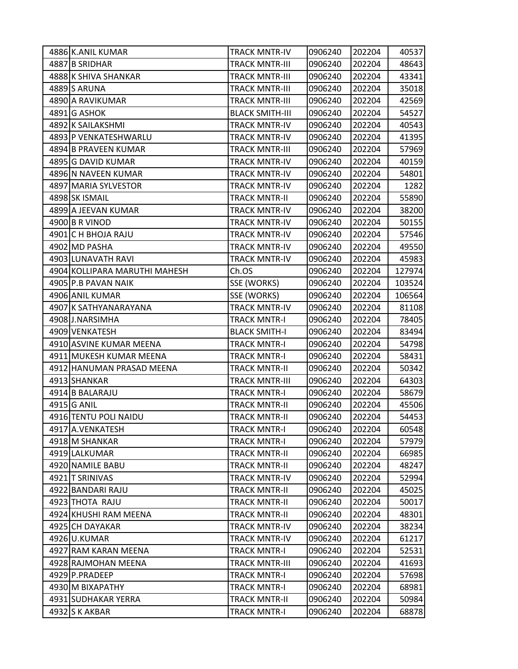| 4886 K.ANIL KUMAR             | TRACK MNTR-IV          | 0906240 | 202204 | 40537  |
|-------------------------------|------------------------|---------|--------|--------|
| 4887 B SRIDHAR                | <b>TRACK MNTR-III</b>  | 0906240 | 202204 | 48643  |
| 4888 K SHIVA SHANKAR          | <b>TRACK MNTR-III</b>  | 0906240 | 202204 | 43341  |
| 4889 S ARUNA                  | <b>TRACK MNTR-III</b>  | 0906240 | 202204 | 35018  |
| 4890 A RAVIKUMAR              | <b>TRACK MNTR-III</b>  | 0906240 | 202204 | 42569  |
| 4891 G ASHOK                  | <b>BLACK SMITH-III</b> | 0906240 | 202204 | 54527  |
| 4892 K SAILAKSHMI             | <b>TRACK MNTR-IV</b>   | 0906240 | 202204 | 40543  |
| 4893 P VENKATESHWARLU         | <b>TRACK MNTR-IV</b>   | 0906240 | 202204 | 41395  |
| 4894 B PRAVEEN KUMAR          | <b>TRACK MNTR-III</b>  | 0906240 | 202204 | 57969  |
| 4895 G DAVID KUMAR            | <b>TRACK MNTR-IV</b>   | 0906240 | 202204 | 40159  |
| 4896 N NAVEEN KUMAR           | TRACK MNTR-IV          | 0906240 | 202204 | 54801  |
| 4897 MARIA SYLVESTOR          | <b>TRACK MNTR-IV</b>   | 0906240 | 202204 | 1282   |
| 4898 SK ISMAIL                | TRACK MNTR-II          | 0906240 | 202204 | 55890  |
| 4899 A JEEVAN KUMAR           | <b>TRACK MNTR-IV</b>   | 0906240 | 202204 | 38200  |
| 4900 B R VINOD                | <b>TRACK MNTR-IV</b>   | 0906240 | 202204 | 50155  |
| 4901 C H BHOJA RAJU           | <b>TRACK MNTR-IV</b>   | 0906240 | 202204 | 57546  |
| 4902 MD PASHA                 | <b>TRACK MNTR-IV</b>   | 0906240 | 202204 | 49550  |
| 4903 LUNAVATH RAVI            | <b>TRACK MNTR-IV</b>   | 0906240 | 202204 | 45983  |
| 4904 KOLLIPARA MARUTHI MAHESH | Ch.OS                  | 0906240 | 202204 | 127974 |
| 4905 P.B PAVAN NAIK           | SSE (WORKS)            | 0906240 | 202204 | 103524 |
| 4906 ANIL KUMAR               | SSE (WORKS)            | 0906240 | 202204 | 106564 |
| 4907 K SATHYANARAYANA         | <b>TRACK MNTR-IV</b>   | 0906240 | 202204 | 81108  |
| 4908 J.NARSIMHA               | <b>TRACK MNTR-I</b>    | 0906240 | 202204 | 78405  |
| 4909 VENKATESH                | <b>BLACK SMITH-I</b>   | 0906240 | 202204 | 83494  |
| 4910 ASVINE KUMAR MEENA       | <b>TRACK MNTR-I</b>    | 0906240 | 202204 | 54798  |
| 4911 MUKESH KUMAR MEENA       | <b>TRACK MNTR-I</b>    | 0906240 | 202204 | 58431  |
| 4912 HANUMAN PRASAD MEENA     | <b>TRACK MNTR-II</b>   | 0906240 | 202204 | 50342  |
| 4913 SHANKAR                  | <b>TRACK MNTR-III</b>  | 0906240 | 202204 | 64303  |
| 4914 B BALARAJU               | <b>TRACK MNTR-I</b>    | 0906240 | 202204 | 58679  |
| 4915 G ANIL                   | <b>TRACK MNTR-II</b>   | 0906240 | 202204 | 45506  |
| 4916 TENTU POLI NAIDU         | <b>TRACK MNTR-II</b>   | 0906240 | 202204 | 54453  |
| 4917 A.VENKATESH              | <b>TRACK MNTR-I</b>    | 0906240 | 202204 | 60548  |
| 4918 M SHANKAR                | <b>TRACK MNTR-I</b>    | 0906240 | 202204 | 57979  |
| 4919 LALKUMAR                 | <b>TRACK MNTR-II</b>   | 0906240 | 202204 | 66985  |
| 4920 NAMILE BABU              | <b>TRACK MNTR-II</b>   | 0906240 | 202204 | 48247  |
| 4921 T SRINIVAS               | <b>TRACK MNTR-IV</b>   | 0906240 | 202204 | 52994  |
| 4922 BANDARI RAJU             | <b>TRACK MNTR-II</b>   | 0906240 | 202204 | 45025  |
| 4923 THOTA RAJU               | <b>TRACK MNTR-II</b>   | 0906240 | 202204 | 50017  |
| 4924 KHUSHI RAM MEENA         | <b>TRACK MNTR-II</b>   | 0906240 | 202204 | 48301  |
| 4925 CH DAYAKAR               | <b>TRACK MNTR-IV</b>   | 0906240 | 202204 | 38234  |
| 4926 U.KUMAR                  | <b>TRACK MNTR-IV</b>   | 0906240 | 202204 | 61217  |
| 4927 RAM KARAN MEENA          | <b>TRACK MNTR-I</b>    | 0906240 | 202204 | 52531  |
| 4928 RAJMOHAN MEENA           | <b>TRACK MNTR-III</b>  | 0906240 | 202204 | 41693  |
| 4929 P.PRADEEP                | <b>TRACK MNTR-I</b>    | 0906240 | 202204 | 57698  |
| 4930 M BIXAPATHY              | <b>TRACK MNTR-I</b>    | 0906240 | 202204 | 68981  |
| 4931 SUDHAKAR YERRA           | <b>TRACK MNTR-II</b>   | 0906240 | 202204 | 50984  |
| 4932 S K AKBAR                | <b>TRACK MNTR-I</b>    | 0906240 | 202204 | 68878  |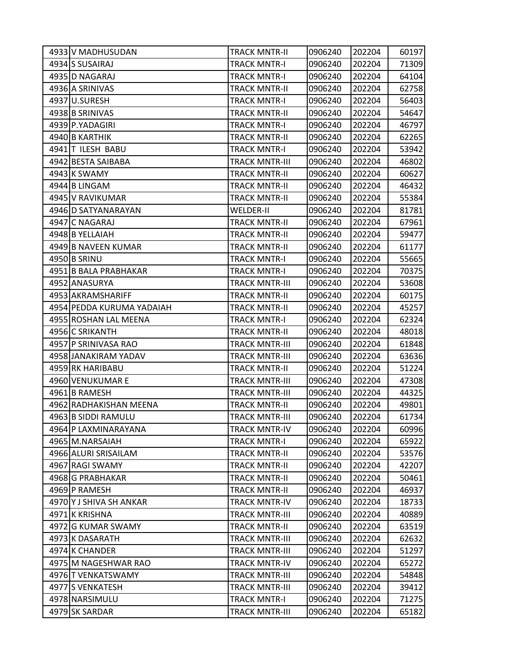| 4933 V MADHUSUDAN         | TRACK MNTR-II         | 0906240 | 202204 | 60197 |
|---------------------------|-----------------------|---------|--------|-------|
| 4934 S SUSAIRAJ           | <b>TRACK MNTR-I</b>   | 0906240 | 202204 | 71309 |
| 4935 D NAGARAJ            | TRACK MNTR-I          | 0906240 | 202204 | 64104 |
| 4936 A SRINIVAS           | <b>TRACK MNTR-II</b>  | 0906240 | 202204 | 62758 |
| 4937 U.SURESH             | <b>TRACK MNTR-I</b>   | 0906240 | 202204 | 56403 |
| 4938 B SRINIVAS           | TRACK MNTR-II         | 0906240 | 202204 | 54647 |
| 4939 P.YADAGIRI           | <b>TRACK MNTR-I</b>   | 0906240 | 202204 | 46797 |
| 4940 B KARTHIK            | TRACK MNTR-II         | 0906240 | 202204 | 62265 |
| 4941 T ILESH BABU         | <b>TRACK MNTR-I</b>   | 0906240 | 202204 | 53942 |
| 4942 BESTA SAIBABA        | <b>TRACK MNTR-III</b> | 0906240 | 202204 | 46802 |
| 4943 K SWAMY              | TRACK MNTR-II         | 0906240 | 202204 | 60627 |
| 4944 B LINGAM             | <b>TRACK MNTR-II</b>  | 0906240 | 202204 | 46432 |
| 4945 V RAVIKUMAR          | TRACK MNTR-II         | 0906240 | 202204 | 55384 |
| 4946 D SATYANARAYAN       | <b>WELDER-II</b>      | 0906240 | 202204 | 81781 |
| 4947 C NAGARAJ            | <b>TRACK MNTR-II</b>  | 0906240 | 202204 | 67961 |
| 4948 B YELLAIAH           | <b>TRACK MNTR-II</b>  | 0906240 | 202204 | 59477 |
| 4949 B NAVEEN KUMAR       | <b>TRACK MNTR-II</b>  | 0906240 | 202204 | 61177 |
| 4950 B SRINU              | <b>TRACK MNTR-I</b>   | 0906240 | 202204 | 55665 |
| 4951 B BALA PRABHAKAR     | <b>TRACK MNTR-I</b>   | 0906240 | 202204 | 70375 |
| 4952 ANASURYA             | <b>TRACK MNTR-III</b> | 0906240 | 202204 | 53608 |
| 4953 AKRAMSHARIFF         | <b>TRACK MNTR-II</b>  | 0906240 | 202204 | 60175 |
| 4954 PEDDA KURUMA YADAIAH | <b>TRACK MNTR-II</b>  | 0906240 | 202204 | 45257 |
| 4955 ROSHAN LAL MEENA     | <b>TRACK MNTR-I</b>   | 0906240 | 202204 | 62324 |
| 4956 C SRIKANTH           | <b>TRACK MNTR-II</b>  | 0906240 | 202204 | 48018 |
| 4957 P SRINIVASA RAO      | <b>TRACK MNTR-III</b> | 0906240 | 202204 | 61848 |
| 4958 JANAKIRAM YADAV      | <b>TRACK MNTR-III</b> | 0906240 | 202204 | 63636 |
| 4959 RK HARIBABU          | <b>TRACK MNTR-II</b>  | 0906240 | 202204 | 51224 |
| 4960 VENUKUMAR E          | <b>TRACK MNTR-III</b> | 0906240 | 202204 | 47308 |
| 4961 B RAMESH             | <b>TRACK MNTR-III</b> | 0906240 | 202204 | 44325 |
| 4962 RADHAKISHAN MEENA    | <b>TRACK MNTR-II</b>  | 0906240 | 202204 | 49801 |
| 4963 B SIDDI RAMULU       | <b>TRACK MNTR-III</b> | 0906240 | 202204 | 61734 |
| 4964 P LAXMINARAYANA      | <b>TRACK MNTR-IV</b>  | 0906240 | 202204 | 60996 |
| 4965 M.NARSAIAH           | <b>TRACK MNTR-I</b>   | 0906240 | 202204 | 65922 |
| 4966 ALURI SRISAILAM      | <b>TRACK MNTR-II</b>  | 0906240 | 202204 | 53576 |
| 4967 RAGI SWAMY           | <b>TRACK MNTR-II</b>  | 0906240 | 202204 | 42207 |
| 4968 G PRABHAKAR          | <b>TRACK MNTR-II</b>  | 0906240 | 202204 | 50461 |
| 4969 P RAMESH             | <b>TRACK MNTR-II</b>  | 0906240 | 202204 | 46937 |
| 4970 Y J SHIVA SH ANKAR   | <b>TRACK MNTR-IV</b>  | 0906240 | 202204 | 18733 |
| 4971 K KRISHNA            | <b>TRACK MNTR-III</b> | 0906240 | 202204 | 40889 |
| 4972 G KUMAR SWAMY        | <b>TRACK MNTR-II</b>  | 0906240 | 202204 | 63519 |
| 4973 K DASARATH           | <b>TRACK MNTR-III</b> | 0906240 | 202204 | 62632 |
| 4974 K CHANDER            | <b>TRACK MNTR-III</b> | 0906240 | 202204 | 51297 |
| 4975 M NAGESHWAR RAO      | <b>TRACK MNTR-IV</b>  | 0906240 | 202204 | 65272 |
| 4976 T VENKATSWAMY        | <b>TRACK MNTR-III</b> | 0906240 | 202204 | 54848 |
| 4977 S VENKATESH          | <b>TRACK MNTR-III</b> | 0906240 | 202204 | 39412 |
| 4978 NARSIMULU            | <b>TRACK MNTR-I</b>   | 0906240 | 202204 | 71275 |
| 4979 SK SARDAR            | TRACK MNTR-III        | 0906240 | 202204 | 65182 |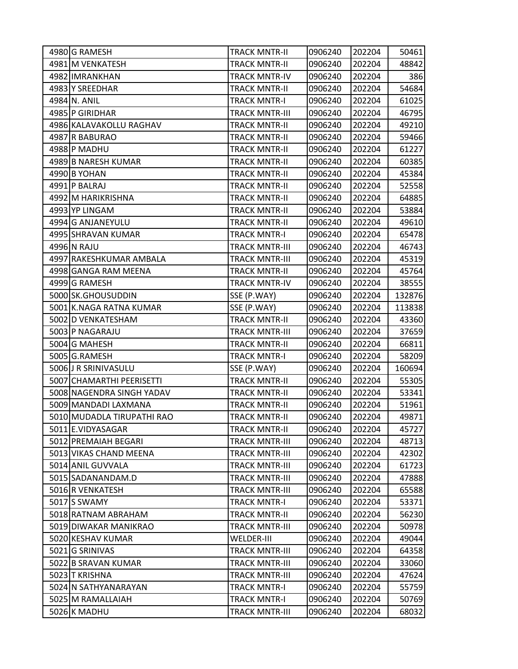| 4980 G RAMESH              | TRACK MNTR-II         | 0906240 | 202204 | 50461  |
|----------------------------|-----------------------|---------|--------|--------|
| 4981 M VENKATESH           | <b>TRACK MNTR-II</b>  | 0906240 | 202204 | 48842  |
| 4982 IMRANKHAN             | <b>TRACK MNTR-IV</b>  | 0906240 | 202204 | 386    |
| 4983 Y SREEDHAR            | <b>TRACK MNTR-II</b>  | 0906240 | 202204 | 54684  |
| 4984 N. ANIL               | <b>TRACK MNTR-I</b>   | 0906240 | 202204 | 61025  |
| 4985 P GIRIDHAR            | <b>TRACK MNTR-III</b> | 0906240 | 202204 | 46795  |
| 4986 KALAVAKOLLU RAGHAV    | <b>TRACK MNTR-II</b>  | 0906240 | 202204 | 49210  |
| 4987 R BABURAO             | <b>TRACK MNTR-II</b>  | 0906240 | 202204 | 59466  |
| 4988 P MADHU               | <b>TRACK MNTR-II</b>  | 0906240 | 202204 | 61227  |
| 4989 B NARESH KUMAR        | <b>TRACK MNTR-II</b>  | 0906240 | 202204 | 60385  |
| 4990 B YOHAN               | <b>TRACK MNTR-II</b>  | 0906240 | 202204 | 45384  |
| 4991 P BALRAJ              | <b>TRACK MNTR-II</b>  | 0906240 | 202204 | 52558  |
| 4992 M HARIKRISHNA         | <b>TRACK MNTR-II</b>  | 0906240 | 202204 | 64885  |
| 4993 YP LINGAM             | <b>TRACK MNTR-II</b>  | 0906240 | 202204 | 53884  |
| 4994 G ANJANEYULU          | <b>TRACK MNTR-II</b>  | 0906240 | 202204 | 49610  |
| 4995 SHRAVAN KUMAR         | <b>TRACK MNTR-I</b>   | 0906240 | 202204 | 65478  |
| 4996 N RAJU                | <b>TRACK MNTR-III</b> | 0906240 | 202204 | 46743  |
| 4997 RAKESHKUMAR AMBALA    | <b>TRACK MNTR-III</b> | 0906240 | 202204 | 45319  |
| 4998 GANGA RAM MEENA       | <b>TRACK MNTR-II</b>  | 0906240 | 202204 | 45764  |
| 4999 G RAMESH              | <b>TRACK MNTR-IV</b>  | 0906240 | 202204 | 38555  |
| 5000 SK.GHOUSUDDIN         | SSE (P.WAY)           | 0906240 | 202204 | 132876 |
| 5001 K.NAGA RATNA KUMAR    | SSE (P.WAY)           | 0906240 | 202204 | 113838 |
| 5002 D VENKATESHAM         | <b>TRACK MNTR-II</b>  | 0906240 | 202204 | 43360  |
| 5003 P NAGARAJU            | <b>TRACK MNTR-III</b> | 0906240 | 202204 | 37659  |
| 5004 G MAHESH              | <b>TRACK MNTR-II</b>  | 0906240 | 202204 | 66811  |
| 5005 G.RAMESH              | <b>TRACK MNTR-I</b>   | 0906240 | 202204 | 58209  |
| 5006 J R SRINIVASULU       | SSE (P.WAY)           | 0906240 | 202204 | 160694 |
| 5007 CHAMARTHI PEERISETTI  | <b>TRACK MNTR-II</b>  | 0906240 | 202204 | 55305  |
| 5008 NAGENDRA SINGH YADAV  | <b>TRACK MNTR-II</b>  | 0906240 | 202204 | 53341  |
| 5009 MANDADI LAXMANA       | <b>TRACK MNTR-II</b>  | 0906240 | 202204 | 51961  |
| 5010 MUDADLA TIRUPATHI RAO | <b>TRACK MNTR-II</b>  | 0906240 | 202204 | 49871  |
| 5011 E.VIDYASAGAR          | TRACK MNTR-II         | 0906240 | 202204 | 45727  |
| 5012 PREMAIAH BEGARI       | <b>TRACK MNTR-III</b> | 0906240 | 202204 | 48713  |
| 5013 VIKAS CHAND MEENA     | <b>TRACK MNTR-III</b> | 0906240 | 202204 | 42302  |
| 5014 ANIL GUVVALA          | <b>TRACK MNTR-III</b> | 0906240 | 202204 | 61723  |
| 5015 SADANANDAM.D          | <b>TRACK MNTR-III</b> | 0906240 | 202204 | 47888  |
| 5016 R VENKATESH           | <b>TRACK MNTR-III</b> | 0906240 | 202204 | 65588  |
| 5017 S SWAMY               | <b>TRACK MNTR-I</b>   | 0906240 | 202204 | 53371  |
| 5018 RATNAM ABRAHAM        | <b>TRACK MNTR-II</b>  | 0906240 | 202204 | 56230  |
| 5019 DIWAKAR MANIKRAO      | <b>TRACK MNTR-III</b> | 0906240 | 202204 | 50978  |
| 5020 KESHAV KUMAR          | <b>WELDER-III</b>     | 0906240 | 202204 | 49044  |
| 5021 G SRINIVAS            | <b>TRACK MNTR-III</b> | 0906240 | 202204 | 64358  |
| 5022 B SRAVAN KUMAR        | <b>TRACK MNTR-III</b> | 0906240 | 202204 | 33060  |
| 5023 T KRISHNA             | <b>TRACK MNTR-III</b> | 0906240 | 202204 | 47624  |
| 5024 N SATHYANARAYAN       | <b>TRACK MNTR-I</b>   | 0906240 | 202204 | 55759  |
| 5025 M RAMALLAIAH          | <b>TRACK MNTR-I</b>   | 0906240 | 202204 | 50769  |
| 5026 K MADHU               | <b>TRACK MNTR-III</b> | 0906240 | 202204 | 68032  |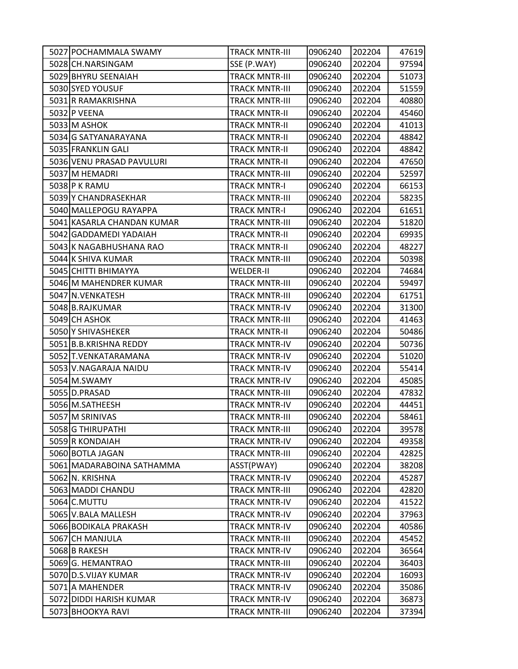| 5027 POCHAMMALA SWAMY      | <b>TRACK MNTR-III</b> | 0906240 | 202204 | 47619 |
|----------------------------|-----------------------|---------|--------|-------|
| 5028 CH.NARSINGAM          | SSE (P.WAY)           | 0906240 | 202204 | 97594 |
| 5029 BHYRU SEENAIAH        | <b>TRACK MNTR-III</b> | 0906240 | 202204 | 51073 |
| 5030 SYED YOUSUF           | <b>TRACK MNTR-III</b> | 0906240 | 202204 | 51559 |
| 5031 R RAMAKRISHNA         | <b>TRACK MNTR-III</b> | 0906240 | 202204 | 40880 |
| 5032 P VEENA               | <b>TRACK MNTR-II</b>  | 0906240 | 202204 | 45460 |
| 5033 M ASHOK               | <b>TRACK MNTR-II</b>  | 0906240 | 202204 | 41013 |
| 5034 G SATYANARAYANA       | <b>TRACK MNTR-II</b>  | 0906240 | 202204 | 48842 |
| 5035 FRANKLIN GALI         | <b>TRACK MNTR-II</b>  | 0906240 | 202204 | 48842 |
| 5036 VENU PRASAD PAVULURI  | <b>TRACK MNTR-II</b>  | 0906240 | 202204 | 47650 |
| 5037 M HEMADRI             | TRACK MNTR-III        | 0906240 | 202204 | 52597 |
| 5038 P K RAMU              | <b>TRACK MNTR-I</b>   | 0906240 | 202204 | 66153 |
| 5039 Y CHANDRASEKHAR       | <b>TRACK MNTR-III</b> | 0906240 | 202204 | 58235 |
| 5040 MALLEPOGU RAYAPPA     | <b>TRACK MNTR-I</b>   | 0906240 | 202204 | 61651 |
| 5041 KASARLA CHANDAN KUMAR | <b>TRACK MNTR-III</b> | 0906240 | 202204 | 51820 |
| 5042 GADDAMEDI YADAIAH     | <b>TRACK MNTR-II</b>  | 0906240 | 202204 | 69935 |
| 5043 K NAGABHUSHANA RAO    | <b>TRACK MNTR-II</b>  | 0906240 | 202204 | 48227 |
| 5044 K SHIVA KUMAR         | <b>TRACK MNTR-III</b> | 0906240 | 202204 | 50398 |
| 5045 CHITTI BHIMAYYA       | <b>WELDER-II</b>      | 0906240 | 202204 | 74684 |
| 5046 M MAHENDRER KUMAR     | <b>TRACK MNTR-III</b> | 0906240 | 202204 | 59497 |
| 5047 N. VENKATESH          | <b>TRACK MNTR-III</b> | 0906240 | 202204 | 61751 |
| 5048 B.RAJKUMAR            | <b>TRACK MNTR-IV</b>  | 0906240 | 202204 | 31300 |
| 5049 CH ASHOK              | <b>TRACK MNTR-III</b> | 0906240 | 202204 | 41463 |
| 5050 Y SHIVASHEKER         | <b>TRACK MNTR-II</b>  | 0906240 | 202204 | 50486 |
| 5051 B.B.KRISHNA REDDY     | <b>TRACK MNTR-IV</b>  | 0906240 | 202204 | 50736 |
| 5052 T.VENKATARAMANA       | <b>TRACK MNTR-IV</b>  | 0906240 | 202204 | 51020 |
| 5053 V.NAGARAJA NAIDU      | <b>TRACK MNTR-IV</b>  | 0906240 | 202204 | 55414 |
| 5054 M.SWAMY               | <b>TRACK MNTR-IV</b>  | 0906240 | 202204 | 45085 |
| 5055 D.PRASAD              | <b>TRACK MNTR-III</b> | 0906240 | 202204 | 47832 |
| 5056 M.SATHEESH            | <b>TRACK MNTR-IV</b>  | 0906240 | 202204 | 44451 |
| 5057 M SRINIVAS            | <b>TRACK MNTR-III</b> | 0906240 | 202204 | 58461 |
| 5058 G THIRUPATHI          | <b>TRACK MNTR-III</b> | 0906240 | 202204 | 39578 |
| 5059R KONDAIAH             | <b>TRACK MNTR-IV</b>  | 0906240 | 202204 | 49358 |
| 5060 BOTLA JAGAN           | <b>TRACK MNTR-III</b> | 0906240 | 202204 | 42825 |
| 5061 MADARABOINA SATHAMMA  | ASST(PWAY)            | 0906240 | 202204 | 38208 |
| 5062 N. KRISHNA            | <b>TRACK MNTR-IV</b>  | 0906240 | 202204 | 45287 |
| 5063 MADDI CHANDU          | <b>TRACK MNTR-III</b> | 0906240 | 202204 | 42820 |
| 5064 C.MUTTU               | <b>TRACK MNTR-IV</b>  | 0906240 | 202204 | 41522 |
| 5065 V.BALA MALLESH        | <b>TRACK MNTR-IV</b>  | 0906240 | 202204 | 37963 |
| 5066 BODIKALA PRAKASH      | <b>TRACK MNTR-IV</b>  | 0906240 | 202204 | 40586 |
| 5067 CH MANJULA            | <b>TRACK MNTR-III</b> | 0906240 | 202204 | 45452 |
| 5068 B RAKESH              | <b>TRACK MNTR-IV</b>  | 0906240 | 202204 | 36564 |
| 5069 G. HEMANTRAO          | <b>TRACK MNTR-III</b> | 0906240 | 202204 | 36403 |
| 5070 D.S.VIJAY KUMAR       | <b>TRACK MNTR-IV</b>  | 0906240 | 202204 | 16093 |
| 5071 A MAHENDER            | <b>TRACK MNTR-IV</b>  | 0906240 | 202204 | 35086 |
| 5072 DIDDI HARISH KUMAR    | <b>TRACK MNTR-IV</b>  | 0906240 | 202204 | 36873 |
| 5073 BHOOKYA RAVI          | <b>TRACK MNTR-III</b> | 0906240 | 202204 | 37394 |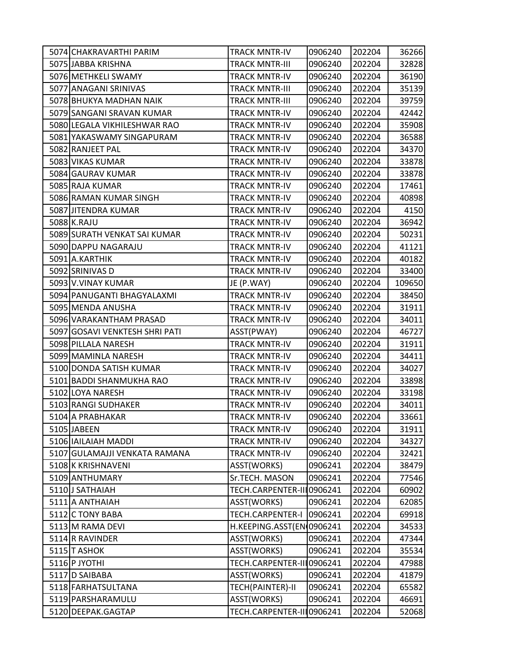| 5074 CHAKRAVARTHI PARIM        | <b>TRACK MNTR-IV</b>      | 0906240 | 202204 | 36266  |
|--------------------------------|---------------------------|---------|--------|--------|
| 5075 JABBA KRISHNA             | <b>TRACK MNTR-III</b>     | 0906240 | 202204 | 32828  |
| 5076 METHKELI SWAMY            | <b>TRACK MNTR-IV</b>      | 0906240 | 202204 | 36190  |
| 5077 ANAGANI SRINIVAS          | <b>TRACK MNTR-III</b>     | 0906240 | 202204 | 35139  |
| 5078 BHUKYA MADHAN NAIK        | <b>TRACK MNTR-III</b>     | 0906240 | 202204 | 39759  |
| 5079 SANGANI SRAVAN KUMAR      | <b>TRACK MNTR-IV</b>      | 0906240 | 202204 | 42442  |
| 5080 LEGALA VIKHILESHWAR RAO   | <b>TRACK MNTR-IV</b>      | 0906240 | 202204 | 35908  |
| 5081 YAKASWAMY SINGAPURAM      | <b>TRACK MNTR-IV</b>      | 0906240 | 202204 | 36588  |
| 5082 RANJEET PAL               | <b>TRACK MNTR-IV</b>      | 0906240 | 202204 | 34370  |
| 5083 VIKAS KUMAR               | <b>TRACK MNTR-IV</b>      | 0906240 | 202204 | 33878  |
| 5084 GAURAV KUMAR              | <b>TRACK MNTR-IV</b>      | 0906240 | 202204 | 33878  |
| 5085 RAJA KUMAR                | <b>TRACK MNTR-IV</b>      | 0906240 | 202204 | 17461  |
| 5086 RAMAN KUMAR SINGH         | <b>TRACK MNTR-IV</b>      | 0906240 | 202204 | 40898  |
| 5087 JITENDRA KUMAR            | <b>TRACK MNTR-IV</b>      | 0906240 | 202204 | 4150   |
| 5088 K.RAJU                    | <b>TRACK MNTR-IV</b>      | 0906240 | 202204 | 36942  |
| 5089 SURATH VENKAT SAI KUMAR   | <b>TRACK MNTR-IV</b>      | 0906240 | 202204 | 50231  |
| 5090 DAPPU NAGARAJU            | <b>TRACK MNTR-IV</b>      | 0906240 | 202204 | 41121  |
| 5091 A.KARTHIK                 | <b>TRACK MNTR-IV</b>      | 0906240 | 202204 | 40182  |
| 5092 SRINIVAS D                | <b>TRACK MNTR-IV</b>      | 0906240 | 202204 | 33400  |
| 5093 V.VINAY KUMAR             | JE (P.WAY)                | 0906240 | 202204 | 109650 |
| 5094 PANUGANTI BHAGYALAXMI     | <b>TRACK MNTR-IV</b>      | 0906240 | 202204 | 38450  |
| 5095 MENDA ANUSHA              | <b>TRACK MNTR-IV</b>      | 0906240 | 202204 | 31911  |
| 5096 VARAKANTHAM PRASAD        | <b>TRACK MNTR-IV</b>      | 0906240 | 202204 | 34011  |
| 5097 GOSAVI VENKTESH SHRI PATI | ASST(PWAY)                | 0906240 | 202204 | 46727  |
| 5098 PILLALA NARESH            | <b>TRACK MNTR-IV</b>      | 0906240 | 202204 | 31911  |
| 5099 MAMINLA NARESH            | <b>TRACK MNTR-IV</b>      | 0906240 | 202204 | 34411  |
| 5100 DONDA SATISH KUMAR        | <b>TRACK MNTR-IV</b>      | 0906240 | 202204 | 34027  |
| 5101 BADDI SHANMUKHA RAO       | <b>TRACK MNTR-IV</b>      | 0906240 | 202204 | 33898  |
| 5102 LOYA NARESH               | <b>TRACK MNTR-IV</b>      | 0906240 | 202204 | 33198  |
| 5103 RANGI SUDHAKER            | <b>TRACK MNTR-IV</b>      | 0906240 | 202204 | 34011  |
| 5104 A PRABHAKAR               | <b>TRACK MNTR-IV</b>      | 0906240 | 202204 | 33661  |
| 5105 JABEEN                    | <b>TRACK MNTR-IV</b>      | 0906240 | 202204 | 31911  |
| 5106 IAILAIAH MADDI            | <b>TRACK MNTR-IV</b>      | 0906240 | 202204 | 34327  |
| 5107 GULAMAJJI VENKATA RAMANA  | <b>TRACK MNTR-IV</b>      | 0906240 | 202204 | 32421  |
| 5108 K KRISHNAVENI             | ASST(WORKS)               | 0906241 | 202204 | 38479  |
| 5109 ANTHUMARY                 | Sr.TECH. MASON            | 0906241 | 202204 | 77546  |
| 5110 J SATHAIAH                | TECH.CARPENTER-III0906241 |         | 202204 | 60902  |
| 5111 A ANTHAIAH                | ASST(WORKS)               | 0906241 | 202204 | 62085  |
| 5112 C TONY BABA               | TECH.CARPENTER-I          | 0906241 | 202204 | 69918  |
| 5113 M RAMA DEVI               | H.KEEPING.ASST(EN 0906241 |         | 202204 | 34533  |
| 5114 R RAVINDER                | ASST(WORKS)               | 0906241 | 202204 | 47344  |
| 5115 T ASHOK                   | ASST(WORKS)               | 0906241 | 202204 | 35534  |
| 5116 P JYOTHI                  | TECH.CARPENTER-III0906241 |         | 202204 | 47988  |
| 5117 D SAIBABA                 | ASST(WORKS)               | 0906241 | 202204 | 41879  |
| 5118 FARHATSULTANA             | TECH(PAINTER)-II          | 0906241 | 202204 | 65582  |
| 5119 PARSHARAMULU              | ASST(WORKS)               | 0906241 | 202204 | 46691  |
| 5120 DEEPAK.GAGTAP             | TECH.CARPENTER-III0906241 |         | 202204 | 52068  |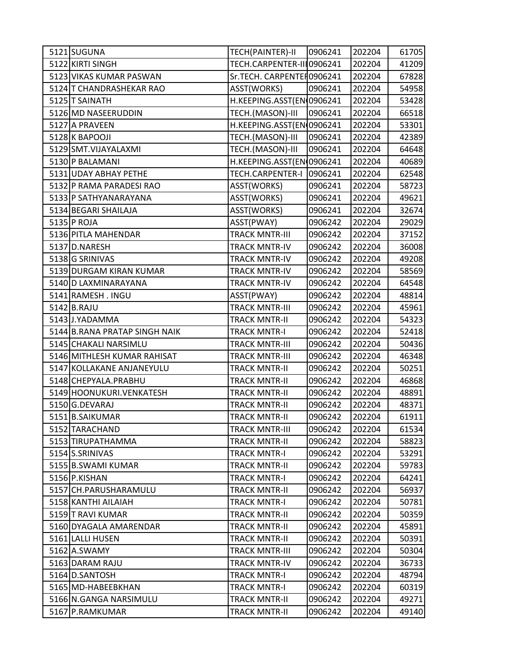| 5121 SUGUNA                   | TECH(PAINTER)-II           | 0906241 | 202204 | 61705 |
|-------------------------------|----------------------------|---------|--------|-------|
| 5122 KIRTI SINGH              | TECH.CARPENTER-III0906241  |         | 202204 | 41209 |
| 5123 VIKAS KUMAR PASWAN       | Sr.TECH. CARPENTEI 0906241 |         | 202204 | 67828 |
| 5124 T CHANDRASHEKAR RAO      | ASST(WORKS)                | 0906241 | 202204 | 54958 |
| 5125 T SAINATH                | H.KEEPING.ASST(EN(0906241  |         | 202204 | 53428 |
| 5126 MD NASEERUDDIN           | TECH.(MASON)-III           | 0906241 | 202204 | 66518 |
| 5127 A PRAVEEN                | H.KEEPING.ASST(EN 0906241  |         | 202204 | 53301 |
| 5128K BAPOOJI                 | TECH.(MASON)-III           | 0906241 | 202204 | 42389 |
| 5129 SMT.VIJAYALAXMI          | TECH.(MASON)-III           | 0906241 | 202204 | 64648 |
| 5130 P BALAMANI               | H.KEEPING.ASST(EN(0906241  |         | 202204 | 40689 |
| 5131 UDAY ABHAY PETHE         | TECH.CARPENTER-I           | 0906241 | 202204 | 62548 |
| 5132 P RAMA PARADESI RAO      | ASST(WORKS)                | 0906241 | 202204 | 58723 |
| 5133 P SATHYANARAYANA         | ASST(WORKS)                | 0906241 | 202204 | 49621 |
| 5134 BEGARI SHAILAJA          | ASST(WORKS)                | 0906241 | 202204 | 32674 |
| 5135 P ROJA                   | ASST(PWAY)                 | 0906242 | 202204 | 29029 |
| 5136 PITLA MAHENDAR           | <b>TRACK MNTR-III</b>      | 0906242 | 202204 | 37152 |
| 5137 D.NARESH                 | <b>TRACK MNTR-IV</b>       | 0906242 | 202204 | 36008 |
| 5138 G SRINIVAS               | <b>TRACK MNTR-IV</b>       | 0906242 | 202204 | 49208 |
| 5139 DURGAM KIRAN KUMAR       | <b>TRACK MNTR-IV</b>       | 0906242 | 202204 | 58569 |
| 5140 D LAXMINARAYANA          | <b>TRACK MNTR-IV</b>       | 0906242 | 202204 | 64548 |
| 5141 RAMESH . INGU            | ASST(PWAY)                 | 0906242 | 202204 | 48814 |
| 5142 B.RAJU                   | <b>TRACK MNTR-III</b>      | 0906242 | 202204 | 45961 |
| 5143 J.YADAMMA                | <b>TRACK MNTR-II</b>       | 0906242 | 202204 | 54323 |
| 5144 B.RANA PRATAP SINGH NAIK | <b>TRACK MNTR-I</b>        | 0906242 | 202204 | 52418 |
| 5145 CHAKALI NARSIMLU         | <b>TRACK MNTR-III</b>      | 0906242 | 202204 | 50436 |
| 5146 MITHLESH KUMAR RAHISAT   | <b>TRACK MNTR-III</b>      | 0906242 | 202204 | 46348 |
| 5147 KOLLAKANE ANJANEYULU     | <b>TRACK MNTR-II</b>       | 0906242 | 202204 | 50251 |
| 5148 CHEPYALA.PRABHU          | <b>TRACK MNTR-II</b>       | 0906242 | 202204 | 46868 |
| 5149 HOONUKURI.VENKATESH      | <b>TRACK MNTR-II</b>       | 0906242 | 202204 | 48891 |
| 5150 G.DEVARAJ                | <b>TRACK MNTR-II</b>       | 0906242 | 202204 | 48371 |
| 5151 B.SAIKUMAR               | <b>TRACK MNTR-II</b>       | 0906242 | 202204 | 61911 |
| 5152 TARACHAND                | <b>TRACK MNTR-III</b>      | 0906242 | 202204 | 61534 |
| 5153 TIRUPATHAMMA             | <b>TRACK MNTR-II</b>       | 0906242 | 202204 | 58823 |
| 5154 S.SRINIVAS               | <b>TRACK MNTR-I</b>        | 0906242 | 202204 | 53291 |
| 5155 B.SWAMI KUMAR            | <b>TRACK MNTR-II</b>       | 0906242 | 202204 | 59783 |
| 5156 P.KISHAN                 | <b>TRACK MNTR-I</b>        | 0906242 | 202204 | 64241 |
| 5157 CH.PARUSHARAMULU         | <b>TRACK MNTR-II</b>       | 0906242 | 202204 | 56937 |
| 5158 KANTHI AILAIAH           | <b>TRACK MNTR-I</b>        | 0906242 | 202204 | 50781 |
| 5159 T RAVI KUMAR             | <b>TRACK MNTR-II</b>       | 0906242 | 202204 | 50359 |
| 5160 DYAGALA AMARENDAR        | <b>TRACK MNTR-II</b>       | 0906242 | 202204 | 45891 |
| 5161 LALLI HUSEN              | <b>TRACK MNTR-II</b>       | 0906242 | 202204 | 50391 |
| 5162 A.SWAMY                  | <b>TRACK MNTR-III</b>      | 0906242 | 202204 | 50304 |
| 5163 DARAM RAJU               | <b>TRACK MNTR-IV</b>       | 0906242 | 202204 | 36733 |
| 5164 D.SANTOSH                | <b>TRACK MNTR-I</b>        | 0906242 | 202204 | 48794 |
| 5165 MD-HABEEBKHAN            | <b>TRACK MNTR-I</b>        | 0906242 | 202204 | 60319 |
| 5166 N.GANGA NARSIMULU        | <b>TRACK MNTR-II</b>       | 0906242 | 202204 | 49271 |
| 5167 P.RAMKUMAR               | <b>TRACK MNTR-II</b>       | 0906242 | 202204 | 49140 |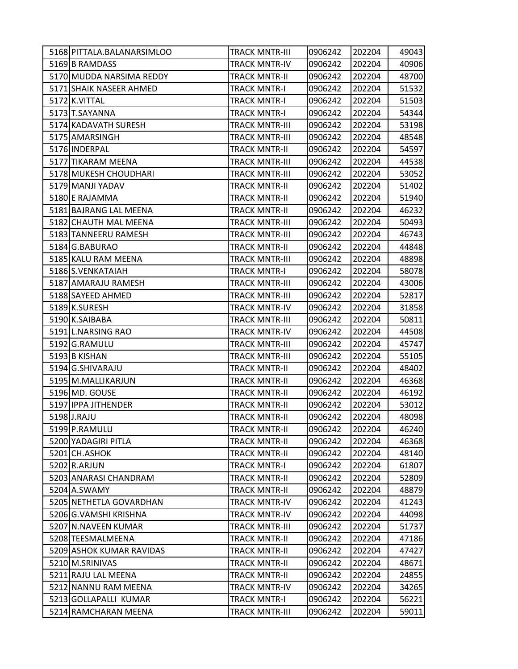| 5168 PITTALA.BALANARSIMLOO | <b>TRACK MNTR-III</b> | 0906242 | 202204 | 49043 |
|----------------------------|-----------------------|---------|--------|-------|
| 5169 B RAMDASS             | <b>TRACK MNTR-IV</b>  | 0906242 | 202204 | 40906 |
| 5170 MUDDA NARSIMA REDDY   | <b>TRACK MNTR-II</b>  | 0906242 | 202204 | 48700 |
| 5171 SHAIK NASEER AHMED    | <b>TRACK MNTR-I</b>   | 0906242 | 202204 | 51532 |
| 5172 K.VITTAL              | <b>TRACK MNTR-I</b>   | 0906242 | 202204 | 51503 |
| 5173 T.SAYANNA             | <b>TRACK MNTR-I</b>   | 0906242 | 202204 | 54344 |
| 5174 KADAVATH SURESH       | <b>TRACK MNTR-III</b> | 0906242 | 202204 | 53198 |
| 5175 AMARSINGH             | <b>TRACK MNTR-III</b> | 0906242 | 202204 | 48548 |
| 5176 INDERPAL              | <b>TRACK MNTR-II</b>  | 0906242 | 202204 | 54597 |
| 5177 TIKARAM MEENA         | <b>TRACK MNTR-III</b> | 0906242 | 202204 | 44538 |
| 5178 MUKESH CHOUDHARI      | <b>TRACK MNTR-III</b> | 0906242 | 202204 | 53052 |
| 5179 MANJI YADAV           | <b>TRACK MNTR-II</b>  | 0906242 | 202204 | 51402 |
| 5180 E RAJAMMA             | <b>TRACK MNTR-II</b>  | 0906242 | 202204 | 51940 |
| 5181 BAJRANG LAL MEENA     | <b>TRACK MNTR-II</b>  | 0906242 | 202204 | 46232 |
| 5182 CHAUTH MAL MEENA      | <b>TRACK MNTR-III</b> | 0906242 | 202204 | 50493 |
| 5183 TANNEERU RAMESH       | <b>TRACK MNTR-III</b> | 0906242 | 202204 | 46743 |
| 5184 G.BABURAO             | <b>TRACK MNTR-II</b>  | 0906242 | 202204 | 44848 |
| 5185 KALU RAM MEENA        | <b>TRACK MNTR-III</b> | 0906242 | 202204 | 48898 |
| 5186 S.VENKATAIAH          | <b>TRACK MNTR-I</b>   | 0906242 | 202204 | 58078 |
| 5187 AMARAJU RAMESH        | <b>TRACK MNTR-III</b> | 0906242 | 202204 | 43006 |
| 5188 SAYEED AHMED          | <b>TRACK MNTR-III</b> | 0906242 | 202204 | 52817 |
| 5189 K.SURESH              | <b>TRACK MNTR-IV</b>  | 0906242 | 202204 | 31858 |
| 5190 K.SAIBABA             | <b>TRACK MNTR-III</b> | 0906242 | 202204 | 50811 |
| 5191 L.NARSING RAO         | <b>TRACK MNTR-IV</b>  | 0906242 | 202204 | 44508 |
| 5192 G.RAMULU              | <b>TRACK MNTR-III</b> | 0906242 | 202204 | 45747 |
| 5193 B KISHAN              | <b>TRACK MNTR-III</b> | 0906242 | 202204 | 55105 |
| 5194 G.SHIVARAJU           | <b>TRACK MNTR-II</b>  | 0906242 | 202204 | 48402 |
| 5195 M.MALLIKARJUN         | <b>TRACK MNTR-II</b>  | 0906242 | 202204 | 46368 |
| 5196 MD. GOUSE             | <b>TRACK MNTR-II</b>  | 0906242 | 202204 | 46192 |
| 5197 IPPA JITHENDER        | <b>TRACK MNTR-II</b>  | 0906242 | 202204 | 53012 |
| 5198 J.RAJU                | <b>TRACK MNTR-II</b>  | 0906242 | 202204 | 48098 |
| 5199 P.RAMULU              | <b>TRACK MNTR-II</b>  | 0906242 | 202204 | 46240 |
| 5200 YADAGIRI PITLA        | <b>TRACK MNTR-II</b>  | 0906242 | 202204 | 46368 |
| 5201 CH.ASHOK              | <b>TRACK MNTR-II</b>  | 0906242 | 202204 | 48140 |
| 5202 R.ARJUN               | <b>TRACK MNTR-I</b>   | 0906242 | 202204 | 61807 |
| 5203 ANARASI CHANDRAM      | <b>TRACK MNTR-II</b>  | 0906242 | 202204 | 52809 |
| 5204 A.SWAMY               | <b>TRACK MNTR-II</b>  | 0906242 | 202204 | 48879 |
| 5205 NETHETLA GOVARDHAN    | <b>TRACK MNTR-IV</b>  | 0906242 | 202204 | 41243 |
| 5206 G.VAMSHI KRISHNA      | <b>TRACK MNTR-IV</b>  | 0906242 | 202204 | 44098 |
| 5207 N.NAVEEN KUMAR        | <b>TRACK MNTR-III</b> | 0906242 | 202204 | 51737 |
| 5208 TEESMALMEENA          | <b>TRACK MNTR-II</b>  | 0906242 | 202204 | 47186 |
| 5209 ASHOK KUMAR RAVIDAS   | <b>TRACK MNTR-II</b>  | 0906242 | 202204 | 47427 |
| 5210 M.SRINIVAS            | <b>TRACK MNTR-II</b>  | 0906242 | 202204 | 48671 |
| 5211 RAJU LAL MEENA        | <b>TRACK MNTR-II</b>  | 0906242 | 202204 | 24855 |
| 5212 NANNU RAM MEENA       | <b>TRACK MNTR-IV</b>  | 0906242 | 202204 | 34265 |
| 5213 GOLLAPALLI KUMAR      | <b>TRACK MNTR-I</b>   | 0906242 | 202204 | 56221 |
| 5214 RAMCHARAN MEENA       | <b>TRACK MNTR-III</b> | 0906242 | 202204 | 59011 |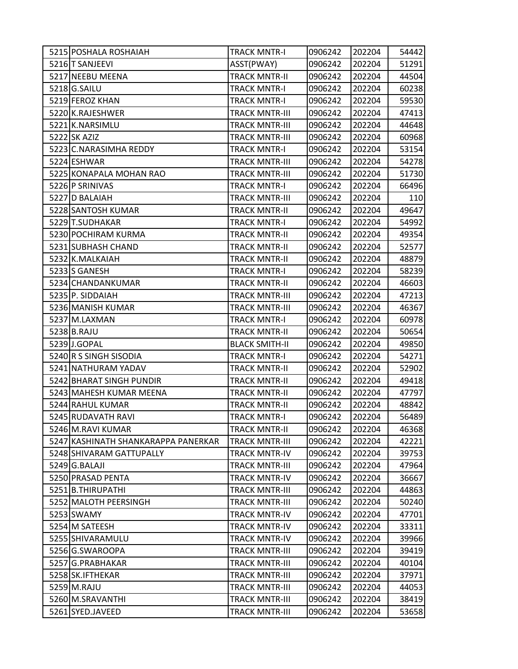| 5215 POSHALA ROSHAIAH               | TRACK MNTR-I          | 0906242 | 202204 | 54442 |
|-------------------------------------|-----------------------|---------|--------|-------|
| 5216 T SANJEEVI                     | ASST(PWAY)            | 0906242 | 202204 | 51291 |
| 5217 NEEBU MEENA                    | <b>TRACK MNTR-II</b>  | 0906242 | 202204 | 44504 |
| 5218 G.SAILU                        | <b>TRACK MNTR-I</b>   | 0906242 | 202204 | 60238 |
| 5219 FEROZ KHAN                     | <b>TRACK MNTR-I</b>   | 0906242 | 202204 | 59530 |
| 5220 K.RAJESHWER                    | <b>TRACK MNTR-III</b> | 0906242 | 202204 | 47413 |
| 5221 K.NARSIMLU                     | <b>TRACK MNTR-III</b> | 0906242 | 202204 | 44648 |
| 5222 SK AZIZ                        | <b>TRACK MNTR-III</b> | 0906242 | 202204 | 60968 |
| 5223 C.NARASIMHA REDDY              | <b>TRACK MNTR-I</b>   | 0906242 | 202204 | 53154 |
| 5224 ESHWAR                         | <b>TRACK MNTR-III</b> | 0906242 | 202204 | 54278 |
| 5225 KONAPALA MOHAN RAO             | <b>TRACK MNTR-III</b> | 0906242 | 202204 | 51730 |
| 5226 P SRINIVAS                     | <b>TRACK MNTR-I</b>   | 0906242 | 202204 | 66496 |
| 5227 D BALAIAH                      | <b>TRACK MNTR-III</b> | 0906242 | 202204 | 110   |
| 5228 SANTOSH KUMAR                  | <b>TRACK MNTR-II</b>  | 0906242 | 202204 | 49647 |
| 5229 T.SUDHAKAR                     | <b>TRACK MNTR-I</b>   | 0906242 | 202204 | 54992 |
| 5230 POCHIRAM KURMA                 | <b>TRACK MNTR-II</b>  | 0906242 | 202204 | 49354 |
| 5231 SUBHASH CHAND                  | <b>TRACK MNTR-II</b>  | 0906242 | 202204 | 52577 |
| 5232 K.MALKAIAH                     | <b>TRACK MNTR-II</b>  | 0906242 | 202204 | 48879 |
| 5233 S GANESH                       | <b>TRACK MNTR-I</b>   | 0906242 | 202204 | 58239 |
| 5234 CHANDANKUMAR                   | <b>TRACK MNTR-II</b>  | 0906242 | 202204 | 46603 |
| 5235 P. SIDDAIAH                    | TRACK MNTR-III        | 0906242 | 202204 | 47213 |
| 5236 MANISH KUMAR                   | <b>TRACK MNTR-III</b> | 0906242 | 202204 | 46367 |
| 5237 M.LAXMAN                       | <b>TRACK MNTR-I</b>   | 0906242 | 202204 | 60978 |
| 5238 B.RAJU                         | <b>TRACK MNTR-II</b>  | 0906242 | 202204 | 50654 |
| 5239 J.GOPAL                        | <b>BLACK SMITH-II</b> | 0906242 | 202204 | 49850 |
| 5240 R S SINGH SISODIA              | TRACK MNTR-I          | 0906242 | 202204 | 54271 |
| 5241 NATHURAM YADAV                 | <b>TRACK MNTR-II</b>  | 0906242 | 202204 | 52902 |
| 5242 BHARAT SINGH PUNDIR            | <b>TRACK MNTR-II</b>  | 0906242 | 202204 | 49418 |
| 5243 MAHESH KUMAR MEENA             | <b>TRACK MNTR-II</b>  | 0906242 | 202204 | 47797 |
| 5244 RAHUL KUMAR                    | <b>TRACK MNTR-II</b>  | 0906242 | 202204 | 48842 |
| 5245 RUDAVATH RAVI                  | <b>TRACK MNTR-I</b>   | 0906242 | 202204 | 56489 |
| 5246 M.RAVI KUMAR                   | <b>TRACK MNTR-II</b>  | 0906242 | 202204 | 46368 |
| 5247 KASHINATH SHANKARAPPA PANERKAR | <b>TRACK MNTR-III</b> | 0906242 | 202204 | 42221 |
| 5248 SHIVARAM GATTUPALLY            | <b>TRACK MNTR-IV</b>  | 0906242 | 202204 | 39753 |
| 5249 G.BALAJI                       | <b>TRACK MNTR-III</b> | 0906242 | 202204 | 47964 |
| 5250 PRASAD PENTA                   | <b>TRACK MNTR-IV</b>  | 0906242 | 202204 | 36667 |
| 5251 B.THIRUPATHI                   | <b>TRACK MNTR-III</b> | 0906242 | 202204 | 44863 |
| 5252 MALOTH PEERSINGH               | <b>TRACK MNTR-III</b> | 0906242 | 202204 | 50240 |
| 5253 SWAMY                          | <b>TRACK MNTR-IV</b>  | 0906242 | 202204 | 47701 |
| 5254 M SATEESH                      | <b>TRACK MNTR-IV</b>  | 0906242 | 202204 | 33311 |
| 5255 SHIVARAMULU                    | <b>TRACK MNTR-IV</b>  | 0906242 | 202204 | 39966 |
| 5256 G.SWAROOPA                     | <b>TRACK MNTR-III</b> | 0906242 | 202204 | 39419 |
| 5257 G.PRABHAKAR                    | <b>TRACK MNTR-III</b> | 0906242 | 202204 | 40104 |
| 5258 SK.IFTHEKAR                    | <b>TRACK MNTR-III</b> | 0906242 | 202204 | 37971 |
| 5259 M.RAJU                         | <b>TRACK MNTR-III</b> | 0906242 | 202204 | 44053 |
| 5260 M.SRAVANTHI                    | <b>TRACK MNTR-III</b> | 0906242 | 202204 | 38419 |
| 5261 SYED.JAVEED                    | TRACK MNTR-III        | 0906242 | 202204 | 53658 |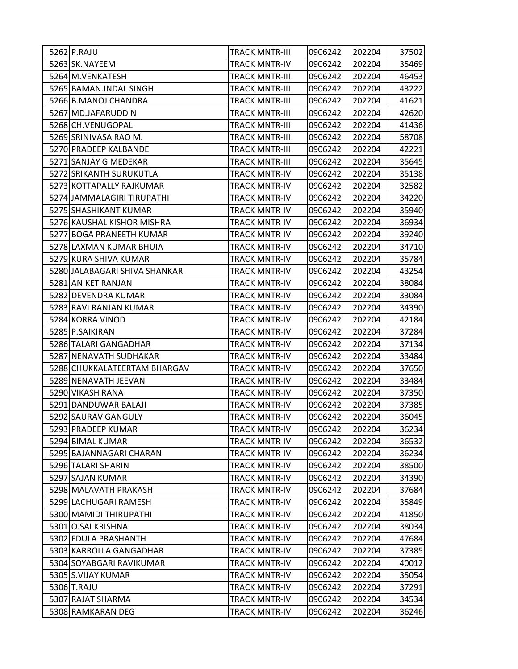| 5262 P.RAJU                   | <b>TRACK MNTR-III</b> | 0906242 | 202204 | 37502 |
|-------------------------------|-----------------------|---------|--------|-------|
| 5263 SK.NAYEEM                | <b>TRACK MNTR-IV</b>  | 0906242 | 202204 | 35469 |
| 5264 M.VENKATESH              | <b>TRACK MNTR-III</b> | 0906242 | 202204 | 46453 |
| 5265 BAMAN.INDAL SINGH        | <b>TRACK MNTR-III</b> | 0906242 | 202204 | 43222 |
| 5266 B.MANOJ CHANDRA          | <b>TRACK MNTR-III</b> | 0906242 | 202204 | 41621 |
| 5267 MD.JAFARUDDIN            | <b>TRACK MNTR-III</b> | 0906242 | 202204 | 42620 |
| 5268 CH.VENUGOPAL             | <b>TRACK MNTR-III</b> | 0906242 | 202204 | 41436 |
| 5269 SRINIVASA RAO M.         | <b>TRACK MNTR-III</b> | 0906242 | 202204 | 58708 |
| 5270 PRADEEP KALBANDE         | <b>TRACK MNTR-III</b> | 0906242 | 202204 | 42221 |
| 5271 SANJAY G MEDEKAR         | <b>TRACK MNTR-III</b> | 0906242 | 202204 | 35645 |
| 5272 SRIKANTH SURUKUTLA       | <b>TRACK MNTR-IV</b>  | 0906242 | 202204 | 35138 |
| 5273 KOTTAPALLY RAJKUMAR      | <b>TRACK MNTR-IV</b>  | 0906242 | 202204 | 32582 |
| 5274 JAMMALAGIRI TIRUPATHI    | <b>TRACK MNTR-IV</b>  | 0906242 | 202204 | 34220 |
| 5275 SHASHIKANT KUMAR         | <b>TRACK MNTR-IV</b>  | 0906242 | 202204 | 35940 |
| 5276 KAUSHAL KISHOR MISHRA    | <b>TRACK MNTR-IV</b>  | 0906242 | 202204 | 36934 |
| 5277 BOGA PRANEETH KUMAR      | <b>TRACK MNTR-IV</b>  | 0906242 | 202204 | 39240 |
| 5278 LAXMAN KUMAR BHUIA       | <b>TRACK MNTR-IV</b>  | 0906242 | 202204 | 34710 |
| 5279 KURA SHIVA KUMAR         | <b>TRACK MNTR-IV</b>  | 0906242 | 202204 | 35784 |
| 5280 JALABAGARI SHIVA SHANKAR | <b>TRACK MNTR-IV</b>  | 0906242 | 202204 | 43254 |
| 5281 ANIKET RANJAN            | <b>TRACK MNTR-IV</b>  | 0906242 | 202204 | 38084 |
| 5282 DEVENDRA KUMAR           | <b>TRACK MNTR-IV</b>  | 0906242 | 202204 | 33084 |
| 5283 RAVI RANJAN KUMAR        | <b>TRACK MNTR-IV</b>  | 0906242 | 202204 | 34390 |
| 5284 KORRA VINOD              | <b>TRACK MNTR-IV</b>  | 0906242 | 202204 | 42184 |
| 5285 P.SAIKIRAN               | <b>TRACK MNTR-IV</b>  | 0906242 | 202204 | 37284 |
| 5286 TALARI GANGADHAR         | <b>TRACK MNTR-IV</b>  | 0906242 | 202204 | 37134 |
| 5287 NENAVATH SUDHAKAR        | <b>TRACK MNTR-IV</b>  | 0906242 | 202204 | 33484 |
| 5288 CHUKKALATEERTAM BHARGAV  | <b>TRACK MNTR-IV</b>  | 0906242 | 202204 | 37650 |
| 5289 NENAVATH JEEVAN          | <b>TRACK MNTR-IV</b>  | 0906242 | 202204 | 33484 |
| 5290 VIKASH RANA              | <b>TRACK MNTR-IV</b>  | 0906242 | 202204 | 37350 |
| 5291 DANDUWAR BALAJI          | <b>TRACK MNTR-IV</b>  | 0906242 | 202204 | 37385 |
| 5292 SAURAV GANGULY           | <b>TRACK MNTR-IV</b>  | 0906242 | 202204 | 36045 |
| 5293 PRADEEP KUMAR            | <b>TRACK MNTR-IV</b>  | 0906242 | 202204 | 36234 |
| 5294 BIMAL KUMAR              | <b>TRACK MNTR-IV</b>  | 0906242 | 202204 | 36532 |
| 5295 BAJANNAGARI CHARAN       | <b>TRACK MNTR-IV</b>  | 0906242 | 202204 | 36234 |
| 5296 TALARI SHARIN            | <b>TRACK MNTR-IV</b>  | 0906242 | 202204 | 38500 |
| 5297 SAJAN KUMAR              | <b>TRACK MNTR-IV</b>  | 0906242 | 202204 | 34390 |
| 5298 MALAVATH PRAKASH         | <b>TRACK MNTR-IV</b>  | 0906242 | 202204 | 37684 |
| 5299 LACHUGARI RAMESH         | <b>TRACK MNTR-IV</b>  | 0906242 | 202204 | 35849 |
| 5300 MAMIDI THIRUPATHI        | <b>TRACK MNTR-IV</b>  | 0906242 | 202204 | 41850 |
| 5301 O.SAI KRISHNA            | <b>TRACK MNTR-IV</b>  | 0906242 | 202204 | 38034 |
| 5302 EDULA PRASHANTH          | <b>TRACK MNTR-IV</b>  | 0906242 | 202204 | 47684 |
| 5303 KARROLLA GANGADHAR       | <b>TRACK MNTR-IV</b>  | 0906242 | 202204 | 37385 |
| 5304 SOYABGARI RAVIKUMAR      | <b>TRACK MNTR-IV</b>  | 0906242 | 202204 | 40012 |
| 5305 S.VIJAY KUMAR            | <b>TRACK MNTR-IV</b>  | 0906242 | 202204 | 35054 |
| 5306 T.RAJU                   | <b>TRACK MNTR-IV</b>  | 0906242 | 202204 | 37291 |
| 5307 RAJAT SHARMA             | <b>TRACK MNTR-IV</b>  | 0906242 | 202204 | 34534 |
| 5308 RAMKARAN DEG             | <b>TRACK MNTR-IV</b>  | 0906242 | 202204 | 36246 |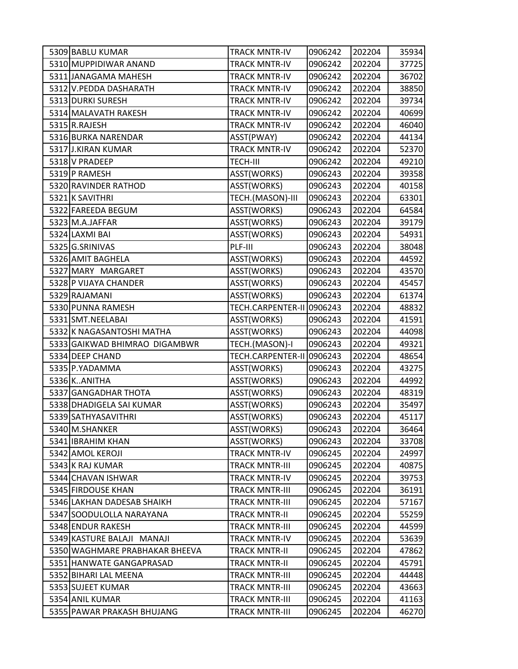| 5309 BABLU KUMAR               | <b>TRACK MNTR-IV</b>      | 0906242 | 202204 | 35934 |
|--------------------------------|---------------------------|---------|--------|-------|
| 5310 MUPPIDIWAR ANAND          | <b>TRACK MNTR-IV</b>      | 0906242 | 202204 | 37725 |
| 5311 JANAGAMA MAHESH           | <b>TRACK MNTR-IV</b>      | 0906242 | 202204 | 36702 |
| 5312 V.PEDDA DASHARATH         | <b>TRACK MNTR-IV</b>      | 0906242 | 202204 | 38850 |
| 5313 DURKI SURESH              | <b>TRACK MNTR-IV</b>      | 0906242 | 202204 | 39734 |
| 5314 MALAVATH RAKESH           | <b>TRACK MNTR-IV</b>      | 0906242 | 202204 | 40699 |
| 5315 R.RAJESH                  | <b>TRACK MNTR-IV</b>      | 0906242 | 202204 | 46040 |
| 5316 BURKA NARENDAR            | ASST(PWAY)                | 0906242 | 202204 | 44134 |
| 5317 J.KIRAN KUMAR             | <b>TRACK MNTR-IV</b>      | 0906242 | 202204 | 52370 |
| 5318 V PRADEEP                 | <b>TECH-III</b>           | 0906242 | 202204 | 49210 |
| 5319 P RAMESH                  | ASST(WORKS)               | 0906243 | 202204 | 39358 |
| 5320 RAVINDER RATHOD           | ASST(WORKS)               | 0906243 | 202204 | 40158 |
| 5321 K SAVITHRI                | TECH.(MASON)-III          | 0906243 | 202204 | 63301 |
| 5322 FAREEDA BEGUM             | ASST(WORKS)               | 0906243 | 202204 | 64584 |
| 5323 M.A.JAFFAR                | ASST(WORKS)               | 0906243 | 202204 | 39179 |
| 5324 LAXMI BAI                 | ASST(WORKS)               | 0906243 | 202204 | 54931 |
| 5325 G.SRINIVAS                | PLF-III                   | 0906243 | 202204 | 38048 |
| 5326 AMIT BAGHELA              | ASST(WORKS)               | 0906243 | 202204 | 44592 |
| 5327 MARY MARGARET             | ASST(WORKS)               | 0906243 | 202204 | 43570 |
| 5328 P VIJAYA CHANDER          | ASST(WORKS)               | 0906243 | 202204 | 45457 |
| 5329 RAJAMANI                  | ASST(WORKS)               | 0906243 | 202204 | 61374 |
| 5330 PUNNA RAMESH              | TECH.CARPENTER-II 0906243 |         | 202204 | 48832 |
| 5331 SMT.NEELABAI              | ASST(WORKS)               | 0906243 | 202204 | 41591 |
| 5332 K NAGASANTOSHI MATHA      | ASST(WORKS)               | 0906243 | 202204 | 44098 |
| 5333 GAIKWAD BHIMRAO DIGAMBWR  | TECH.(MASON)-I            | 0906243 | 202204 | 49321 |
| 5334 DEEP CHAND                | TECH.CARPENTER-II         | 0906243 | 202204 | 48654 |
| 5335 P.YADAMMA                 | ASST(WORKS)               | 0906243 | 202204 | 43275 |
| 5336 KANITHA                   | ASST(WORKS)               | 0906243 | 202204 | 44992 |
| 5337 GANGADHAR THOTA           | ASST(WORKS)               | 0906243 | 202204 | 48319 |
| 5338 DHADIGELA SAI KUMAR       | ASST(WORKS)               | 0906243 | 202204 | 35497 |
| 5339 SATHYASAVITHRI            | ASST(WORKS)               | 0906243 | 202204 | 45117 |
| 5340 M.SHANKER                 | ASST(WORKS)               | 0906243 | 202204 | 36464 |
| 5341 IBRAHIM KHAN              | ASST(WORKS)               | 0906243 | 202204 | 33708 |
| 5342 AMOL KEROJI               | <b>TRACK MNTR-IV</b>      | 0906245 | 202204 | 24997 |
| 5343 K RAJ KUMAR               | <b>TRACK MNTR-III</b>     | 0906245 | 202204 | 40875 |
| 5344 CHAVAN ISHWAR             | <b>TRACK MNTR-IV</b>      | 0906245 | 202204 | 39753 |
| 5345 FIRDOUSE KHAN             | <b>TRACK MNTR-III</b>     | 0906245 | 202204 | 36191 |
| 5346 LAKHAN DADESAB SHAIKH     | <b>TRACK MNTR-III</b>     | 0906245 | 202204 | 57167 |
| 5347 SOODULOLLA NARAYANA       | <b>TRACK MNTR-II</b>      | 0906245 | 202204 | 55259 |
| 5348 ENDUR RAKESH              | <b>TRACK MNTR-III</b>     | 0906245 | 202204 | 44599 |
| 5349 KASTURE BALAJI MANAJI     | <b>TRACK MNTR-IV</b>      | 0906245 | 202204 | 53639 |
| 5350 WAGHMARE PRABHAKAR BHEEVA | <b>TRACK MNTR-II</b>      | 0906245 | 202204 | 47862 |
| 5351 HANWATE GANGAPRASAD       | <b>TRACK MNTR-II</b>      | 0906245 | 202204 | 45791 |
| 5352 BIHARI LAL MEENA          | <b>TRACK MNTR-III</b>     | 0906245 | 202204 | 44448 |
| 5353 SUJEET KUMAR              | <b>TRACK MNTR-III</b>     | 0906245 | 202204 | 43663 |
| 5354 ANIL KUMAR                | <b>TRACK MNTR-III</b>     | 0906245 | 202204 | 41163 |
| 5355 PAWAR PRAKASH BHUJANG     | TRACK MNTR-III            | 0906245 | 202204 | 46270 |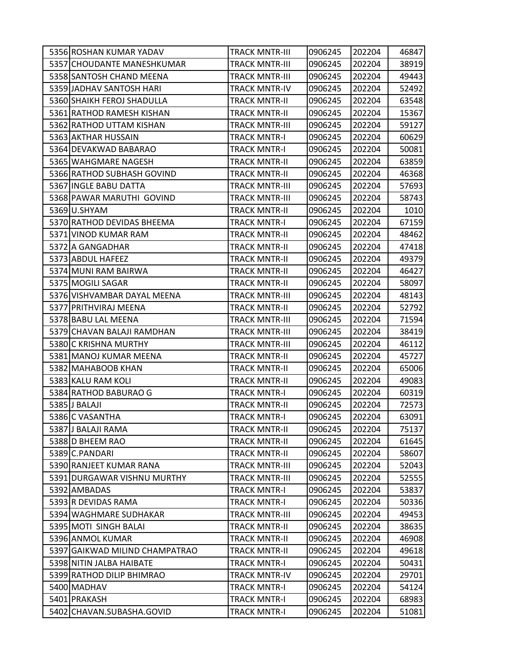| 5356 ROSHAN KUMAR YADAV        | TRACK MNTR-III        | 0906245 | 202204 | 46847 |
|--------------------------------|-----------------------|---------|--------|-------|
| 5357 CHOUDANTE MANESHKUMAR     | <b>TRACK MNTR-III</b> | 0906245 | 202204 | 38919 |
| 5358 SANTOSH CHAND MEENA       | <b>TRACK MNTR-III</b> | 0906245 | 202204 | 49443 |
| 5359 JADHAV SANTOSH HARI       | <b>TRACK MNTR-IV</b>  | 0906245 | 202204 | 52492 |
| 5360 SHAIKH FEROJ SHADULLA     | <b>TRACK MNTR-II</b>  | 0906245 | 202204 | 63548 |
| 5361 RATHOD RAMESH KISHAN      | TRACK MNTR-II         | 0906245 | 202204 | 15367 |
| 5362 RATHOD UTTAM KISHAN       | <b>TRACK MNTR-III</b> | 0906245 | 202204 | 59127 |
| 5363 AKTHAR HUSSAIN            | <b>TRACK MNTR-I</b>   | 0906245 | 202204 | 60629 |
| 5364 DEVAKWAD BABARAO          | <b>TRACK MNTR-I</b>   | 0906245 | 202204 | 50081 |
| 5365 WAHGMARE NAGESH           | <b>TRACK MNTR-II</b>  | 0906245 | 202204 | 63859 |
| 5366 RATHOD SUBHASH GOVIND     | <b>TRACK MNTR-II</b>  | 0906245 | 202204 | 46368 |
| 5367 INGLE BABU DATTA          | <b>TRACK MNTR-III</b> | 0906245 | 202204 | 57693 |
| 5368 PAWAR MARUTHI GOVIND      | <b>TRACK MNTR-III</b> | 0906245 | 202204 | 58743 |
| 5369U.SHYAM                    | <b>TRACK MNTR-II</b>  | 0906245 | 202204 | 1010  |
| 5370 RATHOD DEVIDAS BHEEMA     | <b>TRACK MNTR-I</b>   | 0906245 | 202204 | 67159 |
| 5371 VINOD KUMAR RAM           | <b>TRACK MNTR-II</b>  | 0906245 | 202204 | 48462 |
| 5372 A GANGADHAR               | <b>TRACK MNTR-II</b>  | 0906245 | 202204 | 47418 |
| 5373 ABDUL HAFEEZ              | <b>TRACK MNTR-II</b>  | 0906245 | 202204 | 49379 |
| 5374 MUNI RAM BAIRWA           | <b>TRACK MNTR-II</b>  | 0906245 | 202204 | 46427 |
| 5375 MOGILI SAGAR              | <b>TRACK MNTR-II</b>  | 0906245 | 202204 | 58097 |
| 5376 VISHVAMBAR DAYAL MEENA    | TRACK MNTR-III        | 0906245 | 202204 | 48143 |
| 5377 PRITHVIRAJ MEENA          | <b>TRACK MNTR-II</b>  | 0906245 | 202204 | 52792 |
| 5378 BABU LAL MEENA            | <b>TRACK MNTR-III</b> | 0906245 | 202204 | 71594 |
| 5379 CHAVAN BALAJI RAMDHAN     | TRACK MNTR-III        | 0906245 | 202204 | 38419 |
| 5380 C KRISHNA MURTHY          | <b>TRACK MNTR-III</b> | 0906245 | 202204 | 46112 |
| 5381 MANOJ KUMAR MEENA         | TRACK MNTR-II         | 0906245 | 202204 | 45727 |
| 5382 MAHABOOB KHAN             | <b>TRACK MNTR-II</b>  | 0906245 | 202204 | 65006 |
| 5383 KALU RAM KOLI             | <b>TRACK MNTR-II</b>  | 0906245 | 202204 | 49083 |
| 5384 RATHOD BABURAO G          | TRACK MNTR-I          | 0906245 | 202204 | 60319 |
| 5385 J BALAJI                  | <b>TRACK MNTR-II</b>  | 0906245 | 202204 | 72573 |
| 5386 C VASANTHA                | TRACK MNTR-I          | 0906245 | 202204 | 63091 |
| 5387 J BALAJI RAMA             | TRACK MNTR-II         | 0906245 | 202204 | 75137 |
| 5388 D BHEEM RAO               | <b>TRACK MNTR-II</b>  | 0906245 | 202204 | 61645 |
| 5389 C.PANDARI                 | <b>TRACK MNTR-II</b>  | 0906245 | 202204 | 58607 |
| 5390 RANJEET KUMAR RANA        | <b>TRACK MNTR-III</b> | 0906245 | 202204 | 52043 |
| 5391 DURGAWAR VISHNU MURTHY    | <b>TRACK MNTR-III</b> | 0906245 | 202204 | 52555 |
| 5392 AMBADAS                   | <b>TRACK MNTR-I</b>   | 0906245 | 202204 | 53837 |
| 5393 R DEVIDAS RAMA            | <b>TRACK MNTR-I</b>   | 0906245 | 202204 | 50336 |
| 5394 WAGHMARE SUDHAKAR         | <b>TRACK MNTR-III</b> | 0906245 | 202204 | 49453 |
| 5395 MOTI SINGH BALAI          | <b>TRACK MNTR-II</b>  | 0906245 | 202204 | 38635 |
| 5396 ANMOL KUMAR               | <b>TRACK MNTR-II</b>  | 0906245 | 202204 | 46908 |
| 5397 GAIKWAD MILIND CHAMPATRAO | <b>TRACK MNTR-II</b>  | 0906245 | 202204 | 49618 |
| 5398 NITIN JALBA HAIBATE       | <b>TRACK MNTR-I</b>   | 0906245 | 202204 | 50431 |
| 5399 RATHOD DILIP BHIMRAO      | <b>TRACK MNTR-IV</b>  | 0906245 | 202204 | 29701 |
| 5400 MADHAV                    | <b>TRACK MNTR-I</b>   | 0906245 | 202204 | 54124 |
| 5401 PRAKASH                   | <b>TRACK MNTR-I</b>   | 0906245 | 202204 | 68983 |
| 5402 CHAVAN.SUBASHA.GOVID      | <b>TRACK MNTR-I</b>   | 0906245 | 202204 | 51081 |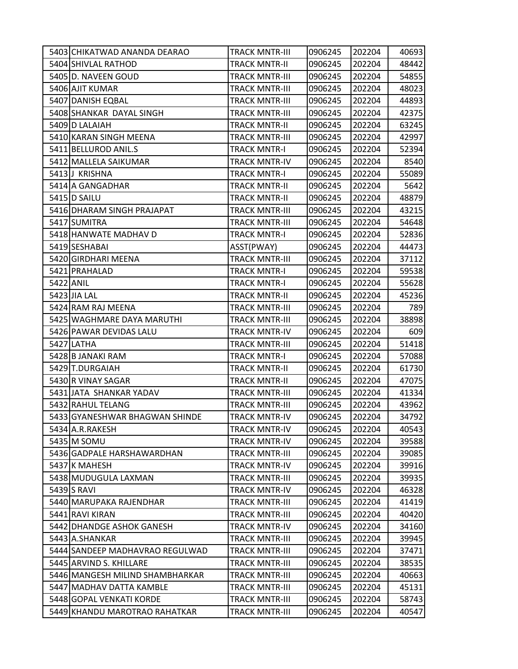| 5403 CHIKATWAD ANANDA DEARAO    | TRACK MNTR-III        | 0906245 | 202204 | 40693 |
|---------------------------------|-----------------------|---------|--------|-------|
| 5404 SHIVLAL RATHOD             | <b>TRACK MNTR-II</b>  | 0906245 | 202204 | 48442 |
| 5405 D. NAVEEN GOUD             | <b>TRACK MNTR-III</b> | 0906245 | 202204 | 54855 |
| 5406 AJIT KUMAR                 | <b>TRACK MNTR-III</b> | 0906245 | 202204 | 48023 |
| 5407 DANISH EQBAL               | <b>TRACK MNTR-III</b> | 0906245 | 202204 | 44893 |
| 5408 SHANKAR DAYAL SINGH        | TRACK MNTR-III        | 0906245 | 202204 | 42375 |
| 5409 D LALAIAH                  | <b>TRACK MNTR-II</b>  | 0906245 | 202204 | 63245 |
| 5410 KARAN SINGH MEENA          | <b>TRACK MNTR-III</b> | 0906245 | 202204 | 42997 |
| 5411 BELLUROD ANIL.S            | <b>TRACK MNTR-I</b>   | 0906245 | 202204 | 52394 |
| 5412 MALLELA SAIKUMAR           | <b>TRACK MNTR-IV</b>  | 0906245 | 202204 | 8540  |
| 5413 J KRISHNA                  | <b>TRACK MNTR-I</b>   | 0906245 | 202204 | 55089 |
| 5414 A GANGADHAR                | <b>TRACK MNTR-II</b>  | 0906245 | 202204 | 5642  |
| 5415 D SAILU                    | <b>TRACK MNTR-II</b>  | 0906245 | 202204 | 48879 |
| 5416 DHARAM SINGH PRAJAPAT      | <b>TRACK MNTR-III</b> | 0906245 | 202204 | 43215 |
| 5417 SUMITRA                    | <b>TRACK MNTR-III</b> | 0906245 | 202204 | 54648 |
| 5418 HANWATE MADHAV D           | TRACK MNTR-I          | 0906245 | 202204 | 52836 |
| 5419 SESHABAI                   | ASST(PWAY)            | 0906245 | 202204 | 44473 |
| 5420 GIRDHARI MEENA             | <b>TRACK MNTR-III</b> | 0906245 | 202204 | 37112 |
| 5421 PRAHALAD                   | <b>TRACK MNTR-I</b>   | 0906245 | 202204 | 59538 |
| 5422 ANIL                       | <b>TRACK MNTR-I</b>   | 0906245 | 202204 | 55628 |
| 5423 JIA LAL                    | TRACK MNTR-II         | 0906245 | 202204 | 45236 |
| 5424 RAM RAJ MEENA              | TRACK MNTR-III        | 0906245 | 202204 | 789   |
| 5425 WAGHMARE DAYA MARUTHI      | <b>TRACK MNTR-III</b> | 0906245 | 202204 | 38898 |
| 5426 PAWAR DEVIDAS LALU         | <b>TRACK MNTR-IV</b>  | 0906245 | 202204 | 609   |
| 5427 LATHA                      | <b>TRACK MNTR-III</b> | 0906245 | 202204 | 51418 |
| 5428 B JANAKI RAM               | TRACK MNTR-I          | 0906245 | 202204 | 57088 |
| 5429 T.DURGAIAH                 | <b>TRACK MNTR-II</b>  | 0906245 | 202204 | 61730 |
| 5430 R VINAY SAGAR              | <b>TRACK MNTR-II</b>  | 0906245 | 202204 | 47075 |
| 5431 JATA SHANKAR YADAV         | <b>TRACK MNTR-III</b> | 0906245 | 202204 | 41334 |
| 5432 RAHUL TELANG               | <b>TRACK MNTR-III</b> | 0906245 | 202204 | 43962 |
| 5433 GYANESHWAR BHAGWAN SHINDE  | TRACK MNTR-IV         | 0906245 | 202204 | 34792 |
| 5434 A.R.RAKESH                 | <b>TRACK MNTR-IV</b>  | 0906245 | 202204 | 40543 |
| 5435 M SOMU                     | <b>TRACK MNTR-IV</b>  | 0906245 | 202204 | 39588 |
| 5436 GADPALE HARSHAWARDHAN      | <b>TRACK MNTR-III</b> | 0906245 | 202204 | 39085 |
| 5437 K MAHESH                   | <b>TRACK MNTR-IV</b>  | 0906245 | 202204 | 39916 |
| 5438 MUDUGULA LAXMAN            | <b>TRACK MNTR-III</b> | 0906245 | 202204 | 39935 |
| 5439 S RAVI                     | <b>TRACK MNTR-IV</b>  | 0906245 | 202204 | 46328 |
| 5440 MARUPAKA RAJENDHAR         | TRACK MNTR-III        | 0906245 | 202204 | 41419 |
| 5441 RAVI KIRAN                 | <b>TRACK MNTR-III</b> | 0906245 | 202204 | 40420 |
| 5442 DHANDGE ASHOK GANESH       | <b>TRACK MNTR-IV</b>  | 0906245 | 202204 | 34160 |
| 5443 A.SHANKAR                  | TRACK MNTR-III        | 0906245 | 202204 | 39945 |
| 5444 SANDEEP MADHAVRAO REGULWAD | <b>TRACK MNTR-III</b> | 0906245 | 202204 | 37471 |
| 5445 ARVIND S. KHILLARE         | <b>TRACK MNTR-III</b> | 0906245 | 202204 | 38535 |
| 5446 MANGESH MILIND SHAMBHARKAR | <b>TRACK MNTR-III</b> | 0906245 | 202204 | 40663 |
| 5447 MADHAV DATTA KAMBLE        | <b>TRACK MNTR-III</b> | 0906245 | 202204 | 45131 |
| 5448 GOPAL VENKATI KORDE        | <b>TRACK MNTR-III</b> | 0906245 | 202204 | 58743 |
| 5449 KHANDU MAROTRAO RAHATKAR   | TRACK MNTR-III        | 0906245 | 202204 | 40547 |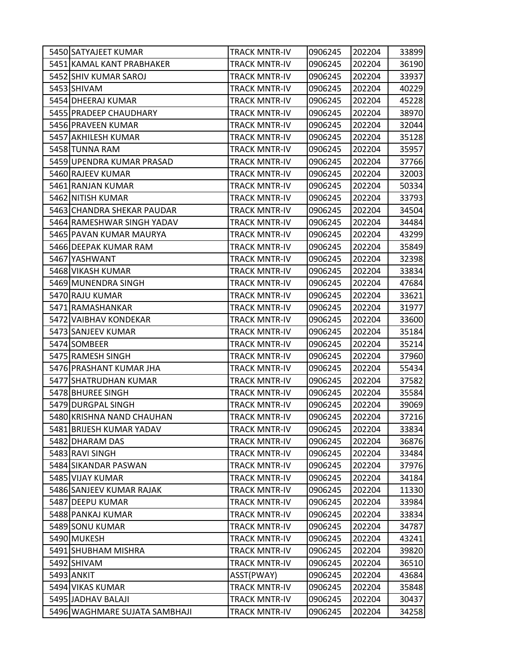| 5450 SATYAJEET KUMAR          | <b>TRACK MNTR-IV</b> | 0906245 | 202204 | 33899 |
|-------------------------------|----------------------|---------|--------|-------|
| 5451 KAMAL KANT PRABHAKER     | <b>TRACK MNTR-IV</b> | 0906245 | 202204 | 36190 |
| 5452 SHIV KUMAR SAROJ         | <b>TRACK MNTR-IV</b> | 0906245 | 202204 | 33937 |
| 5453 SHIVAM                   | <b>TRACK MNTR-IV</b> | 0906245 | 202204 | 40229 |
| 5454 DHEERAJ KUMAR            | <b>TRACK MNTR-IV</b> | 0906245 | 202204 | 45228 |
| 5455 PRADEEP CHAUDHARY        | <b>TRACK MNTR-IV</b> | 0906245 | 202204 | 38970 |
| 5456 PRAVEEN KUMAR            | <b>TRACK MNTR-IV</b> | 0906245 | 202204 | 32044 |
| 5457 AKHILESH KUMAR           | <b>TRACK MNTR-IV</b> | 0906245 | 202204 | 35128 |
| 5458 TUNNA RAM                | <b>TRACK MNTR-IV</b> | 0906245 | 202204 | 35957 |
| 5459 UPENDRA KUMAR PRASAD     | <b>TRACK MNTR-IV</b> | 0906245 | 202204 | 37766 |
| 5460 RAJEEV KUMAR             | <b>TRACK MNTR-IV</b> | 0906245 | 202204 | 32003 |
| 5461 RANJAN KUMAR             | <b>TRACK MNTR-IV</b> | 0906245 | 202204 | 50334 |
| 5462 NITISH KUMAR             | <b>TRACK MNTR-IV</b> | 0906245 | 202204 | 33793 |
| 5463 CHANDRA SHEKAR PAUDAR    | <b>TRACK MNTR-IV</b> | 0906245 | 202204 | 34504 |
| 5464 RAMESHWAR SINGH YADAV    | <b>TRACK MNTR-IV</b> | 0906245 | 202204 | 34484 |
| 5465 PAVAN KUMAR MAURYA       | <b>TRACK MNTR-IV</b> | 0906245 | 202204 | 43299 |
| 5466 DEEPAK KUMAR RAM         | <b>TRACK MNTR-IV</b> | 0906245 | 202204 | 35849 |
| 5467 YASHWANT                 | <b>TRACK MNTR-IV</b> | 0906245 | 202204 | 32398 |
| 5468 VIKASH KUMAR             | <b>TRACK MNTR-IV</b> | 0906245 | 202204 | 33834 |
| 5469 MUNENDRA SINGH           | <b>TRACK MNTR-IV</b> | 0906245 | 202204 | 47684 |
| 5470 RAJU KUMAR               | <b>TRACK MNTR-IV</b> | 0906245 | 202204 | 33621 |
| 5471 RAMASHANKAR              | <b>TRACK MNTR-IV</b> | 0906245 | 202204 | 31977 |
| 5472 VAIBHAV KONDEKAR         | <b>TRACK MNTR-IV</b> | 0906245 | 202204 | 33600 |
| 5473 SANJEEV KUMAR            | <b>TRACK MNTR-IV</b> | 0906245 | 202204 | 35184 |
| 5474 SOMBEER                  | <b>TRACK MNTR-IV</b> | 0906245 | 202204 | 35214 |
| 5475 RAMESH SINGH             | <b>TRACK MNTR-IV</b> | 0906245 | 202204 | 37960 |
| 5476 PRASHANT KUMAR JHA       | <b>TRACK MNTR-IV</b> | 0906245 | 202204 | 55434 |
| 5477 SHATRUDHAN KUMAR         | <b>TRACK MNTR-IV</b> | 0906245 | 202204 | 37582 |
| 5478 BHUREE SINGH             | <b>TRACK MNTR-IV</b> | 0906245 | 202204 | 35584 |
| 5479 DURGPAL SINGH            | <b>TRACK MNTR-IV</b> | 0906245 | 202204 | 39069 |
| 5480 KRISHNA NAND CHAUHAN     | <b>TRACK MNTR-IV</b> | 0906245 | 202204 | 37216 |
| 5481 BRIJESH KUMAR YADAV      | <b>TRACK MNTR-IV</b> | 0906245 | 202204 | 33834 |
| 5482 DHARAM DAS               | <b>TRACK MNTR-IV</b> | 0906245 | 202204 | 36876 |
| 5483 RAVI SINGH               | <b>TRACK MNTR-IV</b> | 0906245 | 202204 | 33484 |
| 5484 SIKANDAR PASWAN          | <b>TRACK MNTR-IV</b> | 0906245 | 202204 | 37976 |
| 5485 VIJAY KUMAR              | <b>TRACK MNTR-IV</b> | 0906245 | 202204 | 34184 |
| 5486 SANJEEV KUMAR RAJAK      | <b>TRACK MNTR-IV</b> | 0906245 | 202204 | 11330 |
| 5487 DEEPU KUMAR              | <b>TRACK MNTR-IV</b> | 0906245 | 202204 | 33984 |
| 5488 PANKAJ KUMAR             | <b>TRACK MNTR-IV</b> | 0906245 | 202204 | 33834 |
| 5489 SONU KUMAR               | <b>TRACK MNTR-IV</b> | 0906245 | 202204 | 34787 |
| 5490 MUKESH                   | <b>TRACK MNTR-IV</b> | 0906245 | 202204 | 43241 |
| 5491 SHUBHAM MISHRA           | <b>TRACK MNTR-IV</b> | 0906245 | 202204 | 39820 |
| 5492 SHIVAM                   | <b>TRACK MNTR-IV</b> | 0906245 | 202204 | 36510 |
| 5493 ANKIT                    | ASST(PWAY)           | 0906245 | 202204 | 43684 |
| 5494 VIKAS KUMAR              | <b>TRACK MNTR-IV</b> | 0906245 | 202204 | 35848 |
| 5495 JADHAV BALAJI            | <b>TRACK MNTR-IV</b> | 0906245 | 202204 | 30437 |
| 5496 WAGHMARE SUJATA SAMBHAJI | <b>TRACK MNTR-IV</b> | 0906245 | 202204 | 34258 |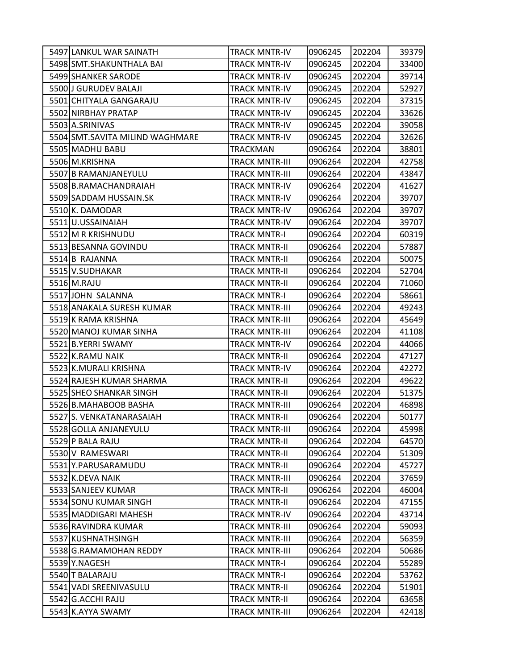| 5497 LANKUL WAR SAINATH         | <b>TRACK MNTR-IV</b>  | 0906245 | 202204 | 39379 |
|---------------------------------|-----------------------|---------|--------|-------|
| 5498 SMT. SHAKUNTHALA BAI       | <b>TRACK MNTR-IV</b>  | 0906245 | 202204 | 33400 |
| 5499 SHANKER SARODE             | <b>TRACK MNTR-IV</b>  | 0906245 | 202204 | 39714 |
| 5500 J GURUDEV BALAJI           | <b>TRACK MNTR-IV</b>  | 0906245 | 202204 | 52927 |
| 5501 CHITYALA GANGARAJU         | <b>TRACK MNTR-IV</b>  | 0906245 | 202204 | 37315 |
| 5502 NIRBHAY PRATAP             | TRACK MNTR-IV         | 0906245 | 202204 | 33626 |
| 5503 A.SRINIVAS                 | <b>TRACK MNTR-IV</b>  | 0906245 | 202204 | 39058 |
| 5504 SMT.SAVITA MILIND WAGHMARE | <b>TRACK MNTR-IV</b>  | 0906245 | 202204 | 32626 |
| 5505 MADHU BABU                 | <b>TRACKMAN</b>       | 0906264 | 202204 | 38801 |
| 5506 M.KRISHNA                  | <b>TRACK MNTR-III</b> | 0906264 | 202204 | 42758 |
| 5507 B RAMANJANEYULU            | TRACK MNTR-III        | 0906264 | 202204 | 43847 |
| 5508 B.RAMACHANDRAIAH           | <b>TRACK MNTR-IV</b>  | 0906264 | 202204 | 41627 |
| 5509 SADDAM HUSSAIN.SK          | <b>TRACK MNTR-IV</b>  | 0906264 | 202204 | 39707 |
| 5510K. DAMODAR                  | <b>TRACK MNTR-IV</b>  | 0906264 | 202204 | 39707 |
| 5511 U.USSAINAIAH               | <b>TRACK MNTR-IV</b>  | 0906264 | 202204 | 39707 |
| 5512 M R KRISHNUDU              | TRACK MNTR-I          | 0906264 | 202204 | 60319 |
| 5513 BESANNA GOVINDU            | <b>TRACK MNTR-II</b>  | 0906264 | 202204 | 57887 |
| 5514 B RAJANNA                  | <b>TRACK MNTR-II</b>  | 0906264 | 202204 | 50075 |
| 5515 V.SUDHAKAR                 | <b>TRACK MNTR-II</b>  | 0906264 | 202204 | 52704 |
| 5516 M.RAJU                     | <b>TRACK MNTR-II</b>  | 0906264 | 202204 | 71060 |
| 5517 JOHN SALANNA               | TRACK MNTR-I          | 0906264 | 202204 | 58661 |
| 5518 ANAKALA SURESH KUMAR       | <b>TRACK MNTR-III</b> | 0906264 | 202204 | 49243 |
| 5519 K RAMA KRISHNA             | <b>TRACK MNTR-III</b> | 0906264 | 202204 | 45649 |
| 5520 MANOJ KUMAR SINHA          | <b>TRACK MNTR-III</b> | 0906264 | 202204 | 41108 |
| 5521 B.YERRI SWAMY              | <b>TRACK MNTR-IV</b>  | 0906264 | 202204 | 44066 |
| 5522 K.RAMU NAIK                | TRACK MNTR-II         | 0906264 | 202204 | 47127 |
| 5523 K.MURALI KRISHNA           | <b>TRACK MNTR-IV</b>  | 0906264 | 202204 | 42272 |
| 5524 RAJESH KUMAR SHARMA        | <b>TRACK MNTR-II</b>  | 0906264 | 202204 | 49622 |
| 5525 SHEO SHANKAR SINGH         | <b>TRACK MNTR-II</b>  | 0906264 | 202204 | 51375 |
| 5526 B.MAHABOOB BASHA           | <b>TRACK MNTR-III</b> | 0906264 | 202204 | 46898 |
| 5527 S. VENKATANARASAIAH        | <b>TRACK MNTR-II</b>  | 0906264 | 202204 | 50177 |
| 5528 GOLLA ANJANEYULU           | <b>TRACK MNTR-III</b> | 0906264 | 202204 | 45998 |
| 5529 P BALA RAJU                | <b>TRACK MNTR-II</b>  | 0906264 | 202204 | 64570 |
| 5530 V RAMESWARI                | <b>TRACK MNTR-II</b>  | 0906264 | 202204 | 51309 |
| 5531 Y.PARUSARAMUDU             | <b>TRACK MNTR-II</b>  | 0906264 | 202204 | 45727 |
| 5532 K.DEVA NAIK                | <b>TRACK MNTR-III</b> | 0906264 | 202204 | 37659 |
| 5533 SANJEEV KUMAR              | <b>TRACK MNTR-II</b>  | 0906264 | 202204 | 46004 |
| 5534 SONU KUMAR SINGH           | <b>TRACK MNTR-II</b>  | 0906264 | 202204 | 47155 |
| 5535 MADDIGARI MAHESH           | <b>TRACK MNTR-IV</b>  | 0906264 | 202204 | 43714 |
| 5536 RAVINDRA KUMAR             | <b>TRACK MNTR-III</b> | 0906264 | 202204 | 59093 |
| 5537 KUSHNATHSINGH              | <b>TRACK MNTR-III</b> | 0906264 | 202204 | 56359 |
| 5538 G.RAMAMOHAN REDDY          | <b>TRACK MNTR-III</b> | 0906264 | 202204 | 50686 |
| 5539 Y.NAGESH                   | <b>TRACK MNTR-I</b>   | 0906264 | 202204 | 55289 |
| 5540 T BALARAJU                 | <b>TRACK MNTR-I</b>   | 0906264 | 202204 | 53762 |
| 5541 VADI SREENIVASULU          | <b>TRACK MNTR-II</b>  | 0906264 | 202204 | 51901 |
| 5542 G.ACCHI RAJU               | <b>TRACK MNTR-II</b>  | 0906264 | 202204 | 63658 |
| 5543 K.AYYA SWAMY               | <b>TRACK MNTR-III</b> | 0906264 | 202204 | 42418 |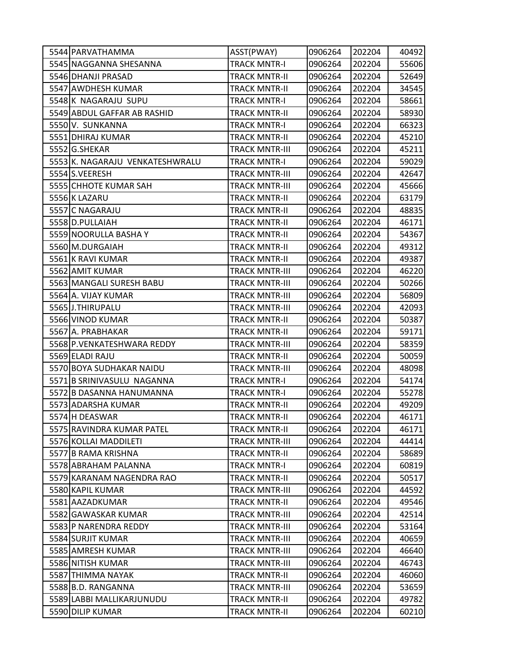| 5544 PARVATHAMMA                | ASST(PWAY)            | 0906264 | 202204 | 40492 |
|---------------------------------|-----------------------|---------|--------|-------|
| 5545 NAGGANNA SHESANNA          | <b>TRACK MNTR-I</b>   | 0906264 | 202204 | 55606 |
| 5546 DHANJI PRASAD              | <b>TRACK MNTR-II</b>  | 0906264 | 202204 | 52649 |
| 5547 AWDHESH KUMAR              | <b>TRACK MNTR-II</b>  | 0906264 | 202204 | 34545 |
| 5548K NAGARAJU SUPU             | <b>TRACK MNTR-I</b>   | 0906264 | 202204 | 58661 |
| 5549 ABDUL GAFFAR AB RASHID     | TRACK MNTR-II         | 0906264 | 202204 | 58930 |
| 5550 V. SUNKANNA                | <b>TRACK MNTR-I</b>   | 0906264 | 202204 | 66323 |
| 5551 DHIRAJ KUMAR               | <b>TRACK MNTR-II</b>  | 0906264 | 202204 | 45210 |
| 5552 G.SHEKAR                   | <b>TRACK MNTR-III</b> | 0906264 | 202204 | 45211 |
| 5553 K. NAGARAJU VENKATESHWRALU | <b>TRACK MNTR-I</b>   | 0906264 | 202204 | 59029 |
| 5554 S.VEERESH                  | TRACK MNTR-III        | 0906264 | 202204 | 42647 |
| 5555 CHHOTE KUMAR SAH           | <b>TRACK MNTR-III</b> | 0906264 | 202204 | 45666 |
| 5556 K LAZARU                   | <b>TRACK MNTR-II</b>  | 0906264 | 202204 | 63179 |
| 5557 C NAGARAJU                 | <b>TRACK MNTR-II</b>  | 0906264 | 202204 | 48835 |
| 5558 D.PULLAIAH                 | <b>TRACK MNTR-II</b>  | 0906264 | 202204 | 46171 |
| 5559 NOORULLA BASHA Y           | <b>TRACK MNTR-II</b>  | 0906264 | 202204 | 54367 |
| 5560 M.DURGAIAH                 | <b>TRACK MNTR-II</b>  | 0906264 | 202204 | 49312 |
| 5561 K RAVI KUMAR               | <b>TRACK MNTR-II</b>  | 0906264 | 202204 | 49387 |
| 5562 AMIT KUMAR                 | <b>TRACK MNTR-III</b> | 0906264 | 202204 | 46220 |
| 5563 MANGALI SURESH BABU        | <b>TRACK MNTR-III</b> | 0906264 | 202204 | 50266 |
| 5564 A. VIJAY KUMAR             | <b>TRACK MNTR-III</b> | 0906264 | 202204 | 56809 |
| 5565 J.THIRUPALU                | <b>TRACK MNTR-III</b> | 0906264 | 202204 | 42093 |
| 5566 VINOD KUMAR                | <b>TRACK MNTR-II</b>  | 0906264 | 202204 | 50387 |
| 5567 A. PRABHAKAR               | <b>TRACK MNTR-II</b>  | 0906264 | 202204 | 59171 |
| 5568 P. VENKATESHWARA REDDY     | <b>TRACK MNTR-III</b> | 0906264 | 202204 | 58359 |
| 5569 ELADI RAJU                 | <b>TRACK MNTR-II</b>  | 0906264 | 202204 | 50059 |
| 5570 BOYA SUDHAKAR NAIDU        | <b>TRACK MNTR-III</b> | 0906264 | 202204 | 48098 |
| 5571B SRINIVASULU NAGANNA       | <b>TRACK MNTR-I</b>   | 0906264 | 202204 | 54174 |
| 5572 B DASANNA HANUMANNA        | <b>TRACK MNTR-I</b>   | 0906264 | 202204 | 55278 |
| 5573 ADARSHA KUMAR              | <b>TRACK MNTR-II</b>  | 0906264 | 202204 | 49209 |
| 5574 H DEASWAR                  | <b>TRACK MNTR-II</b>  | 0906264 | 202204 | 46171 |
| 5575 RAVINDRA KUMAR PATEL       | <b>TRACK MNTR-II</b>  | 0906264 | 202204 | 46171 |
| 5576 KOLLAI MADDILETI           | <b>TRACK MNTR-III</b> | 0906264 | 202204 | 44414 |
| 5577 B RAMA KRISHNA             | <b>TRACK MNTR-II</b>  | 0906264 | 202204 | 58689 |
| 5578 ABRAHAM PALANNA            | <b>TRACK MNTR-I</b>   | 0906264 | 202204 | 60819 |
| 5579 KARANAM NAGENDRA RAO       | <b>TRACK MNTR-II</b>  | 0906264 | 202204 | 50517 |
| 5580 KAPIL KUMAR                | <b>TRACK MNTR-III</b> | 0906264 | 202204 | 44592 |
| 5581 AAZADKUMAR                 | <b>TRACK MNTR-II</b>  | 0906264 | 202204 | 49546 |
| 5582 GAWASKAR KUMAR             | <b>TRACK MNTR-III</b> | 0906264 | 202204 | 42514 |
| 5583 P NARENDRA REDDY           | <b>TRACK MNTR-III</b> | 0906264 | 202204 | 53164 |
| 5584 SURJIT KUMAR               | <b>TRACK MNTR-III</b> | 0906264 | 202204 | 40659 |
| 5585 AMRESH KUMAR               | <b>TRACK MNTR-III</b> | 0906264 | 202204 | 46640 |
| 5586 NITISH KUMAR               | <b>TRACK MNTR-III</b> | 0906264 | 202204 | 46743 |
| 5587 THIMMA NAYAK               | <b>TRACK MNTR-II</b>  | 0906264 | 202204 | 46060 |
| 5588 B.D. RANGANNA              | <b>TRACK MNTR-III</b> | 0906264 | 202204 | 53659 |
| 5589 LABBI MALLIKARJUNUDU       | <b>TRACK MNTR-II</b>  | 0906264 | 202204 | 49782 |
| 5590 DILIP KUMAR                | <b>TRACK MNTR-II</b>  | 0906264 | 202204 | 60210 |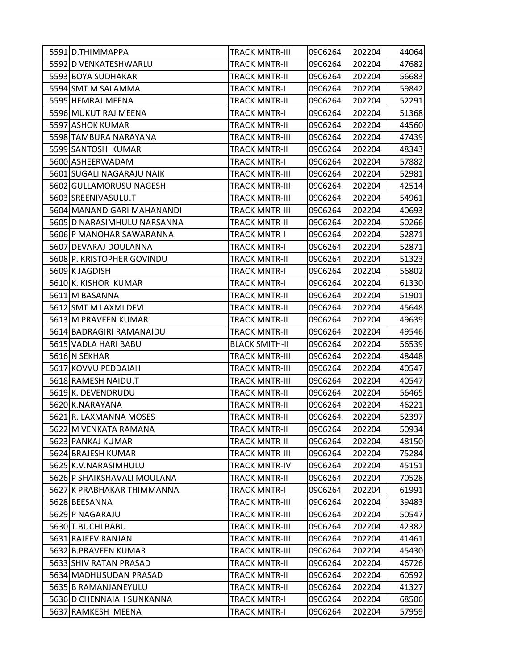| 5591 D.THIMMAPPA            | <b>TRACK MNTR-III</b> | 0906264 | 202204 | 44064 |
|-----------------------------|-----------------------|---------|--------|-------|
| 5592 D VENKATESHWARLU       | <b>TRACK MNTR-II</b>  | 0906264 | 202204 | 47682 |
| 5593 BOYA SUDHAKAR          | <b>TRACK MNTR-II</b>  | 0906264 | 202204 | 56683 |
| 5594 SMT M SALAMMA          | <b>TRACK MNTR-I</b>   | 0906264 | 202204 | 59842 |
| 5595 HEMRAJ MEENA           | <b>TRACK MNTR-II</b>  | 0906264 | 202204 | 52291 |
| 5596 MUKUT RAJ MEENA        | <b>TRACK MNTR-I</b>   | 0906264 | 202204 | 51368 |
| 5597 ASHOK KUMAR            | <b>TRACK MNTR-II</b>  | 0906264 | 202204 | 44560 |
| 5598 TAMBURA NARAYANA       | <b>TRACK MNTR-III</b> | 0906264 | 202204 | 47439 |
| 5599 SANTOSH KUMAR          | <b>TRACK MNTR-II</b>  | 0906264 | 202204 | 48343 |
| 5600 ASHEERWADAM            | <b>TRACK MNTR-I</b>   | 0906264 | 202204 | 57882 |
| 5601 SUGALI NAGARAJU NAIK   | <b>TRACK MNTR-III</b> | 0906264 | 202204 | 52981 |
| 5602 GULLAMORUSU NAGESH     | <b>TRACK MNTR-III</b> | 0906264 | 202204 | 42514 |
| 5603 SREENIVASULU.T         | <b>TRACK MNTR-III</b> | 0906264 | 202204 | 54961 |
| 5604 MANANDIGARI MAHANANDI  | <b>TRACK MNTR-III</b> | 0906264 | 202204 | 40693 |
| 5605 D NARASIMHULU NARSANNA | <b>TRACK MNTR-II</b>  | 0906264 | 202204 | 50266 |
| 5606 P MANOHAR SAWARANNA    | <b>TRACK MNTR-I</b>   | 0906264 | 202204 | 52871 |
| 5607 DEVARAJ DOULANNA       | <b>TRACK MNTR-I</b>   | 0906264 | 202204 | 52871 |
| 5608 P. KRISTOPHER GOVINDU  | <b>TRACK MNTR-II</b>  | 0906264 | 202204 | 51323 |
| 5609K JAGDISH               | <b>TRACK MNTR-I</b>   | 0906264 | 202204 | 56802 |
| 5610 K. KISHOR KUMAR        | <b>TRACK MNTR-I</b>   | 0906264 | 202204 | 61330 |
| 5611 M BASANNA              | <b>TRACK MNTR-II</b>  | 0906264 | 202204 | 51901 |
| 5612 SMT M LAXMI DEVI       | <b>TRACK MNTR-II</b>  | 0906264 | 202204 | 45648 |
| 5613 M PRAVEEN KUMAR        | <b>TRACK MNTR-II</b>  | 0906264 | 202204 | 49639 |
| 5614 BADRAGIRI RAMANAIDU    | <b>TRACK MNTR-II</b>  | 0906264 | 202204 | 49546 |
| 5615 VADLA HARI BABU        | <b>BLACK SMITH-II</b> | 0906264 | 202204 | 56539 |
| 5616 N SEKHAR               | <b>TRACK MNTR-III</b> | 0906264 | 202204 | 48448 |
| 5617 KOVVU PEDDAIAH         | <b>TRACK MNTR-III</b> | 0906264 | 202204 | 40547 |
| 5618 RAMESH NAIDU.T         | <b>TRACK MNTR-III</b> | 0906264 | 202204 | 40547 |
| 5619K. DEVENDRUDU           | <b>TRACK MNTR-II</b>  | 0906264 | 202204 | 56465 |
| 5620 K.NARAYANA             | <b>TRACK MNTR-II</b>  | 0906264 | 202204 | 46221 |
| 5621 R. LAXMANNA MOSES      | <b>TRACK MNTR-II</b>  | 0906264 | 202204 | 52397 |
| 5622 M VENKATA RAMANA       | <b>TRACK MNTR-II</b>  | 0906264 | 202204 | 50934 |
| 5623 PANKAJ KUMAR           | <b>TRACK MNTR-II</b>  | 0906264 | 202204 | 48150 |
| 5624 BRAJESH KUMAR          | <b>TRACK MNTR-III</b> | 0906264 | 202204 | 75284 |
| 5625 K.V. NARASIMHULU       | <b>TRACK MNTR-IV</b>  | 0906264 | 202204 | 45151 |
| 5626 P SHAIKSHAVALI MOULANA | <b>TRACK MNTR-II</b>  | 0906264 | 202204 | 70528 |
| 5627 K PRABHAKAR THIMMANNA  | <b>TRACK MNTR-I</b>   | 0906264 | 202204 | 61991 |
| 5628 BEESANNA               | <b>TRACK MNTR-III</b> | 0906264 | 202204 | 39483 |
| 5629 P NAGARAJU             | <b>TRACK MNTR-III</b> | 0906264 | 202204 | 50547 |
| 5630 T.BUCHI BABU           | <b>TRACK MNTR-III</b> | 0906264 | 202204 | 42382 |
| 5631 RAJEEV RANJAN          | <b>TRACK MNTR-III</b> | 0906264 | 202204 | 41461 |
| 5632 B.PRAVEEN KUMAR        | <b>TRACK MNTR-III</b> | 0906264 | 202204 | 45430 |
| 5633 SHIV RATAN PRASAD      | <b>TRACK MNTR-II</b>  | 0906264 | 202204 | 46726 |
| 5634 MADHUSUDAN PRASAD      | <b>TRACK MNTR-II</b>  | 0906264 | 202204 | 60592 |
| 5635 B RAMANJANEYULU        | <b>TRACK MNTR-II</b>  | 0906264 | 202204 | 41327 |
| 5636 D CHENNAIAH SUNKANNA   | <b>TRACK MNTR-I</b>   | 0906264 | 202204 | 68506 |
| 5637 RAMKESH MEENA          | <b>TRACK MNTR-I</b>   | 0906264 | 202204 | 57959 |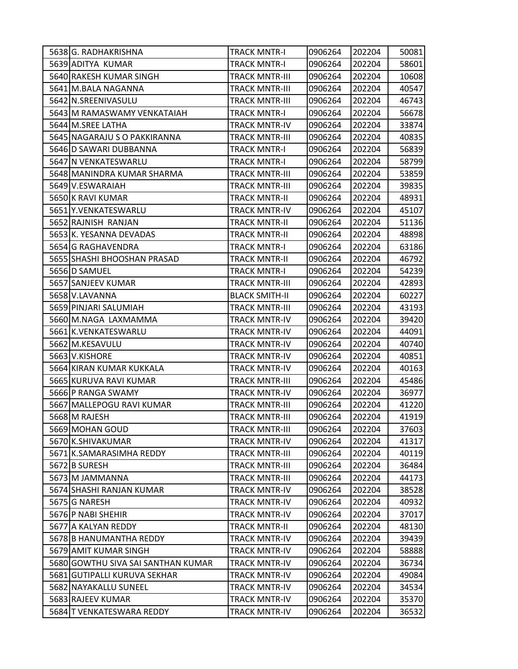| 5638 G. RADHAKRISHNA               | <b>TRACK MNTR-I</b>   | 0906264 | 202204 | 50081 |
|------------------------------------|-----------------------|---------|--------|-------|
| 5639 ADITYA KUMAR                  | <b>TRACK MNTR-I</b>   | 0906264 | 202204 | 58601 |
| 5640 RAKESH KUMAR SINGH            | <b>TRACK MNTR-III</b> | 0906264 | 202204 | 10608 |
| 5641 M.BALA NAGANNA                | <b>TRACK MNTR-III</b> | 0906264 | 202204 | 40547 |
| 5642 N.SREENIVASULU                | <b>TRACK MNTR-III</b> | 0906264 | 202204 | 46743 |
| 5643 M RAMASWAMY VENKATAIAH        | TRACK MNTR-I          | 0906264 | 202204 | 56678 |
| 5644 M.SREE LATHA                  | <b>TRACK MNTR-IV</b>  | 0906264 | 202204 | 33874 |
| 5645 NAGARAJU S O PAKKIRANNA       | <b>TRACK MNTR-III</b> | 0906264 | 202204 | 40835 |
| 5646 D SAWARI DUBBANNA             | <b>TRACK MNTR-I</b>   | 0906264 | 202204 | 56839 |
| 5647 N VENKATESWARLU               | <b>TRACK MNTR-I</b>   | 0906264 | 202204 | 58799 |
| 5648 MANINDRA KUMAR SHARMA         | TRACK MNTR-III        | 0906264 | 202204 | 53859 |
| 5649 V.ESWARAIAH                   | <b>TRACK MNTR-III</b> | 0906264 | 202204 | 39835 |
| 5650 K RAVI KUMAR                  | <b>TRACK MNTR-II</b>  | 0906264 | 202204 | 48931 |
| 5651 Y.VENKATESWARLU               | <b>TRACK MNTR-IV</b>  | 0906264 | 202204 | 45107 |
| 5652 RAJNISH RANJAN                | <b>TRACK MNTR-II</b>  | 0906264 | 202204 | 51136 |
| 5653 K. YESANNA DEVADAS            | TRACK MNTR-II         | 0906264 | 202204 | 48898 |
| 5654 G RAGHAVENDRA                 | <b>TRACK MNTR-I</b>   | 0906264 | 202204 | 63186 |
| 5655 SHASHI BHOOSHAN PRASAD        | <b>TRACK MNTR-II</b>  | 0906264 | 202204 | 46792 |
| 5656 D SAMUEL                      | <b>TRACK MNTR-I</b>   | 0906264 | 202204 | 54239 |
| 5657 SANJEEV KUMAR                 | <b>TRACK MNTR-III</b> | 0906264 | 202204 | 42893 |
| 5658 V.LAVANNA                     | <b>BLACK SMITH-II</b> | 0906264 | 202204 | 60227 |
| 5659 PINJARI SALUMIAH              | <b>TRACK MNTR-III</b> | 0906264 | 202204 | 43193 |
| 5660 M.NAGA LAXMAMMA               | <b>TRACK MNTR-IV</b>  | 0906264 | 202204 | 39420 |
| 5661 K. VENKATESWARLU              | <b>TRACK MNTR-IV</b>  | 0906264 | 202204 | 44091 |
| 5662 M.KESAVULU                    | <b>TRACK MNTR-IV</b>  | 0906264 | 202204 | 40740 |
| 5663 V.KISHORE                     | <b>TRACK MNTR-IV</b>  | 0906264 | 202204 | 40851 |
| 5664 KIRAN KUMAR KUKKALA           | <b>TRACK MNTR-IV</b>  | 0906264 | 202204 | 40163 |
| 5665 KURUVA RAVI KUMAR             | <b>TRACK MNTR-III</b> | 0906264 | 202204 | 45486 |
| 5666 P RANGA SWAMY                 | <b>TRACK MNTR-IV</b>  | 0906264 | 202204 | 36977 |
| 5667 MALLEPOGU RAVI KUMAR          | <b>TRACK MNTR-III</b> | 0906264 | 202204 | 41220 |
| 5668 M RAJESH                      | TRACK MNTR-III        | 0906264 | 202204 | 41919 |
| 5669 MOHAN GOUD                    | <b>TRACK MNTR-III</b> | 0906264 | 202204 | 37603 |
| 5670 K.SHIVAKUMAR                  | <b>TRACK MNTR-IV</b>  | 0906264 | 202204 | 41317 |
| 5671 K.SAMARASIMHA REDDY           | <b>TRACK MNTR-III</b> | 0906264 | 202204 | 40119 |
| 5672 B SURESH                      | <b>TRACK MNTR-III</b> | 0906264 | 202204 | 36484 |
| 5673 M JAMMANNA                    | <b>TRACK MNTR-III</b> | 0906264 | 202204 | 44173 |
| 5674 SHASHI RANJAN KUMAR           | <b>TRACK MNTR-IV</b>  | 0906264 | 202204 | 38528 |
| 5675 G NARESH                      | <b>TRACK MNTR-IV</b>  | 0906264 | 202204 | 40932 |
| 5676 P NABI SHEHIR                 | <b>TRACK MNTR-IV</b>  | 0906264 | 202204 | 37017 |
| 5677 A KALYAN REDDY                | <b>TRACK MNTR-II</b>  | 0906264 | 202204 | 48130 |
| 5678 B HANUMANTHA REDDY            | <b>TRACK MNTR-IV</b>  | 0906264 | 202204 | 39439 |
| 5679 AMIT KUMAR SINGH              | <b>TRACK MNTR-IV</b>  | 0906264 | 202204 | 58888 |
| 5680 GOWTHU SIVA SAI SANTHAN KUMAR | <b>TRACK MNTR-IV</b>  | 0906264 | 202204 | 36734 |
| 5681 GUTIPALLI KURUVA SEKHAR       | <b>TRACK MNTR-IV</b>  | 0906264 | 202204 | 49084 |
| 5682 NAYAKALLU SUNEEL              | <b>TRACK MNTR-IV</b>  | 0906264 | 202204 | 34534 |
| 5683 RAJEEV KUMAR                  | <b>TRACK MNTR-IV</b>  | 0906264 | 202204 | 35370 |
| 5684 T VENKATESWARA REDDY          | <b>TRACK MNTR-IV</b>  | 0906264 | 202204 | 36532 |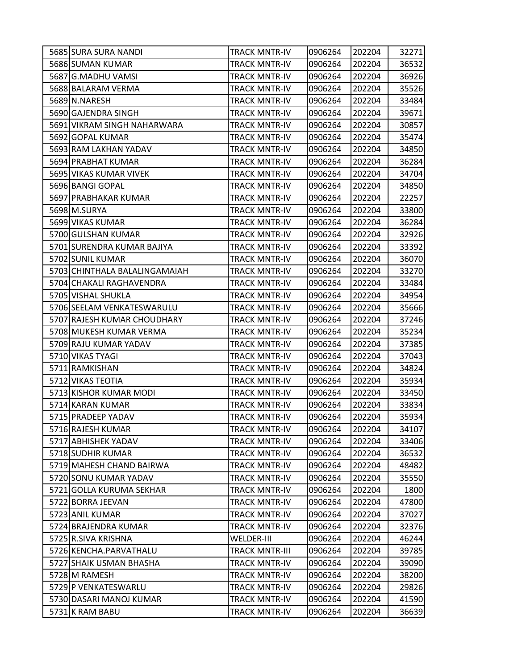| 5685 SURA SURA NANDI          | <b>TRACK MNTR-IV</b>  | 0906264 | 202204 | 32271 |
|-------------------------------|-----------------------|---------|--------|-------|
| 5686 SUMAN KUMAR              | <b>TRACK MNTR-IV</b>  | 0906264 | 202204 | 36532 |
| 5687 G.MADHU VAMSI            | <b>TRACK MNTR-IV</b>  | 0906264 | 202204 | 36926 |
| 5688 BALARAM VERMA            | <b>TRACK MNTR-IV</b>  | 0906264 | 202204 | 35526 |
| 5689 N.NARESH                 | <b>TRACK MNTR-IV</b>  | 0906264 | 202204 | 33484 |
| 5690 GAJENDRA SINGH           | <b>TRACK MNTR-IV</b>  | 0906264 | 202204 | 39671 |
| 5691 VIKRAM SINGH NAHARWARA   | <b>TRACK MNTR-IV</b>  | 0906264 | 202204 | 30857 |
| 5692 GOPAL KUMAR              | <b>TRACK MNTR-IV</b>  | 0906264 | 202204 | 35474 |
| 5693 RAM LAKHAN YADAV         | <b>TRACK MNTR-IV</b>  | 0906264 | 202204 | 34850 |
| 5694 PRABHAT KUMAR            | <b>TRACK MNTR-IV</b>  | 0906264 | 202204 | 36284 |
| 5695 VIKAS KUMAR VIVEK        | <b>TRACK MNTR-IV</b>  | 0906264 | 202204 | 34704 |
| 5696 BANGI GOPAL              | <b>TRACK MNTR-IV</b>  | 0906264 | 202204 | 34850 |
| 5697 PRABHAKAR KUMAR          | <b>TRACK MNTR-IV</b>  | 0906264 | 202204 | 22257 |
| 5698 M.SURYA                  | <b>TRACK MNTR-IV</b>  | 0906264 | 202204 | 33800 |
| 5699 VIKAS KUMAR              | <b>TRACK MNTR-IV</b>  | 0906264 | 202204 | 36284 |
| 5700 GULSHAN KUMAR            | <b>TRACK MNTR-IV</b>  | 0906264 | 202204 | 32926 |
| 5701 SURENDRA KUMAR BAJIYA    | <b>TRACK MNTR-IV</b>  | 0906264 | 202204 | 33392 |
| 5702 SUNIL KUMAR              | <b>TRACK MNTR-IV</b>  | 0906264 | 202204 | 36070 |
| 5703 CHINTHALA BALALINGAMAIAH | <b>TRACK MNTR-IV</b>  | 0906264 | 202204 | 33270 |
| 5704 CHAKALI RAGHAVENDRA      | <b>TRACK MNTR-IV</b>  | 0906264 | 202204 | 33484 |
| 5705 VISHAL SHUKLA            | <b>TRACK MNTR-IV</b>  | 0906264 | 202204 | 34954 |
| 5706 SEELAM VENKATESWARULU    | <b>TRACK MNTR-IV</b>  | 0906264 | 202204 | 35666 |
| 5707 RAJESH KUMAR CHOUDHARY   | <b>TRACK MNTR-IV</b>  | 0906264 | 202204 | 37246 |
| 5708 MUKESH KUMAR VERMA       | <b>TRACK MNTR-IV</b>  | 0906264 | 202204 | 35234 |
| 5709 RAJU KUMAR YADAV         | <b>TRACK MNTR-IV</b>  | 0906264 | 202204 | 37385 |
| 5710 VIKAS TYAGI              | <b>TRACK MNTR-IV</b>  | 0906264 | 202204 | 37043 |
| 5711 RAMKISHAN                | <b>TRACK MNTR-IV</b>  | 0906264 | 202204 | 34824 |
| 5712 VIKAS TEOTIA             | <b>TRACK MNTR-IV</b>  | 0906264 | 202204 | 35934 |
| 5713 KISHOR KUMAR MODI        | <b>TRACK MNTR-IV</b>  | 0906264 | 202204 | 33450 |
| 5714 KARAN KUMAR              | <b>TRACK MNTR-IV</b>  | 0906264 | 202204 | 33834 |
| 5715 PRADEEP YADAV            | <b>TRACK MNTR-IV</b>  | 0906264 | 202204 | 35934 |
| 5716 RAJESH KUMAR             | <b>TRACK MNTR-IV</b>  | 0906264 | 202204 | 34107 |
| 5717 ABHISHEK YADAV           | <b>TRACK MNTR-IV</b>  | 0906264 | 202204 | 33406 |
| 5718 SUDHIR KUMAR             | <b>TRACK MNTR-IV</b>  | 0906264 | 202204 | 36532 |
| 5719 MAHESH CHAND BAIRWA      | <b>TRACK MNTR-IV</b>  | 0906264 | 202204 | 48482 |
| 5720 SONU KUMAR YADAV         | <b>TRACK MNTR-IV</b>  | 0906264 | 202204 | 35550 |
| 5721 GOLLA KURUMA SEKHAR      | <b>TRACK MNTR-IV</b>  | 0906264 | 202204 | 1800  |
| 5722 BORRA JEEVAN             | <b>TRACK MNTR-IV</b>  | 0906264 | 202204 | 47800 |
| 5723 ANIL KUMAR               | <b>TRACK MNTR-IV</b>  | 0906264 | 202204 | 37027 |
| 5724 BRAJENDRA KUMAR          | <b>TRACK MNTR-IV</b>  | 0906264 | 202204 | 32376 |
| 5725 R.SIVA KRISHNA           | <b>WELDER-III</b>     | 0906264 | 202204 | 46244 |
| 5726 KENCHA.PARVATHALU        | <b>TRACK MNTR-III</b> | 0906264 | 202204 | 39785 |
| 5727 SHAIK USMAN BHASHA       | <b>TRACK MNTR-IV</b>  | 0906264 | 202204 | 39090 |
| 5728 M RAMESH                 | <b>TRACK MNTR-IV</b>  | 0906264 | 202204 | 38200 |
| 5729 P VENKATESWARLU          | <b>TRACK MNTR-IV</b>  | 0906264 | 202204 | 29826 |
| 5730 DASARI MANOJ KUMAR       | <b>TRACK MNTR-IV</b>  | 0906264 | 202204 | 41590 |
| 5731 K RAM BABU               | <b>TRACK MNTR-IV</b>  | 0906264 | 202204 | 36639 |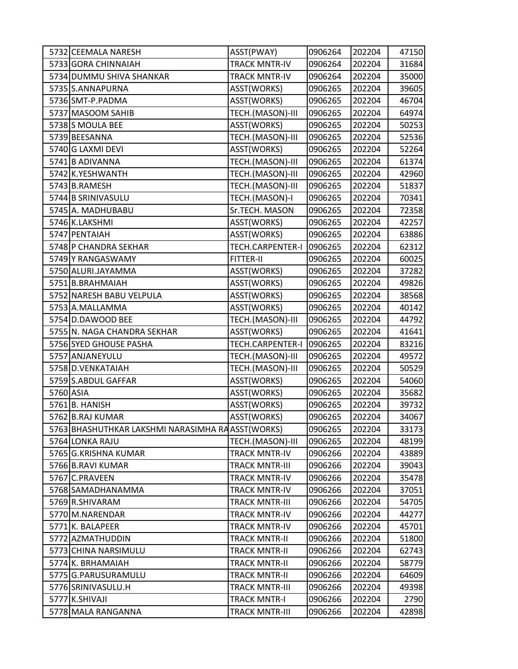| 5732 CEEMALA NARESH                              | ASST(PWAY)            | 0906264 | 202204 | 47150 |
|--------------------------------------------------|-----------------------|---------|--------|-------|
| 5733 GORA CHINNAIAH                              | <b>TRACK MNTR-IV</b>  | 0906264 | 202204 | 31684 |
| 5734 DUMMU SHIVA SHANKAR                         | <b>TRACK MNTR-IV</b>  | 0906264 | 202204 | 35000 |
| 5735 S.ANNAPURNA                                 | ASST(WORKS)           | 0906265 | 202204 | 39605 |
| 5736 SMT-P.PADMA                                 | ASST(WORKS)           | 0906265 | 202204 | 46704 |
| 5737 MASOOM SAHIB                                | TECH.(MASON)-III      | 0906265 | 202204 | 64974 |
| 5738 S MOULA BEE                                 | ASST(WORKS)           | 0906265 | 202204 | 50253 |
| 5739 BEESANNA                                    | TECH.(MASON)-III      | 0906265 | 202204 | 52536 |
| 5740 G LAXMI DEVI                                | ASST(WORKS)           | 0906265 | 202204 | 52264 |
| 5741 B ADIVANNA                                  | TECH.(MASON)-III      | 0906265 | 202204 | 61374 |
| 5742 K.YESHWANTH                                 | TECH.(MASON)-III      | 0906265 | 202204 | 42960 |
| 5743 B.RAMESH                                    | TECH.(MASON)-III      | 0906265 | 202204 | 51837 |
| 5744 B SRINIVASULU                               | TECH.(MASON)-I        | 0906265 | 202204 | 70341 |
| 5745 A. MADHUBABU                                | Sr.TECH. MASON        | 0906265 | 202204 | 72358 |
| 5746 K.LAKSHMI                                   | ASST(WORKS)           | 0906265 | 202204 | 42257 |
| 5747 PENTAIAH                                    | ASST(WORKS)           | 0906265 | 202204 | 63886 |
| 5748 P CHANDRA SEKHAR                            | TECH.CARPENTER-I      | 0906265 | 202204 | 62312 |
| 5749 Y RANGASWAMY                                | FITTER-II             | 0906265 | 202204 | 60025 |
| 5750 ALURI.JAYAMMA                               | ASST(WORKS)           | 0906265 | 202204 | 37282 |
| 5751 B.BRAHMAIAH                                 | ASST(WORKS)           | 0906265 | 202204 | 49826 |
| 5752 NARESH BABU VELPULA                         | ASST(WORKS)           | 0906265 | 202204 | 38568 |
| 5753 A.MALLAMMA                                  | ASST(WORKS)           | 0906265 | 202204 | 40142 |
| 5754 D.DAWOOD BEE                                | TECH.(MASON)-III      | 0906265 | 202204 | 44792 |
| 5755 N. NAGA CHANDRA SEKHAR                      | ASST(WORKS)           | 0906265 | 202204 | 41641 |
| 5756 SYED GHOUSE PASHA                           | TECH.CARPENTER-I      | 0906265 | 202204 | 83216 |
| 5757 ANJANEYULU                                  | TECH.(MASON)-III      | 0906265 | 202204 | 49572 |
| 5758 D.VENKATAIAH                                | TECH.(MASON)-III      | 0906265 | 202204 | 50529 |
| 5759 S.ABDUL GAFFAR                              | ASST(WORKS)           | 0906265 | 202204 | 54060 |
| 5760 ASIA                                        | ASST(WORKS)           | 0906265 | 202204 | 35682 |
| 5761 B. HANISH                                   | ASST(WORKS)           | 0906265 | 202204 | 39732 |
| 5762 B.RAJ KUMAR                                 | ASST(WORKS)           | 0906265 | 202204 | 34067 |
| 5763 BHASHUTHKAR LAKSHMI NARASIMHA RAASST(WORKS) |                       | 0906265 | 202204 | 33173 |
| 5764 LONKA RAJU                                  | TECH.(MASON)-III      | 0906265 | 202204 | 48199 |
| 5765 G.KRISHNA KUMAR                             | <b>TRACK MNTR-IV</b>  | 0906266 | 202204 | 43889 |
| 5766 B.RAVI KUMAR                                | <b>TRACK MNTR-III</b> | 0906266 | 202204 | 39043 |
| 5767 C.PRAVEEN                                   | <b>TRACK MNTR-IV</b>  | 0906266 | 202204 | 35478 |
| 5768 SAMADHANAMMA                                | <b>TRACK MNTR-IV</b>  | 0906266 | 202204 | 37051 |
| 5769 R.SHIVARAM                                  | <b>TRACK MNTR-III</b> | 0906266 | 202204 | 54705 |
| 5770 M.NARENDAR                                  | <b>TRACK MNTR-IV</b>  | 0906266 | 202204 | 44277 |
| 5771 K. BALAPEER                                 | <b>TRACK MNTR-IV</b>  | 0906266 | 202204 | 45701 |
| 5772 AZMATHUDDIN                                 | <b>TRACK MNTR-II</b>  | 0906266 | 202204 | 51800 |
| 5773 CHINA NARSIMULU                             | <b>TRACK MNTR-II</b>  | 0906266 | 202204 | 62743 |
| 5774 K. BRHAMAIAH                                | <b>TRACK MNTR-II</b>  | 0906266 | 202204 | 58779 |
| 5775 G.PARUSURAMULU                              | <b>TRACK MNTR-II</b>  | 0906266 | 202204 | 64609 |
| 5776 SRINIVASULU.H                               | <b>TRACK MNTR-III</b> | 0906266 | 202204 | 49398 |
| 5777 K.SHIVAJI                                   | <b>TRACK MNTR-I</b>   | 0906266 | 202204 | 2790  |
| 5778 MALA RANGANNA                               | <b>TRACK MNTR-III</b> | 0906266 | 202204 | 42898 |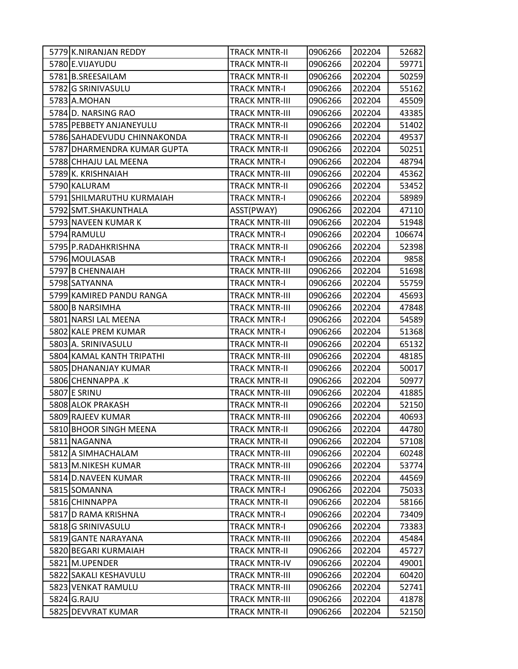| 5779 K.NIRANJAN REDDY       | TRACK MNTR-II         | 0906266 | 202204 | 52682  |
|-----------------------------|-----------------------|---------|--------|--------|
| 5780 E.VIJAYUDU             | <b>TRACK MNTR-II</b>  | 0906266 | 202204 | 59771  |
| 5781 B.SREESAILAM           | <b>TRACK MNTR-II</b>  | 0906266 | 202204 | 50259  |
| 5782 G SRINIVASULU          | <b>TRACK MNTR-I</b>   | 0906266 | 202204 | 55162  |
| 5783 A.MOHAN                | <b>TRACK MNTR-III</b> | 0906266 | 202204 | 45509  |
| 5784 D. NARSING RAO         | TRACK MNTR-III        | 0906266 | 202204 | 43385  |
| 5785 PEBBETY ANJANEYULU     | <b>TRACK MNTR-II</b>  | 0906266 | 202204 | 51402  |
| 5786 SAHADEVUDU CHINNAKONDA | <b>TRACK MNTR-II</b>  | 0906266 | 202204 | 49537  |
| 5787 DHARMENDRA KUMAR GUPTA | <b>TRACK MNTR-II</b>  | 0906266 | 202204 | 50251  |
| 5788 CHHAJU LAL MEENA       | <b>TRACK MNTR-I</b>   | 0906266 | 202204 | 48794  |
| 5789 K. KRISHNAIAH          | <b>TRACK MNTR-III</b> | 0906266 | 202204 | 45362  |
| 5790 KALURAM                | <b>TRACK MNTR-II</b>  | 0906266 | 202204 | 53452  |
| 5791 SHILMARUTHU KURMAIAH   | <b>TRACK MNTR-I</b>   | 0906266 | 202204 | 58989  |
| 5792 SMT.SHAKUNTHALA        | ASST(PWAY)            | 0906266 | 202204 | 47110  |
| 5793 NAVEEN KUMAR K         | <b>TRACK MNTR-III</b> | 0906266 | 202204 | 51948  |
| 5794 RAMULU                 | <b>TRACK MNTR-I</b>   | 0906266 | 202204 | 106674 |
| 5795 P.RADAHKRISHNA         | <b>TRACK MNTR-II</b>  | 0906266 | 202204 | 52398  |
| 5796 MOULASAB               | TRACK MNTR-I          | 0906266 | 202204 | 9858   |
| 5797 B CHENNAIAH            | <b>TRACK MNTR-III</b> | 0906266 | 202204 | 51698  |
| 5798 SATYANNA               | <b>TRACK MNTR-I</b>   | 0906266 | 202204 | 55759  |
| 5799 KAMIRED PANDU RANGA    | TRACK MNTR-III        | 0906266 | 202204 | 45693  |
| 5800 B NARSIMHA             | <b>TRACK MNTR-III</b> | 0906266 | 202204 | 47848  |
| 5801 NARSI LAL MEENA        | <b>TRACK MNTR-I</b>   | 0906266 | 202204 | 54589  |
| 5802 KALE PREM KUMAR        | <b>TRACK MNTR-I</b>   | 0906266 | 202204 | 51368  |
| 5803 A. SRINIVASULU         | <b>TRACK MNTR-II</b>  | 0906266 | 202204 | 65132  |
| 5804 KAMAL KANTH TRIPATHI   | TRACK MNTR-III        | 0906266 | 202204 | 48185  |
| 5805 DHANANJAY KUMAR        | <b>TRACK MNTR-II</b>  | 0906266 | 202204 | 50017  |
| 5806 CHENNAPPA .K           | <b>TRACK MNTR-II</b>  | 0906266 | 202204 | 50977  |
| 5807 E SRINU                | <b>TRACK MNTR-III</b> | 0906266 | 202204 | 41885  |
| 5808 ALOK PRAKASH           | <b>TRACK MNTR-II</b>  | 0906266 | 202204 | 52150  |
| 5809 RAJEEV KUMAR           | <b>TRACK MNTR-III</b> | 0906266 | 202204 | 40693  |
| 5810 BHOOR SINGH MEENA      | <b>TRACK MNTR-II</b>  | 0906266 | 202204 | 44780  |
| 5811 NAGANNA                | <b>TRACK MNTR-II</b>  | 0906266 | 202204 | 57108  |
| 5812 A SIMHACHALAM          | <b>TRACK MNTR-III</b> | 0906266 | 202204 | 60248  |
| 5813 M.NIKESH KUMAR         | <b>TRACK MNTR-III</b> | 0906266 | 202204 | 53774  |
| 5814 D.NAVEEN KUMAR         | <b>TRACK MNTR-III</b> | 0906266 | 202204 | 44569  |
| 5815 SOMANNA                | <b>TRACK MNTR-I</b>   | 0906266 | 202204 | 75033  |
| 5816 CHINNAPPA              | <b>TRACK MNTR-II</b>  | 0906266 | 202204 | 58166  |
| 5817 D RAMA KRISHNA         | <b>TRACK MNTR-I</b>   | 0906266 | 202204 | 73409  |
| 5818 G SRINIVASULU          | <b>TRACK MNTR-I</b>   | 0906266 | 202204 | 73383  |
| 5819 GANTE NARAYANA         | <b>TRACK MNTR-III</b> | 0906266 | 202204 | 45484  |
| 5820 BEGARI KURMAIAH        | <b>TRACK MNTR-II</b>  | 0906266 | 202204 | 45727  |
| 5821 M.UPENDER              | <b>TRACK MNTR-IV</b>  | 0906266 | 202204 | 49001  |
| 5822 SAKALI KESHAVULU       | <b>TRACK MNTR-III</b> | 0906266 | 202204 | 60420  |
| 5823 VENKAT RAMULU          | <b>TRACK MNTR-III</b> | 0906266 | 202204 | 52741  |
| 5824 G.RAJU                 | <b>TRACK MNTR-III</b> | 0906266 | 202204 | 41878  |
| 5825 DEVVRAT KUMAR          | TRACK MNTR-II         | 0906266 | 202204 | 52150  |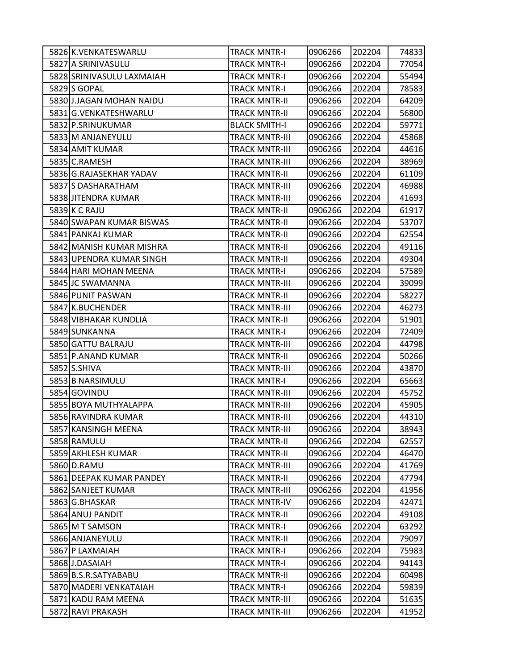|      | 5826 K.VENKATESWARLU      | TRACK MNTR-I          | 0906266 | 202204 | 74833 |
|------|---------------------------|-----------------------|---------|--------|-------|
|      | 5827 A SRINIVASULU        | <b>TRACK MNTR-I</b>   | 0906266 | 202204 | 77054 |
|      | 5828 SRINIVASULU LAXMAIAH | <b>TRACK MNTR-I</b>   | 0906266 | 202204 | 55494 |
|      | 5829 S GOPAL              | <b>TRACK MNTR-I</b>   | 0906266 | 202204 | 78583 |
|      | 5830 J.JAGAN MOHAN NAIDU  | <b>TRACK MNTR-II</b>  | 0906266 | 202204 | 64209 |
|      | 5831 G.VENKATESHWARLU     | <b>TRACK MNTR-II</b>  | 0906266 | 202204 | 56800 |
|      | 5832 P.SRINUKUMAR         | <b>BLACK SMITH-I</b>  | 0906266 | 202204 | 59771 |
|      | 5833 M ANJANEYULU         | <b>TRACK MNTR-III</b> | 0906266 | 202204 | 45868 |
|      | 5834 AMIT KUMAR           | <b>TRACK MNTR-III</b> | 0906266 | 202204 | 44616 |
|      | 5835 C.RAMESH             | <b>TRACK MNTR-III</b> | 0906266 | 202204 | 38969 |
|      | 5836 G.RAJASEKHAR YADAV   | <b>TRACK MNTR-II</b>  | 0906266 | 202204 | 61109 |
|      | 5837 S DASHARATHAM        | <b>TRACK MNTR-III</b> | 0906266 | 202204 | 46988 |
|      | 5838 JITENDRA KUMAR       | <b>TRACK MNTR-III</b> | 0906266 | 202204 | 41693 |
|      | 5839 K C RAJU             | <b>TRACK MNTR-II</b>  | 0906266 | 202204 | 61917 |
|      | 5840 SWAPAN KUMAR BISWAS  | <b>TRACK MNTR-II</b>  | 0906266 | 202204 | 53707 |
|      | 5841 PANKAJ KUMAR         | <b>TRACK MNTR-II</b>  | 0906266 | 202204 | 62554 |
|      | 5842 MANISH KUMAR MISHRA  | <b>TRACK MNTR-II</b>  | 0906266 | 202204 | 49116 |
|      | 5843 UPENDRA KUMAR SINGH  | <b>TRACK MNTR-II</b>  | 0906266 | 202204 | 49304 |
|      | 5844 HARI MOHAN MEENA     | <b>TRACK MNTR-I</b>   | 0906266 | 202204 | 57589 |
|      | 5845 JC SWAMANNA          | <b>TRACK MNTR-III</b> | 0906266 | 202204 | 39099 |
|      | 5846 PUNIT PASWAN         | <b>TRACK MNTR-II</b>  | 0906266 | 202204 | 58227 |
|      | 5847 K.BUCHENDER          | <b>TRACK MNTR-III</b> | 0906266 | 202204 | 46273 |
|      | 5848 VIBHAKAR KUNDLIA     | <b>TRACK MNTR-II</b>  | 0906266 | 202204 | 51901 |
|      | 5849 SUNKANNA             | <b>TRACK MNTR-I</b>   | 0906266 | 202204 | 72409 |
|      | 5850 GATTU BALRAJU        | <b>TRACK MNTR-III</b> | 0906266 | 202204 | 44798 |
|      | 5851 P.ANAND KUMAR        | <b>TRACK MNTR-II</b>  | 0906266 | 202204 | 50266 |
|      | 5852 S.SHIVA              | <b>TRACK MNTR-III</b> | 0906266 | 202204 | 43870 |
|      | 5853 B NARSIMULU          | <b>TRACK MNTR-I</b>   | 0906266 | 202204 | 65663 |
|      | 5854 GOVINDU              | <b>TRACK MNTR-III</b> | 0906266 | 202204 | 45752 |
|      | 5855 BOYA MUTHYALAPPA     | <b>TRACK MNTR-III</b> | 0906266 | 202204 | 45905 |
|      | 5856 RAVINDRA KUMAR       | <b>TRACK MNTR-III</b> | 0906266 | 202204 | 44310 |
|      | 5857 KANSINGH MEENA       | <b>TRACK MNTR-III</b> | 0906266 | 202204 | 38943 |
|      | 5858 RAMULU               | <b>TRACK MNTR-II</b>  | 0906266 | 202204 | 62557 |
|      | 5859 AKHLESH KUMAR        | <b>TRACK MNTR-II</b>  | 0906266 | 202204 | 46470 |
|      | 5860 D.RAMU               | <b>TRACK MNTR-III</b> | 0906266 | 202204 | 41769 |
|      | 5861 DEEPAK KUMAR PANDEY  | <b>TRACK MNTR-II</b>  | 0906266 | 202204 | 47794 |
|      | 5862 SANJEET KUMAR        | <b>TRACK MNTR-III</b> | 0906266 | 202204 | 41956 |
|      | 5863 G.BHASKAR            | <b>TRACK MNTR-IV</b>  | 0906266 | 202204 | 42471 |
|      | 5864 ANUJ PANDIT          | <b>TRACK MNTR-II</b>  | 0906266 | 202204 | 49108 |
|      | 5865 M T SAMSON           | <b>TRACK MNTR-I</b>   | 0906266 | 202204 | 63292 |
|      | 5866 ANJANEYULU           | <b>TRACK MNTR-II</b>  | 0906266 | 202204 | 79097 |
|      | 5867 P LAXMAIAH           | <b>TRACK MNTR-I</b>   | 0906266 | 202204 | 75983 |
|      | 5868 J.DASAIAH            | <b>TRACK MNTR-I</b>   | 0906266 | 202204 | 94143 |
|      | 5869 B.S.R.SATYABABU      | <b>TRACK MNTR-II</b>  | 0906266 | 202204 | 60498 |
|      | 5870 MADERI VENKATAIAH    | <b>TRACK MNTR-I</b>   | 0906266 | 202204 | 59839 |
|      | 5871 KADU RAM MEENA       | <b>TRACK MNTR-III</b> | 0906266 | 202204 | 51635 |
| 5872 | RAVI PRAKASH              | <b>TRACK MNTR-III</b> | 0906266 | 202204 | 41952 |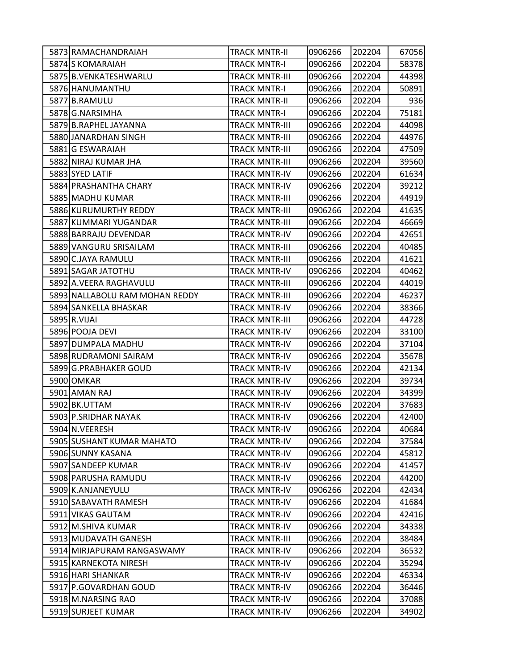| 5873 RAMACHANDRAIAH            | TRACK MNTR-II         | 0906266 | 202204 | 67056 |
|--------------------------------|-----------------------|---------|--------|-------|
| 5874 S KOMARAIAH               | <b>TRACK MNTR-I</b>   | 0906266 | 202204 | 58378 |
| 5875 B.VENKATESHWARLU          | <b>TRACK MNTR-III</b> | 0906266 | 202204 | 44398 |
| 5876 HANUMANTHU                | <b>TRACK MNTR-I</b>   | 0906266 | 202204 | 50891 |
| 5877 B.RAMULU                  | <b>TRACK MNTR-II</b>  | 0906266 | 202204 | 936   |
| 5878 G.NARSIMHA                | <b>TRACK MNTR-I</b>   | 0906266 | 202204 | 75181 |
| 5879 B.RAPHEL JAYANNA          | <b>TRACK MNTR-III</b> | 0906266 | 202204 | 44098 |
| 5880 JANARDHAN SINGH           | <b>TRACK MNTR-III</b> | 0906266 | 202204 | 44976 |
| 5881 G ESWARAIAH               | <b>TRACK MNTR-III</b> | 0906266 | 202204 | 47509 |
| 5882 NIRAJ KUMAR JHA           | <b>TRACK MNTR-III</b> | 0906266 | 202204 | 39560 |
| 5883 SYED LATIF                | <b>TRACK MNTR-IV</b>  | 0906266 | 202204 | 61634 |
| 5884 PRASHANTHA CHARY          | <b>TRACK MNTR-IV</b>  | 0906266 | 202204 | 39212 |
| 5885 MADHU KUMAR               | <b>TRACK MNTR-III</b> | 0906266 | 202204 | 44919 |
| 5886 KURUMURTHY REDDY          | <b>TRACK MNTR-III</b> | 0906266 | 202204 | 41635 |
| 5887 KUMMARI YUGANDAR          | <b>TRACK MNTR-III</b> | 0906266 | 202204 | 46669 |
| 5888 BARRAJU DEVENDAR          | <b>TRACK MNTR-IV</b>  | 0906266 | 202204 | 42651 |
| 5889 VANGURU SRISAILAM         | <b>TRACK MNTR-III</b> | 0906266 | 202204 | 40485 |
| 5890 C.JAYA RAMULU             | <b>TRACK MNTR-III</b> | 0906266 | 202204 | 41621 |
| 5891 SAGAR JATOTHU             | <b>TRACK MNTR-IV</b>  | 0906266 | 202204 | 40462 |
| 5892 A.VEERA RAGHAVULU         | <b>TRACK MNTR-III</b> | 0906266 | 202204 | 44019 |
| 5893 NALLABOLU RAM MOHAN REDDY | TRACK MNTR-III        | 0906266 | 202204 | 46237 |
| 5894 SANKELLA BHASKAR          | <b>TRACK MNTR-IV</b>  | 0906266 | 202204 | 38366 |
| 5895 R.VIJAI                   | <b>TRACK MNTR-III</b> | 0906266 | 202204 | 44728 |
| 5896 POOJA DEVI                | <b>TRACK MNTR-IV</b>  | 0906266 | 202204 | 33100 |
| 5897 DUMPALA MADHU             | <b>TRACK MNTR-IV</b>  | 0906266 | 202204 | 37104 |
| 5898 RUDRAMONI SAIRAM          | <b>TRACK MNTR-IV</b>  | 0906266 | 202204 | 35678 |
| 5899 G.PRABHAKER GOUD          | <b>TRACK MNTR-IV</b>  | 0906266 | 202204 | 42134 |
| 5900 OMKAR                     | <b>TRACK MNTR-IV</b>  | 0906266 | 202204 | 39734 |
| 5901 AMAN RAJ                  | <b>TRACK MNTR-IV</b>  | 0906266 | 202204 | 34399 |
| 5902 BK.UTTAM                  | <b>TRACK MNTR-IV</b>  | 0906266 | 202204 | 37683 |
| 5903 P.SRIDHAR NAYAK           | <b>TRACK MNTR-IV</b>  | 0906266 | 202204 | 42400 |
| 5904 N.VEERESH                 | <b>TRACK MNTR-IV</b>  | 0906266 | 202204 | 40684 |
| 5905 SUSHANT KUMAR MAHATO      | <b>TRACK MNTR-IV</b>  | 0906266 | 202204 | 37584 |
| 5906 SUNNY KASANA              | <b>TRACK MNTR-IV</b>  | 0906266 | 202204 | 45812 |
| 5907 SANDEEP KUMAR             | <b>TRACK MNTR-IV</b>  | 0906266 | 202204 | 41457 |
| 5908 PARUSHA RAMUDU            | <b>TRACK MNTR-IV</b>  | 0906266 | 202204 | 44200 |
| 5909 K.ANJANEYULU              | <b>TRACK MNTR-IV</b>  | 0906266 | 202204 | 42434 |
| 5910 SABAVATH RAMESH           | <b>TRACK MNTR-IV</b>  | 0906266 | 202204 | 41684 |
| 5911 VIKAS GAUTAM              | <b>TRACK MNTR-IV</b>  | 0906266 | 202204 | 42416 |
| 5912 M.SHIVA KUMAR             | <b>TRACK MNTR-IV</b>  | 0906266 | 202204 | 34338 |
| 5913 MUDAVATH GANESH           | <b>TRACK MNTR-III</b> | 0906266 | 202204 | 38484 |
| 5914 MIRJAPURAM RANGASWAMY     | <b>TRACK MNTR-IV</b>  | 0906266 | 202204 | 36532 |
| 5915 KARNEKOTA NIRESH          | <b>TRACK MNTR-IV</b>  | 0906266 | 202204 | 35294 |
| 5916 HARI SHANKAR              | <b>TRACK MNTR-IV</b>  | 0906266 | 202204 | 46334 |
| 5917 P.GOVARDHAN GOUD          | <b>TRACK MNTR-IV</b>  | 0906266 | 202204 | 36446 |
| 5918 M.NARSING RAO             | <b>TRACK MNTR-IV</b>  | 0906266 | 202204 | 37088 |
| 5919 SURJEET KUMAR             | <b>TRACK MNTR-IV</b>  | 0906266 | 202204 | 34902 |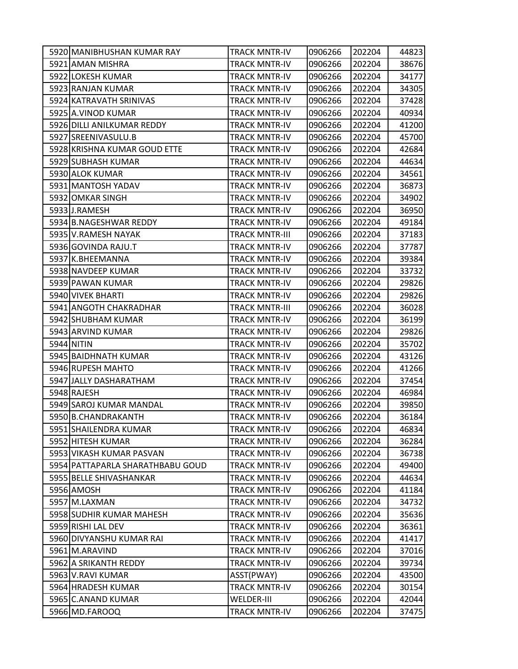| 5920 MANIBHUSHAN KUMAR RAY       | TRACK MNTR-IV         | 0906266 | 202204 | 44823 |
|----------------------------------|-----------------------|---------|--------|-------|
| 5921 AMAN MISHRA                 | <b>TRACK MNTR-IV</b>  | 0906266 | 202204 | 38676 |
| 5922 LOKESH KUMAR                | <b>TRACK MNTR-IV</b>  | 0906266 | 202204 | 34177 |
| 5923 RANJAN KUMAR                | <b>TRACK MNTR-IV</b>  | 0906266 | 202204 | 34305 |
| 5924 KATRAVATH SRINIVAS          | <b>TRACK MNTR-IV</b>  | 0906266 | 202204 | 37428 |
| 5925 A.VINOD KUMAR               | TRACK MNTR-IV         | 0906266 | 202204 | 40934 |
| 5926 DILLI ANILKUMAR REDDY       | <b>TRACK MNTR-IV</b>  | 0906266 | 202204 | 41200 |
| 5927 SREENIVASULU.B              | <b>TRACK MNTR-IV</b>  | 0906266 | 202204 | 45700 |
| 5928 KRISHNA KUMAR GOUD ETTE     | <b>TRACK MNTR-IV</b>  | 0906266 | 202204 | 42684 |
| 5929 SUBHASH KUMAR               | <b>TRACK MNTR-IV</b>  | 0906266 | 202204 | 44634 |
| 5930 ALOK KUMAR                  | TRACK MNTR-IV         | 0906266 | 202204 | 34561 |
| 5931 MANTOSH YADAV               | TRACK MNTR-IV         | 0906266 | 202204 | 36873 |
| 5932 OMKAR SINGH                 | <b>TRACK MNTR-IV</b>  | 0906266 | 202204 | 34902 |
| 5933 J.RAMESH                    | <b>TRACK MNTR-IV</b>  | 0906266 | 202204 | 36950 |
| 5934 B.NAGESHWAR REDDY           | <b>TRACK MNTR-IV</b>  | 0906266 | 202204 | 49184 |
| 5935 V.RAMESH NAYAK              | TRACK MNTR-III        | 0906266 | 202204 | 37183 |
| 5936 GOVINDA RAJU.T              | <b>TRACK MNTR-IV</b>  | 0906266 | 202204 | 37787 |
| 5937 K.BHEEMANNA                 | <b>TRACK MNTR-IV</b>  | 0906266 | 202204 | 39384 |
| 5938 NAVDEEP KUMAR               | <b>TRACK MNTR-IV</b>  | 0906266 | 202204 | 33732 |
| 5939 PAWAN KUMAR                 | <b>TRACK MNTR-IV</b>  | 0906266 | 202204 | 29826 |
| 5940 VIVEK BHARTI                | TRACK MNTR-IV         | 0906266 | 202204 | 29826 |
| 5941 ANGOTH CHAKRADHAR           | <b>TRACK MNTR-III</b> | 0906266 | 202204 | 36028 |
| 5942 SHUBHAM KUMAR               | <b>TRACK MNTR-IV</b>  | 0906266 | 202204 | 36199 |
| 5943 ARVIND KUMAR                | <b>TRACK MNTR-IV</b>  | 0906266 | 202204 | 29826 |
| 5944 NITIN                       | <b>TRACK MNTR-IV</b>  | 0906266 | 202204 | 35702 |
| 5945 BAIDHNATH KUMAR             | TRACK MNTR-IV         | 0906266 | 202204 | 43126 |
| 5946 RUPESH MAHTO                | <b>TRACK MNTR-IV</b>  | 0906266 | 202204 | 41266 |
| 5947 JALLY DASHARATHAM           | <b>TRACK MNTR-IV</b>  | 0906266 | 202204 | 37454 |
| 5948 RAJESH                      | <b>TRACK MNTR-IV</b>  | 0906266 | 202204 | 46984 |
| 5949 SAROJ KUMAR MANDAL          | <b>TRACK MNTR-IV</b>  | 0906266 | 202204 | 39850 |
| 5950 B.CHANDRAKANTH              | <b>TRACK MNTR-IV</b>  | 0906266 | 202204 | 36184 |
| 5951 SHAILENDRA KUMAR            | TRACK MNTR-IV         | 0906266 | 202204 | 46834 |
| 5952 HITESH KUMAR                | <b>TRACK MNTR-IV</b>  | 0906266 | 202204 | 36284 |
| 5953 VIKASH KUMAR PASVAN         | <b>TRACK MNTR-IV</b>  | 0906266 | 202204 | 36738 |
| 5954 PATTAPARLA SHARATHBABU GOUD | <b>TRACK MNTR-IV</b>  | 0906266 | 202204 | 49400 |
| 5955 BELLE SHIVASHANKAR          | <b>TRACK MNTR-IV</b>  | 0906266 | 202204 | 44634 |
| 5956 AMOSH                       | <b>TRACK MNTR-IV</b>  | 0906266 | 202204 | 41184 |
| 5957 M.LAXMAN                    | <b>TRACK MNTR-IV</b>  | 0906266 | 202204 | 34732 |
| 5958 SUDHIR KUMAR MAHESH         | <b>TRACK MNTR-IV</b>  | 0906266 | 202204 | 35636 |
| 5959 RISHI LAL DEV               | <b>TRACK MNTR-IV</b>  | 0906266 | 202204 | 36361 |
| 5960 DIVYANSHU KUMAR RAI         | <b>TRACK MNTR-IV</b>  | 0906266 | 202204 | 41417 |
| 5961 M.ARAVIND                   | <b>TRACK MNTR-IV</b>  | 0906266 | 202204 | 37016 |
| 5962 A SRIKANTH REDDY            | <b>TRACK MNTR-IV</b>  | 0906266 | 202204 | 39734 |
| 5963 V.RAVI KUMAR                | ASST(PWAY)            | 0906266 | 202204 | 43500 |
| 5964 HRADESH KUMAR               | <b>TRACK MNTR-IV</b>  | 0906266 | 202204 | 30154 |
| 5965 C.ANAND KUMAR               | <b>WELDER-III</b>     | 0906266 | 202204 | 42044 |
| 5966 MD.FAROOQ                   | TRACK MNTR-IV         | 0906266 | 202204 | 37475 |